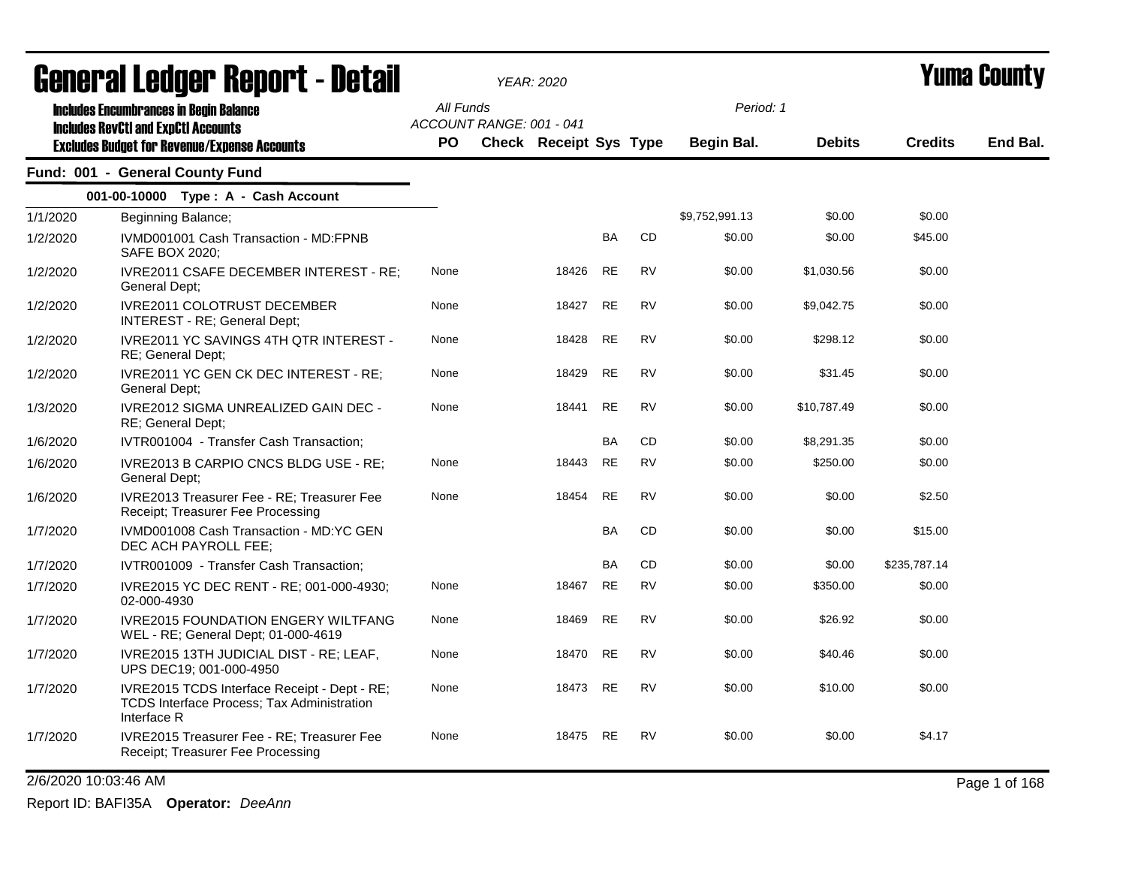| <u>Griigi.ai fanñai. Kenol. ( - netsii</u> |                                                                                                           | <b>YEAR: 2020</b> |                          |                               |           |           | Y UIII'd GUUIILY  |               |                |               |
|--------------------------------------------|-----------------------------------------------------------------------------------------------------------|-------------------|--------------------------|-------------------------------|-----------|-----------|-------------------|---------------|----------------|---------------|
|                                            | <b>Includes Encumbrances in Begin Balance</b><br><b>Includes RevCtI and ExpCtI Accounts</b>               | All Funds         | ACCOUNT RANGE: 001 - 041 |                               |           |           | Period: 1         |               |                |               |
|                                            | <b>Excludes Budget for Revenue/Expense Accounts</b>                                                       | PO.               |                          | <b>Check Receipt Sys Type</b> |           |           | <b>Begin Bal.</b> | <b>Debits</b> | <b>Credits</b> | End Bal.      |
|                                            | Fund: 001 - General County Fund                                                                           |                   |                          |                               |           |           |                   |               |                |               |
|                                            | 001-00-10000 Type: A - Cash Account                                                                       |                   |                          |                               |           |           |                   |               |                |               |
| 1/1/2020                                   | Beginning Balance;                                                                                        |                   |                          |                               |           |           | \$9,752,991.13    | \$0.00        | \$0.00         |               |
| 1/2/2020                                   | IVMD001001 Cash Transaction - MD:FPNB<br>SAFE BOX 2020;                                                   |                   |                          |                               | BA        | CD        | \$0.00            | \$0.00        | \$45.00        |               |
| 1/2/2020                                   | <b>IVRE2011 CSAFE DECEMBER INTEREST - RE:</b><br>General Dept;                                            | None              |                          | 18426                         | <b>RE</b> | <b>RV</b> | \$0.00            | \$1,030.56    | \$0.00         |               |
| 1/2/2020                                   | <b>IVRE2011 COLOTRUST DECEMBER</b><br>INTEREST - RE; General Dept;                                        | None              |                          | 18427                         | <b>RE</b> | <b>RV</b> | \$0.00            | \$9,042.75    | \$0.00         |               |
| 1/2/2020                                   | <b>IVRE2011 YC SAVINGS 4TH QTR INTEREST -</b><br>RE; General Dept;                                        | None              |                          | 18428                         | RE        | <b>RV</b> | \$0.00            | \$298.12      | \$0.00         |               |
| 1/2/2020                                   | IVRE2011 YC GEN CK DEC INTEREST - RE;<br>General Dept;                                                    | None              |                          | 18429                         | <b>RE</b> | <b>RV</b> | \$0.00            | \$31.45       | \$0.00         |               |
| 1/3/2020                                   | IVRE2012 SIGMA UNREALIZED GAIN DEC -<br>RE; General Dept;                                                 | None              |                          | 18441                         | <b>RE</b> | <b>RV</b> | \$0.00            | \$10,787.49   | \$0.00         |               |
| 1/6/2020                                   | IVTR001004 - Transfer Cash Transaction;                                                                   |                   |                          |                               | BA        | <b>CD</b> | \$0.00            | \$8,291.35    | \$0.00         |               |
| 1/6/2020                                   | IVRE2013 B CARPIO CNCS BLDG USE - RE;<br>General Dept;                                                    | None              |                          | 18443                         | <b>RE</b> | <b>RV</b> | \$0.00            | \$250.00      | \$0.00         |               |
| 1/6/2020                                   | IVRE2013 Treasurer Fee - RE; Treasurer Fee<br>Receipt: Treasurer Fee Processing                           | None              |                          | 18454                         | <b>RE</b> | <b>RV</b> | \$0.00            | \$0.00        | \$2.50         |               |
| 1/7/2020                                   | IVMD001008 Cash Transaction - MD:YC GEN<br>DEC ACH PAYROLL FEE;                                           |                   |                          |                               | BA        | <b>CD</b> | \$0.00            | \$0.00        | \$15.00        |               |
| 1/7/2020                                   | IVTR001009 - Transfer Cash Transaction;                                                                   |                   |                          |                               | <b>BA</b> | CD        | \$0.00            | \$0.00        | \$235,787.14   |               |
| 1/7/2020                                   | IVRE2015 YC DEC RENT - RE; 001-000-4930;<br>02-000-4930                                                   | None              |                          | 18467                         | <b>RE</b> | <b>RV</b> | \$0.00            | \$350.00      | \$0.00         |               |
| 1/7/2020                                   | <b>IVRE2015 FOUNDATION ENGERY WILTFANG</b><br>WEL - RE; General Dept; 01-000-4619                         | None              |                          | 18469                         | <b>RE</b> | <b>RV</b> | \$0.00            | \$26.92       | \$0.00         |               |
| 1/7/2020                                   | IVRE2015 13TH JUDICIAL DIST - RE; LEAF,<br>UPS DEC19; 001-000-4950                                        | None              |                          | 18470                         | <b>RE</b> | <b>RV</b> | \$0.00            | \$40.46       | \$0.00         |               |
| 1/7/2020                                   | IVRE2015 TCDS Interface Receipt - Dept - RE;<br>TCDS Interface Process; Tax Administration<br>Interface R | None              |                          | 18473                         | <b>RE</b> | <b>RV</b> | \$0.00            | \$10.00       | \$0.00         |               |
| 1/7/2020                                   | IVRE2015 Treasurer Fee - RE; Treasurer Fee<br>Receipt; Treasurer Fee Processing                           | None              |                          | 18475 RE                      |           | <b>RV</b> | \$0.00            | \$0.00        | \$4.17         |               |
| 2/6/2020 10:03:46 AM                       |                                                                                                           |                   |                          |                               |           |           |                   |               |                | Page 1 of 168 |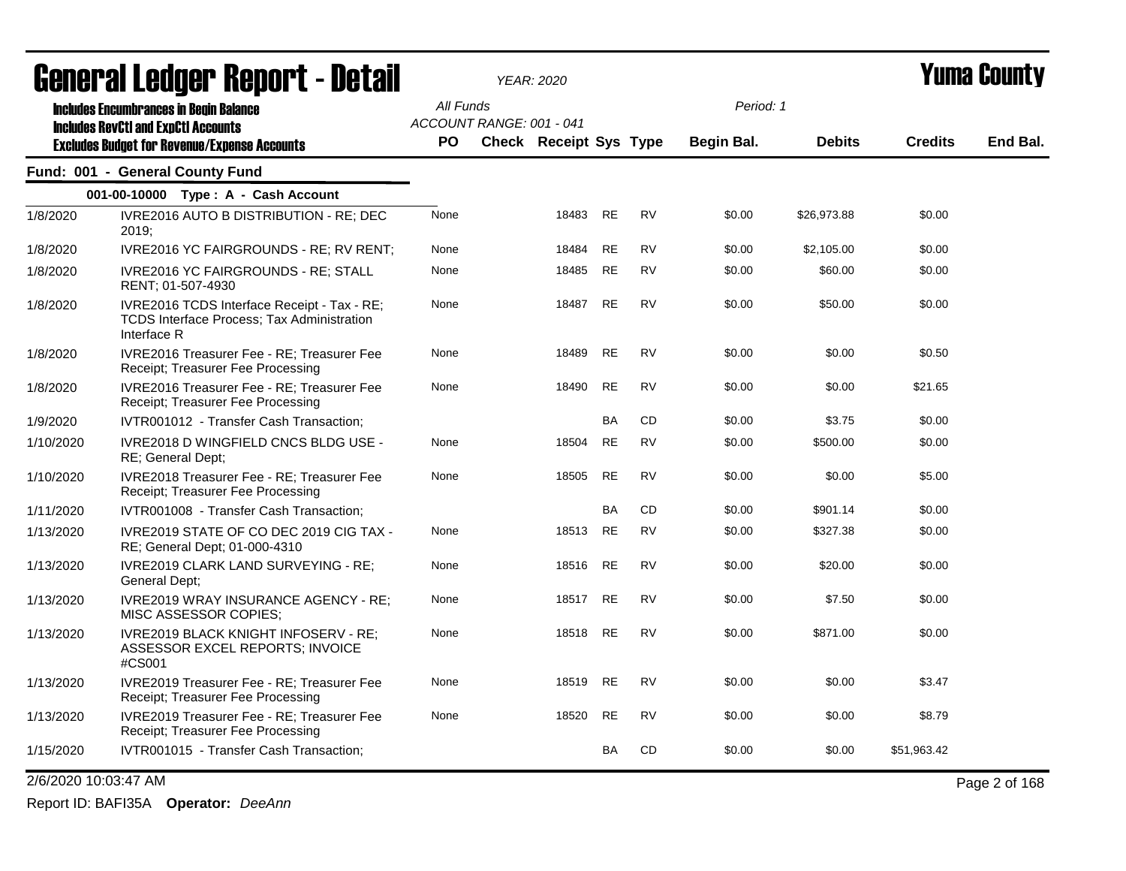|                      | acıici ai leuyei" nepol"l - Detail                                                                       |           |                          | <i>YEAR: 2020</i>      |           |           |                   |               | I UIIIA VVUIILY |               |
|----------------------|----------------------------------------------------------------------------------------------------------|-----------|--------------------------|------------------------|-----------|-----------|-------------------|---------------|-----------------|---------------|
|                      | <b>Includes Encumbrances in Begin Balance</b><br><b>Includes RevCtI and ExpCtI Accounts</b>              | All Funds | ACCOUNT RANGE: 001 - 041 |                        |           |           | Period: 1         |               |                 |               |
|                      | <b>Excludes Budget for Revenue/Expense Accounts</b>                                                      | <b>PO</b> |                          | Check Receipt Sys Type |           |           | <b>Begin Bal.</b> | <b>Debits</b> | <b>Credits</b>  | End Bal.      |
|                      | Fund: 001 - General County Fund                                                                          |           |                          |                        |           |           |                   |               |                 |               |
|                      | 001-00-10000 Type: A - Cash Account                                                                      |           |                          |                        |           |           |                   |               |                 |               |
| 1/8/2020             | IVRE2016 AUTO B DISTRIBUTION - RE; DEC<br>2019:                                                          | None      |                          | 18483                  | <b>RE</b> | <b>RV</b> | \$0.00            | \$26,973.88   | \$0.00          |               |
| 1/8/2020             | IVRE2016 YC FAIRGROUNDS - RE; RV RENT;                                                                   | None      |                          | 18484                  | RE        | <b>RV</b> | \$0.00            | \$2,105.00    | \$0.00          |               |
| 1/8/2020             | <b>IVRE2016 YC FAIRGROUNDS - RE: STALL</b><br>RENT; 01-507-4930                                          | None      |                          | 18485                  | RE        | <b>RV</b> | \$0.00            | \$60.00       | \$0.00          |               |
| 1/8/2020             | IVRE2016 TCDS Interface Receipt - Tax - RE;<br>TCDS Interface Process; Tax Administration<br>Interface R | None      |                          | 18487                  | <b>RE</b> | <b>RV</b> | \$0.00            | \$50.00       | \$0.00          |               |
| 1/8/2020             | IVRE2016 Treasurer Fee - RE; Treasurer Fee<br>Receipt; Treasurer Fee Processing                          | None      |                          | 18489                  | <b>RE</b> | <b>RV</b> | \$0.00            | \$0.00        | \$0.50          |               |
| 1/8/2020             | IVRE2016 Treasurer Fee - RE; Treasurer Fee<br>Receipt; Treasurer Fee Processing                          | None      |                          | 18490                  | <b>RE</b> | <b>RV</b> | \$0.00            | \$0.00        | \$21.65         |               |
| 1/9/2020             | IVTR001012 - Transfer Cash Transaction;                                                                  |           |                          |                        | <b>BA</b> | CD        | \$0.00            | \$3.75        | \$0.00          |               |
| 1/10/2020            | IVRE2018 D WINGFIELD CNCS BLDG USE -<br>RE; General Dept;                                                | None      |                          | 18504                  | <b>RE</b> | <b>RV</b> | \$0.00            | \$500.00      | \$0.00          |               |
| 1/10/2020            | IVRE2018 Treasurer Fee - RE; Treasurer Fee<br>Receipt; Treasurer Fee Processing                          | None      |                          | 18505                  | <b>RE</b> | <b>RV</b> | \$0.00            | \$0.00        | \$5.00          |               |
| 1/11/2020            | IVTR001008 - Transfer Cash Transaction;                                                                  |           |                          |                        | <b>BA</b> | <b>CD</b> | \$0.00            | \$901.14      | \$0.00          |               |
| 1/13/2020            | IVRE2019 STATE OF CO DEC 2019 CIG TAX -<br>RE; General Dept; 01-000-4310                                 | None      |                          | 18513                  | <b>RE</b> | <b>RV</b> | \$0.00            | \$327.38      | \$0.00          |               |
| 1/13/2020            | IVRE2019 CLARK LAND SURVEYING - RE;<br>General Dept;                                                     | None      |                          | 18516 RE               |           | <b>RV</b> | \$0.00            | \$20.00       | \$0.00          |               |
| 1/13/2020            | IVRE2019 WRAY INSURANCE AGENCY - RE;<br>MISC ASSESSOR COPIES;                                            | None      |                          | 18517                  | RE        | <b>RV</b> | \$0.00            | \$7.50        | \$0.00          |               |
| 1/13/2020            | IVRE2019 BLACK KNIGHT INFOSERV - RE;<br>ASSESSOR EXCEL REPORTS; INVOICE<br>#CS001                        | None      |                          | 18518 RE               |           | <b>RV</b> | \$0.00            | \$871.00      | \$0.00          |               |
| 1/13/2020            | IVRE2019 Treasurer Fee - RE; Treasurer Fee<br>Receipt; Treasurer Fee Processing                          | None      |                          | 18519 RE               |           | <b>RV</b> | \$0.00            | \$0.00        | \$3.47          |               |
| 1/13/2020            | IVRE2019 Treasurer Fee - RE; Treasurer Fee<br>Receipt; Treasurer Fee Processing                          | None      |                          | 18520                  | RE        | <b>RV</b> | \$0.00            | \$0.00        | \$8.79          |               |
| 1/15/2020            | IVTR001015 - Transfer Cash Transaction;                                                                  |           |                          |                        | BA        | CD        | \$0.00            | \$0.00        | \$51,963.42     |               |
| 2/6/2020 10:03:47 AM |                                                                                                          |           |                          |                        |           |           |                   |               |                 | Page 2 of 168 |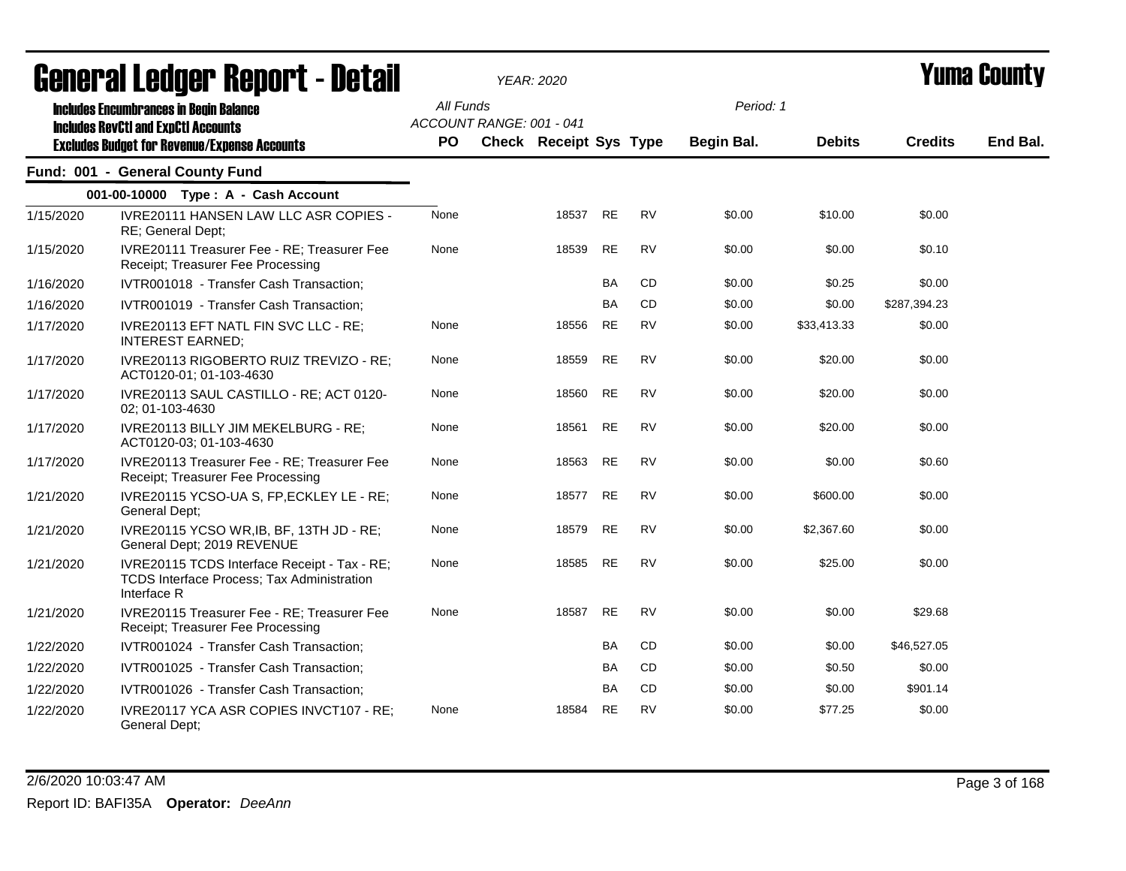| General Ledger Report - Detail |                                                                                                                                                    |                        | <b>YEAR: 2020</b>                                         |           |           | Yuma County             |               |                |          |
|--------------------------------|----------------------------------------------------------------------------------------------------------------------------------------------------|------------------------|-----------------------------------------------------------|-----------|-----------|-------------------------|---------------|----------------|----------|
|                                | <b>Includes Encumbrances in Begin Balance</b><br><b>Includes RevCtI and ExpCtI Accounts</b><br><b>Excludes Budget for Revenue/Expense Accounts</b> | All Funds<br><b>PO</b> | ACCOUNT RANGE: 001 - 041<br><b>Check Receipt Sys Type</b> |           |           | Period: 1<br>Begin Bal. | <b>Debits</b> | <b>Credits</b> | End Bal. |
|                                | Fund: 001 - General County Fund                                                                                                                    |                        |                                                           |           |           |                         |               |                |          |
|                                | 001-00-10000 Type: A - Cash Account                                                                                                                |                        |                                                           |           |           |                         |               |                |          |
| 1/15/2020                      | IVRE20111 HANSEN LAW LLC ASR COPIES -<br>RE: General Dept:                                                                                         | None                   | 18537                                                     | <b>RE</b> | <b>RV</b> | \$0.00                  | \$10.00       | \$0.00         |          |
| 1/15/2020                      | IVRE20111 Treasurer Fee - RE; Treasurer Fee<br>Receipt; Treasurer Fee Processing                                                                   | None                   | 18539                                                     | <b>RE</b> | <b>RV</b> | \$0.00                  | \$0.00        | \$0.10         |          |
| 1/16/2020                      | IVTR001018 - Transfer Cash Transaction;                                                                                                            |                        |                                                           | <b>BA</b> | <b>CD</b> | \$0.00                  | \$0.25        | \$0.00         |          |
| 1/16/2020                      | IVTR001019 - Transfer Cash Transaction;                                                                                                            |                        |                                                           | <b>BA</b> | CD.       | \$0.00                  | \$0.00        | \$287,394.23   |          |
| 1/17/2020                      | IVRE20113 EFT NATL FIN SVC LLC - RE;<br>INTEREST EARNED:                                                                                           | None                   | 18556                                                     | <b>RE</b> | <b>RV</b> | \$0.00                  | \$33,413.33   | \$0.00         |          |
| 1/17/2020                      | IVRE20113 RIGOBERTO RUIZ TREVIZO - RE;<br>ACT0120-01; 01-103-4630                                                                                  | None                   | 18559                                                     | <b>RE</b> | <b>RV</b> | \$0.00                  | \$20.00       | \$0.00         |          |
| 1/17/2020                      | IVRE20113 SAUL CASTILLO - RE; ACT 0120-<br>02; 01-103-4630                                                                                         | None                   | 18560                                                     | <b>RE</b> | <b>RV</b> | \$0.00                  | \$20.00       | \$0.00         |          |
| 1/17/2020                      | IVRE20113 BILLY JIM MEKELBURG - RE;<br>ACT0120-03; 01-103-4630                                                                                     | None                   | 18561                                                     | <b>RE</b> | <b>RV</b> | \$0.00                  | \$20.00       | \$0.00         |          |
| 1/17/2020                      | IVRE20113 Treasurer Fee - RE; Treasurer Fee<br>Receipt; Treasurer Fee Processing                                                                   | None                   | 18563                                                     | <b>RE</b> | <b>RV</b> | \$0.00                  | \$0.00        | \$0.60         |          |
| 1/21/2020                      | IVRE20115 YCSO-UA S, FP, ECKLEY LE - RE;<br>General Dept;                                                                                          | None                   | 18577                                                     | <b>RE</b> | <b>RV</b> | \$0.00                  | \$600.00      | \$0.00         |          |
| 1/21/2020                      | IVRE20115 YCSO WR, IB, BF, 13TH JD - RE;<br>General Dept; 2019 REVENUE                                                                             | None                   | 18579                                                     | <b>RE</b> | <b>RV</b> | \$0.00                  | \$2,367.60    | \$0.00         |          |
| 1/21/2020                      | IVRE20115 TCDS Interface Receipt - Tax - RE;<br>TCDS Interface Process; Tax Administration<br>Interface R                                          | None                   | 18585                                                     | <b>RE</b> | <b>RV</b> | \$0.00                  | \$25.00       | \$0.00         |          |
| 1/21/2020                      | IVRE20115 Treasurer Fee - RE; Treasurer Fee<br>Receipt; Treasurer Fee Processing                                                                   | None                   | 18587                                                     | <b>RE</b> | <b>RV</b> | \$0.00                  | \$0.00        | \$29.68        |          |
| 1/22/2020                      | IVTR001024 - Transfer Cash Transaction;                                                                                                            |                        |                                                           | <b>BA</b> | <b>CD</b> | \$0.00                  | \$0.00        | \$46,527.05    |          |
| 1/22/2020                      | IVTR001025 - Transfer Cash Transaction;                                                                                                            |                        |                                                           | BA        | CD.       | \$0.00                  | \$0.50        | \$0.00         |          |
| 1/22/2020                      | IVTR001026 - Transfer Cash Transaction;                                                                                                            |                        |                                                           | <b>BA</b> | CD.       | \$0.00                  | \$0.00        | \$901.14       |          |
| 1/22/2020                      | IVRE20117 YCA ASR COPIES INVCT107 - RE;<br>General Dept;                                                                                           | None                   | 18584                                                     | <b>RE</b> | <b>RV</b> | \$0.00                  | \$77.25       | \$0.00         |          |

2/6/2020 10:03:47 AM Page 3 of 168 Report ID: BAFI35A **Operator:** *DeeAnn*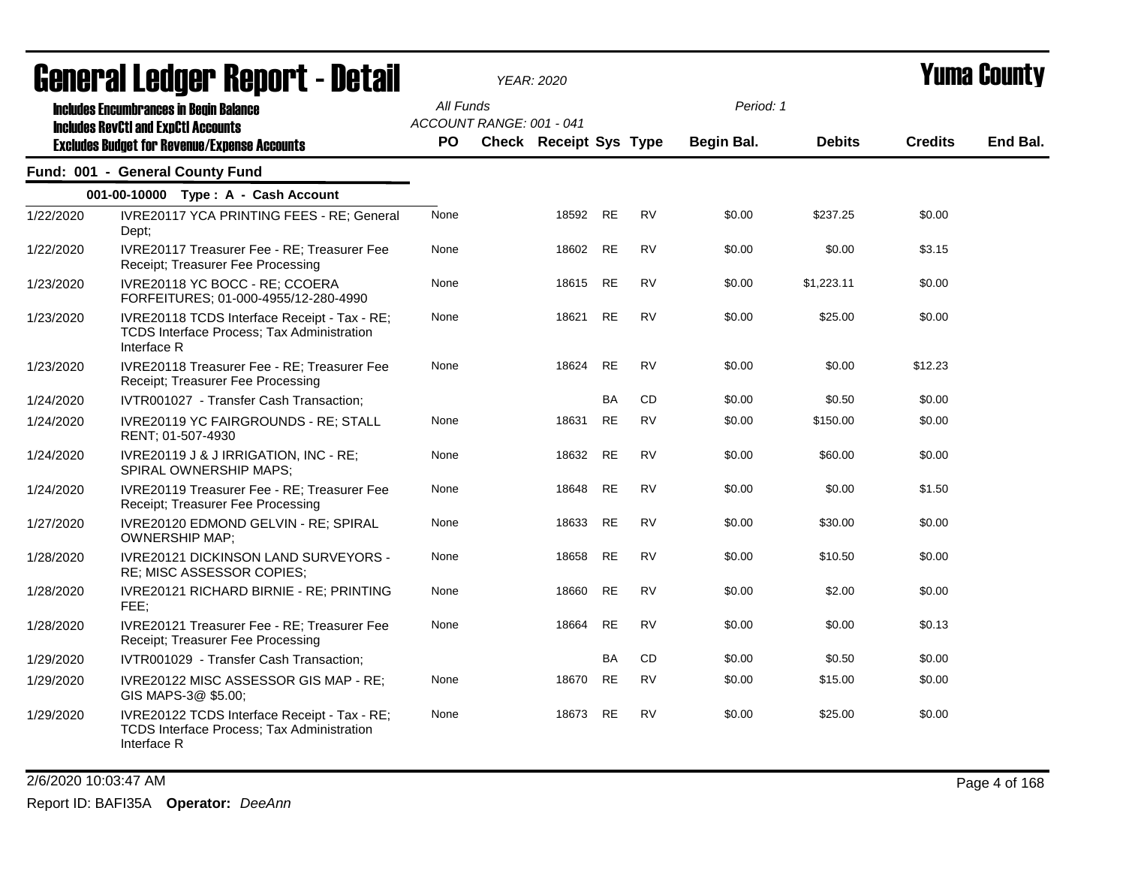| General Ledger Report - Detail |                                                                                                                  |           |                          | <b>YEAR: 2020</b>             |           |           |            |               | Yuma County    |          |
|--------------------------------|------------------------------------------------------------------------------------------------------------------|-----------|--------------------------|-------------------------------|-----------|-----------|------------|---------------|----------------|----------|
|                                | <b>Includes Encumbrances in Begin Balance</b><br><b>Includes RevCtI and ExpCtI Accounts</b>                      | All Funds | ACCOUNT RANGE: 001 - 041 |                               |           |           | Period: 1  |               |                |          |
|                                | <b>Excludes Budget for Revenue/Expense Accounts</b>                                                              | <b>PO</b> |                          | <b>Check Receipt Sys Type</b> |           |           | Begin Bal. | <b>Debits</b> | <b>Credits</b> | End Bal. |
|                                | Fund: 001 - General County Fund                                                                                  |           |                          |                               |           |           |            |               |                |          |
|                                | 001-00-10000 Type: A - Cash Account                                                                              |           |                          |                               |           |           |            |               |                |          |
| 1/22/2020                      | IVRE20117 YCA PRINTING FEES - RE; General<br>Dept;                                                               | None      |                          | 18592                         | <b>RE</b> | <b>RV</b> | \$0.00     | \$237.25      | \$0.00         |          |
| 1/22/2020                      | IVRE20117 Treasurer Fee - RE; Treasurer Fee<br>Receipt; Treasurer Fee Processing                                 | None      |                          | 18602                         | <b>RE</b> | <b>RV</b> | \$0.00     | \$0.00        | \$3.15         |          |
| 1/23/2020                      | IVRE20118 YC BOCC - RE; CCOERA<br>FORFEITURES; 01-000-4955/12-280-4990                                           | None      |                          | 18615                         | <b>RE</b> | <b>RV</b> | \$0.00     | \$1,223.11    | \$0.00         |          |
| 1/23/2020                      | IVRE20118 TCDS Interface Receipt - Tax - RE;<br><b>TCDS Interface Process; Tax Administration</b><br>Interface R | None      |                          | 18621                         | <b>RE</b> | <b>RV</b> | \$0.00     | \$25.00       | \$0.00         |          |
| 1/23/2020                      | IVRE20118 Treasurer Fee - RE; Treasurer Fee<br>Receipt: Treasurer Fee Processing                                 | None      |                          | 18624                         | <b>RE</b> | <b>RV</b> | \$0.00     | \$0.00        | \$12.23        |          |
| 1/24/2020                      | IVTR001027 - Transfer Cash Transaction;                                                                          |           |                          |                               | <b>BA</b> | <b>CD</b> | \$0.00     | \$0.50        | \$0.00         |          |
| 1/24/2020                      | IVRE20119 YC FAIRGROUNDS - RE; STALL<br>RENT; 01-507-4930                                                        | None      |                          | 18631                         | <b>RE</b> | <b>RV</b> | \$0.00     | \$150.00      | \$0.00         |          |
| 1/24/2020                      | IVRE20119 J & J IRRIGATION, INC - RE;<br><b>SPIRAL OWNERSHIP MAPS:</b>                                           | None      |                          | 18632                         | <b>RE</b> | <b>RV</b> | \$0.00     | \$60.00       | \$0.00         |          |
| 1/24/2020                      | IVRE20119 Treasurer Fee - RE; Treasurer Fee<br>Receipt; Treasurer Fee Processing                                 | None      |                          | 18648                         | <b>RE</b> | <b>RV</b> | \$0.00     | \$0.00        | \$1.50         |          |
| 1/27/2020                      | IVRE20120 EDMOND GELVIN - RE; SPIRAL<br><b>OWNERSHIP MAP;</b>                                                    | None      |                          | 18633                         | <b>RE</b> | <b>RV</b> | \$0.00     | \$30.00       | \$0.00         |          |
| 1/28/2020                      | <b>IVRE20121 DICKINSON LAND SURVEYORS -</b><br>RE; MISC ASSESSOR COPIES;                                         | None      |                          | 18658                         | <b>RE</b> | <b>RV</b> | \$0.00     | \$10.50       | \$0.00         |          |
| 1/28/2020                      | IVRE20121 RICHARD BIRNIE - RE; PRINTING<br>FEE;                                                                  | None      |                          | 18660                         | RE        | <b>RV</b> | \$0.00     | \$2.00        | \$0.00         |          |
| 1/28/2020                      | IVRE20121 Treasurer Fee - RE; Treasurer Fee<br>Receipt; Treasurer Fee Processing                                 | None      |                          | 18664                         | <b>RE</b> | <b>RV</b> | \$0.00     | \$0.00        | \$0.13         |          |
| 1/29/2020                      | IVTR001029 - Transfer Cash Transaction;                                                                          |           |                          |                               | BA        | CD.       | \$0.00     | \$0.50        | \$0.00         |          |
| 1/29/2020                      | IVRE20122 MISC ASSESSOR GIS MAP - RE;<br>GIS MAPS-3@ \$5.00;                                                     | None      |                          | 18670                         | <b>RE</b> | <b>RV</b> | \$0.00     | \$15.00       | \$0.00         |          |
| 1/29/2020                      | IVRE20122 TCDS Interface Receipt - Tax - RE;<br>TCDS Interface Process; Tax Administration<br>Interface R        | None      |                          | 18673                         | <b>RE</b> | <b>RV</b> | \$0.00     | \$25.00       | \$0.00         |          |

2/6/2020 10:03:47 AM Page 4 of 168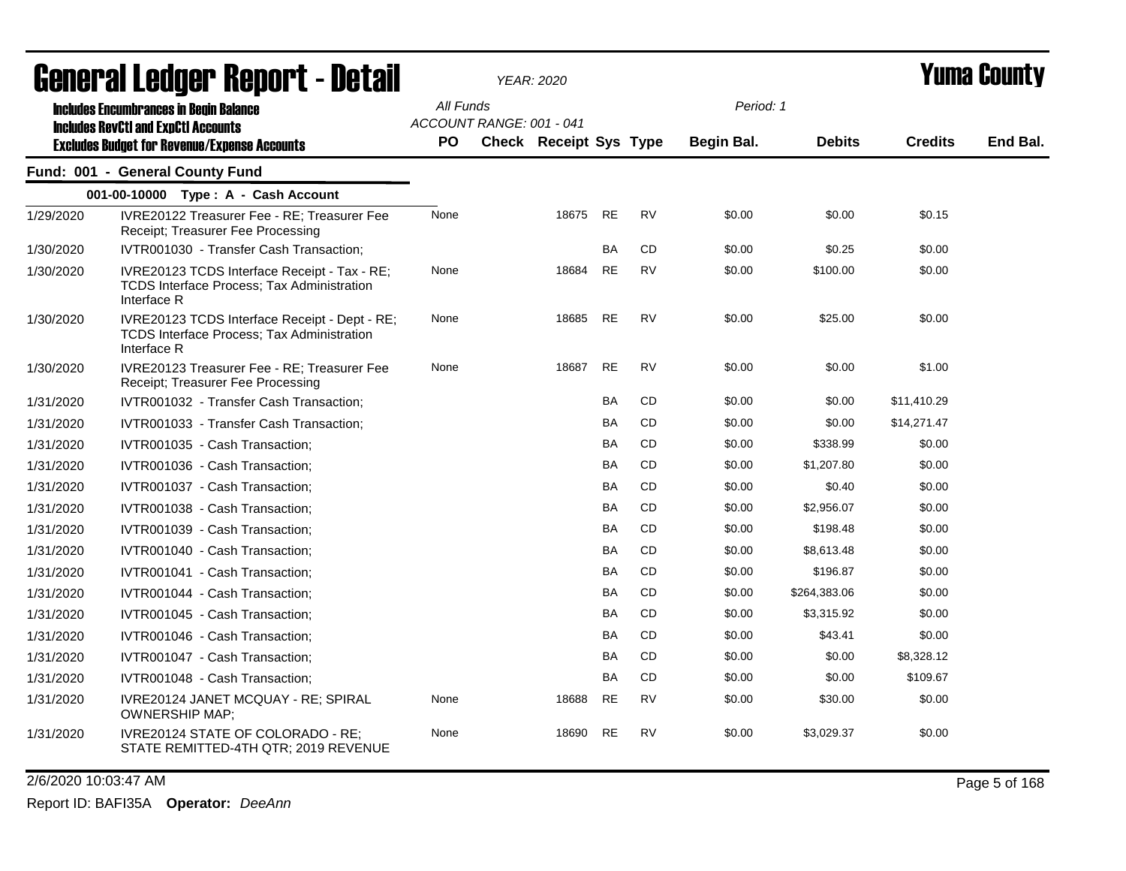|           | agligi ai lguygi "ngpul"l - dglaii                                                                                |           |                          | YEAR: 2020             |           |           |            |               |                | I UNIU VUUNLY |
|-----------|-------------------------------------------------------------------------------------------------------------------|-----------|--------------------------|------------------------|-----------|-----------|------------|---------------|----------------|---------------|
|           | <b>Includes Encumbrances in Begin Balance</b><br><b>Includes RevCtI and ExpCtI Accounts</b>                       | All Funds | ACCOUNT RANGE: 001 - 041 |                        |           |           | Period: 1  |               |                |               |
|           | <b>Excludes Budget for Revenue/Expense Accounts</b>                                                               | PO.       |                          | Check Receipt Sys Type |           |           | Begin Bal. | <b>Debits</b> | <b>Credits</b> | End Bal.      |
|           | Fund: 001 - General County Fund                                                                                   |           |                          |                        |           |           |            |               |                |               |
|           | 001-00-10000 Type: A - Cash Account                                                                               |           |                          |                        |           |           |            |               |                |               |
| 1/29/2020 | IVRE20122 Treasurer Fee - RE; Treasurer Fee<br>Receipt; Treasurer Fee Processing                                  | None      |                          | 18675                  | <b>RE</b> | <b>RV</b> | \$0.00     | \$0.00        | \$0.15         |               |
| 1/30/2020 | IVTR001030 - Transfer Cash Transaction;                                                                           |           |                          |                        | BA        | CD        | \$0.00     | \$0.25        | \$0.00         |               |
| 1/30/2020 | IVRE20123 TCDS Interface Receipt - Tax - RE;<br>TCDS Interface Process; Tax Administration<br>Interface R         | None      |                          | 18684                  | <b>RE</b> | RV        | \$0.00     | \$100.00      | \$0.00         |               |
| 1/30/2020 | IVRE20123 TCDS Interface Receipt - Dept - RE;<br><b>TCDS Interface Process; Tax Administration</b><br>Interface R | None      |                          | 18685                  | <b>RE</b> | <b>RV</b> | \$0.00     | \$25.00       | \$0.00         |               |
| 1/30/2020 | IVRE20123 Treasurer Fee - RE; Treasurer Fee<br>Receipt; Treasurer Fee Processing                                  | None      |                          | 18687                  | <b>RE</b> | <b>RV</b> | \$0.00     | \$0.00        | \$1.00         |               |
| 1/31/2020 | IVTR001032 - Transfer Cash Transaction;                                                                           |           |                          |                        | BA        | CD        | \$0.00     | \$0.00        | \$11,410.29    |               |
| 1/31/2020 | IVTR001033 - Transfer Cash Transaction;                                                                           |           |                          |                        | <b>BA</b> | CD        | \$0.00     | \$0.00        | \$14,271.47    |               |
| 1/31/2020 | IVTR001035 - Cash Transaction;                                                                                    |           |                          |                        | BA        | CD        | \$0.00     | \$338.99      | \$0.00         |               |
| 1/31/2020 | IVTR001036 - Cash Transaction;                                                                                    |           |                          |                        | BA        | CD        | \$0.00     | \$1,207.80    | \$0.00         |               |
| 1/31/2020 | IVTR001037 - Cash Transaction;                                                                                    |           |                          |                        | <b>BA</b> | CD        | \$0.00     | \$0.40        | \$0.00         |               |
| 1/31/2020 | IVTR001038 - Cash Transaction;                                                                                    |           |                          |                        | <b>BA</b> | CD        | \$0.00     | \$2,956.07    | \$0.00         |               |
| 1/31/2020 | IVTR001039 - Cash Transaction;                                                                                    |           |                          |                        | BA        | CD        | \$0.00     | \$198.48      | \$0.00         |               |
| 1/31/2020 | IVTR001040 - Cash Transaction;                                                                                    |           |                          |                        | BA        | <b>CD</b> | \$0.00     | \$8,613.48    | \$0.00         |               |
| 1/31/2020 | IVTR001041 - Cash Transaction;                                                                                    |           |                          |                        | <b>BA</b> | CD        | \$0.00     | \$196.87      | \$0.00         |               |
| 1/31/2020 | IVTR001044 - Cash Transaction;                                                                                    |           |                          |                        | BA        | CD        | \$0.00     | \$264,383.06  | \$0.00         |               |
| 1/31/2020 | IVTR001045 - Cash Transaction;                                                                                    |           |                          |                        | BA        | <b>CD</b> | \$0.00     | \$3,315.92    | \$0.00         |               |
| 1/31/2020 | IVTR001046 - Cash Transaction;                                                                                    |           |                          |                        | <b>BA</b> | CD        | \$0.00     | \$43.41       | \$0.00         |               |
| 1/31/2020 | IVTR001047 - Cash Transaction;                                                                                    |           |                          |                        | <b>BA</b> | CD        | \$0.00     | \$0.00        | \$8,328.12     |               |
| 1/31/2020 | IVTR001048 - Cash Transaction;                                                                                    |           |                          |                        | <b>BA</b> | CD        | \$0.00     | \$0.00        | \$109.67       |               |
| 1/31/2020 | IVRE20124 JANET MCQUAY - RE; SPIRAL<br><b>OWNERSHIP MAP;</b>                                                      | None      |                          | 18688                  | <b>RE</b> | <b>RV</b> | \$0.00     | \$30.00       | \$0.00         |               |
| 1/31/2020 | IVRE20124 STATE OF COLORADO - RE;<br>STATE REMITTED-4TH QTR; 2019 REVENUE                                         | None      |                          | 18690                  | RE        | <b>RV</b> | \$0.00     | \$3,029.37    | \$0.00         |               |

2/6/2020 10:03:47 AM Page 5 of 168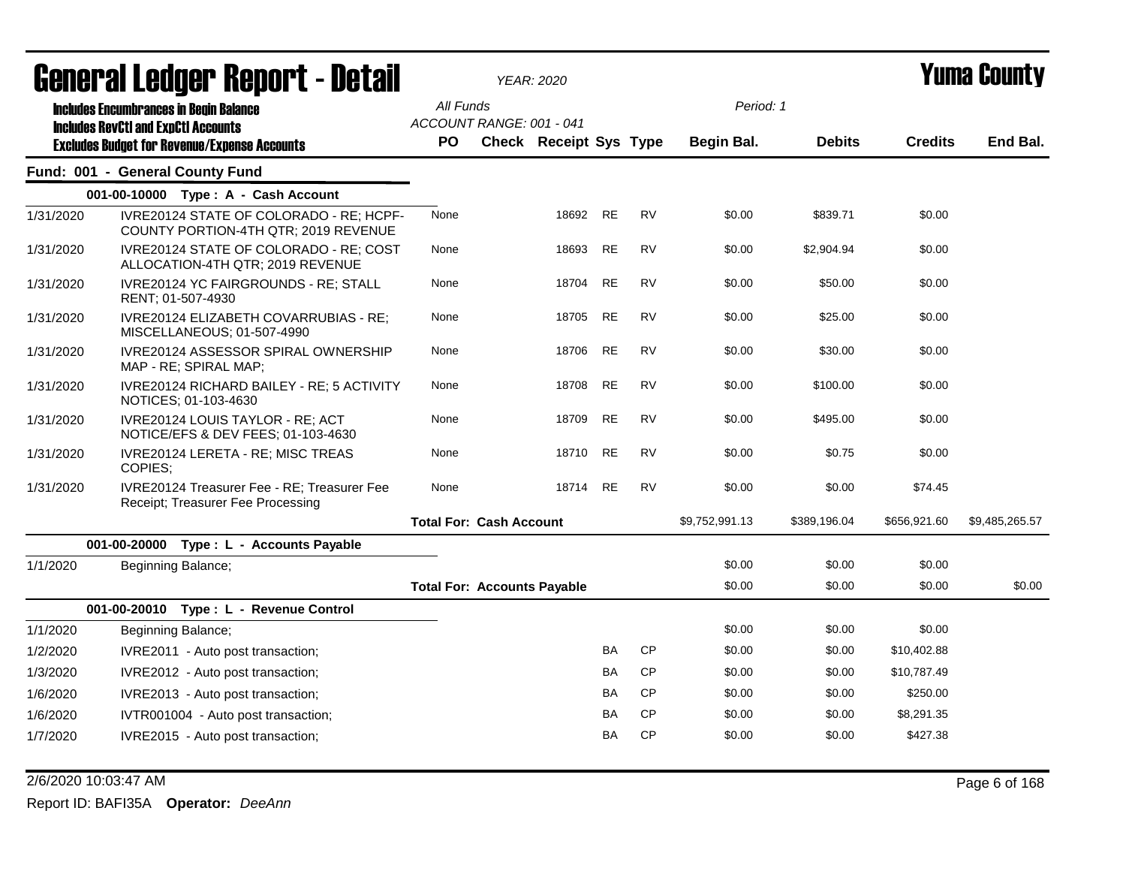| General Ledger Report - Detail |  |         |                                                                                                   | <b>YEAR: 2020</b>                     |                               |           | Yuma Countv |                |               |                |                |
|--------------------------------|--|---------|---------------------------------------------------------------------------------------------------|---------------------------------------|-------------------------------|-----------|-------------|----------------|---------------|----------------|----------------|
|                                |  |         | <b>Includes Encumbrances in Begin Balance</b>                                                     | All Funds                             |                               |           |             | Period: 1      |               |                |                |
|                                |  |         | <b>Includes RevCtI and ExpCtI Accounts</b><br><b>Excludes Budget for Revenue/Expense Accounts</b> | ACCOUNT RANGE: 001 - 041<br><b>PO</b> | <b>Check Receipt Sys Type</b> |           |             | Begin Bal.     | <b>Debits</b> | <b>Credits</b> | End Bal.       |
|                                |  |         | Fund: 001 - General County Fund                                                                   |                                       |                               |           |             |                |               |                |                |
|                                |  |         | 001-00-10000 Type: A - Cash Account                                                               |                                       |                               |           |             |                |               |                |                |
| 1/31/2020                      |  |         | IVRE20124 STATE OF COLORADO - RE; HCPF-<br>COUNTY PORTION-4TH QTR; 2019 REVENUE                   | None                                  | 18692                         | <b>RE</b> | <b>RV</b>   | \$0.00         | \$839.71      | \$0.00         |                |
| 1/31/2020                      |  |         | IVRE20124 STATE OF COLORADO - RE; COST<br>ALLOCATION-4TH QTR; 2019 REVENUE                        | None                                  | 18693                         | <b>RE</b> | RV          | \$0.00         | \$2,904.94    | \$0.00         |                |
| 1/31/2020                      |  |         | IVRE20124 YC FAIRGROUNDS - RE; STALL<br>RENT; 01-507-4930                                         | None                                  | 18704                         | <b>RE</b> | <b>RV</b>   | \$0.00         | \$50.00       | \$0.00         |                |
| 1/31/2020                      |  |         | IVRE20124 ELIZABETH COVARRUBIAS - RE;<br>MISCELLANEOUS; 01-507-4990                               | None                                  | 18705                         | <b>RE</b> | <b>RV</b>   | \$0.00         | \$25.00       | \$0.00         |                |
| 1/31/2020                      |  |         | IVRE20124 ASSESSOR SPIRAL OWNERSHIP<br>MAP - RE; SPIRAL MAP;                                      | None                                  | 18706                         | <b>RE</b> | <b>RV</b>   | \$0.00         | \$30.00       | \$0.00         |                |
| 1/31/2020                      |  |         | IVRE20124 RICHARD BAILEY - RE; 5 ACTIVITY<br>NOTICES; 01-103-4630                                 | None                                  | 18708                         | <b>RE</b> | <b>RV</b>   | \$0.00         | \$100.00      | \$0.00         |                |
| 1/31/2020                      |  |         | IVRE20124 LOUIS TAYLOR - RE; ACT<br>NOTICE/EFS & DEV FEES; 01-103-4630                            | None                                  | 18709                         | <b>RE</b> | <b>RV</b>   | \$0.00         | \$495.00      | \$0.00         |                |
| 1/31/2020                      |  | COPIES; | IVRE20124 LERETA - RE; MISC TREAS                                                                 | None                                  | 18710                         | <b>RE</b> | <b>RV</b>   | \$0.00         | \$0.75        | \$0.00         |                |
| 1/31/2020                      |  |         | <b>IVRE20124 Treasurer Fee - RE: Treasurer Fee</b><br>Receipt; Treasurer Fee Processing           | None                                  | 18714                         | <b>RE</b> | <b>RV</b>   | \$0.00         | \$0.00        | \$74.45        |                |
|                                |  |         |                                                                                                   | <b>Total For: Cash Account</b>        |                               |           |             | \$9,752,991.13 | \$389,196.04  | \$656,921.60   | \$9,485,265.57 |
|                                |  |         | 001-00-20000 Type: L - Accounts Payable                                                           |                                       |                               |           |             |                |               |                |                |
| 1/1/2020                       |  |         | Beginning Balance;                                                                                |                                       |                               |           |             | \$0.00         | \$0.00        | \$0.00         |                |
|                                |  |         |                                                                                                   | <b>Total For: Accounts Payable</b>    |                               |           |             | \$0.00         | \$0.00        | \$0.00         | \$0.00         |
|                                |  |         | 001-00-20010 Type: L - Revenue Control                                                            |                                       |                               |           |             |                |               |                |                |
| 1/1/2020                       |  |         | Beginning Balance;                                                                                |                                       |                               |           |             | \$0.00         | \$0.00        | \$0.00         |                |
| 1/2/2020                       |  |         | IVRE2011 - Auto post transaction;                                                                 |                                       |                               | BA        | <b>CP</b>   | \$0.00         | \$0.00        | \$10,402.88    |                |
| 1/3/2020                       |  |         | IVRE2012 - Auto post transaction;                                                                 |                                       |                               | BA        | <b>CP</b>   | \$0.00         | \$0.00        | \$10,787.49    |                |
| 1/6/2020                       |  |         | IVRE2013 - Auto post transaction;                                                                 |                                       |                               | BA        | <b>CP</b>   | \$0.00         | \$0.00        | \$250.00       |                |
| 1/6/2020                       |  |         | IVTR001004 - Auto post transaction;                                                               |                                       |                               | BA        | <b>CP</b>   | \$0.00         | \$0.00        | \$8,291.35     |                |
| 1/7/2020                       |  |         | IVRE2015 - Auto post transaction;                                                                 |                                       |                               | BA        | <b>CP</b>   | \$0.00         | \$0.00        | \$427.38       |                |

2/6/2020 10:03:47 AM Page 6 of 168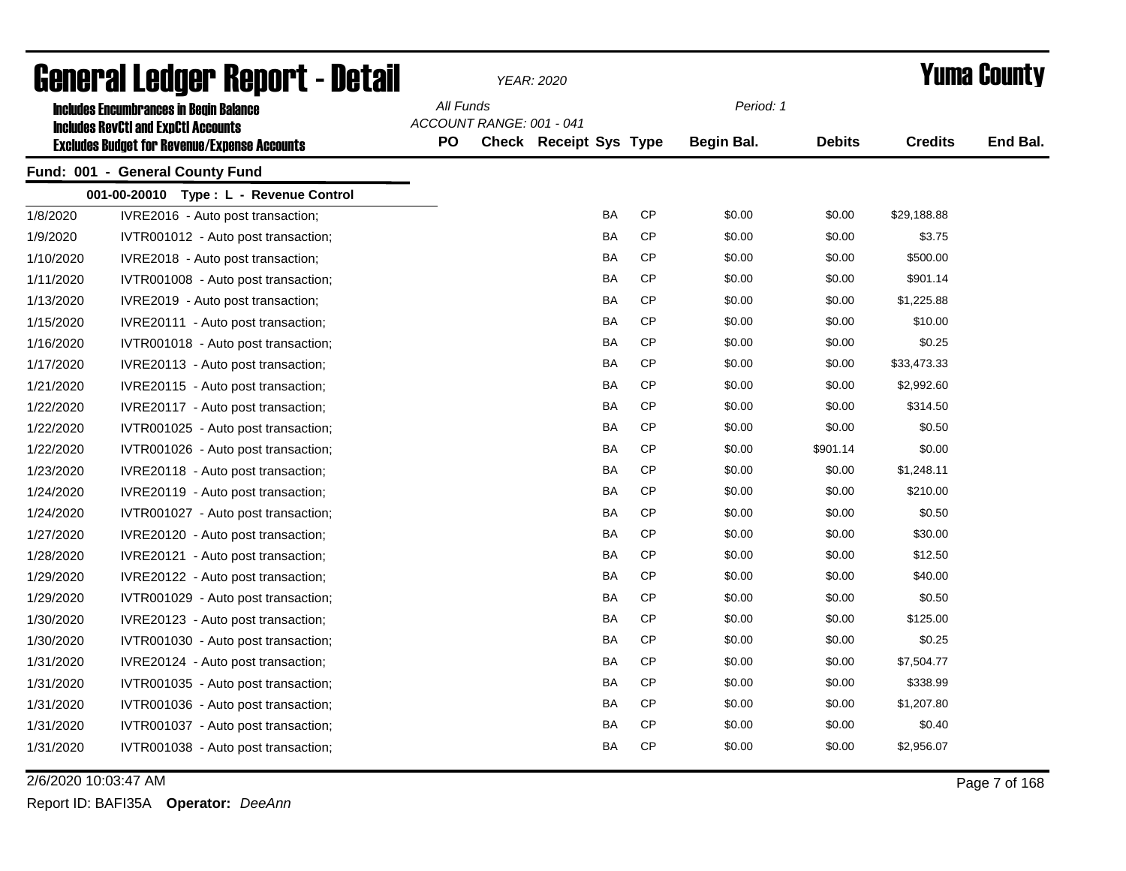| General Ledger Report - Detail |                                                                                             |           |                          | <b>YEAR: 2020</b>      |           | <b>Yuma County</b> |               |                |          |
|--------------------------------|---------------------------------------------------------------------------------------------|-----------|--------------------------|------------------------|-----------|--------------------|---------------|----------------|----------|
|                                | <b>Includes Encumbrances in Begin Balance</b><br><b>Includes RevCtI and ExpCtI Accounts</b> | All Funds | ACCOUNT RANGE: 001 - 041 |                        |           | Period: 1          |               |                |          |
|                                | <b>Excludes Budget for Revenue/Expense Accounts</b>                                         | <b>PO</b> |                          | Check Receipt Sys Type |           | Begin Bal.         | <b>Debits</b> | <b>Credits</b> | End Bal. |
|                                | Fund: 001 - General County Fund                                                             |           |                          |                        |           |                    |               |                |          |
|                                | 001-00-20010 Type: L - Revenue Control                                                      |           |                          |                        |           |                    |               |                |          |
| 1/8/2020                       | IVRE2016 - Auto post transaction;                                                           |           |                          | <b>BA</b>              | <b>CP</b> | \$0.00             | \$0.00        | \$29,188.88    |          |
| 1/9/2020                       | IVTR001012 - Auto post transaction;                                                         |           |                          | <b>BA</b>              | <b>CP</b> | \$0.00             | \$0.00        | \$3.75         |          |
| 1/10/2020                      | IVRE2018 - Auto post transaction;                                                           |           |                          | BA                     | СP        | \$0.00             | \$0.00        | \$500.00       |          |
| 1/11/2020                      | IVTR001008 - Auto post transaction;                                                         |           |                          | BA                     | <b>CP</b> | \$0.00             | \$0.00        | \$901.14       |          |
| 1/13/2020                      | IVRE2019 - Auto post transaction;                                                           |           |                          | BA                     | <b>CP</b> | \$0.00             | \$0.00        | \$1,225.88     |          |
| 1/15/2020                      | IVRE20111 - Auto post transaction;                                                          |           |                          | BA                     | CP        | \$0.00             | \$0.00        | \$10.00        |          |
| 1/16/2020                      | IVTR001018 - Auto post transaction;                                                         |           |                          | BA                     | <b>CP</b> | \$0.00             | \$0.00        | \$0.25         |          |
| 1/17/2020                      | IVRE20113 - Auto post transaction;                                                          |           |                          | BA                     | CP        | \$0.00             | \$0.00        | \$33,473.33    |          |
| 1/21/2020                      | IVRE20115 - Auto post transaction;                                                          |           |                          | <b>BA</b>              | <b>CP</b> | \$0.00             | \$0.00        | \$2,992.60     |          |
| 1/22/2020                      | IVRE20117 - Auto post transaction;                                                          |           |                          | <b>BA</b>              | <b>CP</b> | \$0.00             | \$0.00        | \$314.50       |          |
| 1/22/2020                      | IVTR001025 - Auto post transaction;                                                         |           |                          | BA                     | <b>CP</b> | \$0.00             | \$0.00        | \$0.50         |          |
| 1/22/2020                      | IVTR001026 - Auto post transaction;                                                         |           |                          | BA                     | <b>CP</b> | \$0.00             | \$901.14      | \$0.00         |          |
| 1/23/2020                      | IVRE20118 - Auto post transaction;                                                          |           |                          | BA                     | <b>CP</b> | \$0.00             | \$0.00        | \$1,248.11     |          |
| 1/24/2020                      | IVRE20119 - Auto post transaction;                                                          |           |                          | BA                     | <b>CP</b> | \$0.00             | \$0.00        | \$210.00       |          |
| 1/24/2020                      | IVTR001027 - Auto post transaction;                                                         |           |                          | BA                     | <b>CP</b> | \$0.00             | \$0.00        | \$0.50         |          |
| 1/27/2020                      | IVRE20120 - Auto post transaction;                                                          |           |                          | BA                     | <b>CP</b> | \$0.00             | \$0.00        | \$30.00        |          |
| 1/28/2020                      | IVRE20121 - Auto post transaction;                                                          |           |                          | BA                     | <b>CP</b> | \$0.00             | \$0.00        | \$12.50        |          |
| 1/29/2020                      | IVRE20122 - Auto post transaction;                                                          |           |                          | BA                     | <b>CP</b> | \$0.00             | \$0.00        | \$40.00        |          |
| 1/29/2020                      | IVTR001029 - Auto post transaction;                                                         |           |                          | BA                     | <b>CP</b> | \$0.00             | \$0.00        | \$0.50         |          |
| 1/30/2020                      | IVRE20123 - Auto post transaction;                                                          |           |                          | BA                     | CP        | \$0.00             | \$0.00        | \$125.00       |          |
| 1/30/2020                      | IVTR001030 - Auto post transaction;                                                         |           |                          | BA                     | <b>CP</b> | \$0.00             | \$0.00        | \$0.25         |          |
| 1/31/2020                      | IVRE20124 - Auto post transaction;                                                          |           |                          | BA                     | CP        | \$0.00             | \$0.00        | \$7,504.77     |          |
| 1/31/2020                      | IVTR001035 - Auto post transaction;                                                         |           |                          | BA                     | CP        | \$0.00             | \$0.00        | \$338.99       |          |
| 1/31/2020                      | IVTR001036 - Auto post transaction;                                                         |           |                          | BA                     | CP        | \$0.00             | \$0.00        | \$1,207.80     |          |
| 1/31/2020                      | IVTR001037 - Auto post transaction;                                                         |           |                          | BA                     | CP        | \$0.00             | \$0.00        | \$0.40         |          |
| 1/31/2020                      | IVTR001038 - Auto post transaction;                                                         |           |                          | <b>BA</b>              | <b>CP</b> | \$0.00             | \$0.00        | \$2,956.07     |          |

2/6/2020 10:03:47 AM Page 7 of 168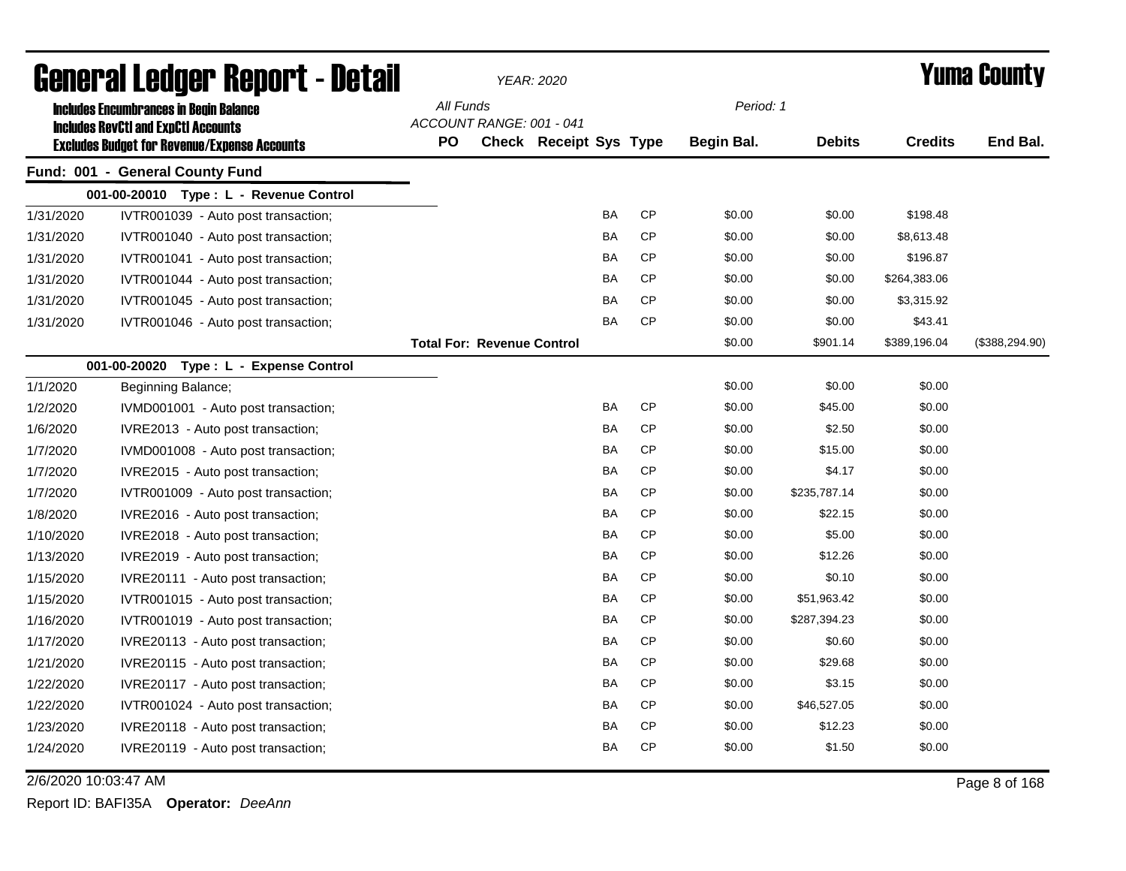| <b>General Ledger Report - Detail</b> |                                                                                                   |           |                                   | YEAR: 2020             |           |           |                   |               |                | <b>Yuma County</b> |  |
|---------------------------------------|---------------------------------------------------------------------------------------------------|-----------|-----------------------------------|------------------------|-----------|-----------|-------------------|---------------|----------------|--------------------|--|
|                                       | <b>Includes Encumbrances in Begin Balance</b>                                                     | All Funds |                                   |                        |           |           | Period: 1         |               |                |                    |  |
|                                       | <b>Includes RevCtI and ExpCtI Accounts</b><br><b>Excludes Budget for Revenue/Expense Accounts</b> | PO        | ACCOUNT RANGE: 001 - 041          | Check Receipt Sys Type |           |           | <b>Begin Bal.</b> | <b>Debits</b> | <b>Credits</b> | End Bal.           |  |
|                                       | Fund: 001 - General County Fund                                                                   |           |                                   |                        |           |           |                   |               |                |                    |  |
|                                       | 001-00-20010 Type: L - Revenue Control                                                            |           |                                   |                        |           |           |                   |               |                |                    |  |
| 1/31/2020                             | IVTR001039 - Auto post transaction;                                                               |           |                                   |                        | <b>BA</b> | <b>CP</b> | \$0.00            | \$0.00        | \$198.48       |                    |  |
| 1/31/2020                             | IVTR001040 - Auto post transaction;                                                               |           |                                   |                        | BA        | <b>CP</b> | \$0.00            | \$0.00        | \$8,613.48     |                    |  |
| 1/31/2020                             | IVTR001041 - Auto post transaction;                                                               |           |                                   |                        | <b>BA</b> | CP        | \$0.00            | \$0.00        | \$196.87       |                    |  |
| 1/31/2020                             | IVTR001044 - Auto post transaction;                                                               |           |                                   |                        | BA        | <b>CP</b> | \$0.00            | \$0.00        | \$264,383.06   |                    |  |
| 1/31/2020                             | IVTR001045 - Auto post transaction;                                                               |           |                                   |                        | BA        | <b>CP</b> | \$0.00            | \$0.00        | \$3,315.92     |                    |  |
| 1/31/2020                             | IVTR001046 - Auto post transaction;                                                               |           |                                   |                        | BA        | <b>CP</b> | \$0.00            | \$0.00        | \$43.41        |                    |  |
|                                       |                                                                                                   |           | <b>Total For: Revenue Control</b> |                        |           |           | \$0.00            | \$901.14      | \$389,196.04   | (\$388, 294.90)    |  |
|                                       | 001-00-20020 Type: L - Expense Control                                                            |           |                                   |                        |           |           |                   |               |                |                    |  |
| 1/1/2020                              | Beginning Balance;                                                                                |           |                                   |                        |           |           | \$0.00            | \$0.00        | \$0.00         |                    |  |
| 1/2/2020                              | IVMD001001 - Auto post transaction;                                                               |           |                                   |                        | <b>BA</b> | CP        | \$0.00            | \$45.00       | \$0.00         |                    |  |
| 1/6/2020                              | IVRE2013 - Auto post transaction;                                                                 |           |                                   |                        | BA        | <b>CP</b> | \$0.00            | \$2.50        | \$0.00         |                    |  |
| 1/7/2020                              | IVMD001008 - Auto post transaction;                                                               |           |                                   |                        | BA        | <b>CP</b> | \$0.00            | \$15.00       | \$0.00         |                    |  |
| 1/7/2020                              | IVRE2015 - Auto post transaction;                                                                 |           |                                   |                        | BA        | <b>CP</b> | \$0.00            | \$4.17        | \$0.00         |                    |  |
| 1/7/2020                              | IVTR001009 - Auto post transaction;                                                               |           |                                   |                        | BA        | <b>CP</b> | \$0.00            | \$235,787.14  | \$0.00         |                    |  |
| 1/8/2020                              | IVRE2016 - Auto post transaction;                                                                 |           |                                   |                        | BA        | <b>CP</b> | \$0.00            | \$22.15       | \$0.00         |                    |  |
| 1/10/2020                             | IVRE2018 - Auto post transaction;                                                                 |           |                                   |                        | BA        | CP        | \$0.00            | \$5.00        | \$0.00         |                    |  |
| 1/13/2020                             | IVRE2019 - Auto post transaction;                                                                 |           |                                   |                        | BA        | <b>CP</b> | \$0.00            | \$12.26       | \$0.00         |                    |  |
| 1/15/2020                             | IVRE20111 - Auto post transaction;                                                                |           |                                   |                        | BA        | <b>CP</b> | \$0.00            | \$0.10        | \$0.00         |                    |  |
| 1/15/2020                             | IVTR001015 - Auto post transaction;                                                               |           |                                   |                        | BA        | <b>CP</b> | \$0.00            | \$51,963.42   | \$0.00         |                    |  |
| 1/16/2020                             | IVTR001019 - Auto post transaction;                                                               |           |                                   |                        | BA        | <b>CP</b> | \$0.00            | \$287,394.23  | \$0.00         |                    |  |
| 1/17/2020                             | IVRE20113 - Auto post transaction;                                                                |           |                                   |                        | BA        | <b>CP</b> | \$0.00            | \$0.60        | \$0.00         |                    |  |
| 1/21/2020                             | IVRE20115 - Auto post transaction;                                                                |           |                                   |                        | BA        | CP        | \$0.00            | \$29.68       | \$0.00         |                    |  |
| 1/22/2020                             | IVRE20117 - Auto post transaction;                                                                |           |                                   |                        | <b>BA</b> | CP        | \$0.00            | \$3.15        | \$0.00         |                    |  |
| 1/22/2020                             | IVTR001024 - Auto post transaction;                                                               |           |                                   |                        | <b>BA</b> | CP        | \$0.00            | \$46,527.05   | \$0.00         |                    |  |
| 1/23/2020                             | IVRE20118 - Auto post transaction;                                                                |           |                                   |                        | BA        | <b>CP</b> | \$0.00            | \$12.23       | \$0.00         |                    |  |
| 1/24/2020                             | IVRE20119 - Auto post transaction;                                                                |           |                                   |                        | BA        | <b>CP</b> | \$0.00            | \$1.50        | \$0.00         |                    |  |

2/6/2020 10:03:47 AM Page 8 of 168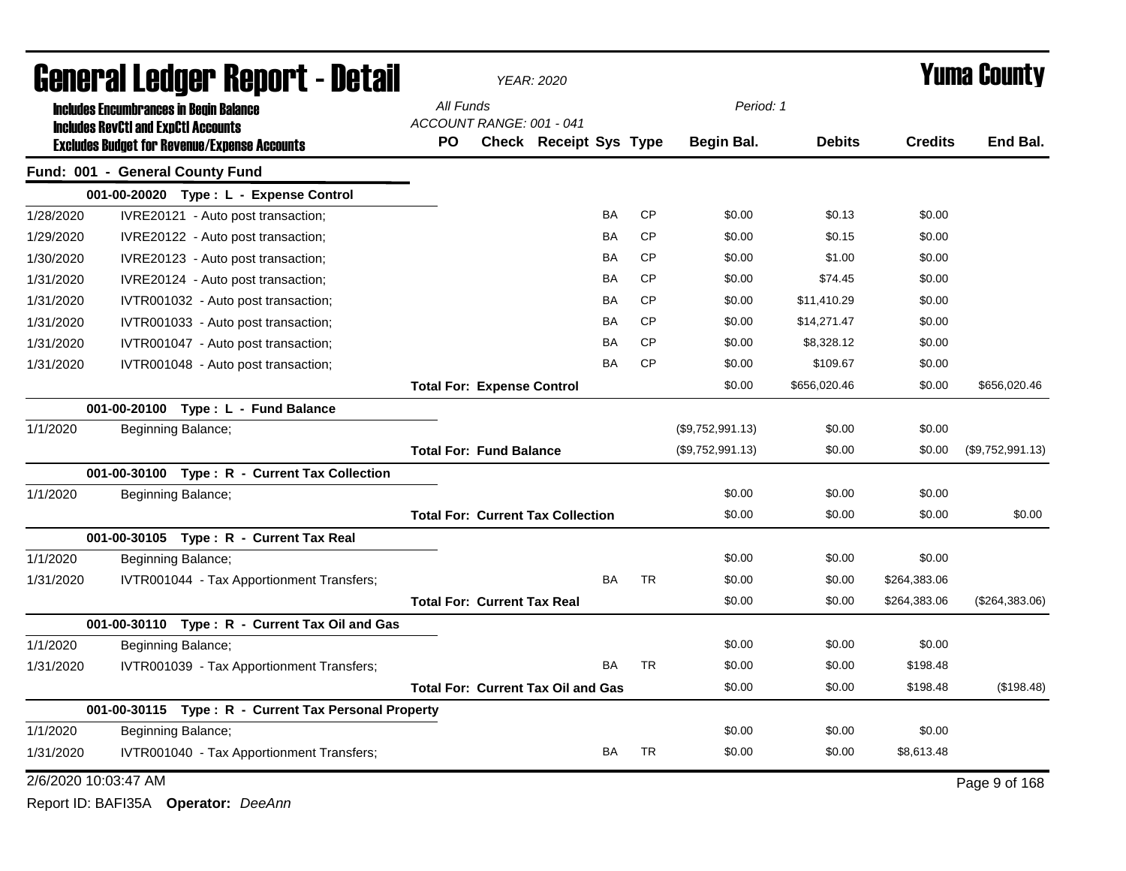| General Ledger Report - Detail |                                            |                                                      |           |                                    | YEAR: 2020                                |           |           |                  |               |                | <b>Yuma County</b> |
|--------------------------------|--------------------------------------------|------------------------------------------------------|-----------|------------------------------------|-------------------------------------------|-----------|-----------|------------------|---------------|----------------|--------------------|
|                                |                                            | <b>Includes Encumbrances in Begin Balance</b>        | All Funds |                                    |                                           |           |           | Period: 1        |               |                |                    |
|                                | <b>Includes RevCtI and ExpCtI Accounts</b> | <b>Excludes Budget for Revenue/Expense Accounts</b>  | PO        | ACCOUNT RANGE: 001 - 041           | Check Receipt Sys Type                    |           |           | Begin Bal.       | <b>Debits</b> | <b>Credits</b> | End Bal.           |
|                                |                                            | Fund: 001 - General County Fund                      |           |                                    |                                           |           |           |                  |               |                |                    |
|                                |                                            | 001-00-20020 Type: L - Expense Control               |           |                                    |                                           |           |           |                  |               |                |                    |
| 1/28/2020                      |                                            | IVRE20121 - Auto post transaction;                   |           |                                    |                                           | BA        | <b>CP</b> | \$0.00           | \$0.13        | \$0.00         |                    |
| 1/29/2020                      |                                            | IVRE20122 - Auto post transaction;                   |           |                                    |                                           | ΒA        | <b>CP</b> | \$0.00           | \$0.15        | \$0.00         |                    |
| 1/30/2020                      |                                            | IVRE20123 - Auto post transaction;                   |           |                                    |                                           | BA        | <b>CP</b> | \$0.00           | \$1.00        | \$0.00         |                    |
| 1/31/2020                      |                                            | IVRE20124 - Auto post transaction;                   |           |                                    |                                           | BA        | <b>CP</b> | \$0.00           | \$74.45       | \$0.00         |                    |
| 1/31/2020                      |                                            | IVTR001032 - Auto post transaction;                  |           |                                    |                                           | BA        | <b>CP</b> | \$0.00           | \$11,410.29   | \$0.00         |                    |
| 1/31/2020                      |                                            | IVTR001033 - Auto post transaction;                  |           |                                    |                                           | BA        | <b>CP</b> | \$0.00           | \$14,271.47   | \$0.00         |                    |
| 1/31/2020                      |                                            | IVTR001047 - Auto post transaction;                  |           |                                    |                                           | ΒA        | <b>CP</b> | \$0.00           | \$8,328.12    | \$0.00         |                    |
| 1/31/2020                      |                                            | IVTR001048 - Auto post transaction;                  |           |                                    |                                           | BA        | <b>CP</b> | \$0.00           | \$109.67      | \$0.00         |                    |
|                                |                                            |                                                      |           | <b>Total For: Expense Control</b>  |                                           |           |           | \$0.00           | \$656,020.46  | \$0.00         | \$656,020.46       |
|                                |                                            | 001-00-20100 Type: L - Fund Balance                  |           |                                    |                                           |           |           |                  |               |                |                    |
| 1/1/2020                       |                                            | Beginning Balance;                                   |           |                                    |                                           |           |           | (\$9,752,991.13) | \$0.00        | \$0.00         |                    |
|                                |                                            |                                                      |           | <b>Total For: Fund Balance</b>     |                                           |           |           | (\$9,752,991.13) | \$0.00        | \$0.00         | (\$9,752,991.13)   |
|                                |                                            | 001-00-30100 Type: R - Current Tax Collection        |           |                                    |                                           |           |           |                  |               |                |                    |
| 1/1/2020                       |                                            | Beginning Balance;                                   |           |                                    |                                           |           |           | \$0.00           | \$0.00        | \$0.00         |                    |
|                                |                                            |                                                      |           |                                    | <b>Total For: Current Tax Collection</b>  |           |           | \$0.00           | \$0.00        | \$0.00         | \$0.00             |
|                                |                                            | 001-00-30105 Type: R - Current Tax Real              |           |                                    |                                           |           |           |                  |               |                |                    |
| 1/1/2020                       |                                            | Beginning Balance;                                   |           |                                    |                                           |           |           | \$0.00           | \$0.00        | \$0.00         |                    |
| 1/31/2020                      |                                            | IVTR001044 - Tax Apportionment Transfers;            |           |                                    |                                           | <b>BA</b> | <b>TR</b> | \$0.00           | \$0.00        | \$264,383.06   |                    |
|                                |                                            |                                                      |           | <b>Total For: Current Tax Real</b> |                                           |           |           | \$0.00           | \$0.00        | \$264,383.06   | (\$264,383.06)     |
|                                |                                            | 001-00-30110 Type: R - Current Tax Oil and Gas       |           |                                    |                                           |           |           |                  |               |                |                    |
| 1/1/2020                       |                                            | Beginning Balance;                                   |           |                                    |                                           |           |           | \$0.00           | \$0.00        | \$0.00         |                    |
| 1/31/2020                      |                                            | IVTR001039 - Tax Apportionment Transfers;            |           |                                    |                                           | BA        | <b>TR</b> | \$0.00           | \$0.00        | \$198.48       |                    |
|                                |                                            |                                                      |           |                                    | <b>Total For: Current Tax Oil and Gas</b> |           |           | \$0.00           | \$0.00        | \$198.48       | (\$198.48)         |
|                                |                                            | 001-00-30115 Type: R - Current Tax Personal Property |           |                                    |                                           |           |           |                  |               |                |                    |
| 1/1/2020                       |                                            | Beginning Balance;                                   |           |                                    |                                           |           |           | \$0.00           | \$0.00        | \$0.00         |                    |
| 1/31/2020                      |                                            | IVTR001040 - Tax Apportionment Transfers;            |           |                                    |                                           | <b>BA</b> | <b>TR</b> | \$0.00           | \$0.00        | \$8,613.48     |                    |
|                                | 2/6/2020 10:03:47 AM                       |                                                      |           |                                    |                                           |           |           |                  |               |                | Page 9 of 168      |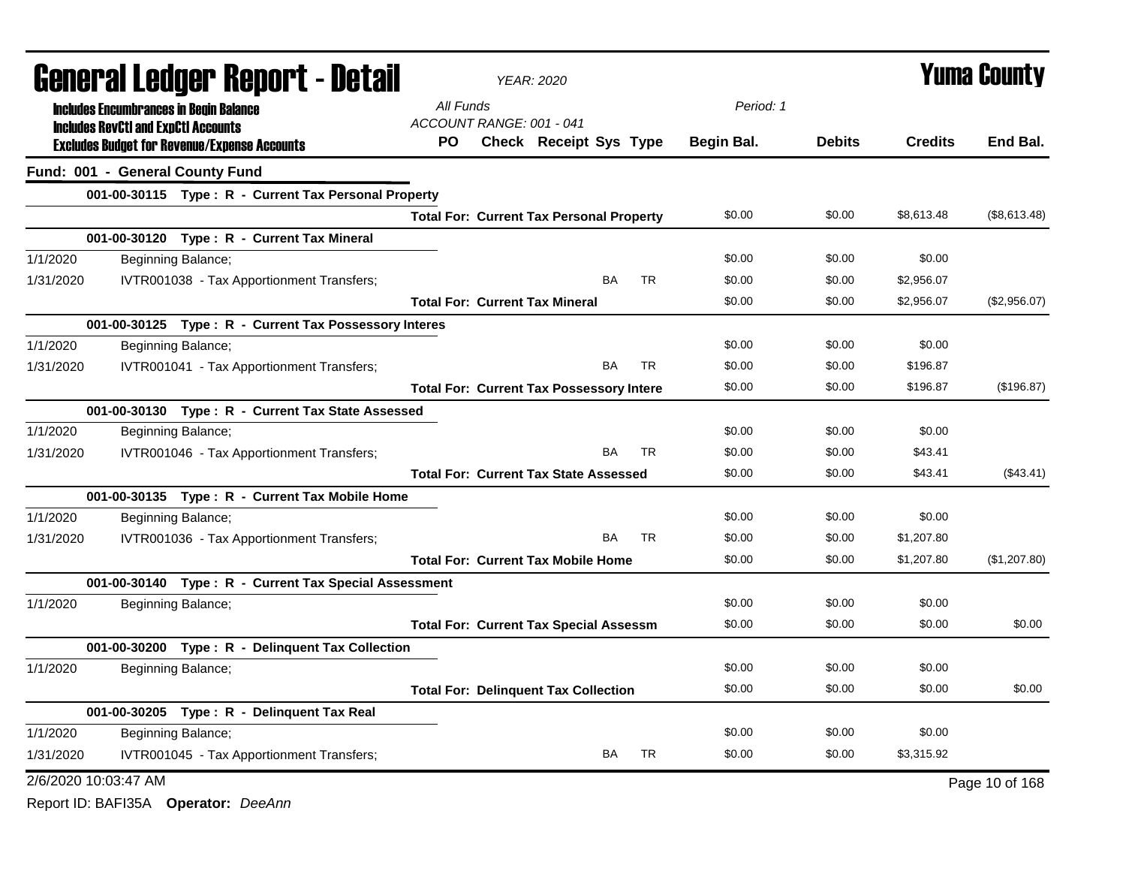| General Ledger Report - Detail |                                                       | <b>YEAR: 2020</b>                                         | <b>Yuma County</b>                          |  |  |  |
|--------------------------------|-------------------------------------------------------|-----------------------------------------------------------|---------------------------------------------|--|--|--|
|                                | <b>Includes Encumbrances in Begin Balance</b>         | All Funds                                                 | Period: 1                                   |  |  |  |
|                                | <b>Includes RevCtI and ExpCtI Accounts</b>            | ACCOUNT RANGE: 001 - 041                                  |                                             |  |  |  |
|                                | <b>Excludes Budget for Revenue/Expense Accounts</b>   | PO.<br>Check Receipt Sys Type<br>Begin Bal.               | <b>Credits</b><br>End Bal.<br><b>Debits</b> |  |  |  |
|                                | Fund: 001 - General County Fund                       |                                                           |                                             |  |  |  |
|                                | 001-00-30115 Type: R - Current Tax Personal Property  |                                                           |                                             |  |  |  |
|                                |                                                       | \$0.00<br><b>Total For: Current Tax Personal Property</b> | \$0.00<br>\$8,613.48<br>(\$8,613.48)        |  |  |  |
|                                | 001-00-30120 Type: R - Current Tax Mineral            |                                                           |                                             |  |  |  |
| 1/1/2020                       | Beginning Balance;                                    | \$0.00                                                    | \$0.00<br>\$0.00                            |  |  |  |
| 1/31/2020                      | IVTR001038 - Tax Apportionment Transfers;             | <b>BA</b><br><b>TR</b><br>\$0.00                          | \$0.00<br>\$2,956.07                        |  |  |  |
|                                |                                                       | <b>Total For: Current Tax Mineral</b><br>\$0.00           | \$0.00<br>\$2,956.07<br>(\$2,956.07)        |  |  |  |
|                                | 001-00-30125 Type: R - Current Tax Possessory Interes |                                                           |                                             |  |  |  |
| 1/1/2020                       | Beginning Balance;                                    | \$0.00                                                    | \$0.00<br>\$0.00                            |  |  |  |
| 1/31/2020                      | IVTR001041 - Tax Apportionment Transfers;             | <b>BA</b><br><b>TR</b><br>\$0.00                          | \$0.00<br>\$196.87                          |  |  |  |
|                                |                                                       | \$0.00<br><b>Total For: Current Tax Possessory Intere</b> | \$0.00<br>\$196.87<br>(\$196.87)            |  |  |  |
|                                | 001-00-30130 Type: R - Current Tax State Assessed     |                                                           |                                             |  |  |  |
| 1/1/2020                       | Beginning Balance;                                    | \$0.00                                                    | \$0.00<br>\$0.00                            |  |  |  |
| 1/31/2020                      | IVTR001046 - Tax Apportionment Transfers;             | <b>BA</b><br><b>TR</b><br>\$0.00                          | \$0.00<br>\$43.41                           |  |  |  |
|                                |                                                       | \$0.00<br><b>Total For: Current Tax State Assessed</b>    | \$0.00<br>\$43.41<br>(\$43.41)              |  |  |  |
|                                | 001-00-30135 Type: R - Current Tax Mobile Home        |                                                           |                                             |  |  |  |
| 1/1/2020                       | Beginning Balance;                                    | \$0.00                                                    | \$0.00<br>\$0.00                            |  |  |  |
| 1/31/2020                      | IVTR001036 - Tax Apportionment Transfers;             | <b>BA</b><br>TR<br>\$0.00                                 | \$0.00<br>\$1,207.80                        |  |  |  |
|                                |                                                       | \$0.00<br><b>Total For: Current Tax Mobile Home</b>       | \$0.00<br>\$1,207.80<br>(\$1,207.80)        |  |  |  |
|                                | 001-00-30140 Type: R - Current Tax Special Assessment |                                                           |                                             |  |  |  |
| 1/1/2020                       | Beginning Balance;                                    | \$0.00                                                    | \$0.00<br>\$0.00                            |  |  |  |
|                                |                                                       | \$0.00<br><b>Total For: Current Tax Special Assessm</b>   | \$0.00<br>\$0.00<br>\$0.00                  |  |  |  |
|                                | 001-00-30200 Type: R - Delinquent Tax Collection      |                                                           |                                             |  |  |  |
| 1/1/2020                       | Beginning Balance;                                    | \$0.00                                                    | \$0.00<br>\$0.00                            |  |  |  |
|                                |                                                       | \$0.00<br><b>Total For: Delinquent Tax Collection</b>     | \$0.00<br>\$0.00<br>\$0.00                  |  |  |  |
|                                | 001-00-30205 Type: R - Delinquent Tax Real            |                                                           |                                             |  |  |  |
| 1/1/2020                       | Beginning Balance;                                    | \$0.00                                                    | \$0.00<br>\$0.00                            |  |  |  |
| 1/31/2020                      | IVTR001045 - Tax Apportionment Transfers;             | BA<br><b>TR</b><br>\$0.00                                 | \$0.00<br>\$3,315.92                        |  |  |  |
| 2/6/2020 10:03:47 AM           |                                                       |                                                           | Page 10 of 168                              |  |  |  |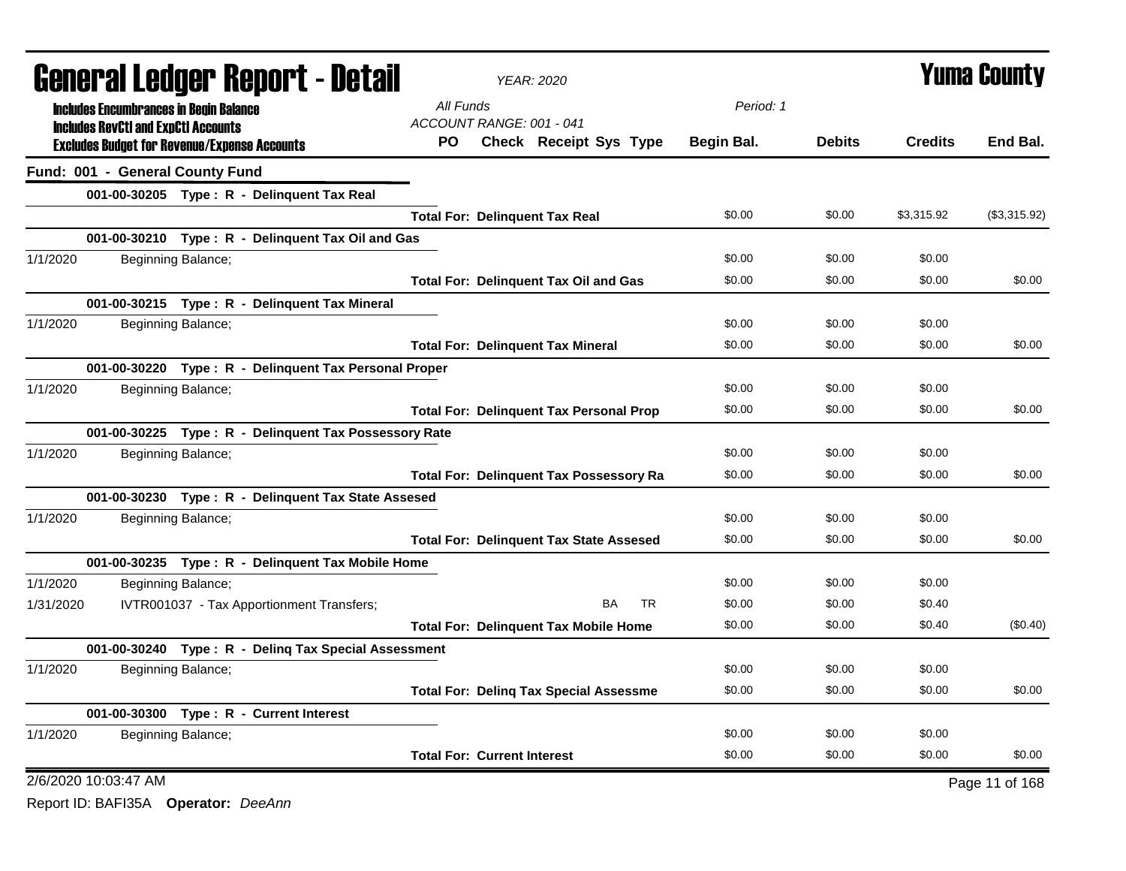|           | <b>General Ledger Report - Detail</b>         |                                                       |           | <b>YEAR: 2020</b>                              |            |               | <b>Yuma County</b>                                                                                                                                                                                     |                |
|-----------|-----------------------------------------------|-------------------------------------------------------|-----------|------------------------------------------------|------------|---------------|--------------------------------------------------------------------------------------------------------------------------------------------------------------------------------------------------------|----------------|
|           | <b>Includes Encumbrances in Begin Balance</b> |                                                       | All Funds |                                                | Period: 1  |               |                                                                                                                                                                                                        |                |
|           | <b>Includes RevCtI and ExpCtI Accounts</b>    |                                                       |           | ACCOUNT RANGE: 001 - 041                       |            |               |                                                                                                                                                                                                        |                |
|           |                                               | <b>Excludes Budget for Revenue/Expense Accounts</b>   | <b>PO</b> | Check Receipt Sys Type                         | Begin Bal. | <b>Debits</b> | <b>Credits</b><br>\$3,315.92<br>\$0.00<br>\$0.00<br>\$0.00<br>\$0.00<br>\$0.00<br>\$0.00<br>\$0.00<br>\$0.00<br>\$0.00<br>\$0.00<br>\$0.00<br>\$0.40<br>\$0.40<br>\$0.00<br>\$0.00<br>\$0.00<br>\$0.00 | End Bal.       |
|           | Fund: 001 - General County Fund               |                                                       |           |                                                |            |               |                                                                                                                                                                                                        |                |
|           |                                               | 001-00-30205 Type: R - Delinquent Tax Real            |           |                                                |            |               |                                                                                                                                                                                                        |                |
|           |                                               |                                                       |           | <b>Total For: Delinquent Tax Real</b>          | \$0.00     | \$0.00        |                                                                                                                                                                                                        | (\$3,315.92)   |
|           |                                               | 001-00-30210 Type: R - Delinquent Tax Oil and Gas     |           |                                                |            |               |                                                                                                                                                                                                        |                |
| 1/1/2020  |                                               | Beginning Balance;                                    |           |                                                | \$0.00     | \$0.00        |                                                                                                                                                                                                        |                |
|           |                                               |                                                       |           | <b>Total For: Delinquent Tax Oil and Gas</b>   | \$0.00     | \$0.00        |                                                                                                                                                                                                        | \$0.00         |
|           |                                               | 001-00-30215 Type: R - Delinquent Tax Mineral         |           |                                                |            |               |                                                                                                                                                                                                        |                |
| 1/1/2020  |                                               | Beginning Balance;                                    |           |                                                | \$0.00     | \$0.00        |                                                                                                                                                                                                        |                |
|           |                                               |                                                       |           | <b>Total For: Delinquent Tax Mineral</b>       | \$0.00     | \$0.00        |                                                                                                                                                                                                        | \$0.00         |
|           |                                               | 001-00-30220 Type: R - Delinquent Tax Personal Proper |           |                                                |            |               |                                                                                                                                                                                                        |                |
| 1/1/2020  |                                               | Beginning Balance;                                    |           |                                                | \$0.00     | \$0.00        |                                                                                                                                                                                                        |                |
|           |                                               |                                                       |           | <b>Total For: Delinquent Tax Personal Prop</b> | \$0.00     | \$0.00        |                                                                                                                                                                                                        | \$0.00         |
|           |                                               | 001-00-30225 Type: R - Delinquent Tax Possessory Rate |           |                                                |            |               |                                                                                                                                                                                                        |                |
| 1/1/2020  |                                               | Beginning Balance;                                    |           |                                                | \$0.00     | \$0.00        |                                                                                                                                                                                                        |                |
|           |                                               |                                                       |           | <b>Total For: Delinquent Tax Possessory Ra</b> | \$0.00     | \$0.00        |                                                                                                                                                                                                        | \$0.00         |
|           |                                               | 001-00-30230 Type: R - Delinquent Tax State Assesed   |           |                                                |            |               |                                                                                                                                                                                                        |                |
| 1/1/2020  |                                               | Beginning Balance;                                    |           |                                                | \$0.00     | \$0.00        |                                                                                                                                                                                                        |                |
|           |                                               |                                                       |           | <b>Total For: Delinquent Tax State Assesed</b> | \$0.00     | \$0.00        |                                                                                                                                                                                                        | \$0.00         |
|           |                                               | 001-00-30235 Type: R - Delinquent Tax Mobile Home     |           |                                                |            |               |                                                                                                                                                                                                        |                |
| 1/1/2020  |                                               | Beginning Balance;                                    |           |                                                | \$0.00     | \$0.00        |                                                                                                                                                                                                        |                |
| 1/31/2020 |                                               | IVTR001037 - Tax Apportionment Transfers;             |           | <b>BA</b><br>TR                                | \$0.00     | \$0.00        |                                                                                                                                                                                                        |                |
|           |                                               |                                                       |           | <b>Total For: Delinquent Tax Mobile Home</b>   | \$0.00     | \$0.00        |                                                                                                                                                                                                        | (\$0.40)       |
|           |                                               | 001-00-30240 Type: R - Deling Tax Special Assessment  |           |                                                |            |               |                                                                                                                                                                                                        |                |
| 1/1/2020  |                                               | Beginning Balance;                                    |           |                                                | \$0.00     | \$0.00        |                                                                                                                                                                                                        |                |
|           |                                               |                                                       |           | <b>Total For: Deling Tax Special Assessme</b>  | \$0.00     | \$0.00        |                                                                                                                                                                                                        | \$0.00         |
|           |                                               | 001-00-30300 Type: R - Current Interest               |           |                                                |            |               |                                                                                                                                                                                                        |                |
| 1/1/2020  |                                               | Beginning Balance;                                    |           |                                                | \$0.00     | \$0.00        |                                                                                                                                                                                                        |                |
|           |                                               |                                                       |           | <b>Total For: Current Interest</b>             | \$0.00     | \$0.00        |                                                                                                                                                                                                        | \$0.00         |
|           | 2/6/2020 10:03:47 AM                          |                                                       |           |                                                |            |               |                                                                                                                                                                                                        | Page 11 of 168 |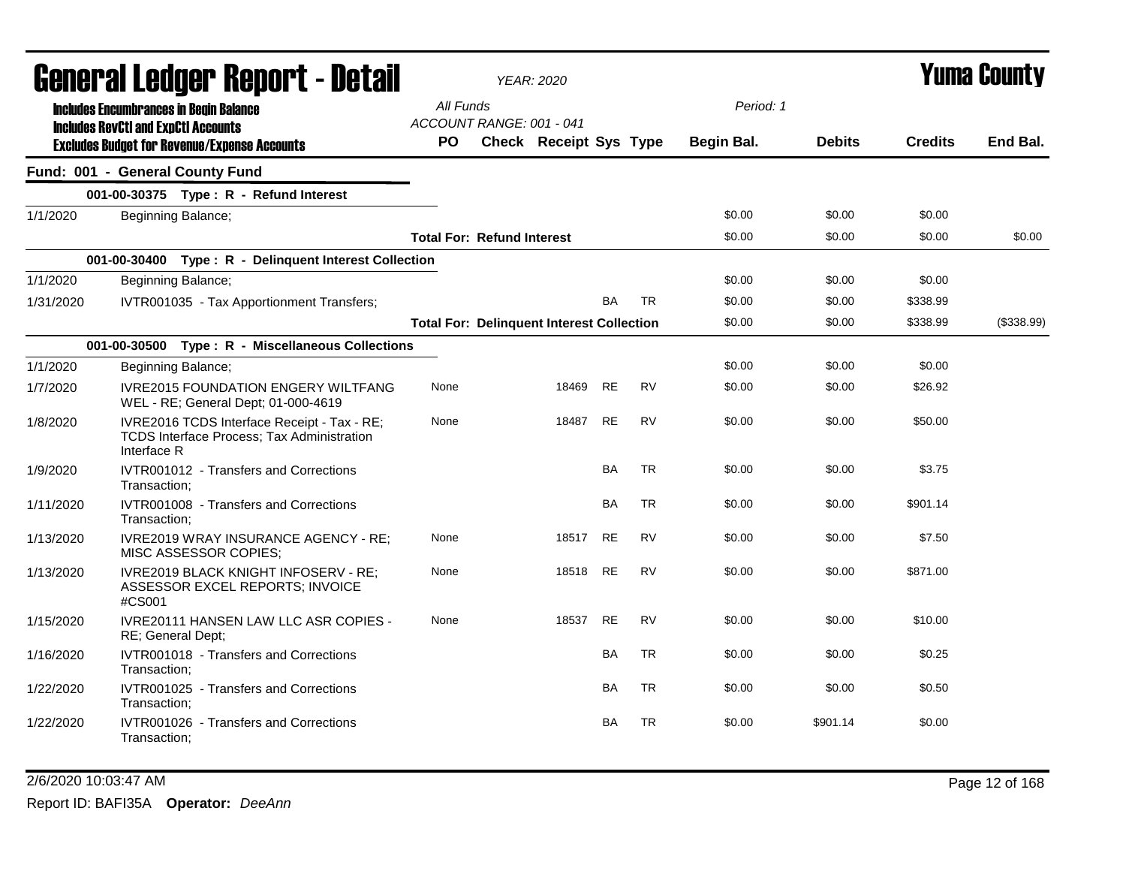|           |                                                                                             | General Ledger Report - Detail                                                            |           | <b>YEAR: 2020</b>                                |           |           |            |               |                | Yuma Countv |
|-----------|---------------------------------------------------------------------------------------------|-------------------------------------------------------------------------------------------|-----------|--------------------------------------------------|-----------|-----------|------------|---------------|----------------|-------------|
|           | <b>Includes Encumbrances in Begin Balance</b><br><b>Includes RevCtI and ExpCtI Accounts</b> |                                                                                           | All Funds | ACCOUNT RANGE: 001 - 041                         |           |           | Period: 1  |               |                |             |
|           |                                                                                             | <b>Excludes Budget for Revenue/Expense Accounts</b>                                       | PO.       | Check Receipt Sys Type                           |           |           | Begin Bal. | <b>Debits</b> | <b>Credits</b> | End Bal.    |
|           |                                                                                             | Fund: 001 - General County Fund                                                           |           |                                                  |           |           |            |               |                |             |
|           |                                                                                             | 001-00-30375 Type: R - Refund Interest                                                    |           |                                                  |           |           |            |               |                |             |
| 1/1/2020  |                                                                                             | Beginning Balance;                                                                        |           |                                                  |           |           | \$0.00     | \$0.00        | \$0.00         |             |
|           |                                                                                             |                                                                                           |           | <b>Total For: Refund Interest</b>                |           |           | \$0.00     | \$0.00        | \$0.00         | \$0.00      |
|           |                                                                                             | 001-00-30400 Type: R - Delinquent Interest Collection                                     |           |                                                  |           |           |            |               |                |             |
| 1/1/2020  |                                                                                             | Beginning Balance;                                                                        |           |                                                  |           |           | \$0.00     | \$0.00        | \$0.00         |             |
| 1/31/2020 |                                                                                             | IVTR001035 - Tax Apportionment Transfers;                                                 |           |                                                  | <b>BA</b> | <b>TR</b> | \$0.00     | \$0.00        | \$338.99       |             |
|           |                                                                                             |                                                                                           |           | <b>Total For: Delinquent Interest Collection</b> |           |           | \$0.00     | \$0.00        | \$338.99       | (\$338.99)  |
|           |                                                                                             | 001-00-30500 Type: R - Miscellaneous Collections                                          |           |                                                  |           |           |            |               |                |             |
| 1/1/2020  |                                                                                             | Beginning Balance;                                                                        |           |                                                  |           |           | \$0.00     | \$0.00        | \$0.00         |             |
| 1/7/2020  |                                                                                             | <b>IVRE2015 FOUNDATION ENGERY WILTFANG</b><br>WEL - RE; General Dept; 01-000-4619         | None      | 18469                                            | <b>RE</b> | <b>RV</b> | \$0.00     | \$0.00        | \$26.92        |             |
| 1/8/2020  | Interface R                                                                                 | IVRE2016 TCDS Interface Receipt - Tax - RE;<br>TCDS Interface Process; Tax Administration | None      | 18487                                            | <b>RE</b> | <b>RV</b> | \$0.00     | \$0.00        | \$50.00        |             |
| 1/9/2020  | Transaction;                                                                                | IVTR001012 - Transfers and Corrections                                                    |           |                                                  | <b>BA</b> | <b>TR</b> | \$0.00     | \$0.00        | \$3.75         |             |
| 1/11/2020 | Transaction;                                                                                | IVTR001008 - Transfers and Corrections                                                    |           |                                                  | <b>BA</b> | <b>TR</b> | \$0.00     | \$0.00        | \$901.14       |             |
| 1/13/2020 |                                                                                             | IVRE2019 WRAY INSURANCE AGENCY - RE;<br>MISC ASSESSOR COPIES;                             | None      | 18517                                            | <b>RE</b> | <b>RV</b> | \$0.00     | \$0.00        | \$7.50         |             |
| 1/13/2020 | #CS001                                                                                      | IVRE2019 BLACK KNIGHT INFOSERV - RE;<br>ASSESSOR EXCEL REPORTS; INVOICE                   | None      | 18518                                            | <b>RE</b> | <b>RV</b> | \$0.00     | \$0.00        | \$871.00       |             |
| 1/15/2020 |                                                                                             | IVRE20111 HANSEN LAW LLC ASR COPIES -<br>RE; General Dept;                                | None      | 18537                                            | <b>RE</b> | <b>RV</b> | \$0.00     | \$0.00        | \$10.00        |             |
| 1/16/2020 | Transaction:                                                                                | IVTR001018 - Transfers and Corrections                                                    |           |                                                  | BA        | <b>TR</b> | \$0.00     | \$0.00        | \$0.25         |             |
| 1/22/2020 | Transaction;                                                                                | IVTR001025 - Transfers and Corrections                                                    |           |                                                  | <b>BA</b> | <b>TR</b> | \$0.00     | \$0.00        | \$0.50         |             |
| 1/22/2020 | Transaction;                                                                                | IVTR001026 - Transfers and Corrections                                                    |           |                                                  | BA        | <b>TR</b> | \$0.00     | \$901.14      | \$0.00         |             |

2/6/2020 10:03:47 AM Page 12 of 168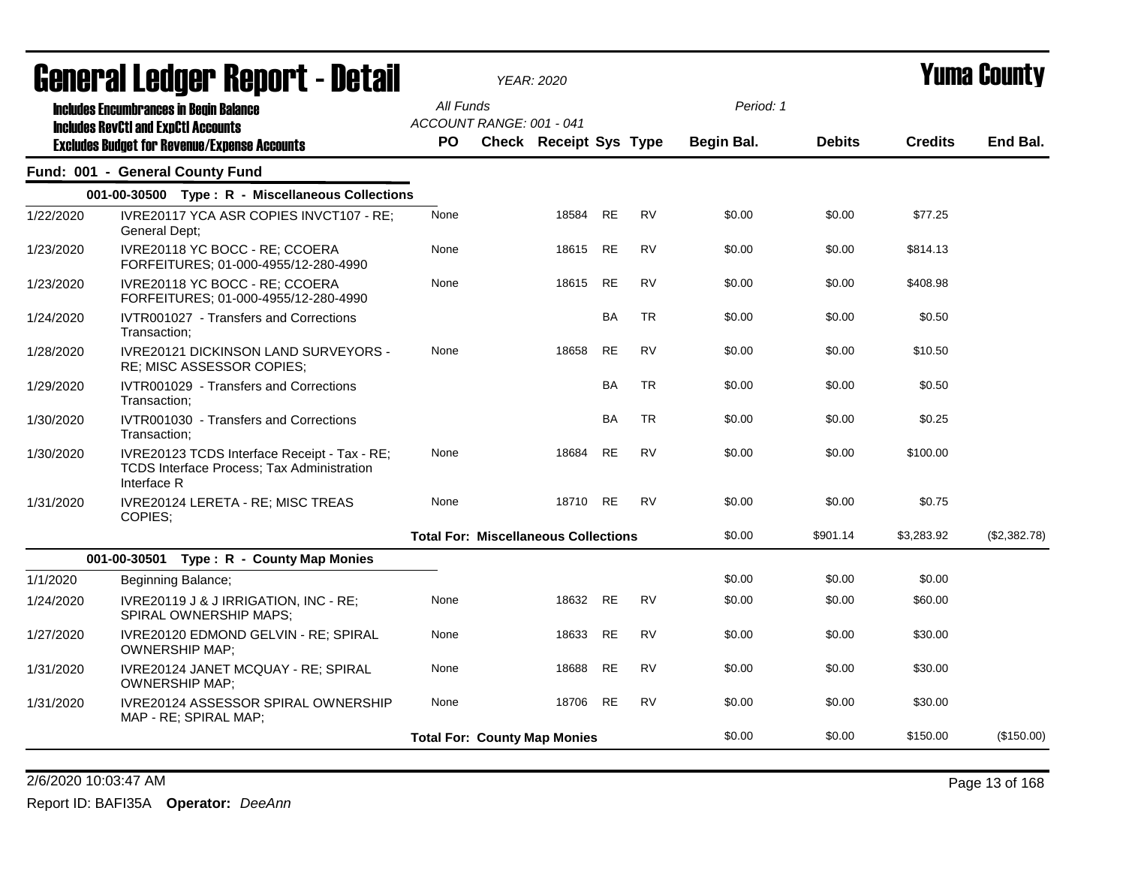|           | <b>agiigi.gi fanñai. ugdni. ( - datsii</b>                                                                       |                        |                                             | <b>YEAR: 2020</b>             |           |           |                                |               |                | T UIIIA VUUIILY |
|-----------|------------------------------------------------------------------------------------------------------------------|------------------------|---------------------------------------------|-------------------------------|-----------|-----------|--------------------------------|---------------|----------------|-----------------|
|           | <b>Includes Encumbrances in Begin Balance</b><br><b>Includes RevCtI and ExpCtI Accounts</b>                      | All Funds<br><b>PO</b> | ACCOUNT RANGE: 001 - 041                    | <b>Check Receipt Sys Type</b> |           |           | Period: 1<br><b>Begin Bal.</b> | <b>Debits</b> | <b>Credits</b> | End Bal.        |
|           | <b>Excludes Budget for Revenue/Expense Accounts</b>                                                              |                        |                                             |                               |           |           |                                |               |                |                 |
|           | Fund: 001 - General County Fund                                                                                  |                        |                                             |                               |           |           |                                |               |                |                 |
|           | 001-00-30500 Type: R - Miscellaneous Collections                                                                 |                        |                                             |                               |           |           |                                |               |                |                 |
| 1/22/2020 | IVRE20117 YCA ASR COPIES INVCT107 - RE;<br>General Dept;                                                         | None                   |                                             | 18584 RE                      |           | <b>RV</b> | \$0.00                         | \$0.00        | \$77.25        |                 |
| 1/23/2020 | IVRE20118 YC BOCC - RE; CCOERA<br>FORFEITURES; 01-000-4955/12-280-4990                                           | None                   |                                             | 18615 RE                      |           | <b>RV</b> | \$0.00                         | \$0.00        | \$814.13       |                 |
| 1/23/2020 | IVRE20118 YC BOCC - RE; CCOERA<br>FORFEITURES; 01-000-4955/12-280-4990                                           | None                   |                                             | 18615                         | <b>RE</b> | <b>RV</b> | \$0.00                         | \$0.00        | \$408.98       |                 |
| 1/24/2020 | IVTR001027 - Transfers and Corrections<br>Transaction;                                                           |                        |                                             |                               | BA        | <b>TR</b> | \$0.00                         | \$0.00        | \$0.50         |                 |
| 1/28/2020 | IVRE20121 DICKINSON LAND SURVEYORS -<br>RE; MISC ASSESSOR COPIES;                                                | None                   |                                             | 18658                         | <b>RE</b> | <b>RV</b> | \$0.00                         | \$0.00        | \$10.50        |                 |
| 1/29/2020 | IVTR001029 - Transfers and Corrections<br>Transaction;                                                           |                        |                                             |                               | BA        | <b>TR</b> | \$0.00                         | \$0.00        | \$0.50         |                 |
| 1/30/2020 | IVTR001030 - Transfers and Corrections<br>Transaction;                                                           |                        |                                             |                               | BA        | <b>TR</b> | \$0.00                         | \$0.00        | \$0.25         |                 |
| 1/30/2020 | IVRE20123 TCDS Interface Receipt - Tax - RE;<br><b>TCDS Interface Process; Tax Administration</b><br>Interface R | None                   |                                             | 18684                         | <b>RE</b> | <b>RV</b> | \$0.00                         | \$0.00        | \$100.00       |                 |
| 1/31/2020 | IVRE20124 LERETA - RE; MISC TREAS<br>COPIES;                                                                     | None                   |                                             | 18710 RE                      |           | <b>RV</b> | \$0.00                         | \$0.00        | \$0.75         |                 |
|           |                                                                                                                  |                        | <b>Total For: Miscellaneous Collections</b> |                               |           |           | \$0.00                         | \$901.14      | \$3,283.92     | (\$2,382.78)    |
|           | 001-00-30501 Type: R - County Map Monies                                                                         |                        |                                             |                               |           |           |                                |               |                |                 |
| 1/1/2020  | Beginning Balance;                                                                                               |                        |                                             |                               |           |           | \$0.00                         | \$0.00        | \$0.00         |                 |
| 1/24/2020 | IVRE20119 J & J IRRIGATION, INC - RE;<br>SPIRAL OWNERSHIP MAPS;                                                  | None                   |                                             | 18632 RE                      |           | <b>RV</b> | \$0.00                         | \$0.00        | \$60.00        |                 |
| 1/27/2020 | IVRE20120 EDMOND GELVIN - RE; SPIRAL<br><b>OWNERSHIP MAP;</b>                                                    | None                   |                                             | 18633 RE                      |           | <b>RV</b> | \$0.00                         | \$0.00        | \$30.00        |                 |
| 1/31/2020 | IVRE20124 JANET MCQUAY - RE; SPIRAL<br><b>OWNERSHIP MAP;</b>                                                     | None                   |                                             | 18688                         | RE        | <b>RV</b> | \$0.00                         | \$0.00        | \$30.00        |                 |
| 1/31/2020 | IVRE20124 ASSESSOR SPIRAL OWNERSHIP<br>MAP - RE; SPIRAL MAP;                                                     | None                   |                                             | 18706 RE                      |           | RV        | \$0.00                         | \$0.00        | \$30.00        |                 |
|           |                                                                                                                  |                        | <b>Total For: County Map Monies</b>         |                               |           |           | \$0.00                         | \$0.00        | \$150.00       | (\$150.00)      |
|           |                                                                                                                  |                        |                                             |                               |           |           |                                |               |                |                 |

2/6/2020 10:03:47 AM Page 13 of 168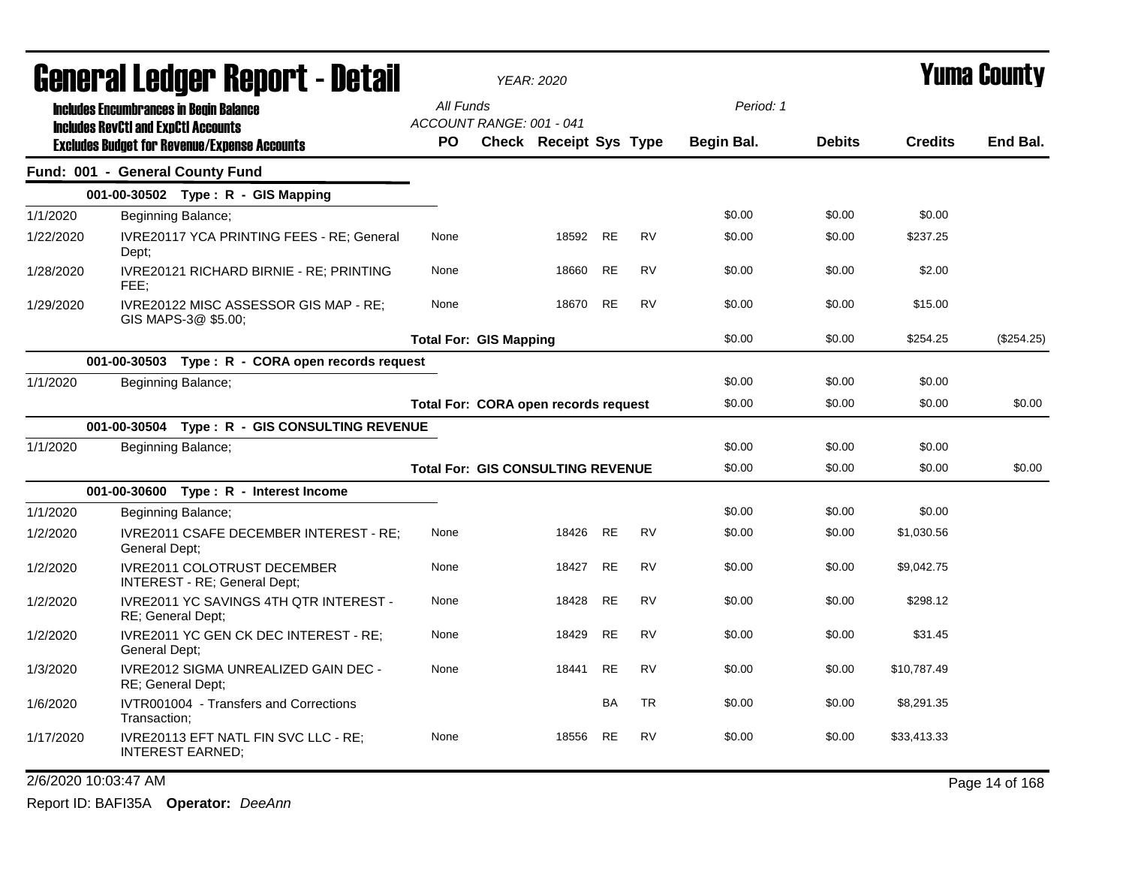|           | General Ledger Report - Detail                                                              | <b>YEAR: 2020</b>                     |  |                                          |           |           |            |               | <b>Yuma County</b> |            |
|-----------|---------------------------------------------------------------------------------------------|---------------------------------------|--|------------------------------------------|-----------|-----------|------------|---------------|--------------------|------------|
|           | <b>Includes Encumbrances in Begin Balance</b><br><b>Includes RevCtI and ExpCtI Accounts</b> | All Funds<br>ACCOUNT RANGE: 001 - 041 |  |                                          |           |           | Period: 1  |               |                    |            |
|           | <b>Excludes Budget for Revenue/Expense Accounts</b>                                         | <b>PO</b>                             |  | <b>Check Receipt Sys Type</b>            |           |           | Begin Bal. | <b>Debits</b> | <b>Credits</b>     | End Bal.   |
|           | Fund: 001 - General County Fund                                                             |                                       |  |                                          |           |           |            |               |                    |            |
|           | 001-00-30502 Type: R - GIS Mapping                                                          |                                       |  |                                          |           |           |            |               |                    |            |
| 1/1/2020  | Beginning Balance;                                                                          |                                       |  |                                          |           |           | \$0.00     | \$0.00        | \$0.00             |            |
| 1/22/2020 | IVRE20117 YCA PRINTING FEES - RE; General<br>Dept;                                          | None                                  |  | 18592 RE                                 |           | <b>RV</b> | \$0.00     | \$0.00        | \$237.25           |            |
| 1/28/2020 | IVRE20121 RICHARD BIRNIE - RE; PRINTING<br>FEE:                                             | None                                  |  | 18660                                    | RE        | <b>RV</b> | \$0.00     | \$0.00        | \$2.00             |            |
| 1/29/2020 | IVRE20122 MISC ASSESSOR GIS MAP - RE;<br>GIS MAPS-3@ \$5.00;                                | None                                  |  | 18670                                    | <b>RE</b> | <b>RV</b> | \$0.00     | \$0.00        | \$15.00            |            |
|           |                                                                                             | <b>Total For: GIS Mapping</b>         |  |                                          |           |           | \$0.00     | \$0.00        | \$254.25           | (\$254.25) |
|           | 001-00-30503 Type: R - CORA open records request                                            |                                       |  |                                          |           |           |            |               |                    |            |
| 1/1/2020  | Beginning Balance;                                                                          |                                       |  |                                          |           |           | \$0.00     | \$0.00        | \$0.00             |            |
|           |                                                                                             | Total For: CORA open records request  |  |                                          |           |           | \$0.00     | \$0.00        | \$0.00             | \$0.00     |
|           | 001-00-30504 Type: R - GIS CONSULTING REVENUE                                               |                                       |  |                                          |           |           |            |               |                    |            |
| 1/1/2020  | Beginning Balance;                                                                          |                                       |  |                                          |           |           | \$0.00     | \$0.00        | \$0.00             |            |
|           |                                                                                             |                                       |  | <b>Total For: GIS CONSULTING REVENUE</b> |           |           | \$0.00     | \$0.00        | \$0.00             | \$0.00     |
|           | 001-00-30600 Type: R - Interest Income                                                      |                                       |  |                                          |           |           |            |               |                    |            |
| 1/1/2020  | Beginning Balance;                                                                          |                                       |  |                                          |           |           | \$0.00     | \$0.00        | \$0.00             |            |
| 1/2/2020  | IVRE2011 CSAFE DECEMBER INTEREST - RE;<br>General Dept:                                     | None                                  |  | 18426                                    | <b>RE</b> | <b>RV</b> | \$0.00     | \$0.00        | \$1,030.56         |            |
| 1/2/2020  | <b>IVRE2011 COLOTRUST DECEMBER</b><br>INTEREST - RE; General Dept;                          | None                                  |  | 18427                                    | <b>RE</b> | <b>RV</b> | \$0.00     | \$0.00        | \$9,042.75         |            |
| 1/2/2020  | IVRE2011 YC SAVINGS 4TH QTR INTEREST -<br>RE; General Dept;                                 | None                                  |  | 18428                                    | <b>RE</b> | <b>RV</b> | \$0.00     | \$0.00        | \$298.12           |            |
| 1/2/2020  | IVRE2011 YC GEN CK DEC INTEREST - RE;<br>General Dept;                                      | None                                  |  | 18429                                    | <b>RE</b> | <b>RV</b> | \$0.00     | \$0.00        | \$31.45            |            |
| 1/3/2020  | IVRE2012 SIGMA UNREALIZED GAIN DEC -<br>RE; General Dept;                                   | None                                  |  | 18441                                    | <b>RE</b> | <b>RV</b> | \$0.00     | \$0.00        | \$10,787.49        |            |
| 1/6/2020  | IVTR001004 - Transfers and Corrections<br>Transaction:                                      |                                       |  |                                          | BA        | <b>TR</b> | \$0.00     | \$0.00        | \$8,291.35         |            |
| 1/17/2020 | IVRE20113 EFT NATL FIN SVC LLC - RE;<br><b>INTEREST EARNED;</b>                             | None                                  |  | 18556                                    | RE        | RV        | \$0.00     | \$0.00        | \$33,413.33        |            |

2/6/2020 10:03:47 AM Page 14 of 168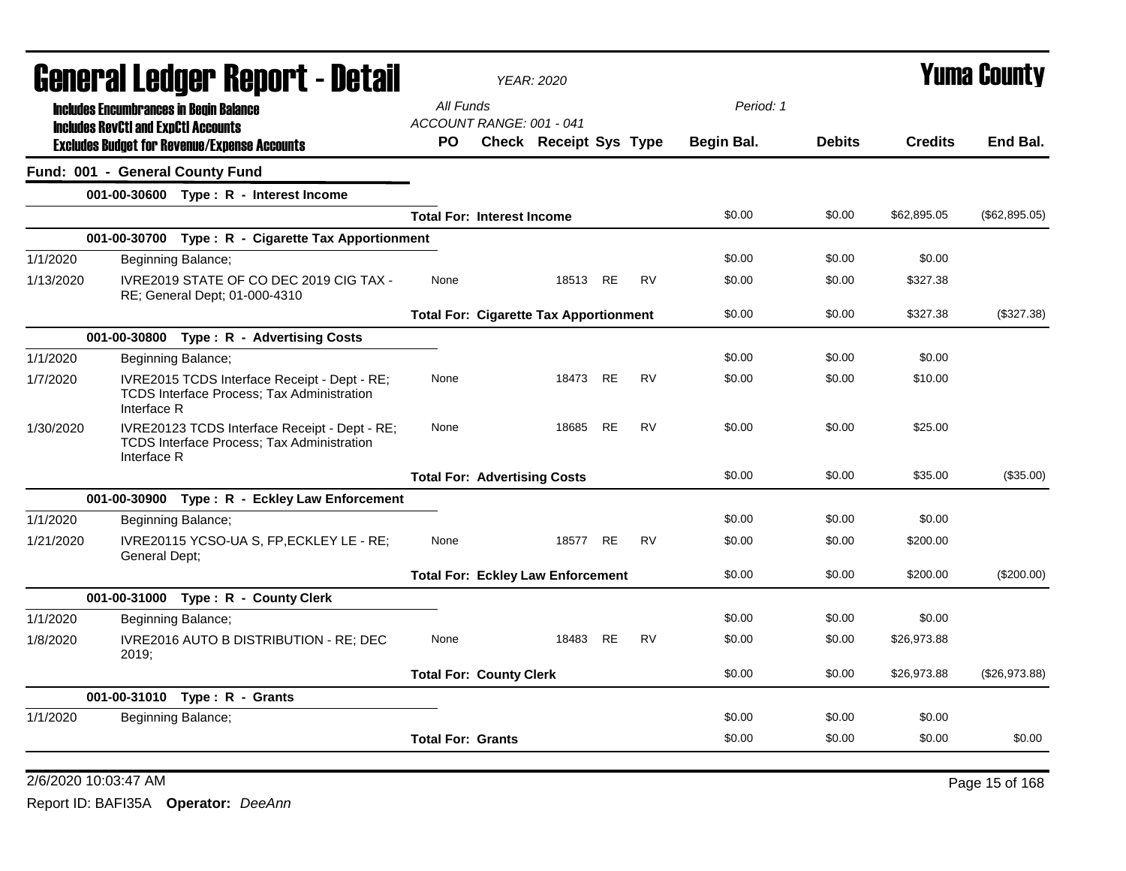| General Ledger Report - Detail |                                                                                                                  |                          | <b>YEAR: 2020</b>                             |           | <b>Yuma County</b> |            |               |                |               |
|--------------------------------|------------------------------------------------------------------------------------------------------------------|--------------------------|-----------------------------------------------|-----------|--------------------|------------|---------------|----------------|---------------|
|                                | <b>Includes Encumbrances in Begin Balance</b>                                                                    | All Funds                |                                               |           |                    | Period: 1  |               |                |               |
|                                | <b>Includes RevCtI and ExpCtI Accounts</b>                                                                       |                          | ACCOUNT RANGE: 001 - 041                      |           |                    |            |               |                |               |
|                                | <b>Excludes Budget for Revenue/Expense Accounts</b>                                                              | PO.                      | Check Receipt Sys Type                        |           |                    | Begin Bal. | <b>Debits</b> | <b>Credits</b> | End Bal.      |
|                                | Fund: 001 - General County Fund                                                                                  |                          |                                               |           |                    |            |               |                |               |
|                                | 001-00-30600 Type: R - Interest Income                                                                           |                          |                                               |           |                    |            |               |                |               |
|                                |                                                                                                                  |                          | <b>Total For: Interest Income</b>             |           |                    | \$0.00     | \$0.00        | \$62,895.05    | (\$62,895.05) |
|                                | 001-00-30700 Type: R - Cigarette Tax Apportionment                                                               |                          |                                               |           |                    |            |               |                |               |
| 1/1/2020                       | Beginning Balance;                                                                                               |                          |                                               |           |                    | \$0.00     | \$0.00        | \$0.00         |               |
| 1/13/2020                      | IVRE2019 STATE OF CO DEC 2019 CIG TAX -<br>RE; General Dept; 01-000-4310                                         | None                     |                                               | 18513 RE  | <b>RV</b>          | \$0.00     | \$0.00        | \$327.38       |               |
|                                |                                                                                                                  |                          | <b>Total For: Cigarette Tax Apportionment</b> |           |                    | \$0.00     | \$0.00        | \$327.38       | (\$327.38)    |
|                                | 001-00-30800 Type: R - Advertising Costs                                                                         |                          |                                               |           |                    |            |               |                |               |
| 1/1/2020                       | Beginning Balance;                                                                                               |                          |                                               |           |                    | \$0.00     | \$0.00        | \$0.00         |               |
| 1/7/2020                       | IVRE2015 TCDS Interface Receipt - Dept - RE;<br><b>TCDS Interface Process: Tax Administration</b><br>Interface R | None                     |                                               | 18473 RE  | <b>RV</b>          | \$0.00     | \$0.00        | \$10.00        |               |
| 1/30/2020                      | IVRE20123 TCDS Interface Receipt - Dept - RE;<br>TCDS Interface Process; Tax Administration<br>Interface R       | None                     | 18685                                         | <b>RE</b> | <b>RV</b>          | \$0.00     | \$0.00        | \$25.00        |               |
|                                |                                                                                                                  |                          | <b>Total For: Advertising Costs</b>           |           |                    | \$0.00     | \$0.00        | \$35.00        | (\$35.00)     |
|                                | 001-00-30900 Type: R - Eckley Law Enforcement                                                                    |                          |                                               |           |                    |            |               |                |               |
| 1/1/2020                       | Beginning Balance;                                                                                               |                          |                                               |           |                    | \$0.00     | \$0.00        | \$0.00         |               |
| 1/21/2020                      | IVRE20115 YCSO-UA S, FP, ECKLEY LE - RE;<br>General Dept;                                                        | None                     | 18577                                         | <b>RE</b> | <b>RV</b>          | \$0.00     | \$0.00        | \$200.00       |               |
|                                |                                                                                                                  |                          | <b>Total For: Eckley Law Enforcement</b>      |           |                    | \$0.00     | \$0.00        | \$200.00       | (\$200.00)    |
|                                | 001-00-31000 Type: R - County Clerk                                                                              |                          |                                               |           |                    |            |               |                |               |
| 1/1/2020                       | Beginning Balance;                                                                                               |                          |                                               |           |                    | \$0.00     | \$0.00        | \$0.00         |               |
| 1/8/2020                       | IVRE2016 AUTO B DISTRIBUTION - RE: DEC<br>2019:                                                                  | None                     |                                               | 18483 RE  | <b>RV</b>          | \$0.00     | \$0.00        | \$26,973.88    |               |
|                                |                                                                                                                  |                          | <b>Total For: County Clerk</b>                |           |                    | \$0.00     | \$0.00        | \$26,973.88    | (\$26,973.88) |
|                                | 001-00-31010 Type: R - Grants                                                                                    |                          |                                               |           |                    |            |               |                |               |
| 1/1/2020                       | Beginning Balance;                                                                                               |                          |                                               |           |                    | \$0.00     | \$0.00        | \$0.00         |               |
|                                |                                                                                                                  | <b>Total For: Grants</b> |                                               |           |                    | \$0.00     | \$0.00        | \$0.00         | \$0.00        |

2/6/2020 10:03:47 AM Page 15 of 168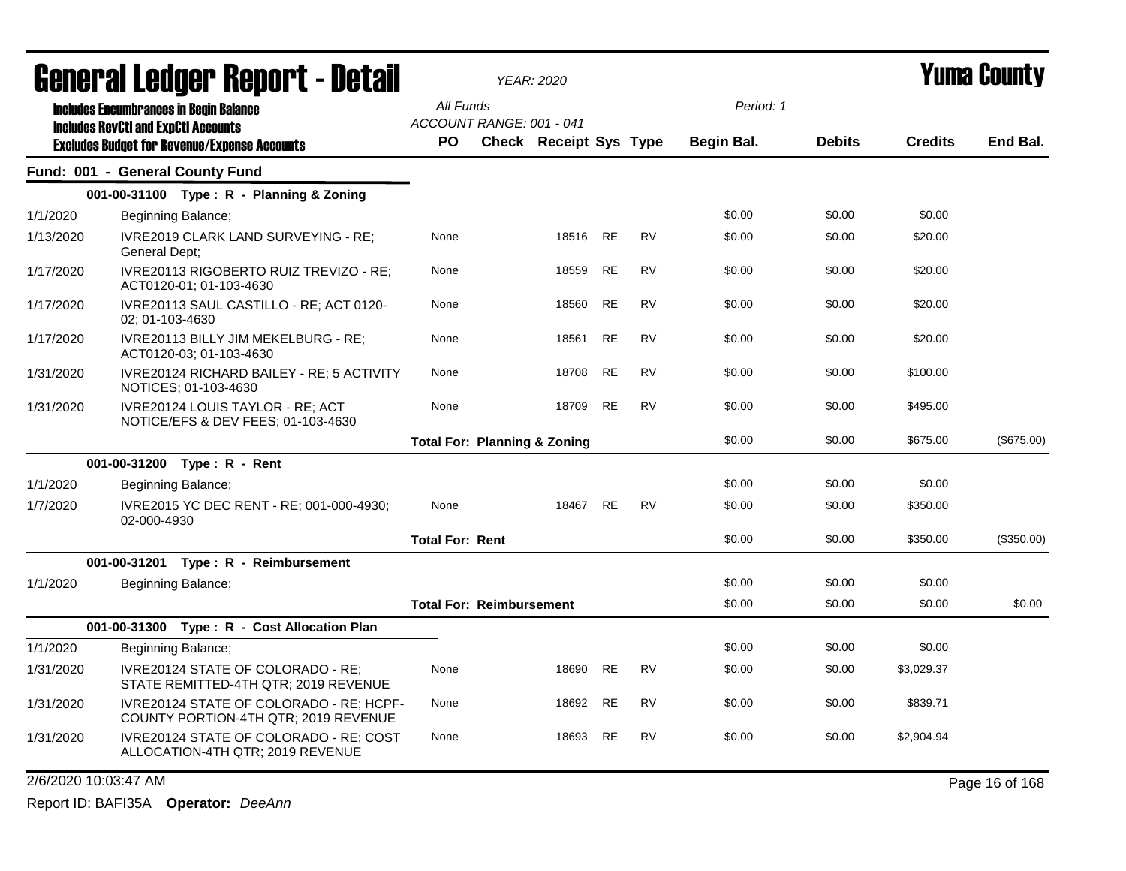| <b>General Ledger Report - Detail</b> |                                            |                                                                                 |                                         | <b>YEAR: 2020</b>             |           | <b>Yuma County</b> |            |               |                |                |
|---------------------------------------|--------------------------------------------|---------------------------------------------------------------------------------|-----------------------------------------|-------------------------------|-----------|--------------------|------------|---------------|----------------|----------------|
|                                       |                                            | <b>Includes Encumbrances in Begin Balance</b>                                   | All Funds                               |                               |           |                    | Period: 1  |               |                |                |
|                                       | <b>Includes RevCtI and ExpCtI Accounts</b> |                                                                                 | ACCOUNT RANGE: 001 - 041                |                               |           |                    |            |               |                |                |
|                                       |                                            | <b>Excludes Budget for Revenue/Expense Accounts</b>                             | <b>PO</b>                               | <b>Check Receipt Sys Type</b> |           |                    | Begin Bal. | <b>Debits</b> | <b>Credits</b> | End Bal.       |
|                                       |                                            | Fund: 001 - General County Fund                                                 |                                         |                               |           |                    |            |               |                |                |
|                                       |                                            | 001-00-31100 Type: R - Planning & Zoning                                        |                                         |                               |           |                    |            |               |                |                |
| 1/1/2020                              |                                            | Beginning Balance;                                                              |                                         |                               |           |                    | \$0.00     | \$0.00        | \$0.00         |                |
| 1/13/2020                             | General Dept;                              | IVRE2019 CLARK LAND SURVEYING - RE;                                             | None                                    | 18516                         | <b>RE</b> | <b>RV</b>          | \$0.00     | \$0.00        | \$20.00        |                |
| 1/17/2020                             |                                            | IVRE20113 RIGOBERTO RUIZ TREVIZO - RE;<br>ACT0120-01; 01-103-4630               | None                                    | 18559                         | RE        | <b>RV</b>          | \$0.00     | \$0.00        | \$20.00        |                |
| 1/17/2020                             | 02; 01-103-4630                            | IVRE20113 SAUL CASTILLO - RE; ACT 0120-                                         | None                                    | 18560                         | RE        | <b>RV</b>          | \$0.00     | \$0.00        | \$20.00        |                |
| 1/17/2020                             |                                            | IVRE20113 BILLY JIM MEKELBURG - RE;<br>ACT0120-03; 01-103-4630                  | None                                    | 18561                         | RE        | <b>RV</b>          | \$0.00     | \$0.00        | \$20.00        |                |
| 1/31/2020                             |                                            | IVRE20124 RICHARD BAILEY - RE; 5 ACTIVITY<br>NOTICES; 01-103-4630               | None                                    | 18708                         | RE        | <b>RV</b>          | \$0.00     | \$0.00        | \$100.00       |                |
| 1/31/2020                             |                                            | IVRE20124 LOUIS TAYLOR - RE; ACT<br>NOTICE/EFS & DEV FEES; 01-103-4630          | None                                    | 18709                         | <b>RE</b> | <b>RV</b>          | \$0.00     | \$0.00        | \$495.00       |                |
|                                       |                                            |                                                                                 | <b>Total For: Planning &amp; Zoning</b> |                               |           |                    | \$0.00     | \$0.00        | \$675.00       | $(\$675.00)$   |
|                                       |                                            | 001-00-31200 Type: R - Rent                                                     |                                         |                               |           |                    |            |               |                |                |
| 1/1/2020                              |                                            | Beginning Balance;                                                              |                                         |                               |           |                    | \$0.00     | \$0.00        | \$0.00         |                |
| 1/7/2020                              | 02-000-4930                                | IVRE2015 YC DEC RENT - RE; 001-000-4930;                                        | None                                    | 18467 RE                      |           | <b>RV</b>          | \$0.00     | \$0.00        | \$350.00       |                |
|                                       |                                            |                                                                                 | <b>Total For: Rent</b>                  |                               |           |                    | \$0.00     | \$0.00        | \$350.00       | (\$350.00)     |
|                                       |                                            | 001-00-31201  Type: R - Reimbursement                                           |                                         |                               |           |                    |            |               |                |                |
| 1/1/2020                              |                                            | Beginning Balance;                                                              |                                         |                               |           |                    | \$0.00     | \$0.00        | \$0.00         |                |
|                                       |                                            |                                                                                 | <b>Total For: Reimbursement</b>         |                               |           |                    | \$0.00     | \$0.00        | \$0.00         | \$0.00         |
|                                       | 001-00-31300                               | Type: R - Cost Allocation Plan                                                  |                                         |                               |           |                    |            |               |                |                |
| 1/1/2020                              |                                            | Beginning Balance;                                                              |                                         |                               |           |                    | \$0.00     | \$0.00        | \$0.00         |                |
| 1/31/2020                             |                                            | IVRE20124 STATE OF COLORADO - RE:<br>STATE REMITTED-4TH QTR; 2019 REVENUE       | None                                    | 18690                         | <b>RE</b> | <b>RV</b>          | \$0.00     | \$0.00        | \$3,029.37     |                |
| 1/31/2020                             |                                            | IVRE20124 STATE OF COLORADO - RE; HCPF-<br>COUNTY PORTION-4TH QTR; 2019 REVENUE | None                                    | 18692                         | RE        | <b>RV</b>          | \$0.00     | \$0.00        | \$839.71       |                |
| 1/31/2020                             |                                            | IVRE20124 STATE OF COLORADO - RE; COST<br>ALLOCATION-4TH QTR; 2019 REVENUE      | None                                    | 18693                         | RE        | <b>RV</b>          | \$0.00     | \$0.00        | \$2,904.94     |                |
|                                       | 2/6/2020 10:03:47 AM                       |                                                                                 |                                         |                               |           |                    |            |               |                | Page 16 of 168 |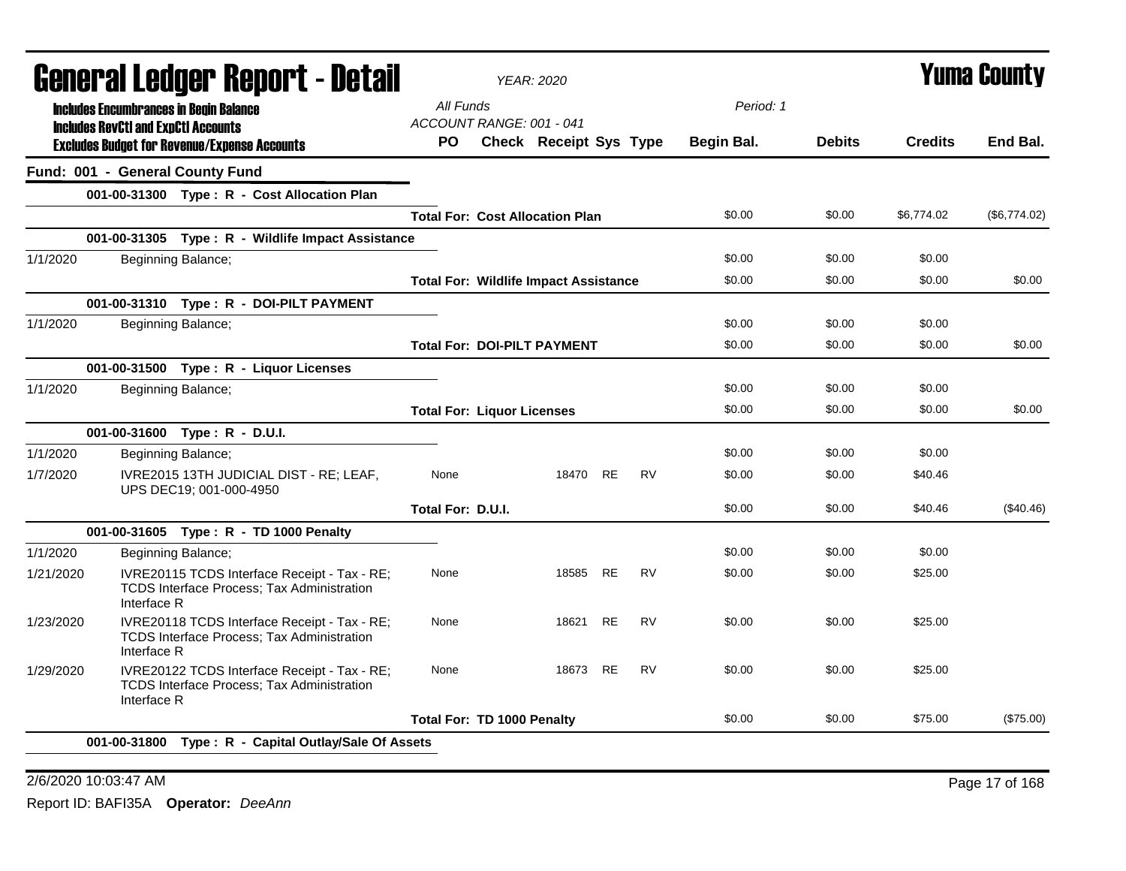| General Ledger Report - Detail |                                                                                                                  | <b>YEAR: 2020</b>                 |                                              |           |           |            | <b>Yuma County</b> |                |              |
|--------------------------------|------------------------------------------------------------------------------------------------------------------|-----------------------------------|----------------------------------------------|-----------|-----------|------------|--------------------|----------------|--------------|
|                                | <b>Includes Encumbrances in Begin Balance</b>                                                                    | All Funds                         |                                              |           |           | Period: 1  |                    |                |              |
|                                | <b>Includes RevCtI and ExpCtI Accounts</b><br><b>Excludes Budget for Revenue/Expense Accounts</b>                | ACCOUNT RANGE: 001 - 041<br>PO.   | Check Receipt Sys Type                       |           |           | Begin Bal. | <b>Debits</b>      | <b>Credits</b> | End Bal.     |
|                                | Fund: 001 - General County Fund                                                                                  |                                   |                                              |           |           |            |                    |                |              |
|                                | 001-00-31300 Type: R - Cost Allocation Plan                                                                      |                                   |                                              |           |           |            |                    |                |              |
|                                |                                                                                                                  |                                   | <b>Total For: Cost Allocation Plan</b>       |           |           | \$0.00     | \$0.00             | \$6,774.02     | (\$6,774.02) |
|                                | 001-00-31305 Type: R - Wildlife Impact Assistance                                                                |                                   |                                              |           |           |            |                    |                |              |
| 1/1/2020                       | Beginning Balance;                                                                                               |                                   |                                              |           |           | \$0.00     | \$0.00             | \$0.00         |              |
|                                |                                                                                                                  |                                   | <b>Total For: Wildlife Impact Assistance</b> |           |           | \$0.00     | \$0.00             | \$0.00         | \$0.00       |
|                                | 001-00-31310 Type: R - DOI-PILT PAYMENT                                                                          |                                   |                                              |           |           |            |                    |                |              |
| 1/1/2020                       | Beginning Balance;                                                                                               |                                   |                                              |           |           | \$0.00     | \$0.00             | \$0.00         |              |
|                                |                                                                                                                  |                                   | <b>Total For: DOI-PILT PAYMENT</b>           |           |           | \$0.00     | \$0.00             | \$0.00         | \$0.00       |
|                                | 001-00-31500 Type: R - Liquor Licenses                                                                           |                                   |                                              |           |           |            |                    |                |              |
| 1/1/2020                       | Beginning Balance;                                                                                               |                                   |                                              |           |           | \$0.00     | \$0.00             | \$0.00         |              |
|                                |                                                                                                                  | <b>Total For: Liquor Licenses</b> |                                              |           |           | \$0.00     | \$0.00             | \$0.00         | \$0.00       |
|                                | 001-00-31600 Type: R - D.U.I.                                                                                    |                                   |                                              |           |           |            |                    |                |              |
| 1/1/2020                       | Beginning Balance;                                                                                               |                                   |                                              |           |           | \$0.00     | \$0.00             | \$0.00         |              |
| 1/7/2020                       | IVRE2015 13TH JUDICIAL DIST - RE; LEAF,<br>UPS DEC19; 001-000-4950                                               | None                              | 18470                                        | <b>RE</b> | <b>RV</b> | \$0.00     | \$0.00             | \$40.46        |              |
|                                |                                                                                                                  | Total For: D.U.I.                 |                                              |           |           | \$0.00     | \$0.00             | \$40.46        | (\$40.46)    |
|                                | 001-00-31605 Type: R - TD 1000 Penalty                                                                           |                                   |                                              |           |           |            |                    |                |              |
| 1/1/2020                       | Beginning Balance;                                                                                               |                                   |                                              |           |           | \$0.00     | \$0.00             | \$0.00         |              |
| 1/21/2020                      | IVRE20115 TCDS Interface Receipt - Tax - RE;<br>TCDS Interface Process; Tax Administration<br>Interface R        | None                              | 18585                                        | <b>RE</b> | <b>RV</b> | \$0.00     | \$0.00             | \$25.00        |              |
| 1/23/2020                      | IVRE20118 TCDS Interface Receipt - Tax - RE;<br>TCDS Interface Process; Tax Administration<br>Interface R        | None                              | 18621                                        | <b>RE</b> | <b>RV</b> | \$0.00     | \$0.00             | \$25.00        |              |
| 1/29/2020                      | IVRE20122 TCDS Interface Receipt - Tax - RE;<br><b>TCDS Interface Process; Tax Administration</b><br>Interface R | None                              | 18673                                        | <b>RE</b> | <b>RV</b> | \$0.00     | \$0.00             | \$25.00        |              |
|                                |                                                                                                                  | Total For: TD 1000 Penalty        |                                              |           |           | \$0.00     | \$0.00             | \$75.00        | (\$75.00)    |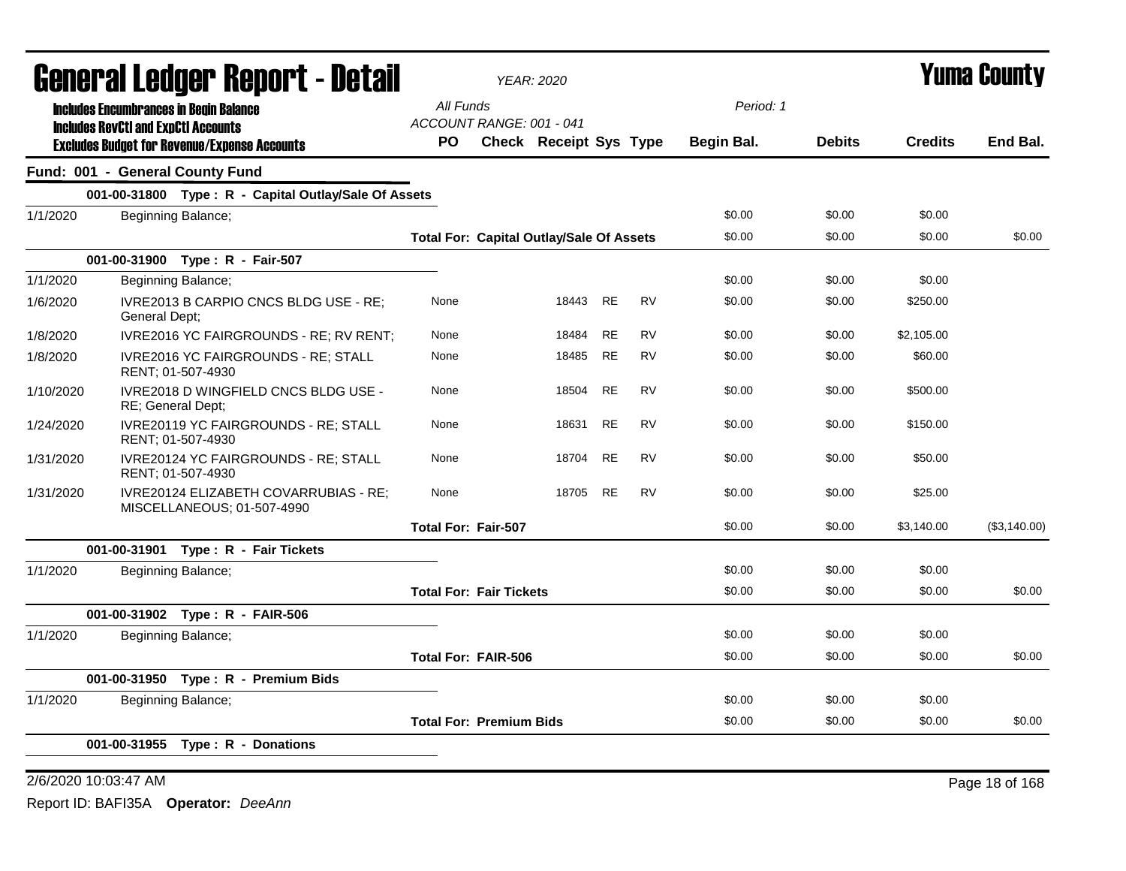| General Ledger Report - Detail<br>All Funds<br><b>Includes Encumbrances in Begin Balance</b><br>ACCOUNT RANGE: 001 - 041<br><b>Includes RevCtI and ExpCtI Accounts</b><br>Check Receipt Sys Type<br><b>Begin Bal.</b><br>PO.<br><b>Excludes Budget for Revenue/Expense Accounts</b><br>Fund: 001 - General County Fund<br>001-00-31800 Type: R - Capital Outlay/Sale Of Assets<br>\$0.00<br>1/1/2020<br>Beginning Balance;<br>\$0.00<br><b>Total For: Capital Outlay/Sale Of Assets</b><br>001-00-31900 Type: R - Fair-507<br>1/1/2020<br>\$0.00<br>Beginning Balance;<br><b>RE</b><br><b>RV</b><br>IVRE2013 B CARPIO CNCS BLDG USE - RE;<br>18443<br>\$0.00<br>1/6/2020<br>None<br>General Dept:<br><b>RV</b><br><b>RE</b><br>\$0.00<br>None<br>18484<br>1/8/2020<br>IVRE2016 YC FAIRGROUNDS - RE; RV RENT;<br><b>RE</b><br><b>RV</b><br>18485<br>\$0.00<br>1/8/2020<br>IVRE2016 YC FAIRGROUNDS - RE; STALL<br>None<br>RENT: 01-507-4930<br><b>RE</b><br>1/10/2020<br>IVRE2018 D WINGFIELD CNCS BLDG USE -<br>18504<br><b>RV</b><br>\$0.00<br>None<br>RE; General Dept;<br>IVRE20119 YC FAIRGROUNDS - RE; STALL<br><b>RE</b><br><b>RV</b><br>\$0.00<br>1/24/2020<br>None<br>18631<br>RENT: 01-507-4930<br><b>RE</b><br><b>RV</b><br>\$0.00<br>IVRE20124 YC FAIRGROUNDS - RE; STALL<br>18704<br>1/31/2020<br>None<br>RENT: 01-507-4930<br><b>RV</b><br>None<br>18705 RE<br>\$0.00<br>1/31/2020<br>IVRE20124 ELIZABETH COVARRUBIAS - RE:<br>MISCELLANEOUS; 01-507-4990 | Period: 1<br><b>Debits</b><br>\$0.00<br>\$0.00<br>\$0.00<br>\$0.00 | <b>Credits</b><br>\$0.00<br>\$0.00 | End Bal.<br>\$0.00 |
|-----------------------------------------------------------------------------------------------------------------------------------------------------------------------------------------------------------------------------------------------------------------------------------------------------------------------------------------------------------------------------------------------------------------------------------------------------------------------------------------------------------------------------------------------------------------------------------------------------------------------------------------------------------------------------------------------------------------------------------------------------------------------------------------------------------------------------------------------------------------------------------------------------------------------------------------------------------------------------------------------------------------------------------------------------------------------------------------------------------------------------------------------------------------------------------------------------------------------------------------------------------------------------------------------------------------------------------------------------------------------------------------------------------------------------------------------------------------------|--------------------------------------------------------------------|------------------------------------|--------------------|
|                                                                                                                                                                                                                                                                                                                                                                                                                                                                                                                                                                                                                                                                                                                                                                                                                                                                                                                                                                                                                                                                                                                                                                                                                                                                                                                                                                                                                                                                       |                                                                    |                                    |                    |
|                                                                                                                                                                                                                                                                                                                                                                                                                                                                                                                                                                                                                                                                                                                                                                                                                                                                                                                                                                                                                                                                                                                                                                                                                                                                                                                                                                                                                                                                       |                                                                    |                                    |                    |
|                                                                                                                                                                                                                                                                                                                                                                                                                                                                                                                                                                                                                                                                                                                                                                                                                                                                                                                                                                                                                                                                                                                                                                                                                                                                                                                                                                                                                                                                       |                                                                    |                                    |                    |
|                                                                                                                                                                                                                                                                                                                                                                                                                                                                                                                                                                                                                                                                                                                                                                                                                                                                                                                                                                                                                                                                                                                                                                                                                                                                                                                                                                                                                                                                       |                                                                    |                                    |                    |
|                                                                                                                                                                                                                                                                                                                                                                                                                                                                                                                                                                                                                                                                                                                                                                                                                                                                                                                                                                                                                                                                                                                                                                                                                                                                                                                                                                                                                                                                       |                                                                    |                                    |                    |
|                                                                                                                                                                                                                                                                                                                                                                                                                                                                                                                                                                                                                                                                                                                                                                                                                                                                                                                                                                                                                                                                                                                                                                                                                                                                                                                                                                                                                                                                       |                                                                    |                                    |                    |
|                                                                                                                                                                                                                                                                                                                                                                                                                                                                                                                                                                                                                                                                                                                                                                                                                                                                                                                                                                                                                                                                                                                                                                                                                                                                                                                                                                                                                                                                       |                                                                    |                                    |                    |
|                                                                                                                                                                                                                                                                                                                                                                                                                                                                                                                                                                                                                                                                                                                                                                                                                                                                                                                                                                                                                                                                                                                                                                                                                                                                                                                                                                                                                                                                       |                                                                    | \$0.00                             |                    |
|                                                                                                                                                                                                                                                                                                                                                                                                                                                                                                                                                                                                                                                                                                                                                                                                                                                                                                                                                                                                                                                                                                                                                                                                                                                                                                                                                                                                                                                                       |                                                                    | \$250.00                           |                    |
|                                                                                                                                                                                                                                                                                                                                                                                                                                                                                                                                                                                                                                                                                                                                                                                                                                                                                                                                                                                                                                                                                                                                                                                                                                                                                                                                                                                                                                                                       | \$0.00                                                             | \$2,105.00                         |                    |
|                                                                                                                                                                                                                                                                                                                                                                                                                                                                                                                                                                                                                                                                                                                                                                                                                                                                                                                                                                                                                                                                                                                                                                                                                                                                                                                                                                                                                                                                       | \$0.00                                                             | \$60.00                            |                    |
|                                                                                                                                                                                                                                                                                                                                                                                                                                                                                                                                                                                                                                                                                                                                                                                                                                                                                                                                                                                                                                                                                                                                                                                                                                                                                                                                                                                                                                                                       | \$0.00                                                             | \$500.00                           |                    |
|                                                                                                                                                                                                                                                                                                                                                                                                                                                                                                                                                                                                                                                                                                                                                                                                                                                                                                                                                                                                                                                                                                                                                                                                                                                                                                                                                                                                                                                                       | \$0.00                                                             | \$150.00                           |                    |
|                                                                                                                                                                                                                                                                                                                                                                                                                                                                                                                                                                                                                                                                                                                                                                                                                                                                                                                                                                                                                                                                                                                                                                                                                                                                                                                                                                                                                                                                       | \$0.00                                                             | \$50.00                            |                    |
|                                                                                                                                                                                                                                                                                                                                                                                                                                                                                                                                                                                                                                                                                                                                                                                                                                                                                                                                                                                                                                                                                                                                                                                                                                                                                                                                                                                                                                                                       | \$0.00                                                             | \$25.00                            |                    |
| \$0.00<br><b>Total For: Fair-507</b>                                                                                                                                                                                                                                                                                                                                                                                                                                                                                                                                                                                                                                                                                                                                                                                                                                                                                                                                                                                                                                                                                                                                                                                                                                                                                                                                                                                                                                  | \$0.00                                                             | \$3,140.00                         | (\$3,140.00)       |
| 001-00-31901 Type: R - Fair Tickets                                                                                                                                                                                                                                                                                                                                                                                                                                                                                                                                                                                                                                                                                                                                                                                                                                                                                                                                                                                                                                                                                                                                                                                                                                                                                                                                                                                                                                   |                                                                    |                                    |                    |
| Beginning Balance;<br>\$0.00<br>1/1/2020                                                                                                                                                                                                                                                                                                                                                                                                                                                                                                                                                                                                                                                                                                                                                                                                                                                                                                                                                                                                                                                                                                                                                                                                                                                                                                                                                                                                                              | \$0.00                                                             | \$0.00                             |                    |
| \$0.00<br><b>Total For: Fair Tickets</b>                                                                                                                                                                                                                                                                                                                                                                                                                                                                                                                                                                                                                                                                                                                                                                                                                                                                                                                                                                                                                                                                                                                                                                                                                                                                                                                                                                                                                              | \$0.00                                                             | \$0.00                             | \$0.00             |
| 001-00-31902 Type: R - FAIR-506                                                                                                                                                                                                                                                                                                                                                                                                                                                                                                                                                                                                                                                                                                                                                                                                                                                                                                                                                                                                                                                                                                                                                                                                                                                                                                                                                                                                                                       |                                                                    |                                    |                    |
| \$0.00<br>1/1/2020<br>Beginning Balance;                                                                                                                                                                                                                                                                                                                                                                                                                                                                                                                                                                                                                                                                                                                                                                                                                                                                                                                                                                                                                                                                                                                                                                                                                                                                                                                                                                                                                              | \$0.00                                                             | \$0.00                             |                    |
| \$0.00<br><b>Total For: FAIR-506</b>                                                                                                                                                                                                                                                                                                                                                                                                                                                                                                                                                                                                                                                                                                                                                                                                                                                                                                                                                                                                                                                                                                                                                                                                                                                                                                                                                                                                                                  | \$0.00                                                             | \$0.00                             | \$0.00             |
| 001-00-31950 Type: R - Premium Bids                                                                                                                                                                                                                                                                                                                                                                                                                                                                                                                                                                                                                                                                                                                                                                                                                                                                                                                                                                                                                                                                                                                                                                                                                                                                                                                                                                                                                                   |                                                                    |                                    |                    |
| \$0.00<br>1/1/2020<br>Beginning Balance;                                                                                                                                                                                                                                                                                                                                                                                                                                                                                                                                                                                                                                                                                                                                                                                                                                                                                                                                                                                                                                                                                                                                                                                                                                                                                                                                                                                                                              | \$0.00                                                             | \$0.00                             |                    |
| <b>Total For: Premium Bids</b><br>\$0.00                                                                                                                                                                                                                                                                                                                                                                                                                                                                                                                                                                                                                                                                                                                                                                                                                                                                                                                                                                                                                                                                                                                                                                                                                                                                                                                                                                                                                              | \$0.00                                                             | \$0.00                             | \$0.00             |
| 001-00-31955 Type: R - Donations                                                                                                                                                                                                                                                                                                                                                                                                                                                                                                                                                                                                                                                                                                                                                                                                                                                                                                                                                                                                                                                                                                                                                                                                                                                                                                                                                                                                                                      |                                                                    |                                    |                    |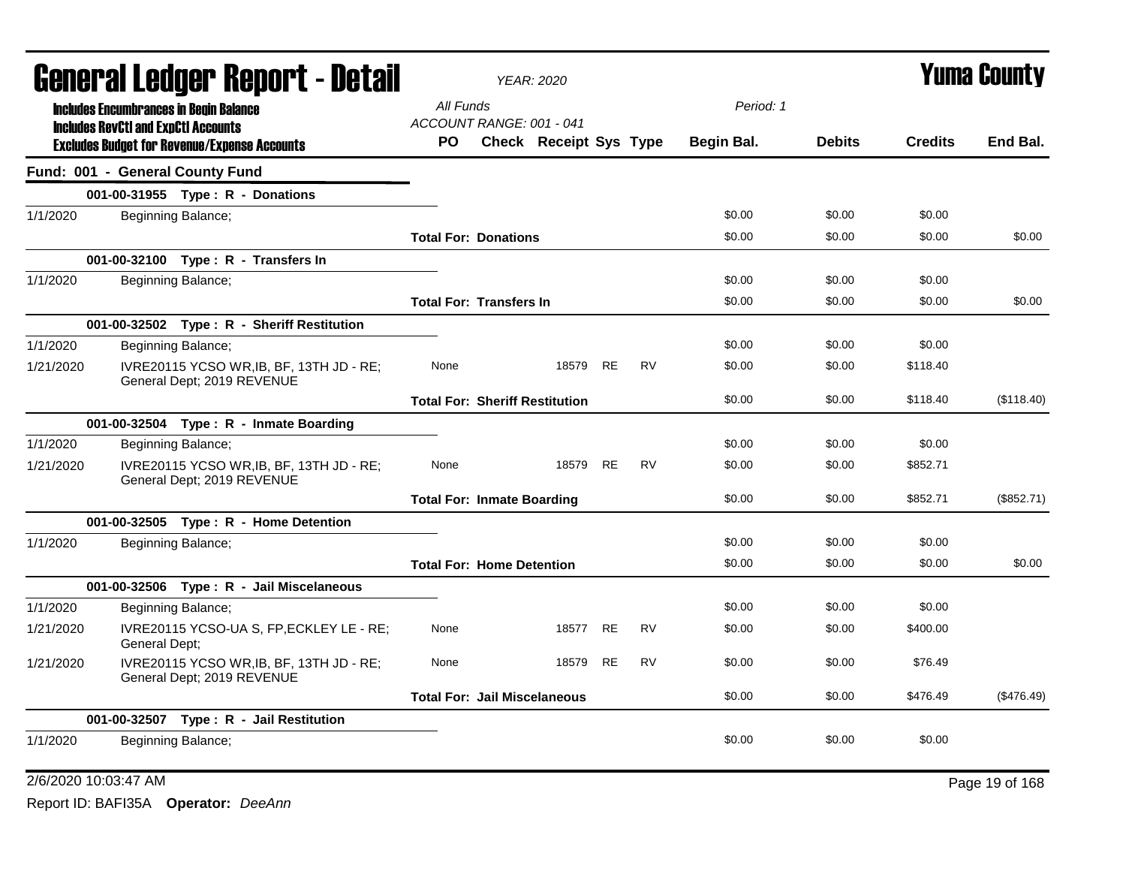|           |                                            | <b>General Ledger Report - Detail</b>                                  |                                       | <b>YEAR: 2020</b>      |           |           |            |               |                | <b>Yuma County</b> |
|-----------|--------------------------------------------|------------------------------------------------------------------------|---------------------------------------|------------------------|-----------|-----------|------------|---------------|----------------|--------------------|
|           |                                            | <b>Includes Encumbrances in Begin Balance</b>                          | All Funds                             |                        |           |           | Period: 1  |               |                |                    |
|           | <b>Includes RevCtI and ExpCtI Accounts</b> |                                                                        | ACCOUNT RANGE: 001 - 041              |                        |           |           |            |               |                |                    |
|           |                                            | <b>Excludes Budget for Revenue/Expense Accounts</b>                    | PO.                                   | Check Receipt Sys Type |           |           | Begin Bal. | <b>Debits</b> | <b>Credits</b> | End Bal.           |
|           |                                            | Fund: 001 - General County Fund                                        |                                       |                        |           |           |            |               |                |                    |
|           |                                            | 001-00-31955 Type: R - Donations                                       |                                       |                        |           |           |            |               |                |                    |
| 1/1/2020  |                                            | Beginning Balance;                                                     |                                       |                        |           |           | \$0.00     | \$0.00        | \$0.00         |                    |
|           |                                            |                                                                        | <b>Total For: Donations</b>           |                        |           |           | \$0.00     | \$0.00        | \$0.00         | \$0.00             |
|           |                                            | 001-00-32100 Type: R - Transfers In                                    |                                       |                        |           |           |            |               |                |                    |
| 1/1/2020  |                                            | Beginning Balance;                                                     |                                       |                        |           |           | \$0.00     | \$0.00        | \$0.00         |                    |
|           |                                            |                                                                        | <b>Total For: Transfers In</b>        |                        |           |           | \$0.00     | \$0.00        | \$0.00         | \$0.00             |
|           |                                            | 001-00-32502 Type: R - Sheriff Restitution                             |                                       |                        |           |           |            |               |                |                    |
| 1/1/2020  |                                            | Beginning Balance;                                                     |                                       |                        |           |           | \$0.00     | \$0.00        | \$0.00         |                    |
| 1/21/2020 |                                            | IVRE20115 YCSO WR, IB, BF, 13TH JD - RE;<br>General Dept; 2019 REVENUE | None                                  | 18579 RE               |           | <b>RV</b> | \$0.00     | \$0.00        | \$118.40       |                    |
|           |                                            |                                                                        | <b>Total For: Sheriff Restitution</b> |                        |           |           | \$0.00     | \$0.00        | \$118.40       | (\$118.40)         |
|           |                                            | 001-00-32504 Type: R - Inmate Boarding                                 |                                       |                        |           |           |            |               |                |                    |
| 1/1/2020  |                                            | Beginning Balance;                                                     |                                       |                        |           |           | \$0.00     | \$0.00        | \$0.00         |                    |
| 1/21/2020 |                                            | IVRE20115 YCSO WR, IB, BF, 13TH JD - RE;<br>General Dept; 2019 REVENUE | None                                  | 18579 RE               |           | <b>RV</b> | \$0.00     | \$0.00        | \$852.71       |                    |
|           |                                            |                                                                        | <b>Total For: Inmate Boarding</b>     |                        |           |           | \$0.00     | \$0.00        | \$852.71       | (\$852.71)         |
|           |                                            | 001-00-32505    Type: R - Home Detention                               |                                       |                        |           |           |            |               |                |                    |
| 1/1/2020  |                                            | Beginning Balance;                                                     |                                       |                        |           |           | \$0.00     | \$0.00        | \$0.00         |                    |
|           |                                            |                                                                        | <b>Total For: Home Detention</b>      |                        |           |           | \$0.00     | \$0.00        | \$0.00         | \$0.00             |
|           |                                            | 001-00-32506 Type: R - Jail Miscelaneous                               |                                       |                        |           |           |            |               |                |                    |
| 1/1/2020  |                                            | Beginning Balance;                                                     |                                       |                        |           |           | \$0.00     | \$0.00        | \$0.00         |                    |
| 1/21/2020 | General Dept;                              | IVRE20115 YCSO-UA S, FP, ECKLEY LE - RE;                               | None                                  | 18577 RE               |           | <b>RV</b> | \$0.00     | \$0.00        | \$400.00       |                    |
| 1/21/2020 |                                            | IVRE20115 YCSO WR, IB, BF, 13TH JD - RE;<br>General Dept; 2019 REVENUE | None                                  | 18579                  | <b>RE</b> | <b>RV</b> | \$0.00     | \$0.00        | \$76.49        |                    |
|           |                                            |                                                                        | <b>Total For: Jail Miscelaneous</b>   |                        |           |           | \$0.00     | \$0.00        | \$476.49       | (\$476.49)         |
|           |                                            | 001-00-32507 Type: R - Jail Restitution                                |                                       |                        |           |           |            |               |                |                    |
| 1/1/2020  |                                            | Beginning Balance;                                                     |                                       |                        |           |           | \$0.00     | \$0.00        | \$0.00         |                    |

### 2/6/2020 10:03:47 AM Page 19 of 168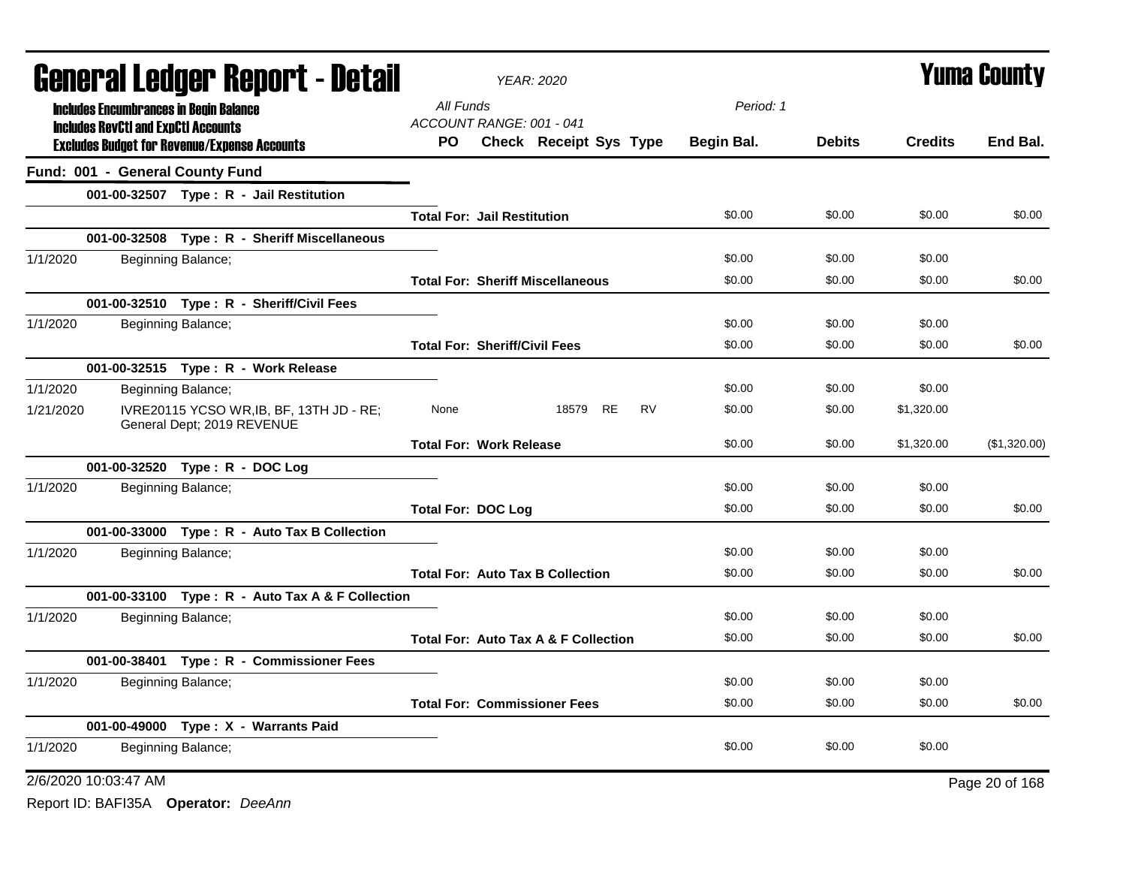| <b>General Ledger Report - Detail</b>                                               | <b>YEAR: 2020</b>                       |            |               |                | <b>Yuma County</b> |
|-------------------------------------------------------------------------------------|-----------------------------------------|------------|---------------|----------------|--------------------|
| <b>Includes Encumbrances in Begin Balance</b>                                       | All Funds                               | Period: 1  |               |                |                    |
| <b>Includes RevCtI and ExpCtI Accounts</b>                                          | ACCOUNT RANGE: 001 - 041                |            |               |                |                    |
| <b>Excludes Budget for Revenue/Expense Accounts</b>                                 | Check Receipt Sys Type<br>PO.           | Begin Bal. | <b>Debits</b> | <b>Credits</b> | End Bal.           |
| Fund: 001 - General County Fund                                                     |                                         |            |               |                |                    |
| 001-00-32507 Type: R - Jail Restitution                                             |                                         |            |               |                |                    |
|                                                                                     | <b>Total For: Jail Restitution</b>      | \$0.00     | \$0.00        | \$0.00         | \$0.00             |
| 001-00-32508 Type: R - Sheriff Miscellaneous                                        |                                         |            |               |                |                    |
| 1/1/2020<br>Beginning Balance;                                                      |                                         | \$0.00     | \$0.00        | \$0.00         |                    |
|                                                                                     | <b>Total For: Sheriff Miscellaneous</b> | \$0.00     | \$0.00        | \$0.00         | \$0.00             |
| 001-00-32510 Type: R - Sheriff/Civil Fees                                           |                                         |            |               |                |                    |
| 1/1/2020<br>Beginning Balance;                                                      |                                         | \$0.00     | \$0.00        | \$0.00         |                    |
|                                                                                     | <b>Total For: Sheriff/Civil Fees</b>    | \$0.00     | \$0.00        | \$0.00         | \$0.00             |
| 001-00-32515 Type: R - Work Release                                                 |                                         |            |               |                |                    |
| 1/1/2020<br>Beginning Balance;                                                      |                                         | \$0.00     | \$0.00        | \$0.00         |                    |
| IVRE20115 YCSO WR, IB, BF, 13TH JD - RE;<br>1/21/2020<br>General Dept; 2019 REVENUE | 18579 RE<br>RV<br>None                  | \$0.00     | \$0.00        | \$1,320.00     |                    |
|                                                                                     | <b>Total For: Work Release</b>          | \$0.00     | \$0.00        | \$1,320.00     | (\$1,320.00)       |
| 001-00-32520 Type: R - DOC Log                                                      |                                         |            |               |                |                    |
| 1/1/2020<br>Beginning Balance;                                                      |                                         | \$0.00     | \$0.00        | \$0.00         |                    |
|                                                                                     | <b>Total For: DOC Log</b>               | \$0.00     | \$0.00        | \$0.00         | \$0.00             |
| 001-00-33000 Type: R - Auto Tax B Collection                                        |                                         |            |               |                |                    |
| 1/1/2020<br>Beginning Balance;                                                      |                                         | \$0.00     | \$0.00        | \$0.00         |                    |
|                                                                                     | <b>Total For: Auto Tax B Collection</b> | \$0.00     | \$0.00        | \$0.00         | \$0.00             |
| 001-00-33100 Type: R - Auto Tax A & F Collection                                    |                                         |            |               |                |                    |
| 1/1/2020<br>Beginning Balance;                                                      |                                         | \$0.00     | \$0.00        | \$0.00         |                    |
|                                                                                     | Total For: Auto Tax A & F Collection    | \$0.00     | \$0.00        | \$0.00         | \$0.00             |
| 001-00-38401 Type: R - Commissioner Fees                                            |                                         |            |               |                |                    |
| 1/1/2020<br>Beginning Balance;                                                      |                                         | \$0.00     | \$0.00        | \$0.00         |                    |
|                                                                                     | <b>Total For: Commissioner Fees</b>     | \$0.00     | \$0.00        | \$0.00         | \$0.00             |
| 001-00-49000 Type: X - Warrants Paid                                                |                                         |            |               |                |                    |
| 1/1/2020<br>Beginning Balance;                                                      |                                         | \$0.00     | \$0.00        | \$0.00         |                    |
| 2/6/2020 10:03:47 AM                                                                |                                         |            |               |                | Page 20 of 168     |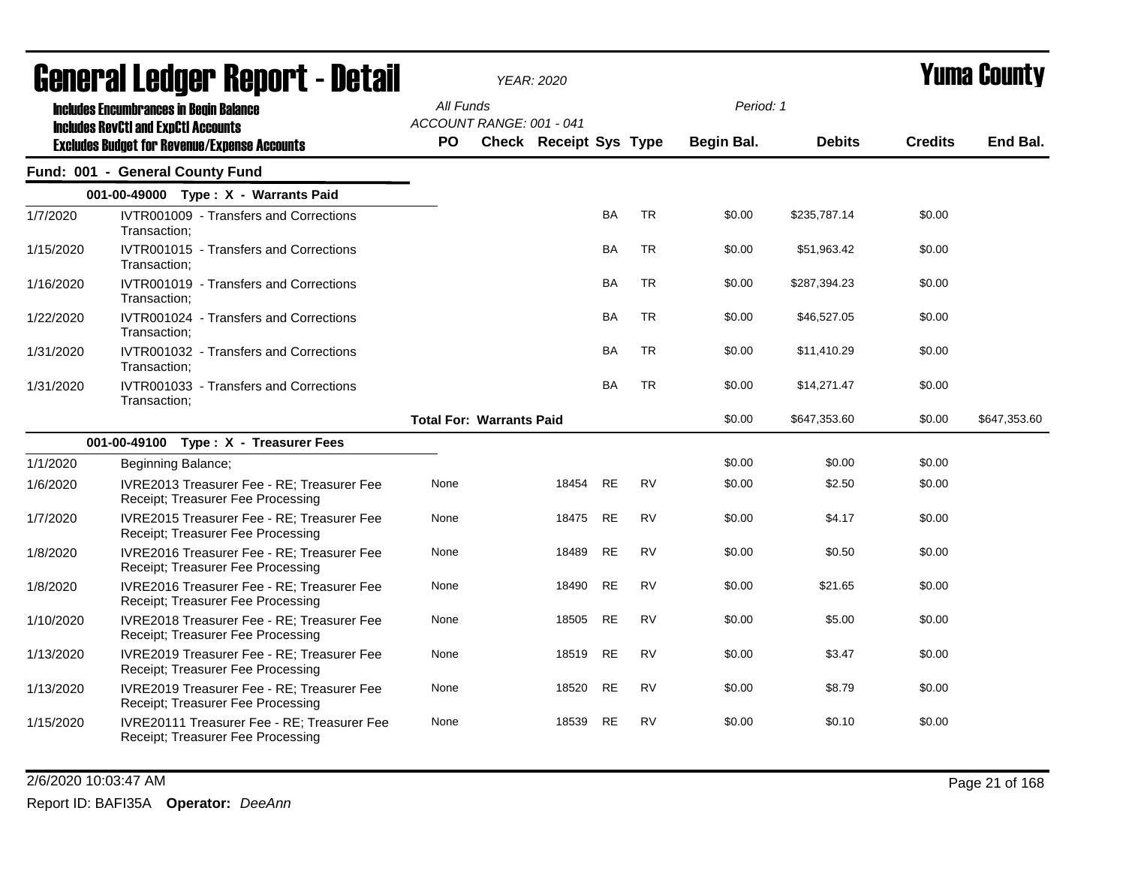|           | General Ledger Report - Detail                                                              |                                       | <b>YEAR: 2020</b>             |           |           |            |               | <b>Yuma County</b> |              |  |
|-----------|---------------------------------------------------------------------------------------------|---------------------------------------|-------------------------------|-----------|-----------|------------|---------------|--------------------|--------------|--|
|           | <b>Includes Encumbrances in Begin Balance</b><br><b>Includes RevCtI and ExpCtI Accounts</b> | All Funds<br>ACCOUNT RANGE: 001 - 041 |                               |           |           | Period: 1  |               |                    |              |  |
|           | <b>Excludes Budget for Revenue/Expense Accounts</b>                                         | <b>PO</b>                             | <b>Check Receipt Sys Type</b> |           |           | Begin Bal. | <b>Debits</b> | <b>Credits</b>     | End Bal.     |  |
|           | Fund: 001 - General County Fund                                                             |                                       |                               |           |           |            |               |                    |              |  |
|           | 001-00-49000 Type: X - Warrants Paid                                                        |                                       |                               |           |           |            |               |                    |              |  |
| 1/7/2020  | IVTR001009 - Transfers and Corrections<br>Transaction;                                      |                                       |                               | <b>BA</b> | <b>TR</b> | \$0.00     | \$235,787.14  | \$0.00             |              |  |
| 1/15/2020 | IVTR001015 - Transfers and Corrections<br>Transaction:                                      |                                       |                               | <b>BA</b> | <b>TR</b> | \$0.00     | \$51,963.42   | \$0.00             |              |  |
| 1/16/2020 | IVTR001019 - Transfers and Corrections<br>Transaction:                                      |                                       |                               | BA        | <b>TR</b> | \$0.00     | \$287,394.23  | \$0.00             |              |  |
| 1/22/2020 | IVTR001024 - Transfers and Corrections<br>Transaction:                                      |                                       |                               | BA        | <b>TR</b> | \$0.00     | \$46,527.05   | \$0.00             |              |  |
| 1/31/2020 | IVTR001032 - Transfers and Corrections<br>Transaction:                                      |                                       |                               | <b>BA</b> | <b>TR</b> | \$0.00     | \$11,410.29   | \$0.00             |              |  |
| 1/31/2020 | IVTR001033 - Transfers and Corrections<br>Transaction;                                      |                                       |                               | <b>BA</b> | <b>TR</b> | \$0.00     | \$14,271.47   | \$0.00             |              |  |
|           |                                                                                             | <b>Total For: Warrants Paid</b>       |                               |           |           | \$0.00     | \$647,353.60  | \$0.00             | \$647,353.60 |  |
|           | 001-00-49100 Type: X - Treasurer Fees                                                       |                                       |                               |           |           |            |               |                    |              |  |
| 1/1/2020  | Beginning Balance;                                                                          |                                       |                               |           |           | \$0.00     | \$0.00        | \$0.00             |              |  |
| 1/6/2020  | IVRE2013 Treasurer Fee - RE; Treasurer Fee<br>Receipt; Treasurer Fee Processing             | None                                  | 18454                         | <b>RE</b> | <b>RV</b> | \$0.00     | \$2.50        | \$0.00             |              |  |
| 1/7/2020  | IVRE2015 Treasurer Fee - RE; Treasurer Fee<br>Receipt; Treasurer Fee Processing             | None                                  | 18475                         | <b>RE</b> | <b>RV</b> | \$0.00     | \$4.17        | \$0.00             |              |  |
| 1/8/2020  | IVRE2016 Treasurer Fee - RE; Treasurer Fee<br>Receipt; Treasurer Fee Processing             | None                                  | 18489                         | <b>RE</b> | <b>RV</b> | \$0.00     | \$0.50        | \$0.00             |              |  |
| 1/8/2020  | IVRE2016 Treasurer Fee - RE; Treasurer Fee<br>Receipt; Treasurer Fee Processing             | None                                  | 18490                         | <b>RE</b> | <b>RV</b> | \$0.00     | \$21.65       | \$0.00             |              |  |
| 1/10/2020 | IVRE2018 Treasurer Fee - RE; Treasurer Fee<br>Receipt; Treasurer Fee Processing             | None                                  | 18505                         | <b>RE</b> | <b>RV</b> | \$0.00     | \$5.00        | \$0.00             |              |  |
| 1/13/2020 | IVRE2019 Treasurer Fee - RE; Treasurer Fee<br>Receipt; Treasurer Fee Processing             | None                                  | 18519                         | <b>RE</b> | <b>RV</b> | \$0.00     | \$3.47        | \$0.00             |              |  |
| 1/13/2020 | IVRE2019 Treasurer Fee - RE; Treasurer Fee<br>Receipt; Treasurer Fee Processing             | None                                  | 18520                         | <b>RE</b> | <b>RV</b> | \$0.00     | \$8.79        | \$0.00             |              |  |
| 1/15/2020 | IVRE20111 Treasurer Fee - RE; Treasurer Fee<br>Receipt; Treasurer Fee Processing            | None                                  | 18539                         | <b>RE</b> | <b>RV</b> | \$0.00     | \$0.10        | \$0.00             |              |  |

2/6/2020 10:03:47 AM Page 21 of 168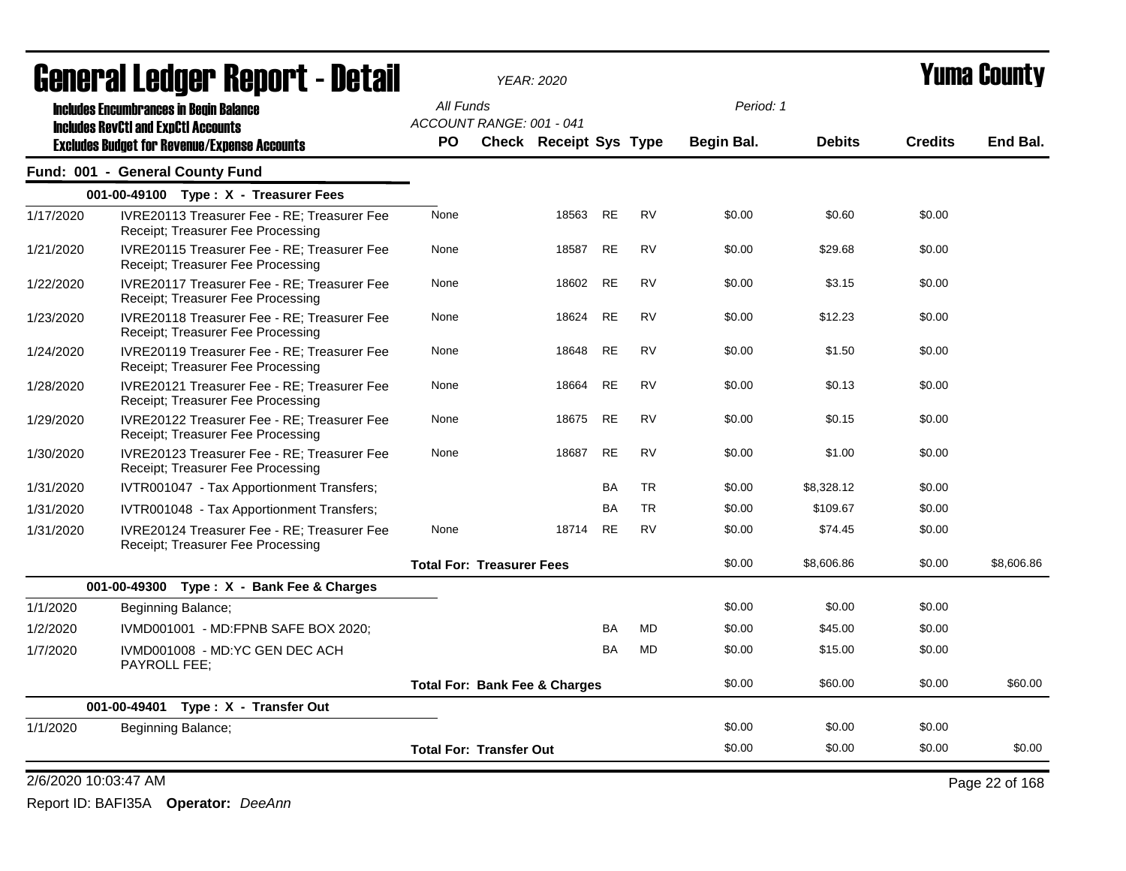|                      | <b>General Ledger Report - Detail</b>                                                   |           |                                          | <b>YEAR: 2020</b>             |           |           |            |               | <b>Yuma County</b> |                |  |
|----------------------|-----------------------------------------------------------------------------------------|-----------|------------------------------------------|-------------------------------|-----------|-----------|------------|---------------|--------------------|----------------|--|
|                      | <b>Includes Encumbrances in Begin Balance</b>                                           | All Funds |                                          |                               |           |           | Period: 1  |               |                    |                |  |
|                      | <b>Includes RevCtI and ExpCtI Accounts</b>                                              |           | ACCOUNT RANGE: 001 - 041                 |                               |           |           |            |               |                    |                |  |
|                      | <b>Excludes Budget for Revenue/Expense Accounts</b>                                     | <b>PO</b> |                                          | <b>Check Receipt Sys Type</b> |           |           | Begin Bal. | <b>Debits</b> | <b>Credits</b>     | End Bal.       |  |
|                      | Fund: 001 - General County Fund                                                         |           |                                          |                               |           |           |            |               |                    |                |  |
|                      | 001-00-49100 Type: X - Treasurer Fees                                                   |           |                                          |                               |           |           |            |               |                    |                |  |
| 1/17/2020            | IVRE20113 Treasurer Fee - RE; Treasurer Fee<br>Receipt; Treasurer Fee Processing        | None      |                                          | 18563                         | <b>RE</b> | <b>RV</b> | \$0.00     | \$0.60        | \$0.00             |                |  |
| 1/21/2020            | IVRE20115 Treasurer Fee - RE; Treasurer Fee<br>Receipt; Treasurer Fee Processing        | None      |                                          | 18587                         | RE        | <b>RV</b> | \$0.00     | \$29.68       | \$0.00             |                |  |
| 1/22/2020            | IVRE20117 Treasurer Fee - RE; Treasurer Fee<br>Receipt; Treasurer Fee Processing        | None      |                                          | 18602                         | RE        | <b>RV</b> | \$0.00     | \$3.15        | \$0.00             |                |  |
| 1/23/2020            | IVRE20118 Treasurer Fee - RE; Treasurer Fee<br>Receipt; Treasurer Fee Processing        | None      |                                          | 18624                         | <b>RE</b> | <b>RV</b> | \$0.00     | \$12.23       | \$0.00             |                |  |
| 1/24/2020            | IVRE20119 Treasurer Fee - RE; Treasurer Fee<br>Receipt; Treasurer Fee Processing        | None      |                                          | 18648                         | <b>RE</b> | <b>RV</b> | \$0.00     | \$1.50        | \$0.00             |                |  |
| 1/28/2020            | <b>IVRE20121 Treasurer Fee - RE: Treasurer Fee</b><br>Receipt; Treasurer Fee Processing | None      |                                          | 18664                         | <b>RE</b> | <b>RV</b> | \$0.00     | \$0.13        | \$0.00             |                |  |
| 1/29/2020            | IVRE20122 Treasurer Fee - RE; Treasurer Fee<br>Receipt; Treasurer Fee Processing        | None      |                                          | 18675                         | <b>RE</b> | <b>RV</b> | \$0.00     | \$0.15        | \$0.00             |                |  |
| 1/30/2020            | IVRE20123 Treasurer Fee - RE: Treasurer Fee<br>Receipt; Treasurer Fee Processing        | None      |                                          | 18687                         | <b>RE</b> | <b>RV</b> | \$0.00     | \$1.00        | \$0.00             |                |  |
| 1/31/2020            | IVTR001047 - Tax Apportionment Transfers;                                               |           |                                          |                               | <b>BA</b> | <b>TR</b> | \$0.00     | \$8,328.12    | \$0.00             |                |  |
| 1/31/2020            | IVTR001048 - Tax Apportionment Transfers;                                               |           |                                          |                               | <b>BA</b> | <b>TR</b> | \$0.00     | \$109.67      | \$0.00             |                |  |
| 1/31/2020            | IVRE20124 Treasurer Fee - RE; Treasurer Fee<br>Receipt; Treasurer Fee Processing        | None      |                                          | 18714                         | <b>RE</b> | <b>RV</b> | \$0.00     | \$74.45       | \$0.00             |                |  |
|                      |                                                                                         |           | <b>Total For: Treasurer Fees</b>         |                               |           |           | \$0.00     | \$8,606.86    | \$0.00             | \$8,606.86     |  |
|                      | 001-00-49300 Type: X - Bank Fee & Charges                                               |           |                                          |                               |           |           |            |               |                    |                |  |
| 1/1/2020             | Beginning Balance;                                                                      |           |                                          |                               |           |           | \$0.00     | \$0.00        | \$0.00             |                |  |
| 1/2/2020             | IVMD001001 - MD:FPNB SAFE BOX 2020;                                                     |           |                                          |                               | <b>BA</b> | <b>MD</b> | \$0.00     | \$45.00       | \$0.00             |                |  |
| 1/7/2020             | IVMD001008 - MD:YC GEN DEC ACH<br>PAYROLL FEE;                                          |           |                                          |                               | <b>BA</b> | <b>MD</b> | \$0.00     | \$15.00       | \$0.00             |                |  |
|                      |                                                                                         |           | <b>Total For: Bank Fee &amp; Charges</b> |                               |           |           | \$0.00     | \$60.00       | \$0.00             | \$60.00        |  |
|                      | 001-00-49401<br>Type: X - Transfer Out                                                  |           |                                          |                               |           |           |            |               |                    |                |  |
| 1/1/2020             | Beginning Balance;                                                                      |           |                                          |                               |           |           | \$0.00     | \$0.00        | \$0.00             |                |  |
|                      |                                                                                         |           | <b>Total For: Transfer Out</b>           |                               |           |           | \$0.00     | \$0.00        | \$0.00             | \$0.00         |  |
| 2/6/2020 10:03:47 AM |                                                                                         |           |                                          |                               |           |           |            |               |                    | Page 22 of 168 |  |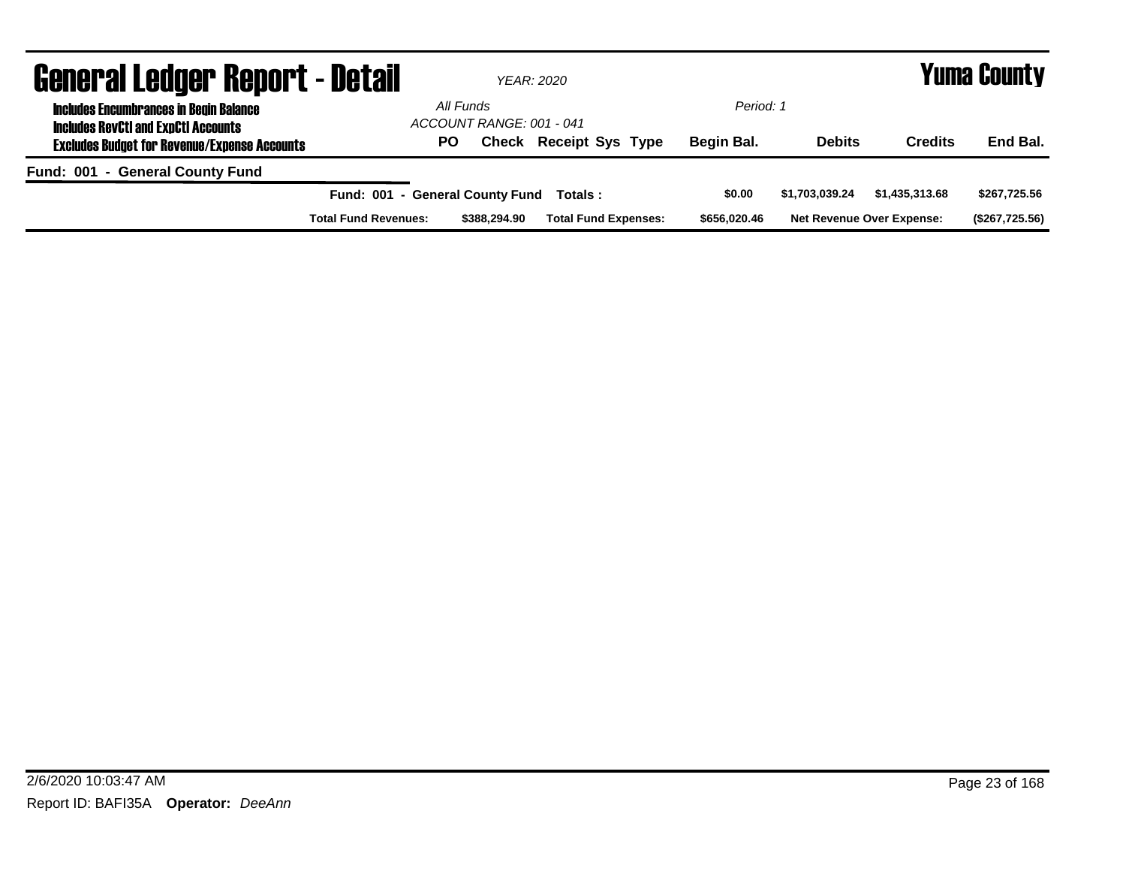| <b>General Ledger Report - Detail</b>                                                       |                                 |                                       | YEAR: 2020                    |              |                |                                  | <b>Yuma County</b> |
|---------------------------------------------------------------------------------------------|---------------------------------|---------------------------------------|-------------------------------|--------------|----------------|----------------------------------|--------------------|
| <b>Includes Encumbrances in Begin Balance</b><br><b>Includes RevCtI and ExpCtI Accounts</b> |                                 | All Funds<br>ACCOUNT RANGE: 001 - 041 |                               | Period: 1    |                |                                  |                    |
| <b>Excludes Budget for Revenue/Expense Accounts</b>                                         | PO.                             |                                       | <b>Check Receipt Sys Type</b> | Begin Bal.   | <b>Debits</b>  | <b>Credits</b>                   | End Bal.           |
| Fund: 001 - General County Fund                                                             |                                 |                                       |                               |              |                |                                  |                    |
|                                                                                             | Fund: 001 - General County Fund |                                       | Totals:                       | \$0.00       | \$1.703.039.24 | \$1,435,313.68                   | \$267,725.56       |
|                                                                                             | <b>Total Fund Revenues:</b>     | \$388,294.90                          | <b>Total Fund Expenses:</b>   | \$656,020,46 |                | <b>Net Revenue Over Expense:</b> | (\$267,725.56)     |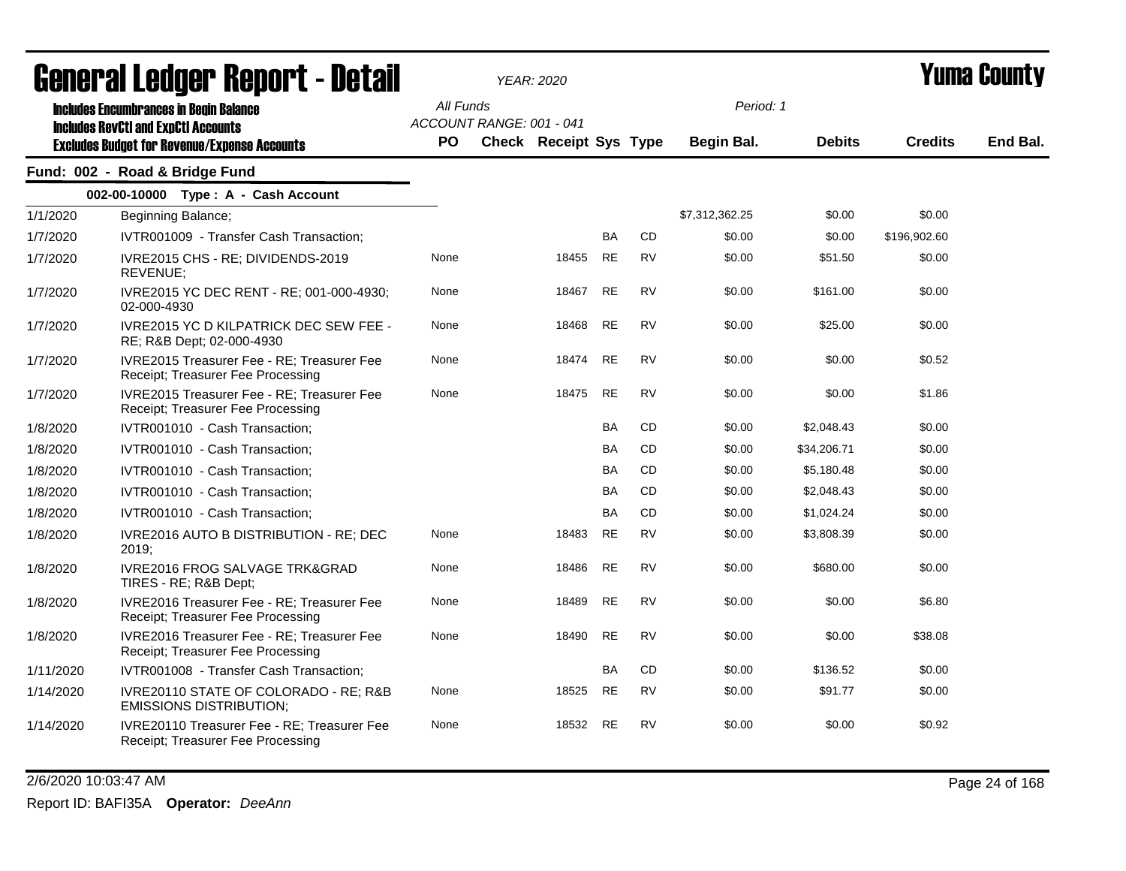|           | <b>agiigi.gi fanñai. ughni. ( - natsii</b>                                                                                                         |                  |                          | YEAR: 2020                    |           |           |                         |               |                | T UIIIA VUUIILY |
|-----------|----------------------------------------------------------------------------------------------------------------------------------------------------|------------------|--------------------------|-------------------------------|-----------|-----------|-------------------------|---------------|----------------|-----------------|
|           | <b>Includes Encumbrances in Begin Balance</b><br><b>Includes RevCtI and ExpCtI Accounts</b><br><b>Excludes Budget for Revenue/Expense Accounts</b> | All Funds<br>PO. | ACCOUNT RANGE: 001 - 041 | <b>Check Receipt Sys Type</b> |           |           | Period: 1<br>Begin Bal. | <b>Debits</b> | <b>Credits</b> | End Bal.        |
|           | Fund: 002 - Road & Bridge Fund                                                                                                                     |                  |                          |                               |           |           |                         |               |                |                 |
|           | 002-00-10000 Type: A - Cash Account                                                                                                                |                  |                          |                               |           |           |                         |               |                |                 |
| 1/1/2020  | Beginning Balance;                                                                                                                                 |                  |                          |                               |           |           | \$7,312,362.25          | \$0.00        | \$0.00         |                 |
| 1/7/2020  | IVTR001009 - Transfer Cash Transaction;                                                                                                            |                  |                          |                               | BA        | CD        | \$0.00                  | \$0.00        | \$196,902.60   |                 |
| 1/7/2020  | IVRE2015 CHS - RE; DIVIDENDS-2019<br>REVENUE;                                                                                                      | None             |                          | 18455                         | <b>RE</b> | <b>RV</b> | \$0.00                  | \$51.50       | \$0.00         |                 |
| 1/7/2020  | IVRE2015 YC DEC RENT - RE; 001-000-4930;<br>02-000-4930                                                                                            | None             |                          | 18467                         | <b>RE</b> | <b>RV</b> | \$0.00                  | \$161.00      | \$0.00         |                 |
| 1/7/2020  | <b>IVRE2015 YC D KILPATRICK DEC SEW FEE -</b><br>RE; R&B Dept; 02-000-4930                                                                         | None             |                          | 18468                         | <b>RE</b> | <b>RV</b> | \$0.00                  | \$25.00       | \$0.00         |                 |
| 1/7/2020  | IVRE2015 Treasurer Fee - RE; Treasurer Fee<br>Receipt; Treasurer Fee Processing                                                                    | None             |                          | 18474                         | <b>RE</b> | <b>RV</b> | \$0.00                  | \$0.00        | \$0.52         |                 |
| 1/7/2020  | IVRE2015 Treasurer Fee - RE; Treasurer Fee<br>Receipt; Treasurer Fee Processing                                                                    | None             |                          | 18475                         | <b>RE</b> | <b>RV</b> | \$0.00                  | \$0.00        | \$1.86         |                 |
| 1/8/2020  | IVTR001010 - Cash Transaction;                                                                                                                     |                  |                          |                               | BA        | CD        | \$0.00                  | \$2,048.43    | \$0.00         |                 |
| 1/8/2020  | IVTR001010 - Cash Transaction;                                                                                                                     |                  |                          |                               | BA        | <b>CD</b> | \$0.00                  | \$34,206.71   | \$0.00         |                 |
| 1/8/2020  | IVTR001010 - Cash Transaction;                                                                                                                     |                  |                          |                               | BA        | <b>CD</b> | \$0.00                  | \$5,180.48    | \$0.00         |                 |
| 1/8/2020  | IVTR001010 - Cash Transaction;                                                                                                                     |                  |                          |                               | <b>BA</b> | CD        | \$0.00                  | \$2,048.43    | \$0.00         |                 |
| 1/8/2020  | IVTR001010 - Cash Transaction;                                                                                                                     |                  |                          |                               | BA        | CD        | \$0.00                  | \$1,024.24    | \$0.00         |                 |
| 1/8/2020  | IVRE2016 AUTO B DISTRIBUTION - RE; DEC<br>2019;                                                                                                    | None             |                          | 18483                         | <b>RE</b> | <b>RV</b> | \$0.00                  | \$3,808.39    | \$0.00         |                 |
| 1/8/2020  | IVRE2016 FROG SALVAGE TRK&GRAD<br>TIRES - RE; R&B Dept;                                                                                            | None             |                          | 18486                         | <b>RE</b> | <b>RV</b> | \$0.00                  | \$680.00      | \$0.00         |                 |
| 1/8/2020  | IVRE2016 Treasurer Fee - RE; Treasurer Fee<br>Receipt; Treasurer Fee Processing                                                                    | None             |                          | 18489                         | <b>RE</b> | <b>RV</b> | \$0.00                  | \$0.00        | \$6.80         |                 |
| 1/8/2020  | IVRE2016 Treasurer Fee - RE; Treasurer Fee<br>Receipt; Treasurer Fee Processing                                                                    | None             |                          | 18490                         | <b>RE</b> | <b>RV</b> | \$0.00                  | \$0.00        | \$38.08        |                 |
| 1/11/2020 | IVTR001008 - Transfer Cash Transaction:                                                                                                            |                  |                          |                               | BA        | CD        | \$0.00                  | \$136.52      | \$0.00         |                 |
| 1/14/2020 | IVRE20110 STATE OF COLORADO - RE; R&B<br><b>EMISSIONS DISTRIBUTION;</b>                                                                            | None             |                          | 18525                         | <b>RE</b> | <b>RV</b> | \$0.00                  | \$91.77       | \$0.00         |                 |
| 1/14/2020 | IVRE20110 Treasurer Fee - RE; Treasurer Fee<br>Receipt; Treasurer Fee Processing                                                                   | None             |                          | 18532                         | <b>RE</b> | <b>RV</b> | \$0.00                  | \$0.00        | \$0.92         |                 |

2/6/2020 10:03:47 AM Page 24 of 168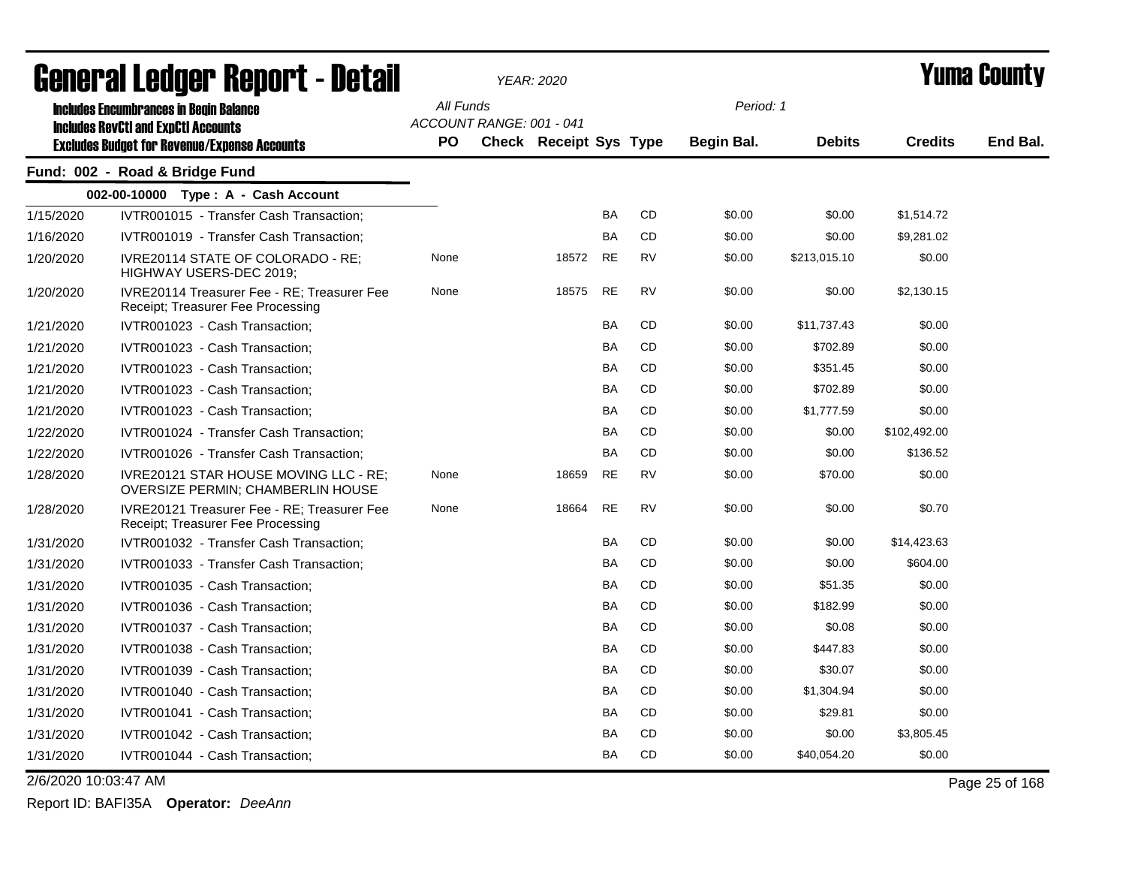|                      | <b>agual.gi fanàri. Ughal.r - Detsii</b>                                         |           |                          | YEAR: 2020                    |           |           |            | I UIIIA VUUIILY |                |                |
|----------------------|----------------------------------------------------------------------------------|-----------|--------------------------|-------------------------------|-----------|-----------|------------|-----------------|----------------|----------------|
|                      | <b>Includes Encumbrances in Begin Balance</b>                                    | All Funds |                          |                               |           |           | Period: 1  |                 |                |                |
|                      | <b>Includes RevCtI and ExpCtI Accounts</b>                                       |           | ACCOUNT RANGE: 001 - 041 |                               |           |           |            |                 |                |                |
|                      | <b>Excludes Budget for Revenue/Expense Accounts</b>                              | <b>PO</b> |                          | <b>Check Receipt Sys Type</b> |           |           | Begin Bal. | <b>Debits</b>   | <b>Credits</b> | End Bal.       |
|                      | Fund: 002 - Road & Bridge Fund                                                   |           |                          |                               |           |           |            |                 |                |                |
|                      | 002-00-10000 Type: A - Cash Account                                              |           |                          |                               |           |           |            |                 |                |                |
| 1/15/2020            | IVTR001015 - Transfer Cash Transaction;                                          |           |                          |                               | BA        | <b>CD</b> | \$0.00     | \$0.00          | \$1,514.72     |                |
| 1/16/2020            | IVTR001019 - Transfer Cash Transaction;                                          |           |                          |                               | <b>BA</b> | CD        | \$0.00     | \$0.00          | \$9,281.02     |                |
| 1/20/2020            | IVRE20114 STATE OF COLORADO - RE:<br>HIGHWAY USERS-DEC 2019;                     | None      |                          | 18572                         | <b>RE</b> | <b>RV</b> | \$0.00     | \$213,015.10    | \$0.00         |                |
| 1/20/2020            | IVRE20114 Treasurer Fee - RE; Treasurer Fee<br>Receipt; Treasurer Fee Processing | None      |                          | 18575                         | <b>RE</b> | <b>RV</b> | \$0.00     | \$0.00          | \$2,130.15     |                |
| 1/21/2020            | IVTR001023 - Cash Transaction;                                                   |           |                          |                               | BA        | <b>CD</b> | \$0.00     | \$11,737.43     | \$0.00         |                |
| 1/21/2020            | IVTR001023 - Cash Transaction;                                                   |           |                          |                               | <b>BA</b> | <b>CD</b> | \$0.00     | \$702.89        | \$0.00         |                |
| 1/21/2020            | IVTR001023 - Cash Transaction;                                                   |           |                          |                               | <b>BA</b> | CD        | \$0.00     | \$351.45        | \$0.00         |                |
| 1/21/2020            | IVTR001023 - Cash Transaction;                                                   |           |                          |                               | <b>BA</b> | <b>CD</b> | \$0.00     | \$702.89        | \$0.00         |                |
| 1/21/2020            | IVTR001023 - Cash Transaction;                                                   |           |                          |                               | <b>BA</b> | <b>CD</b> | \$0.00     | \$1,777.59      | \$0.00         |                |
| 1/22/2020            | IVTR001024 - Transfer Cash Transaction;                                          |           |                          |                               | <b>BA</b> | CD        | \$0.00     | \$0.00          | \$102,492.00   |                |
| 1/22/2020            | IVTR001026 - Transfer Cash Transaction;                                          |           |                          |                               | BA        | CD        | \$0.00     | \$0.00          | \$136.52       |                |
| 1/28/2020            | IVRE20121 STAR HOUSE MOVING LLC - RE;<br>OVERSIZE PERMIN; CHAMBERLIN HOUSE       | None      |                          | 18659                         | <b>RE</b> | <b>RV</b> | \$0.00     | \$70.00         | \$0.00         |                |
| 1/28/2020            | IVRE20121 Treasurer Fee - RE; Treasurer Fee<br>Receipt; Treasurer Fee Processing | None      |                          | 18664                         | <b>RE</b> | <b>RV</b> | \$0.00     | \$0.00          | \$0.70         |                |
| 1/31/2020            | IVTR001032 - Transfer Cash Transaction;                                          |           |                          |                               | <b>BA</b> | CD        | \$0.00     | \$0.00          | \$14,423.63    |                |
| 1/31/2020            | IVTR001033 - Transfer Cash Transaction;                                          |           |                          |                               | <b>BA</b> | <b>CD</b> | \$0.00     | \$0.00          | \$604.00       |                |
| 1/31/2020            | IVTR001035 - Cash Transaction;                                                   |           |                          |                               | BA        | CD        | \$0.00     | \$51.35         | \$0.00         |                |
| 1/31/2020            | IVTR001036 - Cash Transaction:                                                   |           |                          |                               | BA        | CD        | \$0.00     | \$182.99        | \$0.00         |                |
| 1/31/2020            | IVTR001037 - Cash Transaction:                                                   |           |                          |                               | BA        | <b>CD</b> | \$0.00     | \$0.08          | \$0.00         |                |
| 1/31/2020            | IVTR001038 - Cash Transaction;                                                   |           |                          |                               | <b>BA</b> | <b>CD</b> | \$0.00     | \$447.83        | \$0.00         |                |
| 1/31/2020            | IVTR001039 - Cash Transaction;                                                   |           |                          |                               | BA        | CD        | \$0.00     | \$30.07         | \$0.00         |                |
| 1/31/2020            | IVTR001040 - Cash Transaction;                                                   |           |                          |                               | <b>BA</b> | <b>CD</b> | \$0.00     | \$1,304.94      | \$0.00         |                |
| 1/31/2020            | IVTR001041 - Cash Transaction;                                                   |           |                          |                               | <b>BA</b> | <b>CD</b> | \$0.00     | \$29.81         | \$0.00         |                |
| 1/31/2020            | IVTR001042 - Cash Transaction;                                                   |           |                          |                               | <b>BA</b> | CD        | \$0.00     | \$0.00          | \$3,805.45     |                |
| 1/31/2020            | IVTR001044 - Cash Transaction;                                                   |           |                          |                               | <b>BA</b> | CD        | \$0.00     | \$40,054.20     | \$0.00         |                |
| 2/6/2020 10:03:47 AM |                                                                                  |           |                          |                               |           |           |            |                 |                | Page 25 of 168 |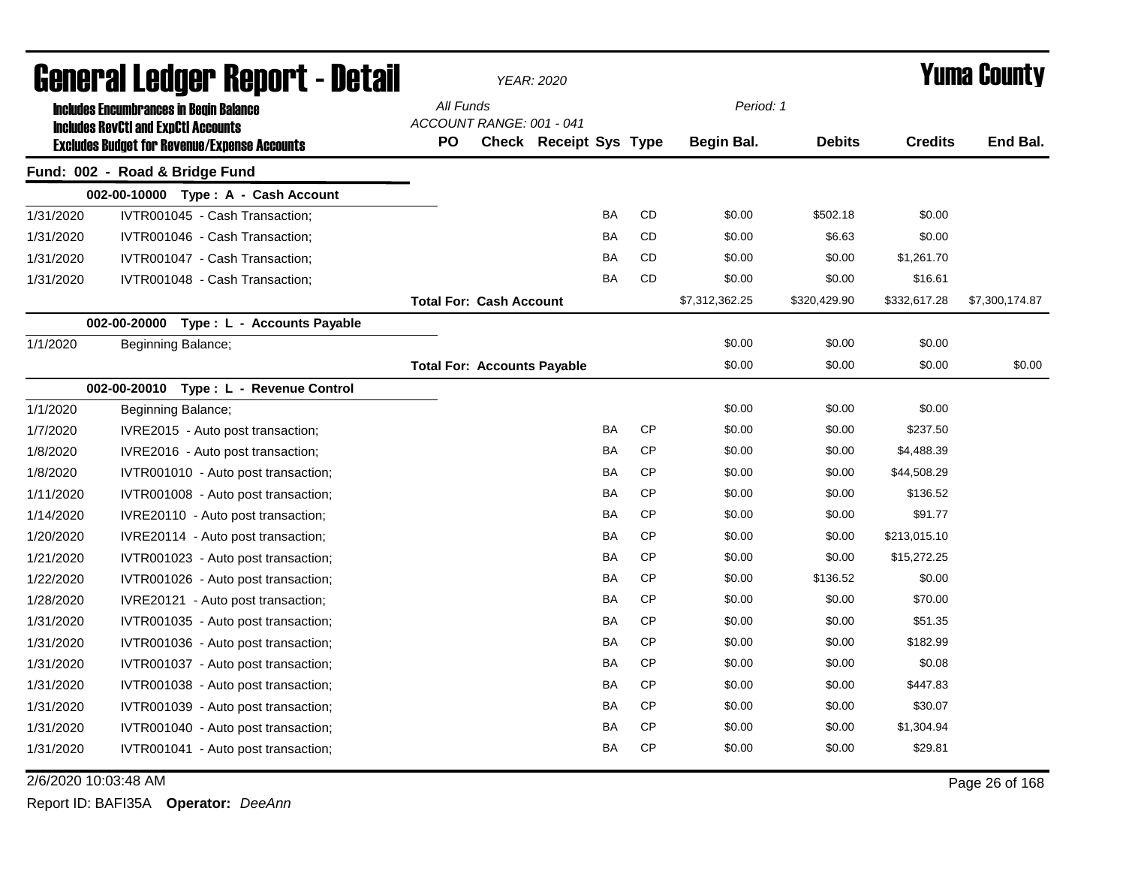| <b>General Ledger Report - Detail</b> |                                                                                                   |           |                                    | YEAR: 2020                    |           |           |                | <b>Yuma County</b> |                |                |  |
|---------------------------------------|---------------------------------------------------------------------------------------------------|-----------|------------------------------------|-------------------------------|-----------|-----------|----------------|--------------------|----------------|----------------|--|
|                                       | <b>Includes Encumbrances in Begin Balance</b>                                                     | All Funds |                                    |                               |           |           | Period: 1      |                    |                |                |  |
|                                       | <b>Includes RevCtI and ExpCtI Accounts</b><br><b>Excludes Budget for Revenue/Expense Accounts</b> | <b>PO</b> | ACCOUNT RANGE: 001 - 041           | <b>Check Receipt Sys Type</b> |           |           | Begin Bal.     | <b>Debits</b>      | <b>Credits</b> | End Bal.       |  |
|                                       | Fund: 002 - Road & Bridge Fund                                                                    |           |                                    |                               |           |           |                |                    |                |                |  |
|                                       | 002-00-10000 Type: A - Cash Account                                                               |           |                                    |                               |           |           |                |                    |                |                |  |
| 1/31/2020                             | IVTR001045 - Cash Transaction;                                                                    |           |                                    |                               | <b>BA</b> | CD        | \$0.00         | \$502.18           | \$0.00         |                |  |
| 1/31/2020                             | IVTR001046 - Cash Transaction;                                                                    |           |                                    |                               | <b>BA</b> | CD        | \$0.00         | \$6.63             | \$0.00         |                |  |
| 1/31/2020                             | IVTR001047 - Cash Transaction;                                                                    |           |                                    |                               | BA        | CD        | \$0.00         | \$0.00             | \$1,261.70     |                |  |
| 1/31/2020                             | IVTR001048 - Cash Transaction;                                                                    |           |                                    |                               | <b>BA</b> | <b>CD</b> | \$0.00         | \$0.00             | \$16.61        |                |  |
|                                       |                                                                                                   |           | <b>Total For: Cash Account</b>     |                               |           |           | \$7,312,362.25 | \$320,429.90       | \$332,617.28   | \$7,300,174.87 |  |
|                                       | 002-00-20000<br>Type : L - Accounts Payable                                                       |           |                                    |                               |           |           |                |                    |                |                |  |
| 1/1/2020                              | Beginning Balance;                                                                                |           |                                    |                               |           |           | \$0.00         | \$0.00             | \$0.00         |                |  |
|                                       |                                                                                                   |           | <b>Total For: Accounts Payable</b> |                               |           |           | \$0.00         | \$0.00             | \$0.00         | \$0.00         |  |
|                                       | 002-00-20010 Type: L - Revenue Control                                                            |           |                                    |                               |           |           |                |                    |                |                |  |
| 1/1/2020                              | Beginning Balance;                                                                                |           |                                    |                               |           |           | \$0.00         | \$0.00             | \$0.00         |                |  |
| 1/7/2020                              | IVRE2015 - Auto post transaction;                                                                 |           |                                    |                               | <b>BA</b> | <b>CP</b> | \$0.00         | \$0.00             | \$237.50       |                |  |
| 1/8/2020                              | IVRE2016 - Auto post transaction;                                                                 |           |                                    |                               | BA        | <b>CP</b> | \$0.00         | \$0.00             | \$4,488.39     |                |  |
| 1/8/2020                              | IVTR001010 - Auto post transaction;                                                               |           |                                    |                               | BA        | <b>CP</b> | \$0.00         | \$0.00             | \$44,508.29    |                |  |
| 1/11/2020                             | IVTR001008 - Auto post transaction;                                                               |           |                                    |                               | <b>BA</b> | CP        | \$0.00         | \$0.00             | \$136.52       |                |  |
| 1/14/2020                             | IVRE20110 - Auto post transaction;                                                                |           |                                    |                               | BA        | CP        | \$0.00         | \$0.00             | \$91.77        |                |  |
| 1/20/2020                             | IVRE20114 - Auto post transaction;                                                                |           |                                    |                               | <b>BA</b> | CP        | \$0.00         | \$0.00             | \$213,015.10   |                |  |
| 1/21/2020                             | IVTR001023 - Auto post transaction;                                                               |           |                                    |                               | <b>BA</b> | CP        | \$0.00         | \$0.00             | \$15,272.25    |                |  |
| 1/22/2020                             | IVTR001026 - Auto post transaction;                                                               |           |                                    |                               | <b>BA</b> | <b>CP</b> | \$0.00         | \$136.52           | \$0.00         |                |  |
| 1/28/2020                             | IVRE20121 - Auto post transaction;                                                                |           |                                    |                               | <b>BA</b> | <b>CP</b> | \$0.00         | \$0.00             | \$70.00        |                |  |
| 1/31/2020                             | IVTR001035 - Auto post transaction;                                                               |           |                                    |                               | <b>BA</b> | <b>CP</b> | \$0.00         | \$0.00             | \$51.35        |                |  |
| 1/31/2020                             | IVTR001036 - Auto post transaction;                                                               |           |                                    |                               | BA        | <b>CP</b> | \$0.00         | \$0.00             | \$182.99       |                |  |
| 1/31/2020                             | IVTR001037 - Auto post transaction;                                                               |           |                                    |                               | BA        | CP        | \$0.00         | \$0.00             | \$0.08         |                |  |
| 1/31/2020                             | IVTR001038 - Auto post transaction;                                                               |           |                                    |                               | <b>BA</b> | CP        | \$0.00         | \$0.00             | \$447.83       |                |  |
| 1/31/2020                             | IVTR001039 - Auto post transaction;                                                               |           |                                    |                               | BA        | <b>CP</b> | \$0.00         | \$0.00             | \$30.07        |                |  |
| 1/31/2020                             | IVTR001040 - Auto post transaction;                                                               |           |                                    |                               | <b>BA</b> | <b>CP</b> | \$0.00         | \$0.00             | \$1,304.94     |                |  |
| 1/31/2020                             | IVTR001041 - Auto post transaction;                                                               |           |                                    |                               | <b>BA</b> | <b>CP</b> | \$0.00         | \$0.00             | \$29.81        |                |  |
|                                       | 2/6/2020 10:03:48 AM                                                                              |           |                                    |                               |           |           |                |                    |                | Page 26 of 168 |  |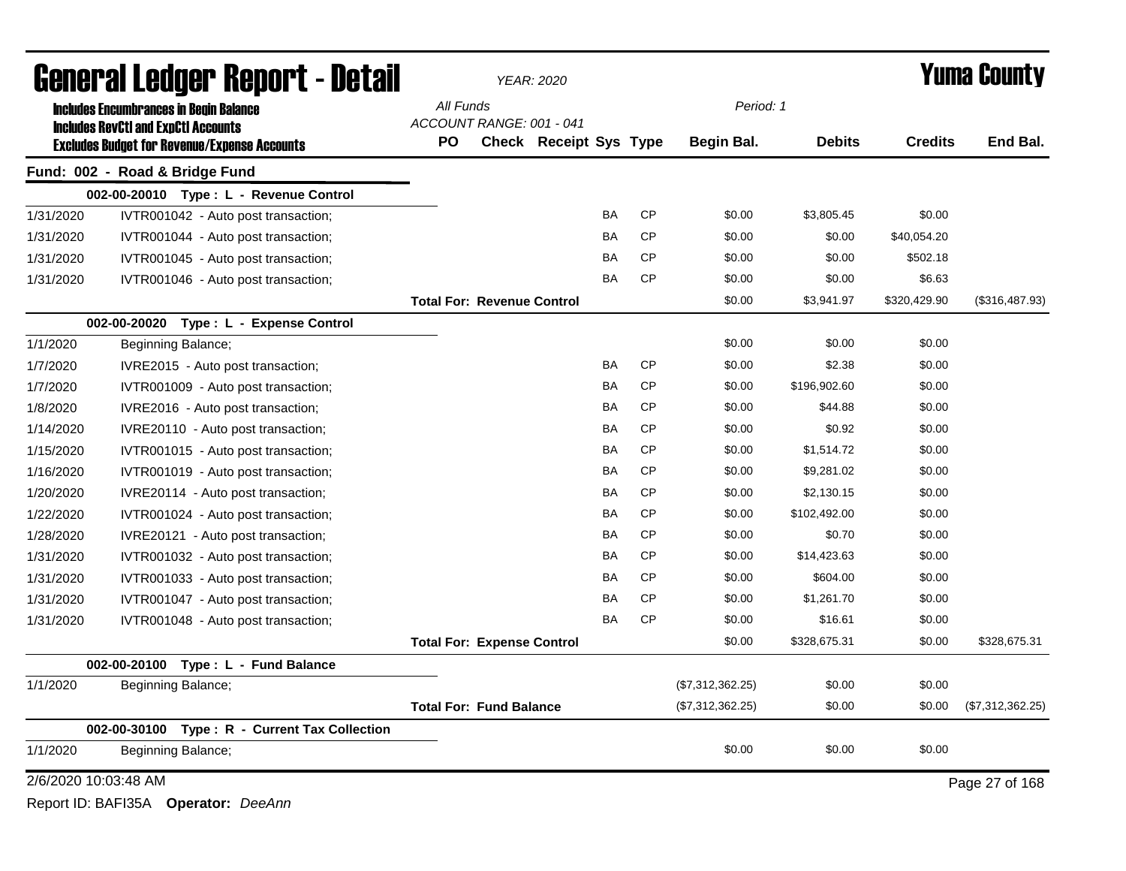| <b>General Ledger Report - Detail</b> |                                                                                                   |           | <b>YEAR: 2020</b>                 |                               |           | <b>Yuma County</b> |                  |               |                |                  |
|---------------------------------------|---------------------------------------------------------------------------------------------------|-----------|-----------------------------------|-------------------------------|-----------|--------------------|------------------|---------------|----------------|------------------|
|                                       | <b>Includes Encumbrances in Begin Balance</b>                                                     | All Funds |                                   |                               |           |                    | Period: 1        |               |                |                  |
|                                       | <b>Includes RevCtI and ExpCtI Accounts</b><br><b>Excludes Budget for Revenue/Expense Accounts</b> | <b>PO</b> | ACCOUNT RANGE: 001 - 041          | <b>Check Receipt Sys Type</b> |           |                    | Begin Bal.       | <b>Debits</b> | <b>Credits</b> | End Bal.         |
|                                       | Fund: 002 - Road & Bridge Fund                                                                    |           |                                   |                               |           |                    |                  |               |                |                  |
|                                       | 002-00-20010 Type: L - Revenue Control                                                            |           |                                   |                               |           |                    |                  |               |                |                  |
| 1/31/2020                             | IVTR001042 - Auto post transaction;                                                               |           |                                   |                               | <b>BA</b> | CP                 | \$0.00           | \$3,805.45    | \$0.00         |                  |
| 1/31/2020                             | IVTR001044 - Auto post transaction;                                                               |           |                                   |                               | BA        | <b>CP</b>          | \$0.00           | \$0.00        | \$40,054.20    |                  |
| 1/31/2020                             | IVTR001045 - Auto post transaction;                                                               |           |                                   |                               | BA        | <b>CP</b>          | \$0.00           | \$0.00        | \$502.18       |                  |
| 1/31/2020                             | IVTR001046 - Auto post transaction;                                                               |           |                                   |                               | BA        | <b>CP</b>          | \$0.00           | \$0.00        | \$6.63         |                  |
|                                       |                                                                                                   |           | <b>Total For: Revenue Control</b> |                               |           |                    | \$0.00           | \$3,941.97    | \$320,429.90   | (\$316,487.93)   |
|                                       | 002-00-20020 Type: L - Expense Control                                                            |           |                                   |                               |           |                    |                  |               |                |                  |
| 1/1/2020                              | Beginning Balance;                                                                                |           |                                   |                               |           |                    | \$0.00           | \$0.00        | \$0.00         |                  |
| 1/7/2020                              | IVRE2015 - Auto post transaction;                                                                 |           |                                   |                               | BA        | <b>CP</b>          | \$0.00           | \$2.38        | \$0.00         |                  |
| 1/7/2020                              | IVTR001009 - Auto post transaction;                                                               |           |                                   |                               | BA        | <b>CP</b>          | \$0.00           | \$196,902.60  | \$0.00         |                  |
| 1/8/2020                              | IVRE2016 - Auto post transaction;                                                                 |           |                                   |                               | BA        | <b>CP</b>          | \$0.00           | \$44.88       | \$0.00         |                  |
| 1/14/2020                             | IVRE20110 - Auto post transaction;                                                                |           |                                   |                               | <b>BA</b> | <b>CP</b>          | \$0.00           | \$0.92        | \$0.00         |                  |
| 1/15/2020                             | IVTR001015 - Auto post transaction;                                                               |           |                                   |                               | BA        | <b>CP</b>          | \$0.00           | \$1,514.72    | \$0.00         |                  |
| 1/16/2020                             | IVTR001019 - Auto post transaction;                                                               |           |                                   |                               | BA        | <b>CP</b>          | \$0.00           | \$9,281.02    | \$0.00         |                  |
| 1/20/2020                             | IVRE20114 - Auto post transaction;                                                                |           |                                   |                               | BA        | <b>CP</b>          | \$0.00           | \$2,130.15    | \$0.00         |                  |
| 1/22/2020                             | IVTR001024 - Auto post transaction;                                                               |           |                                   |                               | BA        | <b>CP</b>          | \$0.00           | \$102,492.00  | \$0.00         |                  |
| 1/28/2020                             | IVRE20121 - Auto post transaction;                                                                |           |                                   |                               | BA        | <b>CP</b>          | \$0.00           | \$0.70        | \$0.00         |                  |
| 1/31/2020                             | IVTR001032 - Auto post transaction;                                                               |           |                                   |                               | <b>BA</b> | <b>CP</b>          | \$0.00           | \$14,423.63   | \$0.00         |                  |
| 1/31/2020                             | IVTR001033 - Auto post transaction;                                                               |           |                                   |                               | <b>BA</b> | <b>CP</b>          | \$0.00           | \$604.00      | \$0.00         |                  |
| 1/31/2020                             | IVTR001047 - Auto post transaction;                                                               |           |                                   |                               | BA        | <b>CP</b>          | \$0.00           | \$1,261.70    | \$0.00         |                  |
| 1/31/2020                             | IVTR001048 - Auto post transaction;                                                               |           |                                   |                               | BA        | <b>CP</b>          | \$0.00           | \$16.61       | \$0.00         |                  |
|                                       |                                                                                                   |           | <b>Total For: Expense Control</b> |                               |           |                    | \$0.00           | \$328,675.31  | \$0.00         | \$328,675.31     |
|                                       | Type: L - Fund Balance<br>002-00-20100                                                            |           |                                   |                               |           |                    |                  |               |                |                  |
| 1/1/2020                              | Beginning Balance;                                                                                |           |                                   |                               |           |                    | (\$7,312,362.25) | \$0.00        | \$0.00         |                  |
|                                       |                                                                                                   |           | <b>Total For: Fund Balance</b>    |                               |           |                    | (\$7,312,362.25) | \$0.00        | \$0.00         | (\$7,312,362.25) |
|                                       | 002-00-30100<br>Type: R - Current Tax Collection                                                  |           |                                   |                               |           |                    |                  |               |                |                  |
| 1/1/2020                              | Beginning Balance;                                                                                |           |                                   |                               |           |                    | \$0.00           | \$0.00        | \$0.00         |                  |
| 2/6/2020 10:03:48 AM                  |                                                                                                   |           |                                   |                               |           |                    |                  |               |                | Page 27 of 168   |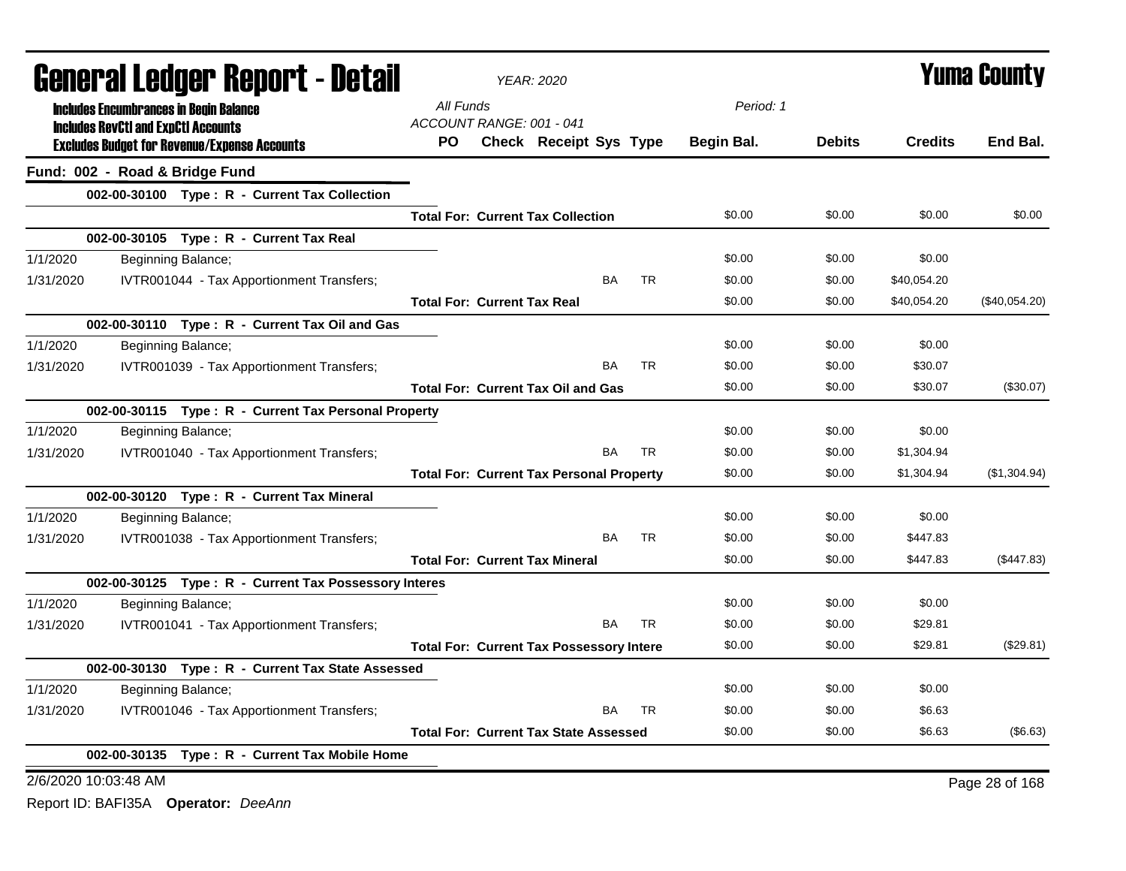| General Ledger Report - Detail<br>All Funds<br><b>Includes Encumbrances in Begin Balance</b>              |               |                |                |  |
|-----------------------------------------------------------------------------------------------------------|---------------|----------------|----------------|--|
|                                                                                                           | Period: 1     |                |                |  |
| ACCOUNT RANGE: 001 - 041<br><b>Includes RevCtI and ExpCtI Accounts</b>                                    |               |                |                |  |
| <b>Check Receipt Sys Type</b><br>Begin Bal.<br>PO.<br><b>Excludes Budget for Revenue/Expense Accounts</b> | <b>Debits</b> | <b>Credits</b> | End Bal.       |  |
| Fund: 002 - Road & Bridge Fund                                                                            |               |                |                |  |
| 002-00-30100 Type: R - Current Tax Collection                                                             |               |                |                |  |
| \$0.00<br><b>Total For: Current Tax Collection</b>                                                        | \$0.00        | \$0.00         | \$0.00         |  |
| 002-00-30105 Type: R - Current Tax Real                                                                   |               |                |                |  |
| 1/1/2020<br>\$0.00<br>Beginning Balance;                                                                  | \$0.00        | \$0.00         |                |  |
| 1/31/2020<br>IVTR001044 - Tax Apportionment Transfers;<br><b>BA</b><br><b>TR</b><br>\$0.00                | \$0.00        | \$40,054.20    |                |  |
| <b>Total For: Current Tax Real</b><br>\$0.00                                                              | \$0.00        | \$40,054.20    | (\$40,054.20)  |  |
| 002-00-30110 Type: R - Current Tax Oil and Gas                                                            |               |                |                |  |
| 1/1/2020<br>\$0.00<br>Beginning Balance;                                                                  | \$0.00        | \$0.00         |                |  |
| <b>BA</b><br><b>TR</b><br>\$0.00<br>1/31/2020<br>IVTR001039 - Tax Apportionment Transfers;                | \$0.00        | \$30.07        |                |  |
| <b>Total For: Current Tax Oil and Gas</b><br>\$0.00                                                       | \$0.00        | \$30.07        | (\$30.07)      |  |
| 002-00-30115 Type: R - Current Tax Personal Property                                                      |               |                |                |  |
| 1/1/2020<br>Beginning Balance;<br>\$0.00                                                                  | \$0.00        | \$0.00         |                |  |
| <b>TR</b><br><b>BA</b><br>1/31/2020<br>IVTR001040 - Tax Apportionment Transfers;<br>\$0.00                | \$0.00        | \$1,304.94     |                |  |
| \$0.00<br><b>Total For: Current Tax Personal Property</b>                                                 | \$0.00        | \$1,304.94     | (\$1,304.94)   |  |
| 002-00-30120 Type: R - Current Tax Mineral                                                                |               |                |                |  |
| 1/1/2020<br>\$0.00<br>Beginning Balance;                                                                  | \$0.00        | \$0.00         |                |  |
| <b>BA</b><br>1/31/2020<br>IVTR001038 - Tax Apportionment Transfers;<br><b>TR</b><br>\$0.00                | \$0.00        | \$447.83       |                |  |
| <b>Total For: Current Tax Mineral</b><br>\$0.00                                                           | \$0.00        | \$447.83       | (\$447.83)     |  |
| 002-00-30125 Type: R - Current Tax Possessory Interes                                                     |               |                |                |  |
| \$0.00<br>1/1/2020<br>Beginning Balance;                                                                  | \$0.00        | \$0.00         |                |  |
| <b>BA</b><br><b>TR</b><br>\$0.00<br>1/31/2020<br>IVTR001041 - Tax Apportionment Transfers;                | \$0.00        | \$29.81        |                |  |
| \$0.00<br><b>Total For: Current Tax Possessory Intere</b>                                                 | \$0.00        | \$29.81        | (\$29.81)      |  |
| 002-00-30130 Type: R - Current Tax State Assessed                                                         |               |                |                |  |
| 1/1/2020<br>Beginning Balance;<br>\$0.00                                                                  | \$0.00        | \$0.00         |                |  |
| 1/31/2020<br>IVTR001046 - Tax Apportionment Transfers;<br><b>BA</b><br><b>TR</b><br>\$0.00                | \$0.00        | \$6.63         |                |  |
| \$0.00<br><b>Total For: Current Tax State Assessed</b>                                                    | \$0.00        | \$6.63         | (\$6.63)       |  |
| 002-00-30135 Type: R - Current Tax Mobile Home                                                            |               |                |                |  |
| 2/6/2020 10:03:48 AM                                                                                      |               |                | Page 28 of 168 |  |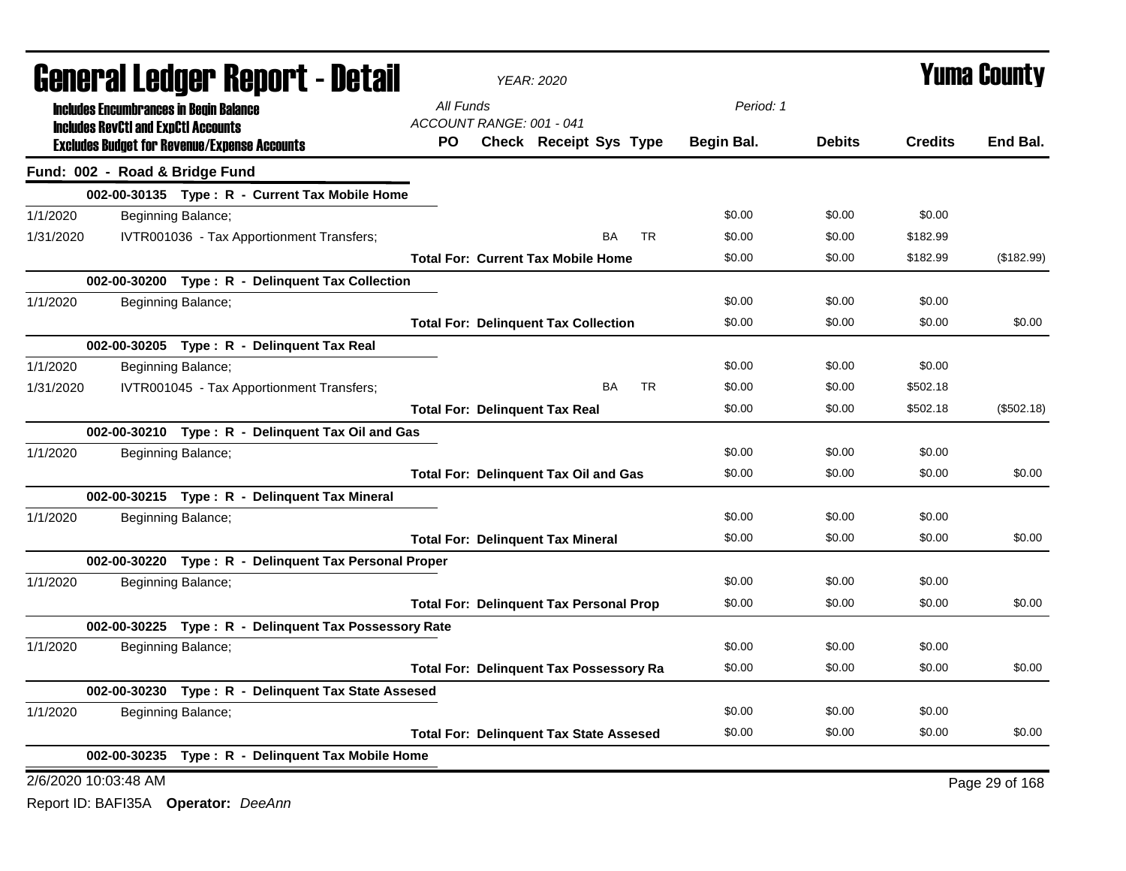| <b>General Ledger Report - Detail</b> |                                            |                                                       |           |                          | <b>YEAR: 2020</b>                              |           |            | <b>Yuma County</b> |                |                |  |
|---------------------------------------|--------------------------------------------|-------------------------------------------------------|-----------|--------------------------|------------------------------------------------|-----------|------------|--------------------|----------------|----------------|--|
|                                       |                                            | <b>Includes Encumbrances in Begin Balance</b>         | All Funds |                          |                                                |           | Period: 1  |                    |                |                |  |
|                                       | <b>Includes RevCtI and ExpCtI Accounts</b> |                                                       |           | ACCOUNT RANGE: 001 - 041 |                                                |           |            |                    |                |                |  |
|                                       |                                            | <b>Excludes Budget for Revenue/Expense Accounts</b>   | PO.       |                          | <b>Check Receipt Sys Type</b>                  |           | Begin Bal. | <b>Debits</b>      | <b>Credits</b> | End Bal.       |  |
|                                       | Fund: 002 - Road & Bridge Fund             |                                                       |           |                          |                                                |           |            |                    |                |                |  |
|                                       |                                            | 002-00-30135 Type: R - Current Tax Mobile Home        |           |                          |                                                |           |            |                    |                |                |  |
| 1/1/2020                              |                                            | Beginning Balance;                                    |           |                          |                                                |           | \$0.00     | \$0.00             | \$0.00         |                |  |
| 1/31/2020                             |                                            | IVTR001036 - Tax Apportionment Transfers;             |           |                          | <b>BA</b>                                      | <b>TR</b> | \$0.00     | \$0.00             | \$182.99       |                |  |
|                                       |                                            |                                                       |           |                          | <b>Total For: Current Tax Mobile Home</b>      |           | \$0.00     | \$0.00             | \$182.99       | (\$182.99)     |  |
|                                       |                                            | 002-00-30200 Type: R - Delinquent Tax Collection      |           |                          |                                                |           |            |                    |                |                |  |
| 1/1/2020                              |                                            | Beginning Balance;                                    |           |                          |                                                |           | \$0.00     | \$0.00             | \$0.00         |                |  |
|                                       |                                            |                                                       |           |                          | <b>Total For: Delinquent Tax Collection</b>    |           | \$0.00     | \$0.00             | \$0.00         | \$0.00         |  |
|                                       |                                            | 002-00-30205 Type: R - Delinquent Tax Real            |           |                          |                                                |           |            |                    |                |                |  |
| 1/1/2020                              |                                            | Beginning Balance;                                    |           |                          |                                                |           | \$0.00     | \$0.00             | \$0.00         |                |  |
| 1/31/2020                             |                                            | IVTR001045 - Tax Apportionment Transfers;             |           |                          | <b>BA</b>                                      | <b>TR</b> | \$0.00     | \$0.00             | \$502.18       |                |  |
|                                       |                                            |                                                       |           |                          | <b>Total For: Delinquent Tax Real</b>          |           | \$0.00     | \$0.00             | \$502.18       | (\$502.18)     |  |
|                                       |                                            | 002-00-30210 Type: R - Delinquent Tax Oil and Gas     |           |                          |                                                |           |            |                    |                |                |  |
| 1/1/2020                              |                                            | Beginning Balance;                                    |           |                          |                                                |           | \$0.00     | \$0.00             | \$0.00         |                |  |
|                                       |                                            |                                                       |           |                          | <b>Total For: Delinquent Tax Oil and Gas</b>   |           | \$0.00     | \$0.00             | \$0.00         | \$0.00         |  |
|                                       |                                            | 002-00-30215 Type: R - Delinquent Tax Mineral         |           |                          |                                                |           |            |                    |                |                |  |
| 1/1/2020                              |                                            | Beginning Balance;                                    |           |                          |                                                |           | \$0.00     | \$0.00             | \$0.00         |                |  |
|                                       |                                            |                                                       |           |                          | <b>Total For: Delinquent Tax Mineral</b>       |           | \$0.00     | \$0.00             | \$0.00         | \$0.00         |  |
|                                       |                                            | 002-00-30220 Type: R - Delinquent Tax Personal Proper |           |                          |                                                |           |            |                    |                |                |  |
| 1/1/2020                              |                                            | Beginning Balance;                                    |           |                          |                                                |           | \$0.00     | \$0.00             | \$0.00         |                |  |
|                                       |                                            |                                                       |           |                          | <b>Total For: Delinquent Tax Personal Prop</b> |           | \$0.00     | \$0.00             | \$0.00         | \$0.00         |  |
|                                       |                                            | 002-00-30225 Type: R - Delinquent Tax Possessory Rate |           |                          |                                                |           |            |                    |                |                |  |
| 1/1/2020                              |                                            | Beginning Balance;                                    |           |                          |                                                |           | \$0.00     | \$0.00             | \$0.00         |                |  |
|                                       |                                            |                                                       |           |                          | <b>Total For: Delinquent Tax Possessory Ra</b> |           | \$0.00     | \$0.00             | \$0.00         | \$0.00         |  |
|                                       |                                            | 002-00-30230 Type: R - Delinquent Tax State Assesed   |           |                          |                                                |           |            |                    |                |                |  |
| 1/1/2020                              |                                            | Beginning Balance;                                    |           |                          |                                                |           | \$0.00     | \$0.00             | \$0.00         |                |  |
|                                       |                                            |                                                       |           |                          | <b>Total For: Delinquent Tax State Assesed</b> |           | \$0.00     | \$0.00             | \$0.00         | \$0.00         |  |
|                                       |                                            | 002-00-30235 Type: R - Delinquent Tax Mobile Home     |           |                          |                                                |           |            |                    |                |                |  |
|                                       | 2/6/2020 10:03:48 AM                       |                                                       |           |                          |                                                |           |            |                    |                | Page 29 of 168 |  |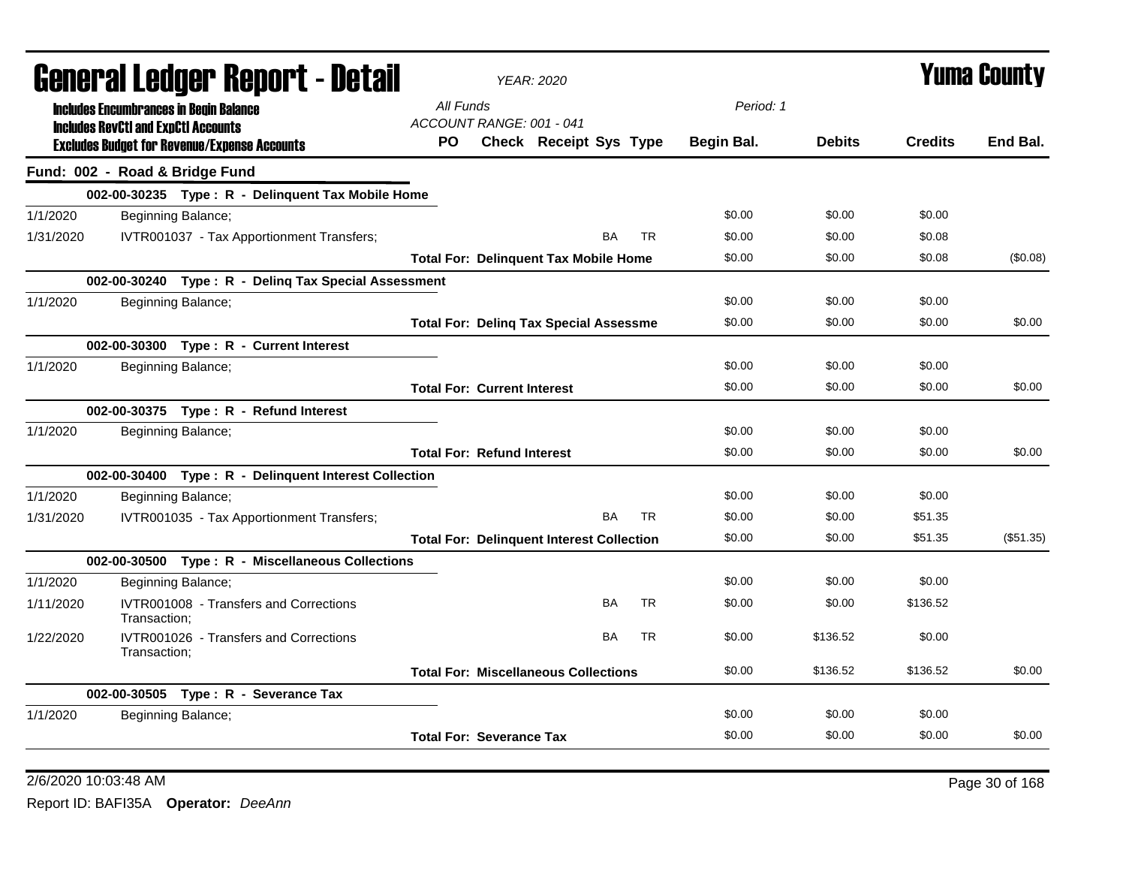|           | General Ledger Report - Detail                                                              | <b>YEAR: 2020</b>                                |            | <b>Yuma County</b> |                |           |  |
|-----------|---------------------------------------------------------------------------------------------|--------------------------------------------------|------------|--------------------|----------------|-----------|--|
|           | <b>Includes Encumbrances in Begin Balance</b><br><b>Includes RevCtI and ExpCtI Accounts</b> | All Funds<br>ACCOUNT RANGE: 001 - 041            | Period: 1  |                    |                |           |  |
|           | <b>Excludes Budget for Revenue/Expense Accounts</b>                                         | <b>PO</b><br>Check Receipt Sys Type              | Begin Bal. | <b>Debits</b>      | <b>Credits</b> | End Bal.  |  |
|           | Fund: 002 - Road & Bridge Fund                                                              |                                                  |            |                    |                |           |  |
|           | 002-00-30235 Type: R - Delinquent Tax Mobile Home                                           |                                                  |            |                    |                |           |  |
| 1/1/2020  | Beginning Balance;                                                                          |                                                  | \$0.00     | \$0.00             | \$0.00         |           |  |
| 1/31/2020 | IVTR001037 - Tax Apportionment Transfers;                                                   | BA<br><b>TR</b>                                  | \$0.00     | \$0.00             | \$0.08         |           |  |
|           |                                                                                             | <b>Total For: Delinquent Tax Mobile Home</b>     | \$0.00     | \$0.00             | \$0.08         | (\$0.08)  |  |
|           | 002-00-30240 Type: R - Deling Tax Special Assessment                                        |                                                  |            |                    |                |           |  |
| 1/1/2020  | Beginning Balance;                                                                          |                                                  | \$0.00     | \$0.00             | \$0.00         |           |  |
|           |                                                                                             | <b>Total For: Deling Tax Special Assessme</b>    | \$0.00     | \$0.00             | \$0.00         | \$0.00    |  |
|           | 002-00-30300 Type: R - Current Interest                                                     |                                                  |            |                    |                |           |  |
| 1/1/2020  | Beginning Balance;                                                                          |                                                  | \$0.00     | \$0.00             | \$0.00         |           |  |
|           |                                                                                             | <b>Total For: Current Interest</b>               | \$0.00     | \$0.00             | \$0.00         | \$0.00    |  |
|           | 002-00-30375 Type: R - Refund Interest                                                      |                                                  |            |                    |                |           |  |
| 1/1/2020  | Beginning Balance;                                                                          |                                                  | \$0.00     | \$0.00             | \$0.00         |           |  |
|           |                                                                                             | <b>Total For: Refund Interest</b>                | \$0.00     | \$0.00             | \$0.00         | \$0.00    |  |
|           | 002-00-30400 Type: R - Delinquent Interest Collection                                       |                                                  |            |                    |                |           |  |
| 1/1/2020  | Beginning Balance;                                                                          |                                                  | \$0.00     | \$0.00             | \$0.00         |           |  |
| 1/31/2020 | IVTR001035 - Tax Apportionment Transfers;                                                   | <b>TR</b><br>BA                                  | \$0.00     | \$0.00             | \$51.35        |           |  |
|           |                                                                                             | <b>Total For: Delinquent Interest Collection</b> | \$0.00     | \$0.00             | \$51.35        | (\$51.35) |  |
|           | 002-00-30500 Type: R - Miscellaneous Collections                                            |                                                  |            |                    |                |           |  |
| 1/1/2020  | Beginning Balance;                                                                          |                                                  | \$0.00     | \$0.00             | \$0.00         |           |  |
| 1/11/2020 | IVTR001008 - Transfers and Corrections<br>Transaction;                                      | <b>TR</b><br><b>BA</b>                           | \$0.00     | \$0.00             | \$136.52       |           |  |
| 1/22/2020 | IVTR001026 - Transfers and Corrections<br>Transaction:                                      | BA<br><b>TR</b>                                  | \$0.00     | \$136.52           | \$0.00         |           |  |
|           |                                                                                             | <b>Total For: Miscellaneous Collections</b>      | \$0.00     | \$136.52           | \$136.52       | \$0.00    |  |
|           | 002-00-30505 Type: R - Severance Tax                                                        |                                                  |            |                    |                |           |  |
| 1/1/2020  | Beginning Balance;                                                                          |                                                  | \$0.00     | \$0.00             | \$0.00         |           |  |
|           |                                                                                             | <b>Total For: Severance Tax</b>                  | \$0.00     | \$0.00             | \$0.00         | \$0.00    |  |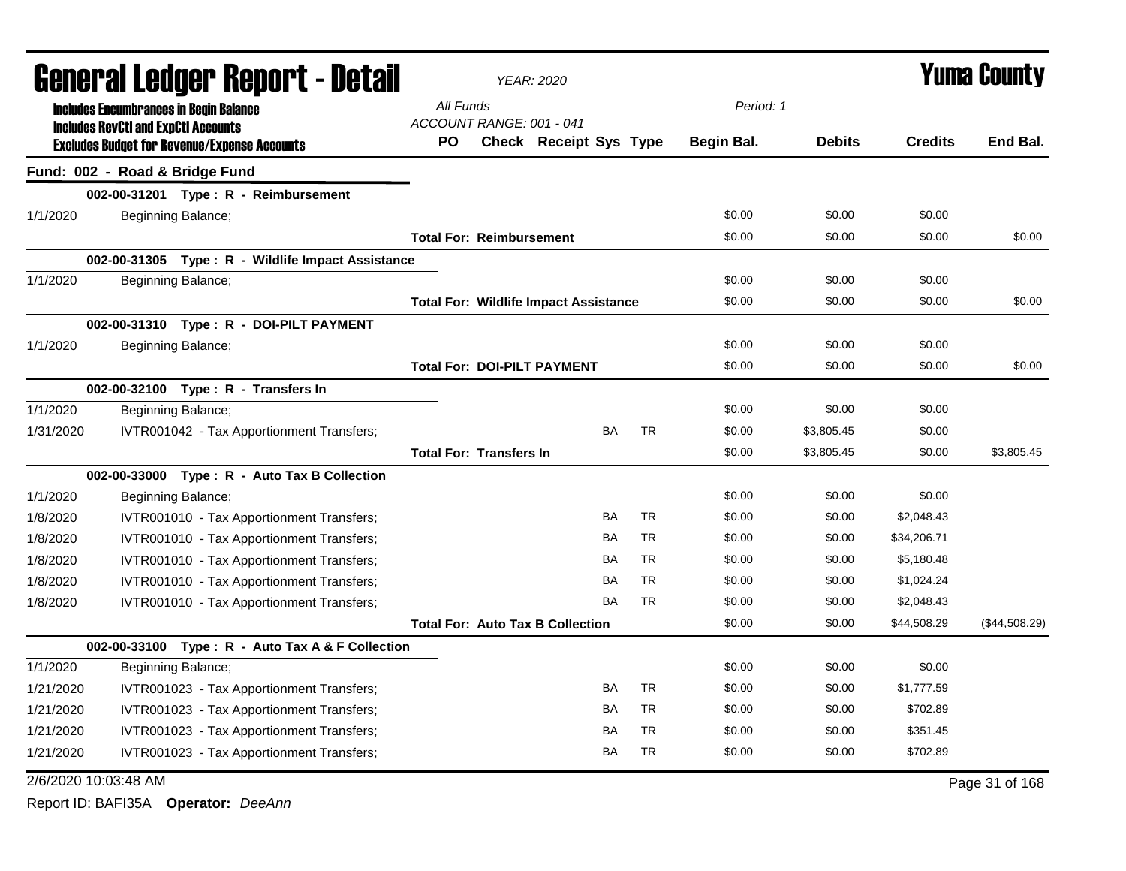| General Ledger Report - Detail |                                            |                                                     |           |                                    | <b>YEAR: 2020</b>                            |           | <b>Yuma County</b> |               |                |                |
|--------------------------------|--------------------------------------------|-----------------------------------------------------|-----------|------------------------------------|----------------------------------------------|-----------|--------------------|---------------|----------------|----------------|
|                                |                                            | <b>Includes Encumbrances in Begin Balance</b>       |           | All Funds                          |                                              |           | Period: 1          |               |                |                |
|                                | <b>Includes RevCtI and ExpCtI Accounts</b> | <b>Excludes Budget for Revenue/Expense Accounts</b> | <b>PO</b> | ACCOUNT RANGE: 001 - 041           | <b>Check Receipt Sys Type</b>                |           | Begin Bal.         | <b>Debits</b> | <b>Credits</b> | End Bal.       |
|                                |                                            | Fund: 002 - Road & Bridge Fund                      |           |                                    |                                              |           |                    |               |                |                |
|                                |                                            | 002-00-31201  Type: R - Reimbursement               |           |                                    |                                              |           |                    |               |                |                |
| 1/1/2020                       |                                            | Beginning Balance;                                  |           |                                    |                                              |           | \$0.00             | \$0.00        | \$0.00         |                |
|                                |                                            |                                                     |           | <b>Total For: Reimbursement</b>    |                                              |           | \$0.00             | \$0.00        | \$0.00         | \$0.00         |
|                                |                                            | 002-00-31305 Type: R - Wildlife Impact Assistance   |           |                                    |                                              |           |                    |               |                |                |
| 1/1/2020                       |                                            | Beginning Balance;                                  |           |                                    |                                              |           | \$0.00             | \$0.00        | \$0.00         |                |
|                                |                                            |                                                     |           |                                    | <b>Total For: Wildlife Impact Assistance</b> |           | \$0.00             | \$0.00        | \$0.00         | \$0.00         |
|                                |                                            | 002-00-31310 Type: R - DOI-PILT PAYMENT             |           |                                    |                                              |           |                    |               |                |                |
| 1/1/2020                       |                                            | Beginning Balance;                                  |           |                                    |                                              |           | \$0.00             | \$0.00        | \$0.00         |                |
|                                |                                            |                                                     |           | <b>Total For: DOI-PILT PAYMENT</b> |                                              |           | \$0.00             | \$0.00        | \$0.00         | \$0.00         |
|                                |                                            | 002-00-32100 Type: R - Transfers In                 |           |                                    |                                              |           |                    |               |                |                |
| 1/1/2020                       |                                            | Beginning Balance;                                  |           |                                    |                                              |           | \$0.00             | \$0.00        | \$0.00         |                |
| 1/31/2020                      |                                            | IVTR001042 - Tax Apportionment Transfers;           |           |                                    | BA                                           | <b>TR</b> | \$0.00             | \$3,805.45    | \$0.00         |                |
|                                |                                            |                                                     |           | <b>Total For: Transfers In</b>     |                                              |           | \$0.00             | \$3,805.45    | \$0.00         | \$3,805.45     |
|                                |                                            | 002-00-33000 Type: R - Auto Tax B Collection        |           |                                    |                                              |           |                    |               |                |                |
| 1/1/2020                       |                                            | Beginning Balance;                                  |           |                                    |                                              |           | \$0.00             | \$0.00        | \$0.00         |                |
| 1/8/2020                       |                                            | IVTR001010 - Tax Apportionment Transfers;           |           |                                    | BA                                           | <b>TR</b> | \$0.00             | \$0.00        | \$2,048.43     |                |
| 1/8/2020                       |                                            | IVTR001010 - Tax Apportionment Transfers;           |           |                                    | BA                                           | <b>TR</b> | \$0.00             | \$0.00        | \$34,206.71    |                |
| 1/8/2020                       |                                            | IVTR001010 - Tax Apportionment Transfers;           |           |                                    | BA                                           | <b>TR</b> | \$0.00             | \$0.00        | \$5,180.48     |                |
| 1/8/2020                       |                                            | IVTR001010 - Tax Apportionment Transfers;           |           |                                    | <b>BA</b>                                    | <b>TR</b> | \$0.00             | \$0.00        | \$1,024.24     |                |
| 1/8/2020                       |                                            | IVTR001010 - Tax Apportionment Transfers;           |           |                                    | <b>BA</b>                                    | <b>TR</b> | \$0.00             | \$0.00        | \$2,048.43     |                |
|                                |                                            |                                                     |           |                                    | <b>Total For: Auto Tax B Collection</b>      |           | \$0.00             | \$0.00        | \$44,508.29    | (\$44,508.29)  |
|                                |                                            | 002-00-33100 Type: R - Auto Tax A & F Collection    |           |                                    |                                              |           |                    |               |                |                |
| 1/1/2020                       |                                            | Beginning Balance;                                  |           |                                    |                                              |           | \$0.00             | \$0.00        | \$0.00         |                |
| 1/21/2020                      |                                            | IVTR001023 - Tax Apportionment Transfers;           |           |                                    | BA                                           | <b>TR</b> | \$0.00             | \$0.00        | \$1,777.59     |                |
| 1/21/2020                      |                                            | IVTR001023 - Tax Apportionment Transfers;           |           |                                    | BA                                           | <b>TR</b> | \$0.00             | \$0.00        | \$702.89       |                |
| 1/21/2020                      |                                            | IVTR001023 - Tax Apportionment Transfers;           |           |                                    | BA                                           | <b>TR</b> | \$0.00             | \$0.00        | \$351.45       |                |
| 1/21/2020                      |                                            | IVTR001023 - Tax Apportionment Transfers;           |           |                                    | BA                                           | <b>TR</b> | \$0.00             | \$0.00        | \$702.89       |                |
|                                | 2/6/2020 10:03:48 AM                       |                                                     |           |                                    |                                              |           |                    |               |                | Page 31 of 168 |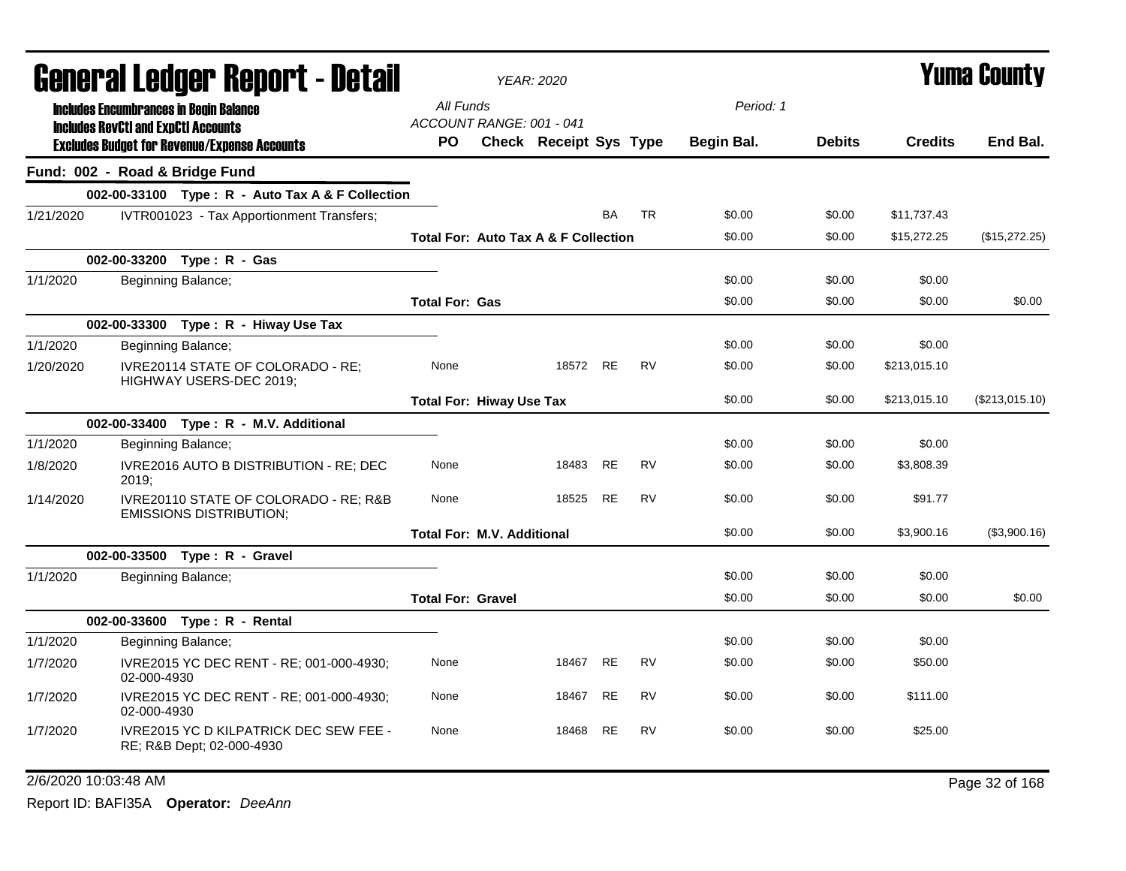|           | <b>General Ledger Report - Detail</b>                                                             |                                   | <b>YEAR: 2020</b>                               |           |           |            | <b>Yuma County</b> |                |                |  |
|-----------|---------------------------------------------------------------------------------------------------|-----------------------------------|-------------------------------------------------|-----------|-----------|------------|--------------------|----------------|----------------|--|
|           | <b>Includes Encumbrances in Begin Balance</b>                                                     | All Funds                         |                                                 |           |           | Period: 1  |                    |                |                |  |
|           | <b>Includes RevCtI and ExpCtI Accounts</b><br><b>Excludes Budget for Revenue/Expense Accounts</b> | ACCOUNT RANGE: 001 - 041<br>PO.   | <b>Check Receipt Sys Type</b>                   |           |           | Begin Bal. | <b>Debits</b>      | <b>Credits</b> | End Bal.       |  |
|           | Fund: 002 - Road & Bridge Fund                                                                    |                                   |                                                 |           |           |            |                    |                |                |  |
|           | 002-00-33100 Type: R - Auto Tax A & F Collection                                                  |                                   |                                                 |           |           |            |                    |                |                |  |
| 1/21/2020 | IVTR001023 - Tax Apportionment Transfers;                                                         |                                   |                                                 | <b>BA</b> | <b>TR</b> | \$0.00     | \$0.00             | \$11,737.43    |                |  |
|           |                                                                                                   |                                   | <b>Total For: Auto Tax A &amp; F Collection</b> |           |           | \$0.00     | \$0.00             | \$15,272.25    | (\$15,272.25)  |  |
|           | 002-00-33200 Type: R - Gas                                                                        |                                   |                                                 |           |           |            |                    |                |                |  |
| 1/1/2020  | Beginning Balance;                                                                                |                                   |                                                 |           |           | \$0.00     | \$0.00             | \$0.00         |                |  |
|           |                                                                                                   | <b>Total For: Gas</b>             |                                                 |           |           | \$0.00     | \$0.00             | \$0.00         | \$0.00         |  |
|           | 002-00-33300 Type: R - Hiway Use Tax                                                              |                                   |                                                 |           |           |            |                    |                |                |  |
| 1/1/2020  | Beginning Balance;                                                                                |                                   |                                                 |           |           | \$0.00     | \$0.00             | \$0.00         |                |  |
| 1/20/2020 | IVRE20114 STATE OF COLORADO - RE;<br>HIGHWAY USERS-DEC 2019;                                      | None                              | 18572 RE                                        |           | <b>RV</b> | \$0.00     | \$0.00             | \$213,015.10   |                |  |
|           |                                                                                                   | <b>Total For: Hiway Use Tax</b>   |                                                 |           |           | \$0.00     | \$0.00             | \$213,015.10   | (\$213,015.10) |  |
|           | 002-00-33400 Type: R - M.V. Additional                                                            |                                   |                                                 |           |           |            |                    |                |                |  |
| 1/1/2020  | Beginning Balance;                                                                                |                                   |                                                 |           |           | \$0.00     | \$0.00             | \$0.00         |                |  |
| 1/8/2020  | IVRE2016 AUTO B DISTRIBUTION - RE; DEC<br>2019:                                                   | None                              | 18483                                           | <b>RE</b> | <b>RV</b> | \$0.00     | \$0.00             | \$3,808.39     |                |  |
| 1/14/2020 | IVRE20110 STATE OF COLORADO - RE; R&B<br><b>EMISSIONS DISTRIBUTION:</b>                           | None                              | 18525                                           | <b>RE</b> | <b>RV</b> | \$0.00     | \$0.00             | \$91.77        |                |  |
|           |                                                                                                   | <b>Total For: M.V. Additional</b> |                                                 |           |           | \$0.00     | \$0.00             | \$3,900.16     | (\$3,900.16)   |  |
|           | 002-00-33500 Type: R - Gravel                                                                     |                                   |                                                 |           |           |            |                    |                |                |  |
| 1/1/2020  | Beginning Balance;                                                                                |                                   |                                                 |           |           | \$0.00     | \$0.00             | \$0.00         |                |  |
|           |                                                                                                   | <b>Total For: Gravel</b>          |                                                 |           |           | \$0.00     | \$0.00             | \$0.00         | \$0.00         |  |
|           | 002-00-33600 Type: R - Rental                                                                     |                                   |                                                 |           |           |            |                    |                |                |  |
| 1/1/2020  | Beginning Balance;                                                                                |                                   |                                                 |           |           | \$0.00     | \$0.00             | \$0.00         |                |  |
| 1/7/2020  | IVRE2015 YC DEC RENT - RE; 001-000-4930;<br>02-000-4930                                           | None                              | 18467                                           | <b>RE</b> | <b>RV</b> | \$0.00     | \$0.00             | \$50.00        |                |  |
| 1/7/2020  | IVRE2015 YC DEC RENT - RE; 001-000-4930;<br>02-000-4930                                           | None                              | 18467                                           | <b>RE</b> | <b>RV</b> | \$0.00     | \$0.00             | \$111.00       |                |  |
| 1/7/2020  | <b>IVRE2015 YC D KILPATRICK DEC SEW FEE -</b><br>RE; R&B Dept; 02-000-4930                        | None                              | 18468                                           | <b>RE</b> | <b>RV</b> | \$0.00     | \$0.00             | \$25.00        |                |  |
|           | 2/6/2020 10:03:48 AM                                                                              |                                   |                                                 |           |           |            |                    |                | Page 32 of 168 |  |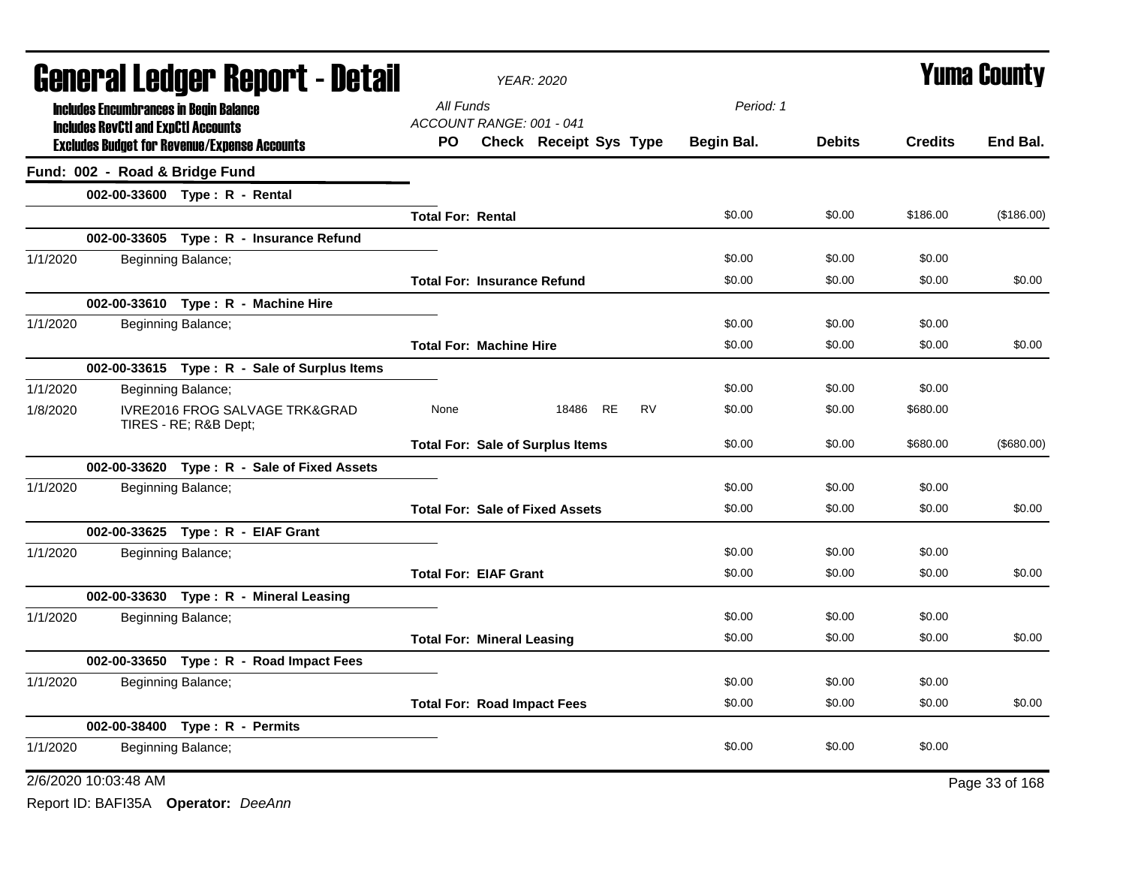| <b>General Ledger Report - Detail</b>                                          | <b>YEAR: 2020</b>                          | <b>Yuma County</b> |               |                |                |
|--------------------------------------------------------------------------------|--------------------------------------------|--------------------|---------------|----------------|----------------|
| <b>Includes Encumbrances in Begin Balance</b>                                  | All Funds                                  | Period: 1          |               |                |                |
| <b>Includes RevCtI and ExpCtI Accounts</b>                                     | ACCOUNT RANGE: 001 - 041                   |                    |               |                |                |
| <b>Excludes Budget for Revenue/Expense Accounts</b>                            | <b>PO</b><br><b>Check Receipt Sys Type</b> | Begin Bal.         | <b>Debits</b> | <b>Credits</b> | End Bal.       |
| Fund: 002 - Road & Bridge Fund                                                 |                                            |                    |               |                |                |
| 002-00-33600 Type: R - Rental                                                  |                                            |                    |               |                |                |
|                                                                                | <b>Total For: Rental</b>                   | \$0.00             | \$0.00        | \$186.00       | (\$186.00)     |
| 002-00-33605 Type: R - Insurance Refund                                        |                                            |                    |               |                |                |
| 1/1/2020<br>Beginning Balance;                                                 |                                            | \$0.00             | \$0.00        | \$0.00         |                |
|                                                                                | <b>Total For: Insurance Refund</b>         | \$0.00             | \$0.00        | \$0.00         | \$0.00         |
| 002-00-33610 Type: R - Machine Hire                                            |                                            |                    |               |                |                |
| 1/1/2020<br>Beginning Balance;                                                 |                                            | \$0.00             | \$0.00        | \$0.00         |                |
|                                                                                | <b>Total For: Machine Hire</b>             | \$0.00             | \$0.00        | \$0.00         | \$0.00         |
| 002-00-33615 Type: R - Sale of Surplus Items                                   |                                            |                    |               |                |                |
| 1/1/2020<br>Beginning Balance;                                                 |                                            | \$0.00             | \$0.00        | \$0.00         |                |
| <b>IVRE2016 FROG SALVAGE TRK&amp;GRAD</b><br>1/8/2020<br>TIRES - RE; R&B Dept; | 18486 RE<br>RV<br>None                     | \$0.00             | \$0.00        | \$680.00       |                |
|                                                                                | <b>Total For: Sale of Surplus Items</b>    | \$0.00             | \$0.00        | \$680.00       | (\$680.00)     |
| 002-00-33620 Type: R - Sale of Fixed Assets                                    |                                            |                    |               |                |                |
| 1/1/2020<br>Beginning Balance;                                                 |                                            | \$0.00             | \$0.00        | \$0.00         |                |
|                                                                                | <b>Total For: Sale of Fixed Assets</b>     | \$0.00             | \$0.00        | \$0.00         | \$0.00         |
| 002-00-33625 Type: R - EIAF Grant                                              |                                            |                    |               |                |                |
| 1/1/2020<br>Beginning Balance;                                                 |                                            | \$0.00             | \$0.00        | \$0.00         |                |
|                                                                                | <b>Total For: EIAF Grant</b>               | \$0.00             | \$0.00        | \$0.00         | \$0.00         |
| 002-00-33630 Type: R - Mineral Leasing                                         |                                            |                    |               |                |                |
| 1/1/2020<br>Beginning Balance;                                                 |                                            | \$0.00             | \$0.00        | \$0.00         |                |
|                                                                                | <b>Total For: Mineral Leasing</b>          | \$0.00             | \$0.00        | \$0.00         | \$0.00         |
| 002-00-33650 Type: R - Road Impact Fees                                        |                                            |                    |               |                |                |
| 1/1/2020<br>Beginning Balance;                                                 |                                            | \$0.00             | \$0.00        | \$0.00         |                |
|                                                                                | <b>Total For: Road Impact Fees</b>         | \$0.00             | \$0.00        | \$0.00         | \$0.00         |
| 002-00-38400 Type: R - Permits                                                 |                                            |                    |               |                |                |
| 1/1/2020<br>Beginning Balance;                                                 |                                            | \$0.00             | \$0.00        | \$0.00         |                |
| 2/6/2020 10:03:48 AM                                                           |                                            |                    |               |                | Page 33 of 168 |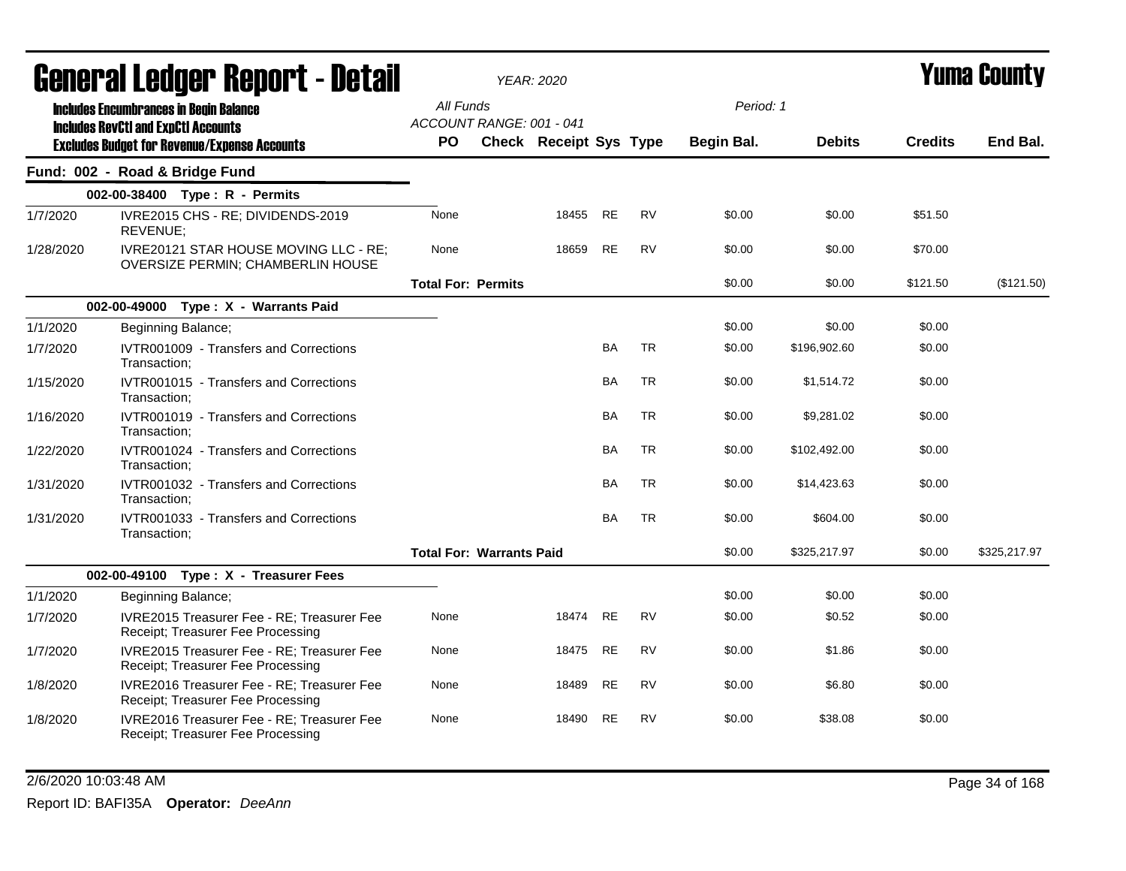|           | General Ledger Report - Detail                                                              |                           | <b>YEAR: 2020</b>               |       |           |           |            | Yuma Countv   |                |              |  |
|-----------|---------------------------------------------------------------------------------------------|---------------------------|---------------------------------|-------|-----------|-----------|------------|---------------|----------------|--------------|--|
|           | <b>Includes Encumbrances in Begin Balance</b><br><b>Includes RevCtI and ExpCtI Accounts</b> | All Funds                 | ACCOUNT RANGE: 001 - 041        |       |           |           | Period: 1  |               |                |              |  |
|           | <b>Excludes Budget for Revenue/Expense Accounts</b>                                         | PO                        | <b>Check Receipt Sys Type</b>   |       |           |           | Begin Bal. | <b>Debits</b> | <b>Credits</b> | End Bal.     |  |
|           | Fund: 002 - Road & Bridge Fund                                                              |                           |                                 |       |           |           |            |               |                |              |  |
|           | 002-00-38400 Type: R - Permits                                                              |                           |                                 |       |           |           |            |               |                |              |  |
| 1/7/2020  | IVRE2015 CHS - RE; DIVIDENDS-2019<br>REVENUE;                                               | None                      |                                 | 18455 | <b>RE</b> | <b>RV</b> | \$0.00     | \$0.00        | \$51.50        |              |  |
| 1/28/2020 | IVRE20121 STAR HOUSE MOVING LLC - RE;<br>OVERSIZE PERMIN; CHAMBERLIN HOUSE                  | None                      |                                 | 18659 | <b>RE</b> | <b>RV</b> | \$0.00     | \$0.00        | \$70.00        |              |  |
|           |                                                                                             | <b>Total For: Permits</b> |                                 |       |           |           | \$0.00     | \$0.00        | \$121.50       | (\$121.50)   |  |
|           | 002-00-49000 Type: X - Warrants Paid                                                        |                           |                                 |       |           |           |            |               |                |              |  |
| 1/1/2020  | Beginning Balance;                                                                          |                           |                                 |       |           |           | \$0.00     | \$0.00        | \$0.00         |              |  |
| 1/7/2020  | IVTR001009 - Transfers and Corrections<br>Transaction:                                      |                           |                                 |       | <b>BA</b> | <b>TR</b> | \$0.00     | \$196,902.60  | \$0.00         |              |  |
| 1/15/2020 | IVTR001015 - Transfers and Corrections<br>Transaction:                                      |                           |                                 |       | <b>BA</b> | <b>TR</b> | \$0.00     | \$1,514.72    | \$0.00         |              |  |
| 1/16/2020 | IVTR001019 - Transfers and Corrections<br>Transaction;                                      |                           |                                 |       | <b>BA</b> | <b>TR</b> | \$0.00     | \$9,281.02    | \$0.00         |              |  |
| 1/22/2020 | IVTR001024 - Transfers and Corrections<br>Transaction:                                      |                           |                                 |       | <b>BA</b> | <b>TR</b> | \$0.00     | \$102,492.00  | \$0.00         |              |  |
| 1/31/2020 | IVTR001032 - Transfers and Corrections<br>Transaction;                                      |                           |                                 |       | <b>BA</b> | <b>TR</b> | \$0.00     | \$14,423.63   | \$0.00         |              |  |
| 1/31/2020 | IVTR001033 - Transfers and Corrections<br>Transaction:                                      |                           |                                 |       | <b>BA</b> | <b>TR</b> | \$0.00     | \$604.00      | \$0.00         |              |  |
|           |                                                                                             |                           | <b>Total For: Warrants Paid</b> |       |           |           | \$0.00     | \$325,217.97  | \$0.00         | \$325,217.97 |  |
|           | 002-00-49100 Type: X - Treasurer Fees                                                       |                           |                                 |       |           |           |            |               |                |              |  |
| 1/1/2020  | Beginning Balance;                                                                          |                           |                                 |       |           |           | \$0.00     | \$0.00        | \$0.00         |              |  |
| 1/7/2020  | IVRE2015 Treasurer Fee - RE; Treasurer Fee<br>Receipt; Treasurer Fee Processing             | None                      |                                 | 18474 | <b>RE</b> | <b>RV</b> | \$0.00     | \$0.52        | \$0.00         |              |  |
| 1/7/2020  | IVRE2015 Treasurer Fee - RE; Treasurer Fee<br>Receipt; Treasurer Fee Processing             | None                      |                                 | 18475 | RE        | <b>RV</b> | \$0.00     | \$1.86        | \$0.00         |              |  |
| 1/8/2020  | IVRE2016 Treasurer Fee - RE; Treasurer Fee<br>Receipt; Treasurer Fee Processing             | None                      |                                 | 18489 | RE        | <b>RV</b> | \$0.00     | \$6.80        | \$0.00         |              |  |
| 1/8/2020  | IVRE2016 Treasurer Fee - RE; Treasurer Fee<br>Receipt; Treasurer Fee Processing             | None                      |                                 | 18490 | <b>RE</b> | <b>RV</b> | \$0.00     | \$38.08       | \$0.00         |              |  |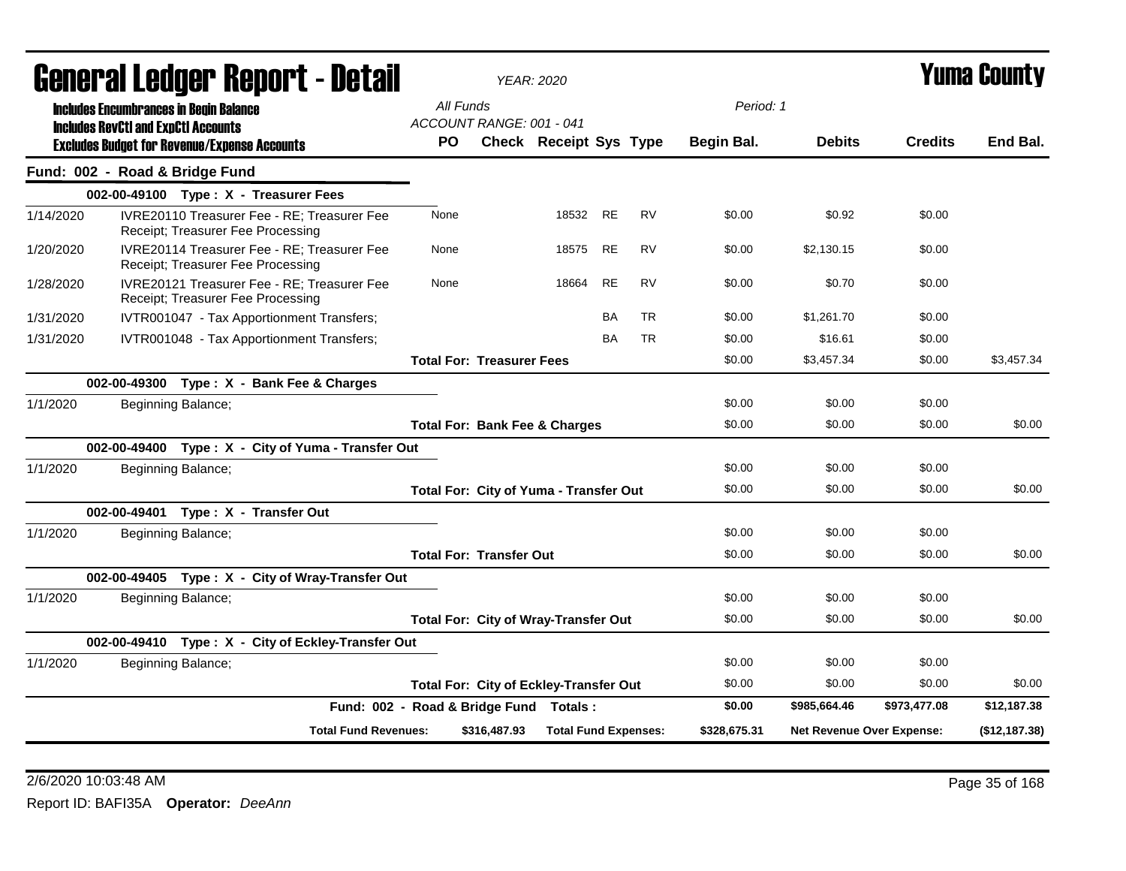|           |                                            | qangi.si fanñal. Kehol. ( - darsii                                               |                                        |           |                                               | YEAR: 2020                    |           |           |                   |                                  |                | Tunia Gounty  |  |  |
|-----------|--------------------------------------------|----------------------------------------------------------------------------------|----------------------------------------|-----------|-----------------------------------------------|-------------------------------|-----------|-----------|-------------------|----------------------------------|----------------|---------------|--|--|
|           |                                            | <b>Includes Encumbrances in Begin Balance</b>                                    |                                        | All Funds | ACCOUNT RANGE: 001 - 041                      |                               |           |           | Period: 1         |                                  |                |               |  |  |
|           | <b>Includes RevCtI and ExpCtI Accounts</b> | <b>Excludes Budget for Revenue/Expense Accounts</b>                              |                                        | PO.       |                                               | <b>Check Receipt Sys Type</b> |           |           | <b>Begin Bal.</b> | <b>Debits</b>                    | <b>Credits</b> | End Bal.      |  |  |
|           |                                            | Fund: 002 - Road & Bridge Fund                                                   |                                        |           |                                               |                               |           |           |                   |                                  |                |               |  |  |
|           |                                            | 002-00-49100 Type: X - Treasurer Fees                                            |                                        |           |                                               |                               |           |           |                   |                                  |                |               |  |  |
| 1/14/2020 |                                            | IVRE20110 Treasurer Fee - RE; Treasurer Fee<br>Receipt; Treasurer Fee Processing |                                        | None      |                                               | 18532 RE                      |           | <b>RV</b> | \$0.00            | \$0.92                           | \$0.00         |               |  |  |
| 1/20/2020 |                                            | IVRE20114 Treasurer Fee - RE; Treasurer Fee<br>Receipt; Treasurer Fee Processing |                                        | None      |                                               | 18575 RE                      |           | RV        | \$0.00            | \$2,130.15                       | \$0.00         |               |  |  |
| 1/28/2020 |                                            | IVRE20121 Treasurer Fee - RE; Treasurer Fee<br>Receipt; Treasurer Fee Processing |                                        | None      |                                               | 18664                         | <b>RE</b> | <b>RV</b> | \$0.00            | \$0.70                           | \$0.00         |               |  |  |
| 1/31/2020 |                                            | IVTR001047 - Tax Apportionment Transfers;                                        |                                        |           |                                               |                               | <b>BA</b> | <b>TR</b> | \$0.00            | \$1,261.70                       | \$0.00         |               |  |  |
| 1/31/2020 |                                            | IVTR001048 - Tax Apportionment Transfers;                                        |                                        |           |                                               |                               | <b>BA</b> | <b>TR</b> | \$0.00            | \$16.61                          | \$0.00         |               |  |  |
|           |                                            |                                                                                  |                                        |           | <b>Total For: Treasurer Fees</b>              |                               |           |           | \$0.00            | \$3,457.34                       | \$0.00         | \$3,457.34    |  |  |
|           |                                            | 002-00-49300 Type: X - Bank Fee & Charges                                        |                                        |           |                                               |                               |           |           |                   |                                  |                |               |  |  |
| 1/1/2020  |                                            | Beginning Balance;                                                               |                                        |           |                                               |                               |           |           | \$0.00            | \$0.00                           | \$0.00         |               |  |  |
|           |                                            |                                                                                  |                                        |           | <b>Total For: Bank Fee &amp; Charges</b>      |                               |           |           | \$0.00            | \$0.00                           | \$0.00         | \$0.00        |  |  |
|           |                                            | 002-00-49400 Type: X - City of Yuma - Transfer Out                               |                                        |           |                                               |                               |           |           |                   |                                  |                |               |  |  |
| 1/1/2020  |                                            | Beginning Balance;                                                               |                                        |           |                                               |                               |           |           | \$0.00            | \$0.00                           | \$0.00         |               |  |  |
|           |                                            |                                                                                  |                                        |           | <b>Total For: City of Yuma - Transfer Out</b> |                               |           |           | \$0.00            | \$0.00                           | \$0.00         | \$0.00        |  |  |
|           |                                            | 002-00-49401 Type: X - Transfer Out                                              |                                        |           |                                               |                               |           |           |                   |                                  |                |               |  |  |
| 1/1/2020  |                                            | Beginning Balance;                                                               |                                        |           |                                               |                               |           |           | \$0.00            | \$0.00                           | \$0.00         |               |  |  |
|           |                                            |                                                                                  |                                        |           | <b>Total For: Transfer Out</b>                |                               |           |           | \$0.00            | \$0.00                           | \$0.00         | \$0.00        |  |  |
|           |                                            | 002-00-49405 Type: X - City of Wray-Transfer Out                                 |                                        |           |                                               |                               |           |           |                   |                                  |                |               |  |  |
| 1/1/2020  |                                            | Beginning Balance;                                                               |                                        |           |                                               |                               |           |           | \$0.00            | \$0.00                           | \$0.00         |               |  |  |
|           |                                            |                                                                                  |                                        |           | <b>Total For: City of Wray-Transfer Out</b>   |                               |           |           | \$0.00            | \$0.00                           | \$0.00         | \$0.00        |  |  |
|           |                                            | 002-00-49410 Type: X - City of Eckley-Transfer Out                               |                                        |           |                                               |                               |           |           |                   |                                  |                |               |  |  |
| 1/1/2020  |                                            | Beginning Balance;                                                               |                                        |           |                                               |                               |           |           | \$0.00            | \$0.00                           | \$0.00         |               |  |  |
|           |                                            |                                                                                  |                                        |           | <b>Total For: City of Eckley-Transfer Out</b> |                               |           |           | \$0.00            | \$0.00                           | \$0.00         | \$0.00        |  |  |
|           |                                            |                                                                                  | Fund: 002 - Road & Bridge Fund Totals: |           |                                               |                               |           |           | \$0.00            | \$985,664.46                     | \$973,477.08   | \$12,187.38   |  |  |
|           |                                            |                                                                                  | <b>Total Fund Revenues:</b>            |           | \$316,487.93                                  | <b>Total Fund Expenses:</b>   |           |           | \$328,675.31      | <b>Net Revenue Over Expense:</b> |                | (\$12,187.38) |  |  |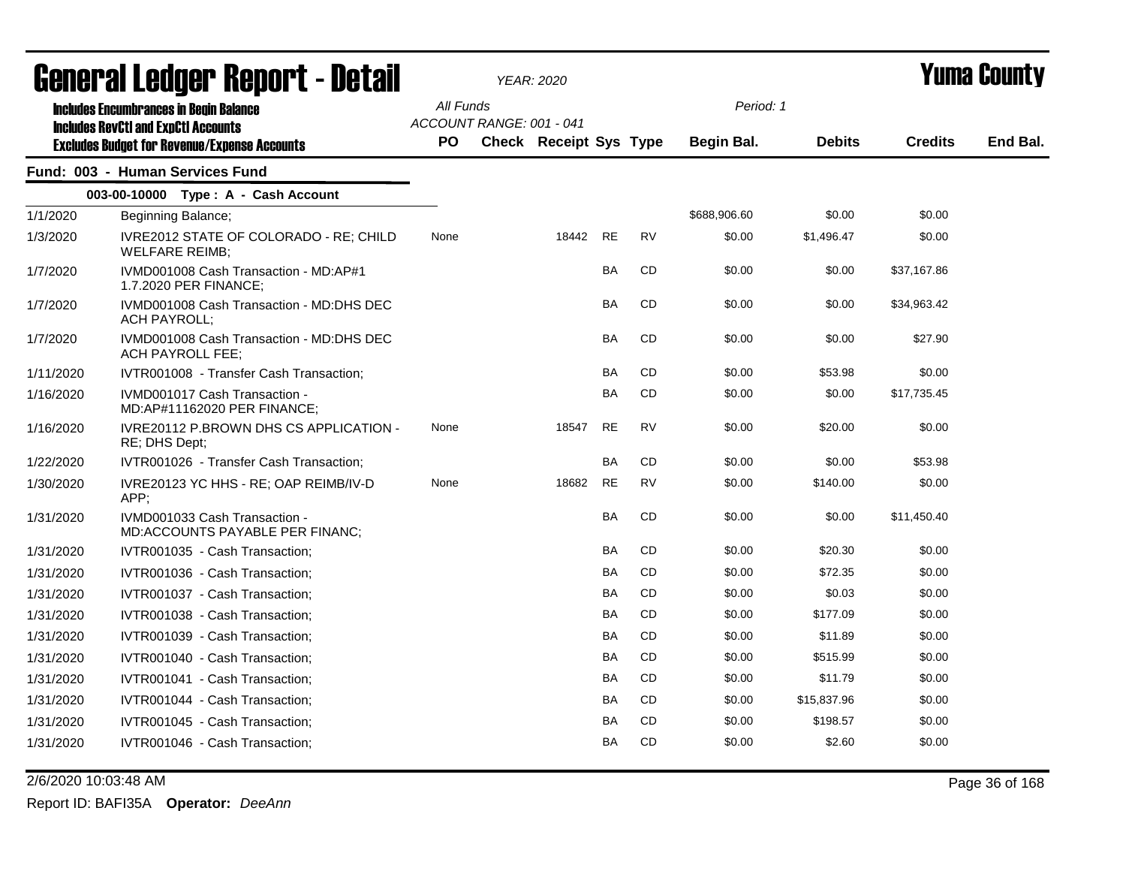| General Ledger Report - Detail |                                                                     |           |                          | <b>YEAR: 2020</b>      |           |           | Yuma Countv  |               |                |          |
|--------------------------------|---------------------------------------------------------------------|-----------|--------------------------|------------------------|-----------|-----------|--------------|---------------|----------------|----------|
|                                | <b>Includes Encumbrances in Begin Balance</b>                       | All Funds |                          |                        |           |           | Period: 1    |               |                |          |
|                                | <b>Includes RevCtI and ExpCtI Accounts</b>                          |           | ACCOUNT RANGE: 001 - 041 |                        |           |           |              |               |                |          |
|                                | <b>Excludes Budget for Revenue/Expense Accounts</b>                 | PO        |                          | Check Receipt Sys Type |           |           | Begin Bal.   | <b>Debits</b> | <b>Credits</b> | End Bal. |
|                                | Fund: 003 - Human Services Fund                                     |           |                          |                        |           |           |              |               |                |          |
|                                | 003-00-10000 Type: A - Cash Account                                 |           |                          |                        |           |           |              |               |                |          |
| 1/1/2020                       | Beginning Balance;                                                  |           |                          |                        |           |           | \$688,906.60 | \$0.00        | \$0.00         |          |
| 1/3/2020                       | IVRE2012 STATE OF COLORADO - RE; CHILD<br><b>WELFARE REIMB:</b>     | None      |                          | 18442                  | <b>RE</b> | <b>RV</b> | \$0.00       | \$1,496.47    | \$0.00         |          |
| 1/7/2020                       | IVMD001008 Cash Transaction - MD:AP#1<br>1.7.2020 PER FINANCE;      |           |                          |                        | BA        | CD        | \$0.00       | \$0.00        | \$37,167.86    |          |
| 1/7/2020                       | IVMD001008 Cash Transaction - MD:DHS DEC<br>ACH PAYROLL;            |           |                          |                        | BA        | CD        | \$0.00       | \$0.00        | \$34,963.42    |          |
| 1/7/2020                       | IVMD001008 Cash Transaction - MD:DHS DEC<br><b>ACH PAYROLL FEE:</b> |           |                          |                        | BA        | CD        | \$0.00       | \$0.00        | \$27.90        |          |
| 1/11/2020                      | IVTR001008 - Transfer Cash Transaction;                             |           |                          |                        | <b>BA</b> | CD        | \$0.00       | \$53.98       | \$0.00         |          |
| 1/16/2020                      | IVMD001017 Cash Transaction -<br>MD:AP#11162020 PER FINANCE;        |           |                          |                        | BA        | CD.       | \$0.00       | \$0.00        | \$17.735.45    |          |
| 1/16/2020                      | IVRE20112 P.BROWN DHS CS APPLICATION -<br>RE; DHS Dept;             | None      |                          | 18547                  | <b>RE</b> | <b>RV</b> | \$0.00       | \$20.00       | \$0.00         |          |
| 1/22/2020                      | IVTR001026 - Transfer Cash Transaction;                             |           |                          |                        | BA        | CD.       | \$0.00       | \$0.00        | \$53.98        |          |
| 1/30/2020                      | IVRE20123 YC HHS - RE; OAP REIMB/IV-D<br>APP;                       | None      |                          | 18682                  | <b>RE</b> | <b>RV</b> | \$0.00       | \$140.00      | \$0.00         |          |
| 1/31/2020                      | IVMD001033 Cash Transaction -<br>MD:ACCOUNTS PAYABLE PER FINANC;    |           |                          |                        | BA        | CD        | \$0.00       | \$0.00        | \$11,450.40    |          |
| 1/31/2020                      | IVTR001035 - Cash Transaction;                                      |           |                          |                        | <b>BA</b> | CD        | \$0.00       | \$20.30       | \$0.00         |          |
| 1/31/2020                      | IVTR001036 - Cash Transaction;                                      |           |                          |                        | BA        | CD        | \$0.00       | \$72.35       | \$0.00         |          |
| 1/31/2020                      | IVTR001037 - Cash Transaction;                                      |           |                          |                        | BA        | CD        | \$0.00       | \$0.03        | \$0.00         |          |
| 1/31/2020                      | IVTR001038 - Cash Transaction;                                      |           |                          |                        | BA        | <b>CD</b> | \$0.00       | \$177.09      | \$0.00         |          |
| 1/31/2020                      | IVTR001039 - Cash Transaction;                                      |           |                          |                        | <b>BA</b> | CD        | \$0.00       | \$11.89       | \$0.00         |          |
| 1/31/2020                      | IVTR001040 - Cash Transaction;                                      |           |                          |                        | BA        | CD        | \$0.00       | \$515.99      | \$0.00         |          |
| 1/31/2020                      | IVTR001041 - Cash Transaction;                                      |           |                          |                        | BA        | CD        | \$0.00       | \$11.79       | \$0.00         |          |
| 1/31/2020                      | IVTR001044 - Cash Transaction;                                      |           |                          |                        | BA        | <b>CD</b> | \$0.00       | \$15,837.96   | \$0.00         |          |
| 1/31/2020                      | IVTR001045 - Cash Transaction;                                      |           |                          |                        | BA        | CD        | \$0.00       | \$198.57      | \$0.00         |          |
| 1/31/2020                      | IVTR001046 - Cash Transaction;                                      |           |                          |                        | <b>BA</b> | CD        | \$0.00       | \$2.60        | \$0.00         |          |

2/6/2020 10:03:48 AM Page 36 of 168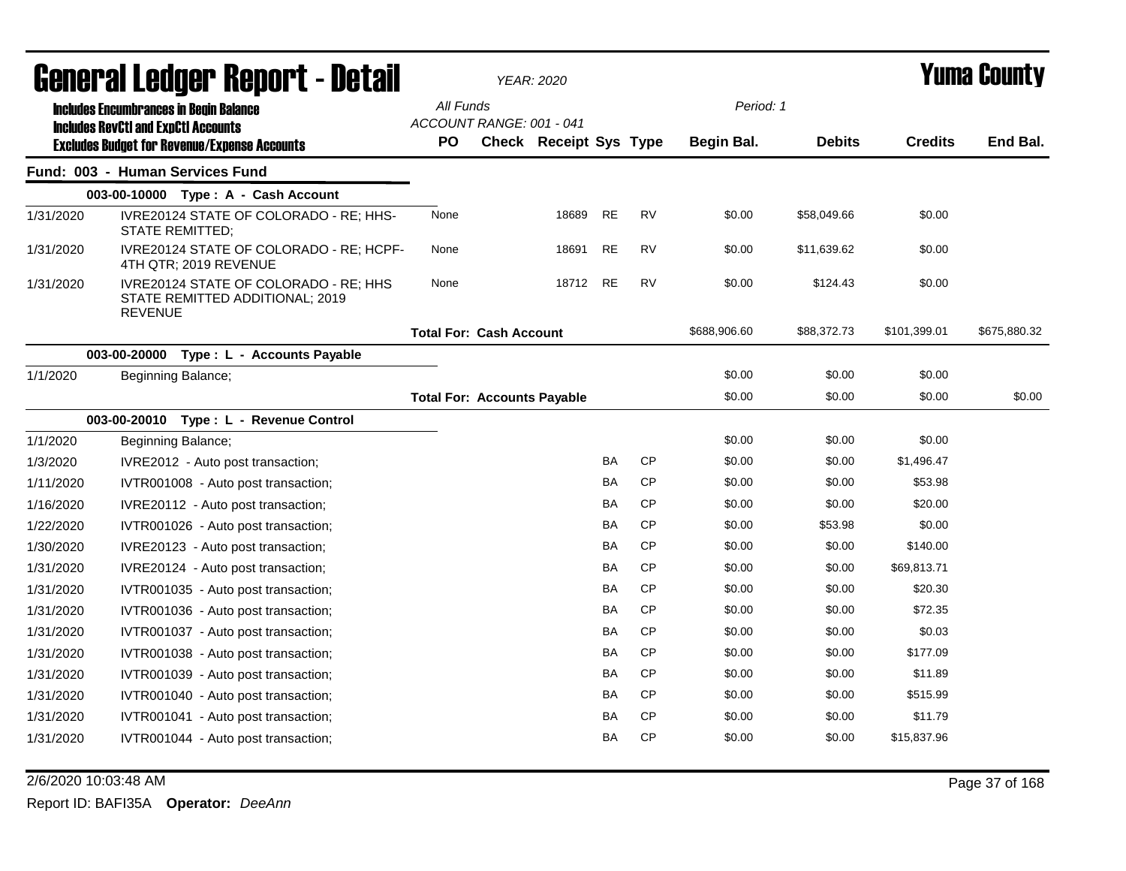|           | General Ledger Report - Detail                                                                    |           | <b>YEAR: 2020</b>                                  |           |           |              | <b>Yuma County</b> |                |              |  |
|-----------|---------------------------------------------------------------------------------------------------|-----------|----------------------------------------------------|-----------|-----------|--------------|--------------------|----------------|--------------|--|
|           | <b>Includes Encumbrances in Begin Balance</b>                                                     | All Funds |                                                    |           |           |              | Period: 1          |                |              |  |
|           | <b>Includes RevCtI and ExpCtI Accounts</b><br><b>Excludes Budget for Revenue/Expense Accounts</b> | <b>PO</b> | ACCOUNT RANGE: 001 - 041<br>Check Receipt Sys Type |           |           | Begin Bal.   | <b>Debits</b>      | <b>Credits</b> | End Bal.     |  |
|           | Fund: 003 - Human Services Fund                                                                   |           |                                                    |           |           |              |                    |                |              |  |
|           | 003-00-10000 Type: A - Cash Account                                                               |           |                                                    |           |           |              |                    |                |              |  |
| 1/31/2020 | IVRE20124 STATE OF COLORADO - RE; HHS-<br>STATE REMITTED;                                         | None      | 18689                                              | <b>RE</b> | <b>RV</b> | \$0.00       | \$58,049.66        | \$0.00         |              |  |
| 1/31/2020 | IVRE20124 STATE OF COLORADO - RE; HCPF-<br>4TH QTR; 2019 REVENUE                                  | None      | 18691                                              | <b>RE</b> | <b>RV</b> | \$0.00       | \$11,639.62        | \$0.00         |              |  |
| 1/31/2020 | IVRE20124 STATE OF COLORADO - RE; HHS<br>STATE REMITTED ADDITIONAL; 2019<br><b>REVENUE</b>        | None      | 18712                                              | RE        | <b>RV</b> | \$0.00       | \$124.43           | \$0.00         |              |  |
|           |                                                                                                   |           | <b>Total For: Cash Account</b>                     |           |           | \$688,906.60 | \$88,372.73        | \$101,399.01   | \$675,880.32 |  |
|           | 003-00-20000 Type : L - Accounts Payable                                                          |           |                                                    |           |           |              |                    |                |              |  |
| 1/1/2020  | Beginning Balance;                                                                                |           |                                                    |           |           | \$0.00       | \$0.00             | \$0.00         |              |  |
|           |                                                                                                   |           | <b>Total For: Accounts Payable</b>                 |           |           | \$0.00       | \$0.00             | \$0.00         | \$0.00       |  |
|           | 003-00-20010 Type: L - Revenue Control                                                            |           |                                                    |           |           |              |                    |                |              |  |
| 1/1/2020  | Beginning Balance;                                                                                |           |                                                    |           |           | \$0.00       | \$0.00             | \$0.00         |              |  |
| 1/3/2020  | IVRE2012 - Auto post transaction;                                                                 |           |                                                    | <b>BA</b> | <b>CP</b> | \$0.00       | \$0.00             | \$1,496.47     |              |  |
| 1/11/2020 | IVTR001008 - Auto post transaction;                                                               |           |                                                    | <b>BA</b> | <b>CP</b> | \$0.00       | \$0.00             | \$53.98        |              |  |
| 1/16/2020 | IVRE20112 - Auto post transaction;                                                                |           |                                                    | <b>BA</b> | <b>CP</b> | \$0.00       | \$0.00             | \$20.00        |              |  |
| 1/22/2020 | IVTR001026 - Auto post transaction;                                                               |           |                                                    | <b>BA</b> | <b>CP</b> | \$0.00       | \$53.98            | \$0.00         |              |  |
| 1/30/2020 | IVRE20123 - Auto post transaction;                                                                |           |                                                    | BA        | <b>CP</b> | \$0.00       | \$0.00             | \$140.00       |              |  |
| 1/31/2020 | IVRE20124 - Auto post transaction;                                                                |           |                                                    | <b>BA</b> | <b>CP</b> | \$0.00       | \$0.00             | \$69,813.71    |              |  |
| 1/31/2020 | IVTR001035 - Auto post transaction;                                                               |           |                                                    | <b>BA</b> | <b>CP</b> | \$0.00       | \$0.00             | \$20.30        |              |  |
| 1/31/2020 | IVTR001036 - Auto post transaction;                                                               |           |                                                    | <b>BA</b> | <b>CP</b> | \$0.00       | \$0.00             | \$72.35        |              |  |
| 1/31/2020 | IVTR001037 - Auto post transaction;                                                               |           |                                                    | <b>BA</b> | <b>CP</b> | \$0.00       | \$0.00             | \$0.03         |              |  |
| 1/31/2020 | IVTR001038 - Auto post transaction;                                                               |           |                                                    | <b>BA</b> | <b>CP</b> | \$0.00       | \$0.00             | \$177.09       |              |  |
| 1/31/2020 | IVTR001039 - Auto post transaction;                                                               |           |                                                    | <b>BA</b> | <b>CP</b> | \$0.00       | \$0.00             | \$11.89        |              |  |
| 1/31/2020 | IVTR001040 - Auto post transaction;                                                               |           |                                                    | <b>BA</b> | <b>CP</b> | \$0.00       | \$0.00             | \$515.99       |              |  |
| 1/31/2020 | IVTR001041 - Auto post transaction;                                                               |           |                                                    | BA        | <b>CP</b> | \$0.00       | \$0.00             | \$11.79        |              |  |
| 1/31/2020 | IVTR001044 - Auto post transaction;                                                               |           |                                                    | <b>BA</b> | <b>CP</b> | \$0.00       | \$0.00             | \$15,837.96    |              |  |

#### 2/6/2020 10:03:48 AM Page 37 of 168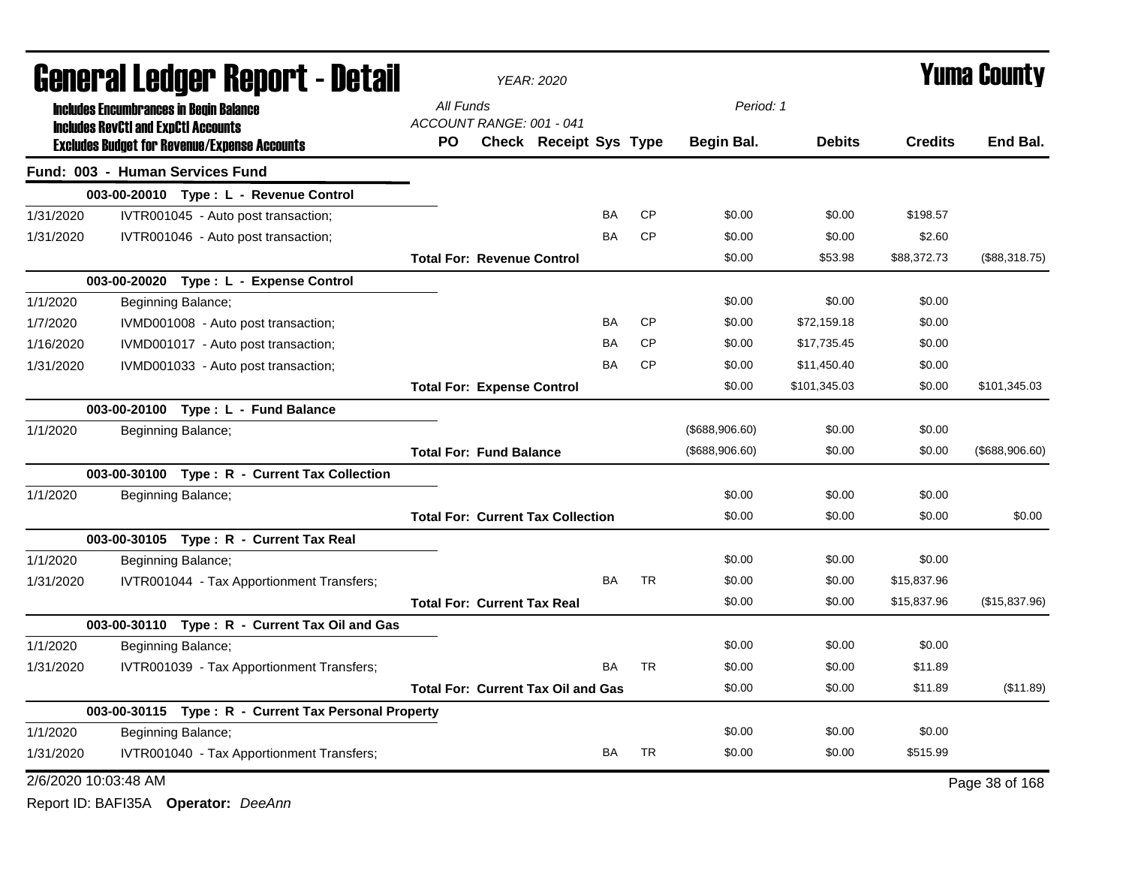|                      | General Ledger Report - Detail |  |                                                                                                   |                                           | <b>YEAR: 2020</b>                        |           |           | <b>Yuma County</b> |               |                |                |  |
|----------------------|--------------------------------|--|---------------------------------------------------------------------------------------------------|-------------------------------------------|------------------------------------------|-----------|-----------|--------------------|---------------|----------------|----------------|--|
|                      |                                |  | <b>Includes Encumbrances in Begin Balance</b>                                                     | All Funds                                 |                                          |           |           | Period: 1          |               |                |                |  |
|                      |                                |  | <b>Includes RevCtI and ExpCtI Accounts</b><br><b>Excludes Budget for Revenue/Expense Accounts</b> | ACCOUNT RANGE: 001 - 041<br><b>PO</b>     | Check Receipt Sys Type                   |           |           | Begin Bal.         | <b>Debits</b> | <b>Credits</b> | End Bal.       |  |
|                      |                                |  | Fund: 003 - Human Services Fund                                                                   |                                           |                                          |           |           |                    |               |                |                |  |
|                      |                                |  | 003-00-20010 Type: L - Revenue Control                                                            |                                           |                                          |           |           |                    |               |                |                |  |
| 1/31/2020            |                                |  | IVTR001045 - Auto post transaction;                                                               |                                           |                                          | BA        | <b>CP</b> | \$0.00             | \$0.00        | \$198.57       |                |  |
| 1/31/2020            |                                |  | IVTR001046 - Auto post transaction;                                                               |                                           |                                          | <b>BA</b> | <b>CP</b> | \$0.00             | \$0.00        | \$2.60         |                |  |
|                      |                                |  |                                                                                                   | <b>Total For: Revenue Control</b>         |                                          |           |           | \$0.00             | \$53.98       | \$88,372.73    | (\$88,318.75)  |  |
|                      |                                |  | 003-00-20020 Type: L - Expense Control                                                            |                                           |                                          |           |           |                    |               |                |                |  |
| 1/1/2020             |                                |  | Beginning Balance;                                                                                |                                           |                                          |           |           | \$0.00             | \$0.00        | \$0.00         |                |  |
| 1/7/2020             |                                |  | IVMD001008 - Auto post transaction;                                                               |                                           |                                          | <b>BA</b> | <b>CP</b> | \$0.00             | \$72,159.18   | \$0.00         |                |  |
| 1/16/2020            |                                |  | IVMD001017 - Auto post transaction;                                                               |                                           |                                          | <b>BA</b> | <b>CP</b> | \$0.00             | \$17,735.45   | \$0.00         |                |  |
| 1/31/2020            |                                |  | IVMD001033 - Auto post transaction;                                                               |                                           |                                          | <b>BA</b> | <b>CP</b> | \$0.00             | \$11,450.40   | \$0.00         |                |  |
|                      |                                |  |                                                                                                   | <b>Total For: Expense Control</b>         |                                          |           |           | \$0.00             | \$101,345.03  | \$0.00         | \$101,345.03   |  |
|                      |                                |  | 003-00-20100 Type: L - Fund Balance                                                               |                                           |                                          |           |           |                    |               |                |                |  |
| 1/1/2020             |                                |  | Beginning Balance;                                                                                |                                           |                                          |           |           | (\$688,906.60)     | \$0.00        | \$0.00         |                |  |
|                      |                                |  |                                                                                                   | <b>Total For: Fund Balance</b>            |                                          |           |           | (\$688,906.60)     | \$0.00        | \$0.00         | (\$688,906.60) |  |
|                      |                                |  | 003-00-30100 Type: R - Current Tax Collection                                                     |                                           |                                          |           |           |                    |               |                |                |  |
| 1/1/2020             |                                |  | Beginning Balance;                                                                                |                                           |                                          |           |           | \$0.00             | \$0.00        | \$0.00         |                |  |
|                      |                                |  |                                                                                                   |                                           | <b>Total For: Current Tax Collection</b> |           |           | \$0.00             | \$0.00        | \$0.00         | \$0.00         |  |
|                      |                                |  | 003-00-30105 Type: R - Current Tax Real                                                           |                                           |                                          |           |           |                    |               |                |                |  |
| 1/1/2020             |                                |  | Beginning Balance;                                                                                |                                           |                                          |           |           | \$0.00             | \$0.00        | \$0.00         |                |  |
| 1/31/2020            |                                |  | IVTR001044 - Tax Apportionment Transfers;                                                         |                                           |                                          | <b>BA</b> | <b>TR</b> | \$0.00             | \$0.00        | \$15,837.96    |                |  |
|                      |                                |  |                                                                                                   | <b>Total For: Current Tax Real</b>        |                                          |           |           | \$0.00             | \$0.00        | \$15,837.96    | (\$15,837.96)  |  |
|                      |                                |  | 003-00-30110 Type: R - Current Tax Oil and Gas                                                    |                                           |                                          |           |           |                    |               |                |                |  |
| 1/1/2020             |                                |  | Beginning Balance;                                                                                |                                           |                                          |           |           | \$0.00             | \$0.00        | \$0.00         |                |  |
| 1/31/2020            |                                |  | IVTR001039 - Tax Apportionment Transfers;                                                         |                                           |                                          | BA        | <b>TR</b> | \$0.00             | \$0.00        | \$11.89        |                |  |
|                      |                                |  |                                                                                                   | <b>Total For: Current Tax Oil and Gas</b> |                                          |           |           | \$0.00             | \$0.00        | \$11.89        | (\$11.89)      |  |
|                      |                                |  | 003-00-30115 Type: R - Current Tax Personal Property                                              |                                           |                                          |           |           |                    |               |                |                |  |
| 1/1/2020             |                                |  | Beginning Balance;                                                                                |                                           |                                          |           |           | \$0.00             | \$0.00        | \$0.00         |                |  |
| 1/31/2020            |                                |  | IVTR001040 - Tax Apportionment Transfers;                                                         |                                           |                                          | BA        | <b>TR</b> | \$0.00             | \$0.00        | \$515.99       |                |  |
| 2/6/2020 10:03:48 AM |                                |  |                                                                                                   |                                           |                                          |           |           |                    |               |                | Page 38 of 168 |  |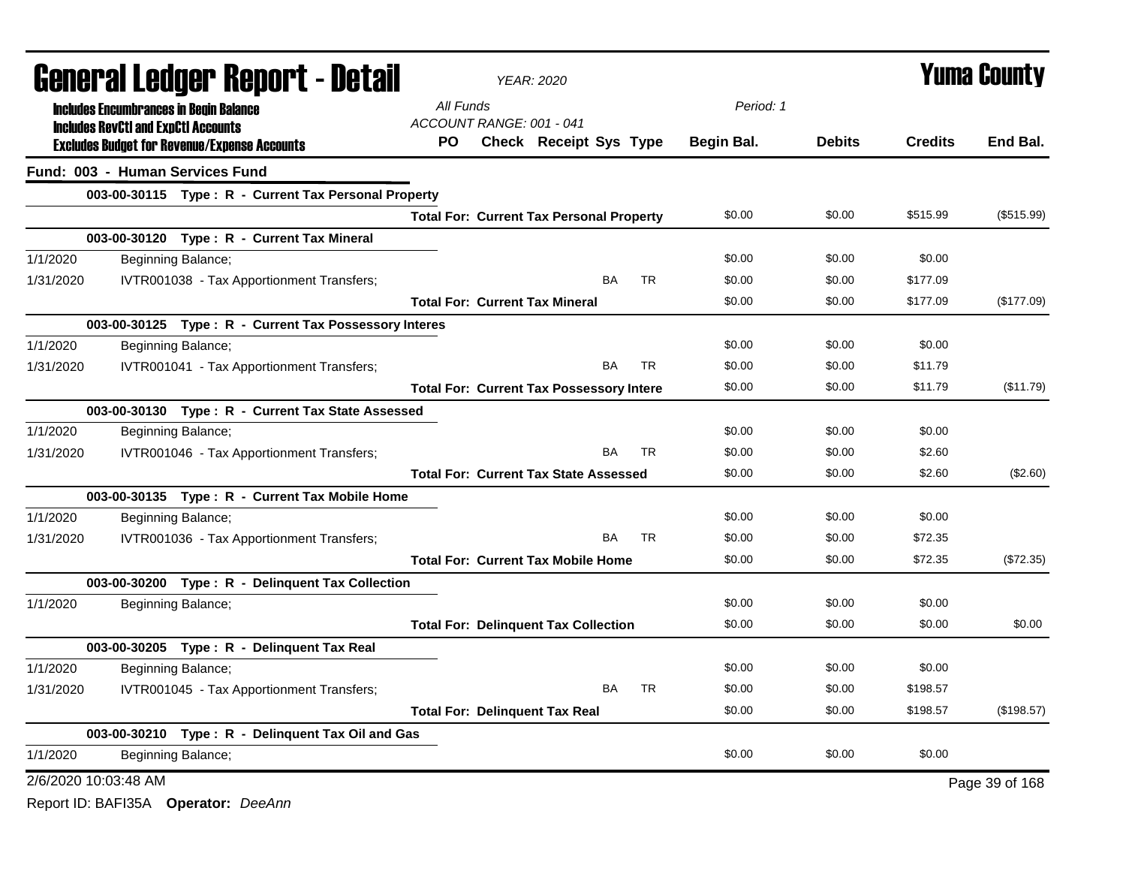|                      | General Ledger Report - Detail                        |           |                          | <b>YEAR: 2020</b>                               | <b>Yuma County</b> |            |               |                |                |
|----------------------|-------------------------------------------------------|-----------|--------------------------|-------------------------------------------------|--------------------|------------|---------------|----------------|----------------|
|                      | <b>Includes Encumbrances in Begin Balance</b>         | All Funds |                          |                                                 |                    | Period: 1  |               |                |                |
|                      | <b>Includes RevCtI and ExpCtI Accounts</b>            |           | ACCOUNT RANGE: 001 - 041 |                                                 |                    |            |               |                |                |
|                      | <b>Excludes Budget for Revenue/Expense Accounts</b>   | PO.       |                          | Check Receipt Sys Type                          |                    | Begin Bal. | <b>Debits</b> | <b>Credits</b> | End Bal.       |
|                      | Fund: 003 - Human Services Fund                       |           |                          |                                                 |                    |            |               |                |                |
|                      | 003-00-30115 Type: R - Current Tax Personal Property  |           |                          |                                                 |                    |            |               |                |                |
|                      |                                                       |           |                          | <b>Total For: Current Tax Personal Property</b> |                    | \$0.00     | \$0.00        | \$515.99       | (\$515.99)     |
|                      | 003-00-30120 Type: R - Current Tax Mineral            |           |                          |                                                 |                    |            |               |                |                |
| 1/1/2020             | Beginning Balance;                                    |           |                          |                                                 |                    | \$0.00     | \$0.00        | \$0.00         |                |
| 1/31/2020            | IVTR001038 - Tax Apportionment Transfers;             |           |                          | <b>BA</b>                                       | <b>TR</b>          | \$0.00     | \$0.00        | \$177.09       |                |
|                      |                                                       |           |                          | <b>Total For: Current Tax Mineral</b>           |                    | \$0.00     | \$0.00        | \$177.09       | (\$177.09)     |
|                      | 003-00-30125 Type: R - Current Tax Possessory Interes |           |                          |                                                 |                    |            |               |                |                |
| 1/1/2020             | Beginning Balance;                                    |           |                          |                                                 |                    | \$0.00     | \$0.00        | \$0.00         |                |
| 1/31/2020            | IVTR001041 - Tax Apportionment Transfers;             |           |                          | BA                                              | <b>TR</b>          | \$0.00     | \$0.00        | \$11.79        |                |
|                      |                                                       |           |                          | <b>Total For: Current Tax Possessory Intere</b> |                    | \$0.00     | \$0.00        | \$11.79        | (\$11.79)      |
|                      | 003-00-30130 Type: R - Current Tax State Assessed     |           |                          |                                                 |                    |            |               |                |                |
| 1/1/2020             | Beginning Balance;                                    |           |                          |                                                 |                    | \$0.00     | \$0.00        | \$0.00         |                |
| 1/31/2020            | IVTR001046 - Tax Apportionment Transfers;             |           |                          | BA                                              | <b>TR</b>          | \$0.00     | \$0.00        | \$2.60         |                |
|                      |                                                       |           |                          | <b>Total For: Current Tax State Assessed</b>    |                    | \$0.00     | \$0.00        | \$2.60         | (\$2.60)       |
|                      | 003-00-30135 Type: R - Current Tax Mobile Home        |           |                          |                                                 |                    |            |               |                |                |
| 1/1/2020             | Beginning Balance;                                    |           |                          |                                                 |                    | \$0.00     | \$0.00        | \$0.00         |                |
| 1/31/2020            | IVTR001036 - Tax Apportionment Transfers;             |           |                          | BA                                              | <b>TR</b>          | \$0.00     | \$0.00        | \$72.35        |                |
|                      |                                                       |           |                          | <b>Total For: Current Tax Mobile Home</b>       |                    | \$0.00     | \$0.00        | \$72.35        | (\$72.35)      |
|                      | 003-00-30200 Type: R - Delinquent Tax Collection      |           |                          |                                                 |                    |            |               |                |                |
| 1/1/2020             | Beginning Balance;                                    |           |                          |                                                 |                    | \$0.00     | \$0.00        | \$0.00         |                |
|                      |                                                       |           |                          | <b>Total For: Delinquent Tax Collection</b>     |                    | \$0.00     | \$0.00        | \$0.00         | \$0.00         |
|                      | 003-00-30205 Type: R - Delinquent Tax Real            |           |                          |                                                 |                    |            |               |                |                |
| 1/1/2020             | Beginning Balance;                                    |           |                          |                                                 |                    | \$0.00     | \$0.00        | \$0.00         |                |
| 1/31/2020            | IVTR001045 - Tax Apportionment Transfers;             |           |                          | <b>BA</b>                                       | <b>TR</b>          | \$0.00     | \$0.00        | \$198.57       |                |
|                      |                                                       |           |                          | <b>Total For: Delinquent Tax Real</b>           |                    | \$0.00     | \$0.00        | \$198.57       | (\$198.57)     |
|                      | 003-00-30210 Type: R - Delinquent Tax Oil and Gas     |           |                          |                                                 |                    |            |               |                |                |
| 1/1/2020             | Beginning Balance;                                    |           |                          |                                                 |                    | \$0.00     | \$0.00        | \$0.00         |                |
| 2/6/2020 10:03:48 AM |                                                       |           |                          |                                                 |                    |            |               |                | Page 39 of 168 |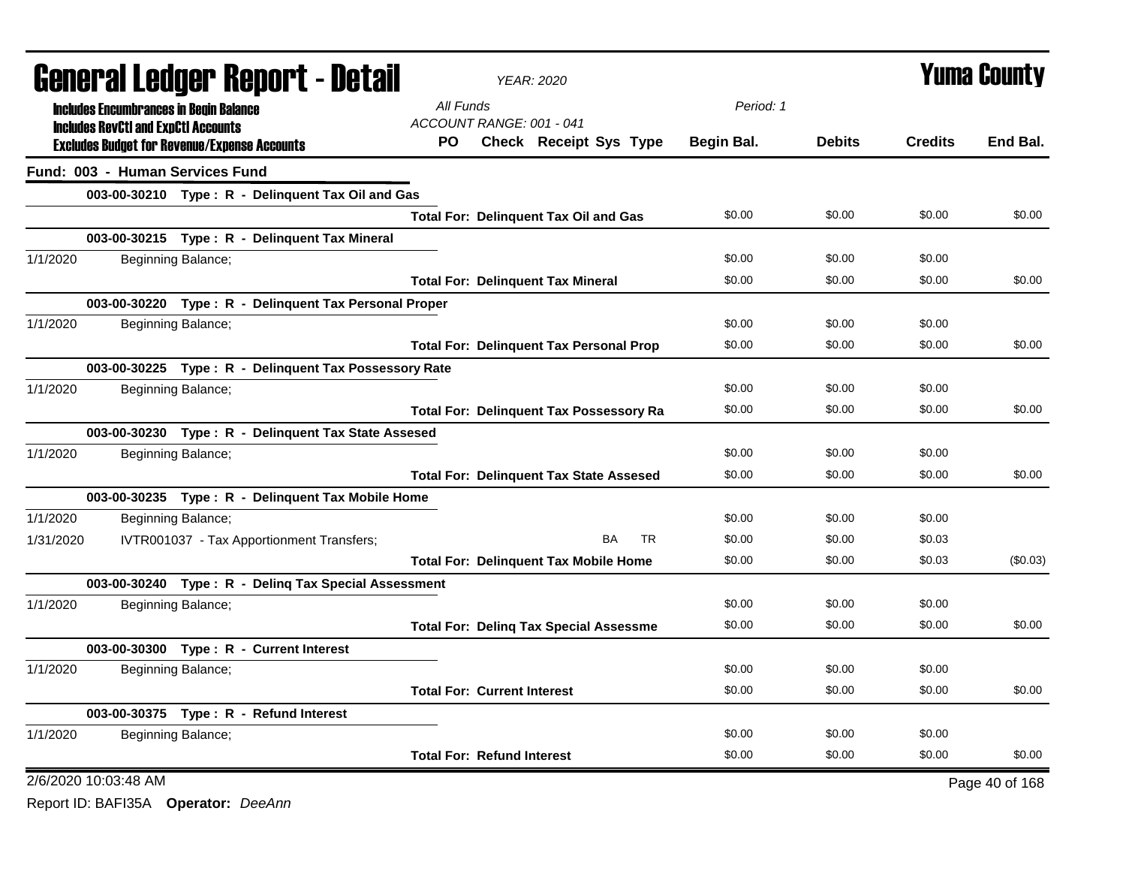|                                            | <b>General Ledger Report - Detail</b>                 |                                    | <b>YEAR: 2020</b> | <b>Yuma County</b>                             |            |               |                |                |
|--------------------------------------------|-------------------------------------------------------|------------------------------------|-------------------|------------------------------------------------|------------|---------------|----------------|----------------|
|                                            | <b>Includes Encumbrances in Begin Balance</b>         | All Funds                          |                   |                                                | Period: 1  |               |                |                |
| <b>Includes RevCtI and ExpCtI Accounts</b> |                                                       | ACCOUNT RANGE: 001 - 041           |                   |                                                |            |               |                |                |
|                                            | <b>Excludes Budget for Revenue/Expense Accounts</b>   | PO.                                |                   | Check Receipt Sys Type                         | Begin Bal. | <b>Debits</b> | <b>Credits</b> | End Bal.       |
| Fund: 003 - Human Services Fund            |                                                       |                                    |                   |                                                |            |               |                |                |
|                                            | 003-00-30210 Type: R - Delinquent Tax Oil and Gas     |                                    |                   |                                                |            |               |                |                |
|                                            |                                                       |                                    |                   | <b>Total For: Delinquent Tax Oil and Gas</b>   | \$0.00     | \$0.00        | \$0.00         | \$0.00         |
|                                            | 003-00-30215 Type: R - Delinquent Tax Mineral         |                                    |                   |                                                |            |               |                |                |
| 1/1/2020                                   | Beginning Balance;                                    |                                    |                   |                                                | \$0.00     | \$0.00        | \$0.00         |                |
|                                            |                                                       |                                    |                   | <b>Total For: Delinquent Tax Mineral</b>       | \$0.00     | \$0.00        | \$0.00         | \$0.00         |
|                                            | 003-00-30220 Type: R - Delinquent Tax Personal Proper |                                    |                   |                                                |            |               |                |                |
| 1/1/2020                                   | Beginning Balance;                                    |                                    |                   |                                                | \$0.00     | \$0.00        | \$0.00         |                |
|                                            |                                                       |                                    |                   | <b>Total For: Delinguent Tax Personal Prop</b> | \$0.00     | \$0.00        | \$0.00         | \$0.00         |
|                                            | 003-00-30225 Type: R - Delinquent Tax Possessory Rate |                                    |                   |                                                |            |               |                |                |
| 1/1/2020                                   | Beginning Balance;                                    |                                    |                   |                                                | \$0.00     | \$0.00        | \$0.00         |                |
|                                            |                                                       |                                    |                   | <b>Total For: Delinquent Tax Possessory Ra</b> | \$0.00     | \$0.00        | \$0.00         | \$0.00         |
|                                            | 003-00-30230 Type: R - Delinquent Tax State Assesed   |                                    |                   |                                                |            |               |                |                |
| 1/1/2020                                   | Beginning Balance;                                    |                                    |                   |                                                | \$0.00     | \$0.00        | \$0.00         |                |
|                                            |                                                       |                                    |                   | <b>Total For: Delinguent Tax State Assesed</b> | \$0.00     | \$0.00        | \$0.00         | \$0.00         |
|                                            | 003-00-30235 Type: R - Delinquent Tax Mobile Home     |                                    |                   |                                                |            |               |                |                |
| 1/1/2020                                   | Beginning Balance;                                    |                                    |                   |                                                | \$0.00     | \$0.00        | \$0.00         |                |
| 1/31/2020                                  | IVTR001037 - Tax Apportionment Transfers;             |                                    |                   | <b>TR</b><br>BA                                | \$0.00     | \$0.00        | \$0.03         |                |
|                                            |                                                       |                                    |                   | <b>Total For: Delinguent Tax Mobile Home</b>   | \$0.00     | \$0.00        | \$0.03         | (\$0.03)       |
|                                            | 003-00-30240 Type: R - Deling Tax Special Assessment  |                                    |                   |                                                |            |               |                |                |
| 1/1/2020                                   | Beginning Balance;                                    |                                    |                   |                                                | \$0.00     | \$0.00        | \$0.00         |                |
|                                            |                                                       |                                    |                   | <b>Total For: Deling Tax Special Assessme</b>  | \$0.00     | \$0.00        | \$0.00         | \$0.00         |
|                                            | 003-00-30300 Type: R - Current Interest               |                                    |                   |                                                |            |               |                |                |
| 1/1/2020                                   | Beginning Balance;                                    |                                    |                   |                                                | \$0.00     | \$0.00        | \$0.00         |                |
|                                            |                                                       | <b>Total For: Current Interest</b> |                   |                                                | \$0.00     | \$0.00        | \$0.00         | \$0.00         |
|                                            | 003-00-30375 Type: R - Refund Interest                |                                    |                   |                                                |            |               |                |                |
| 1/1/2020                                   | Beginning Balance;                                    |                                    |                   |                                                | \$0.00     | \$0.00        | \$0.00         |                |
|                                            |                                                       | <b>Total For: Refund Interest</b>  |                   |                                                | \$0.00     | \$0.00        | \$0.00         | \$0.00         |
| 2/6/2020 10:03:48 AM                       |                                                       |                                    |                   |                                                |            |               |                | Page 40 of 168 |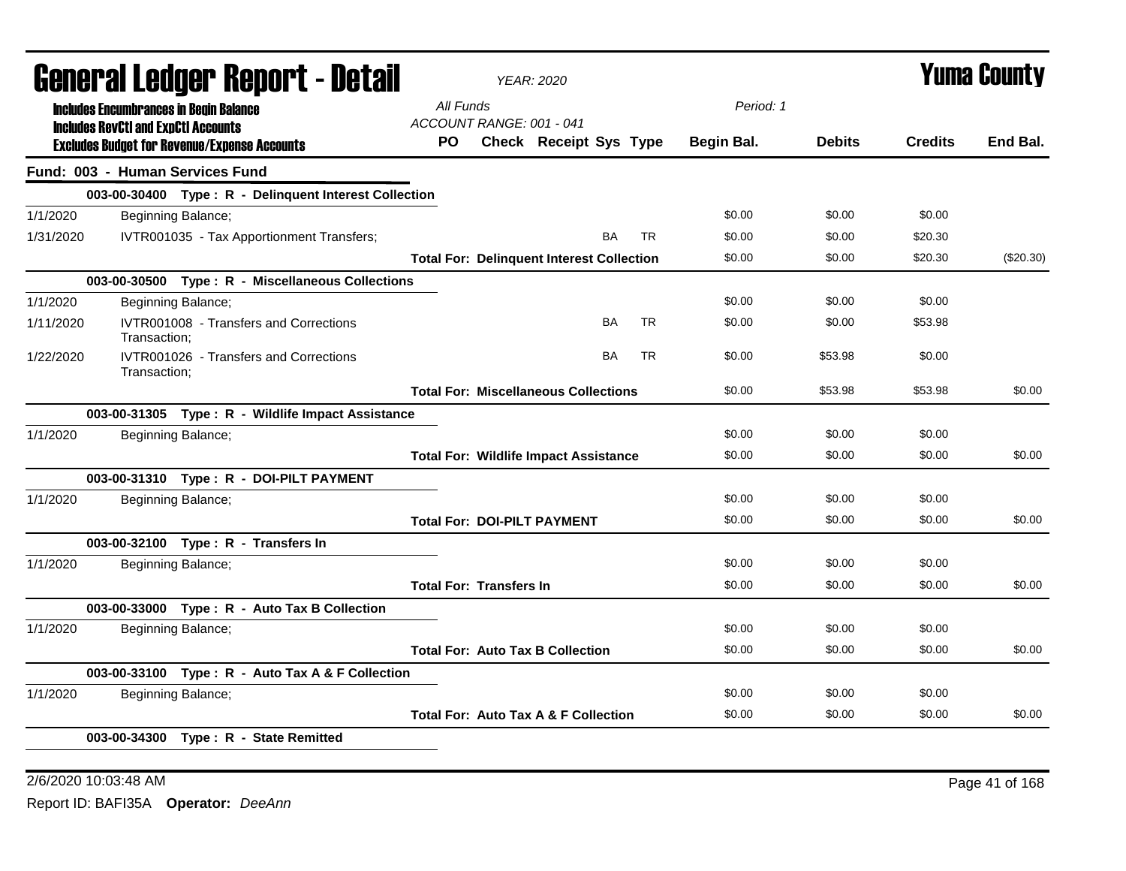|           | General Ledger Report - Detail                |                                                       |                                       | YEAR: 2020                     |                                                  |           |           | Yuma County |               |                |             |
|-----------|-----------------------------------------------|-------------------------------------------------------|---------------------------------------|--------------------------------|--------------------------------------------------|-----------|-----------|-------------|---------------|----------------|-------------|
|           | <b>Includes Encumbrances in Begin Balance</b> |                                                       | All Funds                             |                                |                                                  |           |           | Period: 1   |               |                |             |
|           | <b>Includes RevCtI and ExpCtI Accounts</b>    | <b>Excludes Budget for Revenue/Expense Accounts</b>   | ACCOUNT RANGE: 001 - 041<br><b>PO</b> |                                | Check Receipt Sys Type                           |           |           | Begin Bal.  | <b>Debits</b> | <b>Credits</b> | End Bal.    |
|           |                                               | Fund: 003 - Human Services Fund                       |                                       |                                |                                                  |           |           |             |               |                |             |
|           |                                               | 003-00-30400 Type: R - Delinquent Interest Collection |                                       |                                |                                                  |           |           |             |               |                |             |
| 1/1/2020  |                                               | Beginning Balance;                                    |                                       |                                |                                                  |           |           | \$0.00      | \$0.00        | \$0.00         |             |
| 1/31/2020 |                                               | IVTR001035 - Tax Apportionment Transfers;             |                                       |                                |                                                  | <b>BA</b> | <b>TR</b> | \$0.00      | \$0.00        | \$20.30        |             |
|           |                                               |                                                       |                                       |                                | <b>Total For: Delinquent Interest Collection</b> |           |           | \$0.00      | \$0.00        | \$20.30        | $(\$20.30)$ |
|           |                                               | 003-00-30500 Type: R - Miscellaneous Collections      |                                       |                                |                                                  |           |           |             |               |                |             |
| 1/1/2020  |                                               | Beginning Balance;                                    |                                       |                                |                                                  |           |           | \$0.00      | \$0.00        | \$0.00         |             |
| 1/11/2020 | Transaction:                                  | IVTR001008 - Transfers and Corrections                |                                       |                                |                                                  | BA        | <b>TR</b> | \$0.00      | \$0.00        | \$53.98        |             |
| 1/22/2020 | Transaction:                                  | IVTR001026 - Transfers and Corrections                |                                       |                                |                                                  | <b>BA</b> | <b>TR</b> | \$0.00      | \$53.98       | \$0.00         |             |
|           |                                               |                                                       |                                       |                                | <b>Total For: Miscellaneous Collections</b>      |           |           | \$0.00      | \$53.98       | \$53.98        | \$0.00      |
|           |                                               | 003-00-31305 Type: R - Wildlife Impact Assistance     |                                       |                                |                                                  |           |           |             |               |                |             |
| 1/1/2020  |                                               | Beginning Balance;                                    |                                       |                                |                                                  |           |           | \$0.00      | \$0.00        | \$0.00         |             |
|           |                                               |                                                       |                                       |                                | <b>Total For: Wildlife Impact Assistance</b>     |           |           | \$0.00      | \$0.00        | \$0.00         | \$0.00      |
|           |                                               | 003-00-31310 Type: R - DOI-PILT PAYMENT               |                                       |                                |                                                  |           |           |             |               |                |             |
| 1/1/2020  |                                               | Beginning Balance;                                    |                                       |                                |                                                  |           |           | \$0.00      | \$0.00        | \$0.00         |             |
|           |                                               |                                                       |                                       |                                | <b>Total For: DOI-PILT PAYMENT</b>               |           |           | \$0.00      | \$0.00        | \$0.00         | \$0.00      |
|           |                                               | 003-00-32100 Type: R - Transfers In                   |                                       |                                |                                                  |           |           |             |               |                |             |
| 1/1/2020  |                                               | Beginning Balance;                                    |                                       |                                |                                                  |           |           | \$0.00      | \$0.00        | \$0.00         |             |
|           |                                               |                                                       |                                       | <b>Total For: Transfers In</b> |                                                  |           |           | \$0.00      | \$0.00        | \$0.00         | \$0.00      |
|           |                                               | 003-00-33000 Type: R - Auto Tax B Collection          |                                       |                                |                                                  |           |           |             |               |                |             |
| 1/1/2020  |                                               | Beginning Balance;                                    |                                       |                                |                                                  |           |           | \$0.00      | \$0.00        | \$0.00         |             |
|           |                                               |                                                       |                                       |                                | <b>Total For: Auto Tax B Collection</b>          |           |           | \$0.00      | \$0.00        | \$0.00         | \$0.00      |
|           |                                               | 003-00-33100 Type: R - Auto Tax A & F Collection      |                                       |                                |                                                  |           |           |             |               |                |             |
| 1/1/2020  |                                               | Beginning Balance;                                    |                                       |                                |                                                  |           |           | \$0.00      | \$0.00        | \$0.00         |             |
|           |                                               |                                                       |                                       |                                | Total For: Auto Tax A & F Collection             |           |           | \$0.00      | \$0.00        | \$0.00         | \$0.00      |
|           |                                               | 003-00-34300 Type: R - State Remitted                 |                                       |                                |                                                  |           |           |             |               |                |             |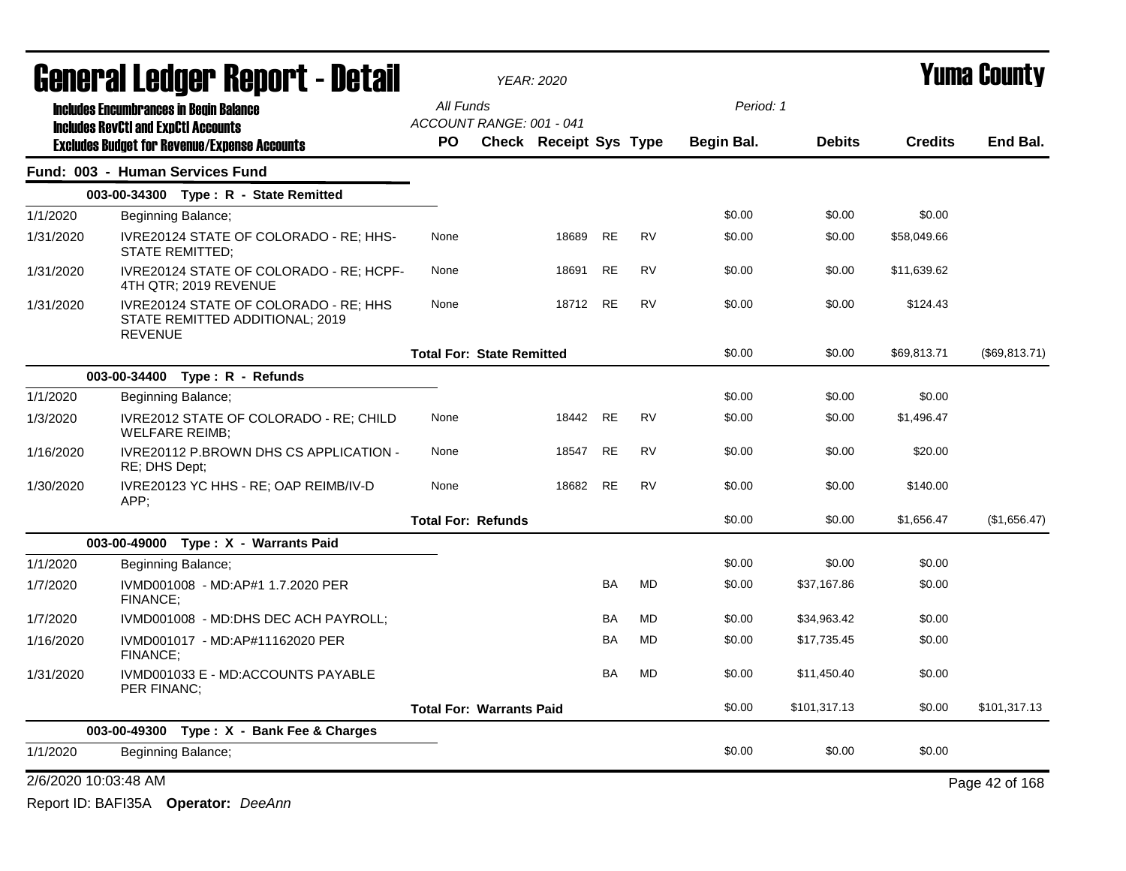|                      | <b>General Ledger Report - Detail</b>                                                             |           |                                  | <b>YEAR: 2020</b>      |           | <b>Yuma County</b> |            |               |                |                |  |
|----------------------|---------------------------------------------------------------------------------------------------|-----------|----------------------------------|------------------------|-----------|--------------------|------------|---------------|----------------|----------------|--|
|                      | <b>Includes Encumbrances in Begin Balance</b>                                                     | All Funds |                                  |                        |           |                    | Period: 1  |               |                |                |  |
|                      | <b>Includes RevCtI and ExpCtI Accounts</b><br><b>Excludes Budget for Revenue/Expense Accounts</b> | <b>PO</b> | ACCOUNT RANGE: 001 - 041         | Check Receipt Sys Type |           |                    | Begin Bal. | <b>Debits</b> | <b>Credits</b> | End Bal.       |  |
|                      | Fund: 003 - Human Services Fund                                                                   |           |                                  |                        |           |                    |            |               |                |                |  |
|                      | 003-00-34300 Type: R - State Remitted                                                             |           |                                  |                        |           |                    |            |               |                |                |  |
| 1/1/2020             | Beginning Balance;                                                                                |           |                                  |                        |           |                    | \$0.00     | \$0.00        | \$0.00         |                |  |
| 1/31/2020            | IVRE20124 STATE OF COLORADO - RE; HHS-<br><b>STATE REMITTED:</b>                                  | None      |                                  | 18689                  | <b>RE</b> | <b>RV</b>          | \$0.00     | \$0.00        | \$58,049.66    |                |  |
| 1/31/2020            | IVRE20124 STATE OF COLORADO - RE; HCPF-<br>4TH QTR; 2019 REVENUE                                  | None      |                                  | 18691                  | <b>RE</b> | <b>RV</b>          | \$0.00     | \$0.00        | \$11,639.62    |                |  |
| 1/31/2020            | IVRE20124 STATE OF COLORADO - RE; HHS<br>STATE REMITTED ADDITIONAL; 2019<br><b>REVENUE</b>        | None      |                                  | 18712 RE               |           | <b>RV</b>          | \$0.00     | \$0.00        | \$124.43       |                |  |
|                      |                                                                                                   |           | <b>Total For: State Remitted</b> |                        |           |                    | \$0.00     | \$0.00        | \$69,813.71    | (\$69, 813.71) |  |
|                      | 003-00-34400 Type: R - Refunds                                                                    |           |                                  |                        |           |                    |            |               |                |                |  |
| 1/1/2020             | Beginning Balance;                                                                                |           |                                  |                        |           |                    | \$0.00     | \$0.00        | \$0.00         |                |  |
| 1/3/2020             | IVRE2012 STATE OF COLORADO - RE; CHILD<br><b>WELFARE REIMB;</b>                                   | None      |                                  | 18442                  | <b>RE</b> | <b>RV</b>          | \$0.00     | \$0.00        | \$1,496.47     |                |  |
| 1/16/2020            | <b>IVRE20112 P.BROWN DHS CS APPLICATION -</b><br>RE; DHS Dept;                                    | None      |                                  | 18547                  | RE        | <b>RV</b>          | \$0.00     | \$0.00        | \$20.00        |                |  |
| 1/30/2020            | IVRE20123 YC HHS - RE; OAP REIMB/IV-D<br>APP:                                                     | None      |                                  | 18682                  | <b>RE</b> | <b>RV</b>          | \$0.00     | \$0.00        | \$140.00       |                |  |
|                      |                                                                                                   |           | <b>Total For: Refunds</b>        |                        |           |                    | \$0.00     | \$0.00        | \$1,656.47     | (\$1,656.47)   |  |
|                      | 003-00-49000 Type: X - Warrants Paid                                                              |           |                                  |                        |           |                    |            |               |                |                |  |
| 1/1/2020             | Beginning Balance;                                                                                |           |                                  |                        |           |                    | \$0.00     | \$0.00        | \$0.00         |                |  |
| 1/7/2020             | IVMD001008 - MD:AP#1 1.7.2020 PER<br>FINANCE;                                                     |           |                                  |                        | BA        | <b>MD</b>          | \$0.00     | \$37,167.86   | \$0.00         |                |  |
| 1/7/2020             | IVMD001008 - MD:DHS DEC ACH PAYROLL;                                                              |           |                                  |                        | BA        | MD                 | \$0.00     | \$34,963.42   | \$0.00         |                |  |
| 1/16/2020            | IVMD001017 - MD:AP#11162020 PER<br><b>FINANCE:</b>                                                |           |                                  |                        | BA        | MD                 | \$0.00     | \$17,735.45   | \$0.00         |                |  |
| 1/31/2020            | IVMD001033 E - MD:ACCOUNTS PAYABLE<br>PER FINANC;                                                 |           |                                  |                        | <b>BA</b> | <b>MD</b>          | \$0.00     | \$11,450.40   | \$0.00         |                |  |
|                      |                                                                                                   |           | <b>Total For: Warrants Paid</b>  |                        |           |                    | \$0.00     | \$101,317.13  | \$0.00         | \$101,317.13   |  |
|                      | 003-00-49300 Type: X - Bank Fee & Charges                                                         |           |                                  |                        |           |                    |            |               |                |                |  |
| 1/1/2020             | Beginning Balance;                                                                                |           |                                  |                        |           |                    | \$0.00     | \$0.00        | \$0.00         |                |  |
| 2/6/2020 10:03:48 AM |                                                                                                   |           |                                  |                        |           |                    |            |               |                | Page 42 of 168 |  |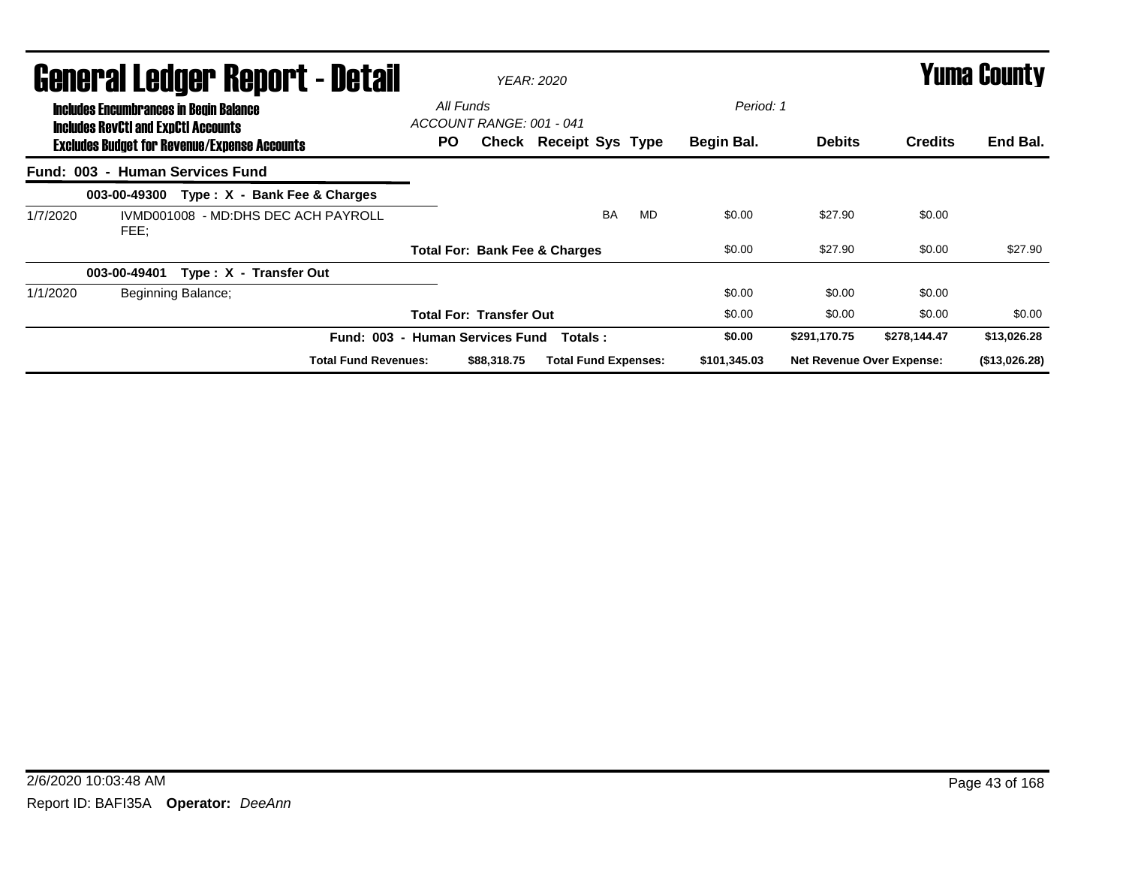|          | General Ledger Report - Detail                                                              |                    |                                     | <b>YEAR: 2020</b>          |                                |                                          | <b>Yuma County</b> |    |              |                                  |                |               |
|----------|---------------------------------------------------------------------------------------------|--------------------|-------------------------------------|----------------------------|--------------------------------|------------------------------------------|--------------------|----|--------------|----------------------------------|----------------|---------------|
|          | <b>Includes Encumbrances in Begin Balance</b><br><b>Includes RevCtI and ExpCtI Accounts</b> |                    |                                     | All Funds                  | ACCOUNT RANGE: 001 - 041       |                                          |                    |    | Period: 1    |                                  |                |               |
|          | <b>Excludes Budget for Revenue/Expense Accounts</b>                                         |                    |                                     | PO.                        |                                | <b>Check Receipt Sys Type</b>            |                    |    | Begin Bal.   | <b>Debits</b>                    | <b>Credits</b> | End Bal.      |
|          | Fund: 003 - Human Services Fund                                                             |                    |                                     |                            |                                |                                          |                    |    |              |                                  |                |               |
|          | 003-00-49300                                                                                |                    | Type: X - Bank Fee & Charges        |                            |                                |                                          |                    |    |              |                                  |                |               |
| 1/7/2020 | FEE:                                                                                        |                    | IVMD001008 - MD:DHS DEC ACH PAYROLL |                            |                                |                                          | <b>BA</b>          | MD | \$0.00       | \$27.90                          | \$0.00         |               |
|          |                                                                                             |                    |                                     |                            |                                | <b>Total For: Bank Fee &amp; Charges</b> |                    |    | \$0.00       | \$27.90                          | \$0.00         | \$27.90       |
|          | 003-00-49401                                                                                |                    | Type: X - Transfer Out              |                            |                                |                                          |                    |    |              |                                  |                |               |
| 1/1/2020 |                                                                                             | Beginning Balance; |                                     |                            |                                |                                          |                    |    | \$0.00       | \$0.00                           | \$0.00         |               |
|          |                                                                                             |                    |                                     |                            | <b>Total For: Transfer Out</b> |                                          |                    |    | \$0.00       | \$0.00                           | \$0.00         | \$0.00        |
|          |                                                                                             |                    | <b>Fund: 003 -</b>                  | <b>Human Services Fund</b> |                                | Totals:                                  |                    |    | \$0.00       | \$291,170.75                     | \$278,144.47   | \$13,026.28   |
|          |                                                                                             |                    | <b>Total Fund Revenues:</b>         |                            | \$88,318,75                    | <b>Total Fund Expenses:</b>              |                    |    | \$101,345.03 | <b>Net Revenue Over Expense:</b> |                | (\$13,026.28) |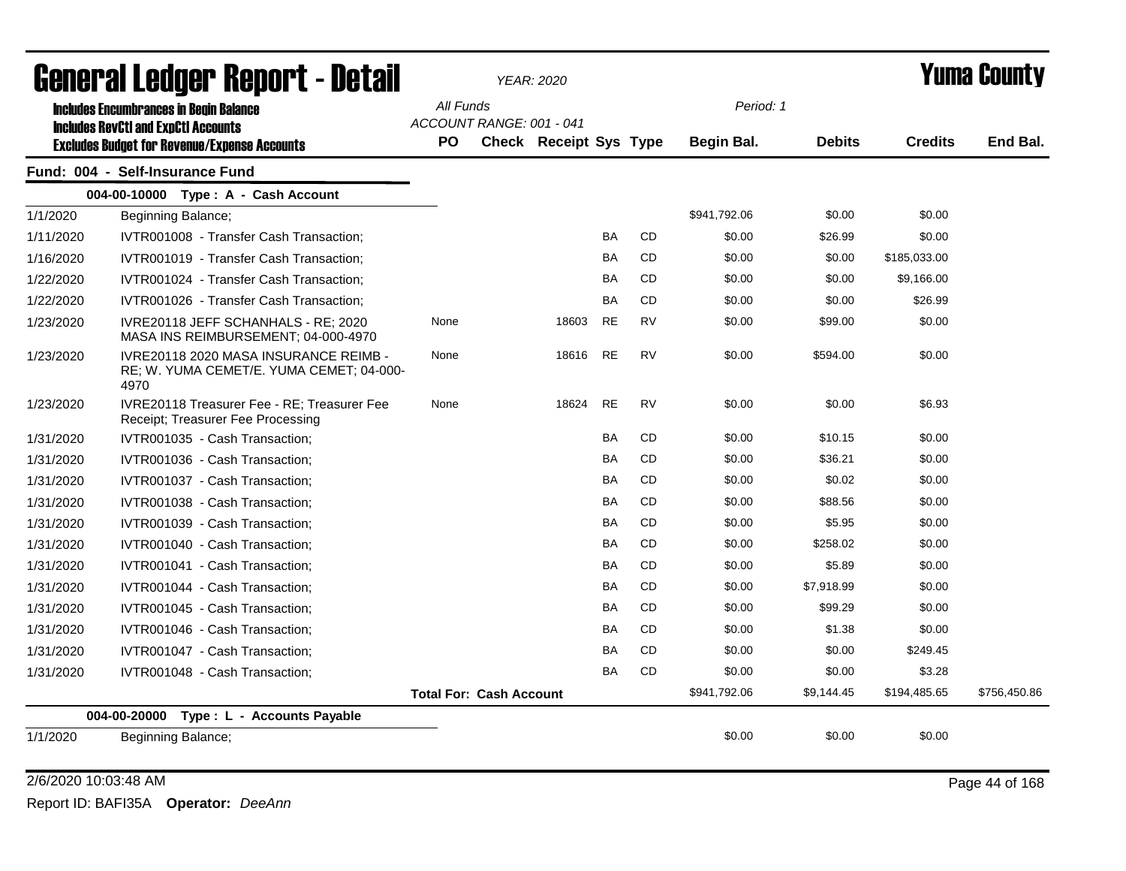|           | General Ledger Report - Detail                                                                    |                                       | <b>YEAR: 2020</b>             |           |           | <b>Yuma County</b> |               |                |              |  |
|-----------|---------------------------------------------------------------------------------------------------|---------------------------------------|-------------------------------|-----------|-----------|--------------------|---------------|----------------|--------------|--|
|           | <b>Includes Encumbrances in Begin Balance</b>                                                     | All Funds                             |                               |           |           | Period: 1          |               |                |              |  |
|           | <b>Includes RevCtI and ExpCtI Accounts</b><br><b>Excludes Budget for Revenue/Expense Accounts</b> | ACCOUNT RANGE: 001 - 041<br><b>PO</b> | <b>Check Receipt Sys Type</b> |           |           | Begin Bal.         | <b>Debits</b> | <b>Credits</b> | End Bal.     |  |
|           | Fund: 004 - Self-Insurance Fund                                                                   |                                       |                               |           |           |                    |               |                |              |  |
|           | 004-00-10000 Type: A - Cash Account                                                               |                                       |                               |           |           |                    |               |                |              |  |
| 1/1/2020  | Beginning Balance;                                                                                |                                       |                               |           |           | \$941,792.06       | \$0.00        | \$0.00         |              |  |
| 1/11/2020 | IVTR001008 - Transfer Cash Transaction;                                                           |                                       |                               | BA        | <b>CD</b> | \$0.00             | \$26.99       | \$0.00         |              |  |
| 1/16/2020 | IVTR001019 - Transfer Cash Transaction;                                                           |                                       |                               | BA        | CD        | \$0.00             | \$0.00        | \$185,033.00   |              |  |
| 1/22/2020 | IVTR001024 - Transfer Cash Transaction;                                                           |                                       |                               | BA        | CD.       | \$0.00             | \$0.00        | \$9,166.00     |              |  |
| 1/22/2020 | IVTR001026 - Transfer Cash Transaction;                                                           |                                       |                               | <b>BA</b> | CD.       | \$0.00             | \$0.00        | \$26.99        |              |  |
| 1/23/2020 | IVRE20118 JEFF SCHANHALS - RE; 2020<br>MASA INS REIMBURSEMENT; 04-000-4970                        | None                                  | 18603                         | <b>RE</b> | <b>RV</b> | \$0.00             | \$99.00       | \$0.00         |              |  |
| 1/23/2020 | IVRE20118 2020 MASA INSURANCE REIMB -<br>RE; W. YUMA CEMET/E. YUMA CEMET; 04-000-<br>4970         | None                                  | 18616                         | <b>RE</b> | <b>RV</b> | \$0.00             | \$594.00      | \$0.00         |              |  |
| 1/23/2020 | IVRE20118 Treasurer Fee - RE: Treasurer Fee<br>Receipt; Treasurer Fee Processing                  | None                                  | 18624                         | <b>RE</b> | <b>RV</b> | \$0.00             | \$0.00        | \$6.93         |              |  |
| 1/31/2020 | IVTR001035 - Cash Transaction;                                                                    |                                       |                               | BA        | CD        | \$0.00             | \$10.15       | \$0.00         |              |  |
| 1/31/2020 | IVTR001036 - Cash Transaction;                                                                    |                                       |                               | BA        | <b>CD</b> | \$0.00             | \$36.21       | \$0.00         |              |  |
| 1/31/2020 | IVTR001037 - Cash Transaction;                                                                    |                                       |                               | BA        | <b>CD</b> | \$0.00             | \$0.02        | \$0.00         |              |  |
| 1/31/2020 | IVTR001038 - Cash Transaction;                                                                    |                                       |                               | <b>BA</b> | <b>CD</b> | \$0.00             | \$88.56       | \$0.00         |              |  |
| 1/31/2020 | IVTR001039 - Cash Transaction;                                                                    |                                       |                               | <b>BA</b> | <b>CD</b> | \$0.00             | \$5.95        | \$0.00         |              |  |
| 1/31/2020 | IVTR001040 - Cash Transaction;                                                                    |                                       |                               | <b>BA</b> | <b>CD</b> | \$0.00             | \$258.02      | \$0.00         |              |  |
| 1/31/2020 | IVTR001041 - Cash Transaction;                                                                    |                                       |                               | <b>BA</b> | <b>CD</b> | \$0.00             | \$5.89        | \$0.00         |              |  |
| 1/31/2020 | IVTR001044 - Cash Transaction;                                                                    |                                       |                               | <b>BA</b> | <b>CD</b> | \$0.00             | \$7,918.99    | \$0.00         |              |  |
| 1/31/2020 | IVTR001045 - Cash Transaction;                                                                    |                                       |                               | BA        | <b>CD</b> | \$0.00             | \$99.29       | \$0.00         |              |  |
| 1/31/2020 | IVTR001046 - Cash Transaction;                                                                    |                                       |                               | <b>BA</b> | <b>CD</b> | \$0.00             | \$1.38        | \$0.00         |              |  |
| 1/31/2020 | IVTR001047 - Cash Transaction;                                                                    |                                       |                               | BA        | <b>CD</b> | \$0.00             | \$0.00        | \$249.45       |              |  |
| 1/31/2020 | IVTR001048 - Cash Transaction;                                                                    |                                       |                               | BA        | CD        | \$0.00             | \$0.00        | \$3.28         |              |  |
|           |                                                                                                   | <b>Total For: Cash Account</b>        |                               |           |           | \$941,792.06       | \$9,144.45    | \$194,485.65   | \$756,450.86 |  |
|           | 004-00-20000<br>Type: L - Accounts Payable                                                        |                                       |                               |           |           |                    |               |                |              |  |
| 1/1/2020  | Beginning Balance;                                                                                |                                       |                               |           |           | \$0.00             | \$0.00        | \$0.00         |              |  |

#### 2/6/2020 10:03:48 AM Page 44 of 168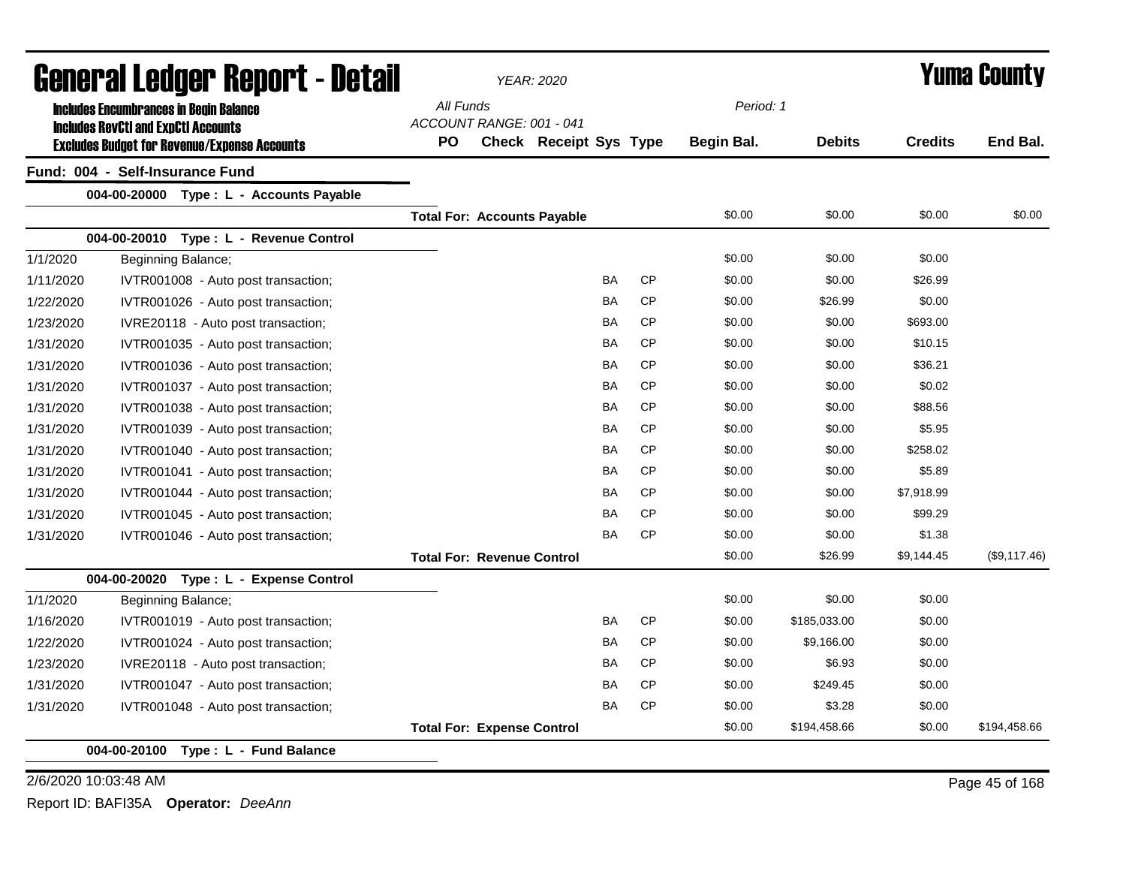| General Ledger Report - Detail |                                                                                                   |                                   | <b>YEAR: 2020</b>                  |           |           | <b>Yuma County</b> |               |                |              |  |
|--------------------------------|---------------------------------------------------------------------------------------------------|-----------------------------------|------------------------------------|-----------|-----------|--------------------|---------------|----------------|--------------|--|
|                                | <b>Includes Encumbrances in Begin Balance</b>                                                     | All Funds                         |                                    |           |           | Period: 1          |               |                |              |  |
|                                | <b>Includes RevCtI and ExpCtI Accounts</b><br><b>Excludes Budget for Revenue/Expense Accounts</b> | ACCOUNT RANGE: 001 - 041<br>PO    | <b>Check Receipt Sys Type</b>      |           |           | Begin Bal.         | <b>Debits</b> | <b>Credits</b> | End Bal.     |  |
|                                | Fund: 004 - Self-Insurance Fund                                                                   |                                   |                                    |           |           |                    |               |                |              |  |
|                                | 004-00-20000 Type : L - Accounts Payable                                                          |                                   |                                    |           |           |                    |               |                |              |  |
|                                |                                                                                                   |                                   | <b>Total For: Accounts Payable</b> |           |           | \$0.00             | \$0.00        | \$0.00         | \$0.00       |  |
|                                | 004-00-20010 Type: L - Revenue Control                                                            |                                   |                                    |           |           |                    |               |                |              |  |
| 1/1/2020                       | Beginning Balance;                                                                                |                                   |                                    |           |           | \$0.00             | \$0.00        | \$0.00         |              |  |
| 1/11/2020                      | IVTR001008 - Auto post transaction;                                                               |                                   |                                    | BA        | <b>CP</b> | \$0.00             | \$0.00        | \$26.99        |              |  |
| 1/22/2020                      | IVTR001026 - Auto post transaction;                                                               |                                   |                                    | <b>BA</b> | <b>CP</b> | \$0.00             | \$26.99       | \$0.00         |              |  |
| 1/23/2020                      | IVRE20118 - Auto post transaction;                                                                |                                   |                                    | BA        | <b>CP</b> | \$0.00             | \$0.00        | \$693.00       |              |  |
| 1/31/2020                      | IVTR001035 - Auto post transaction;                                                               |                                   |                                    | BA        | <b>CP</b> | \$0.00             | \$0.00        | \$10.15        |              |  |
| 1/31/2020                      | IVTR001036 - Auto post transaction;                                                               |                                   |                                    | BA        | <b>CP</b> | \$0.00             | \$0.00        | \$36.21        |              |  |
| 1/31/2020                      | IVTR001037 - Auto post transaction;                                                               |                                   |                                    | <b>BA</b> | <b>CP</b> | \$0.00             | \$0.00        | \$0.02         |              |  |
| 1/31/2020                      | IVTR001038 - Auto post transaction;                                                               |                                   |                                    | BA        | <b>CP</b> | \$0.00             | \$0.00        | \$88.56        |              |  |
| 1/31/2020                      | IVTR001039 - Auto post transaction;                                                               |                                   |                                    | BA        | <b>CP</b> | \$0.00             | \$0.00        | \$5.95         |              |  |
| 1/31/2020                      | IVTR001040 - Auto post transaction;                                                               |                                   |                                    | BA        | <b>CP</b> | \$0.00             | \$0.00        | \$258.02       |              |  |
| 1/31/2020                      | IVTR001041 - Auto post transaction;                                                               |                                   |                                    | BA        | <b>CP</b> | \$0.00             | \$0.00        | \$5.89         |              |  |
| 1/31/2020                      | IVTR001044 - Auto post transaction;                                                               |                                   |                                    | BA        | <b>CP</b> | \$0.00             | \$0.00        | \$7,918.99     |              |  |
| 1/31/2020                      | IVTR001045 - Auto post transaction;                                                               |                                   |                                    | BA        | <b>CP</b> | \$0.00             | \$0.00        | \$99.29        |              |  |
| 1/31/2020                      | IVTR001046 - Auto post transaction;                                                               |                                   |                                    | BA        | <b>CP</b> | \$0.00             | \$0.00        | \$1.38         |              |  |
|                                |                                                                                                   | <b>Total For: Revenue Control</b> |                                    |           |           | \$0.00             | \$26.99       | \$9,144.45     | (\$9,117.46) |  |
|                                | 004-00-20020 Type: L - Expense Control                                                            |                                   |                                    |           |           |                    |               |                |              |  |
| 1/1/2020                       | Beginning Balance;                                                                                |                                   |                                    |           |           | \$0.00             | \$0.00        | \$0.00         |              |  |
| 1/16/2020                      | IVTR001019 - Auto post transaction;                                                               |                                   |                                    | <b>BA</b> | <b>CP</b> | \$0.00             | \$185,033.00  | \$0.00         |              |  |
| 1/22/2020                      | IVTR001024 - Auto post transaction;                                                               |                                   |                                    | BA        | <b>CP</b> | \$0.00             | \$9,166.00    | \$0.00         |              |  |
| 1/23/2020                      | IVRE20118 - Auto post transaction;                                                                |                                   |                                    | BA        | <b>CP</b> | \$0.00             | \$6.93        | \$0.00         |              |  |
| 1/31/2020                      | IVTR001047 - Auto post transaction;                                                               |                                   |                                    | BA        | <b>CP</b> | \$0.00             | \$249.45      | \$0.00         |              |  |
| 1/31/2020                      | IVTR001048 - Auto post transaction;                                                               |                                   |                                    | BA        | <b>CP</b> | \$0.00             | \$3.28        | \$0.00         |              |  |
|                                |                                                                                                   | <b>Total For: Expense Control</b> |                                    |           |           | \$0.00             | \$194,458.66  | \$0.00         | \$194,458.66 |  |
|                                | 004-00-20100 Type: L - Fund Balance                                                               |                                   |                                    |           |           |                    |               |                |              |  |

2/6/2020 10:03:48 AM Page 45 of 168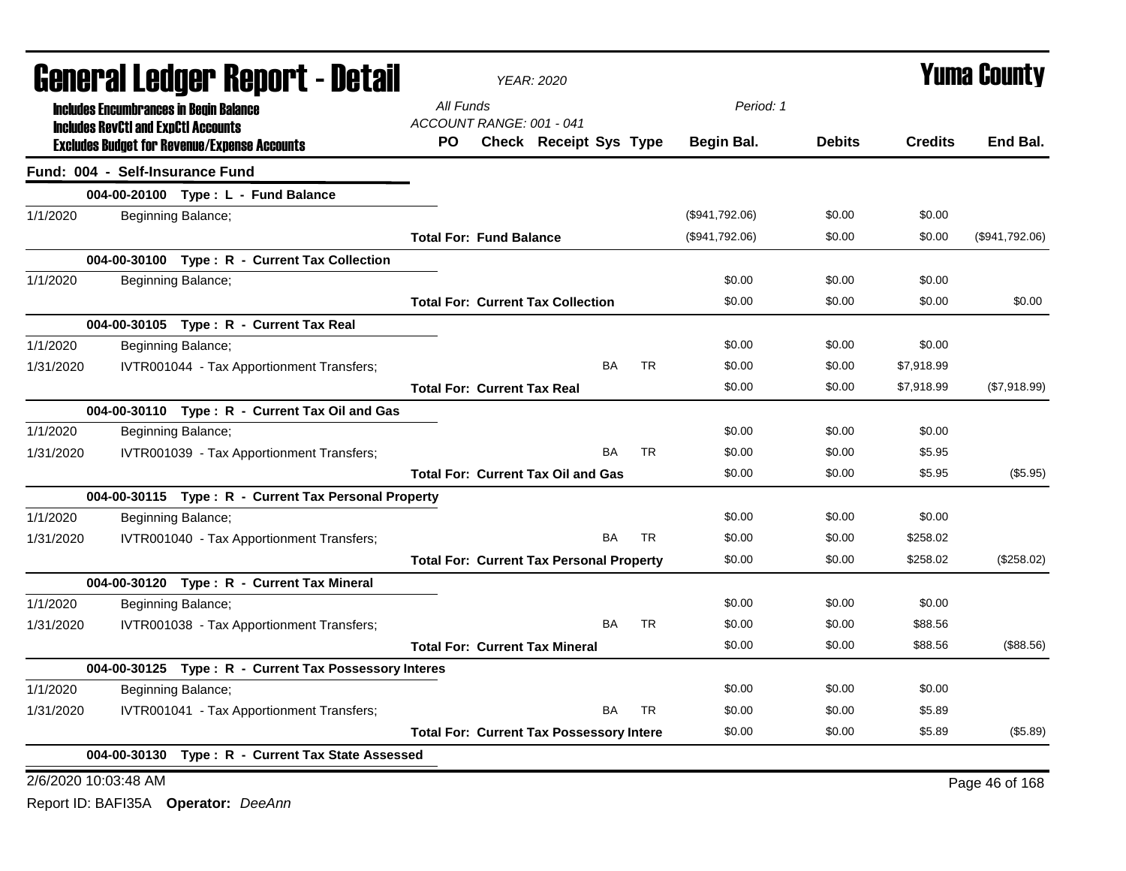|           | <b>General Ledger Report - Detail</b> |                                                                                                   |           | <b>YEAR: 2020</b>                  |                                                 | <b>Yuma County</b> |           |                |               |                |                |
|-----------|---------------------------------------|---------------------------------------------------------------------------------------------------|-----------|------------------------------------|-------------------------------------------------|--------------------|-----------|----------------|---------------|----------------|----------------|
|           |                                       | <b>Includes Encumbrances in Begin Balance</b>                                                     | All Funds |                                    |                                                 |                    |           | Period: 1      |               |                |                |
|           |                                       | <b>Includes RevCtI and ExpCtI Accounts</b><br><b>Excludes Budget for Revenue/Expense Accounts</b> | PO.       | ACCOUNT RANGE: 001 - 041           | <b>Check Receipt Sys Type</b>                   |                    |           | Begin Bal.     | <b>Debits</b> | <b>Credits</b> | End Bal.       |
|           |                                       | Fund: 004 - Self-Insurance Fund                                                                   |           |                                    |                                                 |                    |           |                |               |                |                |
|           |                                       | 004-00-20100 Type: L - Fund Balance                                                               |           |                                    |                                                 |                    |           |                |               |                |                |
| 1/1/2020  |                                       | Beginning Balance;                                                                                |           |                                    |                                                 |                    |           | (\$941,792.06) | \$0.00        | \$0.00         |                |
|           |                                       |                                                                                                   |           | <b>Total For: Fund Balance</b>     |                                                 |                    |           | (\$941,792.06) | \$0.00        | \$0.00         | (\$941,792.06) |
|           |                                       | 004-00-30100 Type: R - Current Tax Collection                                                     |           |                                    |                                                 |                    |           |                |               |                |                |
| 1/1/2020  |                                       | Beginning Balance;                                                                                |           |                                    |                                                 |                    |           | \$0.00         | \$0.00        | \$0.00         |                |
|           |                                       |                                                                                                   |           |                                    | <b>Total For: Current Tax Collection</b>        |                    |           | \$0.00         | \$0.00        | \$0.00         | \$0.00         |
|           |                                       | 004-00-30105 Type: R - Current Tax Real                                                           |           |                                    |                                                 |                    |           |                |               |                |                |
| 1/1/2020  |                                       | Beginning Balance;                                                                                |           |                                    |                                                 |                    |           | \$0.00         | \$0.00        | \$0.00         |                |
| 1/31/2020 |                                       | IVTR001044 - Tax Apportionment Transfers;                                                         |           |                                    |                                                 | <b>BA</b>          | <b>TR</b> | \$0.00         | \$0.00        | \$7,918.99     |                |
|           |                                       |                                                                                                   |           | <b>Total For: Current Tax Real</b> |                                                 |                    |           | \$0.00         | \$0.00        | \$7,918.99     | (\$7,918.99)   |
|           |                                       | 004-00-30110 Type: R - Current Tax Oil and Gas                                                    |           |                                    |                                                 |                    |           |                |               |                |                |
| 1/1/2020  |                                       | Beginning Balance;                                                                                |           |                                    |                                                 |                    |           | \$0.00         | \$0.00        | \$0.00         |                |
| 1/31/2020 |                                       | IVTR001039 - Tax Apportionment Transfers;                                                         |           |                                    |                                                 | <b>BA</b>          | <b>TR</b> | \$0.00         | \$0.00        | \$5.95         |                |
|           |                                       |                                                                                                   |           |                                    | <b>Total For: Current Tax Oil and Gas</b>       |                    |           | \$0.00         | \$0.00        | \$5.95         | (\$5.95)       |
|           |                                       | 004-00-30115 Type: R - Current Tax Personal Property                                              |           |                                    |                                                 |                    |           |                |               |                |                |
| 1/1/2020  |                                       | Beginning Balance;                                                                                |           |                                    |                                                 |                    |           | \$0.00         | \$0.00        | \$0.00         |                |
| 1/31/2020 |                                       | IVTR001040 - Tax Apportionment Transfers;                                                         |           |                                    |                                                 | <b>BA</b>          | TR.       | \$0.00         | \$0.00        | \$258.02       |                |
|           |                                       |                                                                                                   |           |                                    | <b>Total For: Current Tax Personal Property</b> |                    |           | \$0.00         | \$0.00        | \$258.02       | (\$258.02)     |
|           |                                       | 004-00-30120 Type: R - Current Tax Mineral                                                        |           |                                    |                                                 |                    |           |                |               |                |                |
| 1/1/2020  |                                       | Beginning Balance;                                                                                |           |                                    |                                                 |                    |           | \$0.00         | \$0.00        | \$0.00         |                |
| 1/31/2020 |                                       | IVTR001038 - Tax Apportionment Transfers;                                                         |           |                                    |                                                 | <b>BA</b>          | TR        | \$0.00         | \$0.00        | \$88.56        |                |
|           |                                       |                                                                                                   |           |                                    | <b>Total For: Current Tax Mineral</b>           |                    |           | \$0.00         | \$0.00        | \$88.56        | (\$88.56)      |
|           |                                       | 004-00-30125 Type: R - Current Tax Possessory Interes                                             |           |                                    |                                                 |                    |           |                |               |                |                |
| 1/1/2020  |                                       | Beginning Balance;                                                                                |           |                                    |                                                 |                    |           | \$0.00         | \$0.00        | \$0.00         |                |
| 1/31/2020 |                                       | IVTR001041 - Tax Apportionment Transfers;                                                         |           |                                    |                                                 | BA                 | <b>TR</b> | \$0.00         | \$0.00        | \$5.89         |                |
|           |                                       |                                                                                                   |           |                                    | <b>Total For: Current Tax Possessory Intere</b> |                    |           | \$0.00         | \$0.00        | \$5.89         | (\$5.89)       |
|           |                                       | 004-00-30130 Type: R - Current Tax State Assessed                                                 |           |                                    |                                                 |                    |           |                |               |                |                |
|           | 2/6/2020 10:03:48 AM                  |                                                                                                   |           |                                    |                                                 |                    |           |                |               |                | Page 46 of 168 |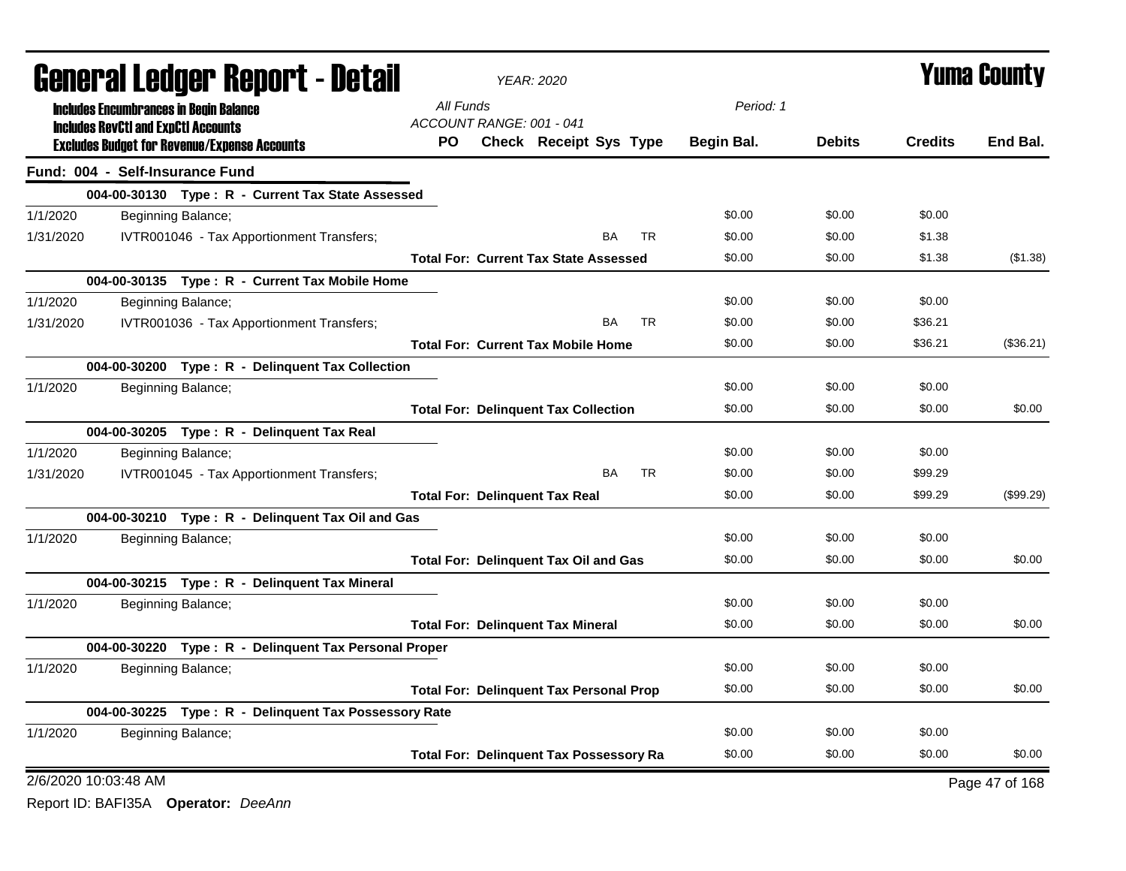|           | <b>General Ledger Report - Detail</b>      |                                                       | <b>YEAR: 2020</b>                              |                               |           | <b>Yuma County</b> |            |               |                |                |
|-----------|--------------------------------------------|-------------------------------------------------------|------------------------------------------------|-------------------------------|-----------|--------------------|------------|---------------|----------------|----------------|
|           |                                            | <b>Includes Encumbrances in Begin Balance</b>         | All Funds                                      |                               |           |                    | Period: 1  |               |                |                |
|           | <b>Includes RevCtI and ExpCtI Accounts</b> |                                                       | ACCOUNT RANGE: 001 - 041                       |                               |           |                    |            |               |                |                |
|           |                                            | <b>Excludes Budget for Revenue/Expense Accounts</b>   | <b>PO</b>                                      | <b>Check Receipt Sys Type</b> |           |                    | Begin Bal. | <b>Debits</b> | <b>Credits</b> | End Bal.       |
|           | Fund: 004 - Self-Insurance Fund            |                                                       |                                                |                               |           |                    |            |               |                |                |
|           |                                            | 004-00-30130 Type: R - Current Tax State Assessed     |                                                |                               |           |                    |            |               |                |                |
| 1/1/2020  |                                            | Beginning Balance;                                    |                                                |                               |           |                    | \$0.00     | \$0.00        | \$0.00         |                |
| 1/31/2020 |                                            | IVTR001046 - Tax Apportionment Transfers;             |                                                |                               | <b>BA</b> | <b>TR</b>          | \$0.00     | \$0.00        | \$1.38         |                |
|           |                                            |                                                       | <b>Total For: Current Tax State Assessed</b>   |                               |           |                    | \$0.00     | \$0.00        | \$1.38         | (\$1.38)       |
|           |                                            | 004-00-30135 Type: R - Current Tax Mobile Home        |                                                |                               |           |                    |            |               |                |                |
| 1/1/2020  |                                            | Beginning Balance;                                    |                                                |                               |           |                    | \$0.00     | \$0.00        | \$0.00         |                |
| 1/31/2020 |                                            | IVTR001036 - Tax Apportionment Transfers;             |                                                |                               | BA        | <b>TR</b>          | \$0.00     | \$0.00        | \$36.21        |                |
|           |                                            |                                                       | <b>Total For: Current Tax Mobile Home</b>      |                               |           |                    | \$0.00     | \$0.00        | \$36.21        | (\$36.21)      |
|           |                                            | 004-00-30200 Type: R - Delinquent Tax Collection      |                                                |                               |           |                    |            |               |                |                |
| 1/1/2020  |                                            | Beginning Balance;                                    |                                                |                               |           |                    | \$0.00     | \$0.00        | \$0.00         |                |
|           |                                            |                                                       | <b>Total For: Delinquent Tax Collection</b>    |                               |           |                    | \$0.00     | \$0.00        | \$0.00         | \$0.00         |
|           |                                            | 004-00-30205 Type: R - Delinquent Tax Real            |                                                |                               |           |                    |            |               |                |                |
| 1/1/2020  |                                            | Beginning Balance;                                    |                                                |                               |           |                    | \$0.00     | \$0.00        | \$0.00         |                |
| 1/31/2020 |                                            | IVTR001045 - Tax Apportionment Transfers;             |                                                |                               | <b>BA</b> | <b>TR</b>          | \$0.00     | \$0.00        | \$99.29        |                |
|           |                                            |                                                       | <b>Total For: Delinquent Tax Real</b>          |                               |           |                    | \$0.00     | \$0.00        | \$99.29        | (\$99.29)      |
|           |                                            | 004-00-30210 Type: R - Delinquent Tax Oil and Gas     |                                                |                               |           |                    |            |               |                |                |
| 1/1/2020  |                                            | Beginning Balance;                                    |                                                |                               |           |                    | \$0.00     | \$0.00        | \$0.00         |                |
|           |                                            |                                                       | <b>Total For: Delinquent Tax Oil and Gas</b>   |                               |           |                    | \$0.00     | \$0.00        | \$0.00         | \$0.00         |
|           |                                            | 004-00-30215 Type: R - Delinquent Tax Mineral         |                                                |                               |           |                    |            |               |                |                |
| 1/1/2020  |                                            | Beginning Balance;                                    |                                                |                               |           |                    | \$0.00     | \$0.00        | \$0.00         |                |
|           |                                            |                                                       | <b>Total For: Delinguent Tax Mineral</b>       |                               |           |                    | \$0.00     | \$0.00        | \$0.00         | \$0.00         |
|           |                                            | 004-00-30220 Type: R - Delinquent Tax Personal Proper |                                                |                               |           |                    |            |               |                |                |
| 1/1/2020  |                                            | Beginning Balance;                                    |                                                |                               |           |                    | \$0.00     | \$0.00        | \$0.00         |                |
|           |                                            |                                                       | <b>Total For: Delinquent Tax Personal Prop</b> |                               |           |                    | \$0.00     | \$0.00        | \$0.00         | \$0.00         |
|           |                                            | 004-00-30225 Type: R - Delinquent Tax Possessory Rate |                                                |                               |           |                    |            |               |                |                |
| 1/1/2020  |                                            | Beginning Balance;                                    |                                                |                               |           |                    | \$0.00     | \$0.00        | \$0.00         |                |
|           |                                            |                                                       | <b>Total For: Delinquent Tax Possessory Ra</b> |                               |           |                    | \$0.00     | \$0.00        | \$0.00         | \$0.00         |
|           | 2/6/2020 10:03:48 AM                       |                                                       |                                                |                               |           |                    |            |               |                | Page 47 of 168 |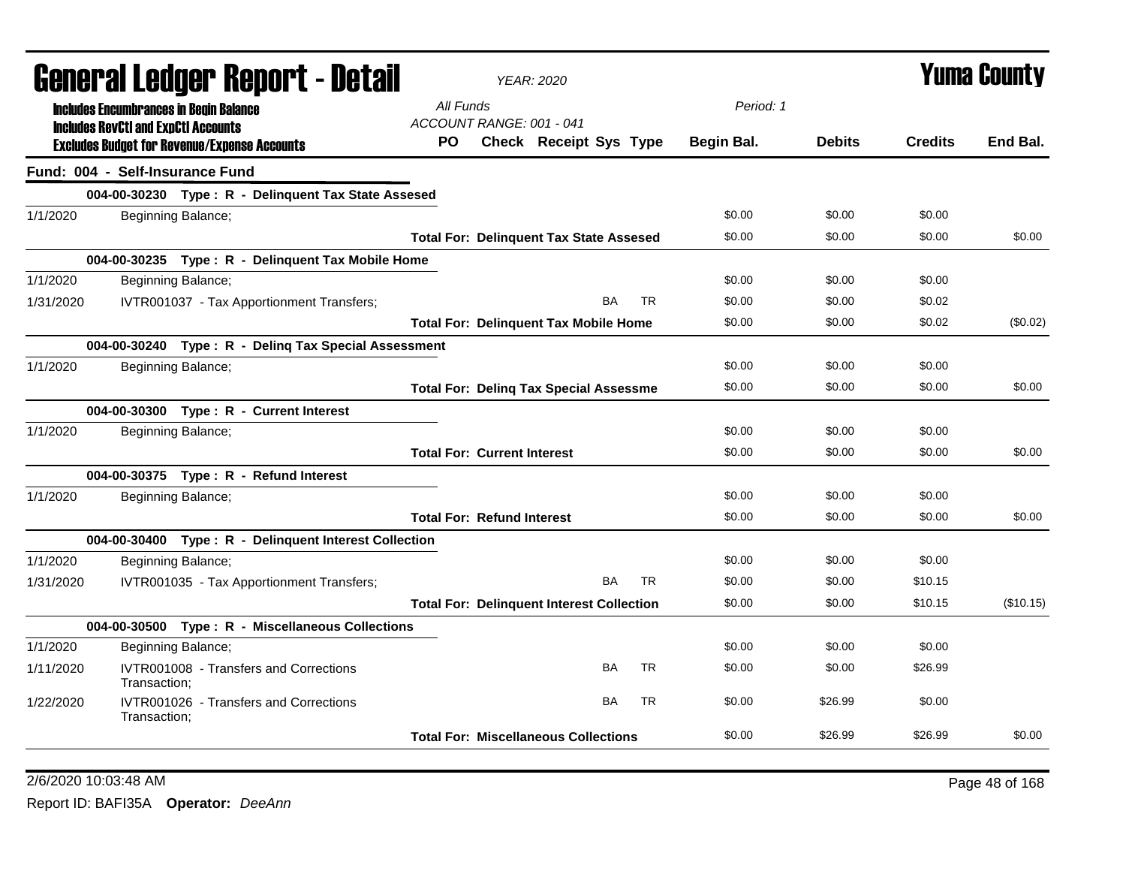| General Ledger Report - Detail<br>All Funds<br>Period: 1<br><b>Includes Encumbrances in Begin Balance</b><br>ACCOUNT RANGE: 001 - 041<br><b>Includes RevCtI and ExpCtI Accounts</b><br><b>Credits</b><br>PO.<br>Check Receipt Sys Type<br>Begin Bal.<br><b>Debits</b><br><b>Excludes Budget for Revenue/Expense Accounts</b><br>Fund: 004 - Self-Insurance Fund<br>004-00-30230 Type: R - Delinquent Tax State Assesed<br>\$0.00<br>\$0.00<br>\$0.00<br>1/1/2020<br>Beginning Balance;<br>\$0.00<br>\$0.00<br>\$0.00<br><b>Total For: Delinquent Tax State Assesed</b><br>004-00-30235 Type: R - Delinquent Tax Mobile Home<br>1/1/2020<br>\$0.00<br>Beginning Balance;<br>\$0.00<br>\$0.00<br>IVTR001037 - Tax Apportionment Transfers;<br><b>BA</b><br>TR.<br>\$0.00<br>\$0.00<br>\$0.02<br>1/31/2020 | <b>Yuma County</b> |  |  |  |
|---------------------------------------------------------------------------------------------------------------------------------------------------------------------------------------------------------------------------------------------------------------------------------------------------------------------------------------------------------------------------------------------------------------------------------------------------------------------------------------------------------------------------------------------------------------------------------------------------------------------------------------------------------------------------------------------------------------------------------------------------------------------------------------------------------|--------------------|--|--|--|
|                                                                                                                                                                                                                                                                                                                                                                                                                                                                                                                                                                                                                                                                                                                                                                                                         |                    |  |  |  |
|                                                                                                                                                                                                                                                                                                                                                                                                                                                                                                                                                                                                                                                                                                                                                                                                         | End Bal.           |  |  |  |
|                                                                                                                                                                                                                                                                                                                                                                                                                                                                                                                                                                                                                                                                                                                                                                                                         |                    |  |  |  |
|                                                                                                                                                                                                                                                                                                                                                                                                                                                                                                                                                                                                                                                                                                                                                                                                         |                    |  |  |  |
|                                                                                                                                                                                                                                                                                                                                                                                                                                                                                                                                                                                                                                                                                                                                                                                                         |                    |  |  |  |
|                                                                                                                                                                                                                                                                                                                                                                                                                                                                                                                                                                                                                                                                                                                                                                                                         | \$0.00             |  |  |  |
|                                                                                                                                                                                                                                                                                                                                                                                                                                                                                                                                                                                                                                                                                                                                                                                                         |                    |  |  |  |
|                                                                                                                                                                                                                                                                                                                                                                                                                                                                                                                                                                                                                                                                                                                                                                                                         |                    |  |  |  |
|                                                                                                                                                                                                                                                                                                                                                                                                                                                                                                                                                                                                                                                                                                                                                                                                         |                    |  |  |  |
| \$0.00<br>\$0.00<br>\$0.02<br><b>Total For: Delinquent Tax Mobile Home</b>                                                                                                                                                                                                                                                                                                                                                                                                                                                                                                                                                                                                                                                                                                                              | (\$0.02)           |  |  |  |
| 004-00-30240 Type: R - Deling Tax Special Assessment                                                                                                                                                                                                                                                                                                                                                                                                                                                                                                                                                                                                                                                                                                                                                    |                    |  |  |  |
| \$0.00<br>\$0.00<br>\$0.00<br>1/1/2020<br>Beginning Balance;                                                                                                                                                                                                                                                                                                                                                                                                                                                                                                                                                                                                                                                                                                                                            |                    |  |  |  |
| \$0.00<br>\$0.00<br>\$0.00<br><b>Total For: Deling Tax Special Assessme</b>                                                                                                                                                                                                                                                                                                                                                                                                                                                                                                                                                                                                                                                                                                                             | \$0.00             |  |  |  |
| 004-00-30300 Type: R - Current Interest                                                                                                                                                                                                                                                                                                                                                                                                                                                                                                                                                                                                                                                                                                                                                                 |                    |  |  |  |
| Beginning Balance;<br>\$0.00<br>1/1/2020<br>\$0.00<br>\$0.00                                                                                                                                                                                                                                                                                                                                                                                                                                                                                                                                                                                                                                                                                                                                            |                    |  |  |  |
| <b>Total For: Current Interest</b><br>\$0.00<br>\$0.00<br>\$0.00                                                                                                                                                                                                                                                                                                                                                                                                                                                                                                                                                                                                                                                                                                                                        | \$0.00             |  |  |  |
| 004-00-30375 Type: R - Refund Interest                                                                                                                                                                                                                                                                                                                                                                                                                                                                                                                                                                                                                                                                                                                                                                  |                    |  |  |  |
| 1/1/2020<br>\$0.00<br>\$0.00<br>\$0.00<br>Beginning Balance;                                                                                                                                                                                                                                                                                                                                                                                                                                                                                                                                                                                                                                                                                                                                            |                    |  |  |  |
| <b>Total For: Refund Interest</b><br>\$0.00<br>\$0.00<br>\$0.00                                                                                                                                                                                                                                                                                                                                                                                                                                                                                                                                                                                                                                                                                                                                         | \$0.00             |  |  |  |
| 004-00-30400 Type: R - Delinquent Interest Collection                                                                                                                                                                                                                                                                                                                                                                                                                                                                                                                                                                                                                                                                                                                                                   |                    |  |  |  |
| 1/1/2020<br>Beginning Balance;<br>\$0.00<br>\$0.00<br>\$0.00                                                                                                                                                                                                                                                                                                                                                                                                                                                                                                                                                                                                                                                                                                                                            |                    |  |  |  |
| BA<br><b>TR</b><br>IVTR001035 - Tax Apportionment Transfers;<br>\$0.00<br>\$0.00<br>\$10.15<br>1/31/2020                                                                                                                                                                                                                                                                                                                                                                                                                                                                                                                                                                                                                                                                                                |                    |  |  |  |
| \$0.00<br>\$0.00<br>\$10.15<br><b>Total For: Delinquent Interest Collection</b>                                                                                                                                                                                                                                                                                                                                                                                                                                                                                                                                                                                                                                                                                                                         | (\$10.15)          |  |  |  |
| 004-00-30500 Type: R - Miscellaneous Collections                                                                                                                                                                                                                                                                                                                                                                                                                                                                                                                                                                                                                                                                                                                                                        |                    |  |  |  |
| \$0.00<br>\$0.00<br>\$0.00<br>1/1/2020<br>Beginning Balance;                                                                                                                                                                                                                                                                                                                                                                                                                                                                                                                                                                                                                                                                                                                                            |                    |  |  |  |
| IVTR001008 - Transfers and Corrections<br>BA<br><b>TR</b><br>\$0.00<br>\$0.00<br>1/11/2020<br>\$26.99<br>Transaction:                                                                                                                                                                                                                                                                                                                                                                                                                                                                                                                                                                                                                                                                                   |                    |  |  |  |
| <b>BA</b><br><b>TR</b><br>IVTR001026 - Transfers and Corrections<br>\$0.00<br>\$26.99<br>\$0.00<br>1/22/2020<br>Transaction:                                                                                                                                                                                                                                                                                                                                                                                                                                                                                                                                                                                                                                                                            |                    |  |  |  |
| \$0.00<br>\$26.99<br>\$26.99<br><b>Total For: Miscellaneous Collections</b>                                                                                                                                                                                                                                                                                                                                                                                                                                                                                                                                                                                                                                                                                                                             | \$0.00             |  |  |  |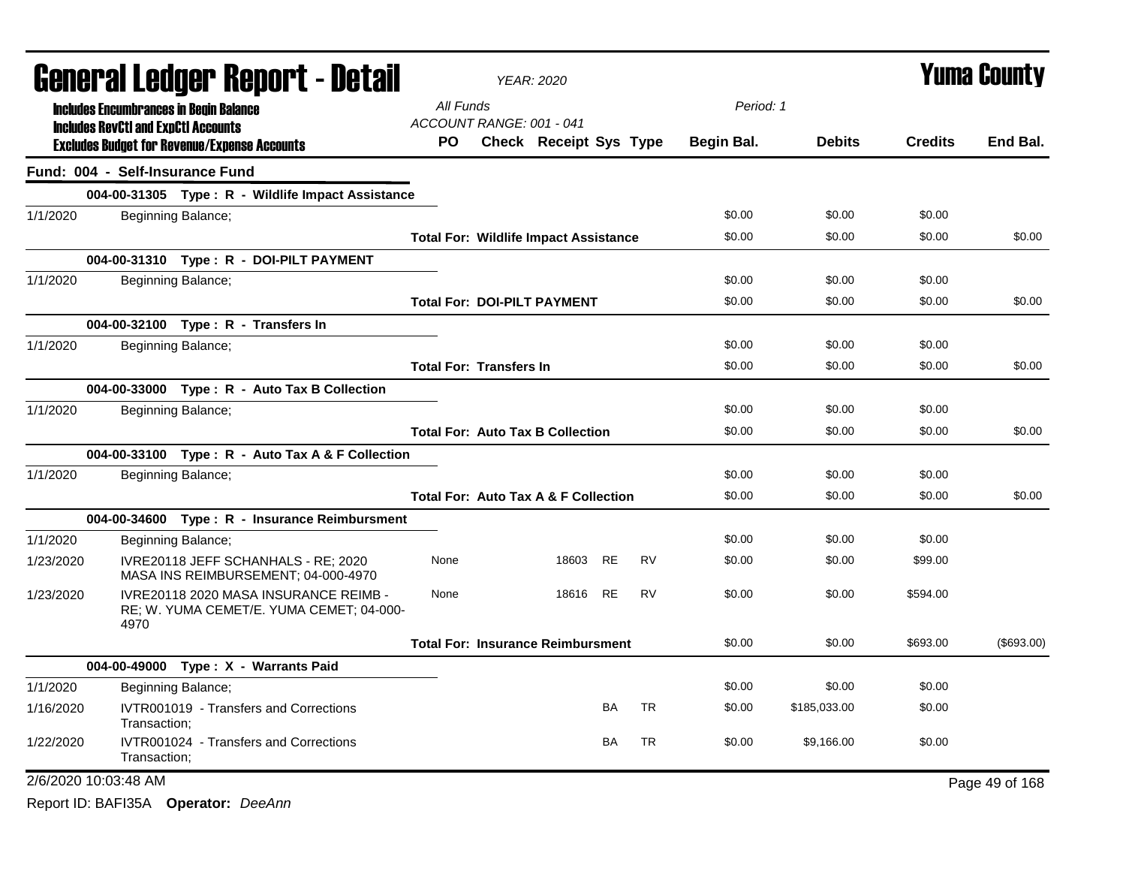|           | General Ledger Report - Detail             |                                                                                   |                                       | <b>YEAR: 2020</b>                               | Yuma County |           |            |               |                |                |
|-----------|--------------------------------------------|-----------------------------------------------------------------------------------|---------------------------------------|-------------------------------------------------|-------------|-----------|------------|---------------|----------------|----------------|
|           |                                            | <b>Includes Encumbrances in Begin Balance</b>                                     | All Funds                             |                                                 |             |           | Period: 1  |               |                |                |
|           | <b>Includes RevCtI and ExpCtI Accounts</b> | <b>Excludes Budget for Revenue/Expense Accounts</b>                               | ACCOUNT RANGE: 001 - 041<br><b>PO</b> | <b>Check Receipt Sys Type</b>                   |             |           | Begin Bal. | <b>Debits</b> | <b>Credits</b> | End Bal.       |
|           | Fund: 004 - Self-Insurance Fund            |                                                                                   |                                       |                                                 |             |           |            |               |                |                |
|           |                                            | 004-00-31305 Type: R - Wildlife Impact Assistance                                 |                                       |                                                 |             |           |            |               |                |                |
| 1/1/2020  |                                            | Beginning Balance;                                                                |                                       |                                                 |             |           | \$0.00     | \$0.00        | \$0.00         |                |
|           |                                            |                                                                                   |                                       | <b>Total For: Wildlife Impact Assistance</b>    |             |           | \$0.00     | \$0.00        | \$0.00         | \$0.00         |
|           |                                            | 004-00-31310 Type: R - DOI-PILT PAYMENT                                           |                                       |                                                 |             |           |            |               |                |                |
| 1/1/2020  |                                            | Beginning Balance;                                                                |                                       |                                                 |             |           | \$0.00     | \$0.00        | \$0.00         |                |
|           |                                            |                                                                                   |                                       | <b>Total For: DOI-PILT PAYMENT</b>              |             |           | \$0.00     | \$0.00        | \$0.00         | \$0.00         |
|           |                                            | 004-00-32100 Type: R - Transfers In                                               |                                       |                                                 |             |           |            |               |                |                |
| 1/1/2020  |                                            | Beginning Balance;                                                                |                                       |                                                 |             |           | \$0.00     | \$0.00        | \$0.00         |                |
|           |                                            |                                                                                   | <b>Total For: Transfers In</b>        |                                                 |             |           | \$0.00     | \$0.00        | \$0.00         | \$0.00         |
|           |                                            | 004-00-33000 Type: R - Auto Tax B Collection                                      |                                       |                                                 |             |           |            |               |                |                |
| 1/1/2020  |                                            | Beginning Balance;                                                                |                                       |                                                 |             |           | \$0.00     | \$0.00        | \$0.00         |                |
|           |                                            |                                                                                   |                                       | <b>Total For: Auto Tax B Collection</b>         |             |           | \$0.00     | \$0.00        | \$0.00         | \$0.00         |
|           |                                            | 004-00-33100 Type: R - Auto Tax A & F Collection                                  |                                       |                                                 |             |           |            |               |                |                |
| 1/1/2020  |                                            | Beginning Balance;                                                                |                                       |                                                 |             |           | \$0.00     | \$0.00        | \$0.00         |                |
|           |                                            |                                                                                   |                                       | <b>Total For: Auto Tax A &amp; F Collection</b> |             |           | \$0.00     | \$0.00        | \$0.00         | \$0.00         |
|           |                                            | 004-00-34600 Type: R - Insurance Reimbursment                                     |                                       |                                                 |             |           |            |               |                |                |
| 1/1/2020  |                                            | Beginning Balance;                                                                |                                       |                                                 |             |           | \$0.00     | \$0.00        | \$0.00         |                |
| 1/23/2020 |                                            | IVRE20118 JEFF SCHANHALS - RE; 2020<br>MASA INS REIMBURSEMENT; 04-000-4970        | None                                  | 18603                                           | <b>RE</b>   | <b>RV</b> | \$0.00     | \$0.00        | \$99.00        |                |
| 1/23/2020 | 4970                                       | IVRE20118 2020 MASA INSURANCE REIMB -<br>RE; W. YUMA CEMET/E. YUMA CEMET; 04-000- | None                                  | 18616                                           | <b>RE</b>   | <b>RV</b> | \$0.00     | \$0.00        | \$594.00       |                |
|           |                                            |                                                                                   |                                       | <b>Total For: Insurance Reimbursment</b>        |             |           | \$0.00     | \$0.00        | \$693.00       | (\$693.00)     |
|           |                                            | 004-00-49000 Type: X - Warrants Paid                                              |                                       |                                                 |             |           |            |               |                |                |
| 1/1/2020  |                                            | Beginning Balance;                                                                |                                       |                                                 |             |           | \$0.00     | \$0.00        | \$0.00         |                |
| 1/16/2020 | Transaction;                               | IVTR001019 - Transfers and Corrections                                            |                                       |                                                 | BA          | <b>TR</b> | \$0.00     | \$185,033.00  | \$0.00         |                |
| 1/22/2020 | Transaction:                               | IVTR001024 - Transfers and Corrections                                            |                                       |                                                 | BA          | <b>TR</b> | \$0.00     | \$9,166.00    | \$0.00         |                |
|           | 2/6/2020 10:03:48 AM                       |                                                                                   |                                       |                                                 |             |           |            |               |                | Page 49 of 168 |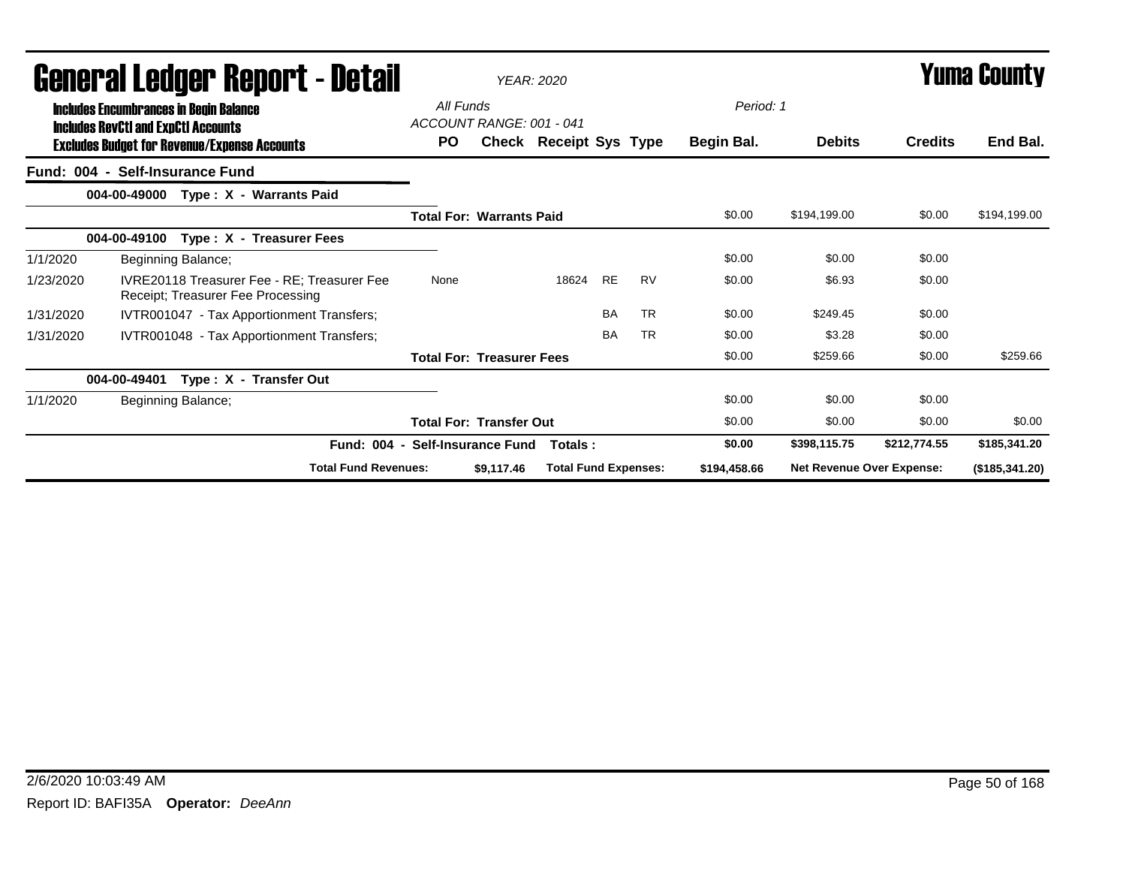|           | General Ledger Report - Detail                                                                                                                     |                    |                                                                                  |                  | <b>YEAR: 2020</b>                |                             |           |           |                         |                                  |                | Yuma County    |  |
|-----------|----------------------------------------------------------------------------------------------------------------------------------------------------|--------------------|----------------------------------------------------------------------------------|------------------|----------------------------------|-----------------------------|-----------|-----------|-------------------------|----------------------------------|----------------|----------------|--|
|           | <b>Includes Encumbrances in Begin Balance</b><br><b>Includes RevCtI and ExpCtI Accounts</b><br><b>Excludes Budget for Revenue/Expense Accounts</b> |                    |                                                                                  | All Funds<br>PO. | ACCOUNT RANGE: 001 - 041         | Check Receipt Sys Type      |           |           | Period: 1<br>Begin Bal. | <b>Debits</b>                    | <b>Credits</b> | End Bal.       |  |
|           | Fund: 004 - Self-Insurance Fund                                                                                                                    |                    |                                                                                  |                  |                                  |                             |           |           |                         |                                  |                |                |  |
|           | 004-00-49000                                                                                                                                       |                    | Type: X - Warrants Paid                                                          |                  |                                  |                             |           |           |                         |                                  |                |                |  |
|           |                                                                                                                                                    |                    |                                                                                  |                  | <b>Total For: Warrants Paid</b>  |                             |           |           | \$0.00                  | \$194,199.00                     | \$0.00         | \$194,199.00   |  |
|           | 004-00-49100                                                                                                                                       |                    | Type: X - Treasurer Fees                                                         |                  |                                  |                             |           |           |                         |                                  |                |                |  |
| 1/1/2020  |                                                                                                                                                    | Beginning Balance; |                                                                                  |                  |                                  |                             |           |           | \$0.00                  | \$0.00                           | \$0.00         |                |  |
| 1/23/2020 |                                                                                                                                                    |                    | IVRE20118 Treasurer Fee - RE; Treasurer Fee<br>Receipt; Treasurer Fee Processing | None             |                                  | 18624                       | <b>RE</b> | <b>RV</b> | \$0.00                  | \$6.93                           | \$0.00         |                |  |
| 1/31/2020 |                                                                                                                                                    |                    | IVTR001047 - Tax Apportionment Transfers;                                        |                  |                                  |                             | <b>BA</b> | <b>TR</b> | \$0.00                  | \$249.45                         | \$0.00         |                |  |
| 1/31/2020 |                                                                                                                                                    |                    | IVTR001048 - Tax Apportionment Transfers;                                        |                  |                                  |                             | <b>BA</b> | <b>TR</b> | \$0.00                  | \$3.28                           | \$0.00         |                |  |
|           |                                                                                                                                                    |                    |                                                                                  |                  | <b>Total For: Treasurer Fees</b> |                             |           |           | \$0.00                  | \$259.66                         | \$0.00         | \$259.66       |  |
|           | 004-00-49401                                                                                                                                       |                    | Type: X - Transfer Out                                                           |                  |                                  |                             |           |           |                         |                                  |                |                |  |
| 1/1/2020  |                                                                                                                                                    | Beginning Balance; |                                                                                  |                  |                                  |                             |           |           | \$0.00                  | \$0.00                           | \$0.00         |                |  |
|           |                                                                                                                                                    |                    |                                                                                  |                  | <b>Total For: Transfer Out</b>   |                             |           |           | \$0.00                  | \$0.00                           | \$0.00         | \$0.00         |  |
|           |                                                                                                                                                    |                    | Fund: 004 - Self-Insurance Fund                                                  |                  |                                  | Totals:                     |           |           | \$0.00                  | \$398,115.75                     | \$212,774.55   | \$185,341.20   |  |
|           |                                                                                                                                                    |                    | <b>Total Fund Revenues:</b>                                                      |                  | \$9,117.46                       | <b>Total Fund Expenses:</b> |           |           | \$194,458.66            | <b>Net Revenue Over Expense:</b> |                | (\$185,341.20) |  |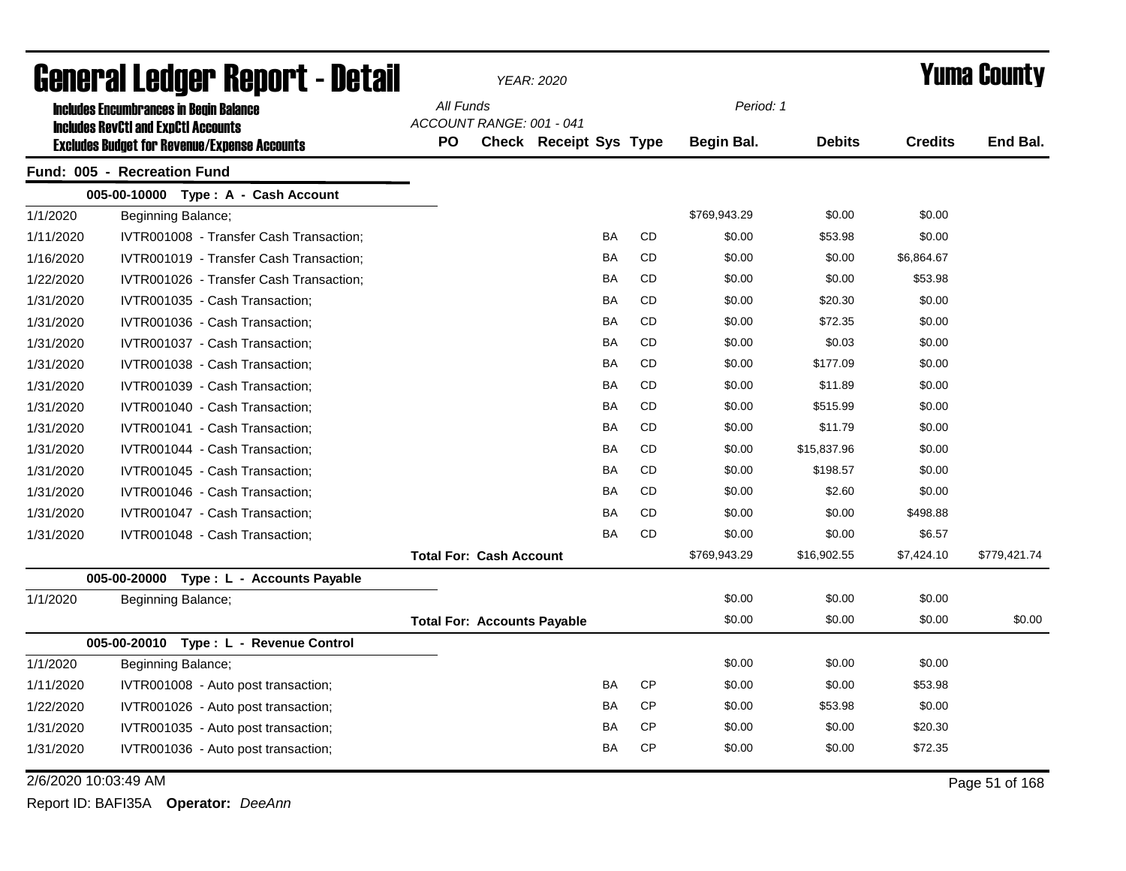| General Ledger Report - Detail |                                                     |                                    | <b>YEAR: 2020</b>        |                               |           | <b>Yuma County</b> |              |               |                |                |
|--------------------------------|-----------------------------------------------------|------------------------------------|--------------------------|-------------------------------|-----------|--------------------|--------------|---------------|----------------|----------------|
|                                | <b>Includes Encumbrances in Begin Balance</b>       | All Funds                          |                          |                               |           |                    | Period: 1    |               |                |                |
|                                | <b>Includes RevCtI and ExpCtI Accounts</b>          |                                    | ACCOUNT RANGE: 001 - 041 |                               |           |                    |              |               |                |                |
|                                | <b>Excludes Budget for Revenue/Expense Accounts</b> | <b>PO</b>                          |                          | <b>Check Receipt Sys Type</b> |           |                    | Begin Bal.   | <b>Debits</b> | <b>Credits</b> | End Bal.       |
|                                | Fund: 005 - Recreation Fund                         |                                    |                          |                               |           |                    |              |               |                |                |
|                                | 005-00-10000 Type: A - Cash Account                 |                                    |                          |                               |           |                    |              |               |                |                |
| 1/1/2020                       | Beginning Balance;                                  |                                    |                          |                               |           |                    | \$769,943.29 | \$0.00        | \$0.00         |                |
| 1/11/2020                      | IVTR001008 - Transfer Cash Transaction;             |                                    |                          |                               | BA        | <b>CD</b>          | \$0.00       | \$53.98       | \$0.00         |                |
| 1/16/2020                      | IVTR001019 - Transfer Cash Transaction;             |                                    |                          |                               | BA        | CD                 | \$0.00       | \$0.00        | \$6,864.67     |                |
| 1/22/2020                      | IVTR001026 - Transfer Cash Transaction:             |                                    |                          |                               | BA        | CD                 | \$0.00       | \$0.00        | \$53.98        |                |
| 1/31/2020                      | IVTR001035 - Cash Transaction;                      |                                    |                          |                               | <b>BA</b> | <b>CD</b>          | \$0.00       | \$20.30       | \$0.00         |                |
| 1/31/2020                      | IVTR001036 - Cash Transaction;                      |                                    |                          |                               | BA        | <b>CD</b>          | \$0.00       | \$72.35       | \$0.00         |                |
| 1/31/2020                      | IVTR001037 - Cash Transaction;                      |                                    |                          |                               | BA        | CD                 | \$0.00       | \$0.03        | \$0.00         |                |
| 1/31/2020                      | IVTR001038 - Cash Transaction;                      |                                    |                          |                               | <b>BA</b> | CD                 | \$0.00       | \$177.09      | \$0.00         |                |
| 1/31/2020                      | IVTR001039 - Cash Transaction;                      |                                    |                          |                               | <b>BA</b> | CD                 | \$0.00       | \$11.89       | \$0.00         |                |
| 1/31/2020                      | IVTR001040 - Cash Transaction;                      |                                    |                          |                               | <b>BA</b> | <b>CD</b>          | \$0.00       | \$515.99      | \$0.00         |                |
| 1/31/2020                      | IVTR001041 - Cash Transaction;                      |                                    |                          |                               | <b>BA</b> | <b>CD</b>          | \$0.00       | \$11.79       | \$0.00         |                |
| 1/31/2020                      | IVTR001044 - Cash Transaction;                      |                                    |                          |                               | <b>BA</b> | <b>CD</b>          | \$0.00       | \$15,837.96   | \$0.00         |                |
| 1/31/2020                      | IVTR001045 - Cash Transaction;                      |                                    |                          |                               | <b>BA</b> | <b>CD</b>          | \$0.00       | \$198.57      | \$0.00         |                |
| 1/31/2020                      | IVTR001046 - Cash Transaction;                      |                                    |                          |                               | BA        | CD                 | \$0.00       | \$2.60        | \$0.00         |                |
| 1/31/2020                      | IVTR001047 - Cash Transaction;                      |                                    |                          |                               | BA        | CD                 | \$0.00       | \$0.00        | \$498.88       |                |
| 1/31/2020                      | IVTR001048 - Cash Transaction;                      |                                    |                          |                               | BA        | CD                 | \$0.00       | \$0.00        | \$6.57         |                |
|                                |                                                     | <b>Total For: Cash Account</b>     |                          |                               |           |                    | \$769,943.29 | \$16,902.55   | \$7,424.10     | \$779,421.74   |
|                                | 005-00-20000 Type : L - Accounts Payable            |                                    |                          |                               |           |                    |              |               |                |                |
| 1/1/2020                       | Beginning Balance;                                  |                                    |                          |                               |           |                    | \$0.00       | \$0.00        | \$0.00         |                |
|                                |                                                     | <b>Total For: Accounts Payable</b> |                          |                               |           |                    | \$0.00       | \$0.00        | \$0.00         | \$0.00         |
|                                | 005-00-20010 Type: L - Revenue Control              |                                    |                          |                               |           |                    |              |               |                |                |
| 1/1/2020                       | Beginning Balance;                                  |                                    |                          |                               |           |                    | \$0.00       | \$0.00        | \$0.00         |                |
| 1/11/2020                      | IVTR001008 - Auto post transaction;                 |                                    |                          |                               | <b>BA</b> | <b>CP</b>          | \$0.00       | \$0.00        | \$53.98        |                |
| 1/22/2020                      | IVTR001026 - Auto post transaction;                 |                                    |                          |                               | BA        | <b>CP</b>          | \$0.00       | \$53.98       | \$0.00         |                |
| 1/31/2020                      | IVTR001035 - Auto post transaction;                 |                                    |                          |                               | BA        | <b>CP</b>          | \$0.00       | \$0.00        | \$20.30        |                |
| 1/31/2020                      | IVTR001036 - Auto post transaction;                 |                                    |                          |                               | BA        | <b>CP</b>          | \$0.00       | \$0.00        | \$72.35        |                |
| 2/6/2020 10:03:49 AM           |                                                     |                                    |                          |                               |           |                    |              |               |                | Page 51 of 168 |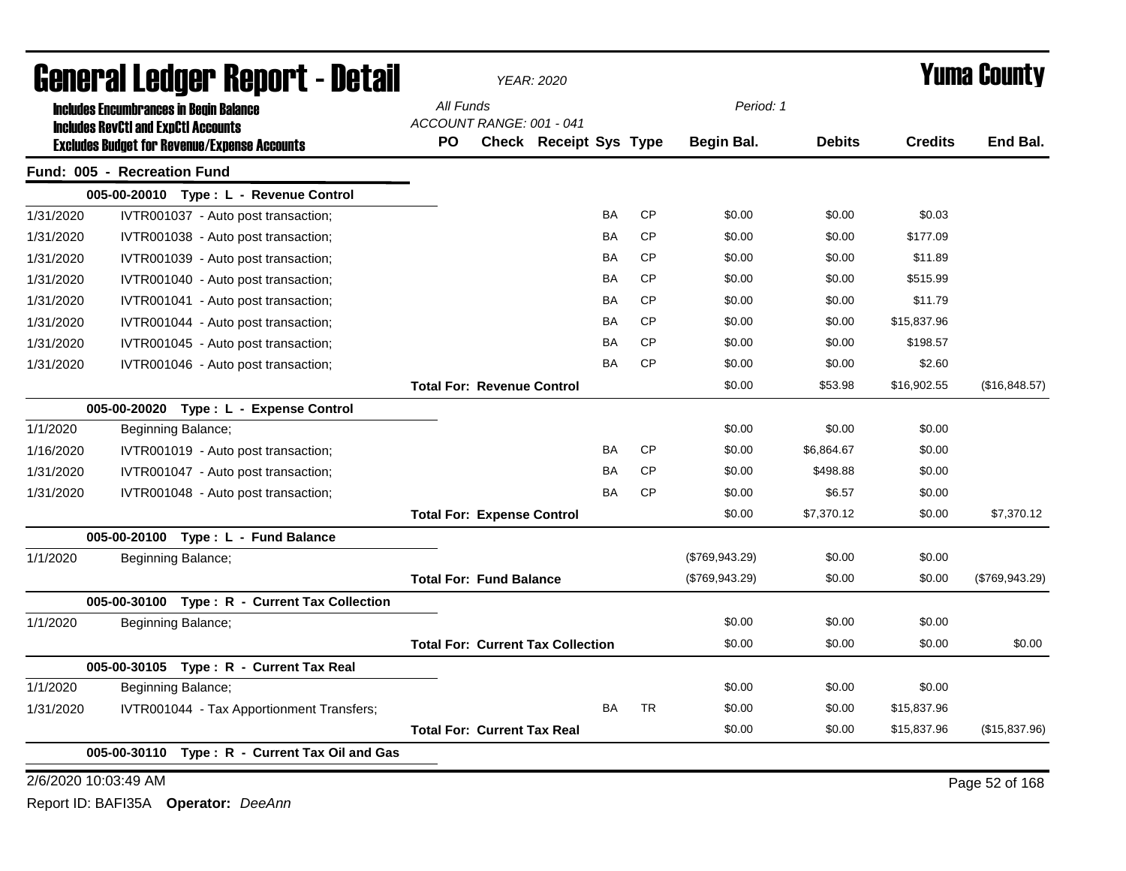| General Ledger Report - Detail |                                                                                             |           | <b>YEAR: 2020</b>                  |                                          |           | <b>Yuma County</b> |                |               |                |                |
|--------------------------------|---------------------------------------------------------------------------------------------|-----------|------------------------------------|------------------------------------------|-----------|--------------------|----------------|---------------|----------------|----------------|
|                                | <b>Includes Encumbrances in Begin Balance</b><br><b>Includes RevCtI and ExpCtI Accounts</b> | All Funds | ACCOUNT RANGE: 001 - 041           |                                          |           |                    | Period: 1      |               |                |                |
|                                | <b>Excludes Budget for Revenue/Expense Accounts</b>                                         | PO        |                                    | Check Receipt Sys Type                   |           |                    | Begin Bal.     | <b>Debits</b> | <b>Credits</b> | End Bal.       |
|                                | Fund: 005 - Recreation Fund                                                                 |           |                                    |                                          |           |                    |                |               |                |                |
|                                | 005-00-20010 Type: L - Revenue Control                                                      |           |                                    |                                          |           |                    |                |               |                |                |
| 1/31/2020                      | IVTR001037 - Auto post transaction;                                                         |           |                                    |                                          | BA        | <b>CP</b>          | \$0.00         | \$0.00        | \$0.03         |                |
| 1/31/2020                      | IVTR001038 - Auto post transaction;                                                         |           |                                    |                                          | <b>BA</b> | <b>CP</b>          | \$0.00         | \$0.00        | \$177.09       |                |
| 1/31/2020                      | IVTR001039 - Auto post transaction;                                                         |           |                                    |                                          | BA        | <b>CP</b>          | \$0.00         | \$0.00        | \$11.89        |                |
| 1/31/2020                      | IVTR001040 - Auto post transaction;                                                         |           |                                    |                                          | BA        | <b>CP</b>          | \$0.00         | \$0.00        | \$515.99       |                |
| 1/31/2020                      | IVTR001041 - Auto post transaction;                                                         |           |                                    |                                          | <b>BA</b> | <b>CP</b>          | \$0.00         | \$0.00        | \$11.79        |                |
| 1/31/2020                      | IVTR001044 - Auto post transaction;                                                         |           |                                    |                                          | BA        | <b>CP</b>          | \$0.00         | \$0.00        | \$15,837.96    |                |
| 1/31/2020                      | IVTR001045 - Auto post transaction;                                                         |           |                                    |                                          | BA        | <b>CP</b>          | \$0.00         | \$0.00        | \$198.57       |                |
| 1/31/2020                      | IVTR001046 - Auto post transaction;                                                         |           |                                    |                                          | BA        | <b>CP</b>          | \$0.00         | \$0.00        | \$2.60         |                |
|                                |                                                                                             |           | <b>Total For: Revenue Control</b>  |                                          |           |                    | \$0.00         | \$53.98       | \$16,902.55    | (\$16,848.57)  |
|                                | 005-00-20020 Type: L - Expense Control                                                      |           |                                    |                                          |           |                    |                |               |                |                |
| 1/1/2020                       | Beginning Balance;                                                                          |           |                                    |                                          |           |                    | \$0.00         | \$0.00        | \$0.00         |                |
| 1/16/2020                      | IVTR001019 - Auto post transaction;                                                         |           |                                    |                                          | BA        | <b>CP</b>          | \$0.00         | \$6,864.67    | \$0.00         |                |
| 1/31/2020                      | IVTR001047 - Auto post transaction;                                                         |           |                                    |                                          | BA        | <b>CP</b>          | \$0.00         | \$498.88      | \$0.00         |                |
| 1/31/2020                      | IVTR001048 - Auto post transaction;                                                         |           |                                    |                                          | ΒA        | <b>CP</b>          | \$0.00         | \$6.57        | \$0.00         |                |
|                                |                                                                                             |           | <b>Total For: Expense Control</b>  |                                          |           |                    | \$0.00         | \$7,370.12    | \$0.00         | \$7,370.12     |
|                                | 005-00-20100 Type: L - Fund Balance                                                         |           |                                    |                                          |           |                    |                |               |                |                |
| 1/1/2020                       | Beginning Balance;                                                                          |           |                                    |                                          |           |                    | (\$769,943.29) | \$0.00        | \$0.00         |                |
|                                |                                                                                             |           | <b>Total For: Fund Balance</b>     |                                          |           |                    | (\$769,943.29) | \$0.00        | \$0.00         | (\$769,943.29) |
|                                | 005-00-30100 Type: R - Current Tax Collection                                               |           |                                    |                                          |           |                    |                |               |                |                |
| 1/1/2020                       | Beginning Balance;                                                                          |           |                                    |                                          |           |                    | \$0.00         | \$0.00        | \$0.00         |                |
|                                |                                                                                             |           |                                    | <b>Total For: Current Tax Collection</b> |           |                    | \$0.00         | \$0.00        | \$0.00         | \$0.00         |
|                                | 005-00-30105 Type: R - Current Tax Real                                                     |           |                                    |                                          |           |                    |                |               |                |                |
| 1/1/2020                       | Beginning Balance;                                                                          |           |                                    |                                          |           |                    | \$0.00         | \$0.00        | \$0.00         |                |
| 1/31/2020                      | IVTR001044 - Tax Apportionment Transfers;                                                   |           |                                    |                                          | BA        | <b>TR</b>          | \$0.00         | \$0.00        | \$15,837.96    |                |
|                                |                                                                                             |           | <b>Total For: Current Tax Real</b> |                                          |           |                    | \$0.00         | \$0.00        | \$15,837.96    | (\$15,837.96)  |
|                                | Type: R - Current Tax Oil and Gas<br>005-00-30110                                           |           |                                    |                                          |           |                    |                |               |                |                |
| 2/6/2020 10:03:49 AM           |                                                                                             |           |                                    |                                          |           |                    |                |               |                | Page 52 of 168 |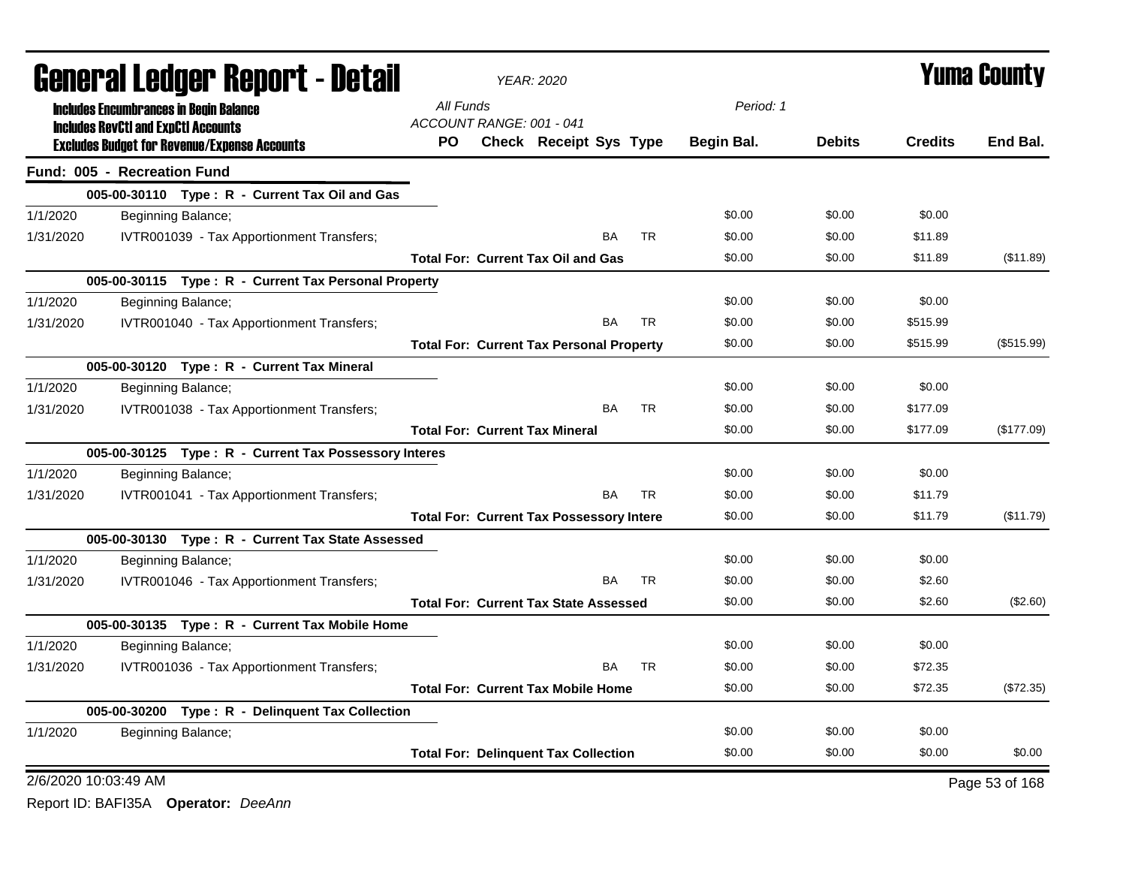| General Ledger Report - Detail |                                                                                                   |           | <b>YEAR: 2020</b>        |                                                 |           | <b>Yuma County</b> |               |                |                |
|--------------------------------|---------------------------------------------------------------------------------------------------|-----------|--------------------------|-------------------------------------------------|-----------|--------------------|---------------|----------------|----------------|
|                                | <b>Includes Encumbrances in Begin Balance</b>                                                     | All Funds |                          |                                                 |           | Period: 1          |               |                |                |
|                                | <b>Includes RevCtI and ExpCtI Accounts</b><br><b>Excludes Budget for Revenue/Expense Accounts</b> | PO.       | ACCOUNT RANGE: 001 - 041 | <b>Check Receipt Sys Type</b>                   |           | Begin Bal.         | <b>Debits</b> | <b>Credits</b> | End Bal.       |
|                                | Fund: 005 - Recreation Fund                                                                       |           |                          |                                                 |           |                    |               |                |                |
|                                | 005-00-30110 Type: R - Current Tax Oil and Gas                                                    |           |                          |                                                 |           |                    |               |                |                |
| 1/1/2020                       | Beginning Balance;                                                                                |           |                          |                                                 |           | \$0.00             | \$0.00        | \$0.00         |                |
| 1/31/2020                      | IVTR001039 - Tax Apportionment Transfers;                                                         |           |                          | BA                                              | <b>TR</b> | \$0.00             | \$0.00        | \$11.89        |                |
|                                |                                                                                                   |           |                          | <b>Total For: Current Tax Oil and Gas</b>       |           | \$0.00             | \$0.00        | \$11.89        | (\$11.89)      |
|                                | 005-00-30115 Type: R - Current Tax Personal Property                                              |           |                          |                                                 |           |                    |               |                |                |
| 1/1/2020                       | Beginning Balance;                                                                                |           |                          |                                                 |           | \$0.00             | \$0.00        | \$0.00         |                |
| 1/31/2020                      | IVTR001040 - Tax Apportionment Transfers;                                                         |           |                          | <b>BA</b>                                       | <b>TR</b> | \$0.00             | \$0.00        | \$515.99       |                |
|                                |                                                                                                   |           |                          | <b>Total For: Current Tax Personal Property</b> |           | \$0.00             | \$0.00        | \$515.99       | (\$515.99)     |
|                                | 005-00-30120 Type: R - Current Tax Mineral                                                        |           |                          |                                                 |           |                    |               |                |                |
| 1/1/2020                       | Beginning Balance;                                                                                |           |                          |                                                 |           | \$0.00             | \$0.00        | \$0.00         |                |
| 1/31/2020                      | IVTR001038 - Tax Apportionment Transfers;                                                         |           |                          | <b>BA</b>                                       | <b>TR</b> | \$0.00             | \$0.00        | \$177.09       |                |
|                                |                                                                                                   |           |                          | <b>Total For: Current Tax Mineral</b>           |           | \$0.00             | \$0.00        | \$177.09       | (\$177.09)     |
|                                | 005-00-30125 Type: R - Current Tax Possessory Interes                                             |           |                          |                                                 |           |                    |               |                |                |
| 1/1/2020                       | Beginning Balance;                                                                                |           |                          |                                                 |           | \$0.00             | \$0.00        | \$0.00         |                |
| 1/31/2020                      | IVTR001041 - Tax Apportionment Transfers;                                                         |           |                          | <b>BA</b>                                       | <b>TR</b> | \$0.00             | \$0.00        | \$11.79        |                |
|                                |                                                                                                   |           |                          | <b>Total For: Current Tax Possessory Intere</b> |           | \$0.00             | \$0.00        | \$11.79        | (\$11.79)      |
|                                | 005-00-30130 Type: R - Current Tax State Assessed                                                 |           |                          |                                                 |           |                    |               |                |                |
| 1/1/2020                       | Beginning Balance;                                                                                |           |                          |                                                 |           | \$0.00             | \$0.00        | \$0.00         |                |
| 1/31/2020                      | IVTR001046 - Tax Apportionment Transfers;                                                         |           |                          | BA                                              | <b>TR</b> | \$0.00             | \$0.00        | \$2.60         |                |
|                                |                                                                                                   |           |                          | <b>Total For: Current Tax State Assessed</b>    |           | \$0.00             | \$0.00        | \$2.60         | (\$2.60)       |
|                                | 005-00-30135 Type: R - Current Tax Mobile Home                                                    |           |                          |                                                 |           |                    |               |                |                |
| 1/1/2020                       | Beginning Balance;                                                                                |           |                          |                                                 |           | \$0.00             | \$0.00        | \$0.00         |                |
| 1/31/2020                      | IVTR001036 - Tax Apportionment Transfers;                                                         |           |                          | BA                                              | <b>TR</b> | \$0.00             | \$0.00        | \$72.35        |                |
|                                |                                                                                                   |           |                          | <b>Total For: Current Tax Mobile Home</b>       |           | \$0.00             | \$0.00        | \$72.35        | (\$72.35)      |
|                                | 005-00-30200 Type: R - Delinquent Tax Collection                                                  |           |                          |                                                 |           |                    |               |                |                |
| 1/1/2020                       | Beginning Balance;                                                                                |           |                          |                                                 |           | \$0.00             | \$0.00        | \$0.00         |                |
|                                |                                                                                                   |           |                          | <b>Total For: Delinquent Tax Collection</b>     |           | \$0.00             | \$0.00        | \$0.00         | \$0.00         |
| 2/6/2020 10:03:49 AM           |                                                                                                   |           |                          |                                                 |           |                    |               |                | Page 53 of 168 |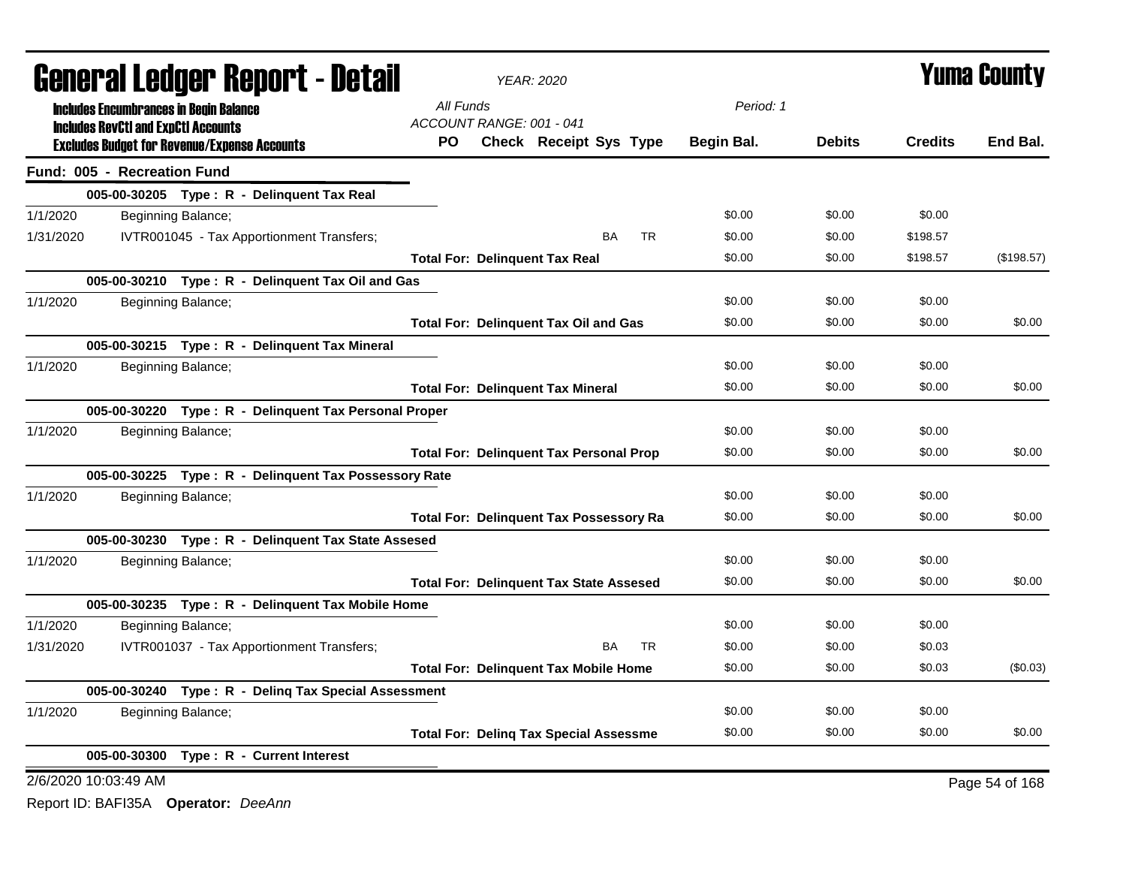|           | <b>General Ledger Report - Detail</b>               |                    |                                                       | <b>YEAR: 2020</b>        |                                                |           |           | <b>Yuma County</b> |               |                |                |
|-----------|-----------------------------------------------------|--------------------|-------------------------------------------------------|--------------------------|------------------------------------------------|-----------|-----------|--------------------|---------------|----------------|----------------|
|           | <b>Includes Encumbrances in Begin Balance</b>       |                    |                                                       | All Funds                |                                                |           |           | Period: 1          |               |                |                |
|           | <b>Includes RevCtI and ExpCtI Accounts</b>          |                    |                                                       | ACCOUNT RANGE: 001 - 041 |                                                |           |           |                    |               |                |                |
|           | <b>Excludes Budget for Revenue/Expense Accounts</b> |                    |                                                       | PO.                      | <b>Check Receipt Sys Type</b>                  |           |           | Begin Bal.         | <b>Debits</b> | <b>Credits</b> | End Bal.       |
|           | Fund: 005 - Recreation Fund                         |                    |                                                       |                          |                                                |           |           |                    |               |                |                |
|           |                                                     |                    | 005-00-30205 Type: R - Delinquent Tax Real            |                          |                                                |           |           |                    |               |                |                |
| 1/1/2020  |                                                     | Beginning Balance; |                                                       |                          |                                                |           |           | \$0.00             | \$0.00        | \$0.00         |                |
| 1/31/2020 |                                                     |                    | IVTR001045 - Tax Apportionment Transfers;             |                          |                                                | <b>BA</b> | <b>TR</b> | \$0.00             | \$0.00        | \$198.57       |                |
|           |                                                     |                    |                                                       |                          | <b>Total For: Delinquent Tax Real</b>          |           |           | \$0.00             | \$0.00        | \$198.57       | (\$198.57)     |
|           |                                                     |                    | 005-00-30210 Type: R - Delinquent Tax Oil and Gas     |                          |                                                |           |           |                    |               |                |                |
| 1/1/2020  |                                                     | Beginning Balance; |                                                       |                          |                                                |           |           | \$0.00             | \$0.00        | \$0.00         |                |
|           |                                                     |                    |                                                       |                          | <b>Total For: Delinquent Tax Oil and Gas</b>   |           |           | \$0.00             | \$0.00        | \$0.00         | \$0.00         |
|           |                                                     |                    | 005-00-30215 Type: R - Delinquent Tax Mineral         |                          |                                                |           |           |                    |               |                |                |
| 1/1/2020  |                                                     | Beginning Balance; |                                                       |                          |                                                |           |           | \$0.00             | \$0.00        | \$0.00         |                |
|           |                                                     |                    |                                                       |                          | <b>Total For: Delinquent Tax Mineral</b>       |           |           | \$0.00             | \$0.00        | \$0.00         | \$0.00         |
|           |                                                     |                    | 005-00-30220 Type: R - Delinquent Tax Personal Proper |                          |                                                |           |           |                    |               |                |                |
| 1/1/2020  |                                                     | Beginning Balance; |                                                       |                          |                                                |           |           | \$0.00             | \$0.00        | \$0.00         |                |
|           |                                                     |                    |                                                       |                          | <b>Total For: Delinquent Tax Personal Prop</b> |           |           | \$0.00             | \$0.00        | \$0.00         | \$0.00         |
|           |                                                     |                    | 005-00-30225 Type: R - Delinquent Tax Possessory Rate |                          |                                                |           |           |                    |               |                |                |
| 1/1/2020  |                                                     | Beginning Balance; |                                                       |                          |                                                |           |           | \$0.00             | \$0.00        | \$0.00         |                |
|           |                                                     |                    |                                                       |                          | <b>Total For: Delinquent Tax Possessory Ra</b> |           |           | \$0.00             | \$0.00        | \$0.00         | \$0.00         |
|           |                                                     |                    | 005-00-30230 Type: R - Delinquent Tax State Assesed   |                          |                                                |           |           |                    |               |                |                |
| 1/1/2020  |                                                     | Beginning Balance; |                                                       |                          |                                                |           |           | \$0.00             | \$0.00        | \$0.00         |                |
|           |                                                     |                    |                                                       |                          | <b>Total For: Delinquent Tax State Assesed</b> |           |           | \$0.00             | \$0.00        | \$0.00         | \$0.00         |
|           |                                                     |                    | 005-00-30235 Type: R - Delinquent Tax Mobile Home     |                          |                                                |           |           |                    |               |                |                |
| 1/1/2020  |                                                     | Beginning Balance; |                                                       |                          |                                                |           |           | \$0.00             | \$0.00        | \$0.00         |                |
| 1/31/2020 |                                                     |                    | IVTR001037 - Tax Apportionment Transfers;             |                          |                                                | BA        | <b>TR</b> | \$0.00             | \$0.00        | \$0.03         |                |
|           |                                                     |                    |                                                       |                          | <b>Total For: Delinquent Tax Mobile Home</b>   |           |           | \$0.00             | \$0.00        | \$0.03         | (\$0.03)       |
|           |                                                     |                    | 005-00-30240 Type: R - Deling Tax Special Assessment  |                          |                                                |           |           |                    |               |                |                |
| 1/1/2020  |                                                     | Beginning Balance; |                                                       |                          |                                                |           |           | \$0.00             | \$0.00        | \$0.00         |                |
|           |                                                     |                    |                                                       |                          | <b>Total For: Deling Tax Special Assessme</b>  |           |           | \$0.00             | \$0.00        | \$0.00         | \$0.00         |
|           |                                                     |                    | 005-00-30300 Type: R - Current Interest               |                          |                                                |           |           |                    |               |                |                |
|           | 2/6/2020 10:03:49 AM                                |                    |                                                       |                          |                                                |           |           |                    |               |                | Page 54 of 168 |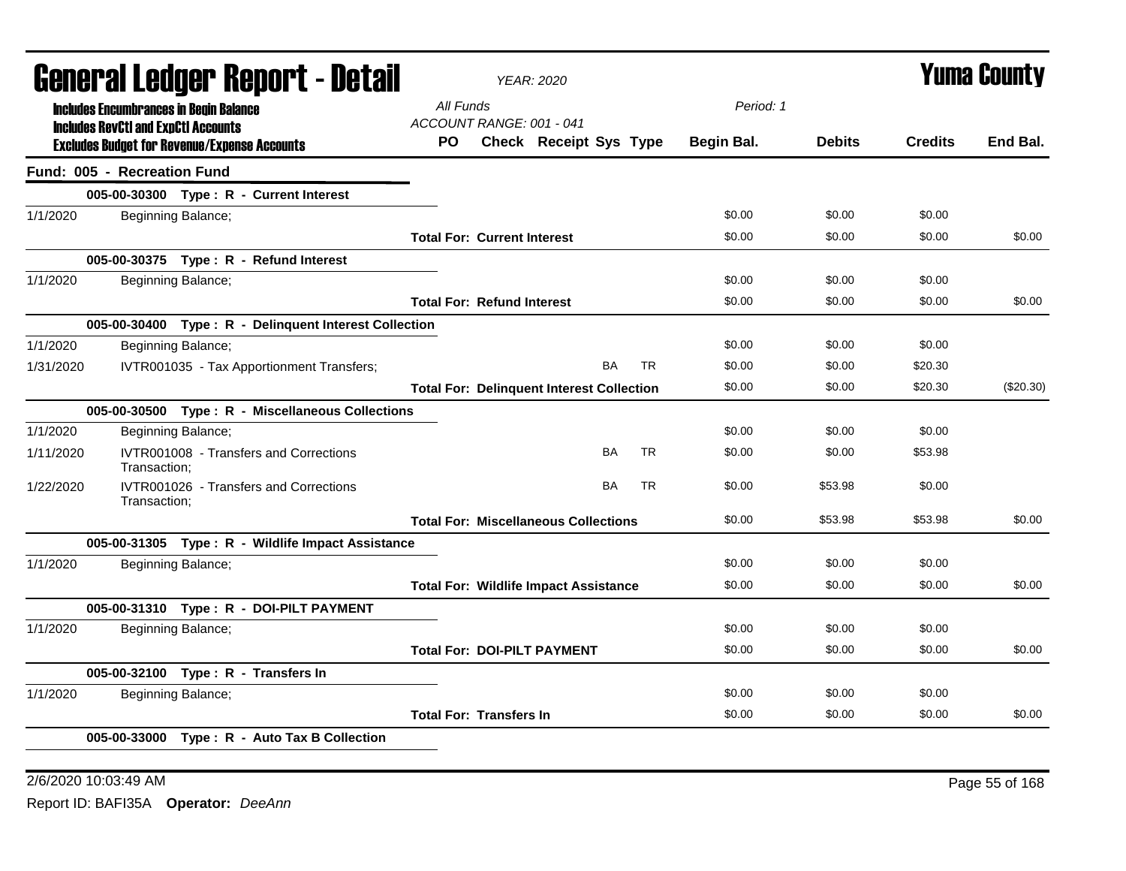| General Ledger Report - Detail |                                               |                                                       |                                    | <b>YEAR: 2020</b>                                |           |            |               | Yuma County    |             |
|--------------------------------|-----------------------------------------------|-------------------------------------------------------|------------------------------------|--------------------------------------------------|-----------|------------|---------------|----------------|-------------|
|                                | <b>Includes Encumbrances in Begin Balance</b> |                                                       | All Funds                          |                                                  |           | Period: 1  |               |                |             |
|                                | <b>Includes RevCtI and ExpCtI Accounts</b>    |                                                       | ACCOUNT RANGE: 001 - 041           |                                                  |           |            |               |                |             |
|                                |                                               | <b>Excludes Budget for Revenue/Expense Accounts</b>   | PO.                                | Check Receipt Sys Type                           |           | Begin Bal. | <b>Debits</b> | <b>Credits</b> | End Bal.    |
|                                | Fund: 005 - Recreation Fund                   |                                                       |                                    |                                                  |           |            |               |                |             |
|                                |                                               | 005-00-30300 Type: R - Current Interest               |                                    |                                                  |           |            |               |                |             |
| 1/1/2020                       |                                               | Beginning Balance;                                    |                                    |                                                  |           | \$0.00     | \$0.00        | \$0.00         |             |
|                                |                                               |                                                       | <b>Total For: Current Interest</b> |                                                  |           | \$0.00     | \$0.00        | \$0.00         | \$0.00      |
|                                |                                               | 005-00-30375 Type: R - Refund Interest                |                                    |                                                  |           |            |               |                |             |
| 1/1/2020                       |                                               | Beginning Balance;                                    |                                    |                                                  |           | \$0.00     | \$0.00        | \$0.00         |             |
|                                |                                               |                                                       | <b>Total For: Refund Interest</b>  |                                                  |           | \$0.00     | \$0.00        | \$0.00         | \$0.00      |
|                                |                                               | 005-00-30400 Type: R - Delinquent Interest Collection |                                    |                                                  |           |            |               |                |             |
| 1/1/2020                       |                                               | Beginning Balance;                                    |                                    |                                                  |           | \$0.00     | \$0.00        | \$0.00         |             |
| 1/31/2020                      |                                               | IVTR001035 - Tax Apportionment Transfers;             |                                    | BA                                               | <b>TR</b> | \$0.00     | \$0.00        | \$20.30        |             |
|                                |                                               |                                                       |                                    | <b>Total For: Delinquent Interest Collection</b> |           | \$0.00     | \$0.00        | \$20.30        | $(\$20.30)$ |
|                                |                                               | 005-00-30500 Type: R - Miscellaneous Collections      |                                    |                                                  |           |            |               |                |             |
| 1/1/2020                       |                                               | Beginning Balance;                                    |                                    |                                                  |           | \$0.00     | \$0.00        | \$0.00         |             |
| 1/11/2020                      | Transaction:                                  | IVTR001008 - Transfers and Corrections                |                                    | <b>BA</b>                                        | <b>TR</b> | \$0.00     | \$0.00        | \$53.98        |             |
| 1/22/2020                      | Transaction;                                  | IVTR001026 - Transfers and Corrections                |                                    | <b>BA</b>                                        | <b>TR</b> | \$0.00     | \$53.98       | \$0.00         |             |
|                                |                                               |                                                       |                                    | <b>Total For: Miscellaneous Collections</b>      |           | \$0.00     | \$53.98       | \$53.98        | \$0.00      |
|                                |                                               | 005-00-31305 Type: R - Wildlife Impact Assistance     |                                    |                                                  |           |            |               |                |             |
| 1/1/2020                       |                                               | Beginning Balance;                                    |                                    |                                                  |           | \$0.00     | \$0.00        | \$0.00         |             |
|                                |                                               |                                                       |                                    | <b>Total For: Wildlife Impact Assistance</b>     |           | \$0.00     | \$0.00        | \$0.00         | \$0.00      |
|                                |                                               | 005-00-31310 Type: R - DOI-PILT PAYMENT               |                                    |                                                  |           |            |               |                |             |
| 1/1/2020                       |                                               | Beginning Balance;                                    |                                    |                                                  |           | \$0.00     | \$0.00        | \$0.00         |             |
|                                |                                               |                                                       |                                    | <b>Total For: DOI-PILT PAYMENT</b>               |           | \$0.00     | \$0.00        | \$0.00         | \$0.00      |
|                                |                                               | 005-00-32100 Type: R - Transfers In                   |                                    |                                                  |           |            |               |                |             |
| 1/1/2020                       |                                               | Beginning Balance;                                    |                                    |                                                  |           | \$0.00     | \$0.00        | \$0.00         |             |
|                                |                                               |                                                       | <b>Total For: Transfers In</b>     |                                                  |           | \$0.00     | \$0.00        | \$0.00         | \$0.00      |
|                                |                                               | 005-00-33000 Type: R - Auto Tax B Collection          |                                    |                                                  |           |            |               |                |             |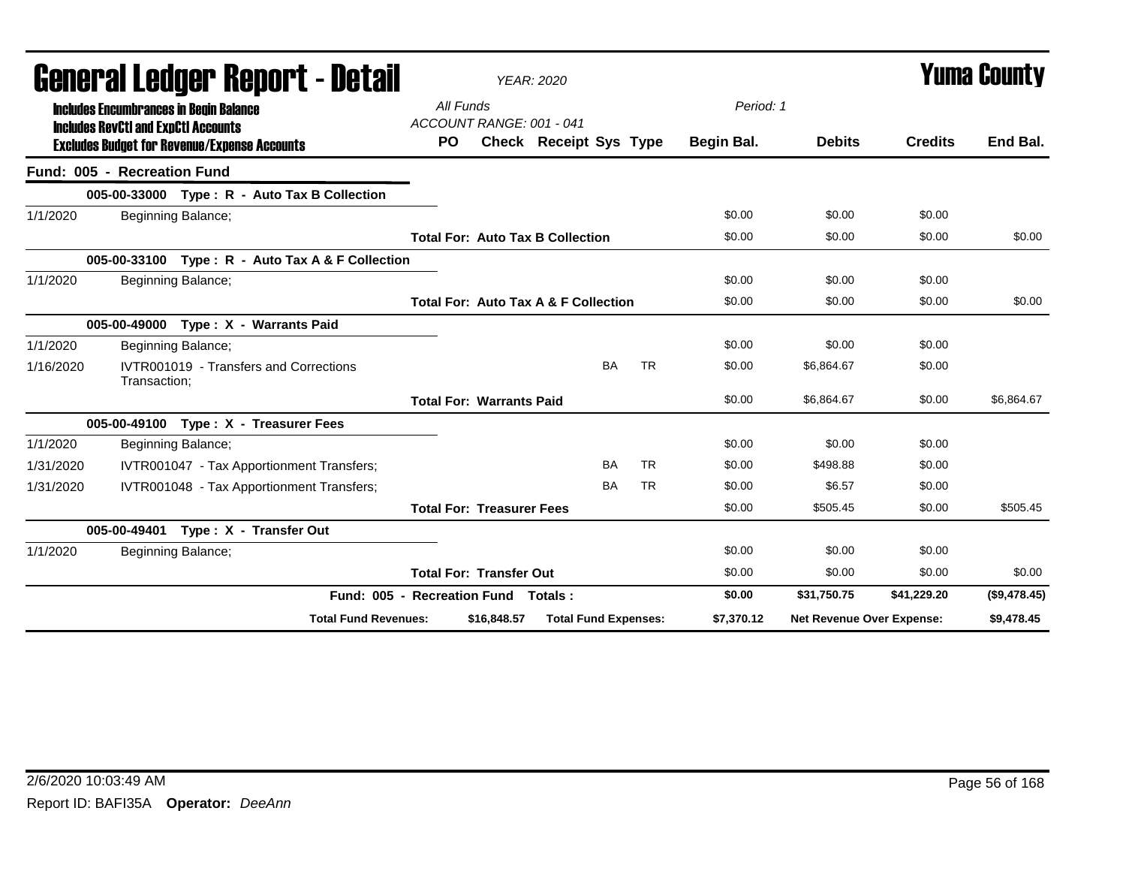|           | qanglai fanàri. Kanolif - Dafaii                                                                  |                                     |                                  | <b>YEAR: 2020</b>                               |           |            |                           |                | T UIIIA GUUIILY |
|-----------|---------------------------------------------------------------------------------------------------|-------------------------------------|----------------------------------|-------------------------------------------------|-----------|------------|---------------------------|----------------|-----------------|
|           | <b>Includes Encumbrances in Begin Balance</b>                                                     | All Funds                           |                                  |                                                 |           | Period: 1  |                           |                |                 |
|           | <b>Includes RevCtI and ExpCtI Accounts</b><br><b>Excludes Budget for Revenue/Expense Accounts</b> | <b>PO</b>                           | ACCOUNT RANGE: 001 - 041         | <b>Check Receipt Sys Type</b>                   |           | Begin Bal. | <b>Debits</b>             | <b>Credits</b> | End Bal.        |
|           | Fund: 005 - Recreation Fund                                                                       |                                     |                                  |                                                 |           |            |                           |                |                 |
|           | 005-00-33000 Type: R - Auto Tax B Collection                                                      |                                     |                                  |                                                 |           |            |                           |                |                 |
| 1/1/2020  | Beginning Balance;                                                                                |                                     |                                  |                                                 |           | \$0.00     | \$0.00                    | \$0.00         |                 |
|           |                                                                                                   |                                     |                                  | <b>Total For: Auto Tax B Collection</b>         |           | \$0.00     | \$0.00                    | \$0.00         | \$0.00          |
|           | 005-00-33100 Type: R - Auto Tax A & F Collection                                                  |                                     |                                  |                                                 |           |            |                           |                |                 |
| 1/1/2020  | Beginning Balance;                                                                                |                                     |                                  |                                                 |           | \$0.00     | \$0.00                    | \$0.00         |                 |
|           |                                                                                                   |                                     |                                  | <b>Total For: Auto Tax A &amp; F Collection</b> |           | \$0.00     | \$0.00                    | \$0.00         | \$0.00          |
|           | 005-00-49000 Type: X - Warrants Paid                                                              |                                     |                                  |                                                 |           |            |                           |                |                 |
| 1/1/2020  | Beginning Balance;                                                                                |                                     |                                  |                                                 |           | \$0.00     | \$0.00                    | \$0.00         |                 |
| 1/16/2020 | IVTR001019 - Transfers and Corrections<br>Transaction;                                            |                                     |                                  | <b>BA</b>                                       | <b>TR</b> | \$0.00     | \$6,864.67                | \$0.00         |                 |
|           |                                                                                                   |                                     | <b>Total For: Warrants Paid</b>  |                                                 |           | \$0.00     | \$6,864.67                | \$0.00         | \$6,864.67      |
|           | 005-00-49100 Type: X - Treasurer Fees                                                             |                                     |                                  |                                                 |           |            |                           |                |                 |
| 1/1/2020  | Beginning Balance;                                                                                |                                     |                                  |                                                 |           | \$0.00     | \$0.00                    | \$0.00         |                 |
| 1/31/2020 | IVTR001047 - Tax Apportionment Transfers;                                                         |                                     |                                  | <b>BA</b>                                       | <b>TR</b> | \$0.00     | \$498.88                  | \$0.00         |                 |
| 1/31/2020 | IVTR001048 - Tax Apportionment Transfers;                                                         |                                     |                                  | <b>BA</b>                                       | <b>TR</b> | \$0.00     | \$6.57                    | \$0.00         |                 |
|           |                                                                                                   |                                     | <b>Total For: Treasurer Fees</b> |                                                 |           | \$0.00     | \$505.45                  | \$0.00         | \$505.45        |
|           | Type: X - Transfer Out<br>005-00-49401                                                            |                                     |                                  |                                                 |           |            |                           |                |                 |
| 1/1/2020  | Beginning Balance;                                                                                |                                     |                                  |                                                 |           | \$0.00     | \$0.00                    | \$0.00         |                 |
|           |                                                                                                   |                                     | <b>Total For: Transfer Out</b>   |                                                 |           | \$0.00     | \$0.00                    | \$0.00         | \$0.00          |
|           |                                                                                                   | Fund: 005 - Recreation Fund Totals: |                                  |                                                 |           | \$0.00     | \$31,750.75               | \$41,229.20    | (\$9,478.45)    |
|           | <b>Total Fund Revenues:</b>                                                                       |                                     | \$16,848.57                      | <b>Total Fund Expenses:</b>                     |           | \$7,370.12 | Net Revenue Over Expense: |                | \$9,478.45      |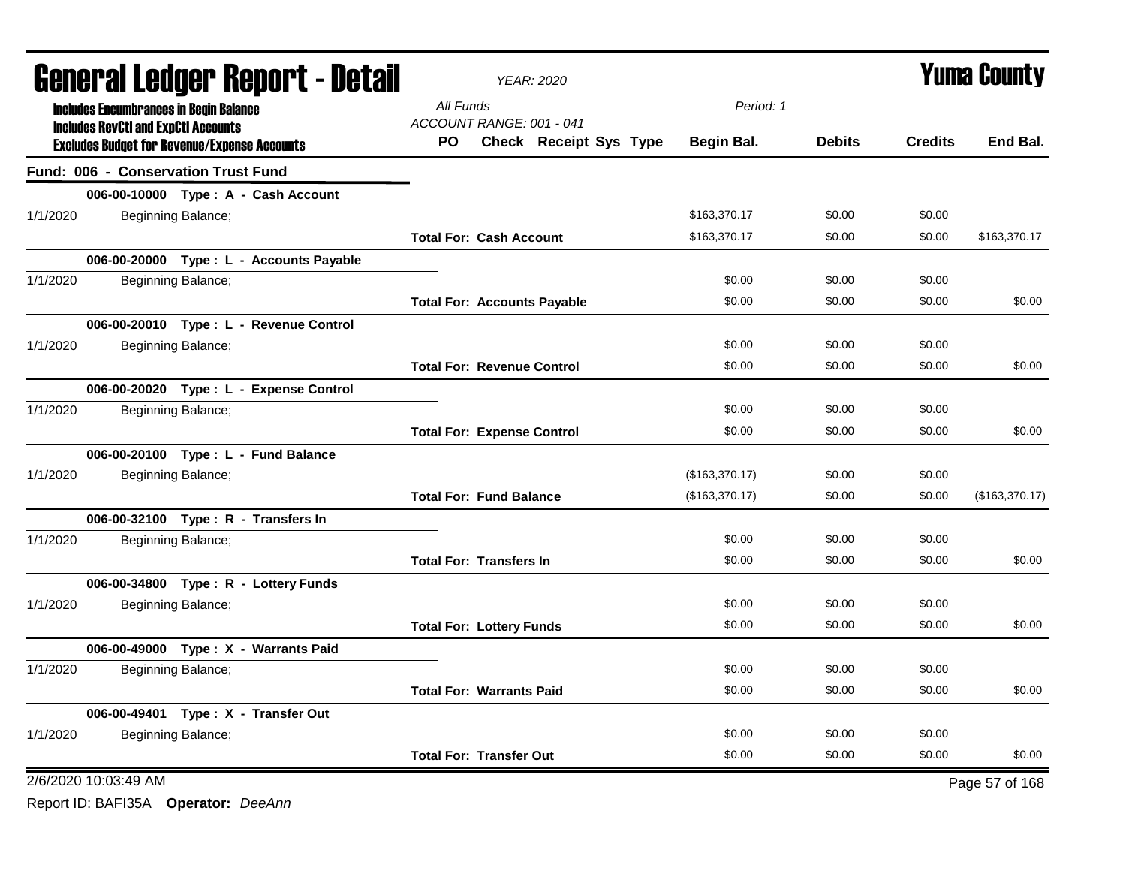| <b>General Ledger Report - Detail</b>                                                             | YEAR: 2020                                                       | <b>Yuma County</b> |               |                |                |
|---------------------------------------------------------------------------------------------------|------------------------------------------------------------------|--------------------|---------------|----------------|----------------|
| <b>Includes Encumbrances in Begin Balance</b>                                                     | All Funds                                                        | Period: 1          |               |                |                |
| <b>Includes RevCtI and ExpCtI Accounts</b><br><b>Excludes Budget for Revenue/Expense Accounts</b> | ACCOUNT RANGE: 001 - 041<br><b>Check Receipt Sys Type</b><br>PO. | Begin Bal.         | <b>Debits</b> | <b>Credits</b> | End Bal.       |
| <b>Fund: 006 - Conservation Trust Fund</b>                                                        |                                                                  |                    |               |                |                |
| 006-00-10000 Type: A - Cash Account                                                               |                                                                  |                    |               |                |                |
| 1/1/2020<br>Beginning Balance;                                                                    |                                                                  | \$163,370.17       | \$0.00        | \$0.00         |                |
|                                                                                                   | <b>Total For: Cash Account</b>                                   | \$163,370.17       | \$0.00        | \$0.00         | \$163,370.17   |
| 006-00-20000 Type : L - Accounts Payable                                                          |                                                                  |                    |               |                |                |
| 1/1/2020<br>Beginning Balance;                                                                    |                                                                  | \$0.00             | \$0.00        | \$0.00         |                |
|                                                                                                   | <b>Total For: Accounts Payable</b>                               | \$0.00             | \$0.00        | \$0.00         | \$0.00         |
| 006-00-20010 Type: L - Revenue Control                                                            |                                                                  |                    |               |                |                |
| 1/1/2020<br>Beginning Balance;                                                                    |                                                                  | \$0.00             | \$0.00        | \$0.00         |                |
|                                                                                                   | <b>Total For: Revenue Control</b>                                | \$0.00             | \$0.00        | \$0.00         | \$0.00         |
| 006-00-20020 Type: L - Expense Control                                                            |                                                                  |                    |               |                |                |
| 1/1/2020<br>Beginning Balance;                                                                    |                                                                  | \$0.00             | \$0.00        | \$0.00         |                |
|                                                                                                   | <b>Total For: Expense Control</b>                                | \$0.00             | \$0.00        | \$0.00         | \$0.00         |
| 006-00-20100 Type: L - Fund Balance                                                               |                                                                  |                    |               |                |                |
| 1/1/2020<br>Beginning Balance;                                                                    |                                                                  | (\$163,370.17)     | \$0.00        | \$0.00         |                |
|                                                                                                   | <b>Total For: Fund Balance</b>                                   | (\$163,370.17)     | \$0.00        | \$0.00         | (\$163,370.17) |
| 006-00-32100 Type: R - Transfers In                                                               |                                                                  |                    |               |                |                |
| 1/1/2020<br>Beginning Balance;                                                                    |                                                                  | \$0.00             | \$0.00        | \$0.00         |                |
|                                                                                                   | <b>Total For: Transfers In</b>                                   | \$0.00             | \$0.00        | \$0.00         | \$0.00         |
| 006-00-34800 Type: R - Lottery Funds                                                              |                                                                  |                    |               |                |                |
| 1/1/2020<br>Beginning Balance;                                                                    |                                                                  | \$0.00             | \$0.00        | \$0.00         |                |
|                                                                                                   | <b>Total For: Lottery Funds</b>                                  | \$0.00             | \$0.00        | \$0.00         | \$0.00         |
| 006-00-49000 Type: X - Warrants Paid                                                              |                                                                  |                    |               |                |                |
| 1/1/2020<br>Beginning Balance;                                                                    |                                                                  | \$0.00             | \$0.00        | \$0.00         |                |
|                                                                                                   | <b>Total For: Warrants Paid</b>                                  | \$0.00             | \$0.00        | \$0.00         | \$0.00         |
| 006-00-49401 Type: X - Transfer Out                                                               |                                                                  |                    |               |                |                |
| 1/1/2020<br>Beginning Balance;                                                                    |                                                                  | \$0.00             | \$0.00        | \$0.00         |                |
|                                                                                                   | <b>Total For: Transfer Out</b>                                   | \$0.00             | \$0.00        | \$0.00         | \$0.00         |
| 2/6/2020 10:03:49 AM                                                                              |                                                                  |                    |               |                | Page 57 of 168 |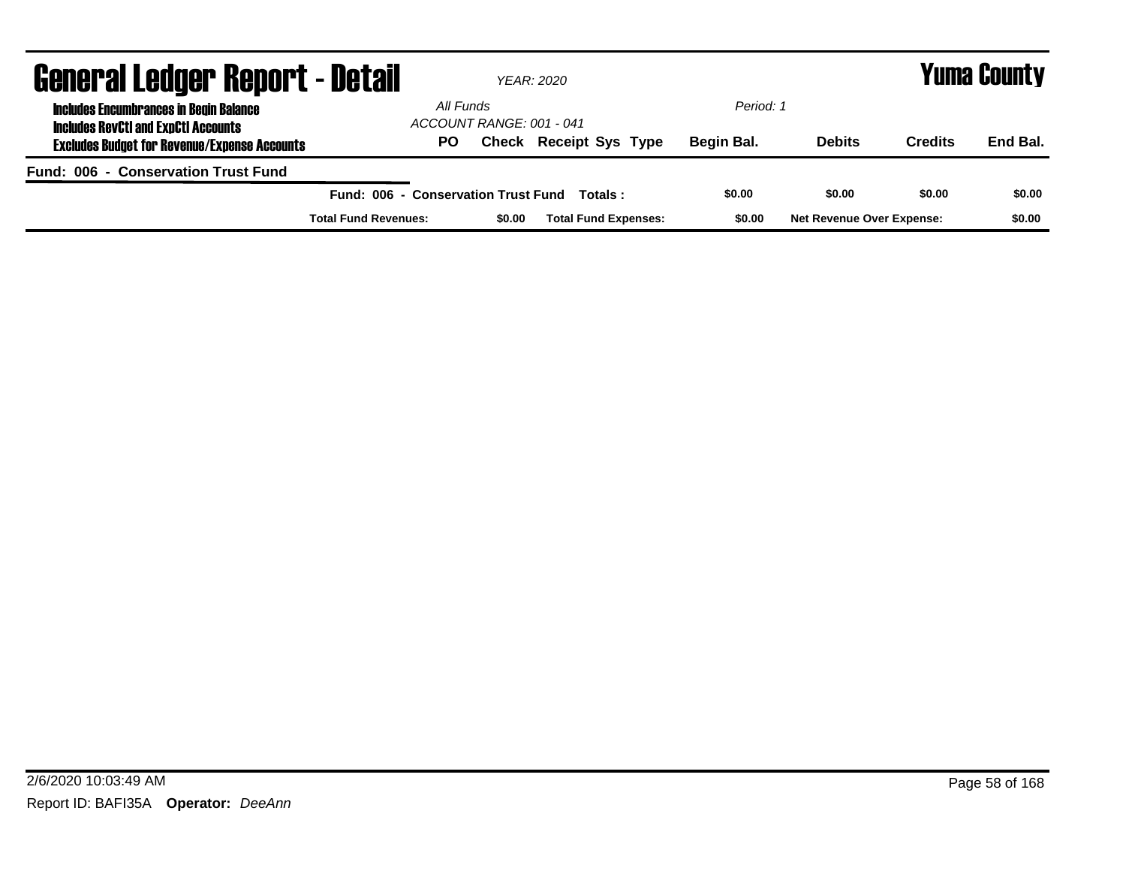| <b>General Ledger Report - Detail</b>                                                       |                                     | YEAR: 2020               |                               |            |                                  |                | <b>Yuma County</b> |
|---------------------------------------------------------------------------------------------|-------------------------------------|--------------------------|-------------------------------|------------|----------------------------------|----------------|--------------------|
| <b>Includes Encumbrances in Begin Balance</b><br><b>Includes RevCtI and ExpCtI Accounts</b> | All Funds                           | ACCOUNT RANGE: 001 - 041 |                               | Period: 1  |                                  |                |                    |
| <b>Excludes Budget for Revenue/Expense Accounts</b>                                         | PO.                                 |                          | <b>Check Receipt Sys Type</b> | Begin Bal. | <b>Debits</b>                    | <b>Credits</b> | End Bal.           |
| Fund: 006 - Conservation Trust Fund                                                         |                                     |                          |                               |            |                                  |                |                    |
|                                                                                             | Fund: 006 - Conservation Trust Fund |                          | Totals :                      | \$0.00     | \$0.00                           | \$0.00         | \$0.00             |
|                                                                                             | <b>Total Fund Revenues:</b>         | \$0.00                   | <b>Total Fund Expenses:</b>   | \$0.00     | <b>Net Revenue Over Expense:</b> |                | \$0.00             |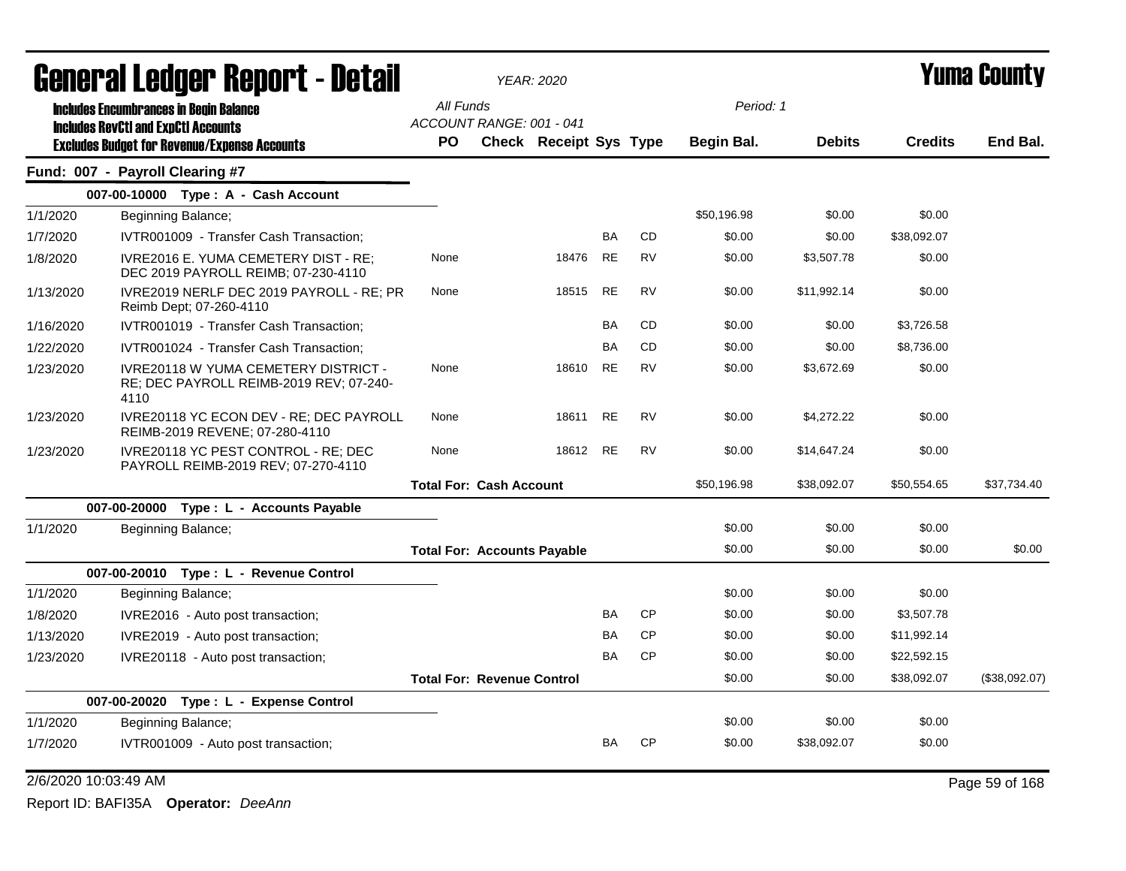| General Ledger Report - Detail |                                                                                                | <b>YEAR: 2020</b>                  |                        |           |           |             | <b>Yuma County</b> |                |               |
|--------------------------------|------------------------------------------------------------------------------------------------|------------------------------------|------------------------|-----------|-----------|-------------|--------------------|----------------|---------------|
|                                | <b>Includes Encumbrances in Begin Balance</b>                                                  | All Funds                          |                        |           |           | Period: 1   |                    |                |               |
|                                | <b>Includes RevCtI and ExpCtI Accounts</b>                                                     | ACCOUNT RANGE: 001 - 041           |                        |           |           |             |                    |                |               |
|                                | <b>Excludes Budget for Revenue/Expense Accounts</b>                                            | <b>PO</b>                          | Check Receipt Sys Type |           |           | Begin Bal.  | <b>Debits</b>      | <b>Credits</b> | End Bal.      |
|                                | Fund: 007 - Payroll Clearing #7                                                                |                                    |                        |           |           |             |                    |                |               |
|                                | 007-00-10000 Type: A - Cash Account                                                            |                                    |                        |           |           |             |                    |                |               |
| 1/1/2020                       | Beginning Balance;                                                                             |                                    |                        |           |           | \$50,196.98 | \$0.00             | \$0.00         |               |
| 1/7/2020                       | IVTR001009 - Transfer Cash Transaction;                                                        |                                    |                        | <b>BA</b> | <b>CD</b> | \$0.00      | \$0.00             | \$38,092.07    |               |
| 1/8/2020                       | <b>IVRE2016 E. YUMA CEMETERY DIST - RE:</b><br>DEC 2019 PAYROLL REIMB; 07-230-4110             | None                               | 18476                  | <b>RE</b> | <b>RV</b> | \$0.00      | \$3,507.78         | \$0.00         |               |
| 1/13/2020                      | IVRE2019 NERLF DEC 2019 PAYROLL - RE; PR<br>Reimb Dept; 07-260-4110                            | None                               | 18515                  | <b>RE</b> | <b>RV</b> | \$0.00      | \$11,992.14        | \$0.00         |               |
| 1/16/2020                      | IVTR001019 - Transfer Cash Transaction;                                                        |                                    |                        | BA        | <b>CD</b> | \$0.00      | \$0.00             | \$3,726.58     |               |
| 1/22/2020                      | IVTR001024 - Transfer Cash Transaction;                                                        |                                    |                        | BA        | CD        | \$0.00      | \$0.00             | \$8,736.00     |               |
| 1/23/2020                      | <b>IVRE20118 W YUMA CEMETERY DISTRICT -</b><br>RE; DEC PAYROLL REIMB-2019 REV; 07-240-<br>4110 | None                               | 18610                  | <b>RE</b> | <b>RV</b> | \$0.00      | \$3,672.69         | \$0.00         |               |
| 1/23/2020                      | IVRE20118 YC ECON DEV - RE; DEC PAYROLL<br>REIMB-2019 REVENE; 07-280-4110                      | None                               | 18611                  | <b>RE</b> | <b>RV</b> | \$0.00      | \$4,272.22         | \$0.00         |               |
| 1/23/2020                      | IVRE20118 YC PEST CONTROL - RE; DEC<br>PAYROLL REIMB-2019 REV; 07-270-4110                     | None                               | 18612                  | <b>RE</b> | <b>RV</b> | \$0.00      | \$14,647.24        | \$0.00         |               |
|                                |                                                                                                | <b>Total For: Cash Account</b>     |                        |           |           | \$50,196.98 | \$38,092.07        | \$50,554.65    | \$37,734.40   |
|                                | 007-00-20000 Type : L - Accounts Payable                                                       |                                    |                        |           |           |             |                    |                |               |
| 1/1/2020                       | Beginning Balance;                                                                             |                                    |                        |           |           | \$0.00      | \$0.00             | \$0.00         |               |
|                                |                                                                                                | <b>Total For: Accounts Payable</b> |                        |           |           | \$0.00      | \$0.00             | \$0.00         | \$0.00        |
|                                | 007-00-20010 Type: L - Revenue Control                                                         |                                    |                        |           |           |             |                    |                |               |
| 1/1/2020                       | Beginning Balance;                                                                             |                                    |                        |           |           | \$0.00      | \$0.00             | \$0.00         |               |
| 1/8/2020                       | IVRE2016 - Auto post transaction;                                                              |                                    |                        | BA        | <b>CP</b> | \$0.00      | \$0.00             | \$3,507.78     |               |
| 1/13/2020                      | IVRE2019 - Auto post transaction;                                                              |                                    |                        | BA        | <b>CP</b> | \$0.00      | \$0.00             | \$11,992.14    |               |
| 1/23/2020                      | IVRE20118 - Auto post transaction;                                                             |                                    |                        | <b>BA</b> | <b>CP</b> | \$0.00      | \$0.00             | \$22,592.15    |               |
|                                |                                                                                                | <b>Total For: Revenue Control</b>  |                        |           |           | \$0.00      | \$0.00             | \$38,092.07    | (\$38,092.07) |
|                                | 007-00-20020<br>Type: L - Expense Control                                                      |                                    |                        |           |           |             |                    |                |               |
| 1/1/2020                       | Beginning Balance;                                                                             |                                    |                        |           |           | \$0.00      | \$0.00             | \$0.00         |               |
| 1/7/2020                       | IVTR001009 - Auto post transaction;                                                            |                                    |                        | BA        | CP        | \$0.00      | \$38,092.07        | \$0.00         |               |

2/6/2020 10:03:49 AM Page 59 of 168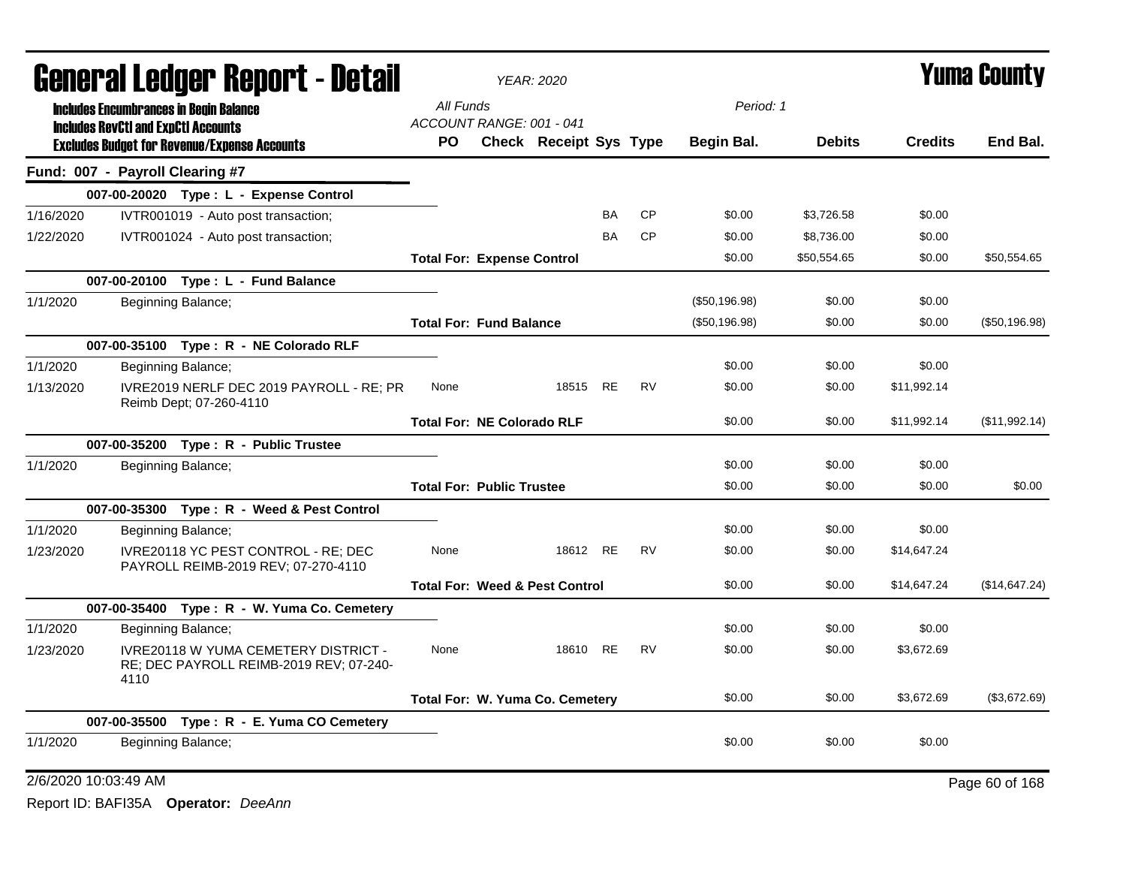|           |                                            | qangi.si fanyai. Kehol. ( - darsii                                                     |                                       | <b>YEAR: 2020</b>                         |           |           |               |               |                | T UIIIT GUUIILY |
|-----------|--------------------------------------------|----------------------------------------------------------------------------------------|---------------------------------------|-------------------------------------------|-----------|-----------|---------------|---------------|----------------|-----------------|
|           |                                            | <b>Includes Encumbrances in Begin Balance</b>                                          | All Funds<br>ACCOUNT RANGE: 001 - 041 |                                           |           |           | Period: 1     |               |                |                 |
|           | <b>Includes RevCtI and ExpCtI Accounts</b> | <b>Excludes Budget for Revenue/Expense Accounts</b>                                    | <b>PO</b>                             | <b>Check Receipt Sys Type</b>             |           |           | Begin Bal.    | <b>Debits</b> | <b>Credits</b> | End Bal.        |
|           | Fund: 007 - Payroll Clearing #7            |                                                                                        |                                       |                                           |           |           |               |               |                |                 |
|           |                                            | 007-00-20020 Type: L - Expense Control                                                 |                                       |                                           |           |           |               |               |                |                 |
| 1/16/2020 |                                            | IVTR001019 - Auto post transaction;                                                    |                                       |                                           | <b>BA</b> | <b>CP</b> | \$0.00        | \$3,726.58    | \$0.00         |                 |
| 1/22/2020 |                                            | IVTR001024 - Auto post transaction;                                                    |                                       |                                           | BA        | <b>CP</b> | \$0.00        | \$8,736.00    | \$0.00         |                 |
|           |                                            |                                                                                        | <b>Total For: Expense Control</b>     |                                           |           |           | \$0.00        | \$50,554.65   | \$0.00         | \$50,554.65     |
|           |                                            | 007-00-20100 Type: L - Fund Balance                                                    |                                       |                                           |           |           |               |               |                |                 |
| 1/1/2020  |                                            | Beginning Balance;                                                                     |                                       |                                           |           |           | (\$50,196.98) | \$0.00        | \$0.00         |                 |
|           |                                            |                                                                                        | <b>Total For: Fund Balance</b>        |                                           |           |           | (\$50,196.98) | \$0.00        | \$0.00         | (\$50,196.98)   |
|           |                                            | 007-00-35100 Type: R - NE Colorado RLF                                                 |                                       |                                           |           |           |               |               |                |                 |
| 1/1/2020  |                                            | Beginning Balance;                                                                     |                                       |                                           |           |           | \$0.00        | \$0.00        | \$0.00         |                 |
| 1/13/2020 |                                            | IVRE2019 NERLF DEC 2019 PAYROLL - RE; PR<br>Reimb Dept; 07-260-4110                    | None                                  | 18515 RE                                  |           | RV        | \$0.00        | \$0.00        | \$11,992.14    |                 |
|           |                                            |                                                                                        | <b>Total For: NE Colorado RLF</b>     |                                           |           |           | \$0.00        | \$0.00        | \$11,992.14    | (\$11,992.14)   |
|           |                                            | 007-00-35200 Type: R - Public Trustee                                                  |                                       |                                           |           |           |               |               |                |                 |
| 1/1/2020  |                                            | Beginning Balance;                                                                     |                                       |                                           |           |           | \$0.00        | \$0.00        | \$0.00         |                 |
|           |                                            |                                                                                        | <b>Total For: Public Trustee</b>      |                                           |           |           | \$0.00        | \$0.00        | \$0.00         | \$0.00          |
|           |                                            | 007-00-35300 Type: R - Weed & Pest Control                                             |                                       |                                           |           |           |               |               |                |                 |
| 1/1/2020  |                                            | Beginning Balance;                                                                     |                                       |                                           |           |           | \$0.00        | \$0.00        | \$0.00         |                 |
| 1/23/2020 |                                            | IVRE20118 YC PEST CONTROL - RE; DEC<br>PAYROLL REIMB-2019 REV; 07-270-4110             | None                                  | 18612 RE                                  |           | <b>RV</b> | \$0.00        | \$0.00        | \$14,647.24    |                 |
|           |                                            |                                                                                        |                                       | <b>Total For: Weed &amp; Pest Control</b> |           |           | \$0.00        | \$0.00        | \$14,647.24    | (\$14,647.24)   |
|           |                                            | 007-00-35400 Type: R - W. Yuma Co. Cemetery                                            |                                       |                                           |           |           |               |               |                |                 |
| 1/1/2020  |                                            | Beginning Balance;                                                                     |                                       |                                           |           |           | \$0.00        | \$0.00        | \$0.00         |                 |
| 1/23/2020 | 4110                                       | <b>IVRE20118 W YUMA CEMETERY DISTRICT -</b><br>RE; DEC PAYROLL REIMB-2019 REV; 07-240- | None                                  | 18610 RE                                  |           | <b>RV</b> | \$0.00        | \$0.00        | \$3,672.69     |                 |
|           |                                            |                                                                                        | Total For: W. Yuma Co. Cemetery       |                                           |           |           | \$0.00        | \$0.00        | \$3,672.69     | (\$3,672.69)    |
|           |                                            | 007-00-35500 Type: R - E. Yuma CO Cemetery                                             |                                       |                                           |           |           |               |               |                |                 |
| 1/1/2020  |                                            | Beginning Balance;                                                                     |                                       |                                           |           |           | \$0.00        | \$0.00        | \$0.00         |                 |

### General Ledger Report - Detail *YEAR: 2020* Yuma County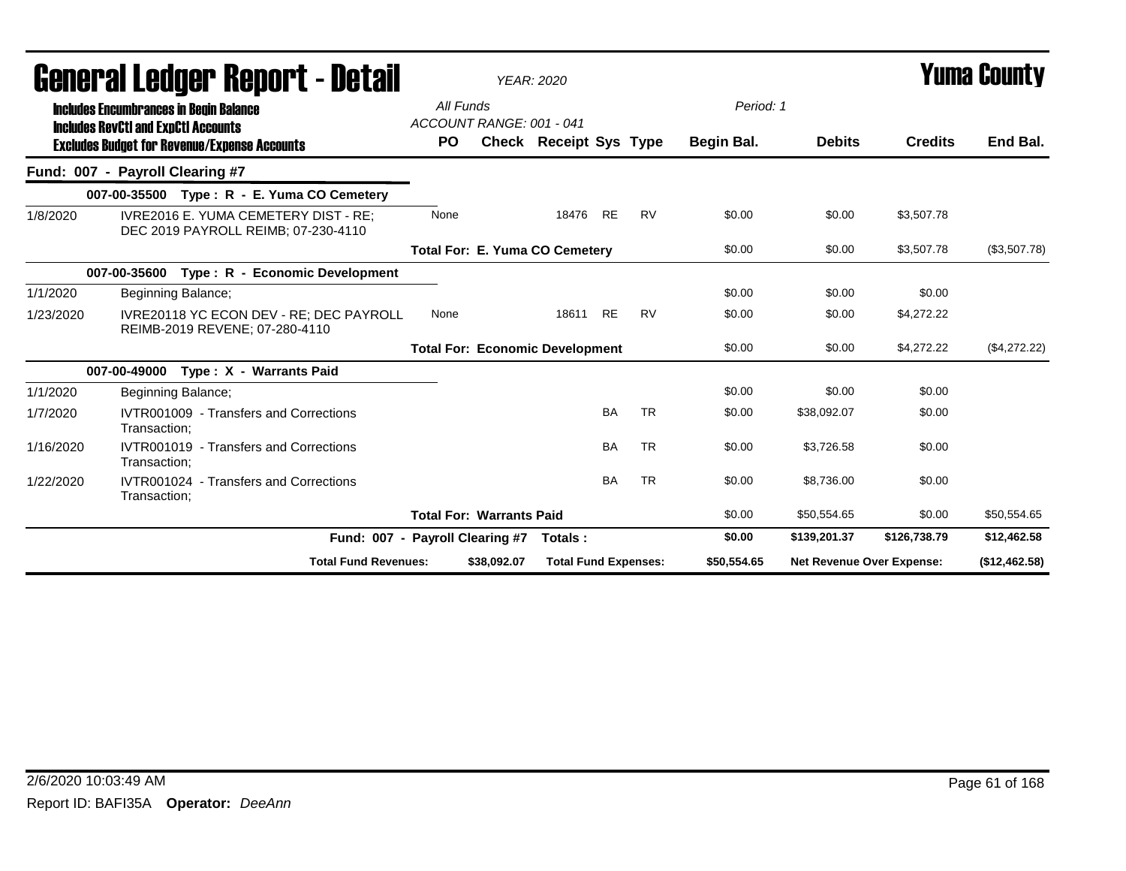|           | General Ledger Report - Detail                                                              |                                 |                                 | <b>YEAR: 2020</b>                      |           |           |             |                           |                | Yuma County   |
|-----------|---------------------------------------------------------------------------------------------|---------------------------------|---------------------------------|----------------------------------------|-----------|-----------|-------------|---------------------------|----------------|---------------|
|           | <b>Includes Encumbrances in Begin Balance</b><br><b>Includes RevCtI and ExpCtI Accounts</b> | All Funds                       | ACCOUNT RANGE: 001 - 041        |                                        |           |           | Period: 1   |                           |                |               |
|           | <b>Excludes Budget for Revenue/Expense Accounts</b>                                         | <b>PO</b>                       |                                 | <b>Check Receipt Sys Type</b>          |           |           | Begin Bal.  | <b>Debits</b>             | <b>Credits</b> | End Bal.      |
|           | Fund: 007 - Payroll Clearing #7                                                             |                                 |                                 |                                        |           |           |             |                           |                |               |
|           | 007-00-35500 Type: R - E. Yuma CO Cemetery                                                  |                                 |                                 |                                        |           |           |             |                           |                |               |
| 1/8/2020  | <b>IVRE2016 E. YUMA CEMETERY DIST - RE:</b><br>DEC 2019 PAYROLL REIMB; 07-230-4110          | None                            |                                 | 18476                                  | <b>RE</b> | <b>RV</b> | \$0.00      | \$0.00                    | \$3,507.78     |               |
|           |                                                                                             |                                 |                                 | <b>Total For: E. Yuma CO Cemetery</b>  |           |           | \$0.00      | \$0.00                    | \$3,507.78     | (\$3,507.78)  |
|           | 007-00-35600 Type: R - Economic Development                                                 |                                 |                                 |                                        |           |           |             |                           |                |               |
| 1/1/2020  | Beginning Balance;                                                                          |                                 |                                 |                                        |           |           | \$0.00      | \$0.00                    | \$0.00         |               |
| 1/23/2020 | IVRE20118 YC ECON DEV - RE; DEC PAYROLL<br>REIMB-2019 REVENE; 07-280-4110                   | None                            |                                 | 18611                                  | <b>RE</b> | <b>RV</b> | \$0.00      | \$0.00                    | \$4.272.22     |               |
|           |                                                                                             |                                 |                                 | <b>Total For: Economic Development</b> |           |           | \$0.00      | \$0.00                    | \$4,272.22     | (\$4,272.22)  |
|           | 007-00-49000<br>Type: X - Warrants Paid                                                     |                                 |                                 |                                        |           |           |             |                           |                |               |
| 1/1/2020  | Beginning Balance;                                                                          |                                 |                                 |                                        |           |           | \$0.00      | \$0.00                    | \$0.00         |               |
| 1/7/2020  | IVTR001009 - Transfers and Corrections<br>Transaction;                                      |                                 |                                 |                                        | <b>BA</b> | <b>TR</b> | \$0.00      | \$38,092.07               | \$0.00         |               |
| 1/16/2020 | IVTR001019 - Transfers and Corrections<br>Transaction:                                      |                                 |                                 |                                        | <b>BA</b> | <b>TR</b> | \$0.00      | \$3,726.58                | \$0.00         |               |
| 1/22/2020 | IVTR001024 - Transfers and Corrections<br>Transaction;                                      |                                 |                                 |                                        | <b>BA</b> | <b>TR</b> | \$0.00      | \$8,736.00                | \$0.00         |               |
|           |                                                                                             |                                 | <b>Total For: Warrants Paid</b> |                                        |           |           | \$0.00      | \$50,554.65               | \$0.00         | \$50,554.65   |
|           |                                                                                             | Fund: 007 - Payroll Clearing #7 |                                 | Totals:                                |           |           | \$0.00      | \$139,201.37              | \$126,738.79   | \$12,462.58   |
|           | <b>Total Fund Revenues:</b>                                                                 |                                 | \$38,092.07                     | <b>Total Fund Expenses:</b>            |           |           | \$50,554.65 | Net Revenue Over Expense: |                | (\$12,462.58) |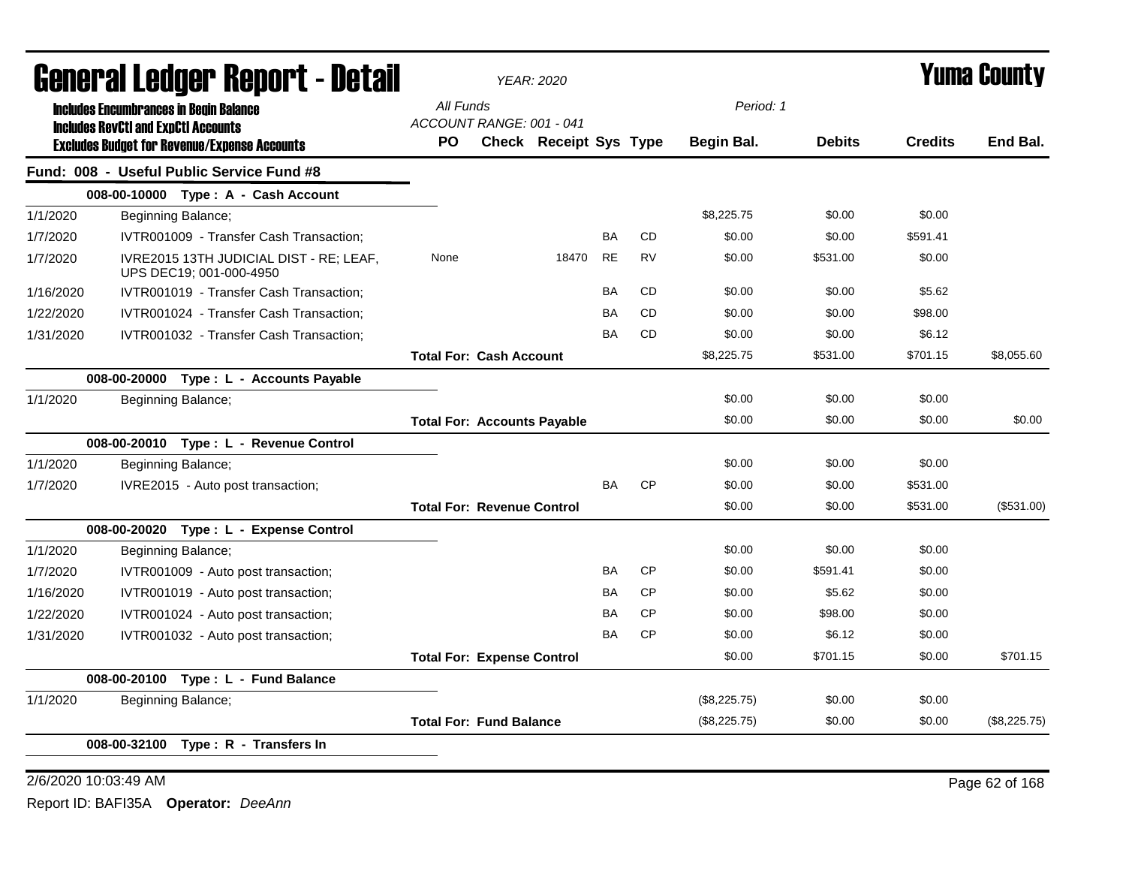|           | General Ledger Report - Detail                                                                    |           | <b>YEAR: 2020</b>                                  |       |           |           |              |               |                | Yuma Countv  |
|-----------|---------------------------------------------------------------------------------------------------|-----------|----------------------------------------------------|-------|-----------|-----------|--------------|---------------|----------------|--------------|
|           | <b>Includes Encumbrances in Begin Balance</b>                                                     | All Funds |                                                    |       |           |           | Period: 1    |               |                |              |
|           | <b>Includes RevCtI and ExpCtI Accounts</b><br><b>Excludes Budget for Revenue/Expense Accounts</b> | <b>PO</b> | ACCOUNT RANGE: 001 - 041<br>Check Receipt Sys Type |       |           |           | Begin Bal.   | <b>Debits</b> | <b>Credits</b> | End Bal.     |
|           | Fund: 008 - Useful Public Service Fund #8                                                         |           |                                                    |       |           |           |              |               |                |              |
|           | 008-00-10000 Type: A - Cash Account                                                               |           |                                                    |       |           |           |              |               |                |              |
| 1/1/2020  | Beginning Balance;                                                                                |           |                                                    |       |           |           | \$8,225.75   | \$0.00        | \$0.00         |              |
| 1/7/2020  | IVTR001009 - Transfer Cash Transaction:                                                           |           |                                                    |       | BA        | <b>CD</b> | \$0.00       | \$0.00        | \$591.41       |              |
| 1/7/2020  | IVRE2015 13TH JUDICIAL DIST - RE; LEAF,<br>UPS DEC19; 001-000-4950                                | None      |                                                    | 18470 | <b>RE</b> | <b>RV</b> | \$0.00       | \$531.00      | \$0.00         |              |
| 1/16/2020 | IVTR001019 - Transfer Cash Transaction;                                                           |           |                                                    |       | BA        | <b>CD</b> | \$0.00       | \$0.00        | \$5.62         |              |
| 1/22/2020 | IVTR001024 - Transfer Cash Transaction;                                                           |           |                                                    |       | <b>BA</b> | <b>CD</b> | \$0.00       | \$0.00        | \$98.00        |              |
| 1/31/2020 | IVTR001032 - Transfer Cash Transaction;                                                           |           |                                                    |       | <b>BA</b> | <b>CD</b> | \$0.00       | \$0.00        | \$6.12         |              |
|           |                                                                                                   |           | <b>Total For: Cash Account</b>                     |       |           |           | \$8,225.75   | \$531.00      | \$701.15       | \$8,055.60   |
|           | 008-00-20000 Type: L - Accounts Payable                                                           |           |                                                    |       |           |           |              |               |                |              |
| 1/1/2020  | Beginning Balance;                                                                                |           |                                                    |       |           |           | \$0.00       | \$0.00        | \$0.00         |              |
|           |                                                                                                   |           | <b>Total For: Accounts Payable</b>                 |       |           |           | \$0.00       | \$0.00        | \$0.00         | \$0.00       |
|           | 008-00-20010 Type: L - Revenue Control                                                            |           |                                                    |       |           |           |              |               |                |              |
| 1/1/2020  | Beginning Balance;                                                                                |           |                                                    |       |           |           | \$0.00       | \$0.00        | \$0.00         |              |
| 1/7/2020  | IVRE2015 - Auto post transaction;                                                                 |           |                                                    |       | <b>BA</b> | <b>CP</b> | \$0.00       | \$0.00        | \$531.00       |              |
|           |                                                                                                   |           | <b>Total For: Revenue Control</b>                  |       |           |           | \$0.00       | \$0.00        | \$531.00       | (\$531.00)   |
|           | 008-00-20020 Type: L - Expense Control                                                            |           |                                                    |       |           |           |              |               |                |              |
| 1/1/2020  | Beginning Balance;                                                                                |           |                                                    |       |           |           | \$0.00       | \$0.00        | \$0.00         |              |
| 1/7/2020  | IVTR001009 - Auto post transaction;                                                               |           |                                                    |       | <b>BA</b> | <b>CP</b> | \$0.00       | \$591.41      | \$0.00         |              |
| 1/16/2020 | IVTR001019 - Auto post transaction;                                                               |           |                                                    |       | <b>BA</b> | <b>CP</b> | \$0.00       | \$5.62        | \$0.00         |              |
| 1/22/2020 | IVTR001024 - Auto post transaction;                                                               |           |                                                    |       | <b>BA</b> | <b>CP</b> | \$0.00       | \$98.00       | \$0.00         |              |
| 1/31/2020 | IVTR001032 - Auto post transaction;                                                               |           |                                                    |       | <b>BA</b> | <b>CP</b> | \$0.00       | \$6.12        | \$0.00         |              |
|           |                                                                                                   |           | <b>Total For: Expense Control</b>                  |       |           |           | \$0.00       | \$701.15      | \$0.00         | \$701.15     |
|           | 008-00-20100 Type: L - Fund Balance                                                               |           |                                                    |       |           |           |              |               |                |              |
| 1/1/2020  | Beginning Balance;                                                                                |           |                                                    |       |           |           | (\$8,225.75) | \$0.00        | \$0.00         |              |
|           |                                                                                                   |           | <b>Total For: Fund Balance</b>                     |       |           |           | (\$8,225.75) | \$0.00        | \$0.00         | (\$8,225.75) |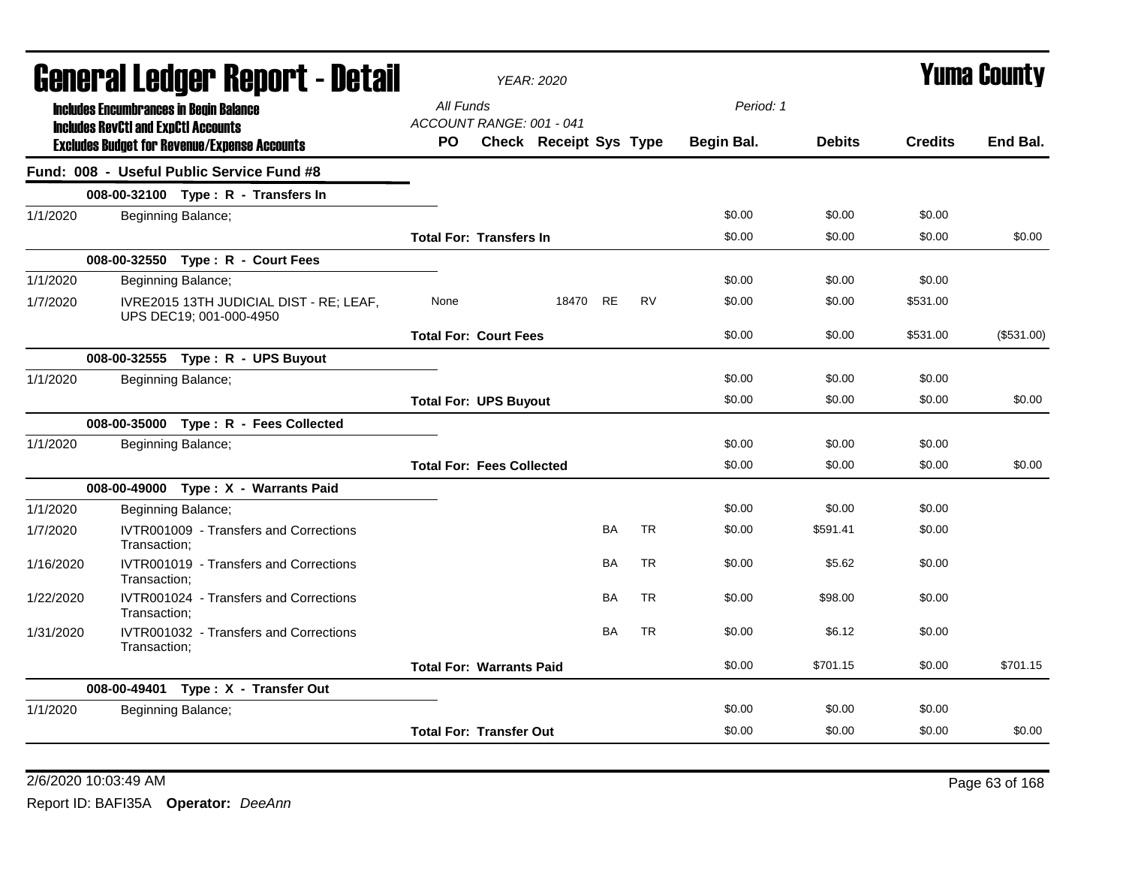|           |                                            | <b>General Ledger Report - Detail</b>                              |           |                                  | <b>YEAR: 2020</b>      |           |           |            |               |                | <b>Yuma County</b> |
|-----------|--------------------------------------------|--------------------------------------------------------------------|-----------|----------------------------------|------------------------|-----------|-----------|------------|---------------|----------------|--------------------|
|           |                                            | <b>Includes Encumbrances in Begin Balance</b>                      | All Funds | ACCOUNT RANGE: 001 - 041         |                        |           |           | Period: 1  |               |                |                    |
|           | <b>Includes RevCtI and ExpCtI Accounts</b> | <b>Excludes Budget for Revenue/Expense Accounts</b>                | PO.       |                                  | Check Receipt Sys Type |           |           | Begin Bal. | <b>Debits</b> | <b>Credits</b> | End Bal.           |
|           |                                            | Fund: 008 - Useful Public Service Fund #8                          |           |                                  |                        |           |           |            |               |                |                    |
|           |                                            | 008-00-32100 Type: R - Transfers In                                |           |                                  |                        |           |           |            |               |                |                    |
| 1/1/2020  |                                            | Beginning Balance;                                                 |           |                                  |                        |           |           | \$0.00     | \$0.00        | \$0.00         |                    |
|           |                                            |                                                                    |           | <b>Total For: Transfers In</b>   |                        |           |           | \$0.00     | \$0.00        | \$0.00         | \$0.00             |
|           |                                            | 008-00-32550 Type: R - Court Fees                                  |           |                                  |                        |           |           |            |               |                |                    |
| 1/1/2020  |                                            | Beginning Balance;                                                 |           |                                  |                        |           |           | \$0.00     | \$0.00        | \$0.00         |                    |
| 1/7/2020  |                                            | IVRE2015 13TH JUDICIAL DIST - RE; LEAF,<br>UPS DEC19; 001-000-4950 | None      |                                  | 18470 RE               |           | <b>RV</b> | \$0.00     | \$0.00        | \$531.00       |                    |
|           |                                            |                                                                    |           | <b>Total For: Court Fees</b>     |                        |           |           | \$0.00     | \$0.00        | \$531.00       | (\$531.00)         |
|           |                                            | 008-00-32555 Type: R - UPS Buyout                                  |           |                                  |                        |           |           |            |               |                |                    |
| 1/1/2020  |                                            | Beginning Balance;                                                 |           |                                  |                        |           |           | \$0.00     | \$0.00        | \$0.00         |                    |
|           |                                            |                                                                    |           | <b>Total For: UPS Buyout</b>     |                        |           |           | \$0.00     | \$0.00        | \$0.00         | \$0.00             |
|           |                                            | 008-00-35000 Type: R - Fees Collected                              |           |                                  |                        |           |           |            |               |                |                    |
| 1/1/2020  |                                            | Beginning Balance;                                                 |           |                                  |                        |           |           | \$0.00     | \$0.00        | \$0.00         |                    |
|           |                                            |                                                                    |           | <b>Total For: Fees Collected</b> |                        |           |           | \$0.00     | \$0.00        | \$0.00         | \$0.00             |
|           |                                            | 008-00-49000 Type: X - Warrants Paid                               |           |                                  |                        |           |           |            |               |                |                    |
| 1/1/2020  |                                            | Beginning Balance;                                                 |           |                                  |                        |           |           | \$0.00     | \$0.00        | \$0.00         |                    |
| 1/7/2020  | Transaction:                               | IVTR001009 - Transfers and Corrections                             |           |                                  |                        | BA        | <b>TR</b> | \$0.00     | \$591.41      | \$0.00         |                    |
| 1/16/2020 | Transaction;                               | IVTR001019 - Transfers and Corrections                             |           |                                  |                        | <b>BA</b> | <b>TR</b> | \$0.00     | \$5.62        | \$0.00         |                    |
| 1/22/2020 | Transaction;                               | IVTR001024 - Transfers and Corrections                             |           |                                  |                        | <b>BA</b> | <b>TR</b> | \$0.00     | \$98.00       | \$0.00         |                    |
| 1/31/2020 | Transaction:                               | IVTR001032 - Transfers and Corrections                             |           |                                  |                        | <b>BA</b> | <b>TR</b> | \$0.00     | \$6.12        | \$0.00         |                    |
|           |                                            |                                                                    |           | <b>Total For: Warrants Paid</b>  |                        |           |           | \$0.00     | \$701.15      | \$0.00         | \$701.15           |
|           |                                            | 008-00-49401 Type: X - Transfer Out                                |           |                                  |                        |           |           |            |               |                |                    |
| 1/1/2020  |                                            | Beginning Balance;                                                 |           |                                  |                        |           |           | \$0.00     | \$0.00        | \$0.00         |                    |
|           |                                            |                                                                    |           | <b>Total For: Transfer Out</b>   |                        |           |           | \$0.00     | \$0.00        | \$0.00         | \$0.00             |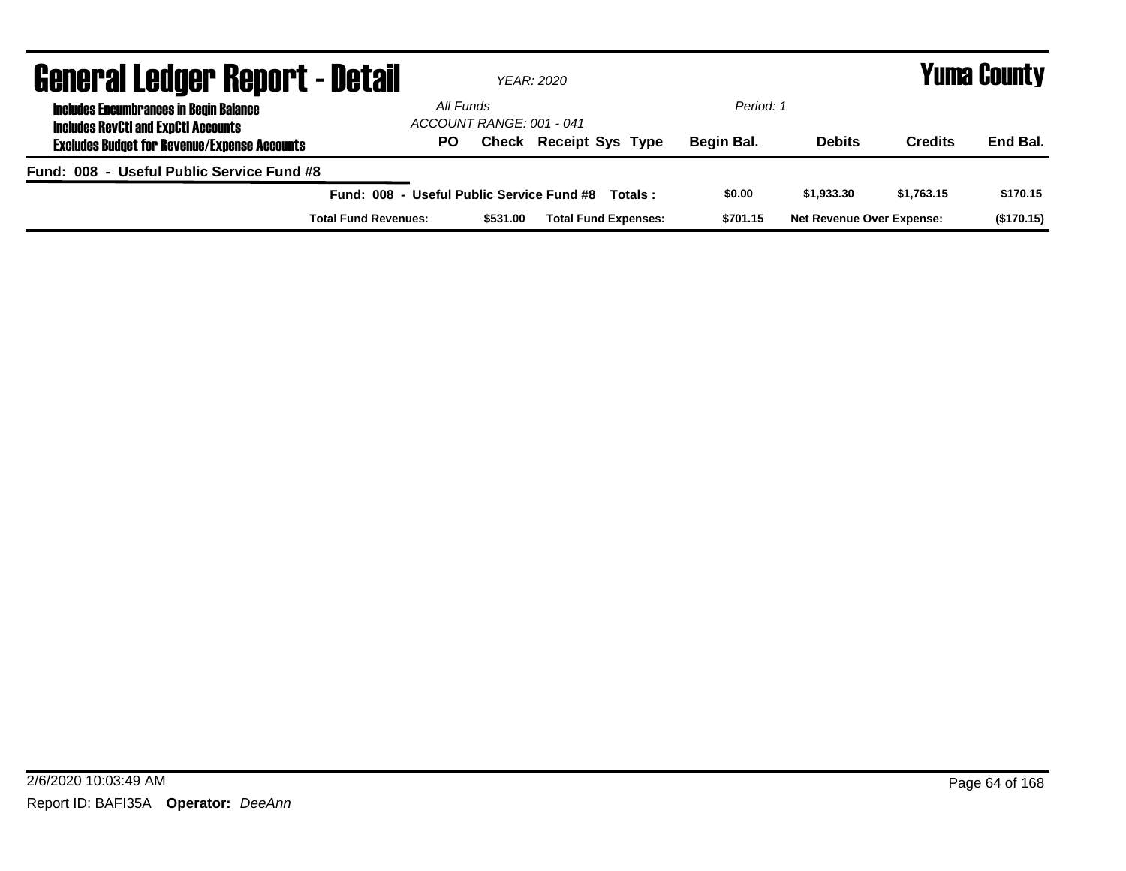| <b>General Ledger Report - Detail</b>                                                       |                                           |                                       |          | YEAR: 2020                    |         |            |                                  |            | Yuma County |
|---------------------------------------------------------------------------------------------|-------------------------------------------|---------------------------------------|----------|-------------------------------|---------|------------|----------------------------------|------------|-------------|
| <b>Includes Encumbrances in Begin Balance</b><br><b>Includes RevCtI and ExpCtI Accounts</b> |                                           | All Funds<br>ACCOUNT RANGE: 001 - 041 |          |                               |         | Period: 1  |                                  |            |             |
| <b>Excludes Budget for Revenue/Expense Accounts</b>                                         |                                           | PO                                    |          | <b>Check Receipt Sys Type</b> |         | Begin Bal. | <b>Debits</b>                    | Credits    | End Bal.    |
| Fund: 008 - Useful Public Service Fund #8                                                   |                                           |                                       |          |                               |         |            |                                  |            |             |
|                                                                                             | Fund: 008 - Useful Public Service Fund #8 |                                       |          |                               | Totals: | \$0.00     | \$1,933,30                       | \$1.763.15 | \$170.15    |
|                                                                                             | <b>Total Fund Revenues:</b>               |                                       | \$531.00 | <b>Total Fund Expenses:</b>   |         | \$701.15   | <b>Net Revenue Over Expense:</b> |            | (\$170.15)  |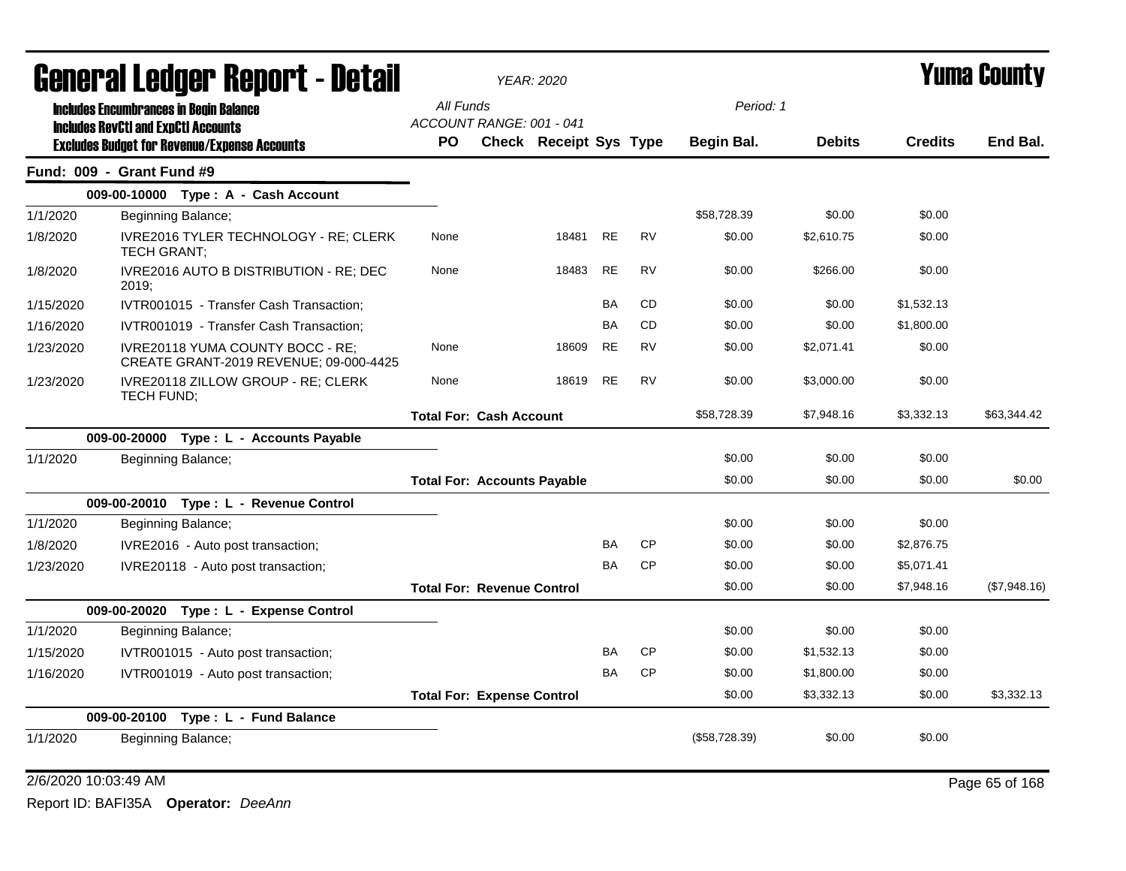|           | General Ledger Report - Detail                                                                    |                                       |                                | <b>YEAR: 2020</b>             |           |           |               |               | Yuma Countv    |              |
|-----------|---------------------------------------------------------------------------------------------------|---------------------------------------|--------------------------------|-------------------------------|-----------|-----------|---------------|---------------|----------------|--------------|
|           | <b>Includes Encumbrances in Begin Balance</b>                                                     | All Funds                             |                                |                               |           |           | Period: 1     |               |                |              |
|           | <b>Includes RevCtI and ExpCtI Accounts</b><br><b>Excludes Budget for Revenue/Expense Accounts</b> | ACCOUNT RANGE: 001 - 041<br><b>PO</b> |                                | <b>Check Receipt Sys Type</b> |           |           | Begin Bal.    | <b>Debits</b> | <b>Credits</b> | End Bal.     |
|           | Fund: 009 - Grant Fund #9                                                                         |                                       |                                |                               |           |           |               |               |                |              |
|           | 009-00-10000 Type: A - Cash Account                                                               |                                       |                                |                               |           |           |               |               |                |              |
| 1/1/2020  | Beginning Balance;                                                                                |                                       |                                |                               |           |           | \$58.728.39   | \$0.00        | \$0.00         |              |
| 1/8/2020  | IVRE2016 TYLER TECHNOLOGY - RE; CLERK<br>TECH GRANT;                                              | None                                  |                                | 18481                         | <b>RE</b> | <b>RV</b> | \$0.00        | \$2,610.75    | \$0.00         |              |
| 1/8/2020  | IVRE2016 AUTO B DISTRIBUTION - RE; DEC<br>2019:                                                   | None                                  |                                | 18483                         | <b>RE</b> | <b>RV</b> | \$0.00        | \$266.00      | \$0.00         |              |
| 1/15/2020 | IVTR001015 - Transfer Cash Transaction;                                                           |                                       |                                |                               | BA        | CD        | \$0.00        | \$0.00        | \$1,532.13     |              |
| 1/16/2020 | IVTR001019 - Transfer Cash Transaction;                                                           |                                       |                                |                               | <b>BA</b> | <b>CD</b> | \$0.00        | \$0.00        | \$1,800.00     |              |
| 1/23/2020 | IVRE20118 YUMA COUNTY BOCC - RE:<br>CREATE GRANT-2019 REVENUE; 09-000-4425                        | None                                  |                                | 18609                         | <b>RE</b> | <b>RV</b> | \$0.00        | \$2,071.41    | \$0.00         |              |
| 1/23/2020 | IVRE20118 ZILLOW GROUP - RE; CLERK<br>TECH FUND;                                                  | None                                  |                                | 18619                         | <b>RE</b> | <b>RV</b> | \$0.00        | \$3,000.00    | \$0.00         |              |
|           |                                                                                                   |                                       | <b>Total For: Cash Account</b> |                               |           |           | \$58,728.39   | \$7,948.16    | \$3,332.13     | \$63,344.42  |
|           | 009-00-20000<br>Type: L - Accounts Payable                                                        |                                       |                                |                               |           |           |               |               |                |              |
| 1/1/2020  | Beginning Balance;                                                                                |                                       |                                |                               |           |           | \$0.00        | \$0.00        | \$0.00         |              |
|           |                                                                                                   | <b>Total For: Accounts Payable</b>    |                                |                               |           |           | \$0.00        | \$0.00        | \$0.00         | \$0.00       |
|           | 009-00-20010 Type: L - Revenue Control                                                            |                                       |                                |                               |           |           |               |               |                |              |
| 1/1/2020  | Beginning Balance;                                                                                |                                       |                                |                               |           |           | \$0.00        | \$0.00        | \$0.00         |              |
| 1/8/2020  | IVRE2016 - Auto post transaction;                                                                 |                                       |                                |                               | BA        | <b>CP</b> | \$0.00        | \$0.00        | \$2,876.75     |              |
| 1/23/2020 | IVRE20118 - Auto post transaction;                                                                |                                       |                                |                               | <b>BA</b> | <b>CP</b> | \$0.00        | \$0.00        | \$5,071.41     |              |
|           |                                                                                                   | <b>Total For: Revenue Control</b>     |                                |                               |           |           | \$0.00        | \$0.00        | \$7,948.16     | (\$7,948.16) |
|           | 009-00-20020 Type: L - Expense Control                                                            |                                       |                                |                               |           |           |               |               |                |              |
| 1/1/2020  | Beginning Balance;                                                                                |                                       |                                |                               |           |           | \$0.00        | \$0.00        | \$0.00         |              |
| 1/15/2020 | IVTR001015 - Auto post transaction;                                                               |                                       |                                |                               | BA        | <b>CP</b> | \$0.00        | \$1,532.13    | \$0.00         |              |
| 1/16/2020 | IVTR001019 - Auto post transaction;                                                               |                                       |                                |                               | BA        | <b>CP</b> | \$0.00        | \$1,800.00    | \$0.00         |              |
|           |                                                                                                   | <b>Total For: Expense Control</b>     |                                |                               |           |           | \$0.00        | \$3,332.13    | \$0.00         | \$3,332.13   |
|           | 009-00-20100 Type: L - Fund Balance                                                               |                                       |                                |                               |           |           |               |               |                |              |
| 1/1/2020  | Beginning Balance;                                                                                |                                       |                                |                               |           |           | (\$58,728.39) | \$0.00        | \$0.00         |              |

2/6/2020 10:03:49 AM Page 65 of 168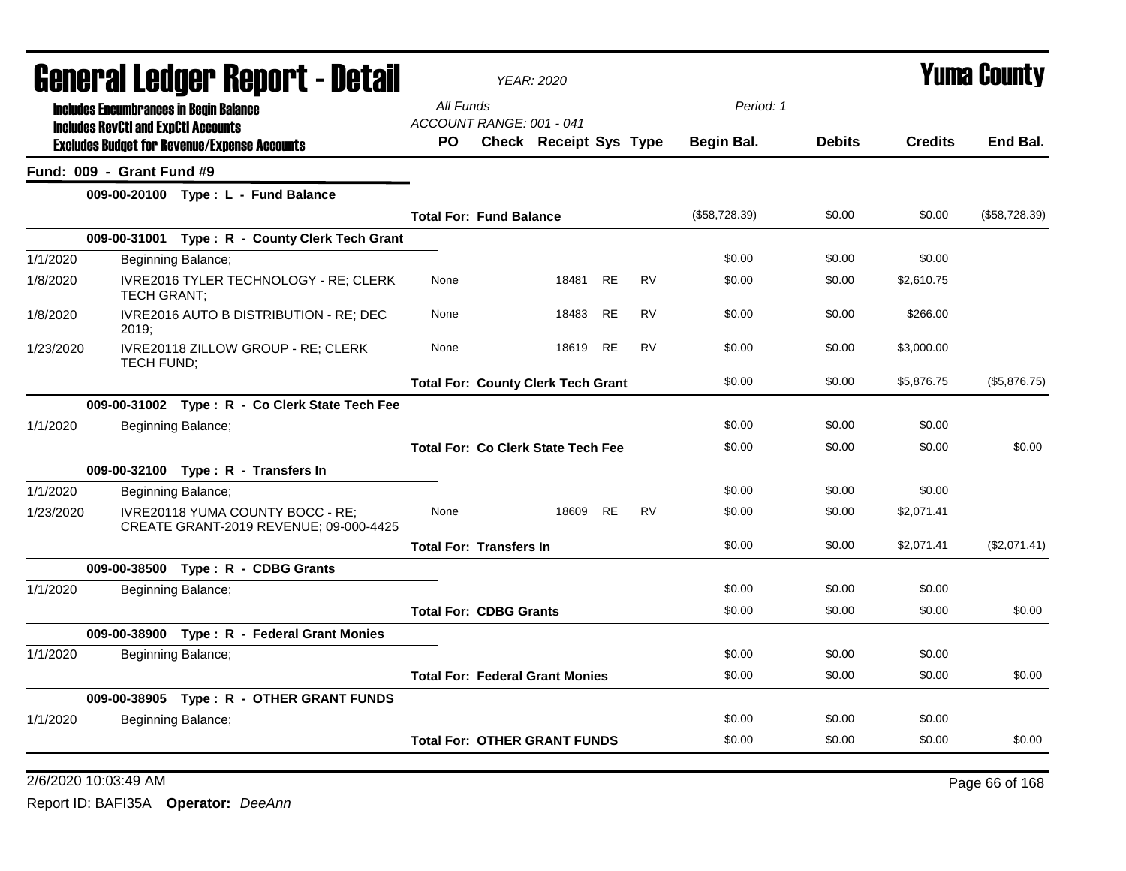|           | General Ledger Report - Detail<br><b>Includes Encumbrances in Begin Balance</b> |                                                                            |                                           | <b>YEAR: 2020</b>             |           |           |               |               |                | Yuma Countv   |  |
|-----------|---------------------------------------------------------------------------------|----------------------------------------------------------------------------|-------------------------------------------|-------------------------------|-----------|-----------|---------------|---------------|----------------|---------------|--|
|           |                                                                                 | All Funds                                                                  |                                           |                               |           | Period: 1 |               |               |                |               |  |
|           | <b>Includes RevCtI and ExpCtI Accounts</b>                                      |                                                                            | ACCOUNT RANGE: 001 - 041                  |                               |           |           |               |               |                |               |  |
|           |                                                                                 | <b>Excludes Budget for Revenue/Expense Accounts</b>                        | PO.                                       | <b>Check Receipt Sys Type</b> |           |           | Begin Bal.    | <b>Debits</b> | <b>Credits</b> | End Bal.      |  |
|           | Fund: 009 - Grant Fund #9                                                       |                                                                            |                                           |                               |           |           |               |               |                |               |  |
|           |                                                                                 | 009-00-20100 Type: L - Fund Balance                                        |                                           |                               |           |           |               |               |                |               |  |
|           |                                                                                 |                                                                            | <b>Total For: Fund Balance</b>            |                               |           |           | (\$58,728.39) | \$0.00        | \$0.00         | (\$58,728.39) |  |
|           |                                                                                 | 009-00-31001 Type: R - County Clerk Tech Grant                             |                                           |                               |           |           |               |               |                |               |  |
| 1/1/2020  |                                                                                 | Beginning Balance;                                                         |                                           |                               |           |           | \$0.00        | \$0.00        | \$0.00         |               |  |
| 1/8/2020  | TECH GRANT;                                                                     | IVRE2016 TYLER TECHNOLOGY - RE; CLERK                                      | None                                      | 18481 RE                      |           | <b>RV</b> | \$0.00        | \$0.00        | \$2,610.75     |               |  |
| 1/8/2020  | 2019;                                                                           | IVRE2016 AUTO B DISTRIBUTION - RE; DEC                                     | None                                      | 18483                         | RE        | <b>RV</b> | \$0.00        | \$0.00        | \$266.00       |               |  |
| 1/23/2020 | <b>TECH FUND:</b>                                                               | IVRE20118 ZILLOW GROUP - RE; CLERK                                         | None                                      | 18619                         | <b>RE</b> | <b>RV</b> | \$0.00        | \$0.00        | \$3,000.00     |               |  |
|           |                                                                                 |                                                                            | <b>Total For: County Clerk Tech Grant</b> |                               |           |           | \$0.00        | \$0.00        | \$5,876.75     | (\$5,876.75)  |  |
|           |                                                                                 | 009-00-31002 Type: R - Co Clerk State Tech Fee                             |                                           |                               |           |           |               |               |                |               |  |
| 1/1/2020  |                                                                                 | Beginning Balance;                                                         |                                           |                               |           |           | \$0.00        | \$0.00        | \$0.00         |               |  |
|           |                                                                                 |                                                                            | <b>Total For: Co Clerk State Tech Fee</b> |                               |           |           | \$0.00        | \$0.00        | \$0.00         | \$0.00        |  |
|           |                                                                                 | 009-00-32100 Type: R - Transfers In                                        |                                           |                               |           |           |               |               |                |               |  |
| 1/1/2020  |                                                                                 | Beginning Balance;                                                         |                                           |                               |           |           | \$0.00        | \$0.00        | \$0.00         |               |  |
| 1/23/2020 |                                                                                 | IVRE20118 YUMA COUNTY BOCC - RE;<br>CREATE GRANT-2019 REVENUE; 09-000-4425 | None                                      | 18609                         | <b>RE</b> | <b>RV</b> | \$0.00        | \$0.00        | \$2,071.41     |               |  |
|           |                                                                                 |                                                                            | <b>Total For: Transfers In</b>            |                               |           |           | \$0.00        | \$0.00        | \$2,071.41     | (\$2,071.41)  |  |
|           |                                                                                 | 009-00-38500 Type: R - CDBG Grants                                         |                                           |                               |           |           |               |               |                |               |  |
| 1/1/2020  |                                                                                 | Beginning Balance;                                                         |                                           |                               |           |           | \$0.00        | \$0.00        | \$0.00         |               |  |
|           |                                                                                 |                                                                            | <b>Total For: CDBG Grants</b>             |                               |           |           | \$0.00        | \$0.00        | \$0.00         | \$0.00        |  |
|           |                                                                                 | 009-00-38900 Type: R - Federal Grant Monies                                |                                           |                               |           |           |               |               |                |               |  |
| 1/1/2020  |                                                                                 | Beginning Balance;                                                         |                                           |                               |           |           | \$0.00        | \$0.00        | \$0.00         |               |  |
|           |                                                                                 |                                                                            | <b>Total For: Federal Grant Monies</b>    |                               |           |           | \$0.00        | \$0.00        | \$0.00         | \$0.00        |  |
|           |                                                                                 | 009-00-38905 Type: R - OTHER GRANT FUNDS                                   |                                           |                               |           |           |               |               |                |               |  |
| 1/1/2020  |                                                                                 | Beginning Balance;                                                         |                                           |                               |           |           | \$0.00        | \$0.00        | \$0.00         |               |  |
|           |                                                                                 |                                                                            | <b>Total For: OTHER GRANT FUNDS</b>       |                               |           |           | \$0.00        | \$0.00        | \$0.00         | \$0.00        |  |

2/6/2020 10:03:49 AM Page 66 of 168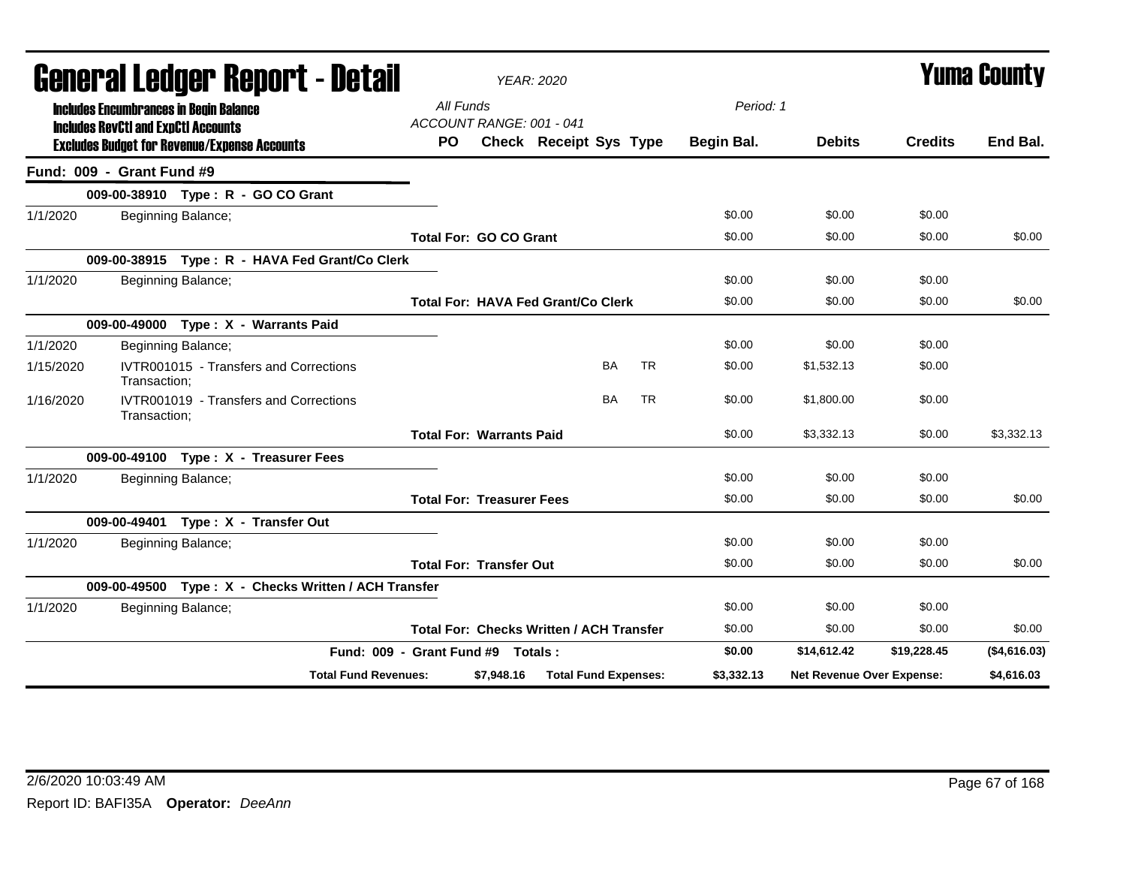|           |                                            | General Ledger Report - Detail                       |                                   |                                  | <b>YEAR: 2020</b>                               |           |           |            |                           |                | <b>Yuma County</b> |
|-----------|--------------------------------------------|------------------------------------------------------|-----------------------------------|----------------------------------|-------------------------------------------------|-----------|-----------|------------|---------------------------|----------------|--------------------|
|           | <b>Includes RevCtI and ExpCtI Accounts</b> | <b>Includes Encumbrances in Begin Balance</b>        | All Funds                         | ACCOUNT RANGE: 001 - 041         |                                                 |           |           | Period: 1  |                           |                |                    |
|           |                                            | <b>Excludes Budget for Revenue/Expense Accounts</b>  | <b>PO</b>                         |                                  | Check Receipt Sys Type                          |           |           | Begin Bal. | <b>Debits</b>             | <b>Credits</b> | End Bal.           |
|           | Fund: 009 - Grant Fund #9                  |                                                      |                                   |                                  |                                                 |           |           |            |                           |                |                    |
|           |                                            | 009-00-38910 Type: R - GO CO Grant                   |                                   |                                  |                                                 |           |           |            |                           |                |                    |
| 1/1/2020  |                                            | Beginning Balance;                                   |                                   |                                  |                                                 |           |           | \$0.00     | \$0.00                    | \$0.00         |                    |
|           |                                            |                                                      |                                   | <b>Total For: GO CO Grant</b>    |                                                 |           |           | \$0.00     | \$0.00                    | \$0.00         | \$0.00             |
|           |                                            | 009-00-38915 Type: R - HAVA Fed Grant/Co Clerk       |                                   |                                  |                                                 |           |           |            |                           |                |                    |
| 1/1/2020  |                                            | Beginning Balance;                                   |                                   |                                  |                                                 |           |           | \$0.00     | \$0.00                    | \$0.00         |                    |
|           |                                            |                                                      |                                   |                                  | <b>Total For: HAVA Fed Grant/Co Clerk</b>       |           |           | \$0.00     | \$0.00                    | \$0.00         | \$0.00             |
|           |                                            | 009-00-49000 Type: X - Warrants Paid                 |                                   |                                  |                                                 |           |           |            |                           |                |                    |
| 1/1/2020  |                                            | Beginning Balance;                                   |                                   |                                  |                                                 |           |           | \$0.00     | \$0.00                    | \$0.00         |                    |
| 1/15/2020 | Transaction;                               | IVTR001015 - Transfers and Corrections               |                                   |                                  |                                                 | <b>BA</b> | <b>TR</b> | \$0.00     | \$1,532.13                | \$0.00         |                    |
| 1/16/2020 | Transaction;                               | IVTR001019 - Transfers and Corrections               |                                   |                                  |                                                 | <b>BA</b> | <b>TR</b> | \$0.00     | \$1,800.00                | \$0.00         |                    |
|           |                                            |                                                      |                                   | <b>Total For: Warrants Paid</b>  |                                                 |           |           | \$0.00     | \$3,332.13                | \$0.00         | \$3,332.13         |
|           |                                            | 009-00-49100 Type: X - Treasurer Fees                |                                   |                                  |                                                 |           |           |            |                           |                |                    |
| 1/1/2020  |                                            | Beginning Balance;                                   |                                   |                                  |                                                 |           |           | \$0.00     | \$0.00                    | \$0.00         |                    |
|           |                                            |                                                      |                                   | <b>Total For: Treasurer Fees</b> |                                                 |           |           | \$0.00     | \$0.00                    | \$0.00         | \$0.00             |
|           |                                            | 009-00-49401 Type: X - Transfer Out                  |                                   |                                  |                                                 |           |           |            |                           |                |                    |
| 1/1/2020  |                                            | Beginning Balance;                                   |                                   |                                  |                                                 |           |           | \$0.00     | \$0.00                    | \$0.00         |                    |
|           |                                            |                                                      |                                   | <b>Total For: Transfer Out</b>   |                                                 |           |           | \$0.00     | \$0.00                    | \$0.00         | \$0.00             |
|           |                                            | 009-00-49500 Type: X - Checks Written / ACH Transfer |                                   |                                  |                                                 |           |           |            |                           |                |                    |
| 1/1/2020  |                                            | Beginning Balance;                                   |                                   |                                  |                                                 |           |           | \$0.00     | \$0.00                    | \$0.00         |                    |
|           |                                            |                                                      |                                   |                                  | <b>Total For: Checks Written / ACH Transfer</b> |           |           | \$0.00     | \$0.00                    | \$0.00         | \$0.00             |
|           |                                            |                                                      | Fund: 009 - Grant Fund #9 Totals: |                                  |                                                 |           |           | \$0.00     | \$14,612.42               | \$19,228.45    | (\$4,616.03)       |
|           |                                            | <b>Total Fund Revenues:</b>                          |                                   | \$7,948.16                       | <b>Total Fund Expenses:</b>                     |           |           | \$3,332.13 | Net Revenue Over Expense: |                | \$4,616.03         |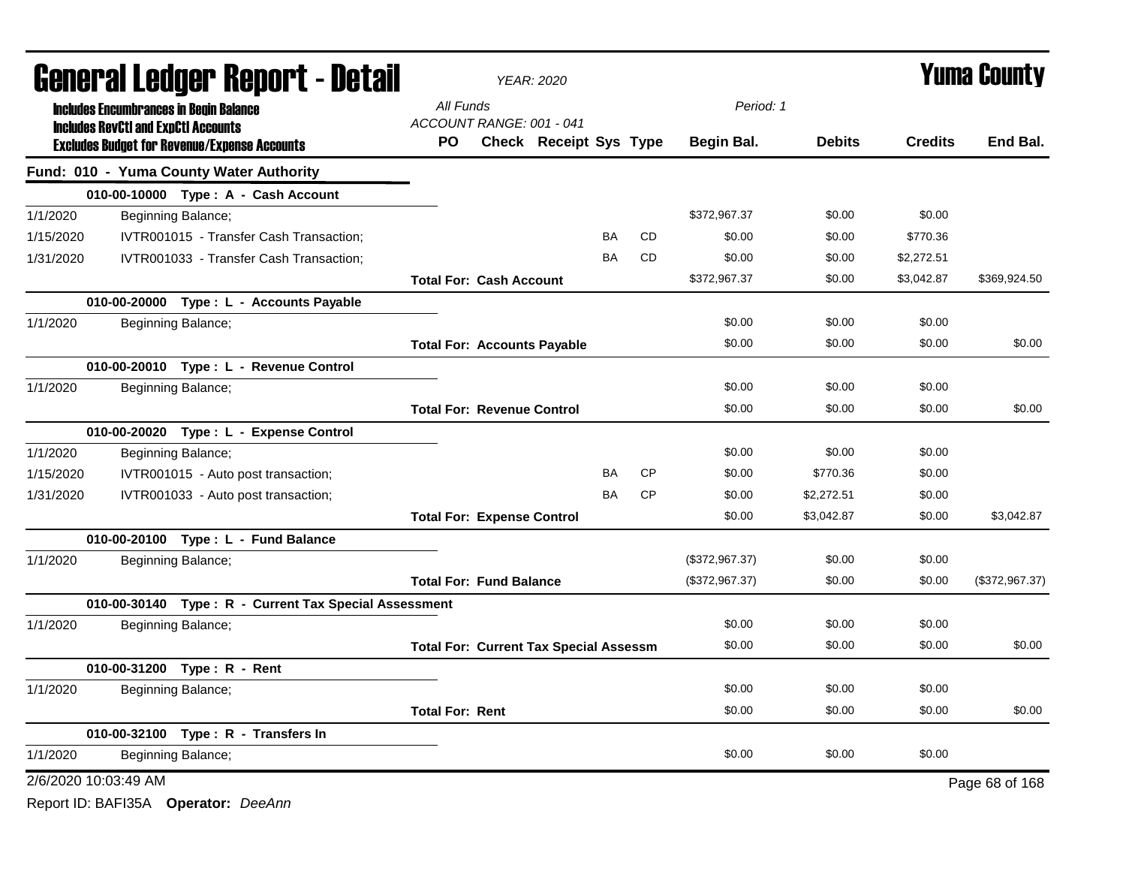|           |                                                     |                    | <b>General Ledger Report - Detail</b>                 |                        |                                   | <b>YEAR: 2020</b>                             |           |           |                |               |                | <b>Yuma County</b> |
|-----------|-----------------------------------------------------|--------------------|-------------------------------------------------------|------------------------|-----------------------------------|-----------------------------------------------|-----------|-----------|----------------|---------------|----------------|--------------------|
|           | <b>Includes Encumbrances in Begin Balance</b>       |                    |                                                       | All Funds              |                                   |                                               |           |           | Period: 1      |               |                |                    |
|           | <b>Includes RevCtI and ExpCtI Accounts</b>          |                    |                                                       |                        | ACCOUNT RANGE: 001 - 041          |                                               |           |           |                |               |                |                    |
|           | <b>Excludes Budget for Revenue/Expense Accounts</b> |                    |                                                       | <b>PO</b>              |                                   | <b>Check Receipt Sys Type</b>                 |           |           | Begin Bal.     | <b>Debits</b> | <b>Credits</b> | End Bal.           |
|           | Fund: 010 - Yuma County Water Authority             |                    |                                                       |                        |                                   |                                               |           |           |                |               |                |                    |
|           |                                                     |                    | 010-00-10000 Type: A - Cash Account                   |                        |                                   |                                               |           |           |                |               |                |                    |
| 1/1/2020  |                                                     | Beginning Balance; |                                                       |                        |                                   |                                               |           |           | \$372,967.37   | \$0.00        | \$0.00         |                    |
| 1/15/2020 |                                                     |                    | IVTR001015 - Transfer Cash Transaction;               |                        |                                   |                                               | BA        | <b>CD</b> | \$0.00         | \$0.00        | \$770.36       |                    |
| 1/31/2020 |                                                     |                    | IVTR001033 - Transfer Cash Transaction;               |                        |                                   |                                               | <b>BA</b> | <b>CD</b> | \$0.00         | \$0.00        | \$2,272.51     |                    |
|           |                                                     |                    |                                                       |                        | <b>Total For: Cash Account</b>    |                                               |           |           | \$372.967.37   | \$0.00        | \$3,042.87     | \$369.924.50       |
|           |                                                     |                    | 010-00-20000 Type : L - Accounts Payable              |                        |                                   |                                               |           |           |                |               |                |                    |
| 1/1/2020  |                                                     | Beginning Balance; |                                                       |                        |                                   |                                               |           |           | \$0.00         | \$0.00        | \$0.00         |                    |
|           |                                                     |                    |                                                       |                        |                                   | <b>Total For: Accounts Payable</b>            |           |           | \$0.00         | \$0.00        | \$0.00         | \$0.00             |
|           |                                                     |                    | 010-00-20010 Type: L - Revenue Control                |                        |                                   |                                               |           |           |                |               |                |                    |
| 1/1/2020  |                                                     | Beginning Balance; |                                                       |                        |                                   |                                               |           |           | \$0.00         | \$0.00        | \$0.00         |                    |
|           |                                                     |                    |                                                       |                        | <b>Total For: Revenue Control</b> |                                               |           |           | \$0.00         | \$0.00        | \$0.00         | \$0.00             |
|           |                                                     |                    | 010-00-20020 Type: L - Expense Control                |                        |                                   |                                               |           |           |                |               |                |                    |
| 1/1/2020  |                                                     | Beginning Balance; |                                                       |                        |                                   |                                               |           |           | \$0.00         | \$0.00        | \$0.00         |                    |
| 1/15/2020 |                                                     |                    | IVTR001015 - Auto post transaction;                   |                        |                                   |                                               | BA        | CP        | \$0.00         | \$770.36      | \$0.00         |                    |
| 1/31/2020 |                                                     |                    | IVTR001033 - Auto post transaction;                   |                        |                                   |                                               | <b>BA</b> | <b>CP</b> | \$0.00         | \$2,272.51    | \$0.00         |                    |
|           |                                                     |                    |                                                       |                        | <b>Total For: Expense Control</b> |                                               |           |           | \$0.00         | \$3,042.87    | \$0.00         | \$3,042.87         |
|           |                                                     |                    | 010-00-20100 Type: L - Fund Balance                   |                        |                                   |                                               |           |           |                |               |                |                    |
| 1/1/2020  |                                                     | Beginning Balance; |                                                       |                        |                                   |                                               |           |           | (\$372,967.37) | \$0.00        | \$0.00         |                    |
|           |                                                     |                    |                                                       |                        | <b>Total For: Fund Balance</b>    |                                               |           |           | (\$372,967.37) | \$0.00        | \$0.00         | (\$372,967.37)     |
|           |                                                     |                    | 010-00-30140 Type: R - Current Tax Special Assessment |                        |                                   |                                               |           |           |                |               |                |                    |
| 1/1/2020  |                                                     | Beginning Balance; |                                                       |                        |                                   |                                               |           |           | \$0.00         | \$0.00        | \$0.00         |                    |
|           |                                                     |                    |                                                       |                        |                                   | <b>Total For: Current Tax Special Assessm</b> |           |           | \$0.00         | \$0.00        | \$0.00         | \$0.00             |
|           | 010-00-31200 Type: R - Rent                         |                    |                                                       |                        |                                   |                                               |           |           |                |               |                |                    |
| 1/1/2020  |                                                     | Beginning Balance; |                                                       |                        |                                   |                                               |           |           | \$0.00         | \$0.00        | \$0.00         |                    |
|           |                                                     |                    |                                                       | <b>Total For: Rent</b> |                                   |                                               |           |           | \$0.00         | \$0.00        | \$0.00         | \$0.00             |
|           | 010-00-32100 Type: R - Transfers In                 |                    |                                                       |                        |                                   |                                               |           |           |                |               |                |                    |
| 1/1/2020  |                                                     | Beginning Balance; |                                                       |                        |                                   |                                               |           |           | \$0.00         | \$0.00        | \$0.00         |                    |
|           | 2/6/2020 10:03:49 AM                                |                    |                                                       |                        |                                   |                                               |           |           |                |               |                | Page 68 of 168     |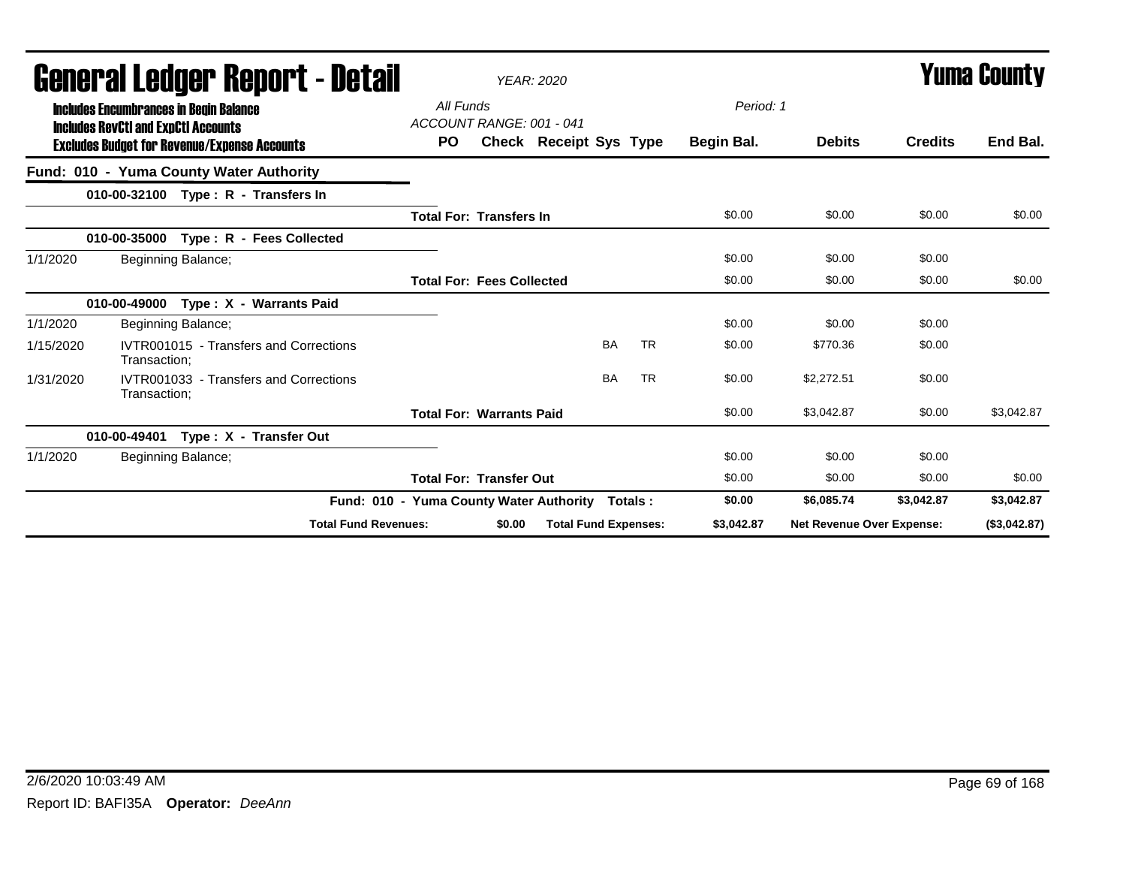|           | uchci ai Lcuyci "nchol" ( - detail<br><b>Includes Encumbrances in Begin Balance</b> |                                         | YEAR: 2020                       |                               |           |            |                           | I UIIIU VUUILY |              |
|-----------|-------------------------------------------------------------------------------------|-----------------------------------------|----------------------------------|-------------------------------|-----------|------------|---------------------------|----------------|--------------|
|           | <b>Includes RevCtI and ExpCtI Accounts</b>                                          | All Funds                               | ACCOUNT RANGE: 001 - 041         |                               |           | Period: 1  |                           |                |              |
|           | <b>Excludes Budget for Revenue/Expense Accounts</b>                                 | PO.                                     |                                  | <b>Check Receipt Sys Type</b> |           | Begin Bal. | <b>Debits</b>             | <b>Credits</b> | End Bal.     |
|           | Fund: 010 - Yuma County Water Authority                                             |                                         |                                  |                               |           |            |                           |                |              |
|           | 010-00-32100 Type: R - Transfers In                                                 |                                         |                                  |                               |           |            |                           |                |              |
|           |                                                                                     |                                         | <b>Total For: Transfers In</b>   |                               |           | \$0.00     | \$0.00                    | \$0.00         | \$0.00       |
|           | Type: R - Fees Collected<br>010-00-35000                                            |                                         |                                  |                               |           |            |                           |                |              |
| 1/1/2020  | Beginning Balance;                                                                  |                                         |                                  |                               |           | \$0.00     | \$0.00                    | \$0.00         |              |
|           |                                                                                     |                                         | <b>Total For: Fees Collected</b> |                               |           | \$0.00     | \$0.00                    | \$0.00         | \$0.00       |
|           | 010-00-49000 Type: X - Warrants Paid                                                |                                         |                                  |                               |           |            |                           |                |              |
| 1/1/2020  | Beginning Balance;                                                                  |                                         |                                  |                               |           | \$0.00     | \$0.00                    | \$0.00         |              |
| 1/15/2020 | IVTR001015 - Transfers and Corrections<br>Transaction:                              |                                         |                                  | <b>BA</b>                     | <b>TR</b> | \$0.00     | \$770.36                  | \$0.00         |              |
| 1/31/2020 | IVTR001033 - Transfers and Corrections<br>Transaction:                              |                                         |                                  | <b>BA</b>                     | <b>TR</b> | \$0.00     | \$2,272.51                | \$0.00         |              |
|           |                                                                                     |                                         | <b>Total For: Warrants Paid</b>  |                               |           | \$0.00     | \$3,042.87                | \$0.00         | \$3,042.87   |
|           | Type: X - Transfer Out<br>010-00-49401                                              |                                         |                                  |                               |           |            |                           |                |              |
| 1/1/2020  | Beginning Balance;                                                                  |                                         |                                  |                               |           | \$0.00     | \$0.00                    | \$0.00         |              |
|           |                                                                                     |                                         | <b>Total For: Transfer Out</b>   |                               |           | \$0.00     | \$0.00                    | \$0.00         | \$0.00       |
|           |                                                                                     | Fund: 010 - Yuma County Water Authority |                                  | Totals :                      |           | \$0.00     | \$6,085.74                | \$3,042.87     | \$3,042.87   |
|           |                                                                                     | <b>Total Fund Revenues:</b>             | \$0.00                           | <b>Total Fund Expenses:</b>   |           | \$3,042.87 | Net Revenue Over Expense: |                | (\$3,042.87) |

# General Ledger Report - Detail *YEAR: 2020* Yuma County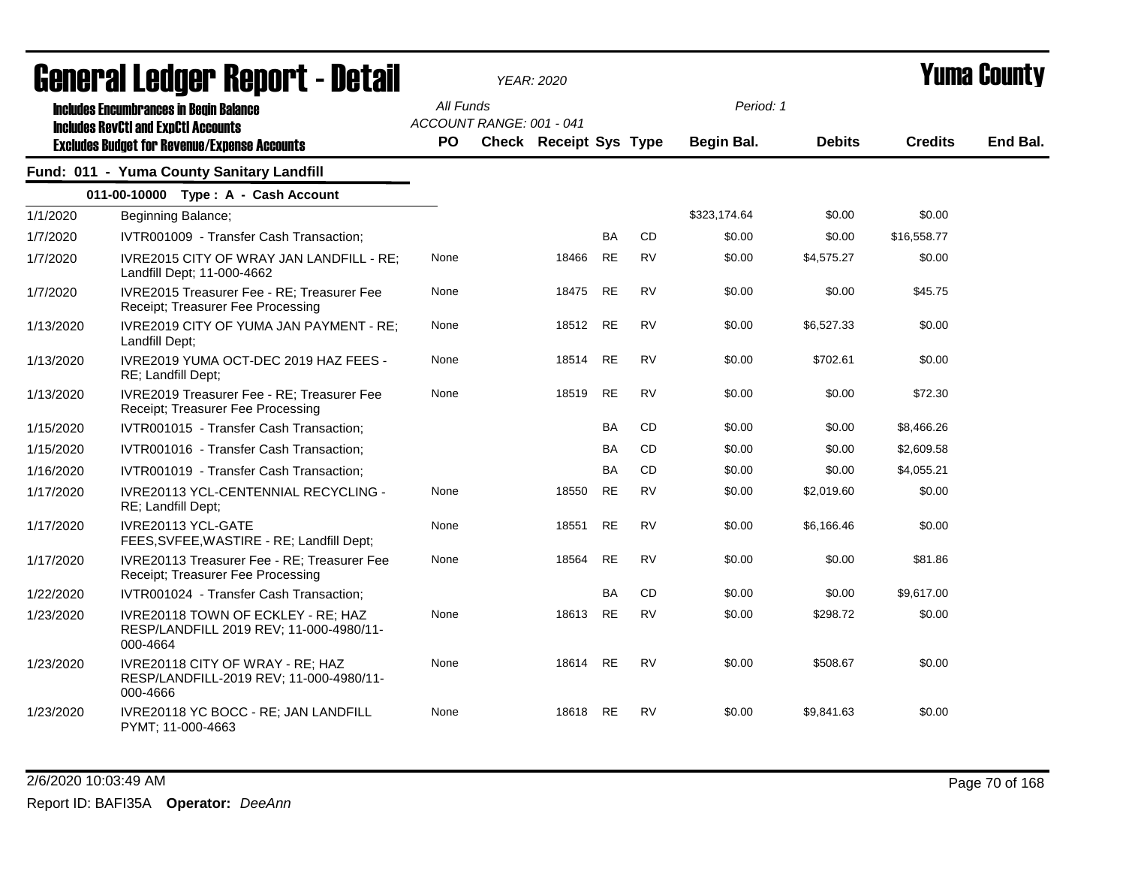|           | <b>agiigi.gi fanñai. ughni. ( - natsii</b>                                                  |                  |                          | YEAR: 2020                    |           |           |                                |               |                | I UIIIA VUUIILY |
|-----------|---------------------------------------------------------------------------------------------|------------------|--------------------------|-------------------------------|-----------|-----------|--------------------------------|---------------|----------------|-----------------|
|           | <b>Includes Encumbrances in Begin Balance</b><br><b>Includes RevCtI and ExpCtI Accounts</b> | All Funds<br>PO. | ACCOUNT RANGE: 001 - 041 | <b>Check Receipt Sys Type</b> |           |           | Period: 1<br><b>Begin Bal.</b> | <b>Debits</b> | <b>Credits</b> | End Bal.        |
|           | <b>Excludes Budget for Revenue/Expense Accounts</b>                                         |                  |                          |                               |           |           |                                |               |                |                 |
|           | Fund: 011 - Yuma County Sanitary Landfill                                                   |                  |                          |                               |           |           |                                |               |                |                 |
|           | 011-00-10000 Type: A - Cash Account                                                         |                  |                          |                               |           |           |                                |               |                |                 |
| 1/1/2020  | Beginning Balance;                                                                          |                  |                          |                               |           |           | \$323,174.64                   | \$0.00        | \$0.00         |                 |
| 1/7/2020  | IVTR001009 - Transfer Cash Transaction;                                                     |                  |                          |                               | <b>BA</b> | <b>CD</b> | \$0.00                         | \$0.00        | \$16,558.77    |                 |
| 1/7/2020  | IVRE2015 CITY OF WRAY JAN LANDFILL - RE;<br>Landfill Dept; 11-000-4662                      | None             |                          | 18466                         | <b>RE</b> | <b>RV</b> | \$0.00                         | \$4,575.27    | \$0.00         |                 |
| 1/7/2020  | IVRE2015 Treasurer Fee - RE; Treasurer Fee<br>Receipt; Treasurer Fee Processing             | None             |                          | 18475                         | <b>RE</b> | <b>RV</b> | \$0.00                         | \$0.00        | \$45.75        |                 |
| 1/13/2020 | IVRE2019 CITY OF YUMA JAN PAYMENT - RE;<br>Landfill Dept;                                   | None             |                          | 18512                         | <b>RE</b> | <b>RV</b> | \$0.00                         | \$6,527.33    | \$0.00         |                 |
| 1/13/2020 | IVRE2019 YUMA OCT-DEC 2019 HAZ FEES -<br>RE; Landfill Dept;                                 | None             |                          | 18514                         | <b>RE</b> | <b>RV</b> | \$0.00                         | \$702.61      | \$0.00         |                 |
| 1/13/2020 | IVRE2019 Treasurer Fee - RE; Treasurer Fee<br>Receipt; Treasurer Fee Processing             | None             |                          | 18519                         | <b>RE</b> | <b>RV</b> | \$0.00                         | \$0.00        | \$72.30        |                 |
| 1/15/2020 | IVTR001015 - Transfer Cash Transaction;                                                     |                  |                          |                               | <b>BA</b> | CD        | \$0.00                         | \$0.00        | \$8,466.26     |                 |
| 1/15/2020 | IVTR001016 - Transfer Cash Transaction;                                                     |                  |                          |                               | <b>BA</b> | <b>CD</b> | \$0.00                         | \$0.00        | \$2,609.58     |                 |
| 1/16/2020 | IVTR001019 - Transfer Cash Transaction;                                                     |                  |                          |                               | <b>BA</b> | CD        | \$0.00                         | \$0.00        | \$4,055.21     |                 |
| 1/17/2020 | IVRE20113 YCL-CENTENNIAL RECYCLING -<br>RE; Landfill Dept;                                  | None             |                          | 18550                         | <b>RE</b> | <b>RV</b> | \$0.00                         | \$2,019.60    | \$0.00         |                 |
| 1/17/2020 | IVRE20113 YCL-GATE<br>FEES, SVFEE, WASTIRE - RE; Landfill Dept;                             | None             |                          | 18551                         | <b>RE</b> | <b>RV</b> | \$0.00                         | \$6,166.46    | \$0.00         |                 |
| 1/17/2020 | IVRE20113 Treasurer Fee - RE; Treasurer Fee<br>Receipt; Treasurer Fee Processing            | None             |                          | 18564                         | <b>RE</b> | <b>RV</b> | \$0.00                         | \$0.00        | \$81.86        |                 |
| 1/22/2020 | IVTR001024 - Transfer Cash Transaction;                                                     |                  |                          |                               | <b>BA</b> | CD        | \$0.00                         | \$0.00        | \$9.617.00     |                 |
| 1/23/2020 | IVRE20118 TOWN OF ECKLEY - RE; HAZ<br>RESP/LANDFILL 2019 REV; 11-000-4980/11-<br>000-4664   | None             |                          | 18613                         | <b>RE</b> | <b>RV</b> | \$0.00                         | \$298.72      | \$0.00         |                 |
| 1/23/2020 | IVRE20118 CITY OF WRAY - RE; HAZ<br>RESP/LANDFILL-2019 REV; 11-000-4980/11-<br>000-4666     | None             |                          | 18614 RE                      |           | <b>RV</b> | \$0.00                         | \$508.67      | \$0.00         |                 |
| 1/23/2020 | IVRE20118 YC BOCC - RE; JAN LANDFILL<br>PYMT; 11-000-4663                                   | None             |                          | 18618                         | <b>RE</b> | <b>RV</b> | \$0.00                         | \$9,841.63    | \$0.00         |                 |

## General Ledger Report - Detail *YEAR: 2020* Yuma County

2/6/2020 10:03:49 AM Page 70 of 168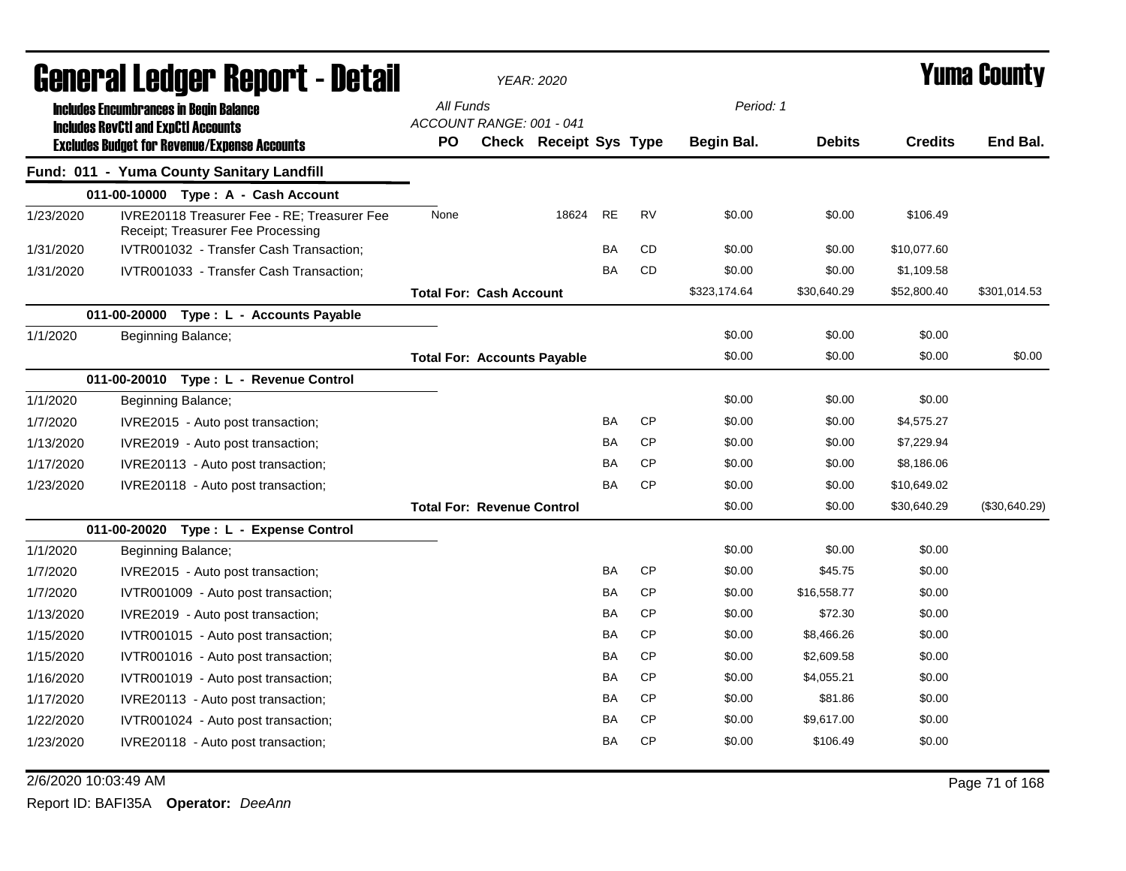|                                                                                                                                                    | General Ledger Report - Detail |                                                                                  | <b>YEAR: 2020</b>                  |                               |           |           |              |               | <b>Yuma County</b> |               |
|----------------------------------------------------------------------------------------------------------------------------------------------------|--------------------------------|----------------------------------------------------------------------------------|------------------------------------|-------------------------------|-----------|-----------|--------------|---------------|--------------------|---------------|
| <b>Includes Encumbrances in Begin Balance</b><br><b>Includes RevCtI and ExpCtI Accounts</b><br><b>Excludes Budget for Revenue/Expense Accounts</b> |                                |                                                                                  | All Funds                          |                               |           |           | Period: 1    |               |                    |               |
|                                                                                                                                                    |                                |                                                                                  | ACCOUNT RANGE: 001 - 041           |                               |           |           |              |               |                    |               |
|                                                                                                                                                    |                                |                                                                                  | <b>PO</b>                          | <b>Check Receipt Sys Type</b> |           |           | Begin Bal.   | <b>Debits</b> | <b>Credits</b>     | End Bal.      |
|                                                                                                                                                    |                                | Fund: 011 - Yuma County Sanitary Landfill                                        |                                    |                               |           |           |              |               |                    |               |
|                                                                                                                                                    |                                | 011-00-10000 Type: A - Cash Account                                              |                                    |                               |           |           |              |               |                    |               |
| 1/23/2020                                                                                                                                          |                                | IVRE20118 Treasurer Fee - RE: Treasurer Fee<br>Receipt; Treasurer Fee Processing | None                               | 18624                         | <b>RE</b> | <b>RV</b> | \$0.00       | \$0.00        | \$106.49           |               |
| 1/31/2020                                                                                                                                          |                                | IVTR001032 - Transfer Cash Transaction;                                          |                                    |                               | <b>BA</b> | <b>CD</b> | \$0.00       | \$0.00        | \$10,077.60        |               |
| 1/31/2020                                                                                                                                          |                                | IVTR001033 - Transfer Cash Transaction;                                          |                                    |                               | <b>BA</b> | CD        | \$0.00       | \$0.00        | \$1,109.58         |               |
|                                                                                                                                                    |                                |                                                                                  | <b>Total For: Cash Account</b>     |                               |           |           | \$323,174.64 | \$30,640.29   | \$52,800.40        | \$301,014.53  |
|                                                                                                                                                    |                                | 011-00-20000 Type : L - Accounts Payable                                         |                                    |                               |           |           |              |               |                    |               |
| 1/1/2020                                                                                                                                           |                                | Beginning Balance;                                                               |                                    |                               |           |           | \$0.00       | \$0.00        | \$0.00             |               |
|                                                                                                                                                    |                                |                                                                                  | <b>Total For: Accounts Payable</b> |                               |           |           | \$0.00       | \$0.00        | \$0.00             | \$0.00        |
|                                                                                                                                                    |                                | 011-00-20010 Type: L - Revenue Control                                           |                                    |                               |           |           |              |               |                    |               |
| 1/1/2020                                                                                                                                           |                                | Beginning Balance;                                                               |                                    |                               |           |           | \$0.00       | \$0.00        | \$0.00             |               |
| 1/7/2020                                                                                                                                           |                                | IVRE2015 - Auto post transaction;                                                |                                    |                               | BA        | <b>CP</b> | \$0.00       | \$0.00        | \$4,575.27         |               |
| 1/13/2020                                                                                                                                          |                                | IVRE2019 - Auto post transaction;                                                |                                    |                               | <b>BA</b> | <b>CP</b> | \$0.00       | \$0.00        | \$7,229.94         |               |
| 1/17/2020                                                                                                                                          |                                | IVRE20113 - Auto post transaction;                                               |                                    |                               | <b>BA</b> | <b>CP</b> | \$0.00       | \$0.00        | \$8,186.06         |               |
| 1/23/2020                                                                                                                                          |                                | IVRE20118 - Auto post transaction;                                               |                                    |                               | <b>BA</b> | <b>CP</b> | \$0.00       | \$0.00        | \$10,649.02        |               |
|                                                                                                                                                    |                                |                                                                                  | <b>Total For: Revenue Control</b>  |                               |           |           | \$0.00       | \$0.00        | \$30,640.29        | (\$30,640.29) |
|                                                                                                                                                    |                                | 011-00-20020 Type: L - Expense Control                                           |                                    |                               |           |           |              |               |                    |               |
| 1/1/2020                                                                                                                                           |                                | Beginning Balance;                                                               |                                    |                               |           |           | \$0.00       | \$0.00        | \$0.00             |               |
| 1/7/2020                                                                                                                                           |                                | IVRE2015 - Auto post transaction;                                                |                                    |                               | BA        | <b>CP</b> | \$0.00       | \$45.75       | \$0.00             |               |
| 1/7/2020                                                                                                                                           |                                | IVTR001009 - Auto post transaction;                                              |                                    |                               | BA        | <b>CP</b> | \$0.00       | \$16,558.77   | \$0.00             |               |
| 1/13/2020                                                                                                                                          |                                | IVRE2019 - Auto post transaction;                                                |                                    |                               | BA        | <b>CP</b> | \$0.00       | \$72.30       | \$0.00             |               |
| 1/15/2020                                                                                                                                          |                                | IVTR001015 - Auto post transaction;                                              |                                    |                               | <b>BA</b> | <b>CP</b> | \$0.00       | \$8,466.26    | \$0.00             |               |
| 1/15/2020                                                                                                                                          |                                | IVTR001016 - Auto post transaction;                                              |                                    |                               | <b>BA</b> | <b>CP</b> | \$0.00       | \$2,609.58    | \$0.00             |               |
| 1/16/2020                                                                                                                                          |                                | IVTR001019 - Auto post transaction;                                              |                                    |                               | <b>BA</b> | <b>CP</b> | \$0.00       | \$4,055.21    | \$0.00             |               |
| 1/17/2020                                                                                                                                          |                                | IVRE20113 - Auto post transaction;                                               |                                    |                               | BA        | <b>CP</b> | \$0.00       | \$81.86       | \$0.00             |               |
| 1/22/2020                                                                                                                                          |                                | IVTR001024 - Auto post transaction;                                              |                                    |                               | BA        | <b>CP</b> | \$0.00       | \$9,617.00    | \$0.00             |               |
| 1/23/2020                                                                                                                                          |                                | IVRE20118 - Auto post transaction;                                               |                                    |                               | BA        | <b>CP</b> | \$0.00       | \$106.49      | \$0.00             |               |

2/6/2020 10:03:49 AM Page 71 of 168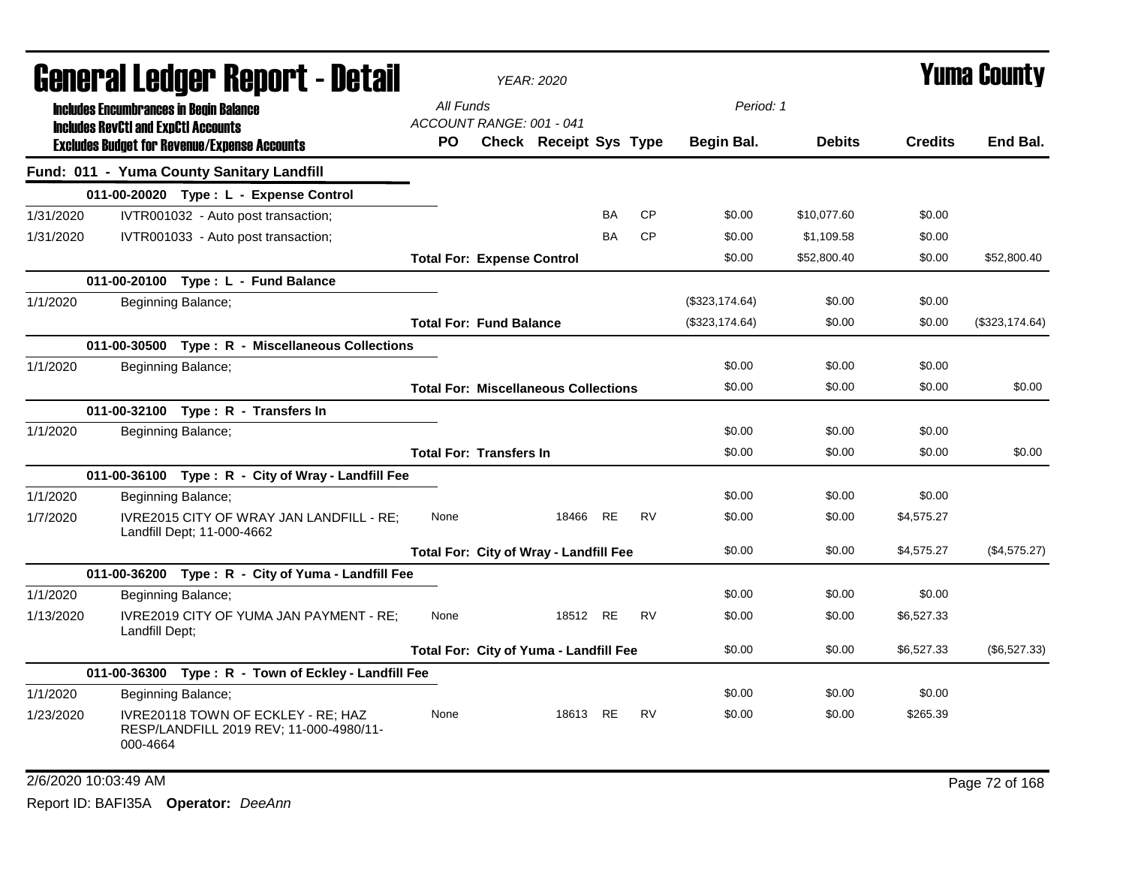|           |                                                                                             | <b>agiigi.gi fanñai. ugchal. ( - datsu</b>                                    |                                       | YEAR: 2020                                  |           |           |                |               |                | T UIIIA VUUIILY |
|-----------|---------------------------------------------------------------------------------------------|-------------------------------------------------------------------------------|---------------------------------------|---------------------------------------------|-----------|-----------|----------------|---------------|----------------|-----------------|
|           | <b>Includes Encumbrances in Begin Balance</b><br><b>Includes RevCtI and ExpCtI Accounts</b> |                                                                               | All Funds<br>ACCOUNT RANGE: 001 - 041 |                                             |           |           | Period: 1      |               |                |                 |
|           |                                                                                             | <b>Excludes Budget for Revenue/Expense Accounts</b>                           | <b>PO</b>                             | Check Receipt Sys Type                      |           |           | Begin Bal.     | <b>Debits</b> | <b>Credits</b> | End Bal.        |
|           |                                                                                             | Fund: 011 - Yuma County Sanitary Landfill                                     |                                       |                                             |           |           |                |               |                |                 |
|           |                                                                                             | 011-00-20020 Type: L - Expense Control                                        |                                       |                                             |           |           |                |               |                |                 |
| 1/31/2020 |                                                                                             | IVTR001032 - Auto post transaction;                                           |                                       |                                             | <b>BA</b> | <b>CP</b> | \$0.00         | \$10,077.60   | \$0.00         |                 |
| 1/31/2020 |                                                                                             | IVTR001033 - Auto post transaction;                                           |                                       |                                             | BA        | <b>CP</b> | \$0.00         | \$1,109.58    | \$0.00         |                 |
|           |                                                                                             |                                                                               | <b>Total For: Expense Control</b>     |                                             |           |           | \$0.00         | \$52,800.40   | \$0.00         | \$52,800.40     |
|           |                                                                                             | 011-00-20100 Type: L - Fund Balance                                           |                                       |                                             |           |           |                |               |                |                 |
| 1/1/2020  |                                                                                             | Beginning Balance;                                                            |                                       |                                             |           |           | (\$323,174.64) | \$0.00        | \$0.00         |                 |
|           |                                                                                             |                                                                               | <b>Total For: Fund Balance</b>        |                                             |           |           | (\$323,174.64) | \$0.00        | \$0.00         | (\$323,174.64)  |
|           |                                                                                             | 011-00-30500 Type: R - Miscellaneous Collections                              |                                       |                                             |           |           |                |               |                |                 |
| 1/1/2020  |                                                                                             | Beginning Balance;                                                            |                                       |                                             |           |           | \$0.00         | \$0.00        | \$0.00         |                 |
|           |                                                                                             |                                                                               |                                       | <b>Total For: Miscellaneous Collections</b> |           |           | \$0.00         | \$0.00        | \$0.00         | \$0.00          |
|           |                                                                                             | 011-00-32100 Type: R - Transfers In                                           |                                       |                                             |           |           |                |               |                |                 |
| 1/1/2020  |                                                                                             | Beginning Balance;                                                            |                                       |                                             |           |           | \$0.00         | \$0.00        | \$0.00         |                 |
|           |                                                                                             |                                                                               | <b>Total For: Transfers In</b>        |                                             |           |           | \$0.00         | \$0.00        | \$0.00         | \$0.00          |
|           |                                                                                             | 011-00-36100 Type: R - City of Wray - Landfill Fee                            |                                       |                                             |           |           |                |               |                |                 |
| 1/1/2020  |                                                                                             | Beginning Balance;                                                            |                                       |                                             |           |           | \$0.00         | \$0.00        | \$0.00         |                 |
| 1/7/2020  |                                                                                             | IVRE2015 CITY OF WRAY JAN LANDFILL - RE;<br>Landfill Dept; 11-000-4662        | None                                  | 18466 RE                                    |           | <b>RV</b> | \$0.00         | \$0.00        | \$4,575.27     |                 |
|           |                                                                                             |                                                                               |                                       | Total For: City of Wray - Landfill Fee      |           |           | \$0.00         | \$0.00        | \$4,575.27     | (\$4,575.27)    |
|           |                                                                                             | 011-00-36200 Type: R - City of Yuma - Landfill Fee                            |                                       |                                             |           |           |                |               |                |                 |
| 1/1/2020  |                                                                                             | Beginning Balance;                                                            |                                       |                                             |           |           | \$0.00         | \$0.00        | \$0.00         |                 |
| 1/13/2020 | Landfill Dept;                                                                              | IVRE2019 CITY OF YUMA JAN PAYMENT - RE;                                       | None                                  | 18512 RE                                    |           | <b>RV</b> | \$0.00         | \$0.00        | \$6,527.33     |                 |
|           |                                                                                             |                                                                               |                                       | Total For: City of Yuma - Landfill Fee      |           |           | \$0.00         | \$0.00        | \$6,527.33     | (\$6,527.33)    |
|           |                                                                                             | 011-00-36300 Type: R - Town of Eckley - Landfill Fee                          |                                       |                                             |           |           |                |               |                |                 |
| 1/1/2020  |                                                                                             | Beginning Balance;                                                            |                                       |                                             |           |           | \$0.00         | \$0.00        | \$0.00         |                 |
| 1/23/2020 | 000-4664                                                                                    | IVRE20118 TOWN OF ECKLEY - RE; HAZ<br>RESP/LANDFILL 2019 REV; 11-000-4980/11- | None                                  | 18613 RE                                    |           | <b>RV</b> | \$0.00         | \$0.00        | \$265.39       |                 |
|           |                                                                                             |                                                                               |                                       |                                             |           |           |                |               |                |                 |

#### General Ledger Report - Detail *YEAR: 2020* Yuma County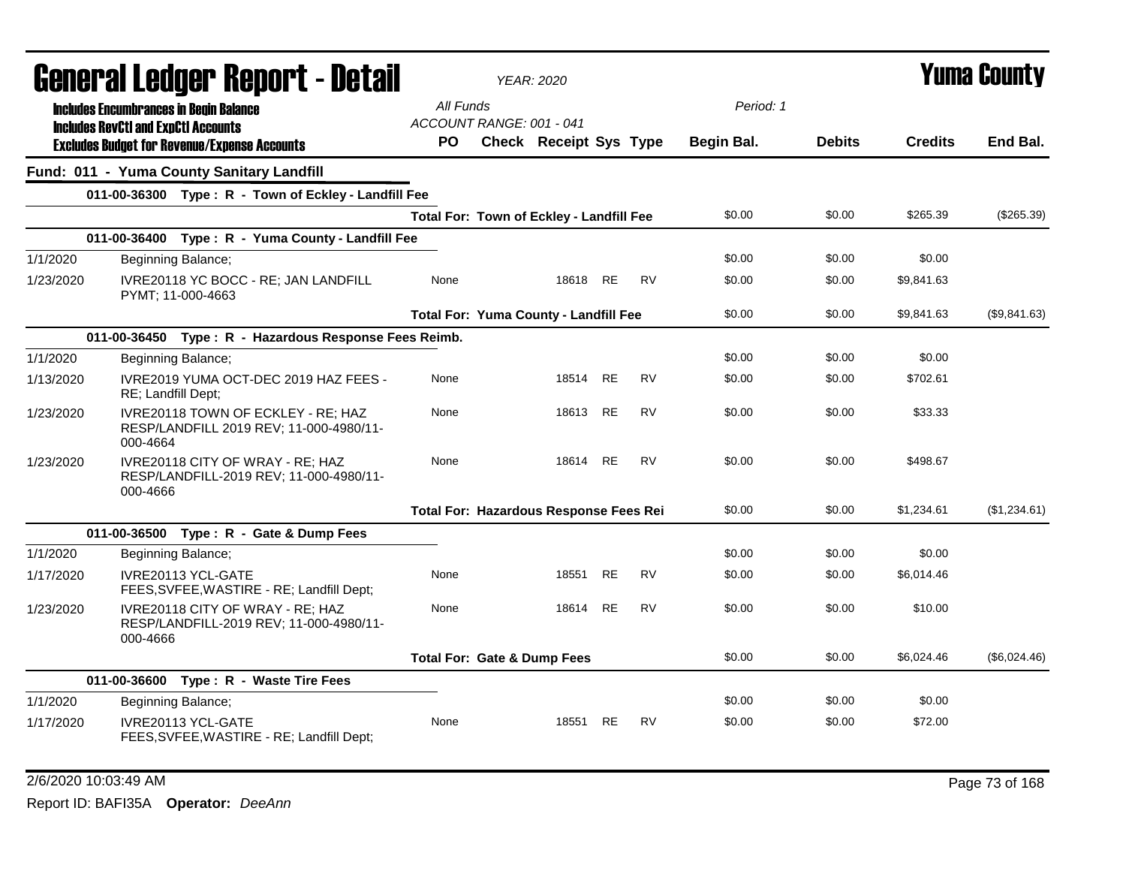|           |                                               | General Ledger Report - Detail                                                |                                              | <b>YEAR: 2020</b>      |           |           |            |               |                | <b>Yuma County</b> |
|-----------|-----------------------------------------------|-------------------------------------------------------------------------------|----------------------------------------------|------------------------|-----------|-----------|------------|---------------|----------------|--------------------|
|           | <b>Includes Encumbrances in Begin Balance</b> |                                                                               | All Funds<br>ACCOUNT RANGE: 001 - 041        |                        |           |           | Period: 1  |               |                |                    |
|           | <b>Includes RevCtI and ExpCtI Accounts</b>    | <b>Excludes Budget for Revenue/Expense Accounts</b>                           | PO                                           | Check Receipt Sys Type |           |           | Begin Bal. | <b>Debits</b> | <b>Credits</b> | End Bal.           |
|           |                                               | Fund: 011 - Yuma County Sanitary Landfill                                     |                                              |                        |           |           |            |               |                |                    |
|           |                                               | 011-00-36300 Type: R - Town of Eckley - Landfill Fee                          |                                              |                        |           |           |            |               |                |                    |
|           |                                               |                                                                               | Total For: Town of Eckley - Landfill Fee     |                        |           |           | \$0.00     | \$0.00        | \$265.39       | (\$265.39)         |
|           |                                               | 011-00-36400 Type: R - Yuma County - Landfill Fee                             |                                              |                        |           |           |            |               |                |                    |
| 1/1/2020  | Beginning Balance;                            |                                                                               |                                              |                        |           |           | \$0.00     | \$0.00        | \$0.00         |                    |
| 1/23/2020 | PYMT: 11-000-4663                             | IVRE20118 YC BOCC - RE; JAN LANDFILL                                          | None                                         | 18618                  | <b>RE</b> | <b>RV</b> | \$0.00     | \$0.00        | \$9,841.63     |                    |
|           |                                               |                                                                               | <b>Total For: Yuma County - Landfill Fee</b> |                        |           |           | \$0.00     | \$0.00        | \$9,841.63     | (\$9,841.63)       |
|           |                                               | 011-00-36450 Type: R - Hazardous Response Fees Reimb.                         |                                              |                        |           |           |            |               |                |                    |
| 1/1/2020  | Beginning Balance;                            |                                                                               |                                              |                        |           |           | \$0.00     | \$0.00        | \$0.00         |                    |
| 1/13/2020 | RE; Landfill Dept;                            | IVRE2019 YUMA OCT-DEC 2019 HAZ FEES -                                         | None                                         | 18514 RE               |           | RV        | \$0.00     | \$0.00        | \$702.61       |                    |
| 1/23/2020 | 000-4664                                      | IVRE20118 TOWN OF ECKLEY - RE: HAZ<br>RESP/LANDFILL 2019 REV; 11-000-4980/11- | None                                         | 18613                  | <b>RE</b> | <b>RV</b> | \$0.00     | \$0.00        | \$33.33        |                    |
| 1/23/2020 | 000-4666                                      | IVRE20118 CITY OF WRAY - RE; HAZ<br>RESP/LANDFILL-2019 REV; 11-000-4980/11-   | None                                         | 18614 RE               |           | RV        | \$0.00     | \$0.00        | \$498.67       |                    |
|           |                                               |                                                                               | Total For: Hazardous Response Fees Rei       |                        |           |           | \$0.00     | \$0.00        | \$1,234.61     | (\$1,234.61)       |
|           |                                               | 011-00-36500 Type: R - Gate & Dump Fees                                       |                                              |                        |           |           |            |               |                |                    |
| 1/1/2020  | Beginning Balance;                            |                                                                               |                                              |                        |           |           | \$0.00     | \$0.00        | \$0.00         |                    |
| 1/17/2020 |                                               | IVRE20113 YCL-GATE<br>FEES, SVFEE, WASTIRE - RE; Landfill Dept;               | None                                         | 18551                  | <b>RE</b> | <b>RV</b> | \$0.00     | \$0.00        | \$6.014.46     |                    |
| 1/23/2020 | 000-4666                                      | IVRE20118 CITY OF WRAY - RE; HAZ<br>RESP/LANDFILL-2019 REV; 11-000-4980/11-   | None                                         | 18614                  | <b>RE</b> | <b>RV</b> | \$0.00     | \$0.00        | \$10.00        |                    |
|           |                                               |                                                                               | <b>Total For: Gate &amp; Dump Fees</b>       |                        |           |           | \$0.00     | \$0.00        | \$6,024.46     | (\$6,024.46)       |
|           |                                               | 011-00-36600 Type: R - Waste Tire Fees                                        |                                              |                        |           |           |            |               |                |                    |
| 1/1/2020  | Beginning Balance;                            |                                                                               |                                              |                        |           |           | \$0.00     | \$0.00        | \$0.00         |                    |
| 1/17/2020 |                                               | IVRE20113 YCL-GATE<br>FEES, SVFEE, WASTIRE - RE; Landfill Dept;               | None                                         | 18551                  | <b>RE</b> | <b>RV</b> | \$0.00     | \$0.00        | \$72.00        |                    |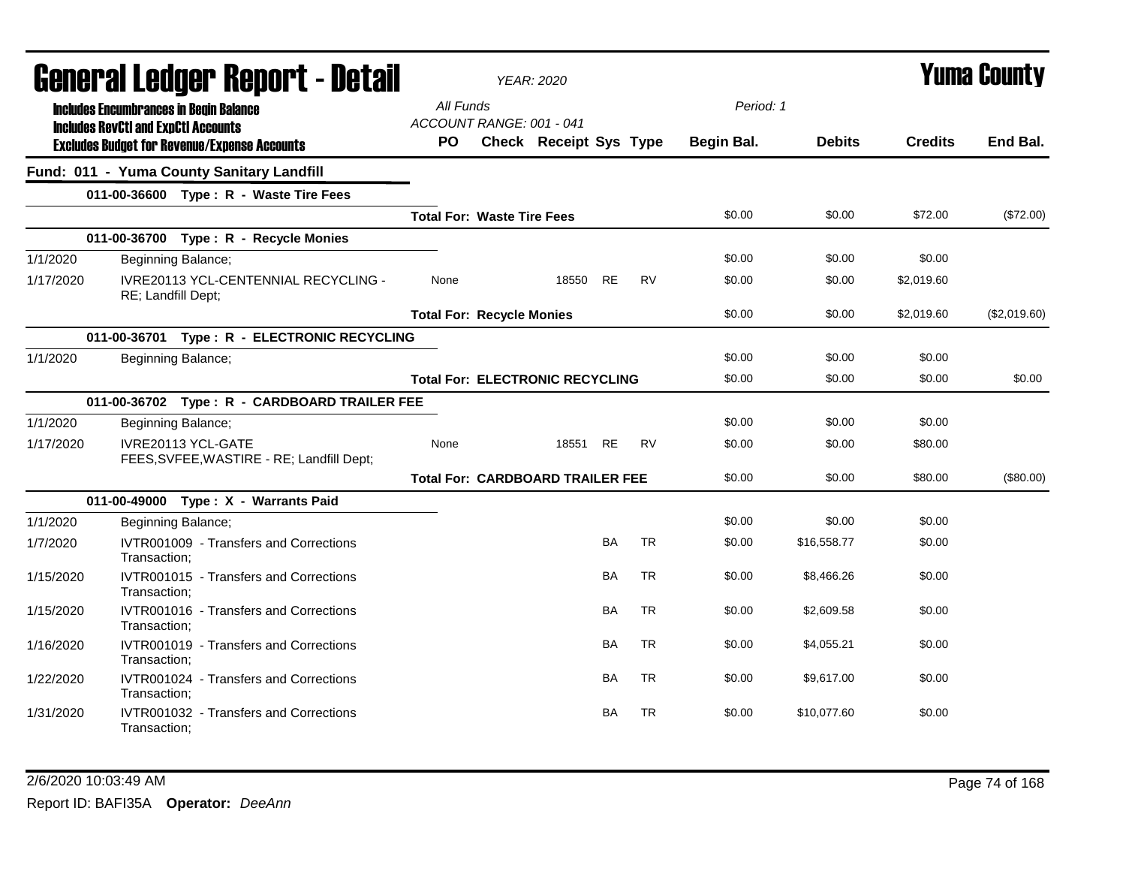|           | General Ledger Report - Detail                                                              |           |                                   | <b>YEAR: 2020</b>                       |           |           |            |               |                | <b>Yuma County</b> |
|-----------|---------------------------------------------------------------------------------------------|-----------|-----------------------------------|-----------------------------------------|-----------|-----------|------------|---------------|----------------|--------------------|
|           | <b>Includes Encumbrances in Begin Balance</b><br><b>Includes RevCtI and ExpCtI Accounts</b> | All Funds | ACCOUNT RANGE: 001 - 041          |                                         |           |           | Period: 1  |               |                |                    |
|           | <b>Excludes Budget for Revenue/Expense Accounts</b>                                         | <b>PO</b> |                                   | <b>Check Receipt Sys Type</b>           |           |           | Begin Bal. | <b>Debits</b> | <b>Credits</b> | End Bal.           |
|           | Fund: 011 - Yuma County Sanitary Landfill                                                   |           |                                   |                                         |           |           |            |               |                |                    |
|           | 011-00-36600 Type: R - Waste Tire Fees                                                      |           |                                   |                                         |           |           |            |               |                |                    |
|           |                                                                                             |           | <b>Total For: Waste Tire Fees</b> |                                         |           |           | \$0.00     | \$0.00        | \$72.00        | (\$72.00)          |
|           | 011-00-36700 Type: R - Recycle Monies                                                       |           |                                   |                                         |           |           |            |               |                |                    |
| 1/1/2020  | Beginning Balance;                                                                          |           |                                   |                                         |           |           | \$0.00     | \$0.00        | \$0.00         |                    |
| 1/17/2020 | IVRE20113 YCL-CENTENNIAL RECYCLING -<br>RE; Landfill Dept;                                  | None      |                                   | 18550                                   | <b>RE</b> | <b>RV</b> | \$0.00     | \$0.00        | \$2,019.60     |                    |
|           |                                                                                             |           | <b>Total For: Recycle Monies</b>  |                                         |           |           | \$0.00     | \$0.00        | \$2,019.60     | (\$2,019.60)       |
|           | 011-00-36701 Type: R - ELECTRONIC RECYCLING                                                 |           |                                   |                                         |           |           |            |               |                |                    |
| 1/1/2020  | Beginning Balance;                                                                          |           |                                   |                                         |           |           | \$0.00     | \$0.00        | \$0.00         |                    |
|           |                                                                                             |           |                                   | <b>Total For: ELECTRONIC RECYCLING</b>  |           |           | \$0.00     | \$0.00        | \$0.00         | \$0.00             |
|           | 011-00-36702 Type: R - CARDBOARD TRAILER FEE                                                |           |                                   |                                         |           |           |            |               |                |                    |
| 1/1/2020  | Beginning Balance;                                                                          |           |                                   |                                         |           |           | \$0.00     | \$0.00        | \$0.00         |                    |
| 1/17/2020 | IVRE20113 YCL-GATE<br>FEES, SVFEE, WASTIRE - RE; Landfill Dept;                             | None      |                                   | 18551                                   | <b>RE</b> | <b>RV</b> | \$0.00     | \$0.00        | \$80.00        |                    |
|           |                                                                                             |           |                                   | <b>Total For: CARDBOARD TRAILER FEE</b> |           |           | \$0.00     | \$0.00        | \$80.00        | (\$80.00)          |
|           | 011-00-49000 Type: X - Warrants Paid                                                        |           |                                   |                                         |           |           |            |               |                |                    |
| 1/1/2020  | Beginning Balance;                                                                          |           |                                   |                                         |           |           | \$0.00     | \$0.00        | \$0.00         |                    |
| 1/7/2020  | IVTR001009 - Transfers and Corrections<br>Transaction:                                      |           |                                   |                                         | <b>BA</b> | <b>TR</b> | \$0.00     | \$16,558.77   | \$0.00         |                    |
| 1/15/2020 | IVTR001015 - Transfers and Corrections<br>Transaction;                                      |           |                                   |                                         | <b>BA</b> | <b>TR</b> | \$0.00     | \$8,466.26    | \$0.00         |                    |
| 1/15/2020 | IVTR001016 - Transfers and Corrections<br>Transaction:                                      |           |                                   |                                         | <b>BA</b> | <b>TR</b> | \$0.00     | \$2,609.58    | \$0.00         |                    |
| 1/16/2020 | IVTR001019 - Transfers and Corrections<br>Transaction:                                      |           |                                   |                                         | <b>BA</b> | <b>TR</b> | \$0.00     | \$4,055.21    | \$0.00         |                    |
| 1/22/2020 | IVTR001024 - Transfers and Corrections<br>Transaction:                                      |           |                                   |                                         | BA        | <b>TR</b> | \$0.00     | \$9,617.00    | \$0.00         |                    |
| 1/31/2020 | IVTR001032 - Transfers and Corrections<br>Transaction:                                      |           |                                   |                                         | <b>BA</b> | <b>TR</b> | \$0.00     | \$10,077.60   | \$0.00         |                    |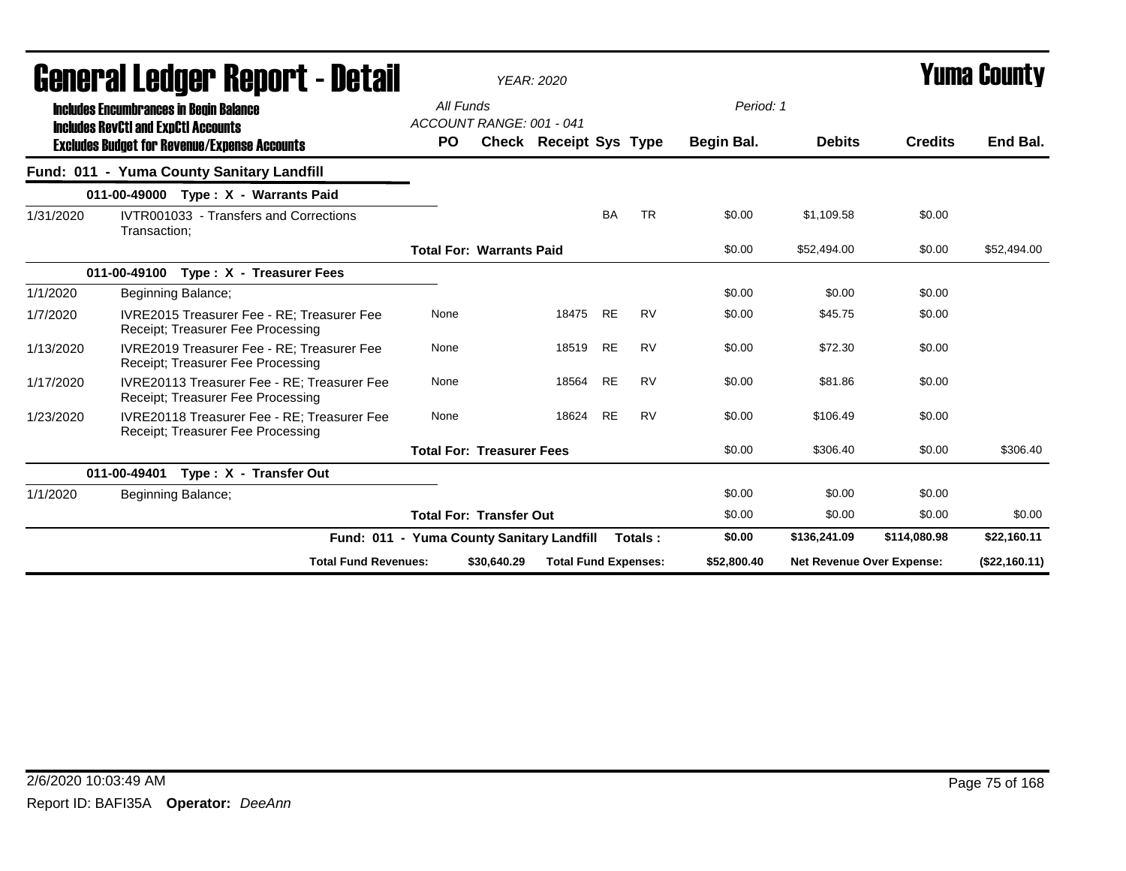|           | uchci ai Lcuyci "nchni" i - nglah                                                           |                                           |             | YEAR: 2020                    |           |           |             |                           |                | I UIIIU VUUIILY |
|-----------|---------------------------------------------------------------------------------------------|-------------------------------------------|-------------|-------------------------------|-----------|-----------|-------------|---------------------------|----------------|-----------------|
|           | <b>Includes Encumbrances in Begin Balance</b><br><b>Includes RevCtI and ExpCtI Accounts</b> | All Funds<br>ACCOUNT RANGE: 001 - 041     |             |                               |           |           | Period: 1   |                           |                |                 |
|           | <b>Excludes Budget for Revenue/Expense Accounts</b>                                         | <b>PO</b>                                 |             | <b>Check Receipt Sys Type</b> |           |           | Begin Bal.  | <b>Debits</b>             | <b>Credits</b> | End Bal.        |
|           | Fund: 011 - Yuma County Sanitary Landfill                                                   |                                           |             |                               |           |           |             |                           |                |                 |
|           | 011-00-49000 Type: X - Warrants Paid                                                        |                                           |             |                               |           |           |             |                           |                |                 |
| 1/31/2020 | IVTR001033 - Transfers and Corrections<br>Transaction;                                      |                                           |             |                               | <b>BA</b> | <b>TR</b> | \$0.00      | \$1,109.58                | \$0.00         |                 |
|           |                                                                                             | <b>Total For: Warrants Paid</b>           |             |                               |           |           | \$0.00      | \$52,494.00               | \$0.00         | \$52,494.00     |
|           | 011-00-49100<br>Type: X - Treasurer Fees                                                    |                                           |             |                               |           |           |             |                           |                |                 |
| 1/1/2020  | Beginning Balance;                                                                          |                                           |             |                               |           |           | \$0.00      | \$0.00                    | \$0.00         |                 |
| 1/7/2020  | IVRE2015 Treasurer Fee - RE; Treasurer Fee<br>Receipt; Treasurer Fee Processing             | None                                      |             | 18475 RE                      |           | <b>RV</b> | \$0.00      | \$45.75                   | \$0.00         |                 |
| 1/13/2020 | IVRE2019 Treasurer Fee - RE; Treasurer Fee<br>Receipt; Treasurer Fee Processing             | None                                      |             | 18519 RE                      |           | <b>RV</b> | \$0.00      | \$72.30                   | \$0.00         |                 |
| 1/17/2020 | IVRE20113 Treasurer Fee - RE: Treasurer Fee<br>Receipt; Treasurer Fee Processing            | None                                      |             | 18564                         | <b>RE</b> | <b>RV</b> | \$0.00      | \$81.86                   | \$0.00         |                 |
| 1/23/2020 | IVRE20118 Treasurer Fee - RE: Treasurer Fee<br>Receipt; Treasurer Fee Processing            | None                                      |             | 18624                         | <b>RE</b> | <b>RV</b> | \$0.00      | \$106.49                  | \$0.00         |                 |
|           |                                                                                             | <b>Total For: Treasurer Fees</b>          |             |                               |           |           | \$0.00      | \$306.40                  | \$0.00         | \$306.40        |
|           | 011-00-49401<br>Type: X - Transfer Out                                                      |                                           |             |                               |           |           |             |                           |                |                 |
| 1/1/2020  | Beginning Balance;                                                                          |                                           |             |                               |           |           | \$0.00      | \$0.00                    | \$0.00         |                 |
|           |                                                                                             | <b>Total For: Transfer Out</b>            |             |                               |           |           | \$0.00      | \$0.00                    | \$0.00         | \$0.00          |
|           |                                                                                             | Fund: 011 - Yuma County Sanitary Landfill |             |                               |           | Totals:   | \$0.00      | \$136,241.09              | \$114,080.98   | \$22,160.11     |
|           | <b>Total Fund Revenues:</b>                                                                 |                                           | \$30,640.29 | <b>Total Fund Expenses:</b>   |           |           | \$52,800.40 | Net Revenue Over Expense: |                | (\$22,160.11)   |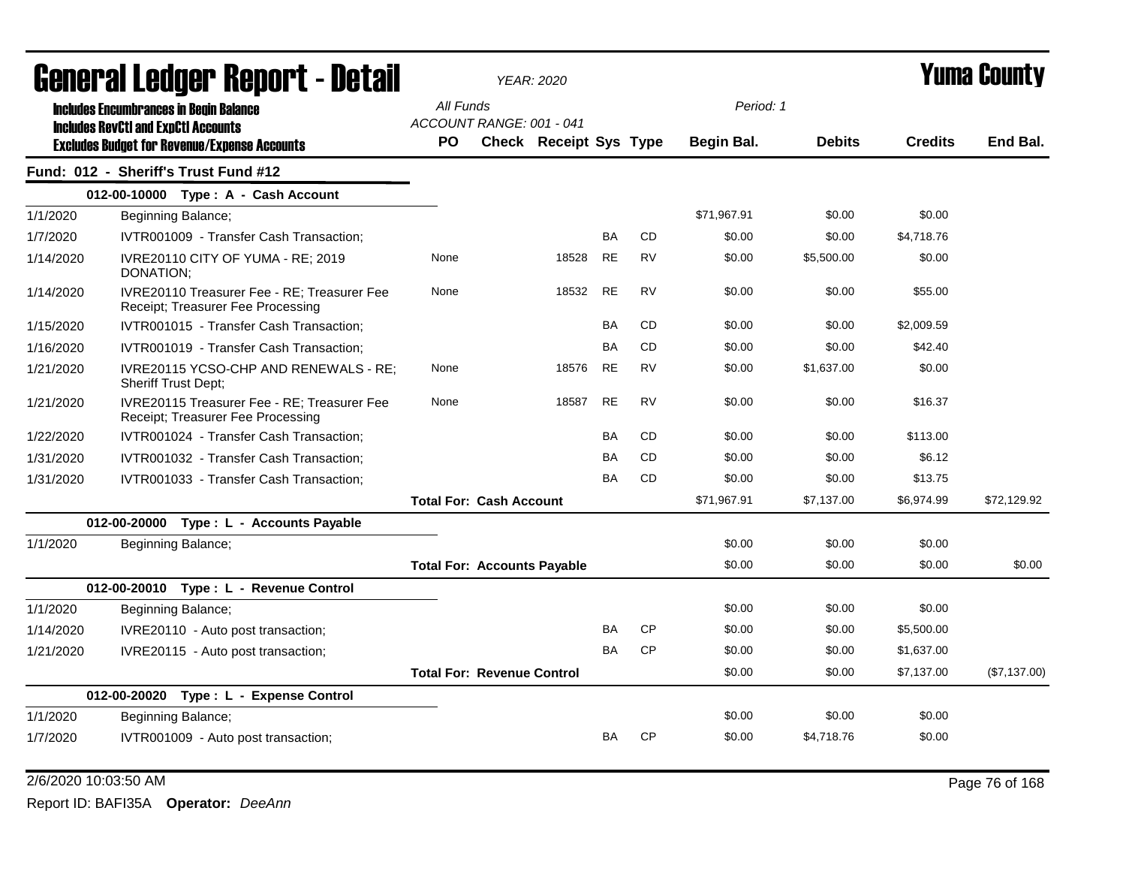|           |                                            | General Ledger Report - Detail                                                   |           |                                    | <b>YEAR: 2020</b>      |           |           |             |               |                | Yuma Countv  |
|-----------|--------------------------------------------|----------------------------------------------------------------------------------|-----------|------------------------------------|------------------------|-----------|-----------|-------------|---------------|----------------|--------------|
|           |                                            | <b>Includes Encumbrances in Begin Balance</b>                                    | All Funds |                                    |                        |           |           | Period: 1   |               |                |              |
|           | <b>Includes RevCtI and ExpCtI Accounts</b> | <b>Excludes Budget for Revenue/Expense Accounts</b>                              | PO.       | ACCOUNT RANGE: 001 - 041           | Check Receipt Sys Type |           |           | Begin Bal.  | <b>Debits</b> | <b>Credits</b> | End Bal.     |
|           |                                            | Fund: 012 - Sheriff's Trust Fund #12                                             |           |                                    |                        |           |           |             |               |                |              |
|           |                                            | 012-00-10000 Type: A - Cash Account                                              |           |                                    |                        |           |           |             |               |                |              |
| 1/1/2020  |                                            | Beginning Balance;                                                               |           |                                    |                        |           |           | \$71.967.91 | \$0.00        | \$0.00         |              |
| 1/7/2020  |                                            | IVTR001009 - Transfer Cash Transaction;                                          |           |                                    |                        | <b>BA</b> | <b>CD</b> | \$0.00      | \$0.00        | \$4,718.76     |              |
| 1/14/2020 | DONATION;                                  | IVRE20110 CITY OF YUMA - RE; 2019                                                | None      |                                    | 18528                  | <b>RE</b> | <b>RV</b> | \$0.00      | \$5,500.00    | \$0.00         |              |
| 1/14/2020 |                                            | IVRE20110 Treasurer Fee - RE: Treasurer Fee<br>Receipt; Treasurer Fee Processing | None      |                                    | 18532                  | <b>RE</b> | <b>RV</b> | \$0.00      | \$0.00        | \$55.00        |              |
| 1/15/2020 |                                            | IVTR001015 - Transfer Cash Transaction;                                          |           |                                    |                        | BA        | <b>CD</b> | \$0.00      | \$0.00        | \$2,009.59     |              |
| 1/16/2020 |                                            | IVTR001019 - Transfer Cash Transaction;                                          |           |                                    |                        | BA        | CD        | \$0.00      | \$0.00        | \$42.40        |              |
| 1/21/2020 | Sheriff Trust Dept;                        | IVRE20115 YCSO-CHP AND RENEWALS - RE;                                            | None      |                                    | 18576                  | <b>RE</b> | <b>RV</b> | \$0.00      | \$1,637.00    | \$0.00         |              |
| 1/21/2020 |                                            | IVRE20115 Treasurer Fee - RE; Treasurer Fee<br>Receipt; Treasurer Fee Processing | None      |                                    | 18587                  | <b>RE</b> | <b>RV</b> | \$0.00      | \$0.00        | \$16.37        |              |
| 1/22/2020 |                                            | IVTR001024 - Transfer Cash Transaction;                                          |           |                                    |                        | BA        | <b>CD</b> | \$0.00      | \$0.00        | \$113.00       |              |
| 1/31/2020 |                                            | IVTR001032 - Transfer Cash Transaction;                                          |           |                                    |                        | BA        | <b>CD</b> | \$0.00      | \$0.00        | \$6.12         |              |
| 1/31/2020 |                                            | IVTR001033 - Transfer Cash Transaction;                                          |           |                                    |                        | BA        | <b>CD</b> | \$0.00      | \$0.00        | \$13.75        |              |
|           |                                            |                                                                                  |           | <b>Total For: Cash Account</b>     |                        |           |           | \$71,967.91 | \$7,137.00    | \$6,974.99     | \$72,129.92  |
|           |                                            | 012-00-20000 Type : L - Accounts Payable                                         |           |                                    |                        |           |           |             |               |                |              |
| 1/1/2020  |                                            | Beginning Balance;                                                               |           |                                    |                        |           |           | \$0.00      | \$0.00        | \$0.00         |              |
|           |                                            |                                                                                  |           | <b>Total For: Accounts Payable</b> |                        |           |           | \$0.00      | \$0.00        | \$0.00         | \$0.00       |
|           |                                            | 012-00-20010 Type: L - Revenue Control                                           |           |                                    |                        |           |           |             |               |                |              |
| 1/1/2020  |                                            | Beginning Balance;                                                               |           |                                    |                        |           |           | \$0.00      | \$0.00        | \$0.00         |              |
| 1/14/2020 |                                            | IVRE20110 - Auto post transaction;                                               |           |                                    |                        | BA        | <b>CP</b> | \$0.00      | \$0.00        | \$5,500.00     |              |
| 1/21/2020 |                                            | IVRE20115 - Auto post transaction;                                               |           |                                    |                        | <b>BA</b> | <b>CP</b> | \$0.00      | \$0.00        | \$1,637.00     |              |
|           |                                            |                                                                                  |           | <b>Total For: Revenue Control</b>  |                        |           |           | \$0.00      | \$0.00        | \$7,137.00     | (\$7,137.00) |
|           | 012-00-20020                               | Type: L - Expense Control                                                        |           |                                    |                        |           |           |             |               |                |              |
| 1/1/2020  |                                            | Beginning Balance;                                                               |           |                                    |                        |           |           | \$0.00      | \$0.00        | \$0.00         |              |
| 1/7/2020  |                                            | IVTR001009 - Auto post transaction;                                              |           |                                    |                        | BA        | <b>CP</b> | \$0.00      | \$4,718.76    | \$0.00         |              |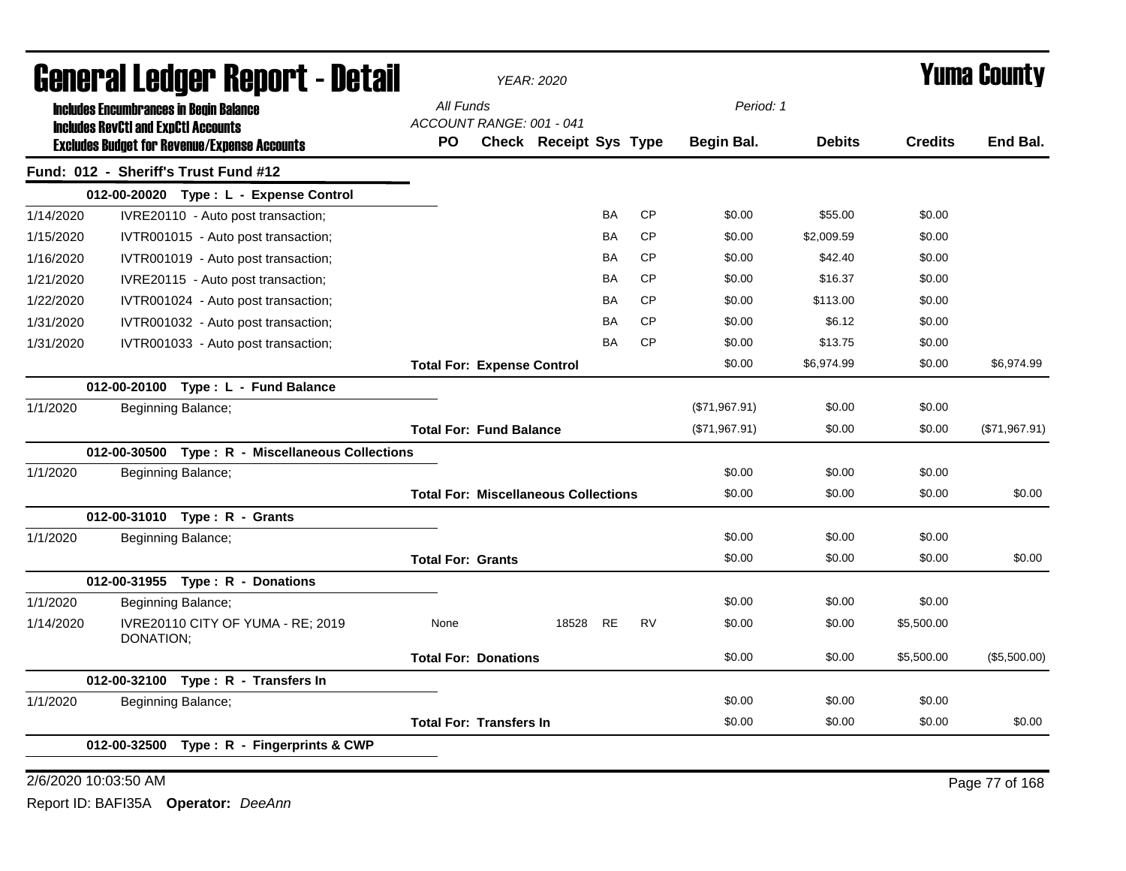|           |                                            | General Ledger Report - Detail                      |                          |                                   | <b>YEAR: 2020</b>                           |           |           |               |               |                | <b>Yuma County</b> |
|-----------|--------------------------------------------|-----------------------------------------------------|--------------------------|-----------------------------------|---------------------------------------------|-----------|-----------|---------------|---------------|----------------|--------------------|
|           |                                            | <b>Includes Encumbrances in Begin Balance</b>       | All Funds                |                                   |                                             |           |           | Period: 1     |               |                |                    |
|           | <b>Includes RevCtI and ExpCtI Accounts</b> |                                                     |                          | ACCOUNT RANGE: 001 - 041          |                                             |           |           |               |               |                |                    |
|           |                                            | <b>Excludes Budget for Revenue/Expense Accounts</b> | <b>PO</b>                |                                   | <b>Check Receipt Sys Type</b>               |           |           | Begin Bal.    | <b>Debits</b> | <b>Credits</b> | End Bal.           |
|           |                                            | Fund: 012 - Sheriff's Trust Fund #12                |                          |                                   |                                             |           |           |               |               |                |                    |
|           |                                            | 012-00-20020 Type: L - Expense Control              |                          |                                   |                                             |           |           |               |               |                |                    |
| 1/14/2020 |                                            | IVRE20110 - Auto post transaction;                  |                          |                                   |                                             | BA        | <b>CP</b> | \$0.00        | \$55.00       | \$0.00         |                    |
| 1/15/2020 |                                            | IVTR001015 - Auto post transaction;                 |                          |                                   |                                             | BA        | <b>CP</b> | \$0.00        | \$2,009.59    | \$0.00         |                    |
| 1/16/2020 |                                            | IVTR001019 - Auto post transaction;                 |                          |                                   |                                             | BA        | <b>CP</b> | \$0.00        | \$42.40       | \$0.00         |                    |
| 1/21/2020 |                                            | IVRE20115 - Auto post transaction;                  |                          |                                   |                                             | BA        | CP        | \$0.00        | \$16.37       | \$0.00         |                    |
| 1/22/2020 |                                            | IVTR001024 - Auto post transaction;                 |                          |                                   |                                             | <b>BA</b> | <b>CP</b> | \$0.00        | \$113.00      | \$0.00         |                    |
| 1/31/2020 |                                            | IVTR001032 - Auto post transaction;                 |                          |                                   |                                             | <b>BA</b> | <b>CP</b> | \$0.00        | \$6.12        | \$0.00         |                    |
| 1/31/2020 |                                            | IVTR001033 - Auto post transaction;                 |                          |                                   |                                             | <b>BA</b> | <b>CP</b> | \$0.00        | \$13.75       | \$0.00         |                    |
|           |                                            |                                                     |                          | <b>Total For: Expense Control</b> |                                             |           |           | \$0.00        | \$6,974.99    | \$0.00         | \$6,974.99         |
|           |                                            | 012-00-20100 Type: L - Fund Balance                 |                          |                                   |                                             |           |           |               |               |                |                    |
| 1/1/2020  |                                            | Beginning Balance;                                  |                          |                                   |                                             |           |           | (\$71,967.91) | \$0.00        | \$0.00         |                    |
|           |                                            |                                                     |                          | <b>Total For: Fund Balance</b>    |                                             |           |           | (\$71,967.91) | \$0.00        | \$0.00         | (\$71,967.91)      |
|           |                                            | 012-00-30500 Type: R - Miscellaneous Collections    |                          |                                   |                                             |           |           |               |               |                |                    |
| 1/1/2020  |                                            | Beginning Balance;                                  |                          |                                   |                                             |           |           | \$0.00        | \$0.00        | \$0.00         |                    |
|           |                                            |                                                     |                          |                                   | <b>Total For: Miscellaneous Collections</b> |           |           | \$0.00        | \$0.00        | \$0.00         | \$0.00             |
|           |                                            | 012-00-31010 Type: R - Grants                       |                          |                                   |                                             |           |           |               |               |                |                    |
| 1/1/2020  |                                            | Beginning Balance;                                  |                          |                                   |                                             |           |           | \$0.00        | \$0.00        | \$0.00         |                    |
|           |                                            |                                                     | <b>Total For: Grants</b> |                                   |                                             |           |           | \$0.00        | \$0.00        | \$0.00         | \$0.00             |
|           |                                            | 012-00-31955 Type: R - Donations                    |                          |                                   |                                             |           |           |               |               |                |                    |
| 1/1/2020  |                                            | Beginning Balance;                                  |                          |                                   |                                             |           |           | \$0.00        | \$0.00        | \$0.00         |                    |
| 1/14/2020 | DONATION;                                  | IVRE20110 CITY OF YUMA - RE; 2019                   | None                     |                                   | 18528                                       | <b>RE</b> | <b>RV</b> | \$0.00        | \$0.00        | \$5,500.00     |                    |
|           |                                            |                                                     |                          | <b>Total For: Donations</b>       |                                             |           |           | \$0.00        | \$0.00        | \$5,500.00     | (\$5,500.00)       |
|           |                                            | 012-00-32100 Type: R - Transfers In                 |                          |                                   |                                             |           |           |               |               |                |                    |
| 1/1/2020  |                                            | Beginning Balance;                                  |                          |                                   |                                             |           |           | \$0.00        | \$0.00        | \$0.00         |                    |
|           |                                            |                                                     |                          | <b>Total For: Transfers In</b>    |                                             |           |           | \$0.00        | \$0.00        | \$0.00         | \$0.00             |
|           | 012-00-32500                               | Type: R - Fingerprints & CWP                        |                          |                                   |                                             |           |           |               |               |                |                    |
|           |                                            |                                                     |                          |                                   |                                             |           |           |               |               |                |                    |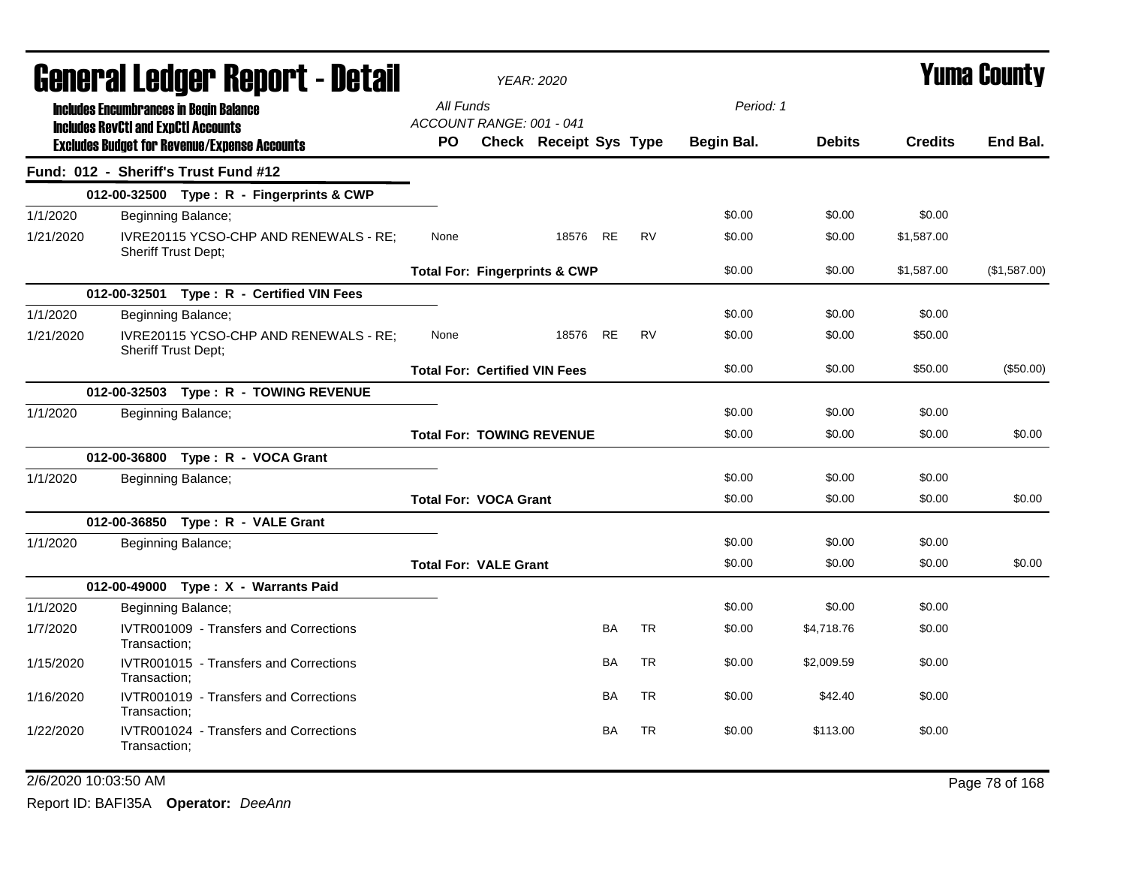|           |                                                                                             | General Ledger Report - Detail                                      |                                          | <b>YEAR: 2020</b>                |           |           |            |               |                | <b>Yuma County</b> |
|-----------|---------------------------------------------------------------------------------------------|---------------------------------------------------------------------|------------------------------------------|----------------------------------|-----------|-----------|------------|---------------|----------------|--------------------|
|           | <b>Includes Encumbrances in Begin Balance</b><br><b>Includes RevCtI and ExpCtI Accounts</b> |                                                                     | All Funds<br>ACCOUNT RANGE: 001 - 041    |                                  |           |           | Period: 1  |               |                |                    |
|           |                                                                                             | <b>Excludes Budget for Revenue/Expense Accounts</b>                 | PO.                                      | <b>Check Receipt Sys Type</b>    |           |           | Begin Bal. | <b>Debits</b> | <b>Credits</b> | End Bal.           |
|           |                                                                                             | Fund: 012 - Sheriff's Trust Fund #12                                |                                          |                                  |           |           |            |               |                |                    |
|           |                                                                                             | 012-00-32500 Type: R - Fingerprints & CWP                           |                                          |                                  |           |           |            |               |                |                    |
| 1/1/2020  |                                                                                             | Beginning Balance;                                                  |                                          |                                  |           |           | \$0.00     | \$0.00        | \$0.00         |                    |
| 1/21/2020 |                                                                                             | IVRE20115 YCSO-CHP AND RENEWALS - RE;<br>Sheriff Trust Dept;        | None                                     | 18576 RE                         |           | <b>RV</b> | \$0.00     | \$0.00        | \$1,587.00     |                    |
|           |                                                                                             |                                                                     | <b>Total For: Fingerprints &amp; CWP</b> |                                  |           |           | \$0.00     | \$0.00        | \$1,587.00     | (\$1,587.00)       |
|           |                                                                                             | 012-00-32501 Type: R - Certified VIN Fees                           |                                          |                                  |           |           |            |               |                |                    |
| 1/1/2020  |                                                                                             | Beginning Balance;                                                  |                                          |                                  |           |           | \$0.00     | \$0.00        | \$0.00         |                    |
| 1/21/2020 |                                                                                             | IVRE20115 YCSO-CHP AND RENEWALS - RE;<br><b>Sheriff Trust Dept:</b> | None                                     | 18576                            | <b>RE</b> | <b>RV</b> | \$0.00     | \$0.00        | \$50.00        |                    |
|           |                                                                                             |                                                                     | <b>Total For: Certified VIN Fees</b>     |                                  |           |           | \$0.00     | \$0.00        | \$50.00        | (\$50.00)          |
|           |                                                                                             | 012-00-32503 Type: R - TOWING REVENUE                               |                                          |                                  |           |           |            |               |                |                    |
| 1/1/2020  |                                                                                             | Beginning Balance;                                                  |                                          |                                  |           |           | \$0.00     | \$0.00        | \$0.00         |                    |
|           |                                                                                             |                                                                     |                                          | <b>Total For: TOWING REVENUE</b> |           |           | \$0.00     | \$0.00        | \$0.00         | \$0.00             |
|           |                                                                                             | 012-00-36800 Type: R - VOCA Grant                                   |                                          |                                  |           |           |            |               |                |                    |
| 1/1/2020  |                                                                                             | Beginning Balance;                                                  |                                          |                                  |           |           | \$0.00     | \$0.00        | \$0.00         |                    |
|           |                                                                                             |                                                                     | <b>Total For: VOCA Grant</b>             |                                  |           |           | \$0.00     | \$0.00        | \$0.00         | \$0.00             |
|           |                                                                                             | 012-00-36850 Type: R - VALE Grant                                   |                                          |                                  |           |           |            |               |                |                    |
| 1/1/2020  |                                                                                             | Beginning Balance;                                                  |                                          |                                  |           |           | \$0.00     | \$0.00        | \$0.00         |                    |
|           |                                                                                             |                                                                     | <b>Total For: VALE Grant</b>             |                                  |           |           | \$0.00     | \$0.00        | \$0.00         | \$0.00             |
|           |                                                                                             | 012-00-49000 Type: X - Warrants Paid                                |                                          |                                  |           |           |            |               |                |                    |
| 1/1/2020  |                                                                                             | Beginning Balance;                                                  |                                          |                                  |           |           | \$0.00     | \$0.00        | \$0.00         |                    |
| 1/7/2020  | Transaction;                                                                                | IVTR001009 - Transfers and Corrections                              |                                          |                                  | <b>BA</b> | <b>TR</b> | \$0.00     | \$4,718.76    | \$0.00         |                    |
| 1/15/2020 | Transaction:                                                                                | IVTR001015 - Transfers and Corrections                              |                                          |                                  | BA        | <b>TR</b> | \$0.00     | \$2,009.59    | \$0.00         |                    |
| 1/16/2020 | Transaction:                                                                                | IVTR001019 - Transfers and Corrections                              |                                          |                                  | <b>BA</b> | <b>TR</b> | \$0.00     | \$42.40       | \$0.00         |                    |
| 1/22/2020 | Transaction:                                                                                | IVTR001024 - Transfers and Corrections                              |                                          |                                  | BA        | <b>TR</b> | \$0.00     | \$113.00      | \$0.00         |                    |

2/6/2020 10:03:50 AM Page 78 of 168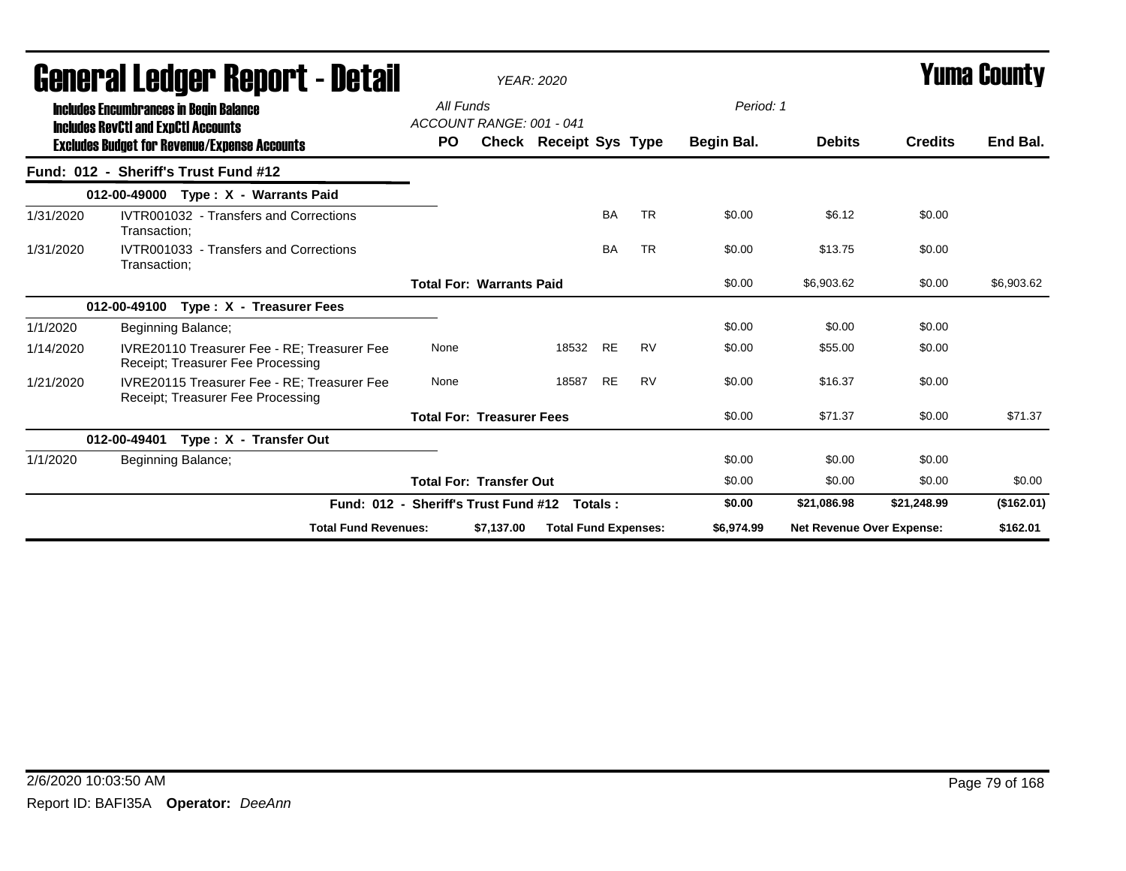|           | General Ledger Report - Detail                                                              |           |                                  | <b>YEAR: 2020</b>           |           |           |            |                                  |                | <b>Yuma County</b> |
|-----------|---------------------------------------------------------------------------------------------|-----------|----------------------------------|-----------------------------|-----------|-----------|------------|----------------------------------|----------------|--------------------|
|           | <b>Includes Encumbrances in Begin Balance</b><br><b>Includes RevCtI and ExpCtI Accounts</b> | All Funds | ACCOUNT RANGE: 001 - 041         |                             |           |           | Period: 1  |                                  |                |                    |
|           | <b>Excludes Budget for Revenue/Expense Accounts</b>                                         | <b>PO</b> |                                  | Check Receipt Sys Type      |           |           | Begin Bal. | <b>Debits</b>                    | <b>Credits</b> | End Bal.           |
|           | Fund: 012 - Sheriff's Trust Fund #12                                                        |           |                                  |                             |           |           |            |                                  |                |                    |
|           | 012-00-49000 Type: X - Warrants Paid                                                        |           |                                  |                             |           |           |            |                                  |                |                    |
| 1/31/2020 | IVTR001032 - Transfers and Corrections<br>Transaction;                                      |           |                                  |                             | <b>BA</b> | <b>TR</b> | \$0.00     | \$6.12                           | \$0.00         |                    |
| 1/31/2020 | IVTR001033 - Transfers and Corrections<br>Transaction:                                      |           |                                  |                             | <b>BA</b> | <b>TR</b> | \$0.00     | \$13.75                          | \$0.00         |                    |
|           |                                                                                             |           | <b>Total For: Warrants Paid</b>  |                             |           |           | \$0.00     | \$6,903.62                       | \$0.00         | \$6,903.62         |
|           | Type: X - Treasurer Fees<br>012-00-49100                                                    |           |                                  |                             |           |           |            |                                  |                |                    |
| 1/1/2020  | Beginning Balance;                                                                          |           |                                  |                             |           |           | \$0.00     | \$0.00                           | \$0.00         |                    |
| 1/14/2020 | IVRE20110 Treasurer Fee - RE: Treasurer Fee<br>Receipt; Treasurer Fee Processing            | None      |                                  | 18532 RE                    |           | <b>RV</b> | \$0.00     | \$55.00                          | \$0.00         |                    |
| 1/21/2020 | IVRE20115 Treasurer Fee - RE: Treasurer Fee<br>Receipt: Treasurer Fee Processing            | None      |                                  | 18587                       | <b>RE</b> | <b>RV</b> | \$0.00     | \$16.37                          | \$0.00         |                    |
|           |                                                                                             |           | <b>Total For: Treasurer Fees</b> |                             |           |           | \$0.00     | \$71.37                          | \$0.00         | \$71.37            |
|           | Type: X - Transfer Out<br>012-00-49401                                                      |           |                                  |                             |           |           |            |                                  |                |                    |
| 1/1/2020  | Beginning Balance;                                                                          |           |                                  |                             |           |           | \$0.00     | \$0.00                           | \$0.00         |                    |
|           |                                                                                             |           | <b>Total For: Transfer Out</b>   |                             |           |           | \$0.00     | \$0.00                           | \$0.00         | \$0.00             |
|           | Fund: 012 - Sheriff's Trust Fund #12                                                        |           |                                  |                             | Totals:   |           | \$0.00     | \$21,086.98                      | \$21,248.99    | (\$162.01)         |
|           | <b>Total Fund Revenues:</b>                                                                 |           | \$7.137.00                       | <b>Total Fund Expenses:</b> |           |           | \$6.974.99 | <b>Net Revenue Over Expense:</b> |                | \$162.01           |

### 2/6/2020 10:03:50 AM Page 79 of 168 Report ID: BAFI35A **Operator:** *DeeAnn*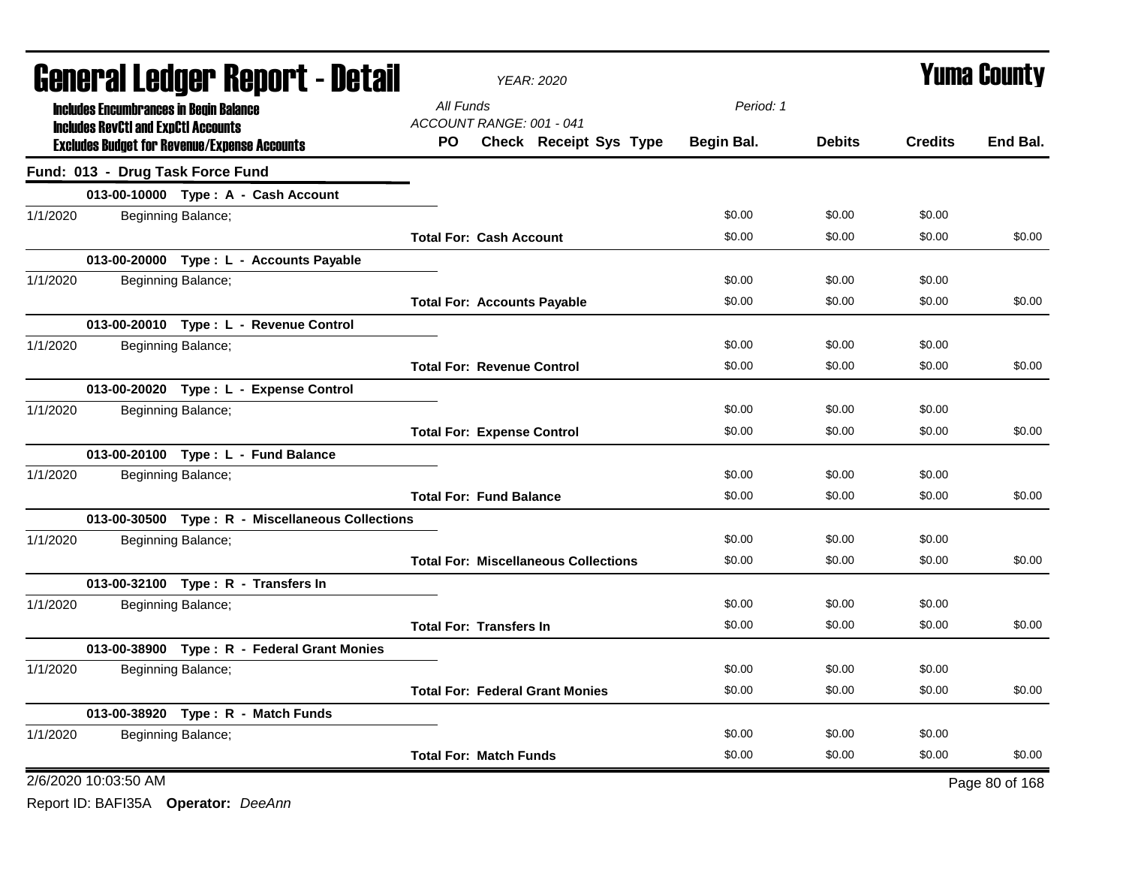|          |                                            | <b>General Ledger Report - Detail</b>               |                                    | YEAR: 2020                                  |            |               |                | <b>Yuma County</b> |
|----------|--------------------------------------------|-----------------------------------------------------|------------------------------------|---------------------------------------------|------------|---------------|----------------|--------------------|
|          |                                            | <b>Includes Encumbrances in Begin Balance</b>       | All Funds                          |                                             | Period: 1  |               |                |                    |
|          | <b>Includes RevCtI and ExpCtI Accounts</b> | <b>Excludes Budget for Revenue/Expense Accounts</b> | ACCOUNT RANGE: 001 - 041<br>PO.    | Check Receipt Sys Type                      | Begin Bal. | <b>Debits</b> | <b>Credits</b> | End Bal.           |
|          |                                            | Fund: 013 - Drug Task Force Fund                    |                                    |                                             |            |               |                |                    |
|          |                                            | 013-00-10000 Type: A - Cash Account                 |                                    |                                             |            |               |                |                    |
| 1/1/2020 |                                            | Beginning Balance;                                  |                                    |                                             | \$0.00     | \$0.00        | \$0.00         |                    |
|          |                                            |                                                     | <b>Total For: Cash Account</b>     |                                             | \$0.00     | \$0.00        | \$0.00         | \$0.00             |
|          |                                            | 013-00-20000 Type: L - Accounts Payable             |                                    |                                             |            |               |                |                    |
| 1/1/2020 |                                            | Beginning Balance;                                  |                                    |                                             | \$0.00     | \$0.00        | \$0.00         |                    |
|          |                                            |                                                     | <b>Total For: Accounts Payable</b> |                                             | \$0.00     | \$0.00        | \$0.00         | \$0.00             |
|          |                                            | 013-00-20010 Type: L - Revenue Control              |                                    |                                             |            |               |                |                    |
| 1/1/2020 |                                            | Beginning Balance;                                  |                                    |                                             | \$0.00     | \$0.00        | \$0.00         |                    |
|          |                                            |                                                     | <b>Total For: Revenue Control</b>  |                                             | \$0.00     | \$0.00        | \$0.00         | \$0.00             |
|          |                                            | 013-00-20020 Type: L - Expense Control              |                                    |                                             |            |               |                |                    |
| 1/1/2020 |                                            | Beginning Balance;                                  |                                    |                                             | \$0.00     | \$0.00        | \$0.00         |                    |
|          |                                            |                                                     | <b>Total For: Expense Control</b>  |                                             | \$0.00     | \$0.00        | \$0.00         | \$0.00             |
|          |                                            | 013-00-20100 Type: L - Fund Balance                 |                                    |                                             |            |               |                |                    |
| 1/1/2020 |                                            | Beginning Balance;                                  |                                    |                                             | \$0.00     | \$0.00        | \$0.00         |                    |
|          |                                            |                                                     | <b>Total For: Fund Balance</b>     |                                             | \$0.00     | \$0.00        | \$0.00         | \$0.00             |
|          |                                            | 013-00-30500 Type: R - Miscellaneous Collections    |                                    |                                             |            |               |                |                    |
| 1/1/2020 |                                            | Beginning Balance;                                  |                                    |                                             | \$0.00     | \$0.00        | \$0.00         |                    |
|          |                                            |                                                     |                                    | <b>Total For: Miscellaneous Collections</b> | \$0.00     | \$0.00        | \$0.00         | \$0.00             |
|          |                                            | 013-00-32100 Type: R - Transfers In                 |                                    |                                             |            |               |                |                    |
| 1/1/2020 |                                            | Beginning Balance;                                  |                                    |                                             | \$0.00     | \$0.00        | \$0.00         |                    |
|          |                                            |                                                     | <b>Total For: Transfers In</b>     |                                             | \$0.00     | \$0.00        | \$0.00         | \$0.00             |
|          |                                            | 013-00-38900 Type: R - Federal Grant Monies         |                                    |                                             |            |               |                |                    |
| 1/1/2020 |                                            | Beginning Balance;                                  |                                    |                                             | \$0.00     | \$0.00        | \$0.00         |                    |
|          |                                            |                                                     |                                    | <b>Total For: Federal Grant Monies</b>      | \$0.00     | \$0.00        | \$0.00         | \$0.00             |
|          |                                            | 013-00-38920 Type: R - Match Funds                  |                                    |                                             |            |               |                |                    |
| 1/1/2020 |                                            | Beginning Balance;                                  |                                    |                                             | \$0.00     | \$0.00        | \$0.00         |                    |
|          |                                            |                                                     | <b>Total For: Match Funds</b>      |                                             | \$0.00     | \$0.00        | \$0.00         | \$0.00             |
|          | 2/6/2020 10:03:50 AM                       |                                                     |                                    |                                             |            |               |                | Page 80 of 168     |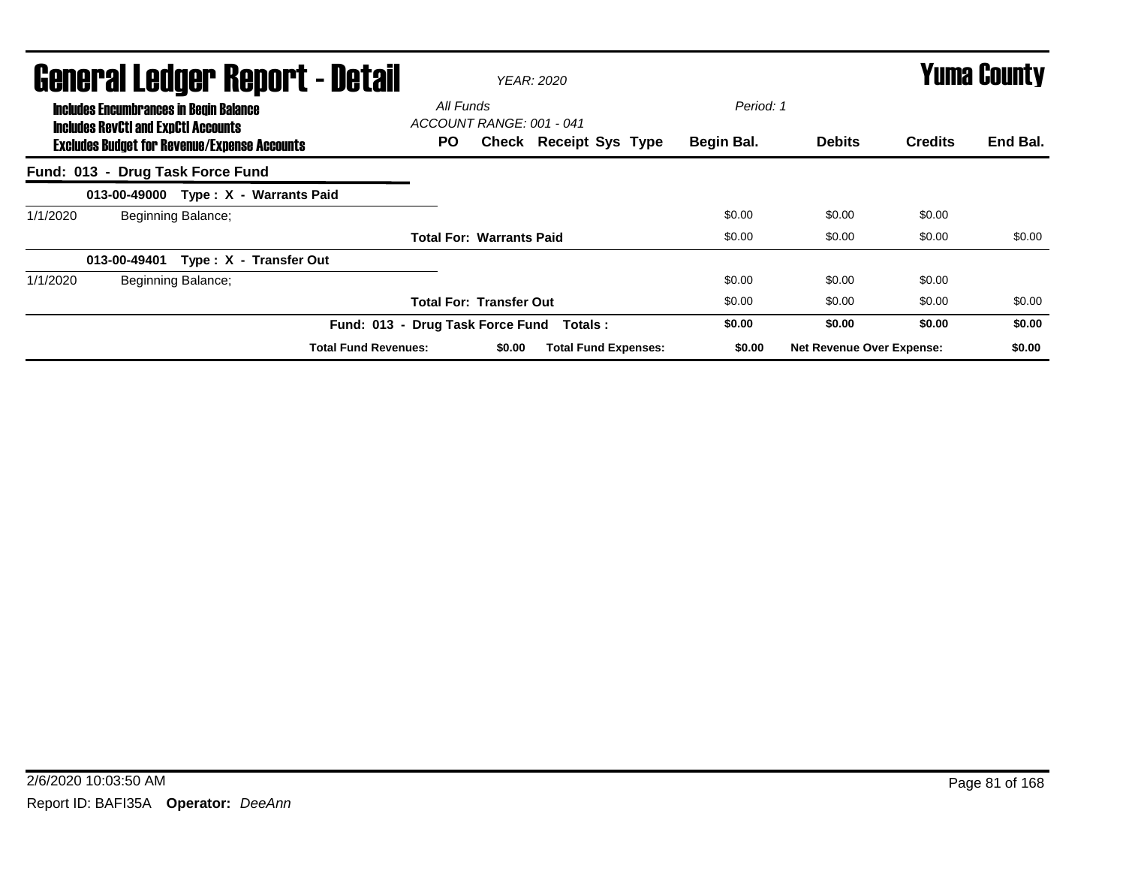|          |                                                                                                                                                    |                    | <b>General Ledger Report - Detail</b> |                                              |        | <b>YEAR: 2020</b>           |                         |                                  |                | <b>Yuma County</b> |
|----------|----------------------------------------------------------------------------------------------------------------------------------------------------|--------------------|---------------------------------------|----------------------------------------------|--------|-----------------------------|-------------------------|----------------------------------|----------------|--------------------|
|          | <b>Includes Encumbrances in Begin Balance</b><br><b>Includes RevCtI and ExpCtI Accounts</b><br><b>Excludes Budget for Revenue/Expense Accounts</b> |                    |                                       | All Funds<br>ACCOUNT RANGE: 001 - 041<br>PO. |        | Check Receipt Sys Type      | Period: 1<br>Begin Bal. | <b>Debits</b>                    | <b>Credits</b> | End Bal.           |
|          | Fund: 013 - Drug Task Force Fund                                                                                                                   |                    |                                       |                                              |        |                             |                         |                                  |                |                    |
|          |                                                                                                                                                    |                    | 013-00-49000 Type: X - Warrants Paid  |                                              |        |                             |                         |                                  |                |                    |
| 1/1/2020 |                                                                                                                                                    | Beginning Balance; |                                       |                                              |        |                             | \$0.00                  | \$0.00                           | \$0.00         |                    |
|          |                                                                                                                                                    |                    |                                       | <b>Total For: Warrants Paid</b>              |        |                             | \$0.00                  | \$0.00                           | \$0.00         | \$0.00             |
|          | 013-00-49401                                                                                                                                       |                    | Type: X - Transfer Out                |                                              |        |                             |                         |                                  |                |                    |
| 1/1/2020 |                                                                                                                                                    | Beginning Balance; |                                       |                                              |        |                             | \$0.00                  | \$0.00                           | \$0.00         |                    |
|          |                                                                                                                                                    |                    |                                       | <b>Total For: Transfer Out</b>               |        |                             | \$0.00                  | \$0.00                           | \$0.00         | \$0.00             |
|          |                                                                                                                                                    |                    | Fund: 013 - Drug Task Force Fund      |                                              |        | Totals :                    | \$0.00                  | \$0.00                           | \$0.00         | \$0.00             |
|          |                                                                                                                                                    |                    | <b>Total Fund Revenues:</b>           |                                              | \$0.00 | <b>Total Fund Expenses:</b> | \$0.00                  | <b>Net Revenue Over Expense:</b> |                | \$0.00             |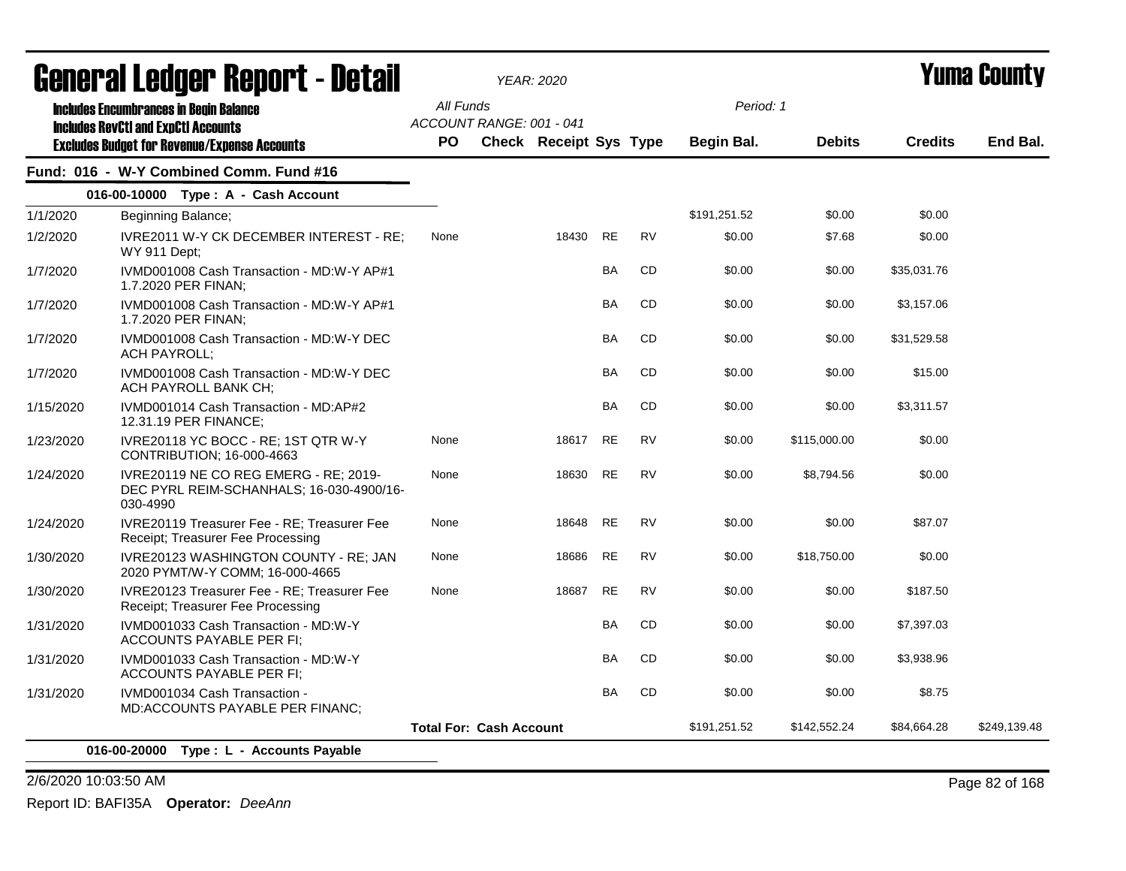|           | General Ledger Report - Detail                                                                |           |                                | <b>YEAR: 2020</b>             |           |           |              |               |                | <b>Yuma County</b> |
|-----------|-----------------------------------------------------------------------------------------------|-----------|--------------------------------|-------------------------------|-----------|-----------|--------------|---------------|----------------|--------------------|
|           | <b>Includes Encumbrances in Begin Balance</b><br><b>Includes RevCtI and ExpCtI Accounts</b>   | All Funds | ACCOUNT RANGE: 001 - 041       |                               |           |           | Period: 1    |               |                |                    |
|           | <b>Excludes Budget for Revenue/Expense Accounts</b>                                           | <b>PO</b> |                                | <b>Check Receipt Sys Type</b> |           |           | Begin Bal.   | <b>Debits</b> | <b>Credits</b> | End Bal.           |
|           | Fund: 016 - W-Y Combined Comm. Fund #16                                                       |           |                                |                               |           |           |              |               |                |                    |
|           | 016-00-10000 Type: A - Cash Account                                                           |           |                                |                               |           |           |              |               |                |                    |
| 1/1/2020  | Beginning Balance;                                                                            |           |                                |                               |           |           | \$191,251.52 | \$0.00        | \$0.00         |                    |
| 1/2/2020  | IVRE2011 W-Y CK DECEMBER INTEREST - RE;<br>WY 911 Dept;                                       | None      |                                | 18430                         | <b>RE</b> | <b>RV</b> | \$0.00       | \$7.68        | \$0.00         |                    |
| 1/7/2020  | IVMD001008 Cash Transaction - MD:W-Y AP#1<br>1.7.2020 PER FINAN;                              |           |                                |                               | BA        | CD        | \$0.00       | \$0.00        | \$35,031.76    |                    |
| 1/7/2020  | IVMD001008 Cash Transaction - MD:W-Y AP#1<br>1.7.2020 PER FINAN;                              |           |                                |                               | <b>BA</b> | CD        | \$0.00       | \$0.00        | \$3,157.06     |                    |
| 1/7/2020  | IVMD001008 Cash Transaction - MD:W-Y DEC<br><b>ACH PAYROLL:</b>                               |           |                                |                               | BA        | CD        | \$0.00       | \$0.00        | \$31,529.58    |                    |
| 1/7/2020  | IVMD001008 Cash Transaction - MD:W-Y DEC<br>ACH PAYROLL BANK CH;                              |           |                                |                               | <b>BA</b> | <b>CD</b> | \$0.00       | \$0.00        | \$15.00        |                    |
| 1/15/2020 | IVMD001014 Cash Transaction - MD:AP#2<br>12.31.19 PER FINANCE;                                |           |                                |                               | BA        | CD        | \$0.00       | \$0.00        | \$3,311.57     |                    |
| 1/23/2020 | IVRE20118 YC BOCC - RE; 1ST QTR W-Y<br>CONTRIBUTION; 16-000-4663                              | None      |                                | 18617                         | <b>RE</b> | <b>RV</b> | \$0.00       | \$115,000.00  | \$0.00         |                    |
| 1/24/2020 | IVRE20119 NE CO REG EMERG - RE; 2019-<br>DEC PYRL REIM-SCHANHALS; 16-030-4900/16-<br>030-4990 | None      |                                | 18630                         | <b>RE</b> | <b>RV</b> | \$0.00       | \$8,794.56    | \$0.00         |                    |
| 1/24/2020 | IVRE20119 Treasurer Fee - RE; Treasurer Fee<br>Receipt; Treasurer Fee Processing              | None      |                                | 18648                         | <b>RE</b> | <b>RV</b> | \$0.00       | \$0.00        | \$87.07        |                    |
| 1/30/2020 | <b>IVRE20123 WASHINGTON COUNTY - RE: JAN</b><br>2020 PYMT/W-Y COMM; 16-000-4665               | None      |                                | 18686                         | <b>RE</b> | <b>RV</b> | \$0.00       | \$18,750.00   | \$0.00         |                    |
| 1/30/2020 | IVRE20123 Treasurer Fee - RE; Treasurer Fee<br>Receipt; Treasurer Fee Processing              | None      |                                | 18687                         | <b>RE</b> | <b>RV</b> | \$0.00       | \$0.00        | \$187.50       |                    |
| 1/31/2020 | IVMD001033 Cash Transaction - MD:W-Y<br><b>ACCOUNTS PAYABLE PER FI;</b>                       |           |                                |                               | BA        | CD        | \$0.00       | \$0.00        | \$7,397.03     |                    |
| 1/31/2020 | IVMD001033 Cash Transaction - MD:W-Y<br>ACCOUNTS PAYABLE PER FI;                              |           |                                |                               | <b>BA</b> | CD        | \$0.00       | \$0.00        | \$3,938.96     |                    |
| 1/31/2020 | IVMD001034 Cash Transaction -<br>MD:ACCOUNTS PAYABLE PER FINANC;                              |           |                                |                               | <b>BA</b> | CD        | \$0.00       | \$0.00        | \$8.75         |                    |
|           |                                                                                               |           | <b>Total For: Cash Account</b> |                               |           |           | \$191,251.52 | \$142,552.24  | \$84,664.28    | \$249,139.48       |
|           | 016-00-20000 Type: L - Accounts Payable                                                       |           |                                |                               |           |           |              |               |                |                    |

2/6/2020 10:03:50 AM Page 82 of 168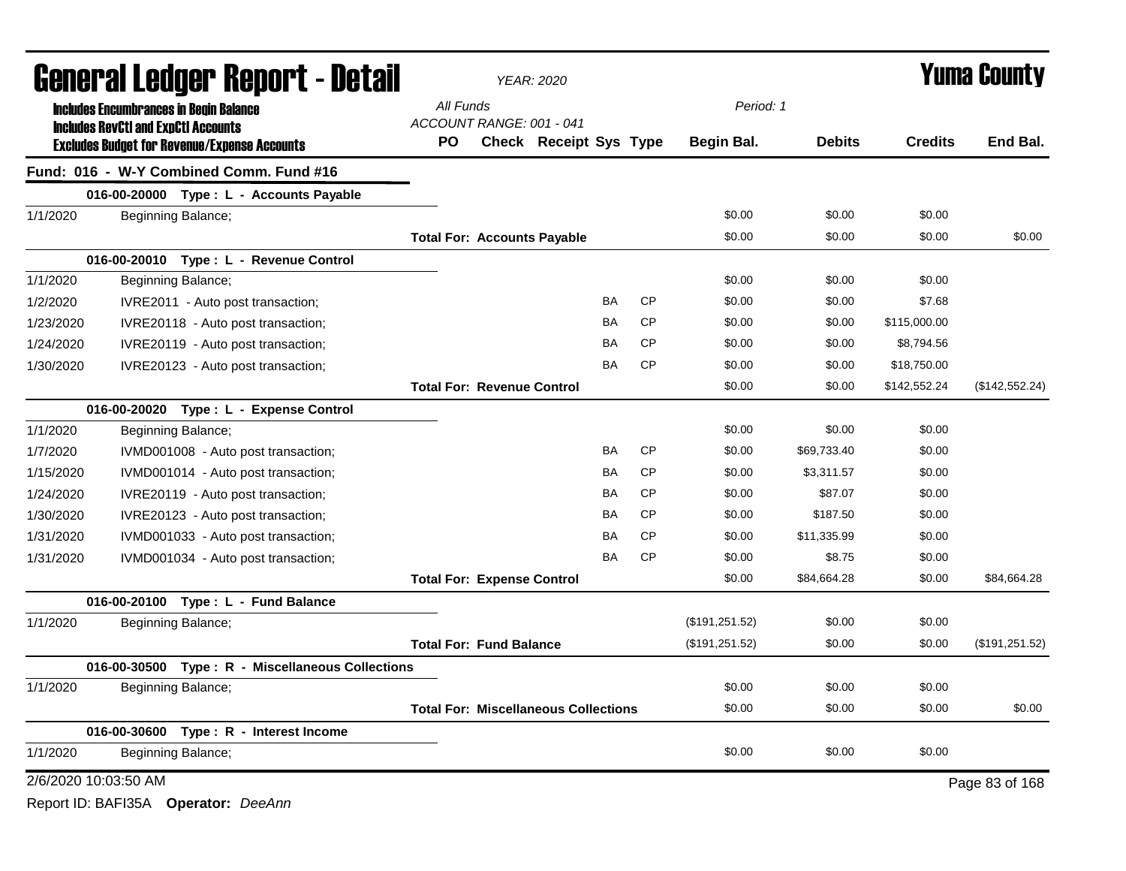|           | <b>General Ledger Report - Detail</b>                                                       |     |                                             | YEAR: 2020             |           |           |                 |               |                | <b>Yuma County</b> |
|-----------|---------------------------------------------------------------------------------------------|-----|---------------------------------------------|------------------------|-----------|-----------|-----------------|---------------|----------------|--------------------|
|           | <b>Includes Encumbrances in Begin Balance</b><br><b>Includes RevCtI and ExpCtI Accounts</b> |     | All Funds<br>ACCOUNT RANGE: 001 - 041       |                        |           |           | Period: 1       |               |                |                    |
|           | <b>Excludes Budget for Revenue/Expense Accounts</b>                                         | PO. |                                             | Check Receipt Sys Type |           |           | Begin Bal.      | <b>Debits</b> | <b>Credits</b> | End Bal.           |
|           | Fund: 016 - W-Y Combined Comm. Fund #16                                                     |     |                                             |                        |           |           |                 |               |                |                    |
|           | 016-00-20000 Type: L - Accounts Payable                                                     |     |                                             |                        |           |           |                 |               |                |                    |
| 1/1/2020  | Beginning Balance;                                                                          |     |                                             |                        |           |           | \$0.00          | \$0.00        | \$0.00         |                    |
|           |                                                                                             |     | <b>Total For: Accounts Payable</b>          |                        |           |           | \$0.00          | \$0.00        | \$0.00         | \$0.00             |
|           | 016-00-20010 Type: L - Revenue Control                                                      |     |                                             |                        |           |           |                 |               |                |                    |
| 1/1/2020  | Beginning Balance;                                                                          |     |                                             |                        |           |           | \$0.00          | \$0.00        | \$0.00         |                    |
| 1/2/2020  | IVRE2011 - Auto post transaction;                                                           |     |                                             |                        | <b>BA</b> | <b>CP</b> | \$0.00          | \$0.00        | \$7.68         |                    |
| 1/23/2020 | IVRE20118 - Auto post transaction;                                                          |     |                                             |                        | <b>BA</b> | <b>CP</b> | \$0.00          | \$0.00        | \$115,000.00   |                    |
| 1/24/2020 | IVRE20119 - Auto post transaction;                                                          |     |                                             |                        | BA        | <b>CP</b> | \$0.00          | \$0.00        | \$8,794.56     |                    |
| 1/30/2020 | IVRE20123 - Auto post transaction;                                                          |     |                                             |                        | <b>BA</b> | <b>CP</b> | \$0.00          | \$0.00        | \$18,750.00    |                    |
|           |                                                                                             |     | <b>Total For: Revenue Control</b>           |                        |           |           | \$0.00          | \$0.00        | \$142,552.24   | (\$142,552.24)     |
|           | 016-00-20020 Type: L - Expense Control                                                      |     |                                             |                        |           |           |                 |               |                |                    |
| 1/1/2020  | Beginning Balance;                                                                          |     |                                             |                        |           |           | \$0.00          | \$0.00        | \$0.00         |                    |
| 1/7/2020  | IVMD001008 - Auto post transaction;                                                         |     |                                             |                        | <b>BA</b> | <b>CP</b> | \$0.00          | \$69,733.40   | \$0.00         |                    |
| 1/15/2020 | IVMD001014 - Auto post transaction;                                                         |     |                                             |                        | <b>BA</b> | <b>CP</b> | \$0.00          | \$3,311.57    | \$0.00         |                    |
| 1/24/2020 | IVRE20119 - Auto post transaction;                                                          |     |                                             |                        | BA        | <b>CP</b> | \$0.00          | \$87.07       | \$0.00         |                    |
| 1/30/2020 | IVRE20123 - Auto post transaction;                                                          |     |                                             |                        | <b>BA</b> | <b>CP</b> | \$0.00          | \$187.50      | \$0.00         |                    |
| 1/31/2020 | IVMD001033 - Auto post transaction;                                                         |     |                                             |                        | <b>BA</b> | <b>CP</b> | \$0.00          | \$11,335.99   | \$0.00         |                    |
| 1/31/2020 | IVMD001034 - Auto post transaction;                                                         |     |                                             |                        | <b>BA</b> | <b>CP</b> | \$0.00          | \$8.75        | \$0.00         |                    |
|           |                                                                                             |     | <b>Total For: Expense Control</b>           |                        |           |           | \$0.00          | \$84,664.28   | \$0.00         | \$84,664.28        |
|           | 016-00-20100 Type: L - Fund Balance                                                         |     |                                             |                        |           |           |                 |               |                |                    |
| 1/1/2020  | Beginning Balance;                                                                          |     |                                             |                        |           |           | (\$191, 251.52) | \$0.00        | \$0.00         |                    |
|           |                                                                                             |     | <b>Total For: Fund Balance</b>              |                        |           |           | (\$191, 251.52) | \$0.00        | \$0.00         | (\$191,251.52)     |
|           | 016-00-30500 Type: R - Miscellaneous Collections                                            |     |                                             |                        |           |           |                 |               |                |                    |
| 1/1/2020  | Beginning Balance;                                                                          |     |                                             |                        |           |           | \$0.00          | \$0.00        | \$0.00         |                    |
|           |                                                                                             |     | <b>Total For: Miscellaneous Collections</b> |                        |           |           | \$0.00          | \$0.00        | \$0.00         | \$0.00             |
|           | 016-00-30600 Type: R - Interest Income                                                      |     |                                             |                        |           |           |                 |               |                |                    |
| 1/1/2020  | Beginning Balance;                                                                          |     |                                             |                        |           |           | \$0.00          | \$0.00        | \$0.00         |                    |
|           | 2/6/2020 10:03:50 AM                                                                        |     |                                             |                        |           |           |                 |               |                | Page 83 of 168     |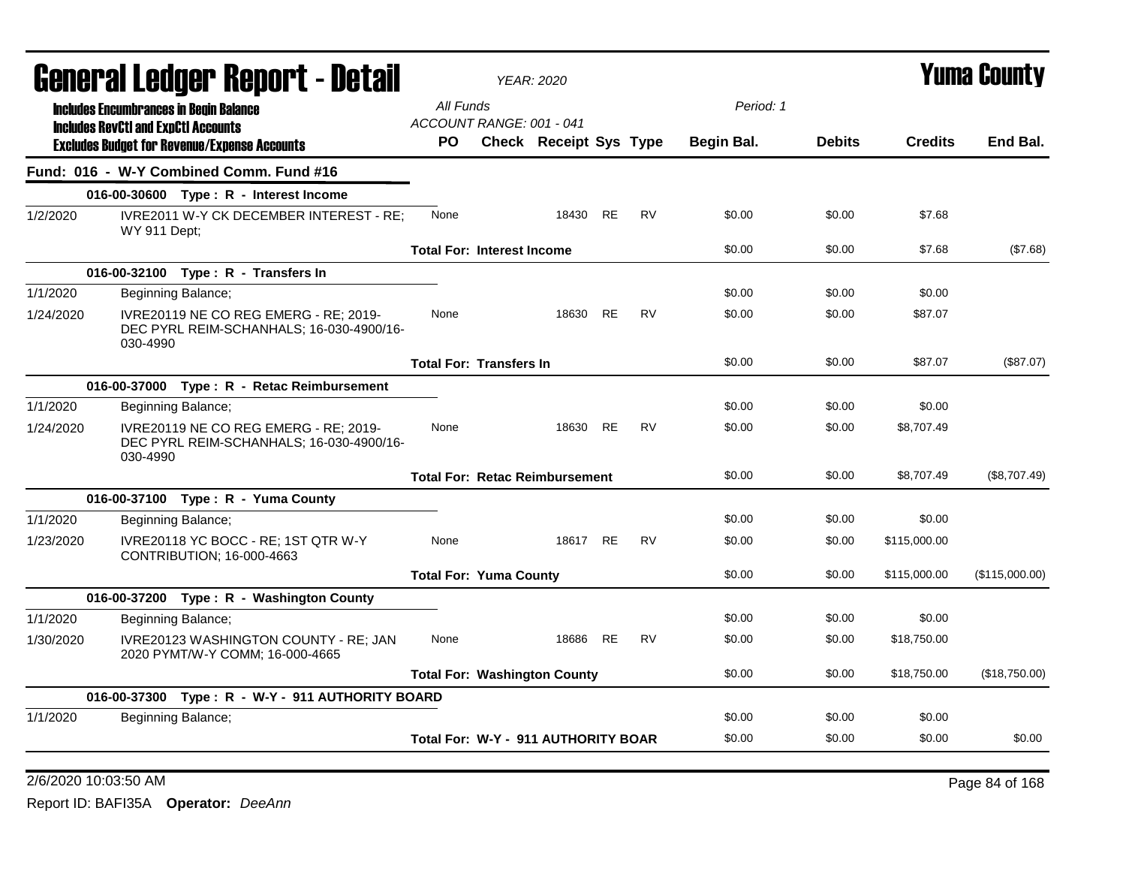|           | General Ledger Report - Detail                                                                |                                       | <b>YEAR: 2020</b>      |           |           |            |               |                | Yuma Countv    |
|-----------|-----------------------------------------------------------------------------------------------|---------------------------------------|------------------------|-----------|-----------|------------|---------------|----------------|----------------|
|           | <b>Includes Encumbrances in Begin Balance</b>                                                 | All Funds                             |                        |           |           | Period: 1  |               |                |                |
|           | <b>Includes RevCtI and ExpCtI Accounts</b>                                                    | ACCOUNT RANGE: 001 - 041              |                        |           |           |            |               |                |                |
|           | <b>Excludes Budget for Revenue/Expense Accounts</b>                                           | PO.                                   | Check Receipt Sys Type |           |           | Begin Bal. | <b>Debits</b> | <b>Credits</b> | End Bal.       |
|           | Fund: 016 - W-Y Combined Comm. Fund #16                                                       |                                       |                        |           |           |            |               |                |                |
|           | 016-00-30600 Type: R - Interest Income                                                        |                                       |                        |           |           |            |               |                |                |
| 1/2/2020  | IVRE2011 W-Y CK DECEMBER INTEREST - RE;<br>WY 911 Dept;                                       | None                                  | 18430 RE               |           | <b>RV</b> | \$0.00     | \$0.00        | \$7.68         |                |
|           |                                                                                               | <b>Total For: Interest Income</b>     |                        |           |           | \$0.00     | \$0.00        | \$7.68         | (\$7.68)       |
|           | 016-00-32100 Type: R - Transfers In                                                           |                                       |                        |           |           |            |               |                |                |
| 1/1/2020  | Beginning Balance;                                                                            |                                       |                        |           |           | \$0.00     | \$0.00        | \$0.00         |                |
| 1/24/2020 | IVRE20119 NE CO REG EMERG - RE; 2019-<br>DEC PYRL REIM-SCHANHALS; 16-030-4900/16-<br>030-4990 | None                                  | 18630                  | <b>RE</b> | <b>RV</b> | \$0.00     | \$0.00        | \$87.07        |                |
|           |                                                                                               | <b>Total For: Transfers In</b>        |                        |           |           | \$0.00     | \$0.00        | \$87.07        | (\$87.07)      |
|           | 016-00-37000 Type: R - Retac Reimbursement                                                    |                                       |                        |           |           |            |               |                |                |
| 1/1/2020  | Beginning Balance;                                                                            |                                       |                        |           |           | \$0.00     | \$0.00        | \$0.00         |                |
| 1/24/2020 | IVRE20119 NE CO REG EMERG - RE; 2019-<br>DEC PYRL REIM-SCHANHALS; 16-030-4900/16-<br>030-4990 | None                                  | 18630                  | <b>RE</b> | <b>RV</b> | \$0.00     | \$0.00        | \$8,707.49     |                |
|           |                                                                                               | <b>Total For: Retac Reimbursement</b> |                        |           |           | \$0.00     | \$0.00        | \$8,707.49     | (\$8,707.49)   |
|           | 016-00-37100 Type: R - Yuma County                                                            |                                       |                        |           |           |            |               |                |                |
| 1/1/2020  | Beginning Balance;                                                                            |                                       |                        |           |           | \$0.00     | \$0.00        | \$0.00         |                |
| 1/23/2020 | IVRE20118 YC BOCC - RE; 1ST QTR W-Y<br>CONTRIBUTION; 16-000-4663                              | None                                  | 18617 RE               |           | <b>RV</b> | \$0.00     | \$0.00        | \$115,000.00   |                |
|           |                                                                                               | <b>Total For: Yuma County</b>         |                        |           |           | \$0.00     | \$0.00        | \$115,000.00   | (\$115,000.00) |
|           | 016-00-37200 Type: R - Washington County                                                      |                                       |                        |           |           |            |               |                |                |
| 1/1/2020  | Beginning Balance;                                                                            |                                       |                        |           |           | \$0.00     | \$0.00        | \$0.00         |                |
| 1/30/2020 | IVRE20123 WASHINGTON COUNTY - RE; JAN<br>2020 PYMT/W-Y COMM; 16-000-4665                      | None                                  | 18686                  | RE        | <b>RV</b> | \$0.00     | \$0.00        | \$18,750.00    |                |
|           |                                                                                               | <b>Total For: Washington County</b>   |                        |           |           | \$0.00     | \$0.00        | \$18,750.00    | (\$18,750.00)  |
|           | 016-00-37300 Type: R - W-Y - 911 AUTHORITY BOARD                                              |                                       |                        |           |           |            |               |                |                |
| 1/1/2020  | Beginning Balance;                                                                            |                                       |                        |           |           | \$0.00     | \$0.00        | \$0.00         |                |
|           |                                                                                               | Total For: W-Y - 911 AUTHORITY BOAR   |                        |           |           | \$0.00     | \$0.00        | \$0.00         | \$0.00         |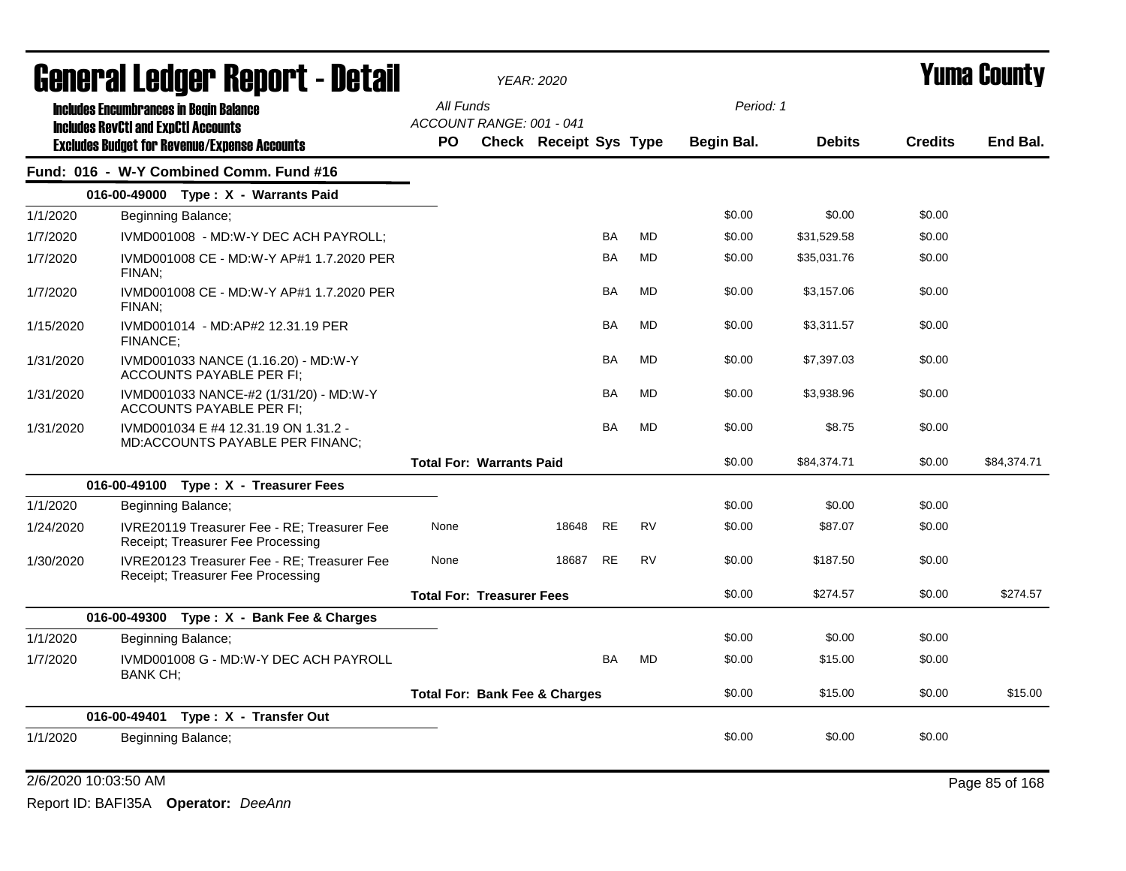|           | <b>General Ledger Report - Detail</b>                                            |                                          | <b>YEAR: 2020</b>             |           |           |            | <b>Yuma County</b> |                |             |  |
|-----------|----------------------------------------------------------------------------------|------------------------------------------|-------------------------------|-----------|-----------|------------|--------------------|----------------|-------------|--|
|           | <b>Includes Encumbrances in Begin Balance</b>                                    | All Funds                                |                               |           |           | Period: 1  |                    |                |             |  |
|           | <b>Includes RevCtI and ExpCtI Accounts</b>                                       | ACCOUNT RANGE: 001 - 041                 |                               |           |           |            |                    |                |             |  |
|           | <b>Excludes Budget for Revenue/Expense Accounts</b>                              | <b>PO</b>                                | <b>Check Receipt Sys Type</b> |           |           | Begin Bal. | <b>Debits</b>      | <b>Credits</b> | End Bal.    |  |
|           | Fund: 016 - W-Y Combined Comm. Fund #16                                          |                                          |                               |           |           |            |                    |                |             |  |
|           | 016-00-49000 Type: X - Warrants Paid                                             |                                          |                               |           |           |            |                    |                |             |  |
| 1/1/2020  | Beginning Balance;                                                               |                                          |                               |           |           | \$0.00     | \$0.00             | \$0.00         |             |  |
| 1/7/2020  | IVMD001008 - MD:W-Y DEC ACH PAYROLL;                                             |                                          |                               | <b>BA</b> | <b>MD</b> | \$0.00     | \$31,529.58        | \$0.00         |             |  |
| 1/7/2020  | IVMD001008 CE - MD:W-Y AP#1 1.7.2020 PER<br>FINAN;                               |                                          |                               | <b>BA</b> | <b>MD</b> | \$0.00     | \$35,031.76        | \$0.00         |             |  |
| 1/7/2020  | IVMD001008 CE - MD:W-Y AP#1 1.7.2020 PER<br>FINAN:                               |                                          |                               | <b>BA</b> | <b>MD</b> | \$0.00     | \$3,157.06         | \$0.00         |             |  |
| 1/15/2020 | IVMD001014 - MD:AP#2 12.31.19 PER<br><b>FINANCE:</b>                             |                                          |                               | <b>BA</b> | <b>MD</b> | \$0.00     | \$3,311.57         | \$0.00         |             |  |
| 1/31/2020 | IVMD001033 NANCE (1.16.20) - MD:W-Y<br>ACCOUNTS PAYABLE PER FI;                  |                                          |                               | <b>BA</b> | MD        | \$0.00     | \$7,397.03         | \$0.00         |             |  |
| 1/31/2020 | IVMD001033 NANCE-#2 (1/31/20) - MD:W-Y<br>ACCOUNTS PAYABLE PER FI:               |                                          |                               | <b>BA</b> | <b>MD</b> | \$0.00     | \$3,938.96         | \$0.00         |             |  |
| 1/31/2020 | IVMD001034 E #4 12.31.19 ON 1.31.2 -<br>MD:ACCOUNTS PAYABLE PER FINANC;          |                                          |                               | <b>BA</b> | <b>MD</b> | \$0.00     | \$8.75             | \$0.00         |             |  |
|           |                                                                                  | <b>Total For: Warrants Paid</b>          |                               |           |           | \$0.00     | \$84,374.71        | \$0.00         | \$84,374.71 |  |
|           | 016-00-49100 Type: X - Treasurer Fees                                            |                                          |                               |           |           |            |                    |                |             |  |
| 1/1/2020  | Beginning Balance;                                                               |                                          |                               |           |           | \$0.00     | \$0.00             | \$0.00         |             |  |
| 1/24/2020 | IVRE20119 Treasurer Fee - RE: Treasurer Fee<br>Receipt; Treasurer Fee Processing | None                                     | 18648                         | <b>RE</b> | <b>RV</b> | \$0.00     | \$87.07            | \$0.00         |             |  |
| 1/30/2020 | IVRE20123 Treasurer Fee - RE; Treasurer Fee<br>Receipt; Treasurer Fee Processing | None                                     | 18687                         | RE        | <b>RV</b> | \$0.00     | \$187.50           | \$0.00         |             |  |
|           |                                                                                  | <b>Total For: Treasurer Fees</b>         |                               |           |           | \$0.00     | \$274.57           | \$0.00         | \$274.57    |  |
|           | Type: X - Bank Fee & Charges<br>016-00-49300                                     |                                          |                               |           |           |            |                    |                |             |  |
| 1/1/2020  | Beginning Balance;                                                               |                                          |                               |           |           | \$0.00     | \$0.00             | \$0.00         |             |  |
| 1/7/2020  | IVMD001008 G - MD:W-Y DEC ACH PAYROLL<br>BANK CH;                                |                                          |                               | <b>BA</b> | <b>MD</b> | \$0.00     | \$15.00            | \$0.00         |             |  |
|           |                                                                                  | <b>Total For: Bank Fee &amp; Charges</b> |                               |           |           | \$0.00     | \$15.00            | \$0.00         | \$15.00     |  |
|           | 016-00-49401 Type: X - Transfer Out                                              |                                          |                               |           |           |            |                    |                |             |  |
| 1/1/2020  | Beginning Balance;                                                               |                                          |                               |           |           | \$0.00     | \$0.00             | \$0.00         |             |  |

2/6/2020 10:03:50 AM Page 85 of 168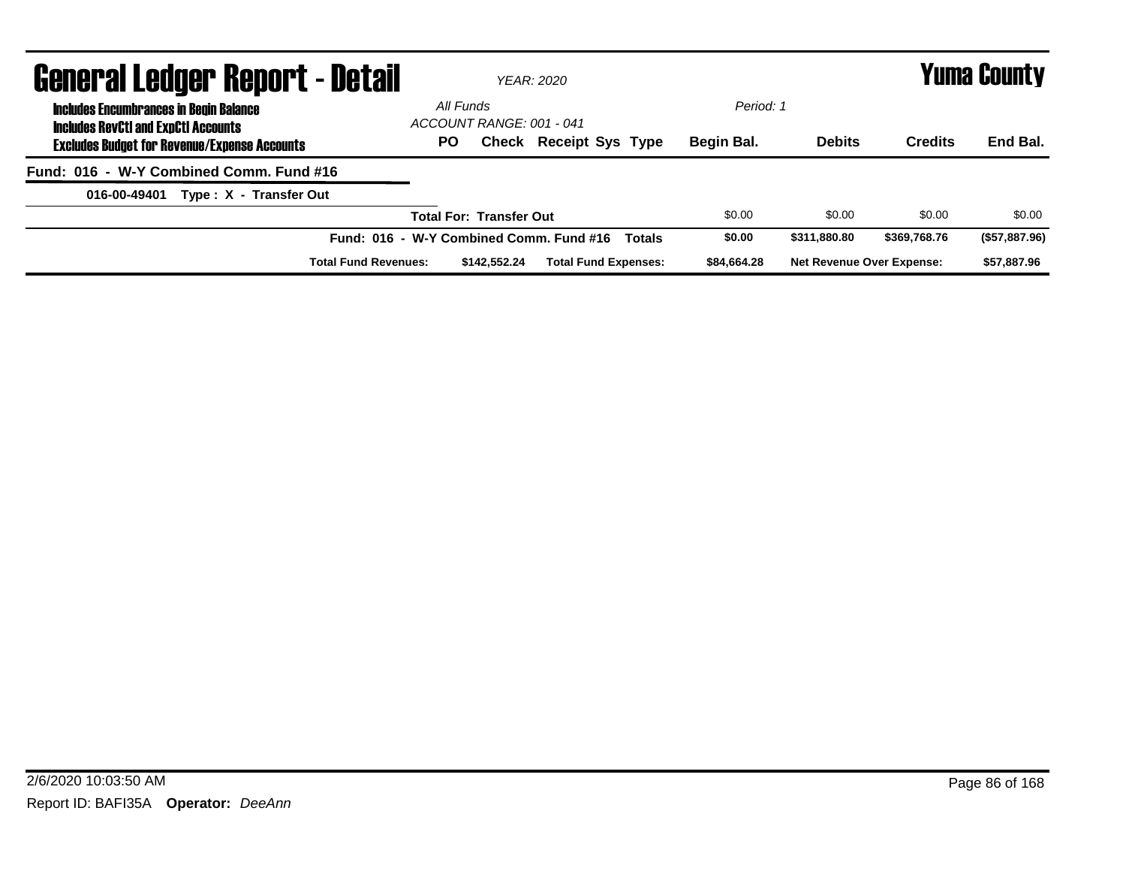| <b>General Ledger Report - Detail</b>                                                       |           |                                | YFAR: 2020                                               |             |                                  |                | <b>Yuma County</b> |
|---------------------------------------------------------------------------------------------|-----------|--------------------------------|----------------------------------------------------------|-------------|----------------------------------|----------------|--------------------|
| <b>Includes Encumbrances in Begin Balance</b><br><b>Includes RevCtI and ExpCtI Accounts</b> | All Funds | ACCOUNT RANGE: 001 - 041       |                                                          | Period: 1   |                                  |                |                    |
| <b>Excludes Budget for Revenue/Expense Accounts</b>                                         | PO.       |                                | Check Receipt Sys Type                                   | Begin Bal.  | <b>Debits</b>                    | <b>Credits</b> | End Bal.           |
| Fund: 016 - W-Y Combined Comm. Fund #16                                                     |           |                                |                                                          |             |                                  |                |                    |
| Type: X - Transfer Out<br>016-00-49401                                                      |           |                                |                                                          |             |                                  |                |                    |
|                                                                                             |           | <b>Total For: Transfer Out</b> |                                                          | \$0.00      | \$0.00                           | \$0.00         | \$0.00             |
|                                                                                             |           |                                | Fund: 016 - W-Y Combined Comm. Fund #16<br><b>Totals</b> | \$0.00      | \$311.880.80                     | \$369,768.76   | (\$57,887.96)      |
| <b>Total Fund Revenues:</b>                                                                 |           | \$142,552.24                   | <b>Total Fund Expenses:</b>                              | \$84.664.28 | <b>Net Revenue Over Expense:</b> |                | \$57.887.96        |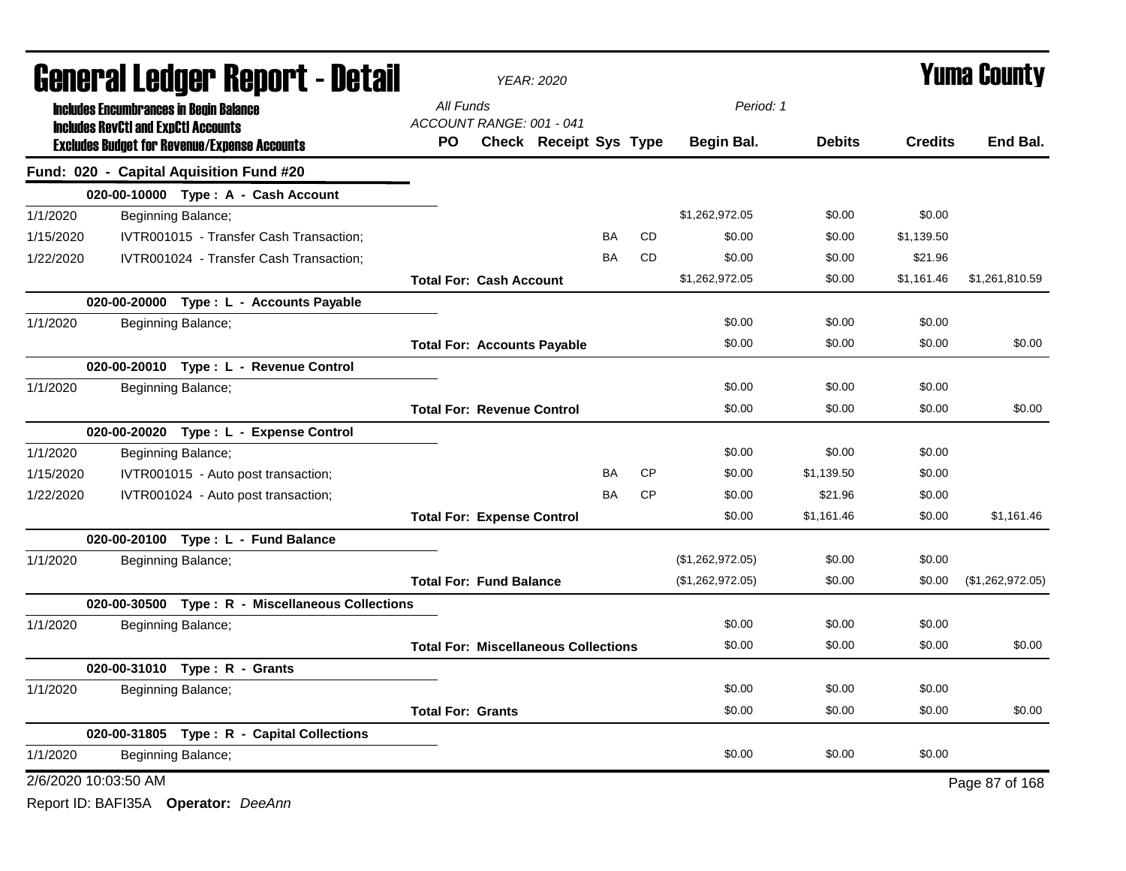|           | <b>General Ledger Report - Detail</b>      |                                                     |           | <b>YEAR: 2020</b>                 |                                             |           |           | <b>Yuma County</b> |               |                |                  |  |
|-----------|--------------------------------------------|-----------------------------------------------------|-----------|-----------------------------------|---------------------------------------------|-----------|-----------|--------------------|---------------|----------------|------------------|--|
|           |                                            | <b>Includes Encumbrances in Begin Balance</b>       | All Funds |                                   |                                             |           |           | Period: 1          |               |                |                  |  |
|           | <b>Includes RevCtI and ExpCtI Accounts</b> | <b>Excludes Budget for Revenue/Expense Accounts</b> | PO.       | ACCOUNT RANGE: 001 - 041          | <b>Check Receipt Sys Type</b>               |           |           | Begin Bal.         | <b>Debits</b> | <b>Credits</b> | End Bal.         |  |
|           |                                            | Fund: 020 - Capital Aquisition Fund #20             |           |                                   |                                             |           |           |                    |               |                |                  |  |
|           |                                            | 020-00-10000 Type: A - Cash Account                 |           |                                   |                                             |           |           |                    |               |                |                  |  |
| 1/1/2020  |                                            | Beginning Balance;                                  |           |                                   |                                             |           |           | \$1,262,972.05     | \$0.00        | \$0.00         |                  |  |
| 1/15/2020 |                                            | IVTR001015 - Transfer Cash Transaction;             |           |                                   |                                             | <b>BA</b> | <b>CD</b> | \$0.00             | \$0.00        | \$1,139.50     |                  |  |
| 1/22/2020 |                                            | IVTR001024 - Transfer Cash Transaction;             |           |                                   |                                             | <b>BA</b> | <b>CD</b> | \$0.00             | \$0.00        | \$21.96        |                  |  |
|           |                                            |                                                     |           | <b>Total For: Cash Account</b>    |                                             |           |           | \$1,262,972.05     | \$0.00        | \$1,161.46     | \$1,261,810.59   |  |
|           |                                            | 020-00-20000 Type : L - Accounts Payable            |           |                                   |                                             |           |           |                    |               |                |                  |  |
| 1/1/2020  |                                            | Beginning Balance;                                  |           |                                   |                                             |           |           | \$0.00             | \$0.00        | \$0.00         |                  |  |
|           |                                            |                                                     |           |                                   | <b>Total For: Accounts Payable</b>          |           |           | \$0.00             | \$0.00        | \$0.00         | \$0.00           |  |
|           |                                            | 020-00-20010 Type: L - Revenue Control              |           |                                   |                                             |           |           |                    |               |                |                  |  |
| 1/1/2020  |                                            | Beginning Balance;                                  |           |                                   |                                             |           |           | \$0.00             | \$0.00        | \$0.00         |                  |  |
|           |                                            |                                                     |           | <b>Total For: Revenue Control</b> |                                             |           |           | \$0.00             | \$0.00        | \$0.00         | \$0.00           |  |
|           |                                            | 020-00-20020 Type: L - Expense Control              |           |                                   |                                             |           |           |                    |               |                |                  |  |
| 1/1/2020  |                                            | Beginning Balance;                                  |           |                                   |                                             |           |           | \$0.00             | \$0.00        | \$0.00         |                  |  |
| 1/15/2020 |                                            | IVTR001015 - Auto post transaction;                 |           |                                   |                                             | BA        | <b>CP</b> | \$0.00             | \$1,139.50    | \$0.00         |                  |  |
| 1/22/2020 |                                            | IVTR001024 - Auto post transaction;                 |           |                                   |                                             | <b>BA</b> | <b>CP</b> | \$0.00             | \$21.96       | \$0.00         |                  |  |
|           |                                            |                                                     |           | <b>Total For: Expense Control</b> |                                             |           |           | \$0.00             | \$1,161.46    | \$0.00         | \$1,161.46       |  |
|           |                                            | 020-00-20100 Type: L - Fund Balance                 |           |                                   |                                             |           |           |                    |               |                |                  |  |
| 1/1/2020  |                                            | Beginning Balance;                                  |           |                                   |                                             |           |           | (\$1,262,972.05)   | \$0.00        | \$0.00         |                  |  |
|           |                                            |                                                     |           | <b>Total For: Fund Balance</b>    |                                             |           |           | (\$1,262,972.05)   | \$0.00        | \$0.00         | (\$1,262,972.05) |  |
|           |                                            | 020-00-30500 Type: R - Miscellaneous Collections    |           |                                   |                                             |           |           |                    |               |                |                  |  |
| 1/1/2020  |                                            | Beginning Balance;                                  |           |                                   |                                             |           |           | \$0.00             | \$0.00        | \$0.00         |                  |  |
|           |                                            |                                                     |           |                                   | <b>Total For: Miscellaneous Collections</b> |           |           | \$0.00             | \$0.00        | \$0.00         | \$0.00           |  |
|           |                                            | 020-00-31010 Type: R - Grants                       |           |                                   |                                             |           |           |                    |               |                |                  |  |
| 1/1/2020  |                                            | Beginning Balance;                                  |           |                                   |                                             |           |           | \$0.00             | \$0.00        | \$0.00         |                  |  |
|           |                                            |                                                     |           | <b>Total For: Grants</b>          |                                             |           |           | \$0.00             | \$0.00        | \$0.00         | \$0.00           |  |
|           |                                            | 020-00-31805 Type: R - Capital Collections          |           |                                   |                                             |           |           |                    |               |                |                  |  |
| 1/1/2020  |                                            | Beginning Balance;                                  |           |                                   |                                             |           |           | \$0.00             | \$0.00        | \$0.00         |                  |  |
|           | 2/6/2020 10:03:50 AM                       |                                                     |           |                                   |                                             |           |           |                    |               |                | Page 87 of 168   |  |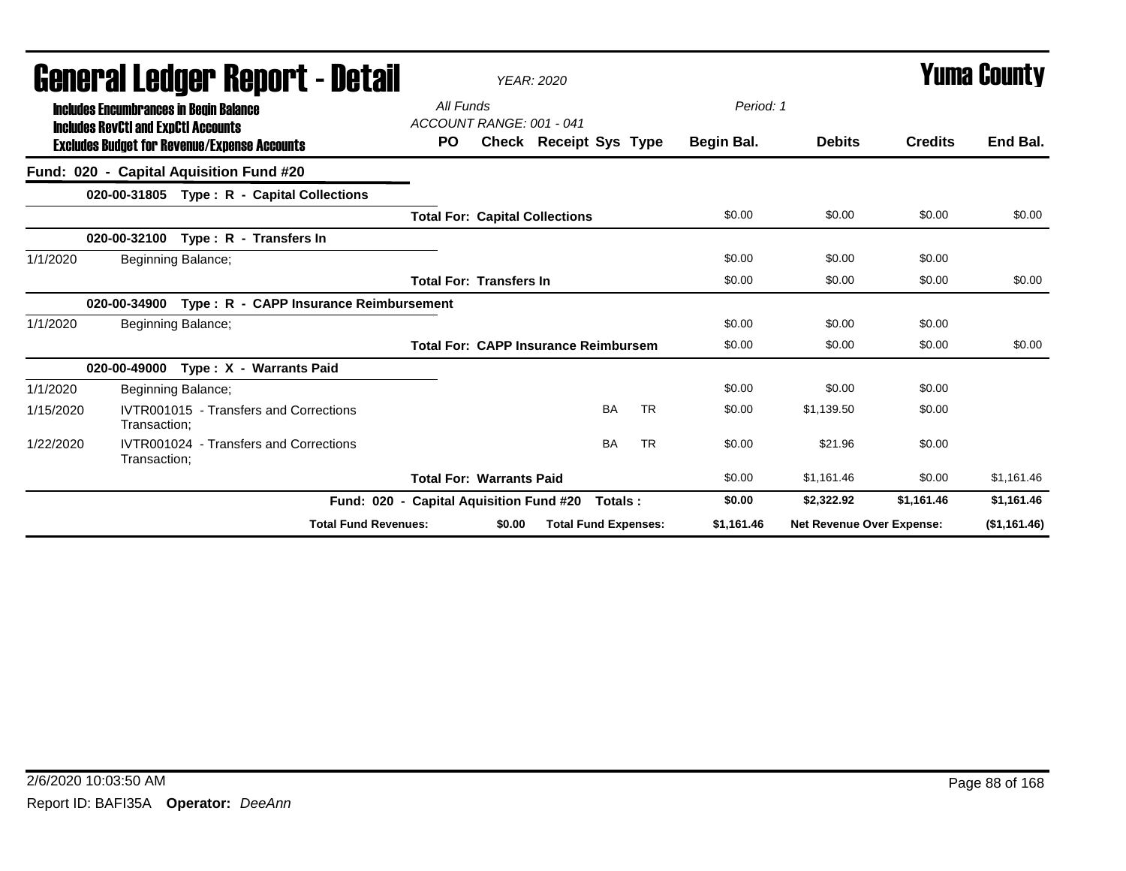| agiigi (gi fanña). Uchol ( - detsii                                                         |                                         |                                 | <i>YEAR: 2020</i>                           |           |            |                                  |                | I UIIIA VUUIILY |
|---------------------------------------------------------------------------------------------|-----------------------------------------|---------------------------------|---------------------------------------------|-----------|------------|----------------------------------|----------------|-----------------|
| <b>Includes Encumbrances in Begin Balance</b><br><b>Includes RevCtI and ExpCtI Accounts</b> | All Funds                               | ACCOUNT RANGE: 001 - 041        |                                             |           | Period: 1  |                                  |                |                 |
| <b>Excludes Budget for Revenue/Expense Accounts</b>                                         | PO.                                     |                                 | <b>Check Receipt Sys Type</b>               |           | Begin Bal. | <b>Debits</b>                    | <b>Credits</b> | End Bal.        |
| Fund: 020 - Capital Aquisition Fund #20                                                     |                                         |                                 |                                             |           |            |                                  |                |                 |
| 020-00-31805 Type: R - Capital Collections                                                  |                                         |                                 |                                             |           |            |                                  |                |                 |
|                                                                                             |                                         |                                 | <b>Total For: Capital Collections</b>       |           | \$0.00     | \$0.00                           | \$0.00         | \$0.00          |
| Type: R - Transfers In<br>020-00-32100                                                      |                                         |                                 |                                             |           |            |                                  |                |                 |
| 1/1/2020<br>Beginning Balance;                                                              |                                         |                                 |                                             |           | \$0.00     | \$0.00                           | \$0.00         |                 |
|                                                                                             |                                         | <b>Total For: Transfers In</b>  |                                             |           | \$0.00     | \$0.00                           | \$0.00         | \$0.00          |
| Type: R - CAPP Insurance Reimbursement<br>020-00-34900                                      |                                         |                                 |                                             |           |            |                                  |                |                 |
| 1/1/2020<br>Beginning Balance;                                                              |                                         |                                 |                                             |           | \$0.00     | \$0.00                           | \$0.00         |                 |
|                                                                                             |                                         |                                 | <b>Total For: CAPP Insurance Reimbursem</b> |           | \$0.00     | \$0.00                           | \$0.00         | \$0.00          |
| 020-00-49000<br>Type: X - Warrants Paid                                                     |                                         |                                 |                                             |           |            |                                  |                |                 |
| 1/1/2020<br>Beginning Balance;                                                              |                                         |                                 |                                             |           | \$0.00     | \$0.00                           | \$0.00         |                 |
| 1/15/2020<br>IVTR001015 - Transfers and Corrections<br>Transaction;                         |                                         |                                 | <b>BA</b>                                   | <b>TR</b> | \$0.00     | \$1,139.50                       | \$0.00         |                 |
| 1/22/2020<br>IVTR001024 - Transfers and Corrections<br>Transaction;                         |                                         |                                 | <b>BA</b>                                   | <b>TR</b> | \$0.00     | \$21.96                          | \$0.00         |                 |
|                                                                                             |                                         | <b>Total For: Warrants Paid</b> |                                             |           | \$0.00     | \$1,161.46                       | \$0.00         | \$1,161.46      |
|                                                                                             | Fund: 020 - Capital Aquisition Fund #20 |                                 | Totals :                                    |           | \$0.00     | \$2,322.92                       | \$1,161.46     | \$1,161.46      |
|                                                                                             | <b>Total Fund Revenues:</b>             | \$0.00                          | <b>Total Fund Expenses:</b>                 |           | \$1,161.46 | <b>Net Revenue Over Expense:</b> |                | (\$1,161.46)    |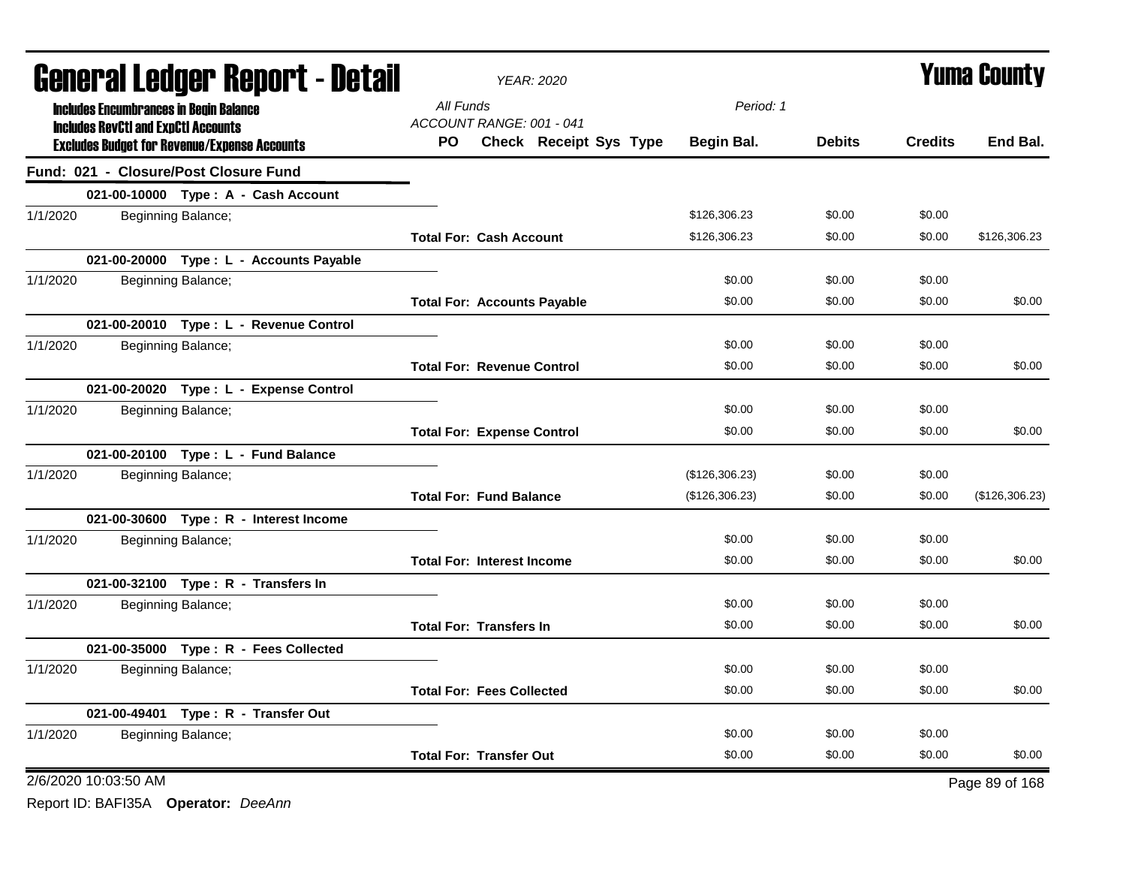| <b>General Ledger Report - Detail</b>               | YEAR: 2020                           |                | <b>Yuma County</b> |                |                |  |
|-----------------------------------------------------|--------------------------------------|----------------|--------------------|----------------|----------------|--|
| <b>Includes Encumbrances in Begin Balance</b>       | All Funds                            |                | Period: 1          |                |                |  |
| <b>Includes RevCtI and ExpCtI Accounts</b>          | ACCOUNT RANGE: 001 - 041             |                |                    |                |                |  |
| <b>Excludes Budget for Revenue/Expense Accounts</b> | <b>Check Receipt Sys Type</b><br>PO. | Begin Bal.     | <b>Debits</b>      | <b>Credits</b> | End Bal.       |  |
| Fund: 021 - Closure/Post Closure Fund               |                                      |                |                    |                |                |  |
| 021-00-10000 Type: A - Cash Account                 |                                      |                |                    |                |                |  |
| 1/1/2020<br>Beginning Balance;                      |                                      | \$126,306.23   | \$0.00             | \$0.00         |                |  |
|                                                     | <b>Total For: Cash Account</b>       | \$126,306.23   | \$0.00             | \$0.00         | \$126,306.23   |  |
| 021-00-20000 Type : L - Accounts Payable            |                                      |                |                    |                |                |  |
| 1/1/2020<br>Beginning Balance;                      |                                      | \$0.00         | \$0.00             | \$0.00         |                |  |
|                                                     | <b>Total For: Accounts Payable</b>   | \$0.00         | \$0.00             | \$0.00         | \$0.00         |  |
| 021-00-20010 Type: L - Revenue Control              |                                      |                |                    |                |                |  |
| 1/1/2020<br>Beginning Balance;                      |                                      | \$0.00         | \$0.00             | \$0.00         |                |  |
|                                                     | <b>Total For: Revenue Control</b>    | \$0.00         | \$0.00             | \$0.00         | \$0.00         |  |
| 021-00-20020 Type: L - Expense Control              |                                      |                |                    |                |                |  |
| 1/1/2020<br>Beginning Balance;                      |                                      | \$0.00         | \$0.00             | \$0.00         |                |  |
|                                                     | <b>Total For: Expense Control</b>    | \$0.00         | \$0.00             | \$0.00         | \$0.00         |  |
| 021-00-20100 Type: L - Fund Balance                 |                                      |                |                    |                |                |  |
| 1/1/2020<br>Beginning Balance;                      |                                      | (\$126,306.23) | \$0.00             | \$0.00         |                |  |
|                                                     | <b>Total For: Fund Balance</b>       | (\$126,306.23) | \$0.00             | \$0.00         | (\$126,306.23) |  |
| 021-00-30600 Type: R - Interest Income              |                                      |                |                    |                |                |  |
| 1/1/2020<br>Beginning Balance;                      |                                      | \$0.00         | \$0.00             | \$0.00         |                |  |
|                                                     | <b>Total For: Interest Income</b>    | \$0.00         | \$0.00             | \$0.00         | \$0.00         |  |
| 021-00-32100 Type: R - Transfers In                 |                                      |                |                    |                |                |  |
| 1/1/2020<br>Beginning Balance;                      |                                      | \$0.00         | \$0.00             | \$0.00         |                |  |
|                                                     | <b>Total For: Transfers In</b>       | \$0.00         | \$0.00             | \$0.00         | \$0.00         |  |
| 021-00-35000 Type: R - Fees Collected               |                                      |                |                    |                |                |  |
| 1/1/2020<br>Beginning Balance;                      |                                      | \$0.00         | \$0.00             | \$0.00         |                |  |
|                                                     | <b>Total For: Fees Collected</b>     | \$0.00         | \$0.00             | \$0.00         | \$0.00         |  |
| 021-00-49401 Type: R - Transfer Out                 |                                      |                |                    |                |                |  |
| 1/1/2020<br>Beginning Balance;                      |                                      | \$0.00         | \$0.00             | \$0.00         |                |  |
|                                                     | <b>Total For: Transfer Out</b>       | \$0.00         | \$0.00             | \$0.00         | \$0.00         |  |
| 2/6/2020 10:03:50 AM                                |                                      |                |                    |                | Page 89 of 168 |  |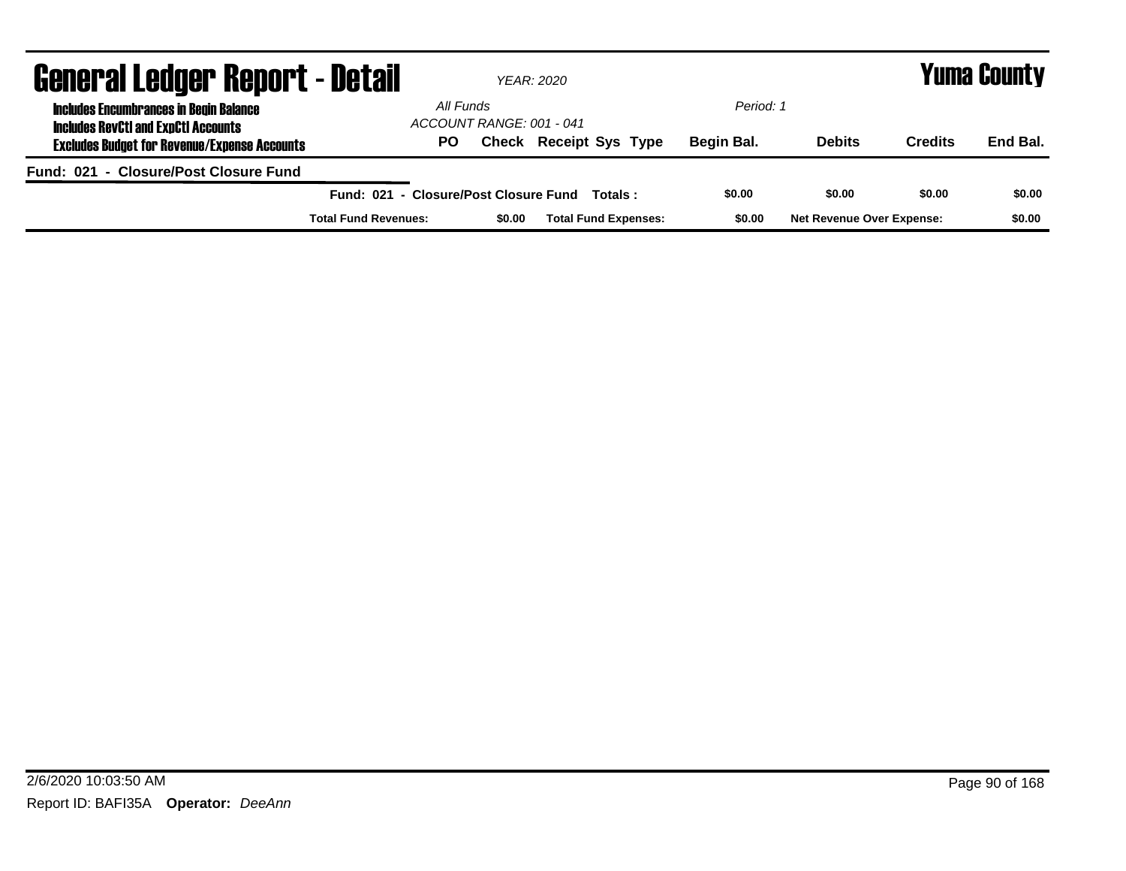| <b>General Ledger Report - Detail</b>                                                       |                                       | <b>YEAR: 2020</b>        |                               |            |                                  |                | <b>Yuma County</b> |
|---------------------------------------------------------------------------------------------|---------------------------------------|--------------------------|-------------------------------|------------|----------------------------------|----------------|--------------------|
| <b>Includes Encumbrances in Begin Balance</b><br><b>Includes RevCtI and ExpCtI Accounts</b> | All Funds                             | ACCOUNT RANGE: 001 - 041 |                               | Period: 1  |                                  |                |                    |
| <b>Excludes Budget for Revenue/Expense Accounts</b>                                         | PO.                                   |                          | <b>Check Receipt Sys Type</b> | Begin Bal. | <b>Debits</b>                    | <b>Credits</b> | End Bal.           |
| Fund: 021 - Closure/Post Closure Fund                                                       |                                       |                          |                               |            |                                  |                |                    |
|                                                                                             | Fund: 021 - Closure/Post Closure Fund |                          | Totals :                      | \$0.00     | \$0.00                           | \$0.00         | \$0.00             |
|                                                                                             | <b>Total Fund Revenues:</b>           | \$0.00                   | <b>Total Fund Expenses:</b>   | \$0.00     | <b>Net Revenue Over Expense:</b> |                | \$0.00             |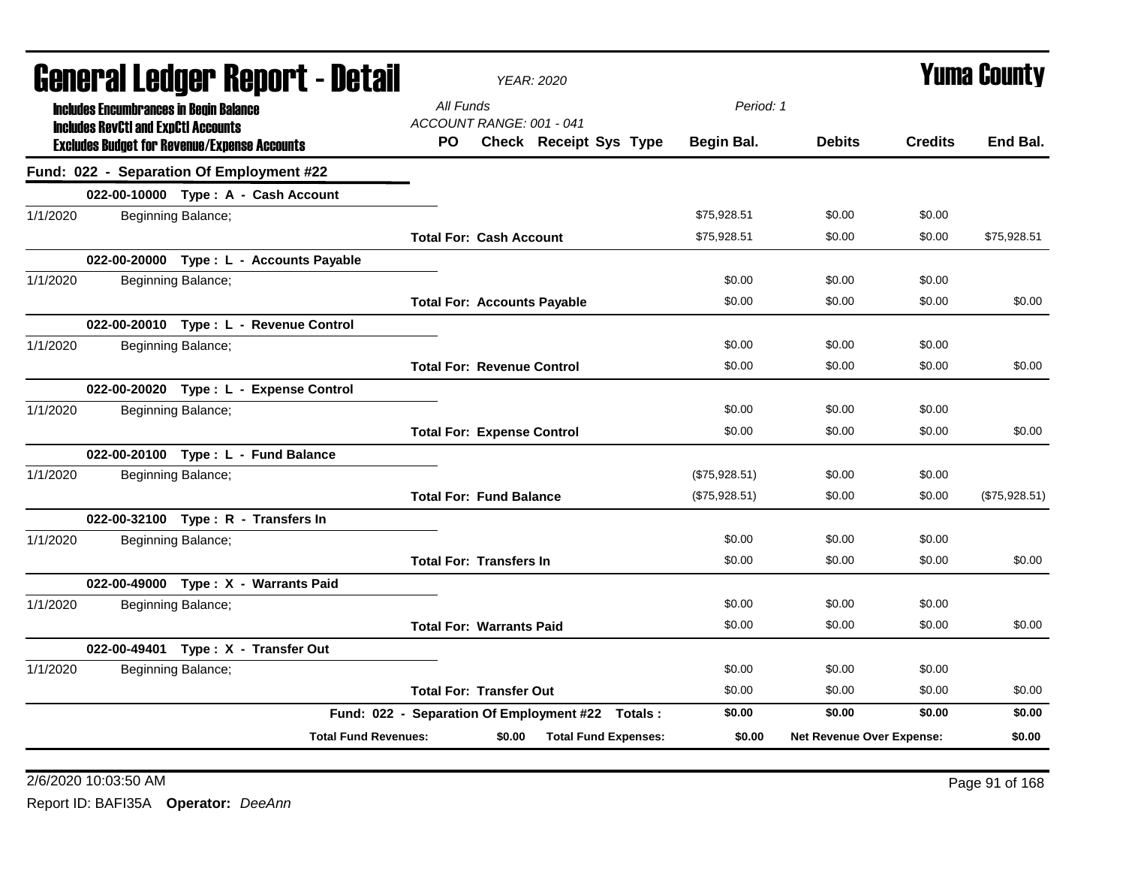| <b>YEAR: 2020</b>                     | <b>Yuma County</b>                                                                                                                             |               |                |                           |
|---------------------------------------|------------------------------------------------------------------------------------------------------------------------------------------------|---------------|----------------|---------------------------|
| All Funds                             |                                                                                                                                                |               |                |                           |
| PO.<br>Check Receipt Sys Type         | Begin Bal.                                                                                                                                     | <b>Debits</b> | <b>Credits</b> | End Bal.                  |
|                                       |                                                                                                                                                |               |                |                           |
|                                       |                                                                                                                                                |               |                |                           |
|                                       | \$75,928.51                                                                                                                                    | \$0.00        | \$0.00         |                           |
| <b>Total For: Cash Account</b>        | \$75,928.51                                                                                                                                    | \$0.00        | \$0.00         | \$75,928.51               |
|                                       |                                                                                                                                                |               |                |                           |
|                                       | \$0.00                                                                                                                                         | \$0.00        | \$0.00         |                           |
| <b>Total For: Accounts Payable</b>    | \$0.00                                                                                                                                         | \$0.00        | \$0.00         | \$0.00                    |
|                                       |                                                                                                                                                |               |                |                           |
|                                       | \$0.00                                                                                                                                         | \$0.00        | \$0.00         |                           |
| <b>Total For: Revenue Control</b>     | \$0.00                                                                                                                                         | \$0.00        | \$0.00         | \$0.00                    |
|                                       |                                                                                                                                                |               |                |                           |
|                                       | \$0.00                                                                                                                                         | \$0.00        | \$0.00         |                           |
| <b>Total For: Expense Control</b>     | \$0.00                                                                                                                                         | \$0.00        | \$0.00         | \$0.00                    |
|                                       |                                                                                                                                                |               |                |                           |
|                                       | (\$75,928.51)                                                                                                                                  | \$0.00        | \$0.00         |                           |
| <b>Total For: Fund Balance</b>        | (\$75,928.51)                                                                                                                                  | \$0.00        | \$0.00         | (\$75,928.51)             |
|                                       |                                                                                                                                                |               |                |                           |
|                                       | \$0.00                                                                                                                                         | \$0.00        | \$0.00         |                           |
| <b>Total For: Transfers In</b>        | \$0.00                                                                                                                                         | \$0.00        | \$0.00         | \$0.00                    |
|                                       |                                                                                                                                                |               |                |                           |
|                                       | \$0.00                                                                                                                                         | \$0.00        | \$0.00         |                           |
| <b>Total For: Warrants Paid</b>       | \$0.00                                                                                                                                         | \$0.00        | \$0.00         | \$0.00                    |
|                                       |                                                                                                                                                |               |                |                           |
|                                       | \$0.00                                                                                                                                         | \$0.00        | \$0.00         |                           |
| <b>Total For: Transfer Out</b>        | \$0.00                                                                                                                                         | \$0.00        | \$0.00         | \$0.00                    |
|                                       | \$0.00                                                                                                                                         | \$0.00        | \$0.00         | \$0.00                    |
| \$0.00<br><b>Total Fund Expenses:</b> | \$0.00                                                                                                                                         |               |                | \$0.00                    |
|                                       | General Ledger Report - Detail<br>ACCOUNT RANGE: 001 - 041<br>Fund: 022 - Separation Of Employment #22 Totals :<br><b>Total Fund Revenues:</b> |               | Period: 1      | Net Revenue Over Expense: |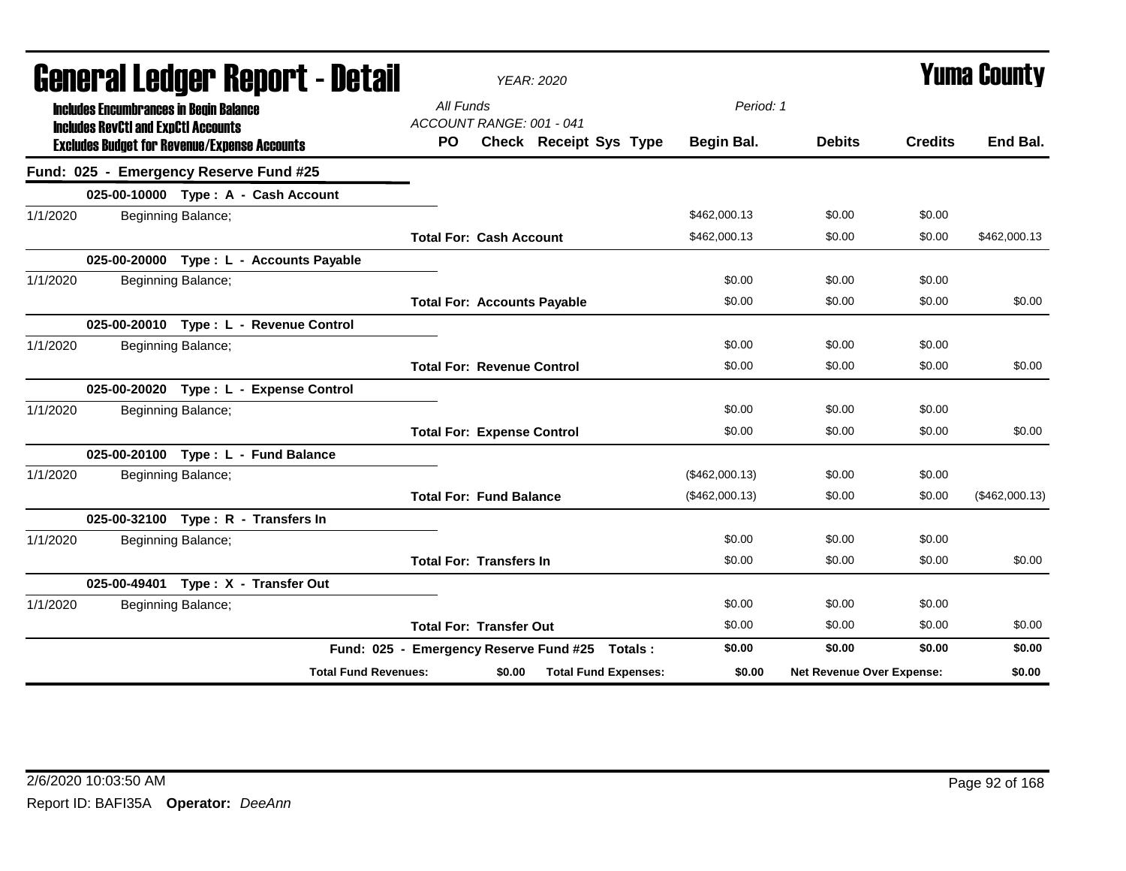| General Ledger Report - Detail                                                              | <b>YEAR: 2020</b>                              |                |                           |                | <b>Yuma County</b> |
|---------------------------------------------------------------------------------------------|------------------------------------------------|----------------|---------------------------|----------------|--------------------|
| <b>Includes Encumbrances in Begin Balance</b><br><b>Includes RevCtI and ExpCtI Accounts</b> | All Funds<br>ACCOUNT RANGE: 001 - 041          | Period: 1      |                           |                |                    |
| <b>Excludes Budget for Revenue/Expense Accounts</b>                                         | <b>Check Receipt Sys Type</b><br>PO.           | Begin Bal.     | <b>Debits</b>             | <b>Credits</b> | End Bal.           |
| Fund: 025 - Emergency Reserve Fund #25                                                      |                                                |                |                           |                |                    |
| 025-00-10000 Type: A - Cash Account                                                         |                                                |                |                           |                |                    |
| 1/1/2020<br>Beginning Balance;                                                              |                                                | \$462,000.13   | \$0.00                    | \$0.00         |                    |
|                                                                                             | <b>Total For: Cash Account</b>                 | \$462,000.13   | \$0.00                    | \$0.00         | \$462,000.13       |
| 025-00-20000 Type : L - Accounts Payable                                                    |                                                |                |                           |                |                    |
| 1/1/2020<br>Beginning Balance;                                                              |                                                | \$0.00         | \$0.00                    | \$0.00         |                    |
|                                                                                             | <b>Total For: Accounts Payable</b>             | \$0.00         | \$0.00                    | \$0.00         | \$0.00             |
| 025-00-20010 Type: L - Revenue Control                                                      |                                                |                |                           |                |                    |
| Beginning Balance;<br>1/1/2020                                                              |                                                | \$0.00         | \$0.00                    | \$0.00         |                    |
|                                                                                             | <b>Total For: Revenue Control</b>              | \$0.00         | \$0.00                    | \$0.00         | \$0.00             |
| 025-00-20020 Type: L - Expense Control                                                      |                                                |                |                           |                |                    |
| Beginning Balance;<br>1/1/2020                                                              |                                                | \$0.00         | \$0.00                    | \$0.00         |                    |
|                                                                                             | <b>Total For: Expense Control</b>              | \$0.00         | \$0.00                    | \$0.00         | \$0.00             |
| 025-00-20100 Type: L - Fund Balance                                                         |                                                |                |                           |                |                    |
| 1/1/2020<br>Beginning Balance;                                                              |                                                | (\$462,000.13) | \$0.00                    | \$0.00         |                    |
|                                                                                             | <b>Total For: Fund Balance</b>                 | (\$462,000.13) | \$0.00                    | \$0.00         | (\$462,000.13)     |
| 025-00-32100 Type: R - Transfers In                                                         |                                                |                |                           |                |                    |
| Beginning Balance;<br>1/1/2020                                                              |                                                | \$0.00         | \$0.00                    | \$0.00         |                    |
|                                                                                             | <b>Total For: Transfers In</b>                 | \$0.00         | \$0.00                    | \$0.00         | \$0.00             |
| 025-00-49401 Type: X - Transfer Out                                                         |                                                |                |                           |                |                    |
| 1/1/2020<br>Beginning Balance;                                                              |                                                | \$0.00         | \$0.00                    | \$0.00         |                    |
|                                                                                             | <b>Total For: Transfer Out</b>                 | \$0.00         | \$0.00                    | \$0.00         | \$0.00             |
|                                                                                             | Fund: 025 - Emergency Reserve Fund #25 Totals: | \$0.00         | \$0.00                    | \$0.00         | \$0.00             |
| <b>Total Fund Revenues:</b>                                                                 | <b>Total Fund Expenses:</b><br>\$0.00          | \$0.00         | Net Revenue Over Expense: |                | \$0.00             |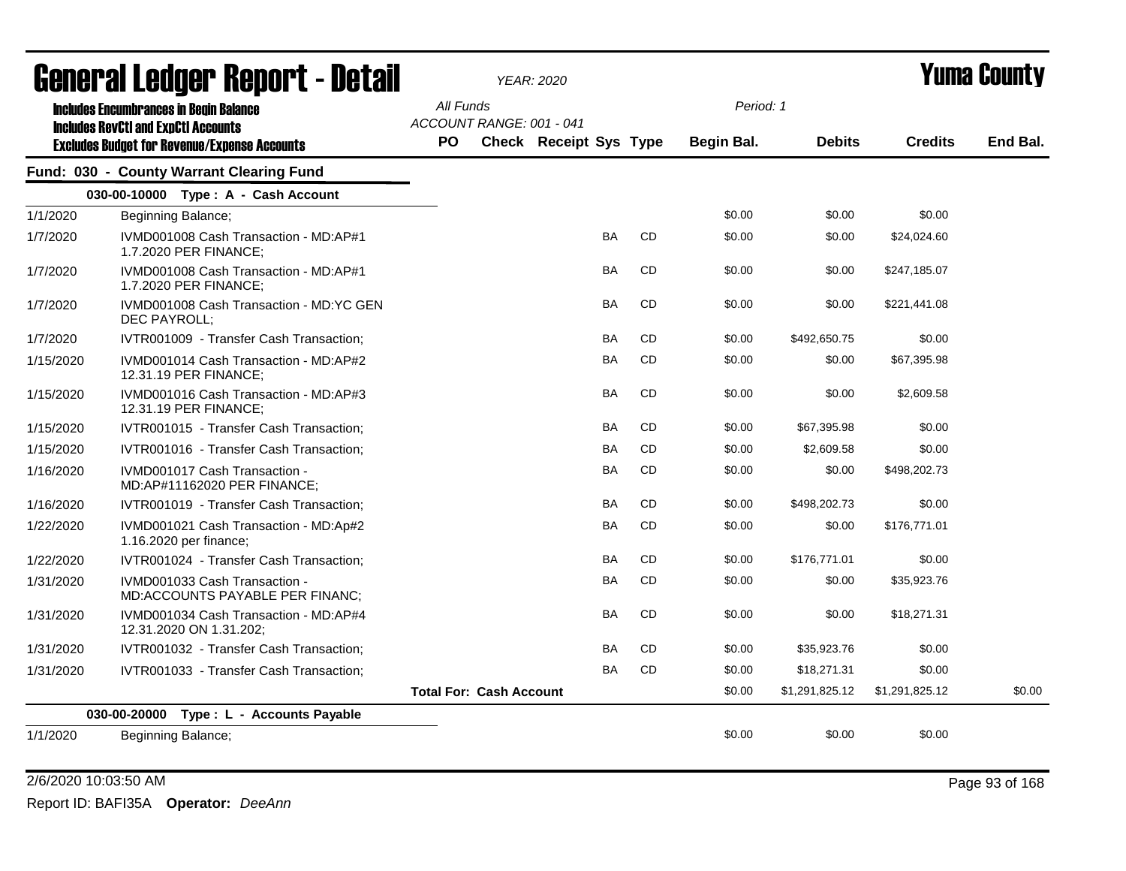|           | <u>arımı, qı fandal. urbnı. f - dafan</u>                                                   |                        |                                | YEAR: 2020                    |           |           |                         |                |                | T UIIIA GUUIILY |
|-----------|---------------------------------------------------------------------------------------------|------------------------|--------------------------------|-------------------------------|-----------|-----------|-------------------------|----------------|----------------|-----------------|
|           | <b>Includes Encumbrances in Begin Balance</b><br><b>Includes RevCtI and ExpCtI Accounts</b> | All Funds<br><b>PO</b> | ACCOUNT RANGE: 001 - 041       | <b>Check Receipt Sys Type</b> |           |           | Period: 1<br>Begin Bal. | <b>Debits</b>  | <b>Credits</b> | End Bal.        |
|           | <b>Excludes Budget for Revenue/Expense Accounts</b>                                         |                        |                                |                               |           |           |                         |                |                |                 |
|           | Fund: 030 - County Warrant Clearing Fund                                                    |                        |                                |                               |           |           |                         |                |                |                 |
|           | 030-00-10000 Type: A - Cash Account                                                         |                        |                                |                               |           |           |                         |                |                |                 |
| 1/1/2020  | Beginning Balance;                                                                          |                        |                                |                               |           |           | \$0.00                  | \$0.00         | \$0.00         |                 |
| 1/7/2020  | IVMD001008 Cash Transaction - MD:AP#1<br>1.7.2020 PER FINANCE;                              |                        |                                |                               | <b>BA</b> | CD        | \$0.00                  | \$0.00         | \$24,024.60    |                 |
| 1/7/2020  | IVMD001008 Cash Transaction - MD:AP#1<br>1.7.2020 PER FINANCE;                              |                        |                                |                               | BA        | CD        | \$0.00                  | \$0.00         | \$247,185.07   |                 |
| 1/7/2020  | IVMD001008 Cash Transaction - MD:YC GEN<br>DEC PAYROLL;                                     |                        |                                |                               | BA        | CD        | \$0.00                  | \$0.00         | \$221,441.08   |                 |
| 1/7/2020  | IVTR001009 - Transfer Cash Transaction;                                                     |                        |                                |                               | BA        | CD        | \$0.00                  | \$492,650.75   | \$0.00         |                 |
| 1/15/2020 | IVMD001014 Cash Transaction - MD:AP#2<br>12.31.19 PER FINANCE;                              |                        |                                |                               | <b>BA</b> | <b>CD</b> | \$0.00                  | \$0.00         | \$67,395.98    |                 |
| 1/15/2020 | IVMD001016 Cash Transaction - MD:AP#3<br>12.31.19 PER FINANCE;                              |                        |                                |                               | BA        | CD        | \$0.00                  | \$0.00         | \$2,609.58     |                 |
| 1/15/2020 | IVTR001015 - Transfer Cash Transaction;                                                     |                        |                                |                               | <b>BA</b> | <b>CD</b> | \$0.00                  | \$67,395.98    | \$0.00         |                 |
| 1/15/2020 | IVTR001016 - Transfer Cash Transaction;                                                     |                        |                                |                               | BA        | CD        | \$0.00                  | \$2,609.58     | \$0.00         |                 |
| 1/16/2020 | IVMD001017 Cash Transaction -<br>MD:AP#11162020 PER FINANCE;                                |                        |                                |                               | BA        | CD        | \$0.00                  | \$0.00         | \$498,202.73   |                 |
| 1/16/2020 | IVTR001019 - Transfer Cash Transaction;                                                     |                        |                                |                               | BA        | CD        | \$0.00                  | \$498,202.73   | \$0.00         |                 |
| 1/22/2020 | IVMD001021 Cash Transaction - MD:Ap#2<br>1.16.2020 per finance;                             |                        |                                |                               | <b>BA</b> | <b>CD</b> | \$0.00                  | \$0.00         | \$176,771.01   |                 |
| 1/22/2020 | IVTR001024 - Transfer Cash Transaction;                                                     |                        |                                |                               | <b>BA</b> | <b>CD</b> | \$0.00                  | \$176,771.01   | \$0.00         |                 |
| 1/31/2020 | IVMD001033 Cash Transaction -<br>MD:ACCOUNTS PAYABLE PER FINANC;                            |                        |                                |                               | BA        | CD        | \$0.00                  | \$0.00         | \$35,923.76    |                 |
| 1/31/2020 | IVMD001034 Cash Transaction - MD:AP#4<br>12.31.2020 ON 1.31.202;                            |                        |                                |                               | <b>BA</b> | CD        | \$0.00                  | \$0.00         | \$18,271.31    |                 |
| 1/31/2020 | IVTR001032 - Transfer Cash Transaction;                                                     |                        |                                |                               | <b>BA</b> | CD        | \$0.00                  | \$35,923.76    | \$0.00         |                 |
| 1/31/2020 | IVTR001033 - Transfer Cash Transaction;                                                     |                        |                                |                               | <b>BA</b> | CD        | \$0.00                  | \$18,271.31    | \$0.00         |                 |
|           |                                                                                             |                        | <b>Total For: Cash Account</b> |                               |           |           | \$0.00                  | \$1,291,825.12 | \$1,291,825.12 | \$0.00          |
|           | 030-00-20000 Type: L - Accounts Payable                                                     |                        |                                |                               |           |           |                         |                |                |                 |
| 1/1/2020  | Beginning Balance;                                                                          |                        |                                |                               |           |           | \$0.00                  | \$0.00         | \$0.00         |                 |
|           |                                                                                             |                        |                                |                               |           |           |                         |                |                |                 |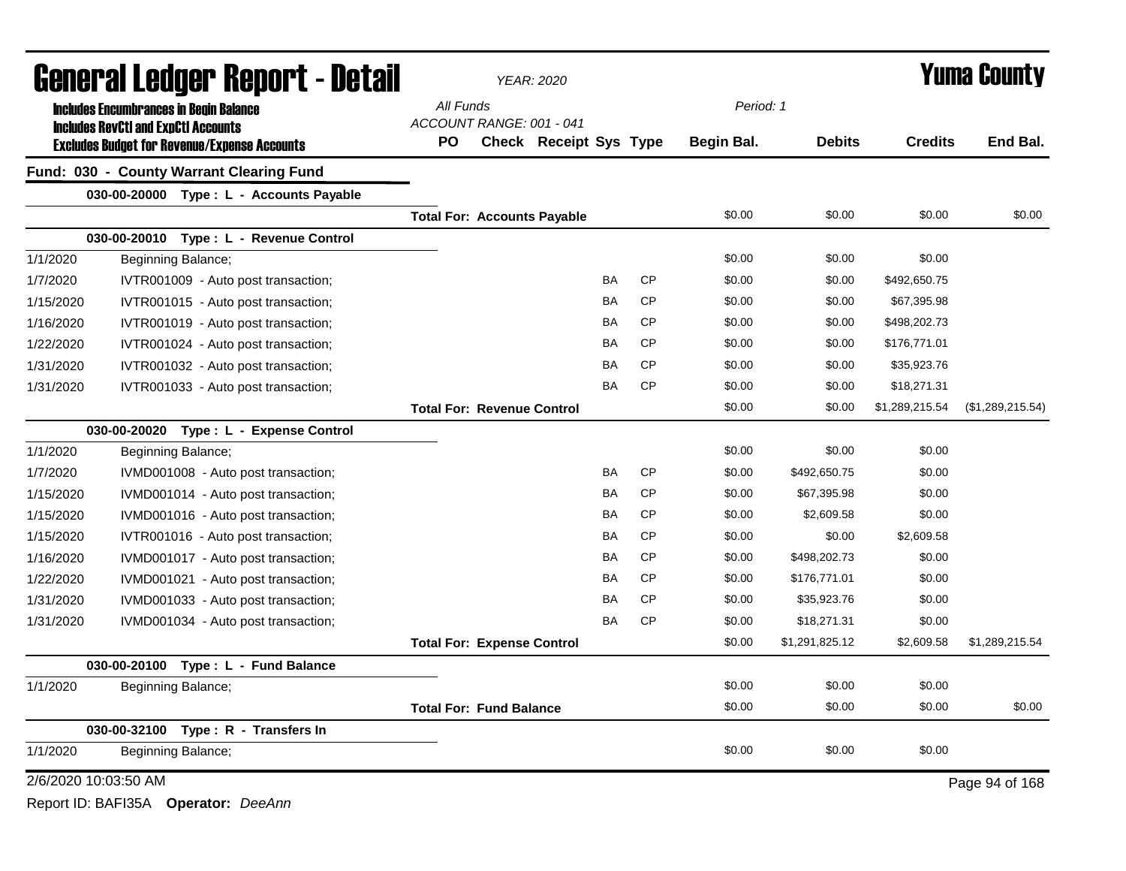|                      | <b>General Ledger Report - Detail</b>               |                                    |                                   | <b>YEAR: 2020</b>             |           |           | <b>Yuma County</b> |                |                |                  |  |
|----------------------|-----------------------------------------------------|------------------------------------|-----------------------------------|-------------------------------|-----------|-----------|--------------------|----------------|----------------|------------------|--|
|                      | <b>Includes Encumbrances in Begin Balance</b>       | All Funds                          |                                   |                               |           |           | Period: 1          |                |                |                  |  |
|                      | <b>Includes RevCtI and ExpCtI Accounts</b>          |                                    | ACCOUNT RANGE: 001 - 041          |                               |           |           |                    |                |                |                  |  |
|                      | <b>Excludes Budget for Revenue/Expense Accounts</b> | <b>PO</b>                          |                                   | <b>Check Receipt Sys Type</b> |           |           | Begin Bal.         | <b>Debits</b>  | <b>Credits</b> | End Bal.         |  |
|                      | Fund: 030 - County Warrant Clearing Fund            |                                    |                                   |                               |           |           |                    |                |                |                  |  |
|                      | 030-00-20000 Type: L - Accounts Payable             |                                    |                                   |                               |           |           |                    |                |                |                  |  |
|                      |                                                     | <b>Total For: Accounts Payable</b> |                                   |                               |           |           | \$0.00             | \$0.00         | \$0.00         | \$0.00           |  |
|                      | 030-00-20010 Type: L - Revenue Control              |                                    |                                   |                               |           |           |                    |                |                |                  |  |
| 1/1/2020             | Beginning Balance;                                  |                                    |                                   |                               |           |           | \$0.00             | \$0.00         | \$0.00         |                  |  |
| 1/7/2020             | IVTR001009 - Auto post transaction;                 |                                    |                                   |                               | <b>BA</b> | <b>CP</b> | \$0.00             | \$0.00         | \$492,650.75   |                  |  |
| 1/15/2020            | IVTR001015 - Auto post transaction;                 |                                    |                                   |                               | <b>BA</b> | <b>CP</b> | \$0.00             | \$0.00         | \$67,395.98    |                  |  |
| 1/16/2020            | IVTR001019 - Auto post transaction;                 |                                    |                                   |                               | <b>BA</b> | <b>CP</b> | \$0.00             | \$0.00         | \$498,202.73   |                  |  |
| 1/22/2020            | IVTR001024 - Auto post transaction;                 |                                    |                                   |                               | <b>BA</b> | <b>CP</b> | \$0.00             | \$0.00         | \$176,771.01   |                  |  |
| 1/31/2020            | IVTR001032 - Auto post transaction;                 |                                    |                                   |                               | <b>BA</b> | <b>CP</b> | \$0.00             | \$0.00         | \$35,923.76    |                  |  |
| 1/31/2020            | IVTR001033 - Auto post transaction;                 |                                    |                                   |                               | BA        | <b>CP</b> | \$0.00             | \$0.00         | \$18,271.31    |                  |  |
|                      |                                                     |                                    | <b>Total For: Revenue Control</b> |                               |           |           | \$0.00             | \$0.00         | \$1,289,215.54 | (\$1,289,215.54) |  |
|                      | Type: L - Expense Control<br>030-00-20020           |                                    |                                   |                               |           |           |                    |                |                |                  |  |
| 1/1/2020             | Beginning Balance;                                  |                                    |                                   |                               |           |           | \$0.00             | \$0.00         | \$0.00         |                  |  |
| 1/7/2020             | IVMD001008 - Auto post transaction;                 |                                    |                                   |                               | BA        | <b>CP</b> | \$0.00             | \$492,650.75   | \$0.00         |                  |  |
| 1/15/2020            | IVMD001014 - Auto post transaction;                 |                                    |                                   |                               | BA        | <b>CP</b> | \$0.00             | \$67,395.98    | \$0.00         |                  |  |
| 1/15/2020            | IVMD001016 - Auto post transaction;                 |                                    |                                   |                               | <b>BA</b> | <b>CP</b> | \$0.00             | \$2,609.58     | \$0.00         |                  |  |
| 1/15/2020            | IVTR001016 - Auto post transaction;                 |                                    |                                   |                               | <b>BA</b> | <b>CP</b> | \$0.00             | \$0.00         | \$2,609.58     |                  |  |
| 1/16/2020            | IVMD001017 - Auto post transaction;                 |                                    |                                   |                               | <b>BA</b> | <b>CP</b> | \$0.00             | \$498,202.73   | \$0.00         |                  |  |
| 1/22/2020            | IVMD001021 - Auto post transaction;                 |                                    |                                   |                               | <b>BA</b> | <b>CP</b> | \$0.00             | \$176,771.01   | \$0.00         |                  |  |
| 1/31/2020            | IVMD001033 - Auto post transaction;                 |                                    |                                   |                               | <b>BA</b> | <b>CP</b> | \$0.00             | \$35,923.76    | \$0.00         |                  |  |
| 1/31/2020            | IVMD001034 - Auto post transaction;                 |                                    |                                   |                               | <b>BA</b> | <b>CP</b> | \$0.00             | \$18,271.31    | \$0.00         |                  |  |
|                      |                                                     | <b>Total For: Expense Control</b>  |                                   |                               |           |           | \$0.00             | \$1,291,825.12 | \$2,609.58     | \$1,289,215.54   |  |
|                      | Type: L - Fund Balance<br>030-00-20100              |                                    |                                   |                               |           |           |                    |                |                |                  |  |
| 1/1/2020             | Beginning Balance;                                  |                                    |                                   |                               |           |           | \$0.00             | \$0.00         | \$0.00         |                  |  |
|                      |                                                     |                                    | <b>Total For: Fund Balance</b>    |                               |           |           | \$0.00             | \$0.00         | \$0.00         | \$0.00           |  |
|                      | 030-00-32100 Type: R - Transfers In                 |                                    |                                   |                               |           |           |                    |                |                |                  |  |
| 1/1/2020             | Beginning Balance;                                  |                                    |                                   |                               |           |           | \$0.00             | \$0.00         | \$0.00         |                  |  |
| 2/6/2020 10:03:50 AM |                                                     |                                    |                                   |                               |           |           |                    |                |                | Page 94 of 168   |  |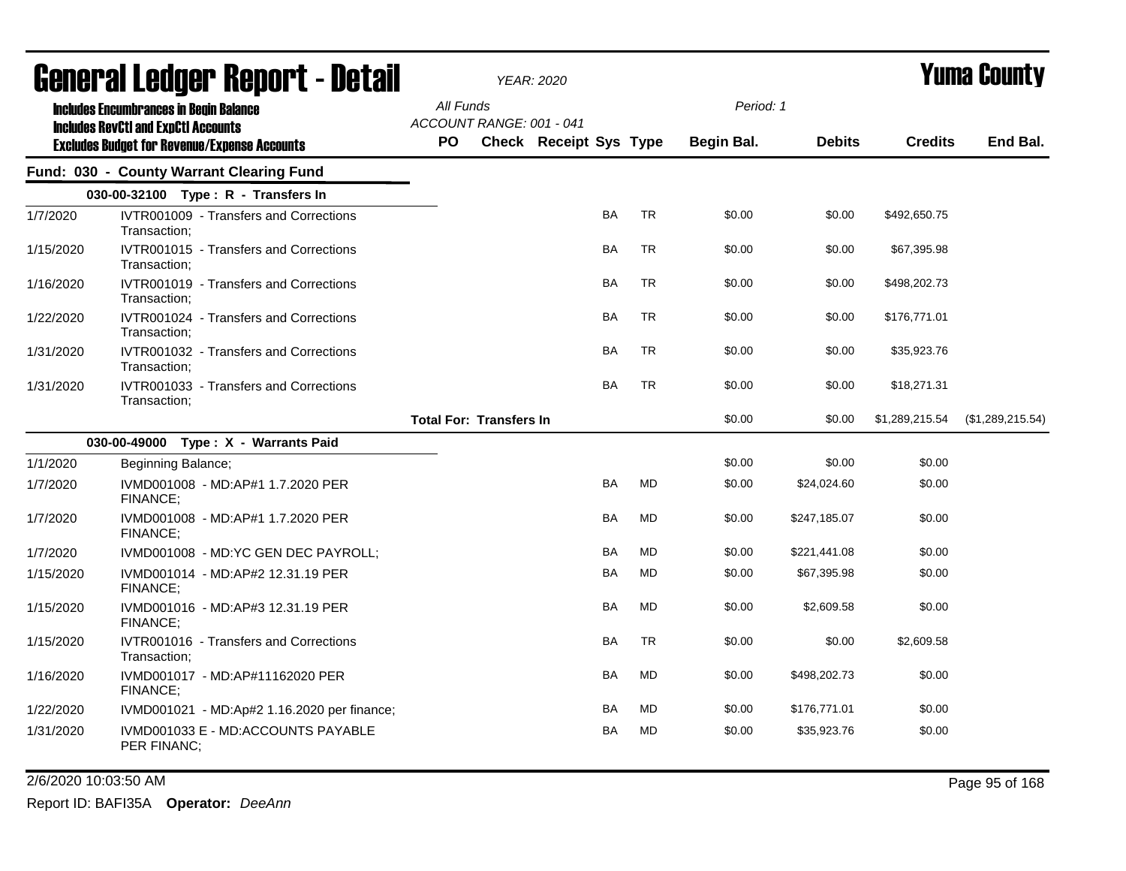|           | <b>General Ledger Report - Detail</b>                                                       |           |                                | <b>YEAR: 2020</b>      |           |           |            |               |                | <b>Yuma County</b> |  |
|-----------|---------------------------------------------------------------------------------------------|-----------|--------------------------------|------------------------|-----------|-----------|------------|---------------|----------------|--------------------|--|
|           | <b>Includes Encumbrances in Begin Balance</b><br><b>Includes RevCtI and ExpCtI Accounts</b> | All Funds | ACCOUNT RANGE: 001 - 041       |                        |           |           | Period: 1  |               |                |                    |  |
|           | <b>Excludes Budget for Revenue/Expense Accounts</b>                                         | PO.       |                                | Check Receipt Sys Type |           |           | Begin Bal. | <b>Debits</b> | <b>Credits</b> | End Bal.           |  |
|           | Fund: 030 - County Warrant Clearing Fund                                                    |           |                                |                        |           |           |            |               |                |                    |  |
|           | 030-00-32100 Type: R - Transfers In                                                         |           |                                |                        |           |           |            |               |                |                    |  |
| 1/7/2020  | IVTR001009 - Transfers and Corrections<br>Transaction;                                      |           |                                |                        | BA        | <b>TR</b> | \$0.00     | \$0.00        | \$492,650.75   |                    |  |
| 1/15/2020 | IVTR001015 - Transfers and Corrections<br>Transaction;                                      |           |                                |                        | BA        | <b>TR</b> | \$0.00     | \$0.00        | \$67,395.98    |                    |  |
| 1/16/2020 | IVTR001019 - Transfers and Corrections<br>Transaction;                                      |           |                                |                        | BA        | <b>TR</b> | \$0.00     | \$0.00        | \$498,202.73   |                    |  |
| 1/22/2020 | IVTR001024 - Transfers and Corrections<br>Transaction:                                      |           |                                |                        | BA        | <b>TR</b> | \$0.00     | \$0.00        | \$176,771.01   |                    |  |
| 1/31/2020 | IVTR001032 - Transfers and Corrections<br>Transaction:                                      |           |                                |                        | <b>BA</b> | <b>TR</b> | \$0.00     | \$0.00        | \$35,923.76    |                    |  |
| 1/31/2020 | IVTR001033 - Transfers and Corrections<br>Transaction;                                      |           |                                |                        | BA        | <b>TR</b> | \$0.00     | \$0.00        | \$18,271.31    |                    |  |
|           |                                                                                             |           | <b>Total For: Transfers In</b> |                        |           |           | \$0.00     | \$0.00        | \$1,289,215.54 | (\$1,289,215.54)   |  |
|           | 030-00-49000 Type: X - Warrants Paid                                                        |           |                                |                        |           |           |            |               |                |                    |  |
| 1/1/2020  | Beginning Balance;                                                                          |           |                                |                        |           |           | \$0.00     | \$0.00        | \$0.00         |                    |  |
| 1/7/2020  | IVMD001008 - MD:AP#1 1.7.2020 PER<br>FINANCE;                                               |           |                                |                        | <b>BA</b> | <b>MD</b> | \$0.00     | \$24,024.60   | \$0.00         |                    |  |
| 1/7/2020  | IVMD001008 - MD:AP#1 1.7.2020 PER<br>FINANCE;                                               |           |                                |                        | BA        | <b>MD</b> | \$0.00     | \$247,185.07  | \$0.00         |                    |  |
| 1/7/2020  | IVMD001008 - MD:YC GEN DEC PAYROLL;                                                         |           |                                |                        | <b>BA</b> | <b>MD</b> | \$0.00     | \$221,441.08  | \$0.00         |                    |  |
| 1/15/2020 | IVMD001014 - MD:AP#2 12.31.19 PER<br><b>FINANCE:</b>                                        |           |                                |                        | BA        | <b>MD</b> | \$0.00     | \$67,395.98   | \$0.00         |                    |  |
| 1/15/2020 | IVMD001016 - MD:AP#3 12.31.19 PER<br>FINANCE;                                               |           |                                |                        | BA        | <b>MD</b> | \$0.00     | \$2,609.58    | \$0.00         |                    |  |
| 1/15/2020 | IVTR001016 - Transfers and Corrections<br>Transaction;                                      |           |                                |                        | <b>BA</b> | <b>TR</b> | \$0.00     | \$0.00        | \$2,609.58     |                    |  |
| 1/16/2020 | IVMD001017 - MD:AP#11162020 PER<br>FINANCE;                                                 |           |                                |                        | <b>BA</b> | MD        | \$0.00     | \$498,202.73  | \$0.00         |                    |  |
| 1/22/2020 | IVMD001021 - MD:Ap#2 1.16.2020 per finance;                                                 |           |                                |                        | BA        | MD        | \$0.00     | \$176,771.01  | \$0.00         |                    |  |
| 1/31/2020 | IVMD001033 E - MD:ACCOUNTS PAYABLE<br>PER FINANC;                                           |           |                                |                        | BA        | MD        | \$0.00     | \$35,923.76   | \$0.00         |                    |  |

2/6/2020 10:03:50 AM Page 95 of 168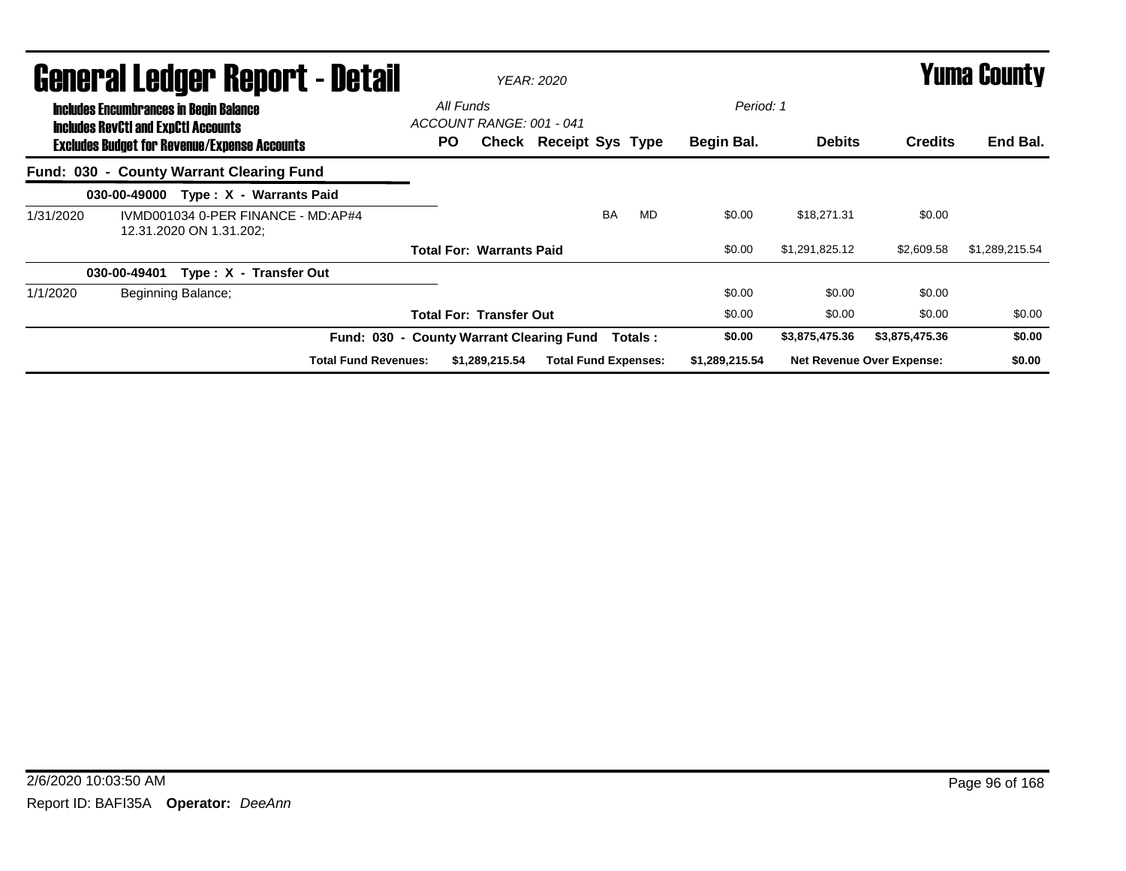|           | General Ledger Report - Detail                                                                                                                     |                                                               |  |                         |                             |     |                                       | <b>YEAR: 2020</b>                   |           |          |                         |                |                                  | <b>Yuma County</b> |
|-----------|----------------------------------------------------------------------------------------------------------------------------------------------------|---------------------------------------------------------------|--|-------------------------|-----------------------------|-----|---------------------------------------|-------------------------------------|-----------|----------|-------------------------|----------------|----------------------------------|--------------------|
|           | <b>Includes Encumbrances in Begin Balance</b><br><b>Includes RevCtI and ExpCtI Accounts</b><br><b>Excludes Budget for Revenue/Expense Accounts</b> |                                                               |  |                         |                             | PO. | All Funds<br>ACCOUNT RANGE: 001 - 041 | <b>Check Receipt Sys Type</b>       |           |          | Period: 1<br>Begin Bal. | <b>Debits</b>  | <b>Credits</b>                   | End Bal.           |
|           | Fund: 030 - County Warrant Clearing Fund                                                                                                           |                                                               |  |                         |                             |     |                                       |                                     |           |          |                         |                |                                  |                    |
|           | 030-00-49000                                                                                                                                       |                                                               |  | Type: X - Warrants Paid |                             |     |                                       |                                     |           |          |                         |                |                                  |                    |
| 1/31/2020 |                                                                                                                                                    | IVMD001034 0-PER FINANCE - MD:AP#4<br>12.31.2020 ON 1.31.202; |  |                         |                             |     |                                       |                                     | <b>BA</b> | MD       | \$0.00                  | \$18.271.31    | \$0.00                           |                    |
|           |                                                                                                                                                    |                                                               |  |                         |                             |     | <b>Total For: Warrants Paid</b>       |                                     |           |          | \$0.00                  | \$1,291,825.12 | \$2,609.58                       | \$1,289,215.54     |
|           | 030-00-49401                                                                                                                                       |                                                               |  | Type: X - Transfer Out  |                             |     |                                       |                                     |           |          |                         |                |                                  |                    |
| 1/1/2020  |                                                                                                                                                    | Beginning Balance;                                            |  |                         |                             |     |                                       |                                     |           |          | \$0.00                  | \$0.00         | \$0.00                           |                    |
|           |                                                                                                                                                    |                                                               |  |                         |                             |     | <b>Total For: Transfer Out</b>        |                                     |           |          | \$0.00                  | \$0.00         | \$0.00                           | \$0.00             |
|           |                                                                                                                                                    |                                                               |  |                         | Fund: 030 -                 |     |                                       | <b>County Warrant Clearing Fund</b> |           | Totals : | \$0.00                  | \$3,875,475.36 | \$3,875,475.36                   | \$0.00             |
|           |                                                                                                                                                    |                                                               |  |                         | <b>Total Fund Revenues:</b> |     | \$1,289,215.54                        | <b>Total Fund Expenses:</b>         |           |          | \$1,289,215.54          |                | <b>Net Revenue Over Expense:</b> | \$0.00             |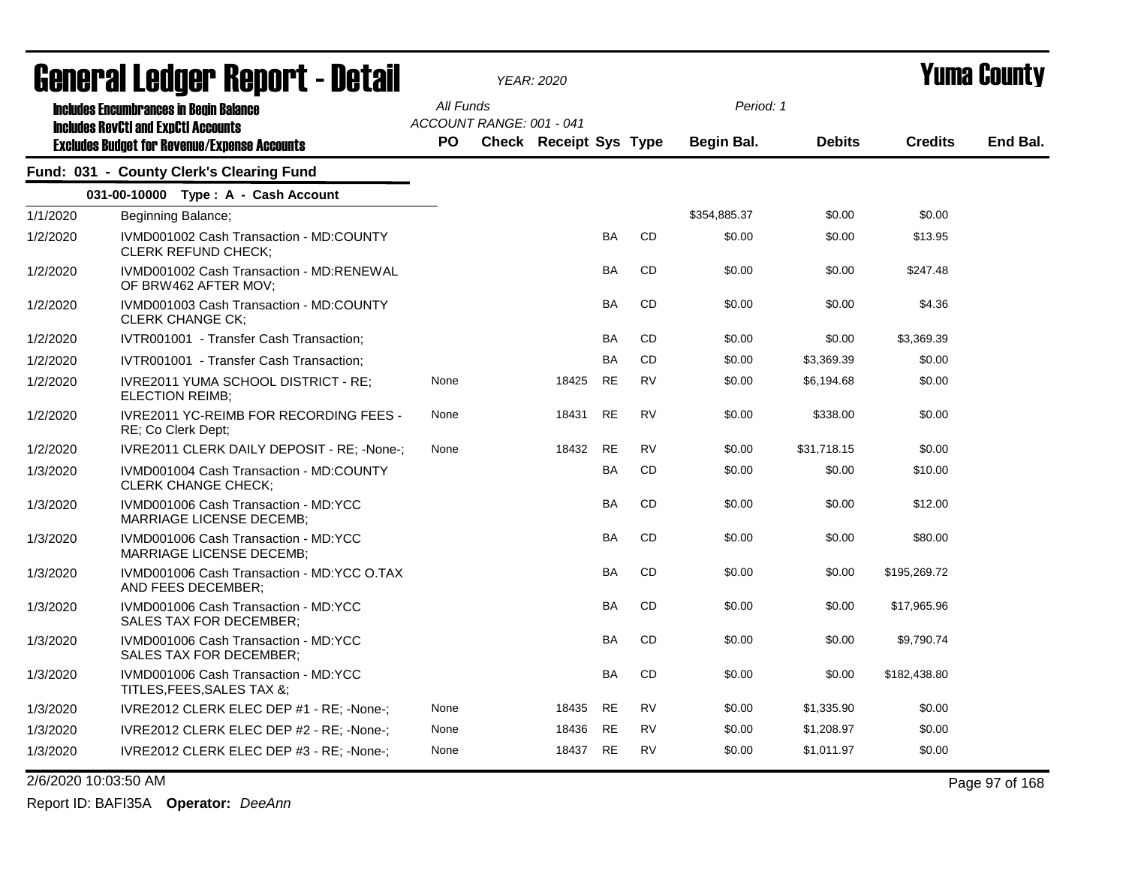| <b>General Ledger Report - Detail</b> |                                                                                                   |           |                          | <b>YEAR: 2020</b>      |           |           | Yuma Countv  |               |                |          |
|---------------------------------------|---------------------------------------------------------------------------------------------------|-----------|--------------------------|------------------------|-----------|-----------|--------------|---------------|----------------|----------|
|                                       | <b>Includes Encumbrances in Begin Balance</b>                                                     | All Funds |                          |                        |           |           | Period: 1    |               |                |          |
|                                       | <b>Includes RevCtI and ExpCtI Accounts</b><br><b>Excludes Budget for Revenue/Expense Accounts</b> | <b>PO</b> | ACCOUNT RANGE: 001 - 041 | Check Receipt Sys Type |           |           | Begin Bal.   | <b>Debits</b> | <b>Credits</b> | End Bal. |
|                                       | Fund: 031 - County Clerk's Clearing Fund                                                          |           |                          |                        |           |           |              |               |                |          |
|                                       | 031-00-10000 Type: A - Cash Account                                                               |           |                          |                        |           |           |              |               |                |          |
| 1/1/2020                              | Beginning Balance;                                                                                |           |                          |                        |           |           | \$354,885.37 | \$0.00        | \$0.00         |          |
| 1/2/2020                              | IVMD001002 Cash Transaction - MD:COUNTY<br><b>CLERK REFUND CHECK:</b>                             |           |                          |                        | <b>BA</b> | <b>CD</b> | \$0.00       | \$0.00        | \$13.95        |          |
| 1/2/2020                              | IVMD001002 Cash Transaction - MD:RENEWAL<br>OF BRW462 AFTER MOV;                                  |           |                          |                        | BA        | <b>CD</b> | \$0.00       | \$0.00        | \$247.48       |          |
| 1/2/2020                              | IVMD001003 Cash Transaction - MD:COUNTY<br><b>CLERK CHANGE CK:</b>                                |           |                          |                        | <b>BA</b> | <b>CD</b> | \$0.00       | \$0.00        | \$4.36         |          |
| 1/2/2020                              | IVTR001001 - Transfer Cash Transaction;                                                           |           |                          |                        | <b>BA</b> | CD        | \$0.00       | \$0.00        | \$3,369.39     |          |
| 1/2/2020                              | IVTR001001 - Transfer Cash Transaction;                                                           |           |                          |                        | <b>BA</b> | CD        | \$0.00       | \$3,369.39    | \$0.00         |          |
| 1/2/2020                              | IVRE2011 YUMA SCHOOL DISTRICT - RE;<br><b>ELECTION REIMB:</b>                                     | None      |                          | 18425                  | <b>RE</b> | <b>RV</b> | \$0.00       | \$6,194.68    | \$0.00         |          |
| 1/2/2020                              | IVRE2011 YC-REIMB FOR RECORDING FEES -<br>RE; Co Clerk Dept;                                      | None      |                          | 18431                  | <b>RE</b> | <b>RV</b> | \$0.00       | \$338.00      | \$0.00         |          |
| 1/2/2020                              | IVRE2011 CLERK DAILY DEPOSIT - RE: - None-:                                                       | None      |                          | 18432                  | RE        | <b>RV</b> | \$0.00       | \$31,718.15   | \$0.00         |          |
| 1/3/2020                              | IVMD001004 Cash Transaction - MD:COUNTY<br><b>CLERK CHANGE CHECK;</b>                             |           |                          |                        | BA        | CD        | \$0.00       | \$0.00        | \$10.00        |          |
| 1/3/2020                              | IVMD001006 Cash Transaction - MD:YCC<br>MARRIAGE LICENSE DECEMB;                                  |           |                          |                        | <b>BA</b> | CD        | \$0.00       | \$0.00        | \$12.00        |          |
| 1/3/2020                              | IVMD001006 Cash Transaction - MD:YCC<br><b>MARRIAGE LICENSE DECEMB;</b>                           |           |                          |                        | <b>BA</b> | <b>CD</b> | \$0.00       | \$0.00        | \$80.00        |          |
| 1/3/2020                              | IVMD001006 Cash Transaction - MD:YCC O.TAX<br>AND FEES DECEMBER;                                  |           |                          |                        | <b>BA</b> | <b>CD</b> | \$0.00       | \$0.00        | \$195,269.72   |          |
| 1/3/2020                              | IVMD001006 Cash Transaction - MD:YCC<br>SALES TAX FOR DECEMBER:                                   |           |                          |                        | BA        | CD        | \$0.00       | \$0.00        | \$17,965.96    |          |
| 1/3/2020                              | IVMD001006 Cash Transaction - MD:YCC<br><b>SALES TAX FOR DECEMBER:</b>                            |           |                          |                        | <b>BA</b> | <b>CD</b> | \$0.00       | \$0.00        | \$9,790.74     |          |
| 1/3/2020                              | IVMD001006 Cash Transaction - MD:YCC<br>TITLES, FEES, SALES TAX &;                                |           |                          |                        | <b>BA</b> | CD        | \$0.00       | \$0.00        | \$182,438.80   |          |
| 1/3/2020                              | IVRE2012 CLERK ELEC DEP #1 - RE; -None-;                                                          | None      |                          | 18435                  | <b>RE</b> | <b>RV</b> | \$0.00       | \$1,335.90    | \$0.00         |          |
| 1/3/2020                              | IVRE2012 CLERK ELEC DEP #2 - RE; -None-;                                                          | None      |                          | 18436                  | <b>RE</b> | <b>RV</b> | \$0.00       | \$1,208.97    | \$0.00         |          |
| 1/3/2020                              | IVRE2012 CLERK ELEC DEP #3 - RE; -None-;                                                          | None      |                          | 18437                  | <b>RE</b> | <b>RV</b> | \$0.00       | \$1,011.97    | \$0.00         |          |

2/6/2020 10:03:50 AM Page 97 of 168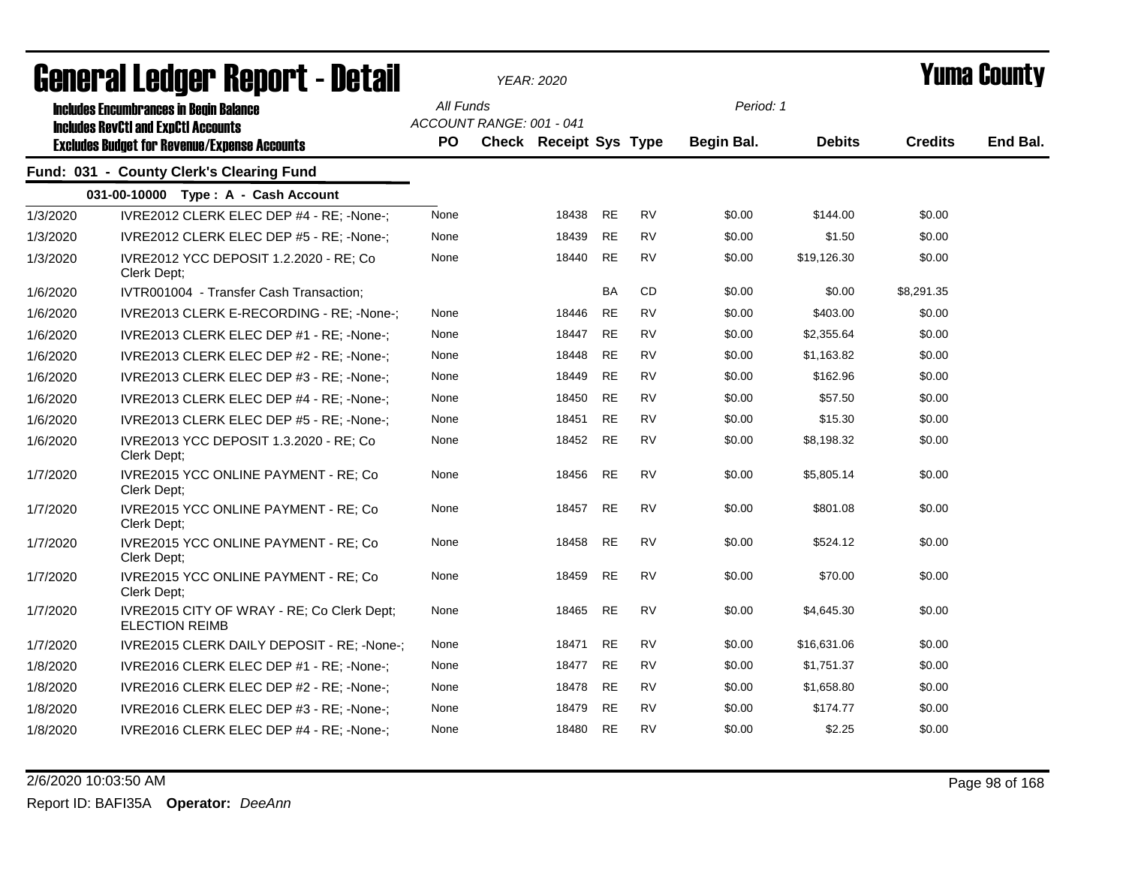|          | agual ai fanàri. Dehol 1 - Detgil                                                           | YEAR: 2020       |                                                           |       |           |           |                         |               | I UIIIU VUUIILY |          |  |
|----------|---------------------------------------------------------------------------------------------|------------------|-----------------------------------------------------------|-------|-----------|-----------|-------------------------|---------------|-----------------|----------|--|
|          | <b>Includes Encumbrances in Begin Balance</b><br><b>Includes RevCtI and ExpCtI Accounts</b> | All Funds<br>PO. | ACCOUNT RANGE: 001 - 041<br><b>Check Receipt Sys Type</b> |       |           |           | Period: 1<br>Begin Bal. | <b>Debits</b> | <b>Credits</b>  | End Bal. |  |
|          | <b>Excludes Budget for Revenue/Expense Accounts</b>                                         |                  |                                                           |       |           |           |                         |               |                 |          |  |
|          | Fund: 031 - County Clerk's Clearing Fund                                                    |                  |                                                           |       |           |           |                         |               |                 |          |  |
|          | 031-00-10000 Type: A - Cash Account                                                         |                  |                                                           |       |           |           |                         |               |                 |          |  |
| 1/3/2020 | IVRE2012 CLERK ELEC DEP #4 - RE; -None-;                                                    | None             |                                                           | 18438 | <b>RE</b> | <b>RV</b> | \$0.00                  | \$144.00      | \$0.00          |          |  |
| 1/3/2020 | IVRE2012 CLERK ELEC DEP #5 - RE; -None-;                                                    | None             |                                                           | 18439 | <b>RE</b> | RV        | \$0.00                  | \$1.50        | \$0.00          |          |  |
| 1/3/2020 | IVRE2012 YCC DEPOSIT 1.2.2020 - RE; Co<br>Clerk Dept:                                       | None             |                                                           | 18440 | <b>RE</b> | <b>RV</b> | \$0.00                  | \$19,126.30   | \$0.00          |          |  |
| 1/6/2020 | IVTR001004 - Transfer Cash Transaction;                                                     |                  |                                                           |       | BA        | CD        | \$0.00                  | \$0.00        | \$8,291.35      |          |  |
| 1/6/2020 | IVRE2013 CLERK E-RECORDING - RE; -None-;                                                    | None             |                                                           | 18446 | <b>RE</b> | <b>RV</b> | \$0.00                  | \$403.00      | \$0.00          |          |  |
| 1/6/2020 | IVRE2013 CLERK ELEC DEP #1 - RE; -None-;                                                    | None             |                                                           | 18447 | <b>RE</b> | <b>RV</b> | \$0.00                  | \$2,355.64    | \$0.00          |          |  |
| 1/6/2020 | IVRE2013 CLERK ELEC DEP #2 - RE; -None-;                                                    | None             |                                                           | 18448 | <b>RE</b> | <b>RV</b> | \$0.00                  | \$1,163.82    | \$0.00          |          |  |
| 1/6/2020 | IVRE2013 CLERK ELEC DEP #3 - RE; -None-;                                                    | None             |                                                           | 18449 | <b>RE</b> | <b>RV</b> | \$0.00                  | \$162.96      | \$0.00          |          |  |
| 1/6/2020 | IVRE2013 CLERK ELEC DEP #4 - RE; -None-;                                                    | None             |                                                           | 18450 | <b>RE</b> | <b>RV</b> | \$0.00                  | \$57.50       | \$0.00          |          |  |
| 1/6/2020 | IVRE2013 CLERK ELEC DEP #5 - RE; -None-;                                                    | None             |                                                           | 18451 | <b>RE</b> | <b>RV</b> | \$0.00                  | \$15.30       | \$0.00          |          |  |
| 1/6/2020 | IVRE2013 YCC DEPOSIT 1.3.2020 - RE; Co<br>Clerk Dept;                                       | None             |                                                           | 18452 | <b>RE</b> | <b>RV</b> | \$0.00                  | \$8,198.32    | \$0.00          |          |  |
| 1/7/2020 | IVRE2015 YCC ONLINE PAYMENT - RE; Co<br>Clerk Dept;                                         | None             |                                                           | 18456 | <b>RE</b> | <b>RV</b> | \$0.00                  | \$5,805.14    | \$0.00          |          |  |
| 1/7/2020 | IVRE2015 YCC ONLINE PAYMENT - RE; Co<br>Clerk Dept;                                         | None             |                                                           | 18457 | <b>RE</b> | <b>RV</b> | \$0.00                  | \$801.08      | \$0.00          |          |  |
| 1/7/2020 | IVRE2015 YCC ONLINE PAYMENT - RE; Co<br>Clerk Dept:                                         | None             |                                                           | 18458 | <b>RE</b> | <b>RV</b> | \$0.00                  | \$524.12      | \$0.00          |          |  |
| 1/7/2020 | IVRE2015 YCC ONLINE PAYMENT - RE; Co<br>Clerk Dept;                                         | None             |                                                           | 18459 | <b>RE</b> | <b>RV</b> | \$0.00                  | \$70.00       | \$0.00          |          |  |
| 1/7/2020 | IVRE2015 CITY OF WRAY - RE; Co Clerk Dept;<br><b>ELECTION REIMB</b>                         | None             |                                                           | 18465 | RE        | <b>RV</b> | \$0.00                  | \$4,645.30    | \$0.00          |          |  |
| 1/7/2020 | IVRE2015 CLERK DAILY DEPOSIT - RE; -None-;                                                  | None             |                                                           | 18471 | <b>RE</b> | <b>RV</b> | \$0.00                  | \$16,631.06   | \$0.00          |          |  |
| 1/8/2020 | IVRE2016 CLERK ELEC DEP #1 - RE; -None-;                                                    | None             |                                                           | 18477 | RE        | RV        | \$0.00                  | \$1,751.37    | \$0.00          |          |  |
| 1/8/2020 | IVRE2016 CLERK ELEC DEP #2 - RE; -None-;                                                    | None             |                                                           | 18478 | <b>RE</b> | RV        | \$0.00                  | \$1,658.80    | \$0.00          |          |  |
| 1/8/2020 | IVRE2016 CLERK ELEC DEP #3 - RE; -None-;                                                    | None             |                                                           | 18479 | <b>RE</b> | <b>RV</b> | \$0.00                  | \$174.77      | \$0.00          |          |  |
| 1/8/2020 | IVRE2016 CLERK ELEC DEP #4 - RE; -None-;                                                    | None             |                                                           | 18480 | <b>RE</b> | <b>RV</b> | \$0.00                  | \$2.25        | \$0.00          |          |  |
|          |                                                                                             |                  |                                                           |       |           |           |                         |               |                 |          |  |

2/6/2020 10:03:50 AM Page 98 of 168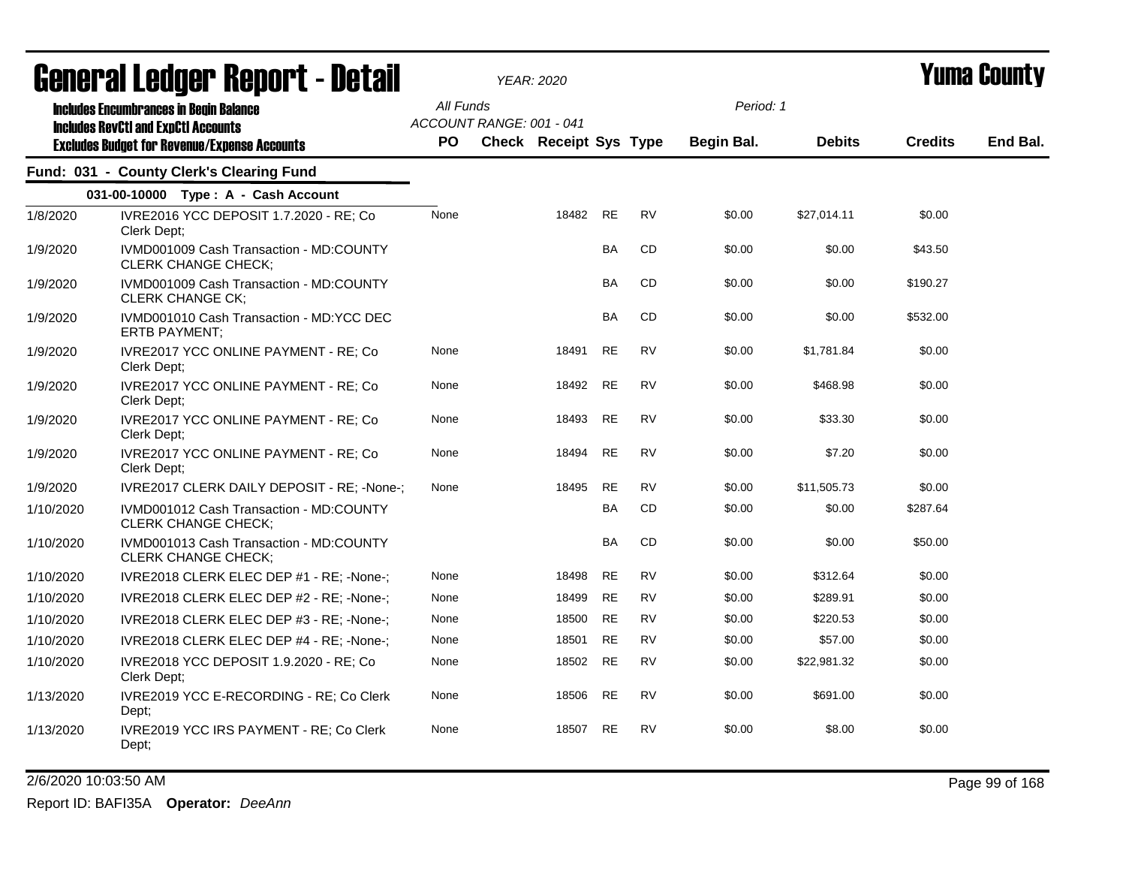|           | agual.gi fanñal. Urini. ( - nafsii                                                          |           |                          | <i>YEAR: 2020</i>             |           |           |            |               |                | I UIIIA VUUIILY |
|-----------|---------------------------------------------------------------------------------------------|-----------|--------------------------|-------------------------------|-----------|-----------|------------|---------------|----------------|-----------------|
|           | <b>Includes Encumbrances in Begin Balance</b><br><b>Includes RevCtI and ExpCtI Accounts</b> | All Funds | ACCOUNT RANGE: 001 - 041 |                               |           |           | Period: 1  |               |                |                 |
|           | <b>Excludes Budget for Revenue/Expense Accounts</b>                                         | PO        |                          | <b>Check Receipt Sys Type</b> |           |           | Begin Bal. | <b>Debits</b> | <b>Credits</b> | End Bal.        |
|           | Fund: 031 - County Clerk's Clearing Fund                                                    |           |                          |                               |           |           |            |               |                |                 |
|           | 031-00-10000 Type: A - Cash Account                                                         |           |                          |                               |           |           |            |               |                |                 |
| 1/8/2020  | IVRE2016 YCC DEPOSIT 1.7.2020 - RE; Co<br>Clerk Dept;                                       | None      |                          | 18482                         | <b>RE</b> | <b>RV</b> | \$0.00     | \$27,014.11   | \$0.00         |                 |
| 1/9/2020  | IVMD001009 Cash Transaction - MD:COUNTY<br><b>CLERK CHANGE CHECK;</b>                       |           |                          |                               | BA        | CD        | \$0.00     | \$0.00        | \$43.50        |                 |
| 1/9/2020  | IVMD001009 Cash Transaction - MD:COUNTY<br><b>CLERK CHANGE CK;</b>                          |           |                          |                               | BA        | CD        | \$0.00     | \$0.00        | \$190.27       |                 |
| 1/9/2020  | IVMD001010 Cash Transaction - MD:YCC DEC<br><b>ERTB PAYMENT;</b>                            |           |                          |                               | <b>BA</b> | CD        | \$0.00     | \$0.00        | \$532.00       |                 |
| 1/9/2020  | IVRE2017 YCC ONLINE PAYMENT - RE; Co<br>Clerk Dept;                                         | None      |                          | 18491                         | <b>RE</b> | <b>RV</b> | \$0.00     | \$1,781.84    | \$0.00         |                 |
| 1/9/2020  | <b>IVRE2017 YCC ONLINE PAYMENT - RE; Co</b><br>Clerk Dept;                                  | None      |                          | 18492                         | <b>RE</b> | <b>RV</b> | \$0.00     | \$468.98      | \$0.00         |                 |
| 1/9/2020  | <b>IVRE2017 YCC ONLINE PAYMENT - RE; Co</b><br>Clerk Dept;                                  | None      |                          | 18493                         | <b>RE</b> | <b>RV</b> | \$0.00     | \$33.30       | \$0.00         |                 |
| 1/9/2020  | IVRE2017 YCC ONLINE PAYMENT - RE; Co<br>Clerk Dept;                                         | None      |                          | 18494                         | <b>RE</b> | <b>RV</b> | \$0.00     | \$7.20        | \$0.00         |                 |
| 1/9/2020  | IVRE2017 CLERK DAILY DEPOSIT - RE; -None-;                                                  | None      |                          | 18495                         | <b>RE</b> | RV        | \$0.00     | \$11,505.73   | \$0.00         |                 |
| 1/10/2020 | IVMD001012 Cash Transaction - MD:COUNTY<br><b>CLERK CHANGE CHECK;</b>                       |           |                          |                               | BA        | CD        | \$0.00     | \$0.00        | \$287.64       |                 |
| 1/10/2020 | IVMD001013 Cash Transaction - MD:COUNTY<br><b>CLERK CHANGE CHECK;</b>                       |           |                          |                               | BA        | CD        | \$0.00     | \$0.00        | \$50.00        |                 |
| 1/10/2020 | IVRE2018 CLERK ELEC DEP #1 - RE; -None-;                                                    | None      |                          | 18498                         | <b>RE</b> | <b>RV</b> | \$0.00     | \$312.64      | \$0.00         |                 |
| 1/10/2020 | IVRE2018 CLERK ELEC DEP #2 - RE; -None-;                                                    | None      |                          | 18499                         | <b>RE</b> | <b>RV</b> | \$0.00     | \$289.91      | \$0.00         |                 |
| 1/10/2020 | IVRE2018 CLERK ELEC DEP #3 - RE; -None-;                                                    | None      |                          | 18500                         | <b>RE</b> | <b>RV</b> | \$0.00     | \$220.53      | \$0.00         |                 |
| 1/10/2020 | IVRE2018 CLERK ELEC DEP #4 - RE; -None-;                                                    | None      |                          | 18501                         | <b>RE</b> | <b>RV</b> | \$0.00     | \$57.00       | \$0.00         |                 |
| 1/10/2020 | IVRE2018 YCC DEPOSIT 1.9.2020 - RE; Co<br>Clerk Dept;                                       | None      |                          | 18502                         | <b>RE</b> | <b>RV</b> | \$0.00     | \$22,981.32   | \$0.00         |                 |
| 1/13/2020 | IVRE2019 YCC E-RECORDING - RE; Co Clerk<br>Dept;                                            | None      |                          | 18506                         | <b>RE</b> | RV        | \$0.00     | \$691.00      | \$0.00         |                 |
| 1/13/2020 | IVRE2019 YCC IRS PAYMENT - RE; Co Clerk<br>Dept;                                            | None      |                          | 18507                         | <b>RE</b> | RV        | \$0.00     | \$8.00        | \$0.00         |                 |

2/6/2020 10:03:50 AM Page 99 of 168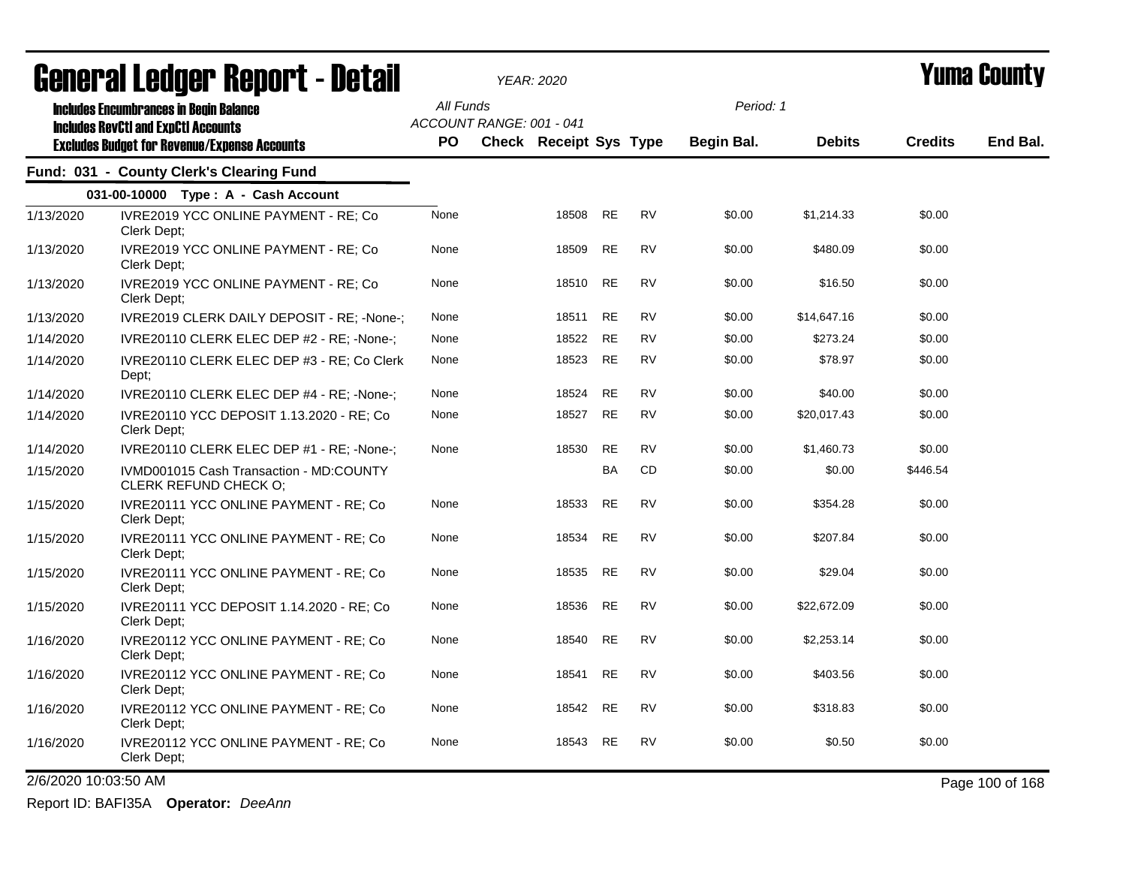|                      |                                                                                                   |           |                          | YEAR: 2020                    |           |           |            |               |                | I UIIIA VUUIILY |
|----------------------|---------------------------------------------------------------------------------------------------|-----------|--------------------------|-------------------------------|-----------|-----------|------------|---------------|----------------|-----------------|
|                      | <b>Includes Encumbrances in Begin Balance</b>                                                     | All Funds |                          |                               |           |           | Period: 1  |               |                |                 |
|                      | <b>Includes RevCtI and ExpCtI Accounts</b><br><b>Excludes Budget for Revenue/Expense Accounts</b> | <b>PO</b> | ACCOUNT RANGE: 001 - 041 | <b>Check Receipt Sys Type</b> |           |           | Begin Bal. | <b>Debits</b> | <b>Credits</b> | End Bal.        |
|                      | Fund: 031 - County Clerk's Clearing Fund                                                          |           |                          |                               |           |           |            |               |                |                 |
|                      | 031-00-10000 Type: A - Cash Account                                                               |           |                          |                               |           |           |            |               |                |                 |
| 1/13/2020            | IVRE2019 YCC ONLINE PAYMENT - RE; Co                                                              | None      |                          | 18508                         | <b>RE</b> | <b>RV</b> | \$0.00     | \$1,214.33    | \$0.00         |                 |
|                      | Clerk Dept;                                                                                       |           |                          |                               |           |           |            |               |                |                 |
| 1/13/2020            | IVRE2019 YCC ONLINE PAYMENT - RE; Co<br>Clerk Dept;                                               | None      |                          | 18509                         | <b>RE</b> | <b>RV</b> | \$0.00     | \$480.09      | \$0.00         |                 |
| 1/13/2020            | IVRE2019 YCC ONLINE PAYMENT - RE; Co<br>Clerk Dept:                                               | None      |                          | 18510                         | <b>RE</b> | <b>RV</b> | \$0.00     | \$16.50       | \$0.00         |                 |
| 1/13/2020            | IVRE2019 CLERK DAILY DEPOSIT - RE; -None-;                                                        | None      |                          | 18511                         | <b>RE</b> | <b>RV</b> | \$0.00     | \$14,647.16   | \$0.00         |                 |
| 1/14/2020            | IVRE20110 CLERK ELEC DEP #2 - RE: -None-;                                                         | None      |                          | 18522                         | <b>RE</b> | <b>RV</b> | \$0.00     | \$273.24      | \$0.00         |                 |
| 1/14/2020            | IVRE20110 CLERK ELEC DEP #3 - RE; Co Clerk<br>Dept:                                               | None      |                          | 18523                         | RE        | <b>RV</b> | \$0.00     | \$78.97       | \$0.00         |                 |
| 1/14/2020            | IVRE20110 CLERK ELEC DEP #4 - RE: -None-;                                                         | None      |                          | 18524                         | <b>RE</b> | <b>RV</b> | \$0.00     | \$40.00       | \$0.00         |                 |
| 1/14/2020            | IVRE20110 YCC DEPOSIT 1.13.2020 - RE; Co<br>Clerk Dept;                                           | None      |                          | 18527                         | <b>RE</b> | <b>RV</b> | \$0.00     | \$20,017.43   | \$0.00         |                 |
| 1/14/2020            | IVRE20110 CLERK ELEC DEP #1 - RE; -None-;                                                         | None      |                          | 18530                         | <b>RE</b> | <b>RV</b> | \$0.00     | \$1,460.73    | \$0.00         |                 |
| 1/15/2020            | IVMD001015 Cash Transaction - MD:COUNTY<br><b>CLERK REFUND CHECK O:</b>                           |           |                          |                               | <b>BA</b> | <b>CD</b> | \$0.00     | \$0.00        | \$446.54       |                 |
| 1/15/2020            | IVRE20111 YCC ONLINE PAYMENT - RE; Co<br>Clerk Dept;                                              | None      |                          | 18533                         | <b>RE</b> | <b>RV</b> | \$0.00     | \$354.28      | \$0.00         |                 |
| 1/15/2020            | IVRE20111 YCC ONLINE PAYMENT - RE; Co<br>Clerk Dept;                                              | None      |                          | 18534                         | <b>RE</b> | <b>RV</b> | \$0.00     | \$207.84      | \$0.00         |                 |
| 1/15/2020            | IVRE20111 YCC ONLINE PAYMENT - RE; Co<br>Clerk Dept;                                              | None      |                          | 18535                         | <b>RE</b> | <b>RV</b> | \$0.00     | \$29.04       | \$0.00         |                 |
| 1/15/2020            | IVRE20111 YCC DEPOSIT 1.14.2020 - RE; Co<br>Clerk Dept;                                           | None      |                          | 18536                         | <b>RE</b> | <b>RV</b> | \$0.00     | \$22,672.09   | \$0.00         |                 |
| 1/16/2020            | IVRE20112 YCC ONLINE PAYMENT - RE; Co<br>Clerk Dept;                                              | None      |                          | 18540                         | <b>RE</b> | <b>RV</b> | \$0.00     | \$2,253.14    | \$0.00         |                 |
| 1/16/2020            | IVRE20112 YCC ONLINE PAYMENT - RE; Co<br>Clerk Dept;                                              | None      |                          | 18541                         | <b>RE</b> | <b>RV</b> | \$0.00     | \$403.56      | \$0.00         |                 |
| 1/16/2020            | IVRE20112 YCC ONLINE PAYMENT - RE; Co<br>Clerk Dept;                                              | None      |                          | 18542                         | <b>RE</b> | <b>RV</b> | \$0.00     | \$318.83      | \$0.00         |                 |
| 1/16/2020            | IVRE20112 YCC ONLINE PAYMENT - RE; Co<br>Clerk Dept;                                              | None      |                          | 18543                         | <b>RE</b> | <b>RV</b> | \$0.00     | \$0.50        | \$0.00         |                 |
| 2/6/2020 10:03:50 AM |                                                                                                   |           |                          |                               |           |           |            |               |                | Page 100 of 168 |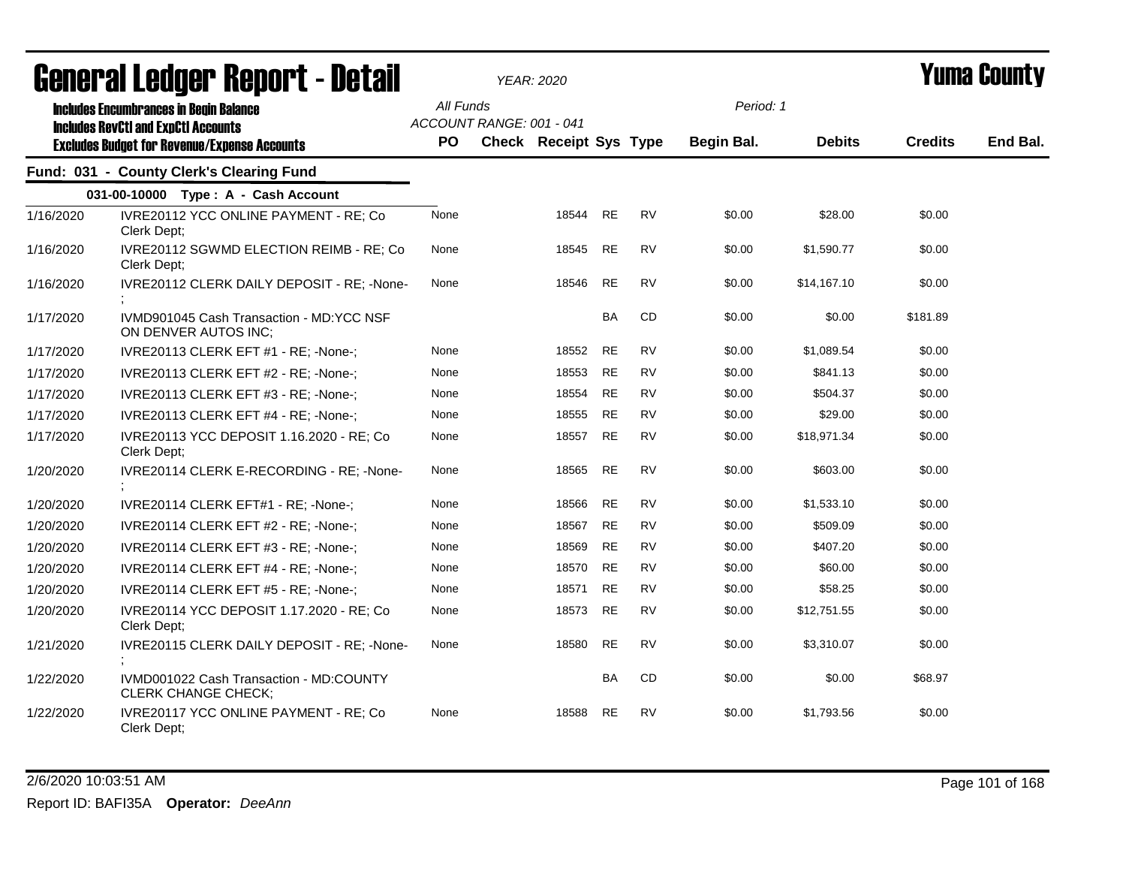|           | agnal (gi fanàn. dehol. f - nergii                                                                                                                 |                  | YEAR: 2020                                         |           |           |                         |               |                | I UIIIU VUUILL |
|-----------|----------------------------------------------------------------------------------------------------------------------------------------------------|------------------|----------------------------------------------------|-----------|-----------|-------------------------|---------------|----------------|----------------|
|           | <b>Includes Encumbrances in Begin Balance</b><br><b>Includes RevCtI and ExpCtI Accounts</b><br><b>Excludes Budget for Revenue/Expense Accounts</b> | All Funds<br>PO. | ACCOUNT RANGE: 001 - 041<br>Check Receipt Sys Type |           |           | Period: 1<br>Begin Bal. | <b>Debits</b> | <b>Credits</b> | End Bal.       |
|           | Fund: 031 - County Clerk's Clearing Fund                                                                                                           |                  |                                                    |           |           |                         |               |                |                |
|           | 031-00-10000 Type: A - Cash Account                                                                                                                |                  |                                                    |           |           |                         |               |                |                |
| 1/16/2020 | IVRE20112 YCC ONLINE PAYMENT - RE; Co<br>Clerk Dept;                                                                                               | None             |                                                    | 18544 RE  | <b>RV</b> | \$0.00                  | \$28.00       | \$0.00         |                |
| 1/16/2020 | IVRE20112 SGWMD ELECTION REIMB - RE; Co<br>Clerk Dept;                                                                                             | None             | 18545                                              | RE        | <b>RV</b> | \$0.00                  | \$1,590.77    | \$0.00         |                |
| 1/16/2020 | IVRE20112 CLERK DAILY DEPOSIT - RE; -None-                                                                                                         | None             | 18546                                              | <b>RE</b> | <b>RV</b> | \$0.00                  | \$14,167.10   | \$0.00         |                |
| 1/17/2020 | IVMD901045 Cash Transaction - MD:YCC NSF<br>ON DENVER AUTOS INC;                                                                                   |                  |                                                    | <b>BA</b> | CD        | \$0.00                  | \$0.00        | \$181.89       |                |
| 1/17/2020 | IVRE20113 CLERK EFT #1 - RE; -None-;                                                                                                               | None             | 18552                                              | <b>RE</b> | <b>RV</b> | \$0.00                  | \$1,089.54    | \$0.00         |                |
| 1/17/2020 | IVRE20113 CLERK EFT #2 - RE; -None-;                                                                                                               | None             | 18553                                              | <b>RE</b> | RV        | \$0.00                  | \$841.13      | \$0.00         |                |
| 1/17/2020 | IVRE20113 CLERK EFT #3 - RE; -None-;                                                                                                               | None             | 18554                                              | <b>RE</b> | <b>RV</b> | \$0.00                  | \$504.37      | \$0.00         |                |
| 1/17/2020 | IVRE20113 CLERK EFT #4 - RE; -None-;                                                                                                               | None             | 18555                                              | <b>RE</b> | <b>RV</b> | \$0.00                  | \$29.00       | \$0.00         |                |
| 1/17/2020 | IVRE20113 YCC DEPOSIT 1.16.2020 - RE; Co<br>Clerk Dept;                                                                                            | None             | 18557                                              | <b>RE</b> | <b>RV</b> | \$0.00                  | \$18,971.34   | \$0.00         |                |
| 1/20/2020 | IVRE20114 CLERK E-RECORDING - RE; -None-                                                                                                           | None             | 18565                                              | <b>RE</b> | <b>RV</b> | \$0.00                  | \$603.00      | \$0.00         |                |
| 1/20/2020 | IVRE20114 CLERK EFT#1 - RE; -None-;                                                                                                                | None             | 18566                                              | <b>RE</b> | <b>RV</b> | \$0.00                  | \$1,533.10    | \$0.00         |                |
| 1/20/2020 | IVRE20114 CLERK EFT #2 - RE; -None-;                                                                                                               | None             | 18567                                              | <b>RE</b> | <b>RV</b> | \$0.00                  | \$509.09      | \$0.00         |                |
| 1/20/2020 | IVRE20114 CLERK EFT #3 - RE; -None-;                                                                                                               | None             | 18569                                              | <b>RE</b> | <b>RV</b> | \$0.00                  | \$407.20      | \$0.00         |                |
| 1/20/2020 | IVRE20114 CLERK EFT #4 - RE; -None-;                                                                                                               | None             | 18570                                              | <b>RE</b> | <b>RV</b> | \$0.00                  | \$60.00       | \$0.00         |                |
| 1/20/2020 | IVRE20114 CLERK EFT #5 - RE; -None-;                                                                                                               | None             | 18571                                              | <b>RE</b> | <b>RV</b> | \$0.00                  | \$58.25       | \$0.00         |                |
| 1/20/2020 | IVRE20114 YCC DEPOSIT 1.17.2020 - RE; Co<br>Clerk Dept:                                                                                            | None             | 18573                                              | <b>RE</b> | RV        | \$0.00                  | \$12,751.55   | \$0.00         |                |
| 1/21/2020 | IVRE20115 CLERK DAILY DEPOSIT - RE; -None-                                                                                                         | None             | 18580                                              | <b>RE</b> | <b>RV</b> | \$0.00                  | \$3,310.07    | \$0.00         |                |
| 1/22/2020 | IVMD001022 Cash Transaction - MD:COUNTY<br><b>CLERK CHANGE CHECK;</b>                                                                              |                  |                                                    | <b>BA</b> | CD        | \$0.00                  | \$0.00        | \$68.97        |                |
| 1/22/2020 | IVRE20117 YCC ONLINE PAYMENT - RE; Co<br>Clerk Dept;                                                                                               | None             | 18588                                              | <b>RE</b> | <b>RV</b> | \$0.00                  | \$1,793.56    | \$0.00         |                |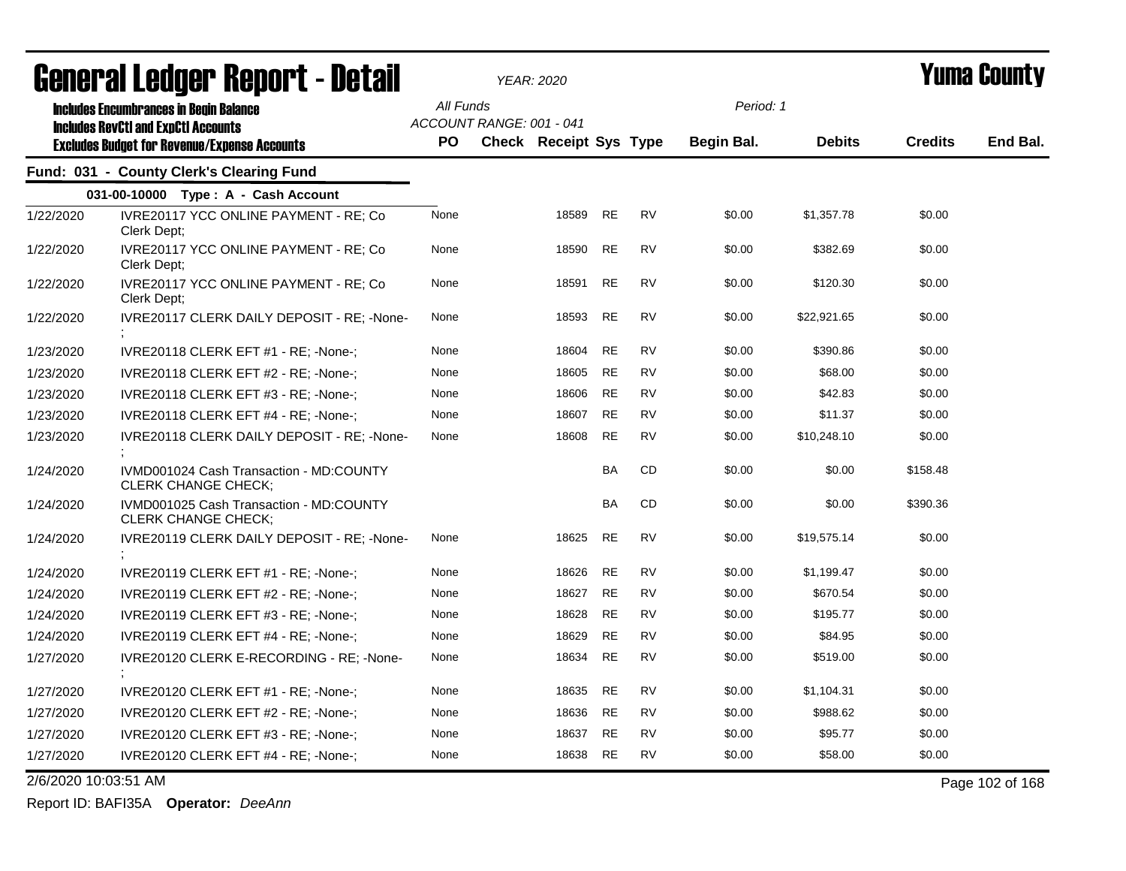|                      | agualai langal. Vahnli - Darah                                        |           |                          | YEAR: 2020                    |           |           |            |               |                | I UIIIA VUUIILY |
|----------------------|-----------------------------------------------------------------------|-----------|--------------------------|-------------------------------|-----------|-----------|------------|---------------|----------------|-----------------|
|                      | <b>Includes Encumbrances in Begin Balance</b>                         | All Funds |                          |                               |           |           | Period: 1  |               |                |                 |
|                      | <b>Includes RevCtI and ExpCtI Accounts</b>                            |           | ACCOUNT RANGE: 001 - 041 |                               |           |           |            |               |                |                 |
|                      | <b>Excludes Budget for Revenue/Expense Accounts</b>                   | PO.       |                          | <b>Check Receipt Sys Type</b> |           |           | Begin Bal. | <b>Debits</b> | <b>Credits</b> | End Bal.        |
|                      | Fund: 031 - County Clerk's Clearing Fund                              |           |                          |                               |           |           |            |               |                |                 |
|                      | 031-00-10000 Type: A - Cash Account                                   |           |                          |                               |           |           |            |               |                |                 |
| 1/22/2020            | IVRE20117 YCC ONLINE PAYMENT - RE; Co<br>Clerk Dept;                  | None      |                          | 18589                         | <b>RE</b> | <b>RV</b> | \$0.00     | \$1,357.78    | \$0.00         |                 |
| 1/22/2020            | IVRE20117 YCC ONLINE PAYMENT - RE; Co<br>Clerk Dept;                  | None      |                          | 18590                         | <b>RE</b> | <b>RV</b> | \$0.00     | \$382.69      | \$0.00         |                 |
| 1/22/2020            | IVRE20117 YCC ONLINE PAYMENT - RE; Co<br>Clerk Dept:                  | None      |                          | 18591                         | <b>RE</b> | <b>RV</b> | \$0.00     | \$120.30      | \$0.00         |                 |
| 1/22/2020            | IVRE20117 CLERK DAILY DEPOSIT - RE: - None-                           | None      |                          | 18593                         | <b>RE</b> | <b>RV</b> | \$0.00     | \$22,921.65   | \$0.00         |                 |
| 1/23/2020            | IVRE20118 CLERK EFT #1 - RE; -None-;                                  | None      |                          | 18604                         | <b>RE</b> | <b>RV</b> | \$0.00     | \$390.86      | \$0.00         |                 |
| 1/23/2020            | IVRE20118 CLERK EFT #2 - RE; -None-;                                  | None      |                          | 18605                         | <b>RE</b> | <b>RV</b> | \$0.00     | \$68.00       | \$0.00         |                 |
| 1/23/2020            | IVRE20118 CLERK EFT #3 - RE; -None-;                                  | None      |                          | 18606                         | <b>RE</b> | <b>RV</b> | \$0.00     | \$42.83       | \$0.00         |                 |
| 1/23/2020            | IVRE20118 CLERK EFT #4 - RE: -None-:                                  | None      |                          | 18607                         | <b>RE</b> | <b>RV</b> | \$0.00     | \$11.37       | \$0.00         |                 |
| 1/23/2020            | IVRE20118 CLERK DAILY DEPOSIT - RE; -None-                            | None      |                          | 18608                         | <b>RE</b> | <b>RV</b> | \$0.00     | \$10,248.10   | \$0.00         |                 |
| 1/24/2020            | IVMD001024 Cash Transaction - MD:COUNTY<br><b>CLERK CHANGE CHECK:</b> |           |                          |                               | BA        | CD        | \$0.00     | \$0.00        | \$158.48       |                 |
| 1/24/2020            | IVMD001025 Cash Transaction - MD:COUNTY<br><b>CLERK CHANGE CHECK:</b> |           |                          |                               | BA        | CD        | \$0.00     | \$0.00        | \$390.36       |                 |
| 1/24/2020            | IVRE20119 CLERK DAILY DEPOSIT - RE; -None-                            | None      |                          | 18625                         | <b>RE</b> | <b>RV</b> | \$0.00     | \$19,575.14   | \$0.00         |                 |
| 1/24/2020            | IVRE20119 CLERK EFT #1 - RE; -None-;                                  | None      |                          | 18626                         | RE        | <b>RV</b> | \$0.00     | \$1,199.47    | \$0.00         |                 |
| 1/24/2020            | IVRE20119 CLERK EFT #2 - RE; -None-;                                  | None      |                          | 18627                         | RE        | <b>RV</b> | \$0.00     | \$670.54      | \$0.00         |                 |
| 1/24/2020            | IVRE20119 CLERK EFT #3 - RE: -None-:                                  | None      |                          | 18628                         | <b>RE</b> | <b>RV</b> | \$0.00     | \$195.77      | \$0.00         |                 |
| 1/24/2020            | IVRE20119 CLERK EFT #4 - RE; -None-;                                  | None      |                          | 18629                         | <b>RE</b> | <b>RV</b> | \$0.00     | \$84.95       | \$0.00         |                 |
| 1/27/2020            | IVRE20120 CLERK E-RECORDING - RE; -None-                              | None      |                          | 18634                         | <b>RE</b> | <b>RV</b> | \$0.00     | \$519.00      | \$0.00         |                 |
| 1/27/2020            | IVRE20120 CLERK EFT #1 - RE; -None-;                                  | None      |                          | 18635                         | <b>RE</b> | <b>RV</b> | \$0.00     | \$1,104.31    | \$0.00         |                 |
| 1/27/2020            | IVRE20120 CLERK EFT #2 - RE; -None-;                                  | None      |                          | 18636                         | <b>RE</b> | <b>RV</b> | \$0.00     | \$988.62      | \$0.00         |                 |
| 1/27/2020            | IVRE20120 CLERK EFT #3 - RE; -None-;                                  | None      |                          | 18637                         | <b>RE</b> | <b>RV</b> | \$0.00     | \$95.77       | \$0.00         |                 |
| 1/27/2020            | IVRE20120 CLERK EFT #4 - RE; -None-;                                  | None      |                          | 18638                         | <b>RE</b> | <b>RV</b> | \$0.00     | \$58.00       | \$0.00         |                 |
| 2/6/2020 10:03:51 AM |                                                                       |           |                          |                               |           |           |            |               |                | Page 102 of 168 |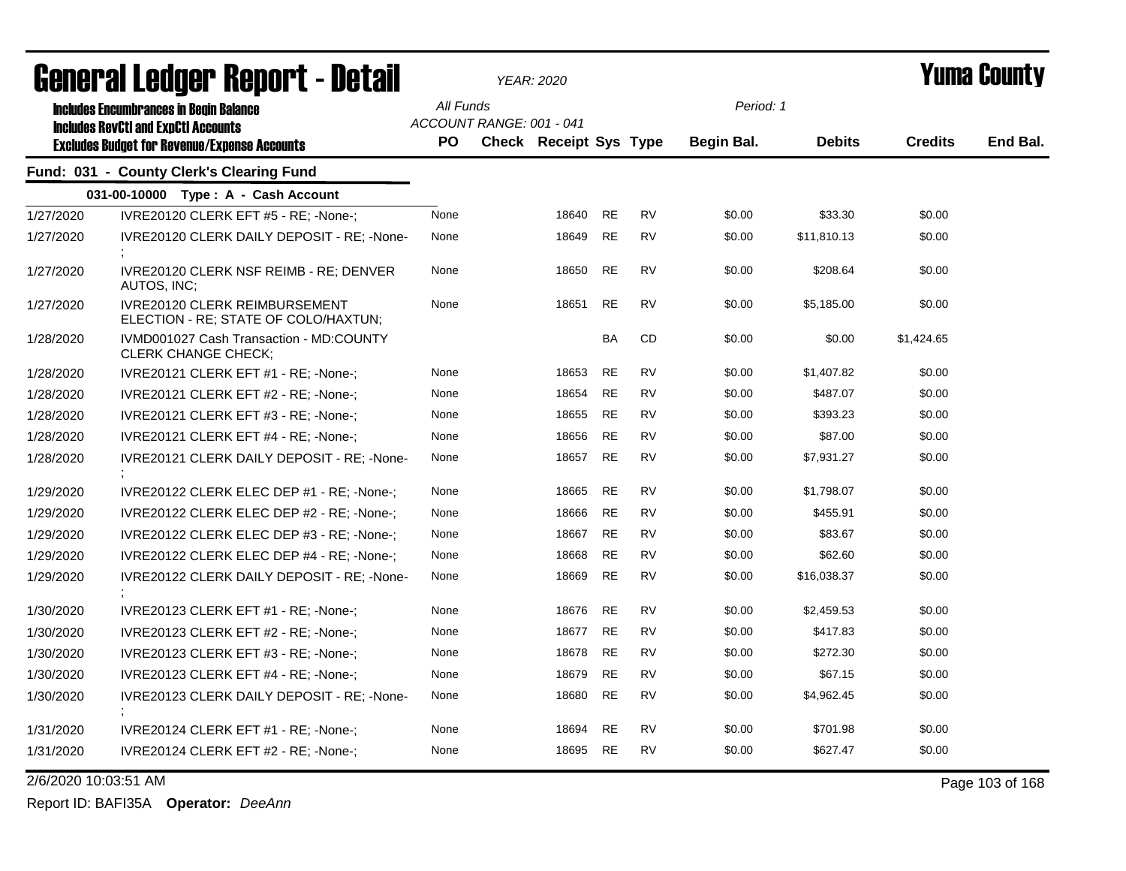| agiigi.gi fanñai. Vahni. ( - nafqii |                                                                                             |           |                          | YEAR: 2020                    |           |           |            |               |                | I UIIIA VUUIILY |
|-------------------------------------|---------------------------------------------------------------------------------------------|-----------|--------------------------|-------------------------------|-----------|-----------|------------|---------------|----------------|-----------------|
|                                     | <b>Includes Encumbrances in Begin Balance</b><br><b>Includes RevCtI and ExpCtI Accounts</b> | All Funds | ACCOUNT RANGE: 001 - 041 |                               |           |           | Period: 1  |               |                |                 |
|                                     | <b>Excludes Budget for Revenue/Expense Accounts</b>                                         | PO.       |                          | <b>Check Receipt Sys Type</b> |           |           | Begin Bal. | <b>Debits</b> | <b>Credits</b> | End Bal.        |
|                                     | Fund: 031 - County Clerk's Clearing Fund                                                    |           |                          |                               |           |           |            |               |                |                 |
|                                     | 031-00-10000 Type: A - Cash Account                                                         |           |                          |                               |           |           |            |               |                |                 |
| 1/27/2020                           | IVRE20120 CLERK EFT #5 - RE; -None-;                                                        | None      |                          | 18640                         | <b>RE</b> | <b>RV</b> | \$0.00     | \$33.30       | \$0.00         |                 |
| 1/27/2020                           | IVRE20120 CLERK DAILY DEPOSIT - RE; -None-                                                  | None      |                          | 18649                         | <b>RE</b> | <b>RV</b> | \$0.00     | \$11,810.13   | \$0.00         |                 |
| 1/27/2020                           | IVRE20120 CLERK NSF REIMB - RE; DENVER<br>AUTOS, INC;                                       | None      |                          | 18650                         | <b>RE</b> | <b>RV</b> | \$0.00     | \$208.64      | \$0.00         |                 |
| 1/27/2020                           | IVRE20120 CLERK REIMBURSEMENT<br>ELECTION - RE; STATE OF COLO/HAXTUN;                       | None      |                          | 18651                         | <b>RE</b> | <b>RV</b> | \$0.00     | \$5,185.00    | \$0.00         |                 |
| 1/28/2020                           | IVMD001027 Cash Transaction - MD:COUNTY<br>CLERK CHANGE CHECK;                              |           |                          |                               | <b>BA</b> | CD        | \$0.00     | \$0.00        | \$1,424.65     |                 |
| 1/28/2020                           | IVRE20121 CLERK EFT #1 - RE; -None-;                                                        | None      |                          | 18653                         | <b>RE</b> | <b>RV</b> | \$0.00     | \$1,407.82    | \$0.00         |                 |
| 1/28/2020                           | IVRE20121 CLERK EFT #2 - RE; -None-;                                                        | None      |                          | 18654                         | <b>RE</b> | <b>RV</b> | \$0.00     | \$487.07      | \$0.00         |                 |
| 1/28/2020                           | IVRE20121 CLERK EFT #3 - RE; -None-;                                                        | None      |                          | 18655                         | <b>RE</b> | <b>RV</b> | \$0.00     | \$393.23      | \$0.00         |                 |
| 1/28/2020                           | IVRE20121 CLERK EFT #4 - RE; -None-;                                                        | None      |                          | 18656                         | <b>RE</b> | RV        | \$0.00     | \$87.00       | \$0.00         |                 |
| 1/28/2020                           | IVRE20121 CLERK DAILY DEPOSIT - RE; -None-                                                  | None      |                          | 18657                         | <b>RE</b> | RV        | \$0.00     | \$7,931.27    | \$0.00         |                 |
| 1/29/2020                           | IVRE20122 CLERK ELEC DEP #1 - RE; -None-;                                                   | None      |                          | 18665                         | <b>RE</b> | <b>RV</b> | \$0.00     | \$1,798.07    | \$0.00         |                 |
| 1/29/2020                           | IVRE20122 CLERK ELEC DEP #2 - RE; -None-;                                                   | None      |                          | 18666                         | <b>RE</b> | <b>RV</b> | \$0.00     | \$455.91      | \$0.00         |                 |
| 1/29/2020                           | IVRE20122 CLERK ELEC DEP #3 - RE; -None-;                                                   | None      |                          | 18667                         | <b>RE</b> | RV        | \$0.00     | \$83.67       | \$0.00         |                 |
| 1/29/2020                           | IVRE20122 CLERK ELEC DEP #4 - RE; -None-;                                                   | None      |                          | 18668                         | <b>RE</b> | <b>RV</b> | \$0.00     | \$62.60       | \$0.00         |                 |
| 1/29/2020                           | IVRE20122 CLERK DAILY DEPOSIT - RE; -None-                                                  | None      |                          | 18669                         | <b>RE</b> | <b>RV</b> | \$0.00     | \$16.038.37   | \$0.00         |                 |
| 1/30/2020                           | IVRE20123 CLERK EFT #1 - RE; -None-;                                                        | None      |                          | 18676                         | <b>RE</b> | <b>RV</b> | \$0.00     | \$2,459.53    | \$0.00         |                 |
| 1/30/2020                           | IVRE20123 CLERK EFT #2 - RE; -None-;                                                        | None      |                          | 18677                         | <b>RE</b> | <b>RV</b> | \$0.00     | \$417.83      | \$0.00         |                 |
| 1/30/2020                           | IVRE20123 CLERK EFT #3 - RE; -None-;                                                        | None      |                          | 18678                         | <b>RE</b> | RV        | \$0.00     | \$272.30      | \$0.00         |                 |
| 1/30/2020                           | IVRE20123 CLERK EFT #4 - RE; -None-;                                                        | None      |                          | 18679                         | <b>RE</b> | <b>RV</b> | \$0.00     | \$67.15       | \$0.00         |                 |
| 1/30/2020                           | IVRE20123 CLERK DAILY DEPOSIT - RE; -None-                                                  | None      |                          | 18680                         | <b>RE</b> | <b>RV</b> | \$0.00     | \$4,962.45    | \$0.00         |                 |
| 1/31/2020                           | IVRE20124 CLERK EFT #1 - RE; -None-;                                                        | None      |                          | 18694                         | <b>RE</b> | <b>RV</b> | \$0.00     | \$701.98      | \$0.00         |                 |
| 1/31/2020                           | IVRE20124 CLERK EFT #2 - RE; -None-;                                                        | None      |                          | 18695                         | <b>RE</b> | <b>RV</b> | \$0.00     | \$627.47      | \$0.00         |                 |

2/6/2020 10:03:51 AM Page 103 of 168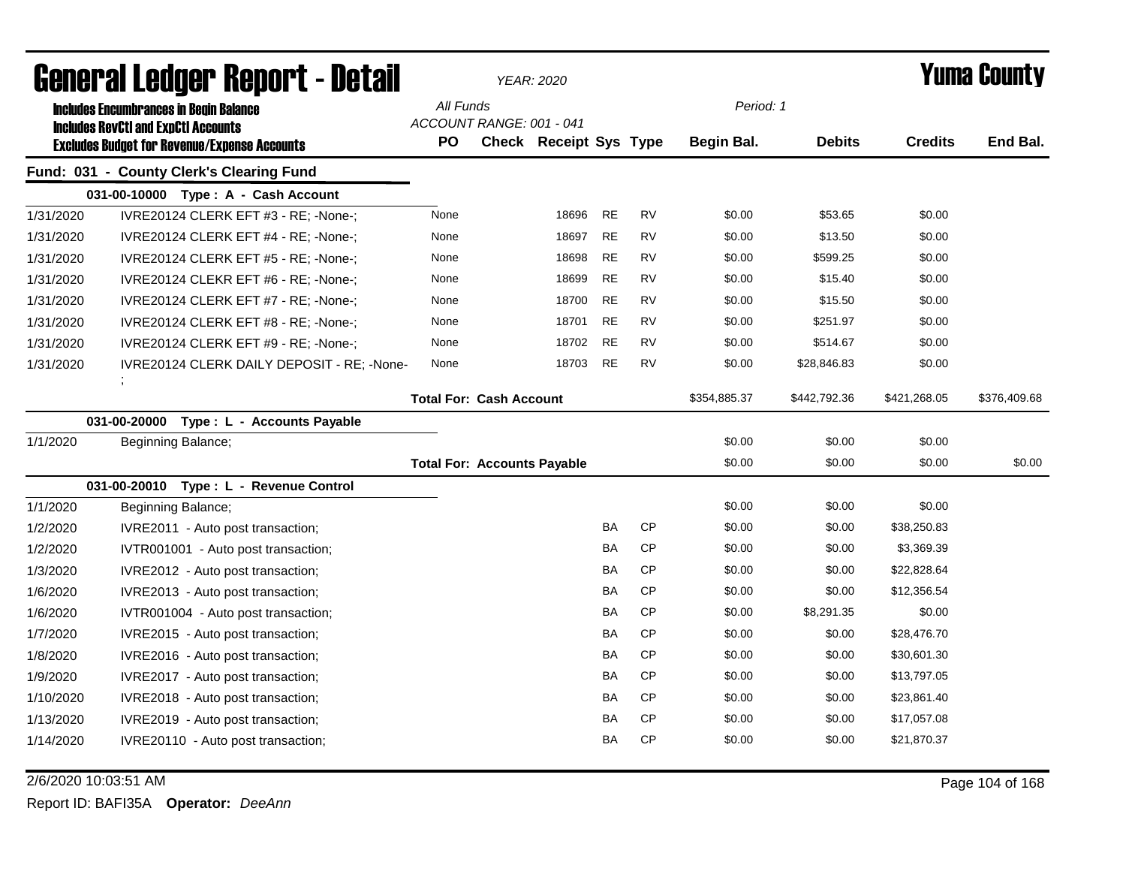|           | General Ledger Report - Detail                      |                                    | <b>YEAR: 2020</b>      |           |           | <b>Yuma County</b> |               |                |              |
|-----------|-----------------------------------------------------|------------------------------------|------------------------|-----------|-----------|--------------------|---------------|----------------|--------------|
|           | <b>Includes Encumbrances in Begin Balance</b>       | All Funds                          |                        |           |           | Period: 1          |               |                |              |
|           | <b>Includes RevCtI and ExpCtI Accounts</b>          | ACCOUNT RANGE: 001 - 041           |                        |           |           |                    |               |                |              |
|           | <b>Excludes Budget for Revenue/Expense Accounts</b> | <b>PO</b>                          | Check Receipt Sys Type |           |           | Begin Bal.         | <b>Debits</b> | <b>Credits</b> | End Bal.     |
|           | Fund: 031 - County Clerk's Clearing Fund            |                                    |                        |           |           |                    |               |                |              |
|           | 031-00-10000 Type: A - Cash Account                 |                                    |                        |           |           |                    |               |                |              |
| 1/31/2020 | IVRE20124 CLERK EFT #3 - RE; -None-;                | None                               | 18696                  | <b>RE</b> | <b>RV</b> | \$0.00             | \$53.65       | \$0.00         |              |
| 1/31/2020 | IVRE20124 CLERK EFT #4 - RE; -None-;                | None                               | 18697                  | <b>RE</b> | <b>RV</b> | \$0.00             | \$13.50       | \$0.00         |              |
| 1/31/2020 | IVRE20124 CLERK EFT #5 - RE; -None-;                | None                               | 18698                  | <b>RE</b> | <b>RV</b> | \$0.00             | \$599.25      | \$0.00         |              |
| 1/31/2020 | IVRE20124 CLEKR EFT #6 - RE; -None-;                | None                               | 18699                  | <b>RE</b> | <b>RV</b> | \$0.00             | \$15.40       | \$0.00         |              |
| 1/31/2020 | IVRE20124 CLERK EFT #7 - RE; -None-;                | None                               | 18700                  | <b>RE</b> | <b>RV</b> | \$0.00             | \$15.50       | \$0.00         |              |
| 1/31/2020 | IVRE20124 CLERK EFT #8 - RE; -None-;                | None                               | 18701                  | <b>RE</b> | <b>RV</b> | \$0.00             | \$251.97      | \$0.00         |              |
| 1/31/2020 | IVRE20124 CLERK EFT #9 - RE; -None-;                | None                               | 18702                  | <b>RE</b> | <b>RV</b> | \$0.00             | \$514.67      | \$0.00         |              |
| 1/31/2020 | IVRE20124 CLERK DAILY DEPOSIT - RE; -None-          | None                               | 18703                  | <b>RE</b> | <b>RV</b> | \$0.00             | \$28,846.83   | \$0.00         |              |
|           | $\overline{\phantom{a}}$                            | <b>Total For: Cash Account</b>     |                        |           |           | \$354,885.37       | \$442,792.36  | \$421,268.05   | \$376,409.68 |
|           | 031-00-20000<br>Type : L - Accounts Payable         |                                    |                        |           |           |                    |               |                |              |
| 1/1/2020  | Beginning Balance;                                  |                                    |                        |           |           | \$0.00             | \$0.00        | \$0.00         |              |
|           |                                                     | <b>Total For: Accounts Payable</b> |                        |           |           | \$0.00             | \$0.00        | \$0.00         | \$0.00       |
|           | 031-00-20010 Type: L - Revenue Control              |                                    |                        |           |           |                    |               |                |              |
| 1/1/2020  | Beginning Balance;                                  |                                    |                        |           |           | \$0.00             | \$0.00        | \$0.00         |              |
| 1/2/2020  | IVRE2011 - Auto post transaction;                   |                                    |                        | BA        | <b>CP</b> | \$0.00             | \$0.00        | \$38,250.83    |              |
| 1/2/2020  | IVTR001001 - Auto post transaction;                 |                                    |                        | BA        | CP        | \$0.00             | \$0.00        | \$3,369.39     |              |
| 1/3/2020  | IVRE2012 - Auto post transaction;                   |                                    |                        | BA        | <b>CP</b> | \$0.00             | \$0.00        | \$22,828.64    |              |
| 1/6/2020  | IVRE2013 - Auto post transaction;                   |                                    |                        | BA        | <b>CP</b> | \$0.00             | \$0.00        | \$12,356.54    |              |
| 1/6/2020  | IVTR001004 - Auto post transaction;                 |                                    |                        | BA        | <b>CP</b> | \$0.00             | \$8,291.35    | \$0.00         |              |
| 1/7/2020  | IVRE2015 - Auto post transaction;                   |                                    |                        | BA        | <b>CP</b> | \$0.00             | \$0.00        | \$28,476.70    |              |
| 1/8/2020  | IVRE2016 - Auto post transaction;                   |                                    |                        | BA        | <b>CP</b> | \$0.00             | \$0.00        | \$30,601.30    |              |
| 1/9/2020  | IVRE2017 - Auto post transaction;                   |                                    |                        | BA        | <b>CP</b> | \$0.00             | \$0.00        | \$13,797.05    |              |
| 1/10/2020 | IVRE2018 - Auto post transaction;                   |                                    |                        | BA        | <b>CP</b> | \$0.00             | \$0.00        | \$23,861.40    |              |
| 1/13/2020 | IVRE2019 - Auto post transaction;                   |                                    |                        | BA        | <b>CP</b> | \$0.00             | \$0.00        | \$17,057.08    |              |
| 1/14/2020 | IVRE20110 - Auto post transaction;                  |                                    |                        | BA        | <b>CP</b> | \$0.00             | \$0.00        | \$21,870.37    |              |

2/6/2020 10:03:51 AM Page 104 of 168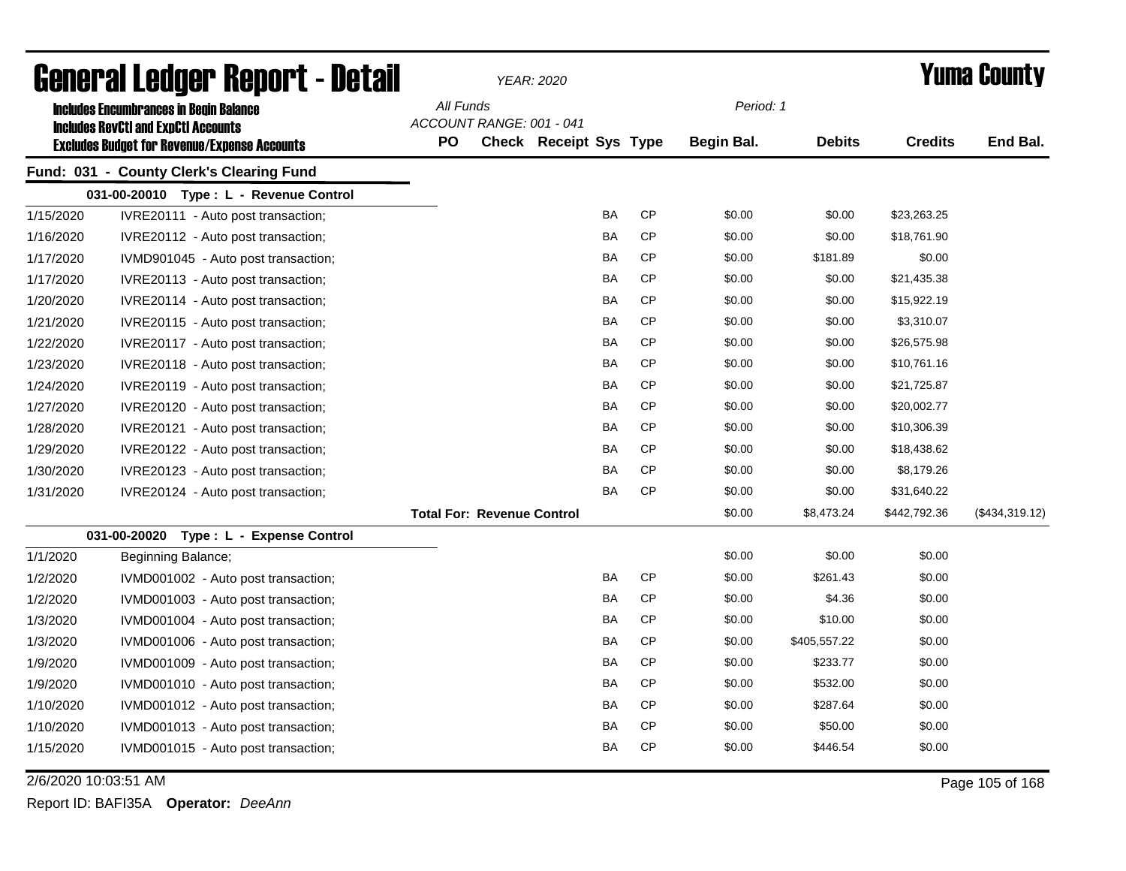| General Ledger Report - Detail |                                                     |           |                                   | YEAR: 2020                    |           |           |                   |               |                | Yuma County    |  |
|--------------------------------|-----------------------------------------------------|-----------|-----------------------------------|-------------------------------|-----------|-----------|-------------------|---------------|----------------|----------------|--|
|                                | <b>Includes Encumbrances in Begin Balance</b>       | All Funds |                                   |                               |           |           | Period: 1         |               |                |                |  |
|                                | <b>Includes RevCtI and ExpCtI Accounts</b>          |           | ACCOUNT RANGE: 001 - 041          |                               |           |           |                   |               |                |                |  |
|                                | <b>Excludes Budget for Revenue/Expense Accounts</b> | PO        |                                   | <b>Check Receipt Sys Type</b> |           |           | <b>Begin Bal.</b> | <b>Debits</b> | <b>Credits</b> | End Bal.       |  |
|                                | Fund: 031 - County Clerk's Clearing Fund            |           |                                   |                               |           |           |                   |               |                |                |  |
|                                | 031-00-20010 Type: L - Revenue Control              |           |                                   |                               |           |           |                   |               |                |                |  |
| 1/15/2020                      | IVRE20111 - Auto post transaction;                  |           |                                   |                               | <b>BA</b> | CP        | \$0.00            | \$0.00        | \$23,263.25    |                |  |
| 1/16/2020                      | IVRE20112 - Auto post transaction;                  |           |                                   |                               | BA        | <b>CP</b> | \$0.00            | \$0.00        | \$18,761.90    |                |  |
| 1/17/2020                      | IVMD901045 - Auto post transaction;                 |           |                                   |                               | BA        | <b>CP</b> | \$0.00            | \$181.89      | \$0.00         |                |  |
| 1/17/2020                      | IVRE20113 - Auto post transaction;                  |           |                                   |                               | BA        | <b>CP</b> | \$0.00            | \$0.00        | \$21,435.38    |                |  |
| 1/20/2020                      | IVRE20114 - Auto post transaction;                  |           |                                   |                               | <b>BA</b> | <b>CP</b> | \$0.00            | \$0.00        | \$15,922.19    |                |  |
| 1/21/2020                      | IVRE20115 - Auto post transaction;                  |           |                                   |                               | <b>BA</b> | <b>CP</b> | \$0.00            | \$0.00        | \$3,310.07     |                |  |
| 1/22/2020                      | IVRE20117 - Auto post transaction;                  |           |                                   |                               | <b>BA</b> | <b>CP</b> | \$0.00            | \$0.00        | \$26,575.98    |                |  |
| 1/23/2020                      | IVRE20118 - Auto post transaction;                  |           |                                   |                               | BA        | <b>CP</b> | \$0.00            | \$0.00        | \$10,761.16    |                |  |
| 1/24/2020                      | IVRE20119 - Auto post transaction;                  |           |                                   |                               | <b>BA</b> | <b>CP</b> | \$0.00            | \$0.00        | \$21,725.87    |                |  |
| 1/27/2020                      | IVRE20120 - Auto post transaction;                  |           |                                   |                               | <b>BA</b> | <b>CP</b> | \$0.00            | \$0.00        | \$20,002.77    |                |  |
| 1/28/2020                      | IVRE20121 - Auto post transaction;                  |           |                                   |                               | <b>BA</b> | <b>CP</b> | \$0.00            | \$0.00        | \$10,306.39    |                |  |
| 1/29/2020                      | IVRE20122 - Auto post transaction;                  |           |                                   |                               | BA        | <b>CP</b> | \$0.00            | \$0.00        | \$18,438.62    |                |  |
| 1/30/2020                      | IVRE20123 - Auto post transaction;                  |           |                                   |                               | BA        | <b>CP</b> | \$0.00            | \$0.00        | \$8,179.26     |                |  |
| 1/31/2020                      | IVRE20124 - Auto post transaction;                  |           |                                   |                               | BA        | <b>CP</b> | \$0.00            | \$0.00        | \$31,640.22    |                |  |
|                                |                                                     |           | <b>Total For: Revenue Control</b> |                               |           |           | \$0.00            | \$8,473.24    | \$442,792.36   | (\$434,319.12) |  |
|                                | 031-00-20020 Type: L - Expense Control              |           |                                   |                               |           |           |                   |               |                |                |  |
| 1/1/2020                       | Beginning Balance;                                  |           |                                   |                               |           |           | \$0.00            | \$0.00        | \$0.00         |                |  |
| 1/2/2020                       | IVMD001002 - Auto post transaction;                 |           |                                   |                               | <b>BA</b> | <b>CP</b> | \$0.00            | \$261.43      | \$0.00         |                |  |
| 1/2/2020                       | IVMD001003 - Auto post transaction;                 |           |                                   |                               | <b>BA</b> | <b>CP</b> | \$0.00            | \$4.36        | \$0.00         |                |  |
| 1/3/2020                       | IVMD001004 - Auto post transaction;                 |           |                                   |                               | <b>BA</b> | <b>CP</b> | \$0.00            | \$10.00       | \$0.00         |                |  |
| 1/3/2020                       | IVMD001006 - Auto post transaction;                 |           |                                   |                               | BA        | <b>CP</b> | \$0.00            | \$405,557.22  | \$0.00         |                |  |
| 1/9/2020                       | IVMD001009 - Auto post transaction;                 |           |                                   |                               | BA        | <b>CP</b> | \$0.00            | \$233.77      | \$0.00         |                |  |
| 1/9/2020                       | IVMD001010 - Auto post transaction;                 |           |                                   |                               | BA        | <b>CP</b> | \$0.00            | \$532.00      | \$0.00         |                |  |
| 1/10/2020                      | IVMD001012 - Auto post transaction;                 |           |                                   |                               | BA        | <b>CP</b> | \$0.00            | \$287.64      | \$0.00         |                |  |
| 1/10/2020                      | IVMD001013 - Auto post transaction;                 |           |                                   |                               | BA        | <b>CP</b> | \$0.00            | \$50.00       | \$0.00         |                |  |
| 1/15/2020                      | IVMD001015 - Auto post transaction;                 |           |                                   |                               | BA        | <b>CP</b> | \$0.00            | \$446.54      | \$0.00         |                |  |
|                                |                                                     |           |                                   |                               |           |           |                   |               |                |                |  |

2/6/2020 10:03:51 AM Page 105 of 168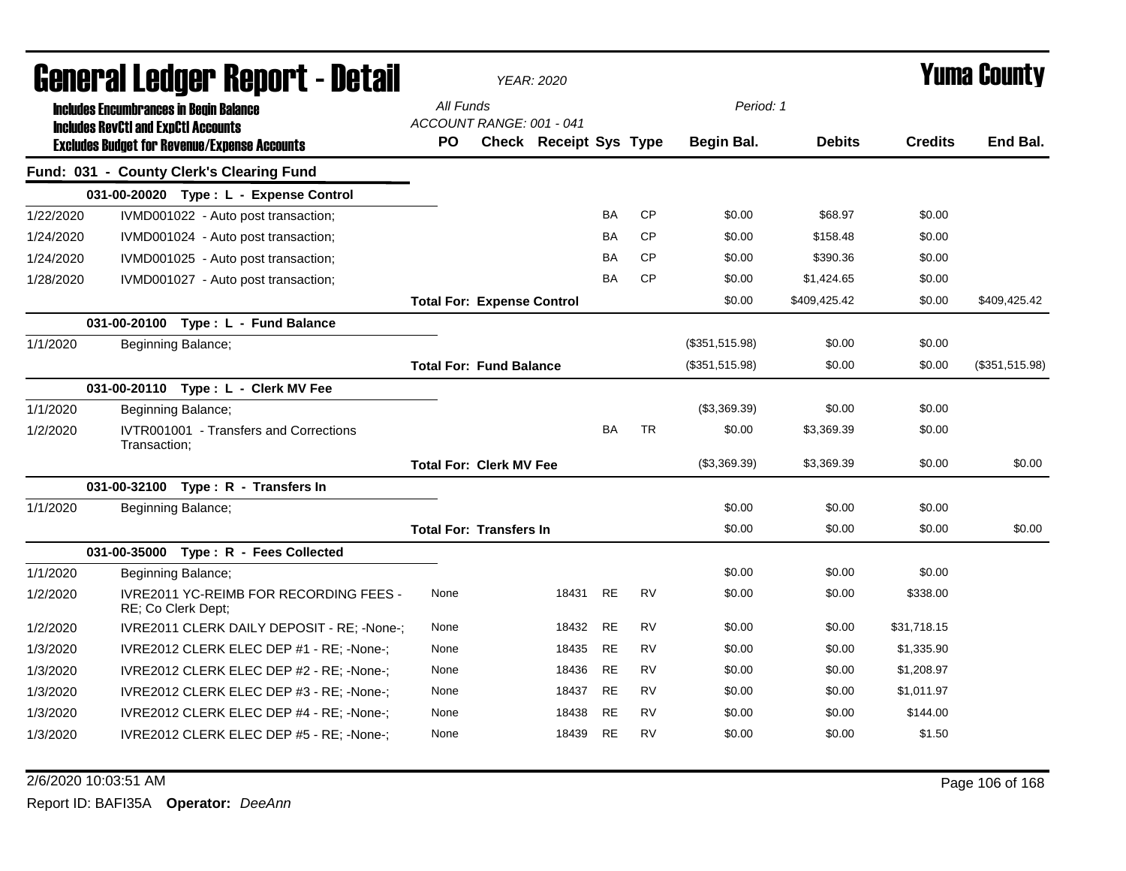| General Ledger Report - Detail |                                                                                             |                                                                     |                                       | <b>YEAR: 2020</b>             |           |           |                |               |                | <b>Yuma County</b> |  |
|--------------------------------|---------------------------------------------------------------------------------------------|---------------------------------------------------------------------|---------------------------------------|-------------------------------|-----------|-----------|----------------|---------------|----------------|--------------------|--|
|                                | <b>Includes Encumbrances in Begin Balance</b><br><b>Includes RevCtI and ExpCtI Accounts</b> |                                                                     | All Funds<br>ACCOUNT RANGE: 001 - 041 |                               |           |           | Period: 1      |               |                |                    |  |
|                                |                                                                                             | <b>Excludes Budget for Revenue/Expense Accounts</b>                 | <b>PO</b>                             | <b>Check Receipt Sys Type</b> |           |           | Begin Bal.     | <b>Debits</b> | <b>Credits</b> | End Bal.           |  |
|                                |                                                                                             | Fund: 031 - County Clerk's Clearing Fund                            |                                       |                               |           |           |                |               |                |                    |  |
|                                |                                                                                             | 031-00-20020 Type: L - Expense Control                              |                                       |                               |           |           |                |               |                |                    |  |
| 1/22/2020                      |                                                                                             | IVMD001022 - Auto post transaction;                                 |                                       |                               | <b>BA</b> | <b>CP</b> | \$0.00         | \$68.97       | \$0.00         |                    |  |
| 1/24/2020                      |                                                                                             | IVMD001024 - Auto post transaction;                                 |                                       |                               | <b>BA</b> | <b>CP</b> | \$0.00         | \$158.48      | \$0.00         |                    |  |
| 1/24/2020                      |                                                                                             | IVMD001025 - Auto post transaction;                                 |                                       |                               | <b>BA</b> | <b>CP</b> | \$0.00         | \$390.36      | \$0.00         |                    |  |
| 1/28/2020                      |                                                                                             | IVMD001027 - Auto post transaction;                                 |                                       |                               | <b>BA</b> | <b>CP</b> | \$0.00         | \$1,424.65    | \$0.00         |                    |  |
|                                |                                                                                             |                                                                     | <b>Total For: Expense Control</b>     |                               |           |           | \$0.00         | \$409,425.42  | \$0.00         | \$409,425.42       |  |
|                                |                                                                                             | 031-00-20100 Type: L - Fund Balance                                 |                                       |                               |           |           |                |               |                |                    |  |
| 1/1/2020                       |                                                                                             | <b>Beginning Balance;</b>                                           |                                       |                               |           |           | (\$351,515.98) | \$0.00        | \$0.00         |                    |  |
|                                |                                                                                             |                                                                     | <b>Total For: Fund Balance</b>        |                               |           |           | (\$351,515.98) | \$0.00        | \$0.00         | (\$351,515.98)     |  |
|                                |                                                                                             | 031-00-20110 Type: L - Clerk MV Fee                                 |                                       |                               |           |           |                |               |                |                    |  |
| 1/1/2020                       |                                                                                             | Beginning Balance;                                                  |                                       |                               |           |           | (\$3,369.39)   | \$0.00        | \$0.00         |                    |  |
| 1/2/2020                       | Transaction:                                                                                | IVTR001001 - Transfers and Corrections                              |                                       |                               | <b>BA</b> | <b>TR</b> | \$0.00         | \$3,369.39    | \$0.00         |                    |  |
|                                |                                                                                             |                                                                     | <b>Total For: Clerk MV Fee</b>        |                               |           |           | (\$3,369.39)   | \$3,369.39    | \$0.00         | \$0.00             |  |
|                                |                                                                                             | 031-00-32100 Type: R - Transfers In                                 |                                       |                               |           |           |                |               |                |                    |  |
| 1/1/2020                       |                                                                                             | Beginning Balance;                                                  |                                       |                               |           |           | \$0.00         | \$0.00        | \$0.00         |                    |  |
|                                |                                                                                             |                                                                     | <b>Total For: Transfers In</b>        |                               |           |           | \$0.00         | \$0.00        | \$0.00         | \$0.00             |  |
|                                |                                                                                             | 031-00-35000 Type: R - Fees Collected                               |                                       |                               |           |           |                |               |                |                    |  |
| 1/1/2020                       |                                                                                             | Beginning Balance;                                                  |                                       |                               |           |           | \$0.00         | \$0.00        | \$0.00         |                    |  |
| 1/2/2020                       |                                                                                             | <b>IVRE2011 YC-REIMB FOR RECORDING FEES -</b><br>RE; Co Clerk Dept; | None                                  | 18431                         | <b>RE</b> | <b>RV</b> | \$0.00         | \$0.00        | \$338.00       |                    |  |
| 1/2/2020                       |                                                                                             | IVRE2011 CLERK DAILY DEPOSIT - RE; -None-;                          | None                                  | 18432                         | <b>RE</b> | <b>RV</b> | \$0.00         | \$0.00        | \$31,718.15    |                    |  |
| 1/3/2020                       |                                                                                             | IVRE2012 CLERK ELEC DEP #1 - RE; -None-;                            | None                                  | 18435                         | <b>RE</b> | <b>RV</b> | \$0.00         | \$0.00        | \$1,335.90     |                    |  |
| 1/3/2020                       |                                                                                             | IVRE2012 CLERK ELEC DEP #2 - RE; -None-;                            | None                                  | 18436                         | <b>RE</b> | <b>RV</b> | \$0.00         | \$0.00        | \$1,208.97     |                    |  |
| 1/3/2020                       |                                                                                             | IVRE2012 CLERK ELEC DEP #3 - RE; -None-;                            | None                                  | 18437                         | <b>RE</b> | <b>RV</b> | \$0.00         | \$0.00        | \$1,011.97     |                    |  |
| 1/3/2020                       |                                                                                             | IVRE2012 CLERK ELEC DEP #4 - RE; -None-;                            | None                                  | 18438                         | <b>RE</b> | <b>RV</b> | \$0.00         | \$0.00        | \$144.00       |                    |  |
| 1/3/2020                       |                                                                                             | IVRE2012 CLERK ELEC DEP #5 - RE; -None-;                            | None                                  | 18439                         | <b>RE</b> | <b>RV</b> | \$0.00         | \$0.00        | \$1.50         |                    |  |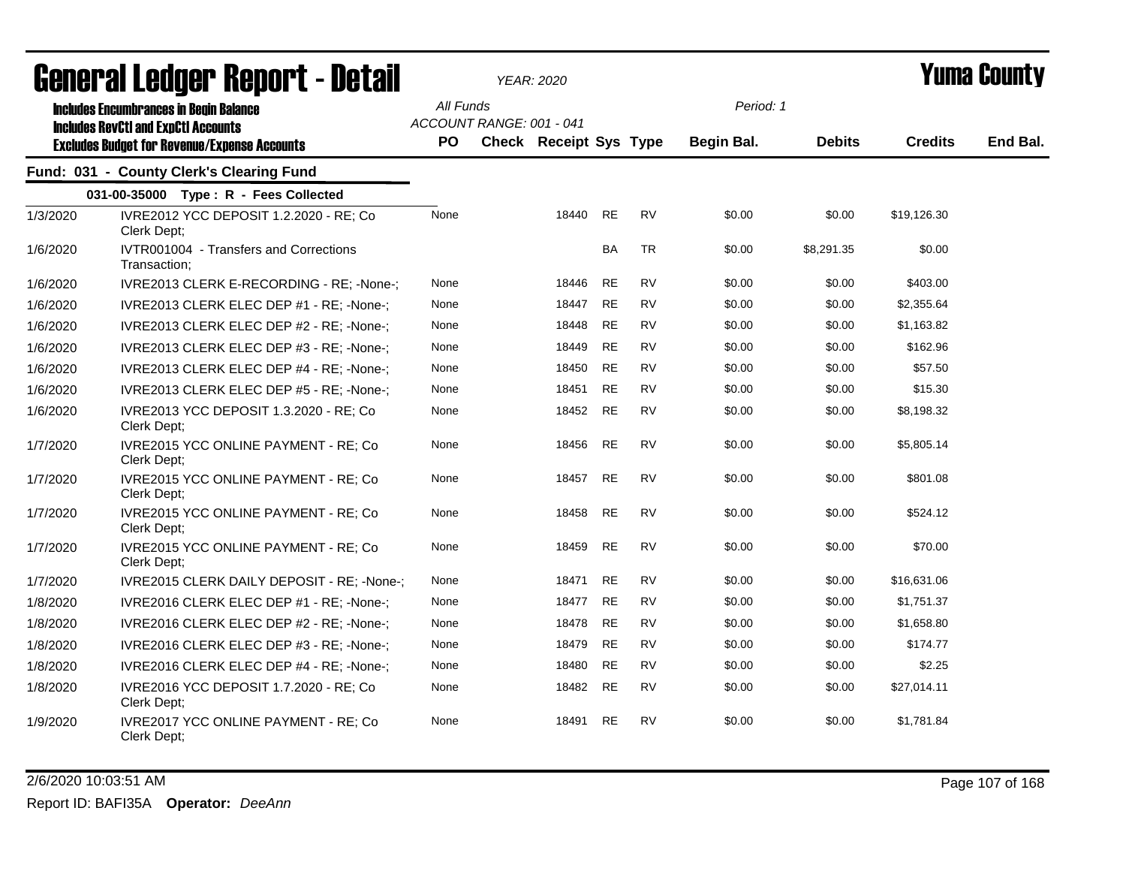| agiigi.gi fanñai. Ughni. ( - nafqii |                                                                                             |                  |                          | <b>YEAR: 2020</b>             |           |           |                   |               |                | I UIIIA VUUIILY |
|-------------------------------------|---------------------------------------------------------------------------------------------|------------------|--------------------------|-------------------------------|-----------|-----------|-------------------|---------------|----------------|-----------------|
|                                     | <b>Includes Encumbrances in Begin Balance</b><br><b>Includes RevCtI and ExpCtI Accounts</b> | All Funds<br>PO. | ACCOUNT RANGE: 001 - 041 |                               |           |           | Period: 1         |               | <b>Credits</b> |                 |
|                                     | <b>Excludes Budget for Revenue/Expense Accounts</b>                                         |                  |                          | <b>Check Receipt Sys Type</b> |           |           | <b>Begin Bal.</b> | <b>Debits</b> |                | End Bal.        |
|                                     | Fund: 031 - County Clerk's Clearing Fund                                                    |                  |                          |                               |           |           |                   |               |                |                 |
|                                     | 031-00-35000 Type: R - Fees Collected                                                       |                  |                          |                               |           |           |                   |               |                |                 |
| 1/3/2020                            | IVRE2012 YCC DEPOSIT 1.2.2020 - RE; Co<br>Clerk Dept:                                       | None             |                          | 18440                         | <b>RE</b> | <b>RV</b> | \$0.00            | \$0.00        | \$19,126.30    |                 |
| 1/6/2020                            | IVTR001004 - Transfers and Corrections<br>Transaction;                                      |                  |                          |                               | <b>BA</b> | <b>TR</b> | \$0.00            | \$8,291.35    | \$0.00         |                 |
| 1/6/2020                            | IVRE2013 CLERK E-RECORDING - RE; -None-;                                                    | None             |                          | 18446                         | <b>RE</b> | <b>RV</b> | \$0.00            | \$0.00        | \$403.00       |                 |
| 1/6/2020                            | IVRE2013 CLERK ELEC DEP #1 - RE; -None-;                                                    | None             |                          | 18447                         | <b>RE</b> | <b>RV</b> | \$0.00            | \$0.00        | \$2,355.64     |                 |
| 1/6/2020                            | IVRE2013 CLERK ELEC DEP #2 - RE; -None-;                                                    | None             |                          | 18448                         | <b>RE</b> | RV        | \$0.00            | \$0.00        | \$1,163.82     |                 |
| 1/6/2020                            | IVRE2013 CLERK ELEC DEP #3 - RE; -None-;                                                    | None             |                          | 18449                         | <b>RE</b> | <b>RV</b> | \$0.00            | \$0.00        | \$162.96       |                 |
| 1/6/2020                            | IVRE2013 CLERK ELEC DEP #4 - RE; -None-;                                                    | None             |                          | 18450                         | <b>RE</b> | <b>RV</b> | \$0.00            | \$0.00        | \$57.50        |                 |
| 1/6/2020                            | IVRE2013 CLERK ELEC DEP #5 - RE; -None-;                                                    | None             |                          | 18451                         | <b>RE</b> | <b>RV</b> | \$0.00            | \$0.00        | \$15.30        |                 |
| 1/6/2020                            | IVRE2013 YCC DEPOSIT 1.3.2020 - RE; Co<br>Clerk Dept;                                       | None             |                          | 18452                         | <b>RE</b> | <b>RV</b> | \$0.00            | \$0.00        | \$8,198.32     |                 |
| 1/7/2020                            | IVRE2015 YCC ONLINE PAYMENT - RE; Co<br>Clerk Dept;                                         | None             |                          | 18456                         | <b>RE</b> | <b>RV</b> | \$0.00            | \$0.00        | \$5,805.14     |                 |
| 1/7/2020                            | IVRE2015 YCC ONLINE PAYMENT - RE; Co<br>Clerk Dept;                                         | None             |                          | 18457                         | <b>RE</b> | <b>RV</b> | \$0.00            | \$0.00        | \$801.08       |                 |
| 1/7/2020                            | IVRE2015 YCC ONLINE PAYMENT - RE; Co<br>Clerk Dept:                                         | None             |                          | 18458                         | <b>RE</b> | <b>RV</b> | \$0.00            | \$0.00        | \$524.12       |                 |
| 1/7/2020                            | IVRE2015 YCC ONLINE PAYMENT - RE; Co<br>Clerk Dept;                                         | None             |                          | 18459                         | <b>RE</b> | <b>RV</b> | \$0.00            | \$0.00        | \$70.00        |                 |
| 1/7/2020                            | IVRE2015 CLERK DAILY DEPOSIT - RE; -None-;                                                  | None             |                          | 18471                         | <b>RE</b> | <b>RV</b> | \$0.00            | \$0.00        | \$16,631.06    |                 |
| 1/8/2020                            | IVRE2016 CLERK ELEC DEP #1 - RE; -None-;                                                    | None             |                          | 18477                         | <b>RE</b> | <b>RV</b> | \$0.00            | \$0.00        | \$1,751.37     |                 |
| 1/8/2020                            | IVRE2016 CLERK ELEC DEP #2 - RE; -None-;                                                    | None             |                          | 18478                         | RE        | RV        | \$0.00            | \$0.00        | \$1,658.80     |                 |
| 1/8/2020                            | IVRE2016 CLERK ELEC DEP #3 - RE; -None-;                                                    | None             |                          | 18479                         | <b>RE</b> | RV        | \$0.00            | \$0.00        | \$174.77       |                 |
| 1/8/2020                            | IVRE2016 CLERK ELEC DEP #4 - RE; -None-;                                                    | None             |                          | 18480                         | <b>RE</b> | <b>RV</b> | \$0.00            | \$0.00        | \$2.25         |                 |
| 1/8/2020                            | IVRE2016 YCC DEPOSIT 1.7.2020 - RE; Co<br>Clerk Dept;                                       | None             |                          | 18482                         | <b>RE</b> | RV        | \$0.00            | \$0.00        | \$27,014.11    |                 |
| 1/9/2020                            | IVRE2017 YCC ONLINE PAYMENT - RE; Co<br>Clerk Dept;                                         | None             |                          | 18491                         | RE        | RV        | \$0.00            | \$0.00        | \$1,781.84     |                 |

2/6/2020 10:03:51 AM Page 107 of 168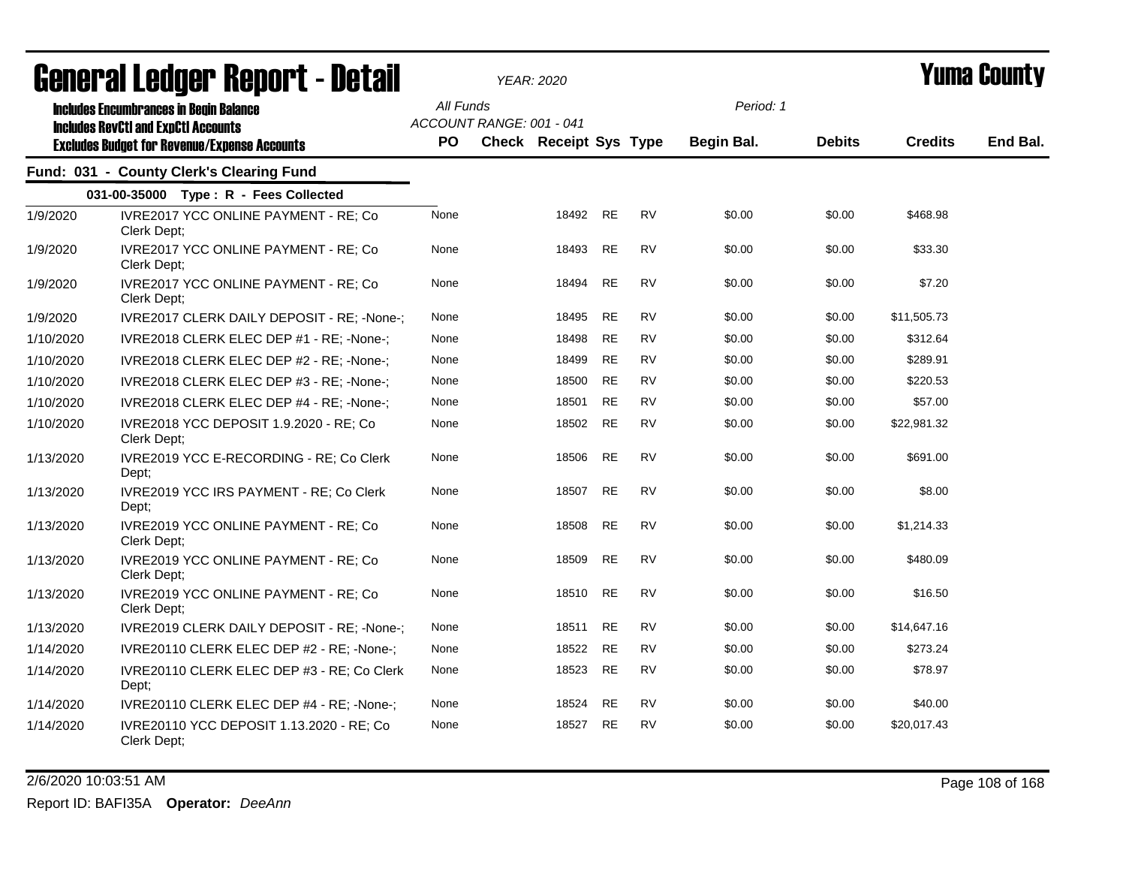| agiigi (gi fanàri, vehni. 1 - natsii |                                                                                                                                                    |                  | YEAR: 2020                                                |           |           | I UIIIA VUUIILY                |               |                |          |
|--------------------------------------|----------------------------------------------------------------------------------------------------------------------------------------------------|------------------|-----------------------------------------------------------|-----------|-----------|--------------------------------|---------------|----------------|----------|
|                                      | <b>Includes Encumbrances in Begin Balance</b><br><b>Includes RevCtI and ExpCtI Accounts</b><br><b>Excludes Budget for Revenue/Expense Accounts</b> | All Funds<br>PO. | ACCOUNT RANGE: 001 - 041<br><b>Check Receipt Sys Type</b> |           |           | Period: 1<br><b>Begin Bal.</b> | <b>Debits</b> | <b>Credits</b> | End Bal. |
|                                      | Fund: 031 - County Clerk's Clearing Fund                                                                                                           |                  |                                                           |           |           |                                |               |                |          |
|                                      | 031-00-35000 Type: R - Fees Collected                                                                                                              |                  |                                                           |           |           |                                |               |                |          |
| 1/9/2020                             | IVRE2017 YCC ONLINE PAYMENT - RE; Co<br>Clerk Dept;                                                                                                | None             | 18492                                                     | <b>RE</b> | <b>RV</b> | \$0.00                         | \$0.00        | \$468.98       |          |
| 1/9/2020                             | IVRE2017 YCC ONLINE PAYMENT - RE; Co<br>Clerk Dept;                                                                                                | None             | 18493                                                     | <b>RE</b> | <b>RV</b> | \$0.00                         | \$0.00        | \$33.30        |          |
| 1/9/2020                             | IVRE2017 YCC ONLINE PAYMENT - RE; Co<br>Clerk Dept;                                                                                                | None             | 18494                                                     | <b>RE</b> | <b>RV</b> | \$0.00                         | \$0.00        | \$7.20         |          |
| 1/9/2020                             | IVRE2017 CLERK DAILY DEPOSIT - RE; -None-;                                                                                                         | None             | 18495                                                     | <b>RE</b> | <b>RV</b> | \$0.00                         | \$0.00        | \$11,505.73    |          |
| 1/10/2020                            | IVRE2018 CLERK ELEC DEP #1 - RE; -None-;                                                                                                           | None             | 18498                                                     | <b>RE</b> | <b>RV</b> | \$0.00                         | \$0.00        | \$312.64       |          |
| 1/10/2020                            | IVRE2018 CLERK ELEC DEP #2 - RE; -None-;                                                                                                           | None             | 18499                                                     | <b>RE</b> | <b>RV</b> | \$0.00                         | \$0.00        | \$289.91       |          |
| 1/10/2020                            | IVRE2018 CLERK ELEC DEP #3 - RE; -None-;                                                                                                           | None             | 18500                                                     | <b>RE</b> | <b>RV</b> | \$0.00                         | \$0.00        | \$220.53       |          |
| 1/10/2020                            | IVRE2018 CLERK ELEC DEP #4 - RE; -None-;                                                                                                           | None             | 18501                                                     | <b>RE</b> | <b>RV</b> | \$0.00                         | \$0.00        | \$57.00        |          |
| 1/10/2020                            | IVRE2018 YCC DEPOSIT 1.9.2020 - RE; Co<br>Clerk Dept;                                                                                              | None             | 18502                                                     | <b>RE</b> | <b>RV</b> | \$0.00                         | \$0.00        | \$22,981.32    |          |
| 1/13/2020                            | IVRE2019 YCC E-RECORDING - RE; Co Clerk<br>Dept;                                                                                                   | None             | 18506                                                     | <b>RE</b> | <b>RV</b> | \$0.00                         | \$0.00        | \$691.00       |          |
| 1/13/2020                            | IVRE2019 YCC IRS PAYMENT - RE; Co Clerk<br>Dept;                                                                                                   | None             | 18507                                                     | <b>RE</b> | <b>RV</b> | \$0.00                         | \$0.00        | \$8.00         |          |
| 1/13/2020                            | IVRE2019 YCC ONLINE PAYMENT - RE; Co<br>Clerk Dept;                                                                                                | None             | 18508                                                     | <b>RE</b> | <b>RV</b> | \$0.00                         | \$0.00        | \$1,214.33     |          |
| 1/13/2020                            | IVRE2019 YCC ONLINE PAYMENT - RE; Co<br>Clerk Dept;                                                                                                | None             | 18509                                                     | <b>RE</b> | <b>RV</b> | \$0.00                         | \$0.00        | \$480.09       |          |
| 1/13/2020                            | IVRE2019 YCC ONLINE PAYMENT - RE; Co<br>Clerk Dept:                                                                                                | None             | 18510                                                     | <b>RE</b> | <b>RV</b> | \$0.00                         | \$0.00        | \$16.50        |          |
| 1/13/2020                            | IVRE2019 CLERK DAILY DEPOSIT - RE; -None-;                                                                                                         | None             | 18511                                                     | RE        | RV        | \$0.00                         | \$0.00        | \$14,647.16    |          |
| 1/14/2020                            | IVRE20110 CLERK ELEC DEP #2 - RE; -None-;                                                                                                          | None             | 18522                                                     | <b>RE</b> | RV        | \$0.00                         | \$0.00        | \$273.24       |          |
| 1/14/2020                            | IVRE20110 CLERK ELEC DEP #3 - RE; Co Clerk<br>Dept;                                                                                                | None             | 18523                                                     | <b>RE</b> | RV        | \$0.00                         | \$0.00        | \$78.97        |          |
| 1/14/2020                            | IVRE20110 CLERK ELEC DEP #4 - RE; -None-;                                                                                                          | None             | 18524                                                     | RE        | <b>RV</b> | \$0.00                         | \$0.00        | \$40.00        |          |
| 1/14/2020                            | IVRE20110 YCC DEPOSIT 1.13.2020 - RE; Co<br>Clerk Dept;                                                                                            | None             | 18527                                                     | <b>RE</b> | <b>RV</b> | \$0.00                         | \$0.00        | \$20,017.43    |          |

2/6/2020 10:03:51 AM Page 108 of 168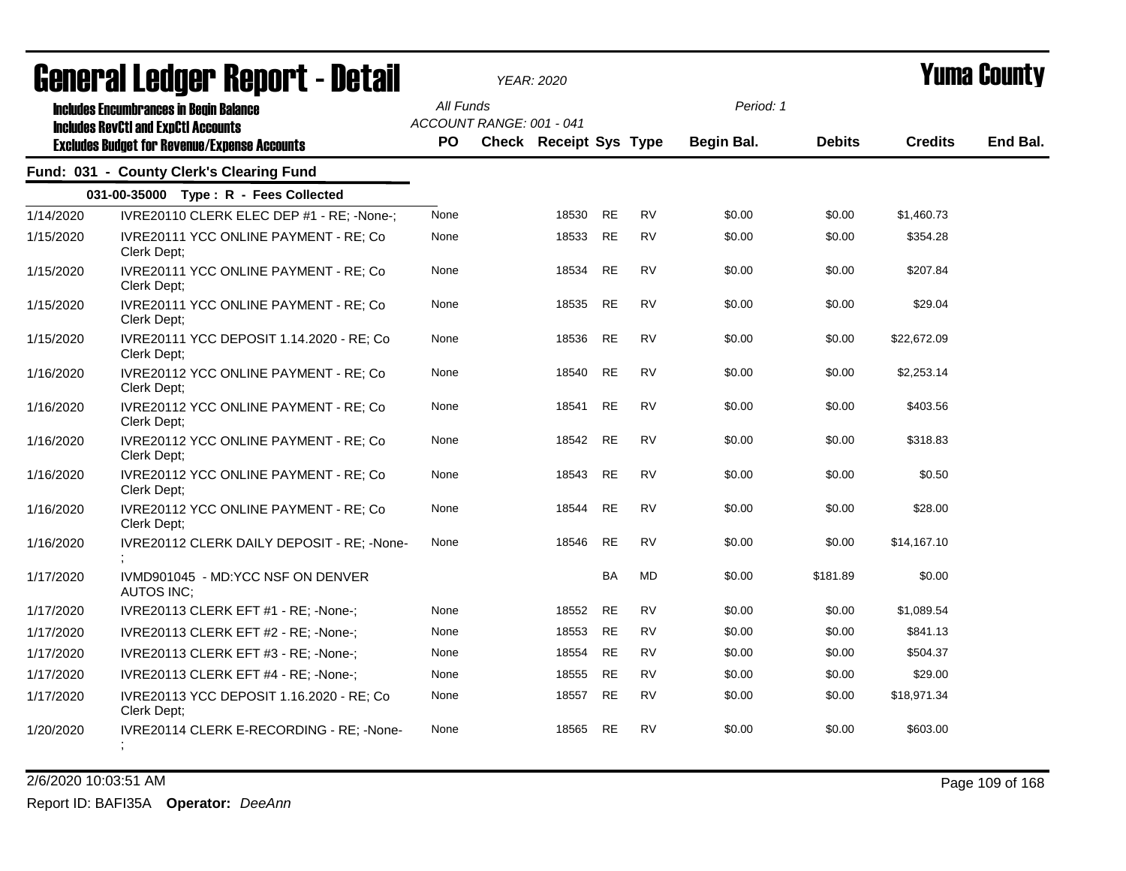| agnal (gi fanàn. dehol. f - nergii |                                                                                                                                                    |                        |                          | YEAR: 2020                    |           | I UMA VVUNLY |                         |               |                |          |
|------------------------------------|----------------------------------------------------------------------------------------------------------------------------------------------------|------------------------|--------------------------|-------------------------------|-----------|--------------|-------------------------|---------------|----------------|----------|
|                                    | <b>Includes Encumbrances in Begin Balance</b><br><b>Includes RevCtI and ExpCtI Accounts</b><br><b>Excludes Budget for Revenue/Expense Accounts</b> | All Funds<br><b>PO</b> | ACCOUNT RANGE: 001 - 041 | <b>Check Receipt Sys Type</b> |           |              | Period: 1<br>Begin Bal. | <b>Debits</b> | <b>Credits</b> | End Bal. |
|                                    | Fund: 031 - County Clerk's Clearing Fund                                                                                                           |                        |                          |                               |           |              |                         |               |                |          |
|                                    | 031-00-35000 Type: R - Fees Collected                                                                                                              |                        |                          |                               |           |              |                         |               |                |          |
| 1/14/2020                          | IVRE20110 CLERK ELEC DEP #1 - RE; -None-;                                                                                                          | None                   |                          | 18530                         | <b>RE</b> | RV           | \$0.00                  | \$0.00        | \$1,460.73     |          |
| 1/15/2020                          | IVRE20111 YCC ONLINE PAYMENT - RE; Co<br>Clerk Dept;                                                                                               | None                   |                          | 18533                         | <b>RE</b> | RV           | \$0.00                  | \$0.00        | \$354.28       |          |
| 1/15/2020                          | IVRE20111 YCC ONLINE PAYMENT - RE; Co<br>Clerk Dept;                                                                                               | None                   |                          | 18534                         | <b>RE</b> | <b>RV</b>    | \$0.00                  | \$0.00        | \$207.84       |          |
| 1/15/2020                          | IVRE20111 YCC ONLINE PAYMENT - RE; Co<br>Clerk Dept;                                                                                               | None                   |                          | 18535                         | <b>RE</b> | <b>RV</b>    | \$0.00                  | \$0.00        | \$29.04        |          |
| 1/15/2020                          | IVRE20111 YCC DEPOSIT 1.14.2020 - RE; Co<br>Clerk Dept;                                                                                            | None                   |                          | 18536                         | <b>RE</b> | <b>RV</b>    | \$0.00                  | \$0.00        | \$22,672.09    |          |
| 1/16/2020                          | IVRE20112 YCC ONLINE PAYMENT - RE; Co<br>Clerk Dept;                                                                                               | None                   |                          | 18540                         | <b>RE</b> | <b>RV</b>    | \$0.00                  | \$0.00        | \$2,253.14     |          |
| 1/16/2020                          | IVRE20112 YCC ONLINE PAYMENT - RE; Co<br>Clerk Dept;                                                                                               | None                   |                          | 18541                         | <b>RE</b> | <b>RV</b>    | \$0.00                  | \$0.00        | \$403.56       |          |
| 1/16/2020                          | IVRE20112 YCC ONLINE PAYMENT - RE; Co<br>Clerk Dept;                                                                                               | None                   |                          | 18542                         | <b>RE</b> | <b>RV</b>    | \$0.00                  | \$0.00        | \$318.83       |          |
| 1/16/2020                          | IVRE20112 YCC ONLINE PAYMENT - RE; Co<br>Clerk Dept:                                                                                               | None                   |                          | 18543                         | <b>RE</b> | <b>RV</b>    | \$0.00                  | \$0.00        | \$0.50         |          |
| 1/16/2020                          | IVRE20112 YCC ONLINE PAYMENT - RE; Co<br>Clerk Dept;                                                                                               | None                   |                          | 18544                         | <b>RE</b> | <b>RV</b>    | \$0.00                  | \$0.00        | \$28.00        |          |
| 1/16/2020                          | IVRE20112 CLERK DAILY DEPOSIT - RE; -None-                                                                                                         | None                   |                          | 18546                         | <b>RE</b> | <b>RV</b>    | \$0.00                  | \$0.00        | \$14.167.10    |          |
| 1/17/2020                          | IVMD901045 - MD:YCC NSF ON DENVER<br><b>AUTOS INC;</b>                                                                                             |                        |                          |                               | <b>BA</b> | MD           | \$0.00                  | \$181.89      | \$0.00         |          |
| 1/17/2020                          | IVRE20113 CLERK EFT #1 - RE; -None-;                                                                                                               | None                   |                          | 18552                         | <b>RE</b> | <b>RV</b>    | \$0.00                  | \$0.00        | \$1,089.54     |          |
| 1/17/2020                          | IVRE20113 CLERK EFT #2 - RE; -None-;                                                                                                               | None                   |                          | 18553                         | <b>RE</b> | <b>RV</b>    | \$0.00                  | \$0.00        | \$841.13       |          |
| 1/17/2020                          | IVRE20113 CLERK EFT #3 - RE; -None-;                                                                                                               | None                   |                          | 18554                         | <b>RE</b> | <b>RV</b>    | \$0.00                  | \$0.00        | \$504.37       |          |
| 1/17/2020                          | IVRE20113 CLERK EFT #4 - RE; -None-;                                                                                                               | None                   |                          | 18555                         | <b>RE</b> | <b>RV</b>    | \$0.00                  | \$0.00        | \$29.00        |          |
| 1/17/2020                          | IVRE20113 YCC DEPOSIT 1.16.2020 - RE; Co<br>Clerk Dept;                                                                                            | None                   |                          | 18557                         | <b>RE</b> | <b>RV</b>    | \$0.00                  | \$0.00        | \$18,971.34    |          |
| 1/20/2020                          | IVRE20114 CLERK E-RECORDING - RE; -None-                                                                                                           | None                   |                          | 18565                         | RE        | <b>RV</b>    | \$0.00                  | \$0.00        | \$603.00       |          |

2/6/2020 10:03:51 AM Page 109 of 168 Report ID: BAFI35A **Operator:** *DeeAnn*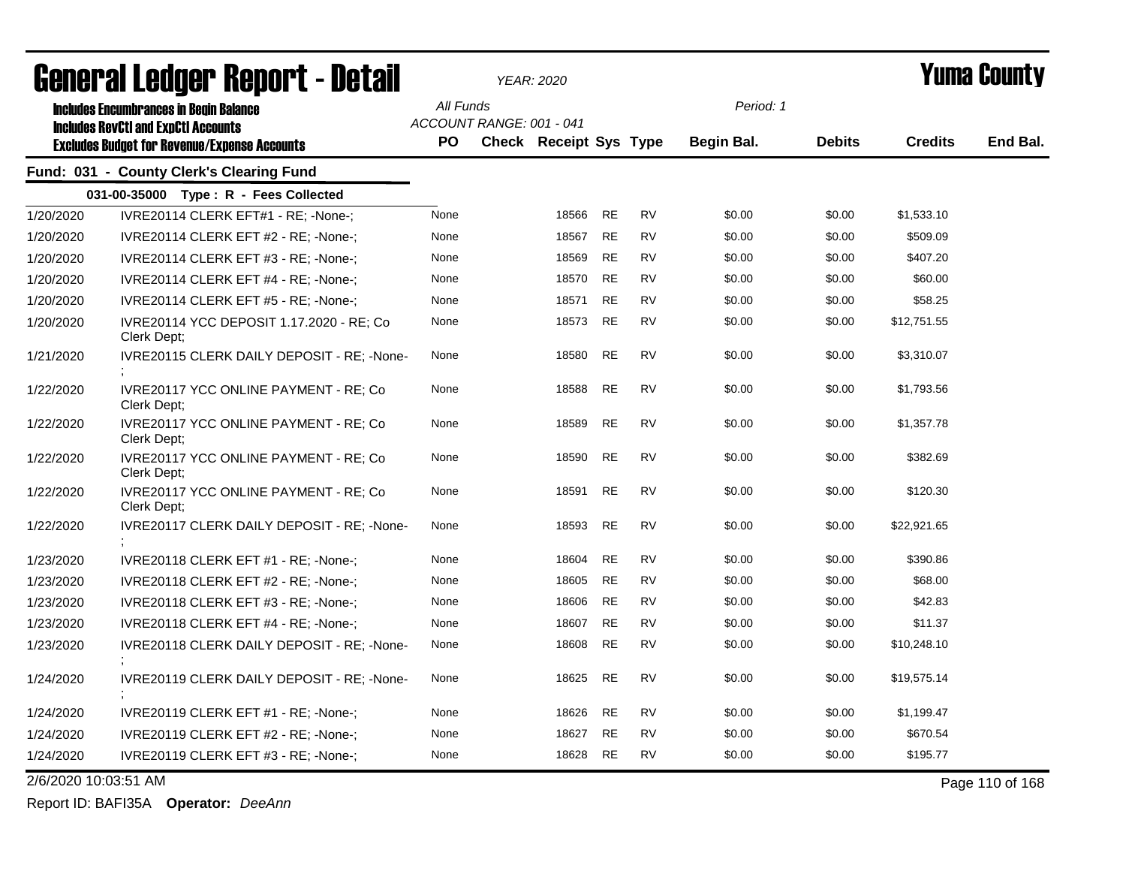| agiigi.gi fanñai. uanni.c - natsii |                                                                                             |           |                          | YEAR: 2020                    |           |           |                   |               |                | T UIIIA GUUIILY |  |
|------------------------------------|---------------------------------------------------------------------------------------------|-----------|--------------------------|-------------------------------|-----------|-----------|-------------------|---------------|----------------|-----------------|--|
|                                    | <b>Includes Encumbrances in Begin Balance</b><br><b>Includes RevCtI and ExpCtI Accounts</b> | All Funds | ACCOUNT RANGE: 001 - 041 |                               |           |           | Period: 1         |               |                |                 |  |
|                                    | <b>Excludes Budget for Revenue/Expense Accounts</b>                                         | <b>PO</b> |                          | <b>Check Receipt Sys Type</b> |           |           | <b>Begin Bal.</b> | <b>Debits</b> | <b>Credits</b> | End Bal.        |  |
|                                    | Fund: 031 - County Clerk's Clearing Fund                                                    |           |                          |                               |           |           |                   |               |                |                 |  |
|                                    | 031-00-35000 Type: R - Fees Collected                                                       |           |                          |                               |           |           |                   |               |                |                 |  |
| 1/20/2020                          | IVRE20114 CLERK EFT#1 - RE: -None-:                                                         | None      |                          | 18566                         | <b>RE</b> | <b>RV</b> | \$0.00            | \$0.00        | \$1,533.10     |                 |  |
| 1/20/2020                          | IVRE20114 CLERK EFT #2 - RE; -None-;                                                        | None      |                          | 18567                         | <b>RE</b> | <b>RV</b> | \$0.00            | \$0.00        | \$509.09       |                 |  |
| 1/20/2020                          | IVRE20114 CLERK EFT #3 - RE; -None-;                                                        | None      |                          | 18569                         | <b>RE</b> | <b>RV</b> | \$0.00            | \$0.00        | \$407.20       |                 |  |
| 1/20/2020                          | IVRE20114 CLERK EFT #4 - RE: -None-:                                                        | None      |                          | 18570                         | <b>RE</b> | <b>RV</b> | \$0.00            | \$0.00        | \$60.00        |                 |  |
| 1/20/2020                          | IVRE20114 CLERK EFT #5 - RE; -None-;                                                        | None      |                          | 18571                         | <b>RE</b> | <b>RV</b> | \$0.00            | \$0.00        | \$58.25        |                 |  |
| 1/20/2020                          | IVRE20114 YCC DEPOSIT 1.17.2020 - RE; Co<br>Clerk Dept;                                     | None      |                          | 18573                         | RE        | <b>RV</b> | \$0.00            | \$0.00        | \$12,751.55    |                 |  |
| 1/21/2020                          | IVRE20115 CLERK DAILY DEPOSIT - RE: -None-                                                  | None      |                          | 18580                         | RE        | <b>RV</b> | \$0.00            | \$0.00        | \$3,310.07     |                 |  |
| 1/22/2020                          | IVRE20117 YCC ONLINE PAYMENT - RE; Co<br>Clerk Dept:                                        | None      |                          | 18588                         | <b>RE</b> | <b>RV</b> | \$0.00            | \$0.00        | \$1,793.56     |                 |  |
| 1/22/2020                          | IVRE20117 YCC ONLINE PAYMENT - RE; Co<br>Clerk Dept:                                        | None      |                          | 18589                         | <b>RE</b> | <b>RV</b> | \$0.00            | \$0.00        | \$1,357.78     |                 |  |
| 1/22/2020                          | IVRE20117 YCC ONLINE PAYMENT - RE; Co<br>Clerk Dept:                                        | None      |                          | 18590                         | <b>RE</b> | <b>RV</b> | \$0.00            | \$0.00        | \$382.69       |                 |  |
| 1/22/2020                          | IVRE20117 YCC ONLINE PAYMENT - RE; Co<br>Clerk Dept:                                        | None      |                          | 18591                         | <b>RE</b> | <b>RV</b> | \$0.00            | \$0.00        | \$120.30       |                 |  |
| 1/22/2020                          | IVRE20117 CLERK DAILY DEPOSIT - RE; -None-                                                  | None      |                          | 18593                         | <b>RE</b> | <b>RV</b> | \$0.00            | \$0.00        | \$22,921.65    |                 |  |
| 1/23/2020                          | IVRE20118 CLERK EFT #1 - RE; -None-;                                                        | None      |                          | 18604                         | <b>RE</b> | <b>RV</b> | \$0.00            | \$0.00        | \$390.86       |                 |  |
| 1/23/2020                          | IVRE20118 CLERK EFT #2 - RE; -None-;                                                        | None      |                          | 18605                         | <b>RE</b> | <b>RV</b> | \$0.00            | \$0.00        | \$68.00        |                 |  |
| 1/23/2020                          | IVRE20118 CLERK EFT #3 - RE; -None-;                                                        | None      |                          | 18606                         | RE        | <b>RV</b> | \$0.00            | \$0.00        | \$42.83        |                 |  |
| 1/23/2020                          | IVRE20118 CLERK EFT #4 - RE; -None-;                                                        | None      |                          | 18607                         | RE        | <b>RV</b> | \$0.00            | \$0.00        | \$11.37        |                 |  |
| 1/23/2020                          | IVRE20118 CLERK DAILY DEPOSIT - RE; -None-                                                  | None      |                          | 18608                         | RE        | <b>RV</b> | \$0.00            | \$0.00        | \$10,248.10    |                 |  |
| 1/24/2020                          | IVRE20119 CLERK DAILY DEPOSIT - RE; -None-                                                  | None      |                          | 18625                         | <b>RE</b> | <b>RV</b> | \$0.00            | \$0.00        | \$19,575.14    |                 |  |
| 1/24/2020                          | IVRE20119 CLERK EFT #1 - RE; -None-;                                                        | None      |                          | 18626                         | <b>RE</b> | <b>RV</b> | \$0.00            | \$0.00        | \$1,199.47     |                 |  |
| 1/24/2020                          | IVRE20119 CLERK EFT #2 - RE; -None-;                                                        | None      |                          | 18627                         | <b>RE</b> | <b>RV</b> | \$0.00            | \$0.00        | \$670.54       |                 |  |
| 1/24/2020                          | IVRE20119 CLERK EFT #3 - RE; -None-;                                                        | None      |                          | 18628                         | RE        | RV        | \$0.00            | \$0.00        | \$195.77       |                 |  |
| 2/6/2020 10:03:51 AM               |                                                                                             |           |                          |                               |           |           |                   |               |                | Page 110 of 168 |  |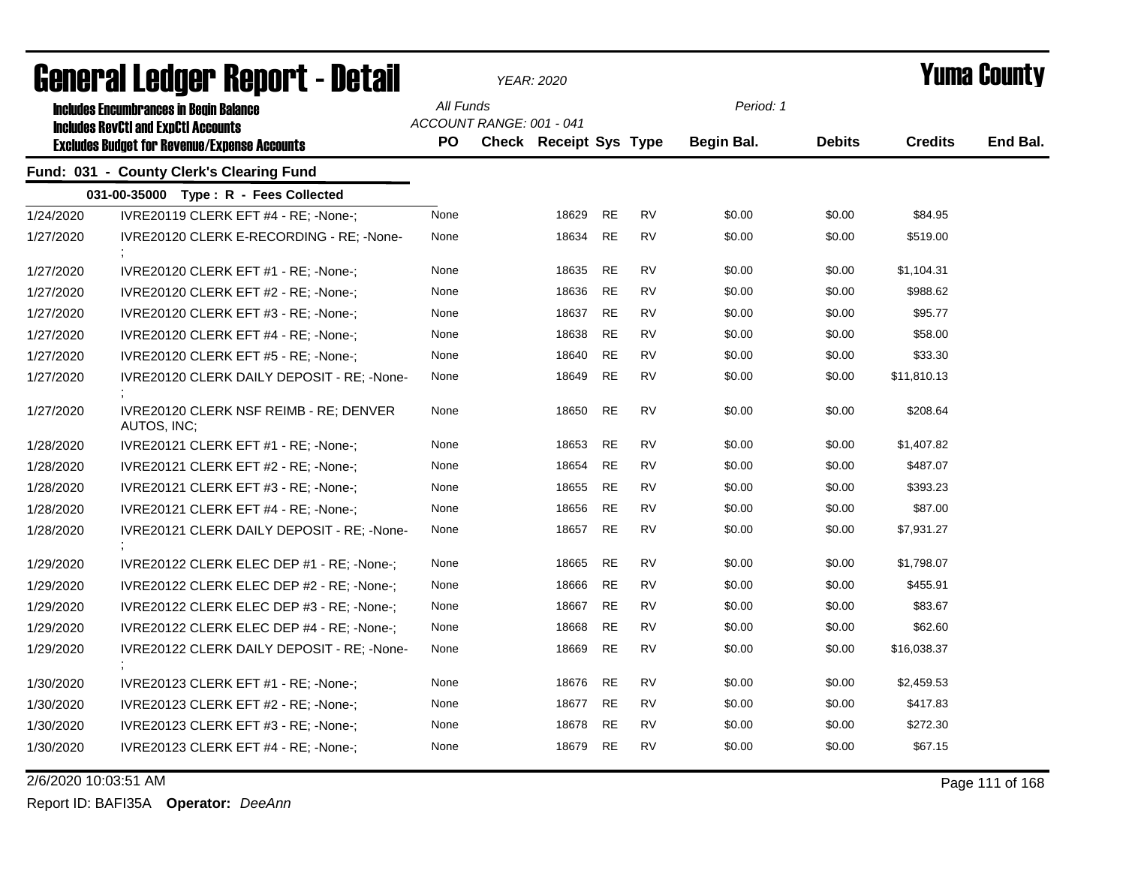| <u>agiigi.si fanñai. Kanni. ( - nafsh</u> |                                                                                                                                                    |      |                                       | YEAR: 2020             |           |           |            | Tunia Gounty  |                |          |
|-------------------------------------------|----------------------------------------------------------------------------------------------------------------------------------------------------|------|---------------------------------------|------------------------|-----------|-----------|------------|---------------|----------------|----------|
|                                           | <b>Includes Encumbrances in Begin Balance</b><br><b>Includes RevCtI and ExpCtI Accounts</b><br><b>Excludes Budget for Revenue/Expense Accounts</b> |      | All Funds<br>ACCOUNT RANGE: 001 - 041 |                        |           |           | Period: 1  |               |                |          |
|                                           |                                                                                                                                                    | PO   |                                       | Check Receipt Sys Type |           |           | Begin Bal. | <b>Debits</b> | <b>Credits</b> | End Bal. |
|                                           | Fund: 031 - County Clerk's Clearing Fund                                                                                                           |      |                                       |                        |           |           |            |               |                |          |
|                                           | 031-00-35000 Type: R - Fees Collected                                                                                                              |      |                                       |                        |           |           |            |               |                |          |
| 1/24/2020                                 | IVRE20119 CLERK EFT #4 - RE; -None-;                                                                                                               | None |                                       | 18629                  | <b>RE</b> | <b>RV</b> | \$0.00     | \$0.00        | \$84.95        |          |
| 1/27/2020                                 | IVRE20120 CLERK E-RECORDING - RE; -None-                                                                                                           | None |                                       | 18634                  | <b>RE</b> | <b>RV</b> | \$0.00     | \$0.00        | \$519.00       |          |
| 1/27/2020                                 | IVRE20120 CLERK EFT #1 - RE; -None-;                                                                                                               | None |                                       | 18635                  | <b>RE</b> | <b>RV</b> | \$0.00     | \$0.00        | \$1,104.31     |          |
| 1/27/2020                                 | IVRE20120 CLERK EFT #2 - RE; -None-;                                                                                                               | None |                                       | 18636                  | RE        | <b>RV</b> | \$0.00     | \$0.00        | \$988.62       |          |
| 1/27/2020                                 | IVRE20120 CLERK EFT #3 - RE; -None-;                                                                                                               | None |                                       | 18637                  | <b>RE</b> | <b>RV</b> | \$0.00     | \$0.00        | \$95.77        |          |
| 1/27/2020                                 | IVRE20120 CLERK EFT #4 - RE; -None-;                                                                                                               | None |                                       | 18638                  | <b>RE</b> | <b>RV</b> | \$0.00     | \$0.00        | \$58.00        |          |
| 1/27/2020                                 | IVRE20120 CLERK EFT #5 - RE; -None-;                                                                                                               | None |                                       | 18640                  | <b>RE</b> | <b>RV</b> | \$0.00     | \$0.00        | \$33.30        |          |
| 1/27/2020                                 | IVRE20120 CLERK DAILY DEPOSIT - RE; -None-                                                                                                         | None |                                       | 18649                  | <b>RE</b> | <b>RV</b> | \$0.00     | \$0.00        | \$11,810.13    |          |
| 1/27/2020                                 | IVRE20120 CLERK NSF REIMB - RE; DENVER<br>AUTOS, INC;                                                                                              | None |                                       | 18650                  | <b>RE</b> | <b>RV</b> | \$0.00     | \$0.00        | \$208.64       |          |
| 1/28/2020                                 | IVRE20121 CLERK EFT #1 - RE; -None-;                                                                                                               | None |                                       | 18653                  | <b>RE</b> | <b>RV</b> | \$0.00     | \$0.00        | \$1,407.82     |          |
| 1/28/2020                                 | IVRE20121 CLERK EFT #2 - RE; -None-;                                                                                                               | None |                                       | 18654                  | <b>RE</b> | <b>RV</b> | \$0.00     | \$0.00        | \$487.07       |          |
| 1/28/2020                                 | IVRE20121 CLERK EFT #3 - RE; -None-;                                                                                                               | None |                                       | 18655                  | <b>RE</b> | <b>RV</b> | \$0.00     | \$0.00        | \$393.23       |          |
| 1/28/2020                                 | IVRE20121 CLERK EFT #4 - RE; -None-;                                                                                                               | None |                                       | 18656                  | <b>RE</b> | <b>RV</b> | \$0.00     | \$0.00        | \$87.00        |          |
| 1/28/2020                                 | IVRE20121 CLERK DAILY DEPOSIT - RE; -None-                                                                                                         | None |                                       | 18657                  | <b>RE</b> | <b>RV</b> | \$0.00     | \$0.00        | \$7,931.27     |          |
| 1/29/2020                                 | IVRE20122 CLERK ELEC DEP #1 - RE; -None-;                                                                                                          | None |                                       | 18665                  | RE        | <b>RV</b> | \$0.00     | \$0.00        | \$1,798.07     |          |
| 1/29/2020                                 | IVRE20122 CLERK ELEC DEP #2 - RE; -None-;                                                                                                          | None |                                       | 18666                  | <b>RE</b> | <b>RV</b> | \$0.00     | \$0.00        | \$455.91       |          |
| 1/29/2020                                 | IVRE20122 CLERK ELEC DEP #3 - RE; -None-;                                                                                                          | None |                                       | 18667                  | <b>RE</b> | <b>RV</b> | \$0.00     | \$0.00        | \$83.67        |          |
| 1/29/2020                                 | IVRE20122 CLERK ELEC DEP #4 - RE; -None-;                                                                                                          | None |                                       | 18668                  | <b>RE</b> | <b>RV</b> | \$0.00     | \$0.00        | \$62.60        |          |
| 1/29/2020                                 | IVRE20122 CLERK DAILY DEPOSIT - RE; -None-                                                                                                         | None |                                       | 18669                  | <b>RE</b> | <b>RV</b> | \$0.00     | \$0.00        | \$16,038.37    |          |
| 1/30/2020                                 | IVRE20123 CLERK EFT #1 - RE; -None-;                                                                                                               | None |                                       | 18676                  | <b>RE</b> | <b>RV</b> | \$0.00     | \$0.00        | \$2,459.53     |          |
| 1/30/2020                                 | IVRE20123 CLERK EFT #2 - RE; -None-;                                                                                                               | None |                                       | 18677                  | <b>RE</b> | <b>RV</b> | \$0.00     | \$0.00        | \$417.83       |          |
| 1/30/2020                                 | IVRE20123 CLERK EFT #3 - RE; -None-;                                                                                                               | None |                                       | 18678                  | RE        | <b>RV</b> | \$0.00     | \$0.00        | \$272.30       |          |
| 1/30/2020                                 | IVRE20123 CLERK EFT #4 - RE; -None-;                                                                                                               | None |                                       | 18679                  | RE        | <b>RV</b> | \$0.00     | \$0.00        | \$67.15        |          |

2/6/2020 10:03:51 AM Page 111 of 168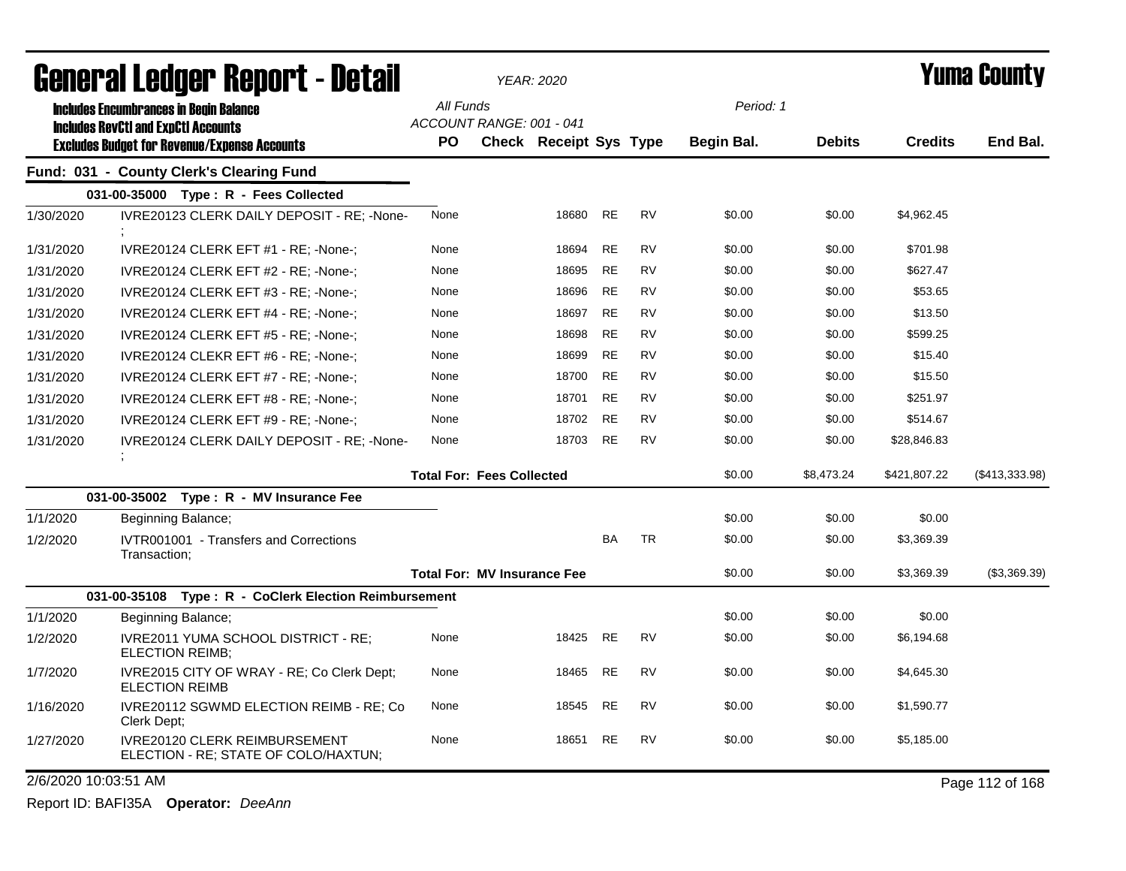| General Ledger Report - Detail |                                                                              |           |                                    | YEAR: 2020             |           |           |                   |               |                | Yuma County     |  |
|--------------------------------|------------------------------------------------------------------------------|-----------|------------------------------------|------------------------|-----------|-----------|-------------------|---------------|----------------|-----------------|--|
|                                | <b>Includes Encumbrances in Begin Balance</b>                                | All Funds |                                    |                        |           |           | Period: 1         |               |                |                 |  |
|                                | <b>Includes RevCtI and ExpCtI Accounts</b>                                   |           | ACCOUNT RANGE: 001 - 041           |                        |           |           |                   |               |                |                 |  |
|                                | <b>Excludes Budget for Revenue/Expense Accounts</b>                          | <b>PO</b> |                                    | Check Receipt Sys Type |           |           | <b>Begin Bal.</b> | <b>Debits</b> | <b>Credits</b> | End Bal.        |  |
|                                | Fund: 031 - County Clerk's Clearing Fund                                     |           |                                    |                        |           |           |                   |               |                |                 |  |
|                                | $031-00-35000$ Type: R - Fees Collected                                      |           |                                    |                        |           |           |                   |               |                |                 |  |
| 1/30/2020                      | IVRE20123 CLERK DAILY DEPOSIT - RE: -None-                                   | None      |                                    | 18680                  | <b>RE</b> | <b>RV</b> | \$0.00            | \$0.00        | \$4,962.45     |                 |  |
| 1/31/2020                      | IVRE20124 CLERK EFT #1 - RE; -None-;                                         | None      |                                    | 18694                  | <b>RE</b> | <b>RV</b> | \$0.00            | \$0.00        | \$701.98       |                 |  |
| 1/31/2020                      | IVRE20124 CLERK EFT #2 - RE: -None-:                                         | None      |                                    | 18695                  | <b>RE</b> | <b>RV</b> | \$0.00            | \$0.00        | \$627.47       |                 |  |
| 1/31/2020                      | IVRE20124 CLERK EFT #3 - RE; -None-;                                         | None      |                                    | 18696                  | <b>RE</b> | <b>RV</b> | \$0.00            | \$0.00        | \$53.65        |                 |  |
| 1/31/2020                      | IVRE20124 CLERK EFT #4 - RE; -None-;                                         | None      |                                    | 18697                  | <b>RE</b> | <b>RV</b> | \$0.00            | \$0.00        | \$13.50        |                 |  |
| 1/31/2020                      | IVRE20124 CLERK EFT #5 - RE; -None-;                                         | None      |                                    | 18698                  | <b>RE</b> | <b>RV</b> | \$0.00            | \$0.00        | \$599.25       |                 |  |
| 1/31/2020                      | IVRE20124 CLEKR EFT #6 - RE; -None-;                                         | None      |                                    | 18699                  | <b>RE</b> | <b>RV</b> | \$0.00            | \$0.00        | \$15.40        |                 |  |
| 1/31/2020                      | IVRE20124 CLERK EFT #7 - RE: -None-:                                         | None      |                                    | 18700                  | RE        | <b>RV</b> | \$0.00            | \$0.00        | \$15.50        |                 |  |
| 1/31/2020                      | IVRE20124 CLERK EFT #8 - RE; -None-;                                         | None      |                                    | 18701                  | <b>RE</b> | <b>RV</b> | \$0.00            | \$0.00        | \$251.97       |                 |  |
| 1/31/2020                      | IVRE20124 CLERK EFT #9 - RE; -None-;                                         | None      |                                    | 18702                  | <b>RE</b> | <b>RV</b> | \$0.00            | \$0.00        | \$514.67       |                 |  |
| 1/31/2020                      | IVRE20124 CLERK DAILY DEPOSIT - RE; -None-                                   | None      |                                    | 18703                  | <b>RE</b> | <b>RV</b> | \$0.00            | \$0.00        | \$28,846.83    |                 |  |
|                                |                                                                              |           | <b>Total For: Fees Collected</b>   |                        |           |           | \$0.00            | \$8,473.24    | \$421,807.22   | (\$413,333.98)  |  |
|                                | 031-00-35002 Type: R - MV Insurance Fee                                      |           |                                    |                        |           |           |                   |               |                |                 |  |
| 1/1/2020                       | Beginning Balance;                                                           |           |                                    |                        |           |           | \$0.00            | \$0.00        | \$0.00         |                 |  |
| 1/2/2020                       | IVTR001001 - Transfers and Corrections<br>Transaction:                       |           |                                    |                        | <b>BA</b> | <b>TR</b> | \$0.00            | \$0.00        | \$3,369.39     |                 |  |
|                                |                                                                              |           | <b>Total For: MV Insurance Fee</b> |                        |           |           | \$0.00            | \$0.00        | \$3,369.39     | (\$3,369.39)    |  |
|                                | 031-00-35108 Type: R - CoClerk Election Reimbursement                        |           |                                    |                        |           |           |                   |               |                |                 |  |
| 1/1/2020                       | Beginning Balance;                                                           |           |                                    |                        |           |           | \$0.00            | \$0.00        | \$0.00         |                 |  |
| 1/2/2020                       | IVRE2011 YUMA SCHOOL DISTRICT - RE;<br>ELECTION REIMB;                       | None      |                                    | 18425                  | <b>RE</b> | <b>RV</b> | \$0.00            | \$0.00        | \$6,194.68     |                 |  |
| 1/7/2020                       | IVRE2015 CITY OF WRAY - RE; Co Clerk Dept;<br><b>ELECTION REIMB</b>          | None      |                                    | 18465                  | <b>RE</b> | <b>RV</b> | \$0.00            | \$0.00        | \$4,645.30     |                 |  |
| 1/16/2020                      | IVRE20112 SGWMD ELECTION REIMB - RE; Co<br>Clerk Dept;                       | None      |                                    | 18545                  | <b>RE</b> | <b>RV</b> | \$0.00            | \$0.00        | \$1,590.77     |                 |  |
| 1/27/2020                      | <b>IVRE20120 CLERK REIMBURSEMENT</b><br>ELECTION - RE; STATE OF COLO/HAXTUN; | None      |                                    | 18651                  | RE        | RV        | \$0.00            | \$0.00        | \$5,185.00     |                 |  |
| 2/6/2020 10:03:51 AM           |                                                                              |           |                                    |                        |           |           |                   |               |                | Page 112 of 168 |  |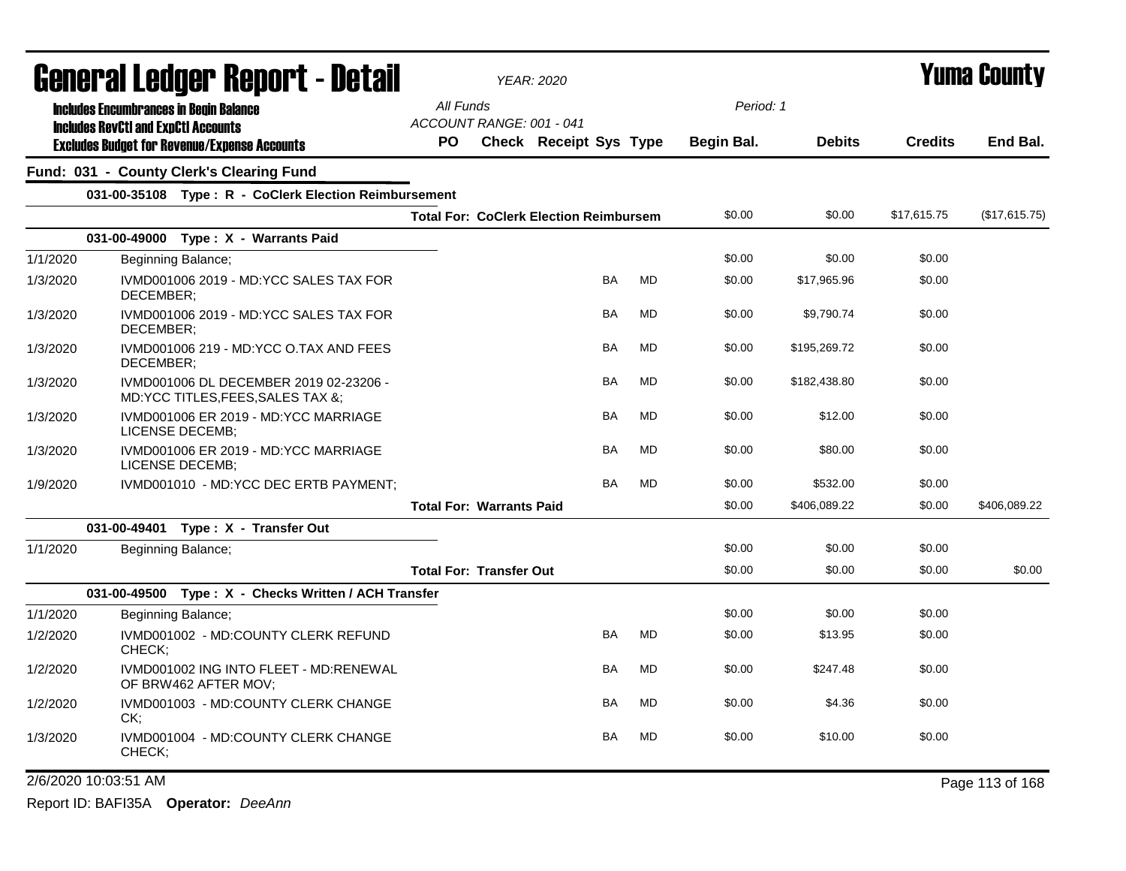|          | <b>General Ledger Report - Detail</b>                                       |           |                                 | <b>YEAR: 2020</b>                             |           |                   |               | Yuma County    |                 |
|----------|-----------------------------------------------------------------------------|-----------|---------------------------------|-----------------------------------------------|-----------|-------------------|---------------|----------------|-----------------|
|          | <b>Includes Encumbrances in Begin Balance</b>                               | All Funds |                                 |                                               |           | Period: 1         |               |                |                 |
|          | <b>Includes RevCtI and ExpCtI Accounts</b>                                  |           | ACCOUNT RANGE: 001 - 041        |                                               |           |                   |               |                |                 |
|          | <b>Excludes Budget for Revenue/Expense Accounts</b>                         | <b>PO</b> |                                 | <b>Check Receipt Sys Type</b>                 |           | <b>Begin Bal.</b> | <b>Debits</b> | <b>Credits</b> | End Bal.        |
|          | Fund: 031 - County Clerk's Clearing Fund                                    |           |                                 |                                               |           |                   |               |                |                 |
|          | 031-00-35108 Type: R - CoClerk Election Reimbursement                       |           |                                 |                                               |           |                   |               |                |                 |
|          |                                                                             |           |                                 | <b>Total For: CoClerk Election Reimbursem</b> |           | \$0.00            | \$0.00        | \$17,615.75    | (\$17,615.75)   |
|          | 031-00-49000 Type: X - Warrants Paid                                        |           |                                 |                                               |           |                   |               |                |                 |
| 1/1/2020 | Beginning Balance;                                                          |           |                                 |                                               |           | \$0.00            | \$0.00        | \$0.00         |                 |
| 1/3/2020 | IVMD001006 2019 - MD:YCC SALES TAX FOR<br>DECEMBER:                         |           |                                 | <b>BA</b>                                     | <b>MD</b> | \$0.00            | \$17,965.96   | \$0.00         |                 |
| 1/3/2020 | IVMD001006 2019 - MD:YCC SALES TAX FOR<br>DECEMBER:                         |           |                                 | BA                                            | <b>MD</b> | \$0.00            | \$9,790.74    | \$0.00         |                 |
| 1/3/2020 | IVMD001006 219 - MD:YCC O.TAX AND FEES<br>DECEMBER;                         |           |                                 | BA                                            | <b>MD</b> | \$0.00            | \$195,269.72  | \$0.00         |                 |
| 1/3/2020 | IVMD001006 DL DECEMBER 2019 02-23206 -<br>MD:YCC TITLES, FEES, SALES TAX &; |           |                                 | BA                                            | <b>MD</b> | \$0.00            | \$182,438.80  | \$0.00         |                 |
| 1/3/2020 | IVMD001006 ER 2019 - MD:YCC MARRIAGE<br>LICENSE DECEMB;                     |           |                                 | <b>BA</b>                                     | <b>MD</b> | \$0.00            | \$12.00       | \$0.00         |                 |
| 1/3/2020 | IVMD001006 ER 2019 - MD:YCC MARRIAGE<br>LICENSE DECEMB:                     |           |                                 | BA                                            | <b>MD</b> | \$0.00            | \$80.00       | \$0.00         |                 |
| 1/9/2020 | IVMD001010 - MD:YCC DEC ERTB PAYMENT;                                       |           |                                 | <b>BA</b>                                     | <b>MD</b> | \$0.00            | \$532.00      | \$0.00         |                 |
|          |                                                                             |           | <b>Total For: Warrants Paid</b> |                                               |           | \$0.00            | \$406,089.22  | \$0.00         | \$406,089.22    |
|          | 031-00-49401 Type: X - Transfer Out                                         |           |                                 |                                               |           |                   |               |                |                 |
| 1/1/2020 | Beginning Balance;                                                          |           |                                 |                                               |           | \$0.00            | \$0.00        | \$0.00         |                 |
|          |                                                                             |           | <b>Total For: Transfer Out</b>  |                                               |           | \$0.00            | \$0.00        | \$0.00         | \$0.00          |
|          | 031-00-49500 Type: X - Checks Written / ACH Transfer                        |           |                                 |                                               |           |                   |               |                |                 |
| 1/1/2020 | Beginning Balance;                                                          |           |                                 |                                               |           | \$0.00            | \$0.00        | \$0.00         |                 |
| 1/2/2020 | IVMD001002 - MD:COUNTY CLERK REFUND<br>CHECK;                               |           |                                 | <b>BA</b>                                     | MD        | \$0.00            | \$13.95       | \$0.00         |                 |
| 1/2/2020 | IVMD001002 ING INTO FLEET - MD:RENEWAL<br>OF BRW462 AFTER MOV;              |           |                                 | BA                                            | <b>MD</b> | \$0.00            | \$247.48      | \$0.00         |                 |
| 1/2/2020 | IVMD001003 - MD:COUNTY CLERK CHANGE<br>CK:                                  |           |                                 | BA                                            | MD        | \$0.00            | \$4.36        | \$0.00         |                 |
| 1/3/2020 | IVMD001004 - MD:COUNTY CLERK CHANGE<br>CHECK;                               |           |                                 | <b>BA</b>                                     | <b>MD</b> | \$0.00            | \$10.00       | \$0.00         |                 |
|          | 2/6/2020 10:03:51 AM                                                        |           |                                 |                                               |           |                   |               |                | Page 113 of 168 |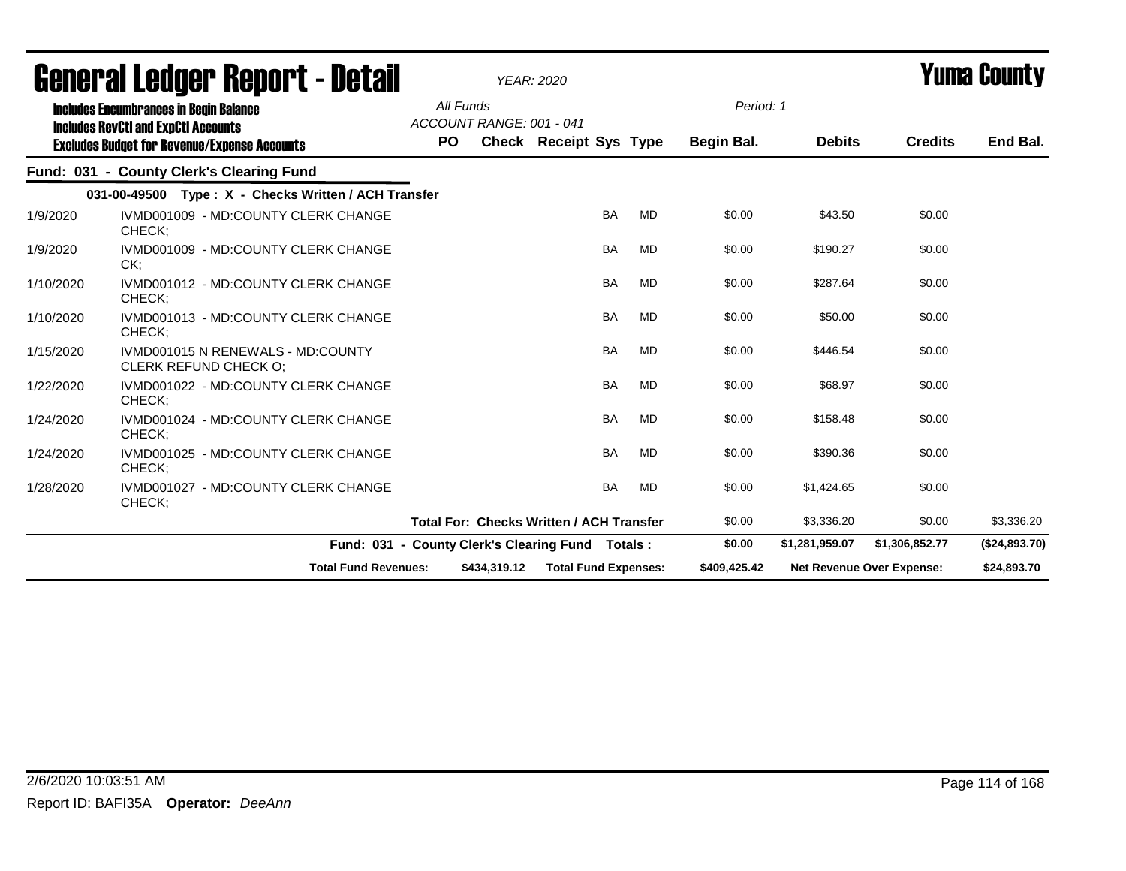|           | ugligi ai lguygi "Ngµui"l - Dglaii                                                          |     |                                       | YEAR: 2020                                       |           | I UIIIU VVUIILY |                |                           |               |
|-----------|---------------------------------------------------------------------------------------------|-----|---------------------------------------|--------------------------------------------------|-----------|-----------------|----------------|---------------------------|---------------|
|           | <b>Includes Encumbrances in Begin Balance</b><br><b>Includes RevCtI and ExpCtI Accounts</b> |     | All Funds<br>ACCOUNT RANGE: 001 - 041 |                                                  |           | Period: 1       |                |                           |               |
|           | <b>Excludes Budget for Revenue/Expense Accounts</b>                                         | PO. |                                       | <b>Check Receipt Sys Type</b>                    |           | Begin Bal.      | <b>Debits</b>  | <b>Credits</b>            | End Bal.      |
|           | Fund: 031 - County Clerk's Clearing Fund                                                    |     |                                       |                                                  |           |                 |                |                           |               |
|           | 031-00-49500 Type: X - Checks Written / ACH Transfer                                        |     |                                       |                                                  |           |                 |                |                           |               |
| 1/9/2020  | IVMD001009 - MD:COUNTY CLERK CHANGE<br>CHECK;                                               |     |                                       | <b>BA</b>                                        | <b>MD</b> | \$0.00          | \$43.50        | \$0.00                    |               |
| 1/9/2020  | IVMD001009 - MD:COUNTY CLERK CHANGE<br>CK:                                                  |     |                                       | <b>BA</b>                                        | MD        | \$0.00          | \$190.27       | \$0.00                    |               |
| 1/10/2020 | IVMD001012 - MD:COUNTY CLERK CHANGE<br>CHECK:                                               |     |                                       | <b>BA</b>                                        | <b>MD</b> | \$0.00          | \$287.64       | \$0.00                    |               |
| 1/10/2020 | IVMD001013 - MD:COUNTY CLERK CHANGE<br>CHECK;                                               |     |                                       | <b>BA</b>                                        | <b>MD</b> | \$0.00          | \$50.00        | \$0.00                    |               |
| 1/15/2020 | IVMD001015 N RENEWALS - MD:COUNTY<br><b>CLERK REFUND CHECK O:</b>                           |     |                                       | <b>BA</b>                                        | <b>MD</b> | \$0.00          | \$446.54       | \$0.00                    |               |
| 1/22/2020 | IVMD001022 - MD:COUNTY CLERK CHANGE<br>CHECK;                                               |     |                                       | <b>BA</b>                                        | <b>MD</b> | \$0.00          | \$68.97        | \$0.00                    |               |
| 1/24/2020 | IVMD001024 - MD:COUNTY CLERK CHANGE<br>CHECK;                                               |     |                                       | <b>BA</b>                                        | <b>MD</b> | \$0.00          | \$158.48       | \$0.00                    |               |
| 1/24/2020 | IVMD001025 - MD:COUNTY CLERK CHANGE<br>CHECK:                                               |     |                                       | <b>BA</b>                                        | <b>MD</b> | \$0.00          | \$390.36       | \$0.00                    |               |
| 1/28/2020 | IVMD001027 - MD:COUNTY CLERK CHANGE<br>CHECK;                                               |     |                                       | <b>BA</b>                                        | <b>MD</b> | \$0.00          | \$1,424.65     | \$0.00                    |               |
|           |                                                                                             |     |                                       | <b>Total For: Checks Written / ACH Transfer</b>  |           | \$0.00          | \$3,336.20     | \$0.00                    | \$3,336.20    |
|           |                                                                                             |     |                                       | Fund: 031 - County Clerk's Clearing Fund Totals: |           | \$0.00          | \$1,281,959.07 | \$1,306,852.77            | (\$24,893.70) |
|           | <b>Total Fund Revenues:</b>                                                                 |     | \$434,319.12                          | <b>Total Fund Expenses:</b>                      |           | \$409,425.42    |                | Net Revenue Over Expense: | \$24,893.70   |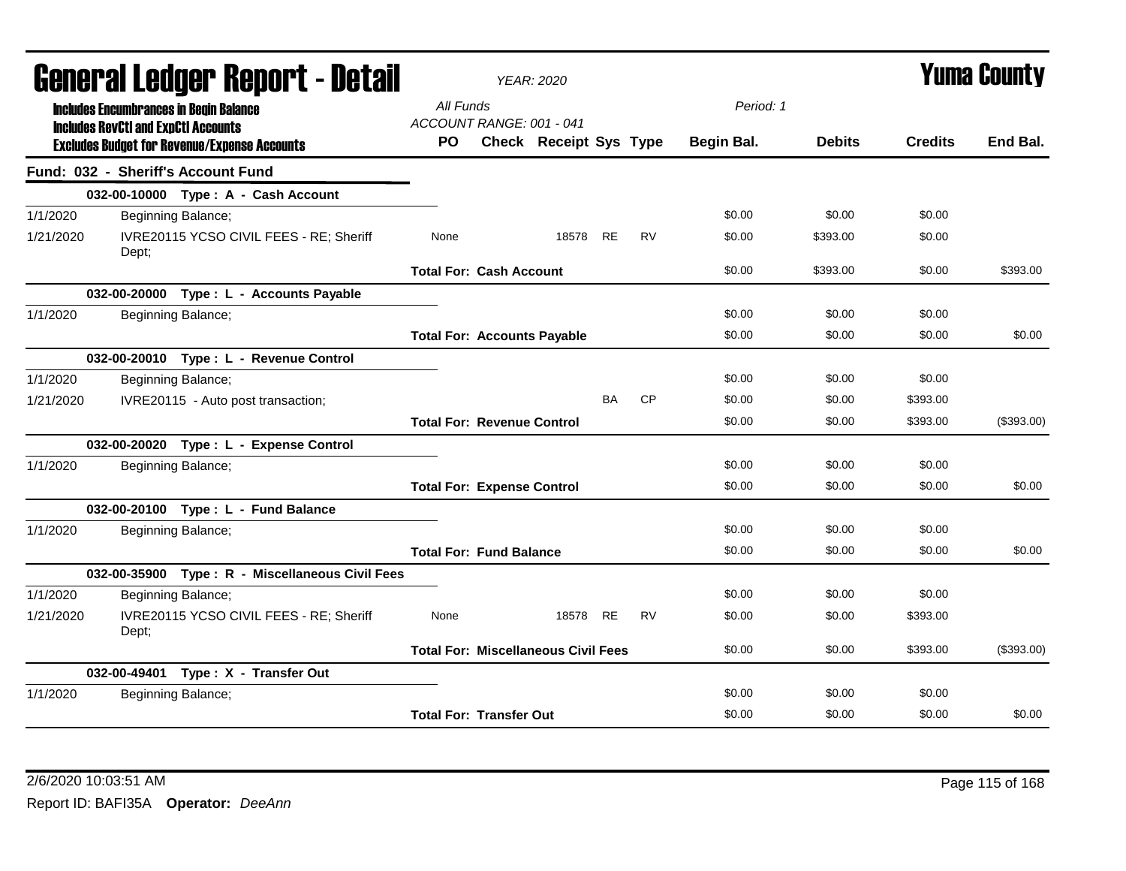| agual.gi fanñal. Urinn. ( - nafsii |                                            |                                                     | YEAR: 2020                            |                                            |           |           |            | I UIIIA VUUIILY |                |            |
|------------------------------------|--------------------------------------------|-----------------------------------------------------|---------------------------------------|--------------------------------------------|-----------|-----------|------------|-----------------|----------------|------------|
|                                    |                                            | <b>Includes Encumbrances in Begin Balance</b>       | All Funds<br>ACCOUNT RANGE: 001 - 041 |                                            |           |           | Period: 1  |                 |                |            |
|                                    | <b>Includes RevCtI and ExpCtI Accounts</b> | <b>Excludes Budget for Revenue/Expense Accounts</b> | PO.                                   | <b>Check Receipt Sys Type</b>              |           |           | Begin Bal. | <b>Debits</b>   | <b>Credits</b> | End Bal.   |
|                                    |                                            | Fund: 032 - Sheriff's Account Fund                  |                                       |                                            |           |           |            |                 |                |            |
|                                    |                                            | 032-00-10000 Type: A - Cash Account                 |                                       |                                            |           |           |            |                 |                |            |
| 1/1/2020                           |                                            | Beginning Balance;                                  |                                       |                                            |           |           | \$0.00     | \$0.00          | \$0.00         |            |
| 1/21/2020                          | Dept;                                      | IVRE20115 YCSO CIVIL FEES - RE; Sheriff             | None                                  | 18578 RE                                   |           | <b>RV</b> | \$0.00     | \$393.00        | \$0.00         |            |
|                                    |                                            |                                                     | <b>Total For: Cash Account</b>        |                                            |           |           | \$0.00     | \$393.00        | \$0.00         | \$393.00   |
|                                    |                                            | 032-00-20000 Type: L - Accounts Payable             |                                       |                                            |           |           |            |                 |                |            |
| 1/1/2020                           |                                            | Beginning Balance;                                  |                                       |                                            |           |           | \$0.00     | \$0.00          | \$0.00         |            |
|                                    |                                            |                                                     |                                       | <b>Total For: Accounts Payable</b>         |           |           | \$0.00     | \$0.00          | \$0.00         | \$0.00     |
|                                    |                                            | 032-00-20010 Type: L - Revenue Control              |                                       |                                            |           |           |            |                 |                |            |
| 1/1/2020                           |                                            | Beginning Balance;                                  |                                       |                                            |           |           | \$0.00     | \$0.00          | \$0.00         |            |
| 1/21/2020                          |                                            | IVRE20115 - Auto post transaction;                  |                                       |                                            | <b>BA</b> | <b>CP</b> | \$0.00     | \$0.00          | \$393.00       |            |
|                                    |                                            |                                                     | <b>Total For: Revenue Control</b>     |                                            |           |           | \$0.00     | \$0.00          | \$393.00       | (\$393.00) |
|                                    |                                            | 032-00-20020 Type: L - Expense Control              |                                       |                                            |           |           |            |                 |                |            |
| 1/1/2020                           |                                            | Beginning Balance;                                  |                                       |                                            |           |           | \$0.00     | \$0.00          | \$0.00         |            |
|                                    |                                            |                                                     | <b>Total For: Expense Control</b>     |                                            |           |           | \$0.00     | \$0.00          | \$0.00         | \$0.00     |
|                                    |                                            | 032-00-20100 Type: L - Fund Balance                 |                                       |                                            |           |           |            |                 |                |            |
| 1/1/2020                           |                                            | Beginning Balance;                                  |                                       |                                            |           |           | \$0.00     | \$0.00          | \$0.00         |            |
|                                    |                                            |                                                     | <b>Total For: Fund Balance</b>        |                                            |           |           | \$0.00     | \$0.00          | \$0.00         | \$0.00     |
|                                    |                                            | 032-00-35900 Type: R - Miscellaneous Civil Fees     |                                       |                                            |           |           |            |                 |                |            |
| 1/1/2020                           |                                            | Beginning Balance;                                  |                                       |                                            |           |           | \$0.00     | \$0.00          | \$0.00         |            |
| 1/21/2020                          | Dept;                                      | IVRE20115 YCSO CIVIL FEES - RE; Sheriff             | None                                  | 18578 RE                                   |           | <b>RV</b> | \$0.00     | \$0.00          | \$393.00       |            |
|                                    |                                            |                                                     |                                       | <b>Total For: Miscellaneous Civil Fees</b> |           |           | \$0.00     | \$0.00          | \$393.00       | (\$393.00) |
|                                    |                                            | 032-00-49401 Type: X - Transfer Out                 |                                       |                                            |           |           |            |                 |                |            |
| 1/1/2020                           |                                            | Beginning Balance;                                  |                                       |                                            |           |           | \$0.00     | \$0.00          | \$0.00         |            |
|                                    |                                            |                                                     | <b>Total For: Transfer Out</b>        |                                            |           |           | \$0.00     | \$0.00          | \$0.00         | \$0.00     |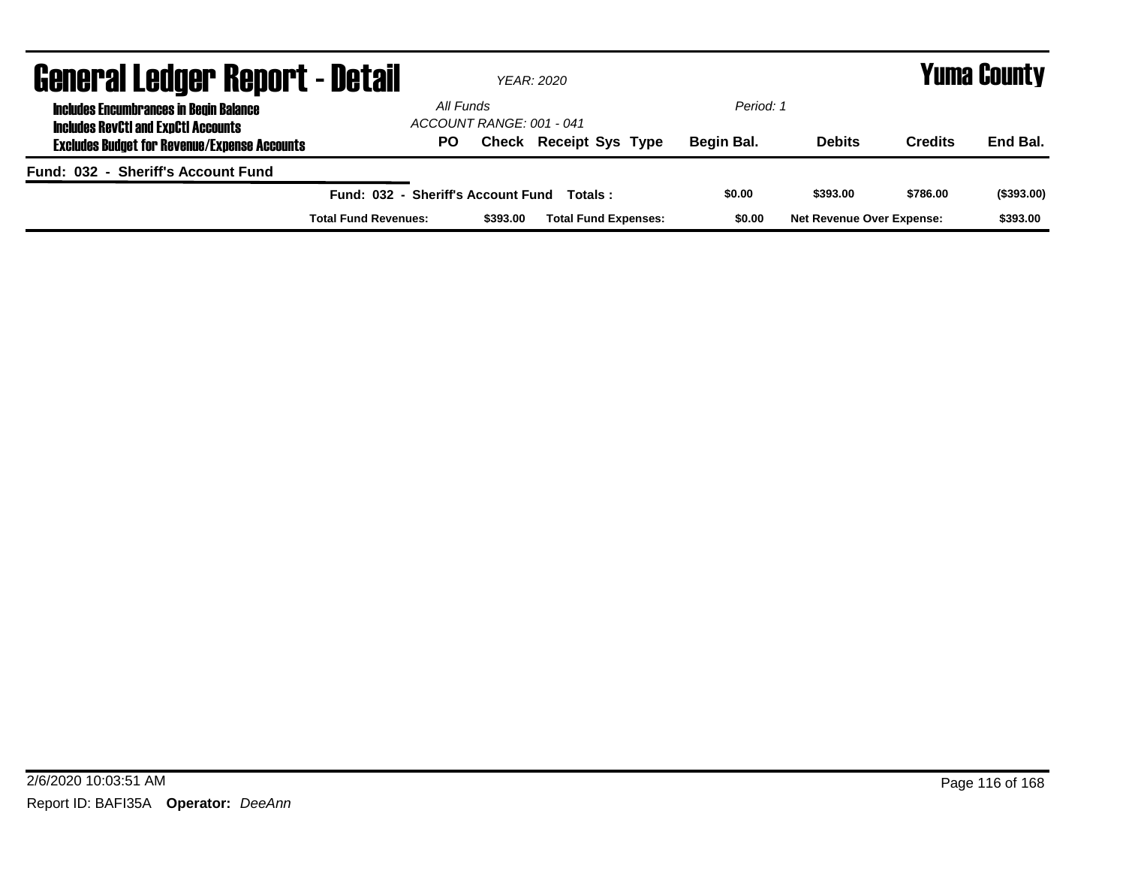| <b>General Ledger Report - Detail</b>                                                       |                                    |                          | YEAR: 2020                    |            | Yuma County                      |                |            |  |
|---------------------------------------------------------------------------------------------|------------------------------------|--------------------------|-------------------------------|------------|----------------------------------|----------------|------------|--|
| <b>Includes Encumbrances in Begin Balance</b><br><b>Includes RevCtI and ExpCtI Accounts</b> | All Funds                          | ACCOUNT RANGE: 001 - 041 |                               | Period: 1  |                                  |                |            |  |
| <b>Excludes Budget for Revenue/Expense Accounts</b>                                         | PO                                 |                          | <b>Check Receipt Sys Type</b> | Begin Bal. | <b>Debits</b>                    | <b>Credits</b> | End Bal.   |  |
| Fund: 032 - Sheriff's Account Fund                                                          |                                    |                          |                               |            |                                  |                |            |  |
|                                                                                             | Fund: 032 - Sheriff's Account Fund |                          | Totals :                      | \$0.00     | \$393.00                         | \$786.00       | (\$393.00) |  |
|                                                                                             | <b>Total Fund Revenues:</b>        | \$393.00                 | <b>Total Fund Expenses:</b>   | \$0.00     | <b>Net Revenue Over Expense:</b> |                | \$393.00   |  |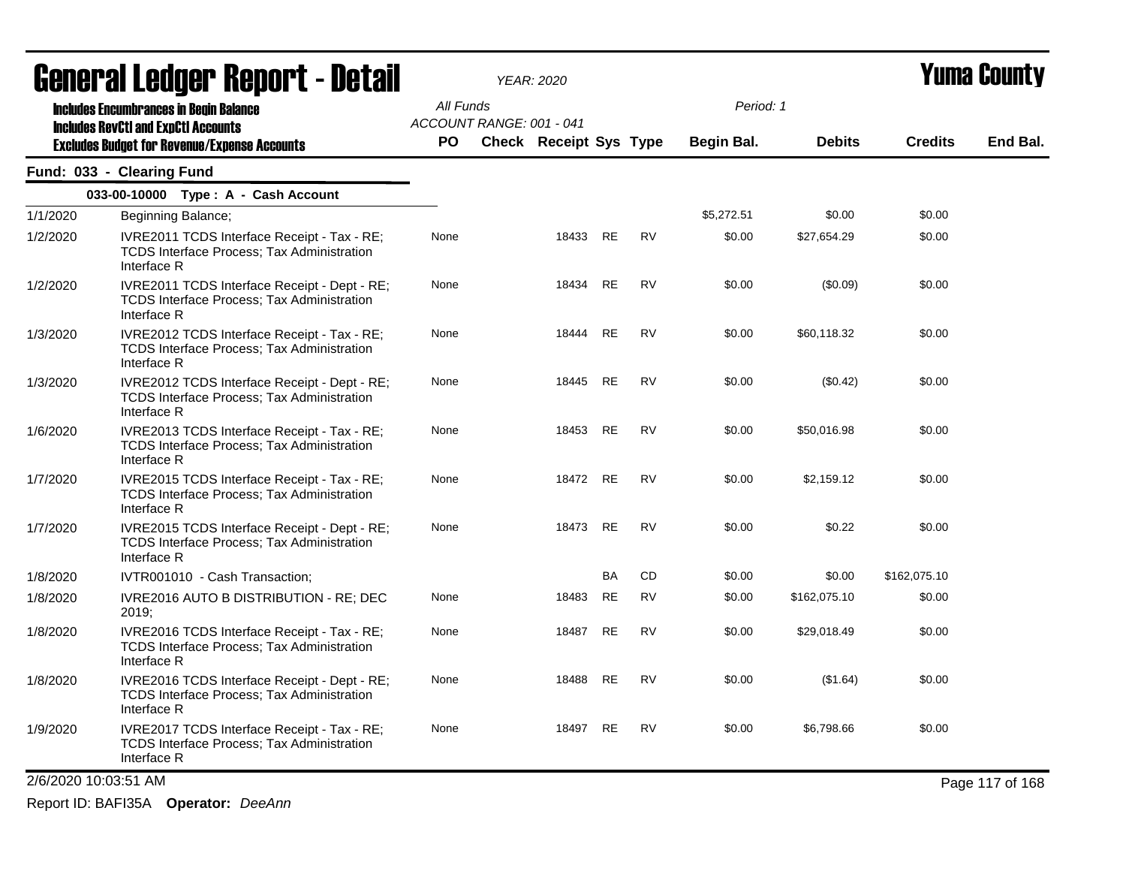|          | <b>General Ledger Report - Detail</b>                                                                            |           | <b>YEAR: 2020</b>        |                               |           |           | <b>Yuma County</b> |               |                |                 |
|----------|------------------------------------------------------------------------------------------------------------------|-----------|--------------------------|-------------------------------|-----------|-----------|--------------------|---------------|----------------|-----------------|
|          | <b>Includes Encumbrances in Begin Balance</b>                                                                    | All Funds |                          |                               |           |           | Period: 1          |               |                |                 |
|          | <b>Includes RevCtI and ExpCtI Accounts</b>                                                                       |           | ACCOUNT RANGE: 001 - 041 |                               |           |           |                    |               |                |                 |
|          | <b>Excludes Budget for Revenue/Expense Accounts</b>                                                              | PO.       |                          | <b>Check Receipt Sys Type</b> |           |           | <b>Begin Bal.</b>  | <b>Debits</b> | <b>Credits</b> | End Bal.        |
|          | Fund: 033 - Clearing Fund                                                                                        |           |                          |                               |           |           |                    |               |                |                 |
|          | 033-00-10000 Type: A - Cash Account                                                                              |           |                          |                               |           |           |                    |               |                |                 |
| 1/1/2020 | Beginning Balance;                                                                                               |           |                          |                               |           |           | \$5,272.51         | \$0.00        | \$0.00         |                 |
| 1/2/2020 | IVRE2011 TCDS Interface Receipt - Tax - RE;<br><b>TCDS Interface Process; Tax Administration</b><br>Interface R  | None      |                          | 18433                         | RE        | RV        | \$0.00             | \$27,654.29   | \$0.00         |                 |
| 1/2/2020 | IVRE2011 TCDS Interface Receipt - Dept - RE;<br><b>TCDS Interface Process: Tax Administration</b><br>Interface R | None      |                          | 18434                         | <b>RE</b> | <b>RV</b> | \$0.00             | (\$0.09)      | \$0.00         |                 |
| 1/3/2020 | IVRE2012 TCDS Interface Receipt - Tax - RE;<br><b>TCDS Interface Process; Tax Administration</b><br>Interface R  | None      |                          | 18444                         | <b>RE</b> | <b>RV</b> | \$0.00             | \$60,118.32   | \$0.00         |                 |
| 1/3/2020 | IVRE2012 TCDS Interface Receipt - Dept - RE;<br><b>TCDS Interface Process; Tax Administration</b><br>Interface R | None      |                          | 18445                         | RE        | <b>RV</b> | \$0.00             | (\$0.42)      | \$0.00         |                 |
| 1/6/2020 | IVRE2013 TCDS Interface Receipt - Tax - RE;<br><b>TCDS Interface Process: Tax Administration</b><br>Interface R  | None      |                          | 18453                         | RE        | <b>RV</b> | \$0.00             | \$50,016.98   | \$0.00         |                 |
| 1/7/2020 | IVRE2015 TCDS Interface Receipt - Tax - RE;<br><b>TCDS Interface Process: Tax Administration</b><br>Interface R  | None      |                          | 18472 RE                      |           | <b>RV</b> | \$0.00             | \$2,159.12    | \$0.00         |                 |
| 1/7/2020 | IVRE2015 TCDS Interface Receipt - Dept - RE;<br><b>TCDS Interface Process: Tax Administration</b><br>Interface R | None      |                          | 18473                         | RE        | RV        | \$0.00             | \$0.22        | \$0.00         |                 |
| 1/8/2020 | IVTR001010 - Cash Transaction;                                                                                   |           |                          |                               | BA        | <b>CD</b> | \$0.00             | \$0.00        | \$162,075.10   |                 |
| 1/8/2020 | IVRE2016 AUTO B DISTRIBUTION - RE; DEC<br>2019;                                                                  | None      |                          | 18483                         | RE        | <b>RV</b> | \$0.00             | \$162,075.10  | \$0.00         |                 |
| 1/8/2020 | IVRE2016 TCDS Interface Receipt - Tax - RE;<br><b>TCDS Interface Process; Tax Administration</b><br>Interface R  | None      |                          | 18487                         | <b>RE</b> | <b>RV</b> | \$0.00             | \$29,018.49   | \$0.00         |                 |
| 1/8/2020 | IVRE2016 TCDS Interface Receipt - Dept - RE;<br><b>TCDS Interface Process; Tax Administration</b><br>Interface R | None      |                          | 18488                         | <b>RE</b> | <b>RV</b> | \$0.00             | (\$1.64)      | \$0.00         |                 |
| 1/9/2020 | IVRE2017 TCDS Interface Receipt - Tax - RE;<br><b>TCDS Interface Process: Tax Administration</b><br>Interface R  | None      |                          | 18497 RE                      |           | <b>RV</b> | \$0.00             | \$6,798.66    | \$0.00         |                 |
|          | 2/6/2020 10:03:51 AM                                                                                             |           |                          |                               |           |           |                    |               |                | Page 117 of 168 |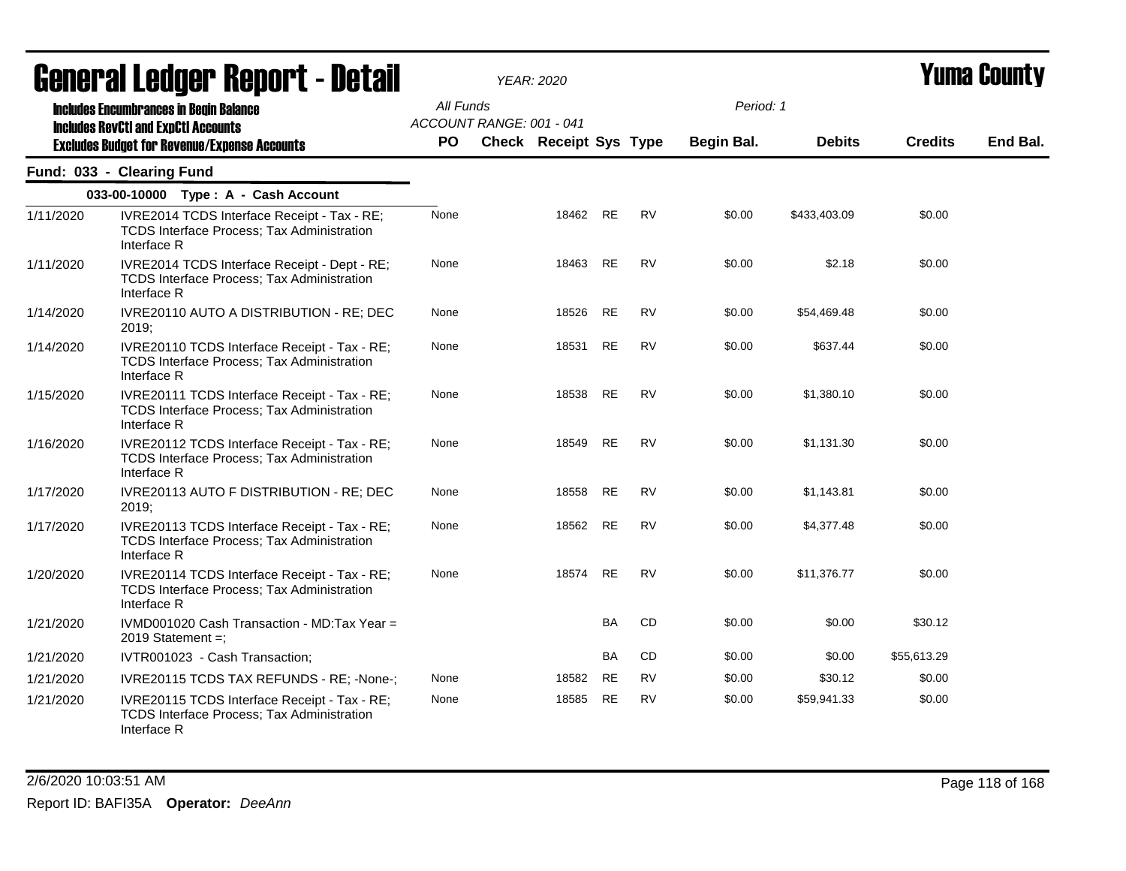|           | <b>General Ledger Report - Detail</b>                                                                            |           |                          | <b>YEAR: 2020</b>             |           |           |                   |               | Yuma Countv    |          |
|-----------|------------------------------------------------------------------------------------------------------------------|-----------|--------------------------|-------------------------------|-----------|-----------|-------------------|---------------|----------------|----------|
|           | <b>Includes Encumbrances in Begin Balance</b><br><b>Includes RevCtI and ExpCtI Accounts</b>                      | All Funds | ACCOUNT RANGE: 001 - 041 |                               |           |           | Period: 1         |               |                |          |
|           | <b>Excludes Budget for Revenue/Expense Accounts</b>                                                              | <b>PO</b> |                          | <b>Check Receipt Sys Type</b> |           |           | <b>Begin Bal.</b> | <b>Debits</b> | <b>Credits</b> | End Bal. |
|           | Fund: 033 - Clearing Fund                                                                                        |           |                          |                               |           |           |                   |               |                |          |
|           | 033-00-10000 Type: A - Cash Account                                                                              |           |                          |                               |           |           |                   |               |                |          |
| 1/11/2020 | IVRE2014 TCDS Interface Receipt - Tax - RE;<br>TCDS Interface Process; Tax Administration<br>Interface R         | None      |                          | 18462                         | <b>RE</b> | <b>RV</b> | \$0.00            | \$433,403.09  | \$0.00         |          |
| 1/11/2020 | IVRE2014 TCDS Interface Receipt - Dept - RE;<br><b>TCDS Interface Process; Tax Administration</b><br>Interface R | None      |                          | 18463                         | <b>RE</b> | <b>RV</b> | \$0.00            | \$2.18        | \$0.00         |          |
| 1/14/2020 | IVRE20110 AUTO A DISTRIBUTION - RE; DEC<br>2019:                                                                 | None      |                          | 18526                         | <b>RE</b> | <b>RV</b> | \$0.00            | \$54,469.48   | \$0.00         |          |
| 1/14/2020 | IVRE20110 TCDS Interface Receipt - Tax - RE;<br><b>TCDS Interface Process; Tax Administration</b><br>Interface R | None      |                          | 18531                         | <b>RE</b> | <b>RV</b> | \$0.00            | \$637.44      | \$0.00         |          |
| 1/15/2020 | IVRE20111 TCDS Interface Receipt - Tax - RE;<br><b>TCDS Interface Process; Tax Administration</b><br>Interface R | None      |                          | 18538                         | <b>RE</b> | <b>RV</b> | \$0.00            | \$1,380.10    | \$0.00         |          |
| 1/16/2020 | IVRE20112 TCDS Interface Receipt - Tax - RE;<br>TCDS Interface Process; Tax Administration<br>Interface R        | None      |                          | 18549                         | RE        | <b>RV</b> | \$0.00            | \$1,131.30    | \$0.00         |          |
| 1/17/2020 | IVRE20113 AUTO F DISTRIBUTION - RE; DEC<br>2019;                                                                 | None      |                          | 18558                         | <b>RE</b> | <b>RV</b> | \$0.00            | \$1,143.81    | \$0.00         |          |
| 1/17/2020 | IVRE20113 TCDS Interface Receipt - Tax - RE;<br><b>TCDS Interface Process; Tax Administration</b><br>Interface R | None      |                          | 18562                         | RE        | RV        | \$0.00            | \$4,377.48    | \$0.00         |          |
| 1/20/2020 | IVRE20114 TCDS Interface Receipt - Tax - RE;<br><b>TCDS Interface Process; Tax Administration</b><br>Interface R | None      |                          | 18574                         | <b>RE</b> | <b>RV</b> | \$0.00            | \$11,376.77   | \$0.00         |          |
| 1/21/2020 | IVMD001020 Cash Transaction - MD:Tax Year =<br>2019 Statement $=$ :                                              |           |                          |                               | <b>BA</b> | CD        | \$0.00            | \$0.00        | \$30.12        |          |
| 1/21/2020 | IVTR001023 - Cash Transaction;                                                                                   |           |                          |                               | <b>BA</b> | CD        | \$0.00            | \$0.00        | \$55,613.29    |          |
| 1/21/2020 | IVRE20115 TCDS TAX REFUNDS - RE; -None-;                                                                         | None      |                          | 18582                         | RE        | RV        | \$0.00            | \$30.12       | \$0.00         |          |
| 1/21/2020 | IVRE20115 TCDS Interface Receipt - Tax - RE;<br><b>TCDS Interface Process; Tax Administration</b><br>Interface R | None      |                          | 18585                         | <b>RE</b> | <b>RV</b> | \$0.00            | \$59,941.33   | \$0.00         |          |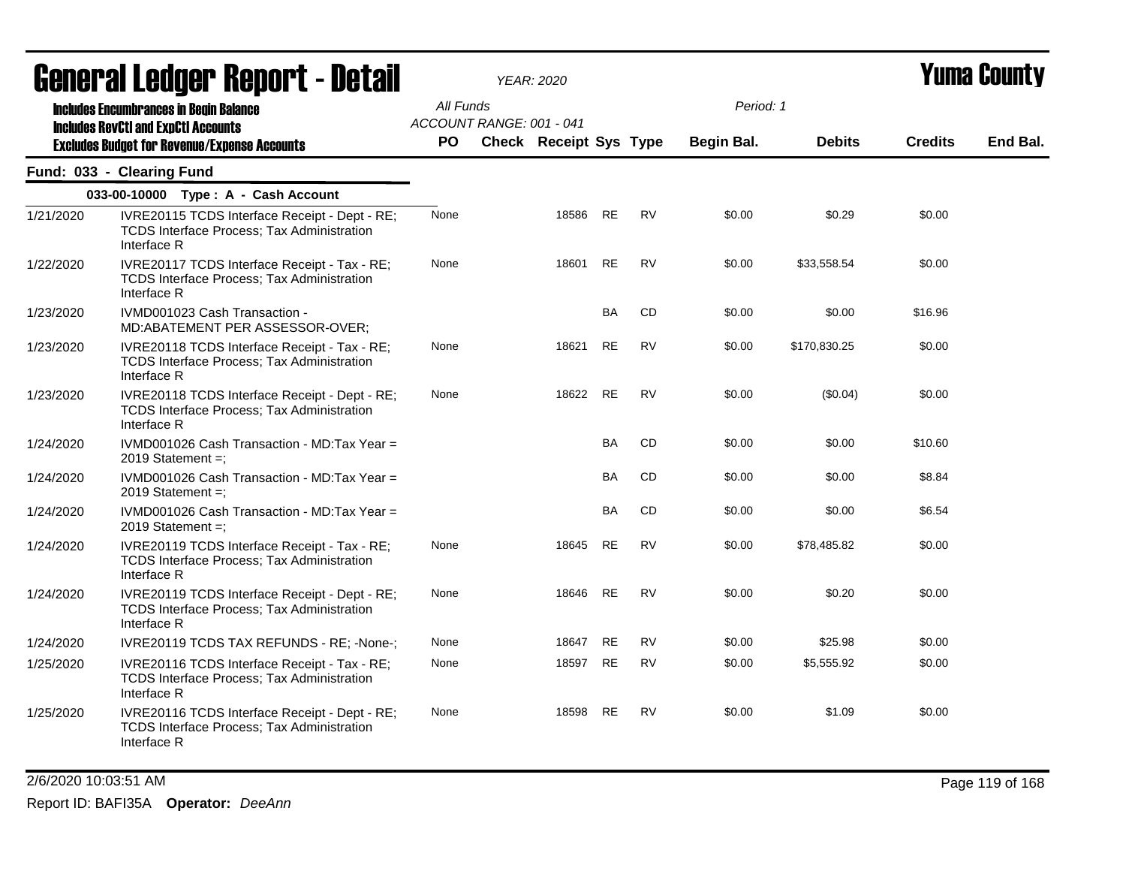|           | ugligi ai Lguygi ngpulil - Dglail                                                                                 |           |                          | YEAR: 2020             |           |           |            |               |                | I UIIIU VVUIIL\ |
|-----------|-------------------------------------------------------------------------------------------------------------------|-----------|--------------------------|------------------------|-----------|-----------|------------|---------------|----------------|-----------------|
|           | <b>Includes Encumbrances in Begin Balance</b><br><b>Includes RevCtI and ExpCtI Accounts</b>                       |           | All Funds                |                        |           |           | Period: 1  |               |                |                 |
|           | <b>Excludes Budget for Revenue/Expense Accounts</b>                                                               | <b>PO</b> | ACCOUNT RANGE: 001 - 041 | Check Receipt Sys Type |           |           | Begin Bal. | <b>Debits</b> | <b>Credits</b> | End Bal.        |
|           | Fund: 033 - Clearing Fund                                                                                         |           |                          |                        |           |           |            |               |                |                 |
|           | 033-00-10000 Type: A - Cash Account                                                                               |           |                          |                        |           |           |            |               |                |                 |
| 1/21/2020 | IVRE20115 TCDS Interface Receipt - Dept - RE;<br><b>TCDS Interface Process; Tax Administration</b><br>Interface R | None      |                          | 18586                  | <b>RE</b> | <b>RV</b> | \$0.00     | \$0.29        | \$0.00         |                 |
| 1/22/2020 | IVRE20117 TCDS Interface Receipt - Tax - RE;<br><b>TCDS Interface Process; Tax Administration</b><br>Interface R  | None      |                          | 18601                  | <b>RE</b> | <b>RV</b> | \$0.00     | \$33,558.54   | \$0.00         |                 |
| 1/23/2020 | IVMD001023 Cash Transaction -<br>MD:ABATEMENT PER ASSESSOR-OVER;                                                  |           |                          |                        | <b>BA</b> | CD        | \$0.00     | \$0.00        | \$16.96        |                 |
| 1/23/2020 | IVRE20118 TCDS Interface Receipt - Tax - RE;<br><b>TCDS Interface Process; Tax Administration</b><br>Interface R  | None      |                          | 18621                  | <b>RE</b> | <b>RV</b> | \$0.00     | \$170,830.25  | \$0.00         |                 |
| 1/23/2020 | IVRE20118 TCDS Interface Receipt - Dept - RE;<br>TCDS Interface Process; Tax Administration<br>Interface R        | None      |                          | 18622                  | RE        | <b>RV</b> | \$0.00     | $(\$0.04)$    | \$0.00         |                 |
| 1/24/2020 | IVMD001026 Cash Transaction - MD:Tax Year =<br>2019 Statement =;                                                  |           |                          |                        | <b>BA</b> | CD        | \$0.00     | \$0.00        | \$10.60        |                 |
| 1/24/2020 | IVMD001026 Cash Transaction - MD:Tax Year =<br>2019 Statement $=$ :                                               |           |                          |                        | <b>BA</b> | <b>CD</b> | \$0.00     | \$0.00        | \$8.84         |                 |
| 1/24/2020 | IVMD001026 Cash Transaction - MD:Tax Year =<br>2019 Statement =;                                                  |           |                          |                        | BA        | CD        | \$0.00     | \$0.00        | \$6.54         |                 |
| 1/24/2020 | IVRE20119 TCDS Interface Receipt - Tax - RE;<br><b>TCDS Interface Process; Tax Administration</b><br>Interface R  | None      |                          | 18645                  | <b>RE</b> | <b>RV</b> | \$0.00     | \$78,485.82   | \$0.00         |                 |
| 1/24/2020 | IVRE20119 TCDS Interface Receipt - Dept - RE;<br><b>TCDS Interface Process; Tax Administration</b><br>Interface R | None      |                          | 18646                  | <b>RE</b> | <b>RV</b> | \$0.00     | \$0.20        | \$0.00         |                 |
| 1/24/2020 | IVRE20119 TCDS TAX REFUNDS - RE; -None-;                                                                          | None      |                          | 18647                  | <b>RE</b> | <b>RV</b> | \$0.00     | \$25.98       | \$0.00         |                 |
| 1/25/2020 | IVRE20116 TCDS Interface Receipt - Tax - RE;<br>TCDS Interface Process; Tax Administration<br>Interface R         | None      |                          | 18597                  | <b>RE</b> | <b>RV</b> | \$0.00     | \$5,555.92    | \$0.00         |                 |
| 1/25/2020 | IVRE20116 TCDS Interface Receipt - Dept - RE;<br><b>TCDS Interface Process; Tax Administration</b><br>Interface R | None      |                          | 18598                  | <b>RE</b> | <b>RV</b> | \$0.00     | \$1.09        | \$0.00         |                 |

2/6/2020 10:03:51 AM Page 119 of 168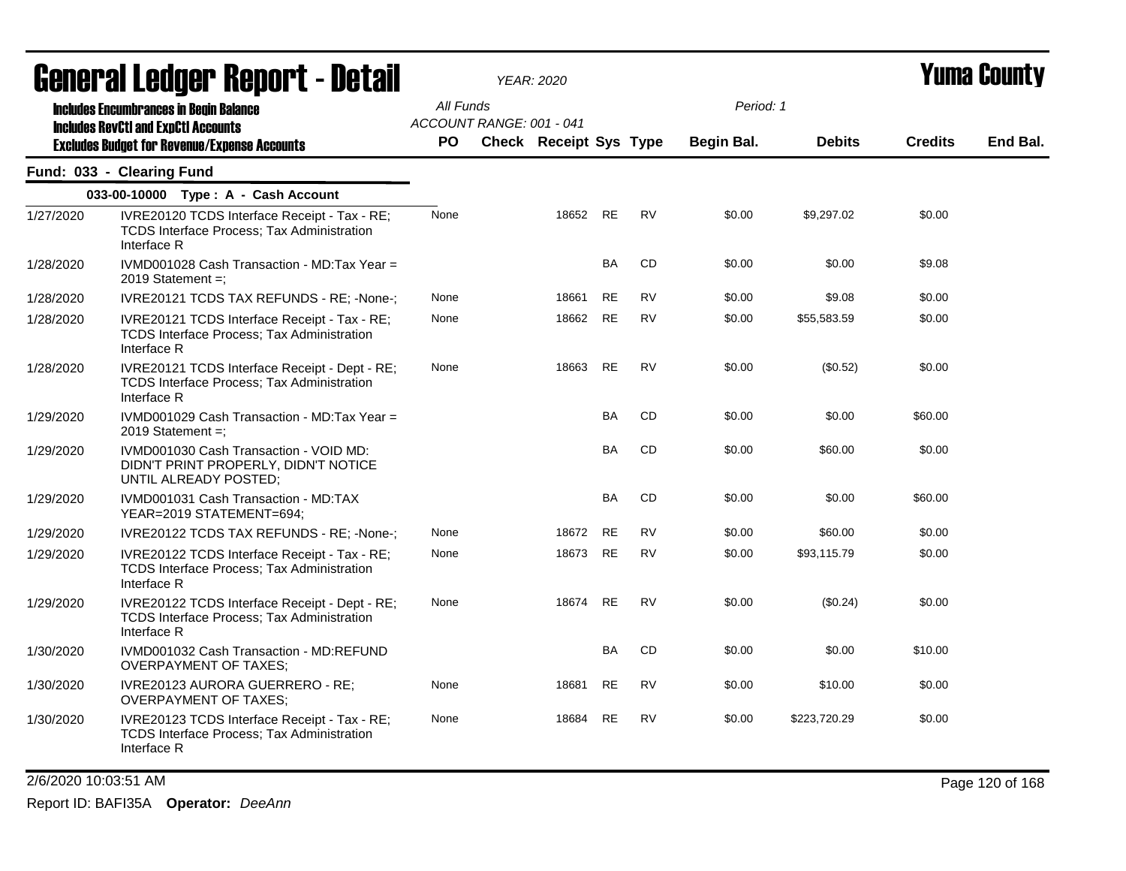|           | <b>General Ledger Report - Detail</b>                                                                            |           | <b>YEAR: 2020</b>        |                        |           |           |            |               |                | Yuma Countv |
|-----------|------------------------------------------------------------------------------------------------------------------|-----------|--------------------------|------------------------|-----------|-----------|------------|---------------|----------------|-------------|
|           | <b>Includes Encumbrances in Begin Balance</b><br><b>Includes RevCtI and ExpCtI Accounts</b>                      | All Funds | ACCOUNT RANGE: 001 - 041 |                        |           |           | Period: 1  |               |                |             |
|           | <b>Excludes Budget for Revenue/Expense Accounts</b>                                                              | <b>PO</b> |                          | Check Receipt Sys Type |           |           | Begin Bal. | <b>Debits</b> | <b>Credits</b> | End Bal.    |
|           | Fund: 033 - Clearing Fund                                                                                        |           |                          |                        |           |           |            |               |                |             |
|           | 033-00-10000 Type: A - Cash Account                                                                              |           |                          |                        |           |           |            |               |                |             |
| 1/27/2020 | IVRE20120 TCDS Interface Receipt - Tax - RE;<br><b>TCDS Interface Process: Tax Administration</b><br>Interface R | None      |                          | 18652                  | <b>RE</b> | <b>RV</b> | \$0.00     | \$9,297.02    | \$0.00         |             |
| 1/28/2020 | IVMD001028 Cash Transaction - MD:Tax Year =<br>2019 Statement =:                                                 |           |                          |                        | <b>BA</b> | CD        | \$0.00     | \$0.00        | \$9.08         |             |
| 1/28/2020 | IVRE20121 TCDS TAX REFUNDS - RE; -None-;                                                                         | None      |                          | 18661                  | <b>RE</b> | <b>RV</b> | \$0.00     | \$9.08        | \$0.00         |             |
| 1/28/2020 | IVRE20121 TCDS Interface Receipt - Tax - RE;<br><b>TCDS Interface Process: Tax Administration</b><br>Interface R | None      |                          | 18662                  | <b>RE</b> | <b>RV</b> | \$0.00     | \$55,583.59   | \$0.00         |             |
| 1/28/2020 | IVRE20121 TCDS Interface Receipt - Dept - RE;<br>TCDS Interface Process; Tax Administration<br>Interface R       | None      |                          | 18663                  | <b>RE</b> | <b>RV</b> | \$0.00     | (\$0.52)      | \$0.00         |             |
| 1/29/2020 | IVMD001029 Cash Transaction - MD:Tax Year =<br>2019 Statement $=$ ;                                              |           |                          |                        | <b>BA</b> | CD        | \$0.00     | \$0.00        | \$60.00        |             |
| 1/29/2020 | IVMD001030 Cash Transaction - VOID MD:<br>DIDN'T PRINT PROPERLY, DIDN'T NOTICE<br>UNTIL ALREADY POSTED;          |           |                          |                        | BA        | CD        | \$0.00     | \$60.00       | \$0.00         |             |
| 1/29/2020 | IVMD001031 Cash Transaction - MD:TAX<br>YEAR=2019 STATEMENT=694;                                                 |           |                          |                        | <b>BA</b> | <b>CD</b> | \$0.00     | \$0.00        | \$60.00        |             |
| 1/29/2020 | IVRE20122 TCDS TAX REFUNDS - RE: -None-:                                                                         | None      |                          | 18672                  | RE        | RV        | \$0.00     | \$60.00       | \$0.00         |             |
| 1/29/2020 | IVRE20122 TCDS Interface Receipt - Tax - RE;<br>TCDS Interface Process; Tax Administration<br>Interface R        | None      |                          | 18673                  | RE        | <b>RV</b> | \$0.00     | \$93,115.79   | \$0.00         |             |
| 1/29/2020 | IVRE20122 TCDS Interface Receipt - Dept - RE;<br>TCDS Interface Process; Tax Administration<br>Interface R       | None      |                          | 18674                  | <b>RE</b> | <b>RV</b> | \$0.00     | (\$0.24)      | \$0.00         |             |
| 1/30/2020 | IVMD001032 Cash Transaction - MD:REFUND<br><b>OVERPAYMENT OF TAXES;</b>                                          |           |                          |                        | BA        | CD        | \$0.00     | \$0.00        | \$10.00        |             |
| 1/30/2020 | IVRE20123 AURORA GUERRERO - RE;<br><b>OVERPAYMENT OF TAXES;</b>                                                  | None      |                          | 18681                  | <b>RE</b> | <b>RV</b> | \$0.00     | \$10.00       | \$0.00         |             |
| 1/30/2020 | IVRE20123 TCDS Interface Receipt - Tax - RE;<br><b>TCDS Interface Process: Tax Administration</b><br>Interface R | None      |                          | 18684                  | <b>RE</b> | <b>RV</b> | \$0.00     | \$223,720.29  | \$0.00         |             |

2/6/2020 10:03:51 AM Page 120 of 168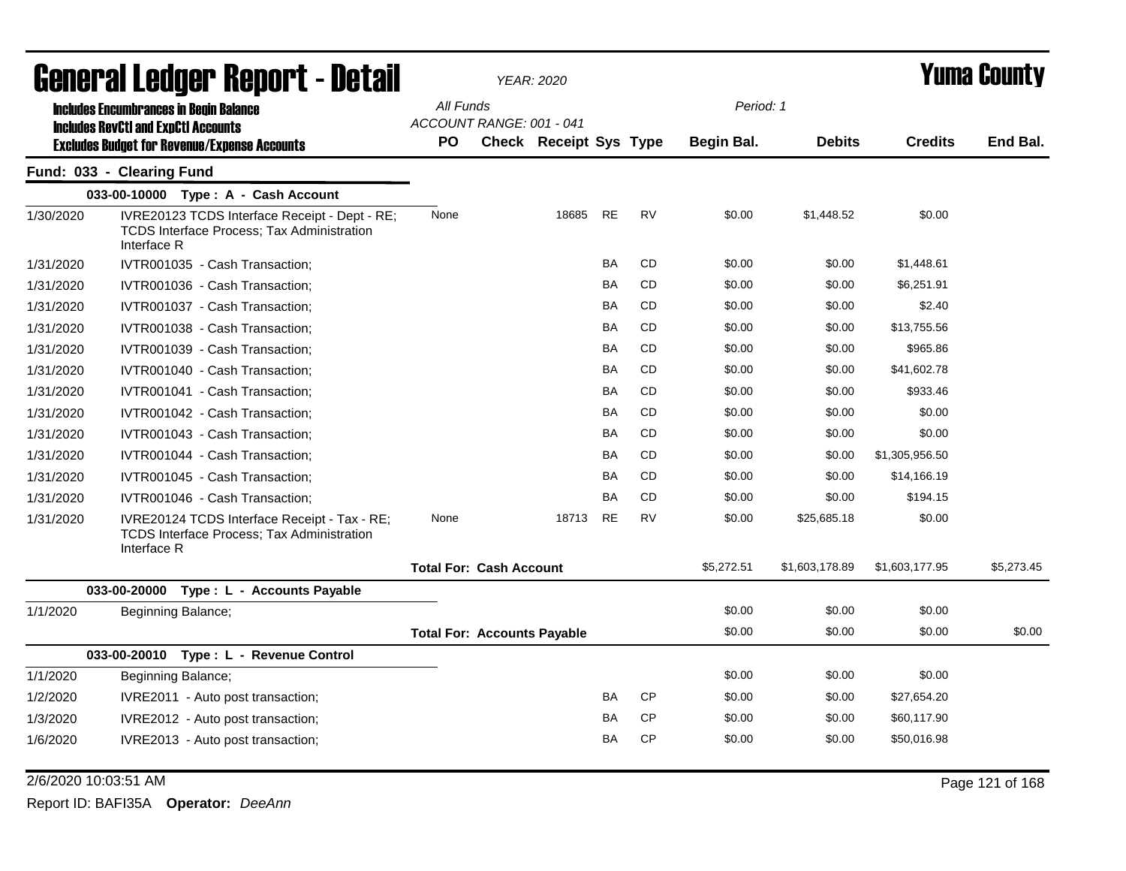|           | General Ledger Report - Detail                                                                                    |                                    | <b>YEAR: 2020</b>             |           |           |            |                |                | <b>Yuma County</b> |
|-----------|-------------------------------------------------------------------------------------------------------------------|------------------------------------|-------------------------------|-----------|-----------|------------|----------------|----------------|--------------------|
|           | <b>Includes Encumbrances in Begin Balance</b>                                                                     | All Funds                          |                               |           |           | Period: 1  |                |                |                    |
|           | <b>Includes RevCtI and ExpCtI Accounts</b><br><b>Excludes Budget for Revenue/Expense Accounts</b>                 | ACCOUNT RANGE: 001 - 041<br>PO     | <b>Check Receipt Sys Type</b> |           |           | Begin Bal. | <b>Debits</b>  | <b>Credits</b> | End Bal.           |
|           | Fund: 033 - Clearing Fund                                                                                         |                                    |                               |           |           |            |                |                |                    |
|           | 033-00-10000 Type: A - Cash Account                                                                               |                                    |                               |           |           |            |                |                |                    |
| 1/30/2020 | IVRE20123 TCDS Interface Receipt - Dept - RE;<br><b>TCDS Interface Process; Tax Administration</b><br>Interface R | None                               | 18685                         | <b>RE</b> | <b>RV</b> | \$0.00     | \$1,448.52     | \$0.00         |                    |
| 1/31/2020 | IVTR001035 - Cash Transaction;                                                                                    |                                    |                               | <b>BA</b> | <b>CD</b> | \$0.00     | \$0.00         | \$1,448.61     |                    |
| 1/31/2020 | IVTR001036 - Cash Transaction;                                                                                    |                                    |                               | <b>BA</b> | <b>CD</b> | \$0.00     | \$0.00         | \$6,251.91     |                    |
| 1/31/2020 | IVTR001037 - Cash Transaction;                                                                                    |                                    |                               | BA        | <b>CD</b> | \$0.00     | \$0.00         | \$2.40         |                    |
| 1/31/2020 | IVTR001038 - Cash Transaction;                                                                                    |                                    |                               | BA        | CD        | \$0.00     | \$0.00         | \$13,755.56    |                    |
| 1/31/2020 | IVTR001039 - Cash Transaction;                                                                                    |                                    |                               | <b>BA</b> | CD        | \$0.00     | \$0.00         | \$965.86       |                    |
| 1/31/2020 | IVTR001040 - Cash Transaction;                                                                                    |                                    |                               | <b>BA</b> | <b>CD</b> | \$0.00     | \$0.00         | \$41,602.78    |                    |
| 1/31/2020 | IVTR001041 - Cash Transaction;                                                                                    |                                    |                               | <b>BA</b> | <b>CD</b> | \$0.00     | \$0.00         | \$933.46       |                    |
| 1/31/2020 | IVTR001042 - Cash Transaction;                                                                                    |                                    |                               | <b>BA</b> | <b>CD</b> | \$0.00     | \$0.00         | \$0.00         |                    |
| 1/31/2020 | IVTR001043 - Cash Transaction;                                                                                    |                                    |                               | <b>BA</b> | <b>CD</b> | \$0.00     | \$0.00         | \$0.00         |                    |
| 1/31/2020 | IVTR001044 - Cash Transaction;                                                                                    |                                    |                               | BA        | CD        | \$0.00     | \$0.00         | \$1,305,956.50 |                    |
| 1/31/2020 | IVTR001045 - Cash Transaction;                                                                                    |                                    |                               | BA        | <b>CD</b> | \$0.00     | \$0.00         | \$14,166.19    |                    |
| 1/31/2020 | IVTR001046 - Cash Transaction;                                                                                    |                                    |                               | BA        | CD        | \$0.00     | \$0.00         | \$194.15       |                    |
| 1/31/2020 | IVRE20124 TCDS Interface Receipt - Tax - RE;<br><b>TCDS Interface Process: Tax Administration</b><br>Interface R  | None                               | 18713                         | <b>RE</b> | <b>RV</b> | \$0.00     | \$25,685.18    | \$0.00         |                    |
|           |                                                                                                                   | <b>Total For: Cash Account</b>     |                               |           |           | \$5,272.51 | \$1,603,178.89 | \$1,603,177.95 | \$5,273.45         |
|           | 033-00-20000<br>Type : L - Accounts Payable                                                                       |                                    |                               |           |           |            |                |                |                    |
| 1/1/2020  | Beginning Balance;                                                                                                |                                    |                               |           |           | \$0.00     | \$0.00         | \$0.00         |                    |
|           |                                                                                                                   | <b>Total For: Accounts Payable</b> |                               |           |           | \$0.00     | \$0.00         | \$0.00         | \$0.00             |
|           | 033-00-20010 Type: L - Revenue Control                                                                            |                                    |                               |           |           |            |                |                |                    |
| 1/1/2020  | Beginning Balance;                                                                                                |                                    |                               |           |           | \$0.00     | \$0.00         | \$0.00         |                    |
| 1/2/2020  | IVRE2011 - Auto post transaction;                                                                                 |                                    |                               | BA        | <b>CP</b> | \$0.00     | \$0.00         | \$27,654.20    |                    |
| 1/3/2020  | IVRE2012 - Auto post transaction;                                                                                 |                                    |                               | BA        | <b>CP</b> | \$0.00     | \$0.00         | \$60,117.90    |                    |
| 1/6/2020  | IVRE2013 - Auto post transaction;                                                                                 |                                    |                               | <b>BA</b> | <b>CP</b> | \$0.00     | \$0.00         | \$50,016.98    |                    |

2/6/2020 10:03:51 AM Page 121 of 168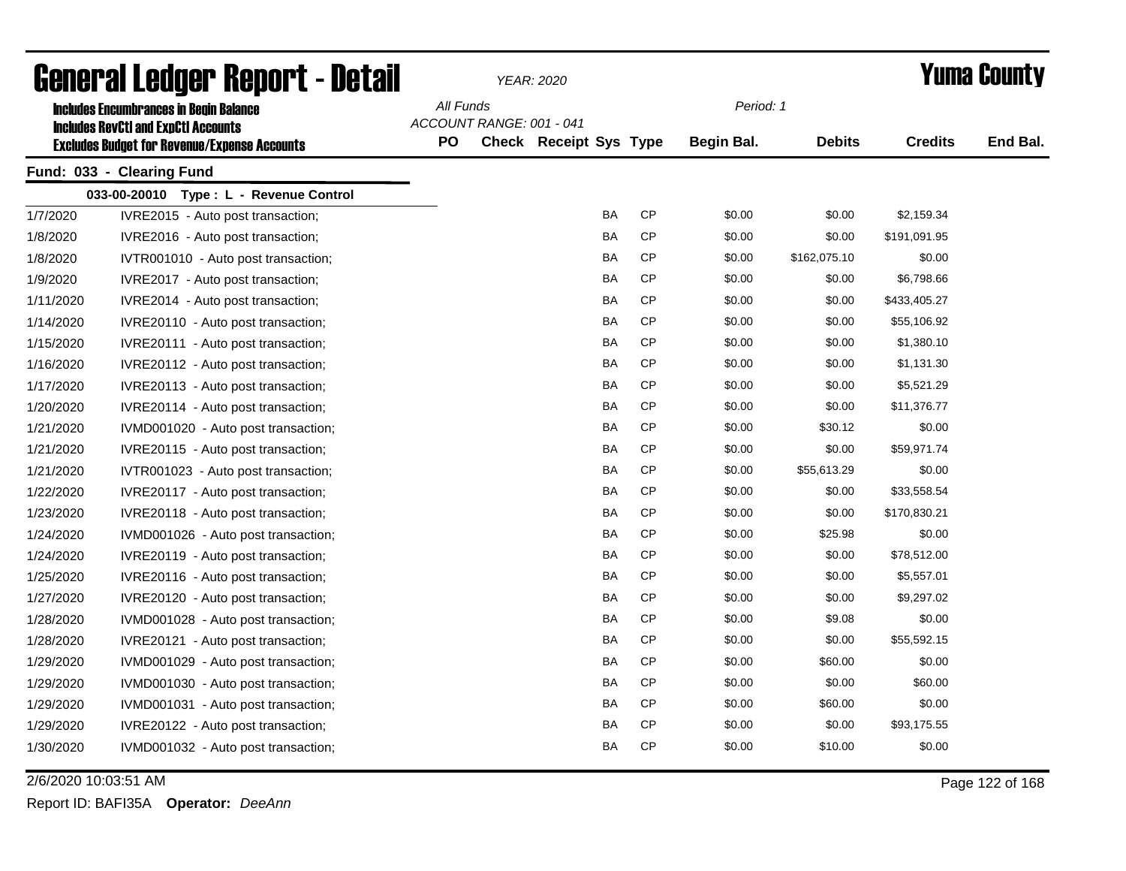|           | General Ledger Report - Detail                                                                    |           |                          | YEAR: 2020                    |           |                   |               |                | <b>Yuma County</b> |
|-----------|---------------------------------------------------------------------------------------------------|-----------|--------------------------|-------------------------------|-----------|-------------------|---------------|----------------|--------------------|
|           | <b>Includes Encumbrances in Begin Balance</b>                                                     | All Funds |                          |                               |           | Period: 1         |               |                |                    |
|           | <b>Includes RevCtI and ExpCtI Accounts</b><br><b>Excludes Budget for Revenue/Expense Accounts</b> | <b>PO</b> | ACCOUNT RANGE: 001 - 041 | <b>Check Receipt Sys Type</b> |           | <b>Begin Bal.</b> | <b>Debits</b> | <b>Credits</b> | End Bal.           |
|           | Fund: 033 - Clearing Fund                                                                         |           |                          |                               |           |                   |               |                |                    |
|           | 033-00-20010 Type: L - Revenue Control                                                            |           |                          |                               |           |                   |               |                |                    |
| 1/7/2020  | IVRE2015 - Auto post transaction;                                                                 |           |                          | BA                            | <b>CP</b> | \$0.00            | \$0.00        | \$2,159.34     |                    |
| 1/8/2020  | IVRE2016 - Auto post transaction;                                                                 |           |                          | BA                            | <b>CP</b> | \$0.00            | \$0.00        | \$191,091.95   |                    |
| 1/8/2020  | IVTR001010 - Auto post transaction;                                                               |           |                          | BA                            | <b>CP</b> | \$0.00            | \$162,075.10  | \$0.00         |                    |
| 1/9/2020  | IVRE2017 - Auto post transaction;                                                                 |           |                          | BA                            | <b>CP</b> | \$0.00            | \$0.00        | \$6,798.66     |                    |
| 1/11/2020 | IVRE2014 - Auto post transaction;                                                                 |           |                          | BA                            | <b>CP</b> | \$0.00            | \$0.00        | \$433,405.27   |                    |
| 1/14/2020 | IVRE20110 - Auto post transaction;                                                                |           |                          | BA                            | <b>CP</b> | \$0.00            | \$0.00        | \$55,106.92    |                    |
| 1/15/2020 | IVRE20111 - Auto post transaction;                                                                |           |                          | BA                            | <b>CP</b> | \$0.00            | \$0.00        | \$1,380.10     |                    |
| 1/16/2020 | IVRE20112 - Auto post transaction;                                                                |           |                          | BA                            | CP        | \$0.00            | \$0.00        | \$1,131.30     |                    |
| 1/17/2020 | IVRE20113 - Auto post transaction;                                                                |           |                          | BA                            | CP        | \$0.00            | \$0.00        | \$5,521.29     |                    |
| 1/20/2020 | IVRE20114 - Auto post transaction;                                                                |           |                          | BA                            | <b>CP</b> | \$0.00            | \$0.00        | \$11,376.77    |                    |
| 1/21/2020 | IVMD001020 - Auto post transaction;                                                               |           |                          | BA                            | <b>CP</b> | \$0.00            | \$30.12       | \$0.00         |                    |
| 1/21/2020 | IVRE20115 - Auto post transaction;                                                                |           |                          | BA                            | CP        | \$0.00            | \$0.00        | \$59,971.74    |                    |
| 1/21/2020 | IVTR001023 - Auto post transaction;                                                               |           |                          | <b>BA</b>                     | <b>CP</b> | \$0.00            | \$55,613.29   | \$0.00         |                    |
| 1/22/2020 | IVRE20117 - Auto post transaction;                                                                |           |                          | <b>BA</b>                     | <b>CP</b> | \$0.00            | \$0.00        | \$33,558.54    |                    |
| 1/23/2020 | IVRE20118 - Auto post transaction;                                                                |           |                          | <b>BA</b>                     | <b>CP</b> | \$0.00            | \$0.00        | \$170,830.21   |                    |
| 1/24/2020 | IVMD001026 - Auto post transaction;                                                               |           |                          | BA                            | <b>CP</b> | \$0.00            | \$25.98       | \$0.00         |                    |
| 1/24/2020 | IVRE20119 - Auto post transaction;                                                                |           |                          | <b>BA</b>                     | <b>CP</b> | \$0.00            | \$0.00        | \$78,512.00    |                    |
| 1/25/2020 | IVRE20116 - Auto post transaction;                                                                |           |                          | <b>BA</b>                     | <b>CP</b> | \$0.00            | \$0.00        | \$5,557.01     |                    |
| 1/27/2020 | IVRE20120 - Auto post transaction;                                                                |           |                          | <b>BA</b>                     | <b>CP</b> | \$0.00            | \$0.00        | \$9,297.02     |                    |
| 1/28/2020 | IVMD001028 - Auto post transaction;                                                               |           |                          | <b>BA</b>                     | CP        | \$0.00            | \$9.08        | \$0.00         |                    |
| 1/28/2020 | IVRE20121 - Auto post transaction;                                                                |           |                          | BA                            | <b>CP</b> | \$0.00            | \$0.00        | \$55,592.15    |                    |
| 1/29/2020 | IVMD001029 - Auto post transaction;                                                               |           |                          | BA                            | СP        | \$0.00            | \$60.00       | \$0.00         |                    |
| 1/29/2020 | IVMD001030 - Auto post transaction;                                                               |           |                          | <b>BA</b>                     | <b>CP</b> | \$0.00            | \$0.00        | \$60.00        |                    |
| 1/29/2020 | IVMD001031 - Auto post transaction;                                                               |           |                          | <b>BA</b>                     | <b>CP</b> | \$0.00            | \$60.00       | \$0.00         |                    |
| 1/29/2020 | IVRE20122 - Auto post transaction;                                                                |           |                          | BA                            | <b>CP</b> | \$0.00            | \$0.00        | \$93,175.55    |                    |
| 1/30/2020 | IVMD001032 - Auto post transaction;                                                               |           |                          | <b>BA</b>                     | <b>CP</b> | \$0.00            | \$10.00       | \$0.00         |                    |

2/6/2020 10:03:51 AM Page 122 of 168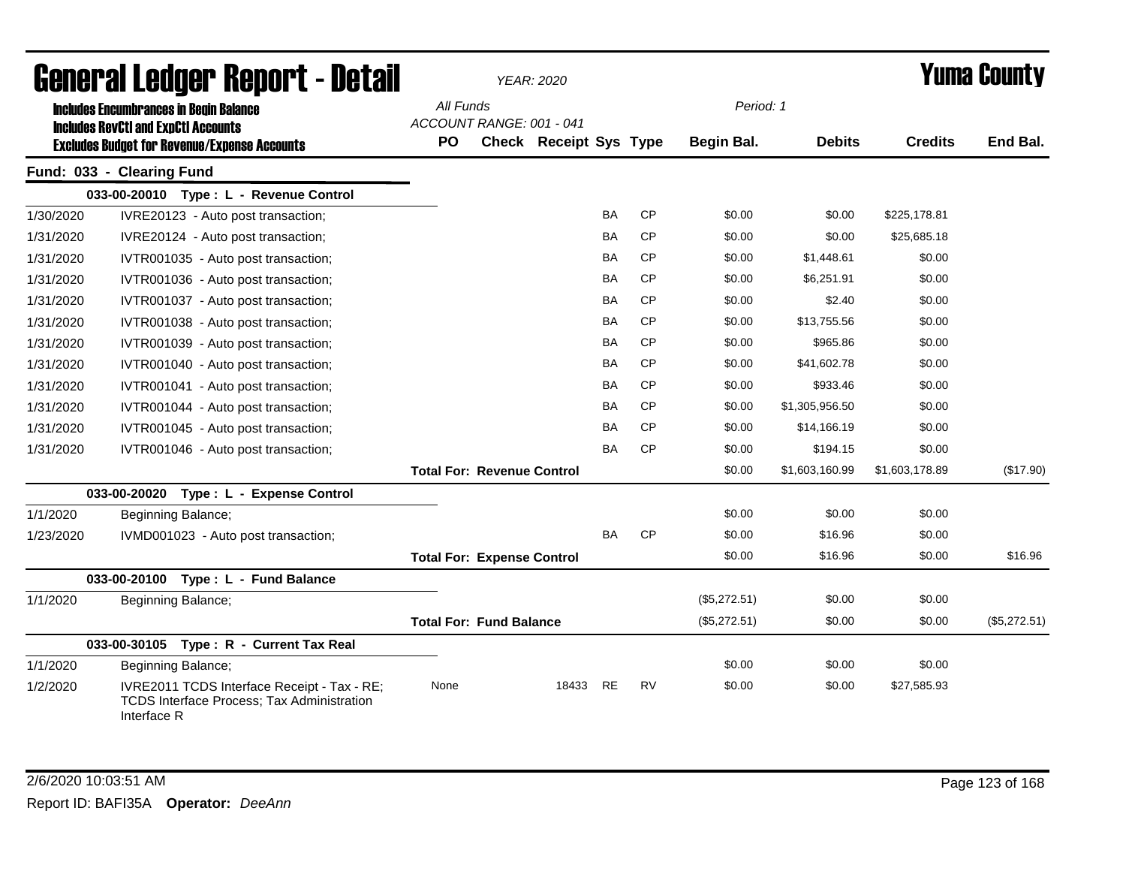|           | <b>General Ledger Report - Detail</b>                                                                           |           |                                   | <b>YEAR: 2020</b>      |           |           |              |                |                | Yuma Countv  |
|-----------|-----------------------------------------------------------------------------------------------------------------|-----------|-----------------------------------|------------------------|-----------|-----------|--------------|----------------|----------------|--------------|
|           | <b>Includes Encumbrances in Begin Balance</b><br><b>Includes RevCtI and ExpCtI Accounts</b>                     | All Funds | ACCOUNT RANGE: 001 - 041          |                        |           |           | Period: 1    |                |                |              |
|           | <b>Excludes Budget for Revenue/Expense Accounts</b>                                                             | <b>PO</b> |                                   | Check Receipt Sys Type |           |           | Begin Bal.   | <b>Debits</b>  | <b>Credits</b> | End Bal.     |
|           | Fund: 033 - Clearing Fund                                                                                       |           |                                   |                        |           |           |              |                |                |              |
|           | 033-00-20010 Type: L - Revenue Control                                                                          |           |                                   |                        |           |           |              |                |                |              |
| 1/30/2020 | IVRE20123 - Auto post transaction;                                                                              |           |                                   |                        | <b>BA</b> | <b>CP</b> | \$0.00       | \$0.00         | \$225,178.81   |              |
| 1/31/2020 | IVRE20124 - Auto post transaction;                                                                              |           |                                   |                        | BA        | <b>CP</b> | \$0.00       | \$0.00         | \$25,685.18    |              |
| 1/31/2020 | IVTR001035 - Auto post transaction;                                                                             |           |                                   |                        | <b>BA</b> | <b>CP</b> | \$0.00       | \$1,448.61     | \$0.00         |              |
| 1/31/2020 | IVTR001036 - Auto post transaction;                                                                             |           |                                   |                        | <b>BA</b> | <b>CP</b> | \$0.00       | \$6,251.91     | \$0.00         |              |
| 1/31/2020 | IVTR001037 - Auto post transaction;                                                                             |           |                                   |                        | BA        | <b>CP</b> | \$0.00       | \$2.40         | \$0.00         |              |
| 1/31/2020 | IVTR001038 - Auto post transaction;                                                                             |           |                                   |                        | BA        | <b>CP</b> | \$0.00       | \$13,755.56    | \$0.00         |              |
| 1/31/2020 | IVTR001039 - Auto post transaction;                                                                             |           |                                   |                        | BA        | <b>CP</b> | \$0.00       | \$965.86       | \$0.00         |              |
| 1/31/2020 | IVTR001040 - Auto post transaction;                                                                             |           |                                   |                        | BA        | <b>CP</b> | \$0.00       | \$41,602.78    | \$0.00         |              |
| 1/31/2020 | IVTR001041 - Auto post transaction;                                                                             |           |                                   |                        | <b>BA</b> | <b>CP</b> | \$0.00       | \$933.46       | \$0.00         |              |
| 1/31/2020 | IVTR001044 - Auto post transaction;                                                                             |           |                                   |                        | <b>BA</b> | CP        | \$0.00       | \$1,305,956.50 | \$0.00         |              |
| 1/31/2020 | IVTR001045 - Auto post transaction;                                                                             |           |                                   |                        | BA        | <b>CP</b> | \$0.00       | \$14,166.19    | \$0.00         |              |
| 1/31/2020 | IVTR001046 - Auto post transaction;                                                                             |           |                                   |                        | BA        | CP        | \$0.00       | \$194.15       | \$0.00         |              |
|           |                                                                                                                 |           | <b>Total For: Revenue Control</b> |                        |           |           | \$0.00       | \$1,603,160.99 | \$1,603,178.89 | (\$17.90)    |
|           | 033-00-20020 Type: L - Expense Control                                                                          |           |                                   |                        |           |           |              |                |                |              |
| 1/1/2020  | Beginning Balance;                                                                                              |           |                                   |                        |           |           | \$0.00       | \$0.00         | \$0.00         |              |
| 1/23/2020 | IVMD001023 - Auto post transaction;                                                                             |           |                                   |                        | <b>BA</b> | <b>CP</b> | \$0.00       | \$16.96        | \$0.00         |              |
|           |                                                                                                                 |           | <b>Total For: Expense Control</b> |                        |           |           | \$0.00       | \$16.96        | \$0.00         | \$16.96      |
|           | 033-00-20100 Type: L - Fund Balance                                                                             |           |                                   |                        |           |           |              |                |                |              |
| 1/1/2020  | Beginning Balance;                                                                                              |           |                                   |                        |           |           | (\$5,272.51) | \$0.00         | \$0.00         |              |
|           |                                                                                                                 |           | <b>Total For: Fund Balance</b>    |                        |           |           | (\$5,272.51) | \$0.00         | \$0.00         | (\$5,272.51) |
|           | 033-00-30105 Type: R - Current Tax Real                                                                         |           |                                   |                        |           |           |              |                |                |              |
| 1/1/2020  | Beginning Balance;                                                                                              |           |                                   |                        |           |           | \$0.00       | \$0.00         | \$0.00         |              |
| 1/2/2020  | IVRE2011 TCDS Interface Receipt - Tax - RE;<br><b>TCDS Interface Process; Tax Administration</b><br>Interface R | None      |                                   | 18433                  | <b>RE</b> | <b>RV</b> | \$0.00       | \$0.00         | \$27,585.93    |              |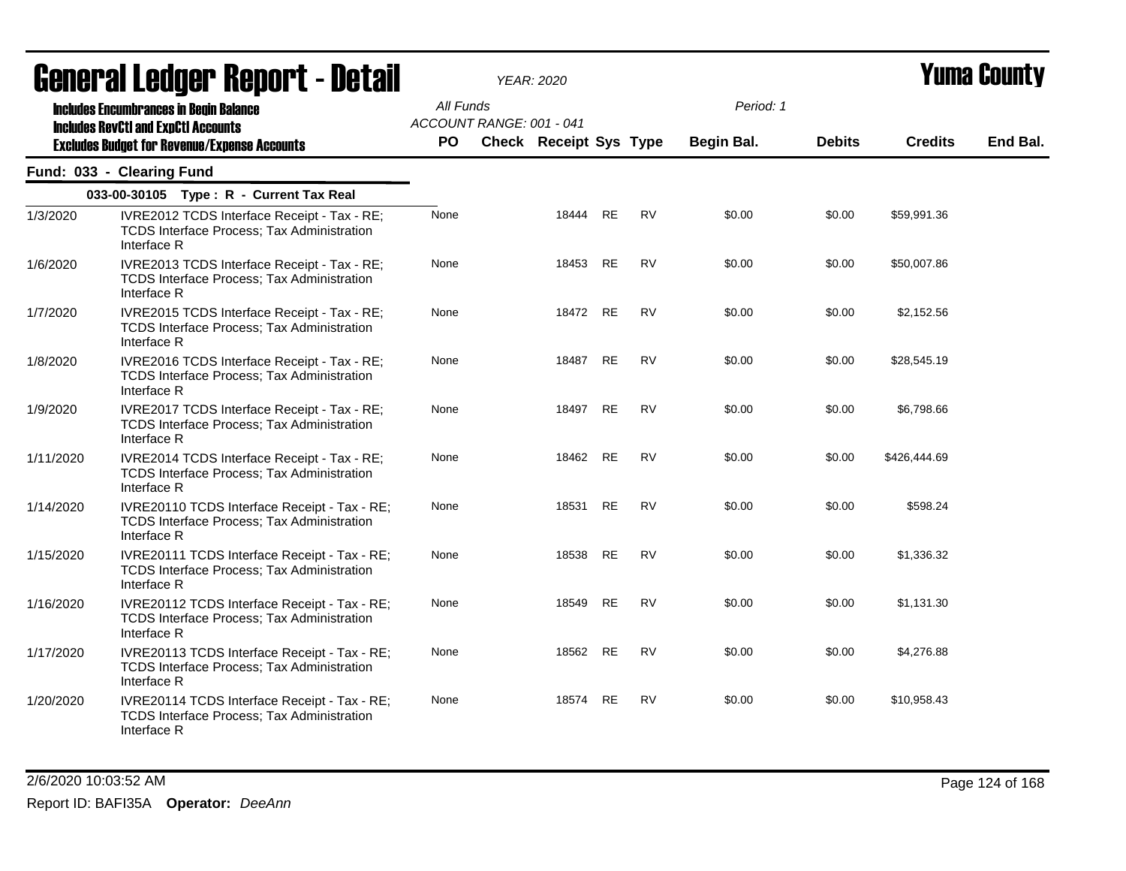|           | General Ledger Report - Detail                                                                                   |           |                          | <b>YEAR: 2020</b>             |           |           |            |               |                | Yuma Countv |
|-----------|------------------------------------------------------------------------------------------------------------------|-----------|--------------------------|-------------------------------|-----------|-----------|------------|---------------|----------------|-------------|
|           | <b>Includes Encumbrances in Begin Balance</b><br><b>Includes RevCtI and ExpCtI Accounts</b>                      | All Funds | ACCOUNT RANGE: 001 - 041 |                               |           |           | Period: 1  |               |                |             |
|           | <b>Excludes Budget for Revenue/Expense Accounts</b>                                                              | <b>PO</b> |                          | <b>Check Receipt Sys Type</b> |           |           | Begin Bal. | <b>Debits</b> | <b>Credits</b> | End Bal.    |
|           | Fund: 033 - Clearing Fund                                                                                        |           |                          |                               |           |           |            |               |                |             |
|           | 033-00-30105 Type: R - Current Tax Real                                                                          |           |                          |                               |           |           |            |               |                |             |
| 1/3/2020  | IVRE2012 TCDS Interface Receipt - Tax - RE;<br>TCDS Interface Process; Tax Administration<br>Interface R         | None      |                          | 18444                         | <b>RE</b> | <b>RV</b> | \$0.00     | \$0.00        | \$59,991.36    |             |
| 1/6/2020  | IVRE2013 TCDS Interface Receipt - Tax - RE;<br>TCDS Interface Process; Tax Administration<br>Interface R         | None      |                          | 18453                         | <b>RE</b> | <b>RV</b> | \$0.00     | \$0.00        | \$50,007.86    |             |
| 1/7/2020  | IVRE2015 TCDS Interface Receipt - Tax - RE;<br>TCDS Interface Process; Tax Administration<br>Interface R         | None      |                          | 18472                         | RE        | RV        | \$0.00     | \$0.00        | \$2,152.56     |             |
| 1/8/2020  | IVRE2016 TCDS Interface Receipt - Tax - RE;<br><b>TCDS Interface Process: Tax Administration</b><br>Interface R  | None      |                          | 18487                         | <b>RE</b> | <b>RV</b> | \$0.00     | \$0.00        | \$28,545.19    |             |
| 1/9/2020  | IVRE2017 TCDS Interface Receipt - Tax - RE;<br><b>TCDS Interface Process; Tax Administration</b><br>Interface R  | None      |                          | 18497                         | <b>RE</b> | <b>RV</b> | \$0.00     | \$0.00        | \$6,798.66     |             |
| 1/11/2020 | IVRE2014 TCDS Interface Receipt - Tax - RE;<br><b>TCDS Interface Process; Tax Administration</b><br>Interface R  | None      |                          | 18462                         | <b>RE</b> | <b>RV</b> | \$0.00     | \$0.00        | \$426,444.69   |             |
| 1/14/2020 | IVRE20110 TCDS Interface Receipt - Tax - RE;<br><b>TCDS Interface Process; Tax Administration</b><br>Interface R | None      |                          | 18531                         | RE        | <b>RV</b> | \$0.00     | \$0.00        | \$598.24       |             |
| 1/15/2020 | IVRE20111 TCDS Interface Receipt - Tax - RE;<br>TCDS Interface Process; Tax Administration<br>Interface R        | None      |                          | 18538                         | <b>RE</b> | <b>RV</b> | \$0.00     | \$0.00        | \$1,336.32     |             |
| 1/16/2020 | IVRE20112 TCDS Interface Receipt - Tax - RE;<br>TCDS Interface Process; Tax Administration<br>Interface R        | None      |                          | 18549                         | <b>RE</b> | <b>RV</b> | \$0.00     | \$0.00        | \$1,131.30     |             |
| 1/17/2020 | IVRE20113 TCDS Interface Receipt - Tax - RE;<br>TCDS Interface Process; Tax Administration<br>Interface R        | None      |                          | 18562                         | <b>RE</b> | <b>RV</b> | \$0.00     | \$0.00        | \$4,276.88     |             |
| 1/20/2020 | IVRE20114 TCDS Interface Receipt - Tax - RE;<br>TCDS Interface Process; Tax Administration<br>Interface R        | None      |                          | 18574                         | RE        | RV        | \$0.00     | \$0.00        | \$10,958.43    |             |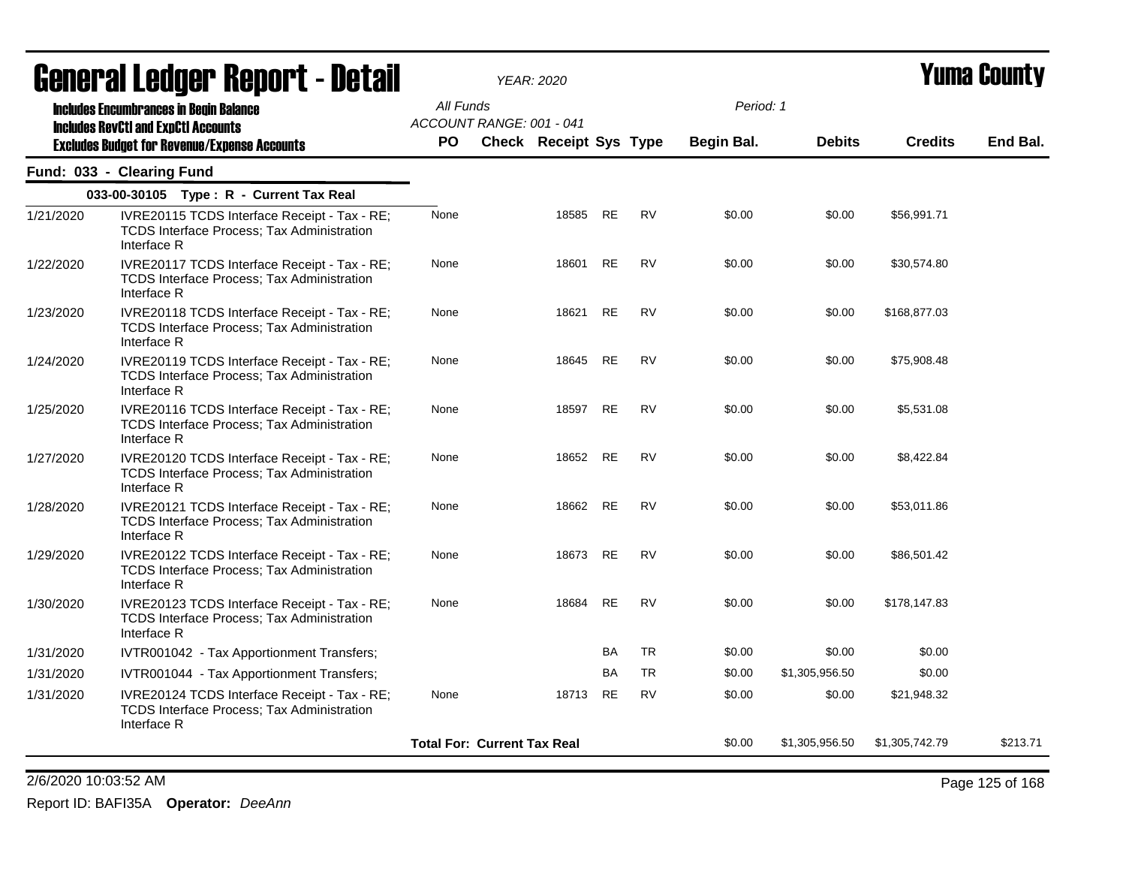|           | acııcı ai Leuyei" nepul l - Delan                                                                                |                 |                                    | <i>YEAR: 2020</i>             |           |           |            |                |                | I UIIIA VUUIILY |
|-----------|------------------------------------------------------------------------------------------------------------------|-----------------|------------------------------------|-------------------------------|-----------|-----------|------------|----------------|----------------|-----------------|
|           | <b>Includes Encumbrances in Begin Balance</b><br><b>Includes RevCtI and ExpCtI Accounts</b>                      | All Funds<br>PO | ACCOUNT RANGE: 001 - 041           |                               |           |           | Period: 1  |                |                | End Bal.        |
|           | <b>Excludes Budget for Revenue/Expense Accounts</b>                                                              |                 |                                    | <b>Check Receipt Sys Type</b> |           |           | Begin Bal. | <b>Debits</b>  | <b>Credits</b> |                 |
|           | Fund: 033 - Clearing Fund                                                                                        |                 |                                    |                               |           |           |            |                |                |                 |
|           | 033-00-30105 Type: R - Current Tax Real                                                                          |                 |                                    |                               |           |           |            |                |                |                 |
| 1/21/2020 | IVRE20115 TCDS Interface Receipt - Tax - RE;<br><b>TCDS Interface Process; Tax Administration</b><br>Interface R | None            |                                    | 18585                         | RE        | <b>RV</b> | \$0.00     | \$0.00         | \$56,991.71    |                 |
| 1/22/2020 | IVRE20117 TCDS Interface Receipt - Tax - RE;<br>TCDS Interface Process; Tax Administration<br>Interface R        | None            |                                    | 18601                         | <b>RE</b> | <b>RV</b> | \$0.00     | \$0.00         | \$30,574.80    |                 |
| 1/23/2020 | IVRE20118 TCDS Interface Receipt - Tax - RE;<br><b>TCDS Interface Process; Tax Administration</b><br>Interface R | None            |                                    | 18621                         | RE        | RV        | \$0.00     | \$0.00         | \$168,877.03   |                 |
| 1/24/2020 | IVRE20119 TCDS Interface Receipt - Tax - RE;<br>TCDS Interface Process; Tax Administration<br>Interface R        | None            |                                    | 18645                         | <b>RE</b> | <b>RV</b> | \$0.00     | \$0.00         | \$75,908.48    |                 |
| 1/25/2020 | IVRE20116 TCDS Interface Receipt - Tax - RE;<br><b>TCDS Interface Process; Tax Administration</b><br>Interface R | None            |                                    | 18597                         | RE        | <b>RV</b> | \$0.00     | \$0.00         | \$5,531.08     |                 |
| 1/27/2020 | IVRE20120 TCDS Interface Receipt - Tax - RE;<br>TCDS Interface Process; Tax Administration<br>Interface R        | None            |                                    | 18652 RE                      |           | <b>RV</b> | \$0.00     | \$0.00         | \$8,422.84     |                 |
| 1/28/2020 | IVRE20121 TCDS Interface Receipt - Tax - RE;<br><b>TCDS Interface Process; Tax Administration</b><br>Interface R | None            |                                    | 18662                         | RE        | <b>RV</b> | \$0.00     | \$0.00         | \$53,011.86    |                 |
| 1/29/2020 | IVRE20122 TCDS Interface Receipt - Tax - RE;<br>TCDS Interface Process; Tax Administration<br>Interface R        | None            |                                    | 18673                         | <b>RE</b> | <b>RV</b> | \$0.00     | \$0.00         | \$86,501.42    |                 |
| 1/30/2020 | IVRE20123 TCDS Interface Receipt - Tax - RE;<br>TCDS Interface Process; Tax Administration<br>Interface R        | None            |                                    | 18684                         | <b>RE</b> | <b>RV</b> | \$0.00     | \$0.00         | \$178,147.83   |                 |
| 1/31/2020 | IVTR001042 - Tax Apportionment Transfers;                                                                        |                 |                                    |                               | BA        | <b>TR</b> | \$0.00     | \$0.00         | \$0.00         |                 |
| 1/31/2020 | IVTR001044 - Tax Apportionment Transfers;                                                                        |                 |                                    |                               | BA        | <b>TR</b> | \$0.00     | \$1,305,956.50 | \$0.00         |                 |
| 1/31/2020 | IVRE20124 TCDS Interface Receipt - Tax - RE;<br>TCDS Interface Process; Tax Administration<br>Interface R        | None            |                                    | 18713                         | RE        | <b>RV</b> | \$0.00     | \$0.00         | \$21,948.32    |                 |
|           |                                                                                                                  |                 | <b>Total For: Current Tax Real</b> |                               |           |           | \$0.00     | \$1,305,956.50 | \$1,305,742.79 | \$213.71        |
|           |                                                                                                                  |                 |                                    |                               |           |           |            |                |                |                 |

2/6/2020 10:03:52 AM Page 125 of 168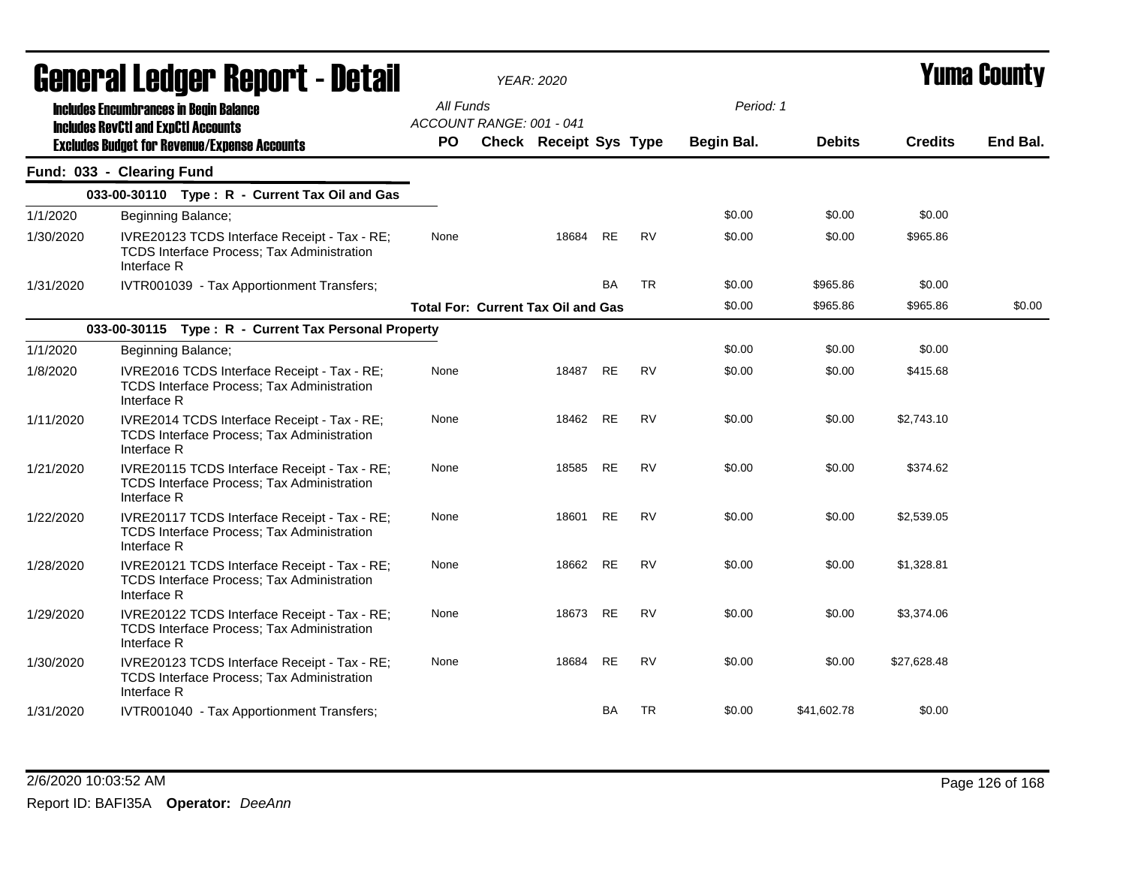|           | General Ledger Report - Detail                                                                                   |           | <b>YEAR: 2020</b>                         |           |           |            |               |                | Yuma County |
|-----------|------------------------------------------------------------------------------------------------------------------|-----------|-------------------------------------------|-----------|-----------|------------|---------------|----------------|-------------|
|           | <b>Includes Encumbrances in Begin Balance</b><br><b>Includes RevCtI and ExpCtI Accounts</b>                      | All Funds | ACCOUNT RANGE: 001 - 041                  |           |           | Period: 1  |               |                |             |
|           | <b>Excludes Budget for Revenue/Expense Accounts</b>                                                              | <b>PO</b> | Check Receipt Sys Type                    |           |           | Begin Bal. | <b>Debits</b> | <b>Credits</b> | End Bal.    |
|           | Fund: 033 - Clearing Fund                                                                                        |           |                                           |           |           |            |               |                |             |
|           | 033-00-30110 Type: R - Current Tax Oil and Gas                                                                   |           |                                           |           |           |            |               |                |             |
| 1/1/2020  | Beginning Balance;                                                                                               |           |                                           |           |           | \$0.00     | \$0.00        | \$0.00         |             |
| 1/30/2020 | IVRE20123 TCDS Interface Receipt - Tax - RE;<br>TCDS Interface Process; Tax Administration<br>Interface R        | None      | 18684                                     | <b>RE</b> | <b>RV</b> | \$0.00     | \$0.00        | \$965.86       |             |
| 1/31/2020 | IVTR001039 - Tax Apportionment Transfers;                                                                        |           |                                           | <b>BA</b> | <b>TR</b> | \$0.00     | \$965.86      | \$0.00         |             |
|           |                                                                                                                  |           | <b>Total For: Current Tax Oil and Gas</b> |           |           | \$0.00     | \$965.86      | \$965.86       | \$0.00      |
|           | 033-00-30115 Type: R - Current Tax Personal Property                                                             |           |                                           |           |           |            |               |                |             |
| 1/1/2020  | Beginning Balance;                                                                                               |           |                                           |           |           | \$0.00     | \$0.00        | \$0.00         |             |
| 1/8/2020  | IVRE2016 TCDS Interface Receipt - Tax - RE;<br><b>TCDS Interface Process: Tax Administration</b><br>Interface R  | None      | 18487                                     | <b>RE</b> | <b>RV</b> | \$0.00     | \$0.00        | \$415.68       |             |
| 1/11/2020 | IVRE2014 TCDS Interface Receipt - Tax - RE;<br><b>TCDS Interface Process: Tax Administration</b><br>Interface R  | None      |                                           | 18462 RE  | <b>RV</b> | \$0.00     | \$0.00        | \$2,743.10     |             |
| 1/21/2020 | IVRE20115 TCDS Interface Receipt - Tax - RE;<br>TCDS Interface Process; Tax Administration<br>Interface R        | None      | 18585                                     | <b>RE</b> | <b>RV</b> | \$0.00     | \$0.00        | \$374.62       |             |
| 1/22/2020 | IVRE20117 TCDS Interface Receipt - Tax - RE;<br>TCDS Interface Process; Tax Administration<br>Interface R        | None      | 18601                                     | <b>RE</b> | <b>RV</b> | \$0.00     | \$0.00        | \$2,539.05     |             |
| 1/28/2020 | IVRE20121 TCDS Interface Receipt - Tax - RE;<br><b>TCDS Interface Process; Tax Administration</b><br>Interface R | None      | 18662                                     | <b>RE</b> | <b>RV</b> | \$0.00     | \$0.00        | \$1,328.81     |             |
| 1/29/2020 | IVRE20122 TCDS Interface Receipt - Tax - RE;<br>TCDS Interface Process; Tax Administration<br>Interface R        | None      | 18673                                     | <b>RE</b> | <b>RV</b> | \$0.00     | \$0.00        | \$3,374.06     |             |
| 1/30/2020 | IVRE20123 TCDS Interface Receipt - Tax - RE;<br>TCDS Interface Process; Tax Administration<br>Interface R        | None      | 18684                                     | <b>RE</b> | <b>RV</b> | \$0.00     | \$0.00        | \$27,628.48    |             |
| 1/31/2020 | IVTR001040 - Tax Apportionment Transfers;                                                                        |           |                                           | BA        | <b>TR</b> | \$0.00     | \$41,602.78   | \$0.00         |             |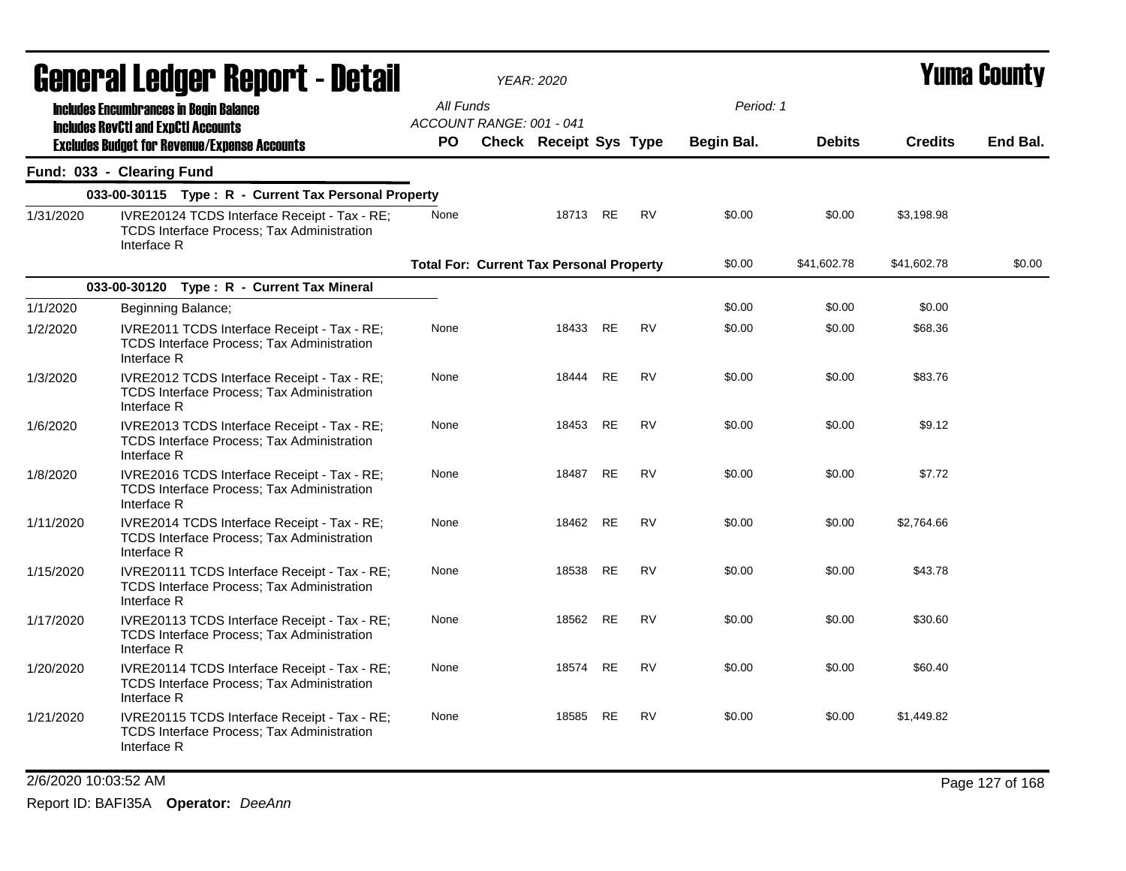|           |                           | General Ledger Report - Detail                                                                   |                                                 | <b>YEAR: 2020</b>      |           |           |            |               |                | <b>Yuma County</b> |
|-----------|---------------------------|--------------------------------------------------------------------------------------------------|-------------------------------------------------|------------------------|-----------|-----------|------------|---------------|----------------|--------------------|
|           |                           | <b>Includes Encumbrances in Begin Balance</b>                                                    | All Funds                                       |                        |           |           | Period: 1  |               |                |                    |
|           |                           | <b>Includes RevCtI and ExpCtI Accounts</b>                                                       | ACCOUNT RANGE: 001 - 041                        |                        |           |           |            |               |                |                    |
|           |                           | <b>Excludes Budget for Revenue/Expense Accounts</b>                                              | PO.                                             | Check Receipt Sys Type |           |           | Begin Bal. | <b>Debits</b> | <b>Credits</b> | End Bal.           |
|           | Fund: 033 - Clearing Fund |                                                                                                  |                                                 |                        |           |           |            |               |                |                    |
|           |                           | 033-00-30115 Type: R - Current Tax Personal Property                                             |                                                 |                        |           |           |            |               |                |                    |
| 1/31/2020 | Interface R               | IVRE20124 TCDS Interface Receipt - Tax - RE;<br>TCDS Interface Process; Tax Administration       | None                                            | 18713 RE               |           | <b>RV</b> | \$0.00     | \$0.00        | \$3,198.98     |                    |
|           |                           |                                                                                                  | <b>Total For: Current Tax Personal Property</b> |                        |           |           | \$0.00     | \$41,602.78   | \$41,602.78    | \$0.00             |
|           |                           | 033-00-30120 Type: R - Current Tax Mineral                                                       |                                                 |                        |           |           |            |               |                |                    |
| 1/1/2020  |                           | Beginning Balance;                                                                               |                                                 |                        |           |           | \$0.00     | \$0.00        | \$0.00         |                    |
| 1/2/2020  | Interface R               | IVRE2011 TCDS Interface Receipt - Tax - RE;<br>TCDS Interface Process; Tax Administration        | None                                            | 18433                  | <b>RE</b> | <b>RV</b> | \$0.00     | \$0.00        | \$68.36        |                    |
| 1/3/2020  | Interface R               | IVRE2012 TCDS Interface Receipt - Tax - RE;<br><b>TCDS Interface Process: Tax Administration</b> | None                                            | 18444                  | RE        | RV        | \$0.00     | \$0.00        | \$83.76        |                    |
| 1/6/2020  | Interface R               | IVRE2013 TCDS Interface Receipt - Tax - RE;<br><b>TCDS Interface Process: Tax Administration</b> | None                                            | 18453                  | RE        | <b>RV</b> | \$0.00     | \$0.00        | \$9.12         |                    |
| 1/8/2020  | Interface R               | IVRE2016 TCDS Interface Receipt - Tax - RE;<br>TCDS Interface Process; Tax Administration        | None                                            | 18487                  | <b>RE</b> | <b>RV</b> | \$0.00     | \$0.00        | \$7.72         |                    |
| 1/11/2020 | Interface R               | IVRE2014 TCDS Interface Receipt - Tax - RE;<br><b>TCDS Interface Process; Tax Administration</b> | None                                            | 18462                  | <b>RE</b> | <b>RV</b> | \$0.00     | \$0.00        | \$2,764.66     |                    |
| 1/15/2020 | Interface R               | IVRE20111 TCDS Interface Receipt - Tax - RE;<br>TCDS Interface Process; Tax Administration       | None                                            | 18538                  | <b>RE</b> | <b>RV</b> | \$0.00     | \$0.00        | \$43.78        |                    |
| 1/17/2020 | Interface R               | IVRE20113 TCDS Interface Receipt - Tax - RE;<br>TCDS Interface Process; Tax Administration       | None                                            | 18562                  | RE        | <b>RV</b> | \$0.00     | \$0.00        | \$30.60        |                    |
| 1/20/2020 | Interface R               | IVRE20114 TCDS Interface Receipt - Tax - RE;<br>TCDS Interface Process; Tax Administration       | None                                            | 18574                  | <b>RE</b> | <b>RV</b> | \$0.00     | \$0.00        | \$60.40        |                    |
| 1/21/2020 | Interface R               | IVRE20115 TCDS Interface Receipt - Tax - RE;<br>TCDS Interface Process; Tax Administration       | None                                            | 18585                  | RE        | RV        | \$0.00     | \$0.00        | \$1,449.82     |                    |

2/6/2020 10:03:52 AM Page 127 of 168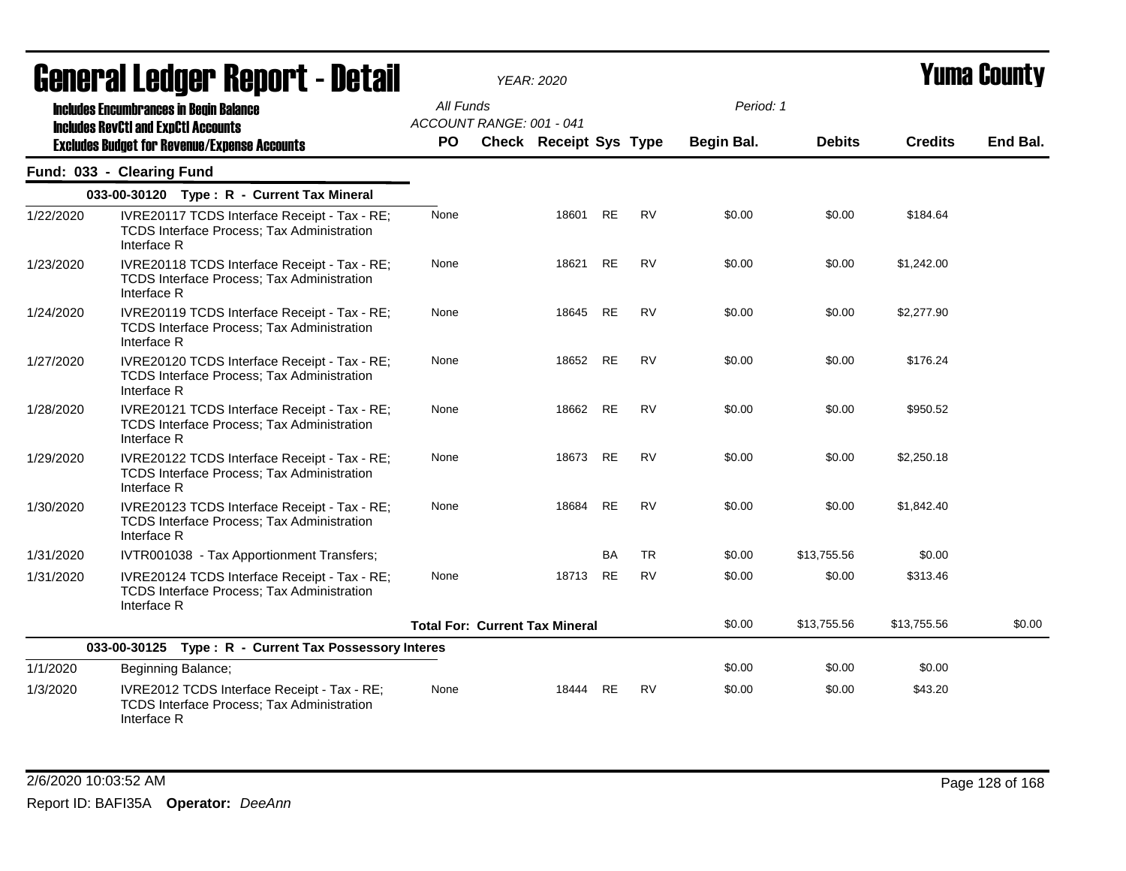|           | <b>General Ledger Report - Detail</b>                                                                                                              |                        |                                       | <b>YEAR: 2020</b>             |           |           |                         |               |                | <b>Yuma County</b> |
|-----------|----------------------------------------------------------------------------------------------------------------------------------------------------|------------------------|---------------------------------------|-------------------------------|-----------|-----------|-------------------------|---------------|----------------|--------------------|
|           | <b>Includes Encumbrances in Begin Balance</b><br><b>Includes RevCtI and ExpCtI Accounts</b><br><b>Excludes Budget for Revenue/Expense Accounts</b> | All Funds<br><b>PO</b> | ACCOUNT RANGE: 001 - 041              | <b>Check Receipt Sys Type</b> |           |           | Period: 1<br>Begin Bal. | <b>Debits</b> | <b>Credits</b> | End Bal.           |
|           | Fund: 033 - Clearing Fund                                                                                                                          |                        |                                       |                               |           |           |                         |               |                |                    |
|           | 033-00-30120 Type: R - Current Tax Mineral                                                                                                         |                        |                                       |                               |           |           |                         |               |                |                    |
| 1/22/2020 | IVRE20117 TCDS Interface Receipt - Tax - RE;<br><b>TCDS Interface Process; Tax Administration</b><br>Interface R                                   | None                   |                                       | 18601                         | <b>RE</b> | <b>RV</b> | \$0.00                  | \$0.00        | \$184.64       |                    |
| 1/23/2020 | IVRE20118 TCDS Interface Receipt - Tax - RE;<br>TCDS Interface Process; Tax Administration<br>Interface R                                          | None                   |                                       | 18621                         | <b>RE</b> | <b>RV</b> | \$0.00                  | \$0.00        | \$1,242.00     |                    |
| 1/24/2020 | IVRE20119 TCDS Interface Receipt - Tax - RE;<br><b>TCDS Interface Process; Tax Administration</b><br>Interface R                                   | None                   |                                       | 18645                         | <b>RE</b> | <b>RV</b> | \$0.00                  | \$0.00        | \$2,277.90     |                    |
| 1/27/2020 | IVRE20120 TCDS Interface Receipt - Tax - RE;<br>TCDS Interface Process; Tax Administration<br>Interface R                                          | None                   |                                       | 18652                         | <b>RE</b> | <b>RV</b> | \$0.00                  | \$0.00        | \$176.24       |                    |
| 1/28/2020 | IVRE20121 TCDS Interface Receipt - Tax - RE;<br>TCDS Interface Process; Tax Administration<br>Interface R                                          | None                   |                                       | 18662                         | <b>RE</b> | <b>RV</b> | \$0.00                  | \$0.00        | \$950.52       |                    |
| 1/29/2020 | IVRE20122 TCDS Interface Receipt - Tax - RE;<br>TCDS Interface Process; Tax Administration<br>Interface R                                          | None                   |                                       | 18673                         | <b>RE</b> | <b>RV</b> | \$0.00                  | \$0.00        | \$2,250.18     |                    |
| 1/30/2020 | IVRE20123 TCDS Interface Receipt - Tax - RE;<br><b>TCDS Interface Process; Tax Administration</b><br>Interface R                                   | None                   |                                       | 18684                         | <b>RE</b> | <b>RV</b> | \$0.00                  | \$0.00        | \$1,842.40     |                    |
| 1/31/2020 | IVTR001038 - Tax Apportionment Transfers;                                                                                                          |                        |                                       |                               | <b>BA</b> | <b>TR</b> | \$0.00                  | \$13,755.56   | \$0.00         |                    |
| 1/31/2020 | IVRE20124 TCDS Interface Receipt - Tax - RE;<br><b>TCDS Interface Process; Tax Administration</b><br>Interface R                                   | None                   |                                       | 18713                         | <b>RE</b> | <b>RV</b> | \$0.00                  | \$0.00        | \$313.46       |                    |
|           |                                                                                                                                                    |                        | <b>Total For: Current Tax Mineral</b> |                               |           |           | \$0.00                  | \$13,755.56   | \$13,755.56    | \$0.00             |
|           | 033-00-30125 Type: R - Current Tax Possessory Interes                                                                                              |                        |                                       |                               |           |           |                         |               |                |                    |
| 1/1/2020  | Beginning Balance;                                                                                                                                 |                        |                                       |                               |           |           | \$0.00                  | \$0.00        | \$0.00         |                    |
| 1/3/2020  | IVRE2012 TCDS Interface Receipt - Tax - RE;<br><b>TCDS Interface Process; Tax Administration</b><br>Interface R                                    | None                   |                                       | 18444                         | RE        | <b>RV</b> | \$0.00                  | \$0.00        | \$43.20        |                    |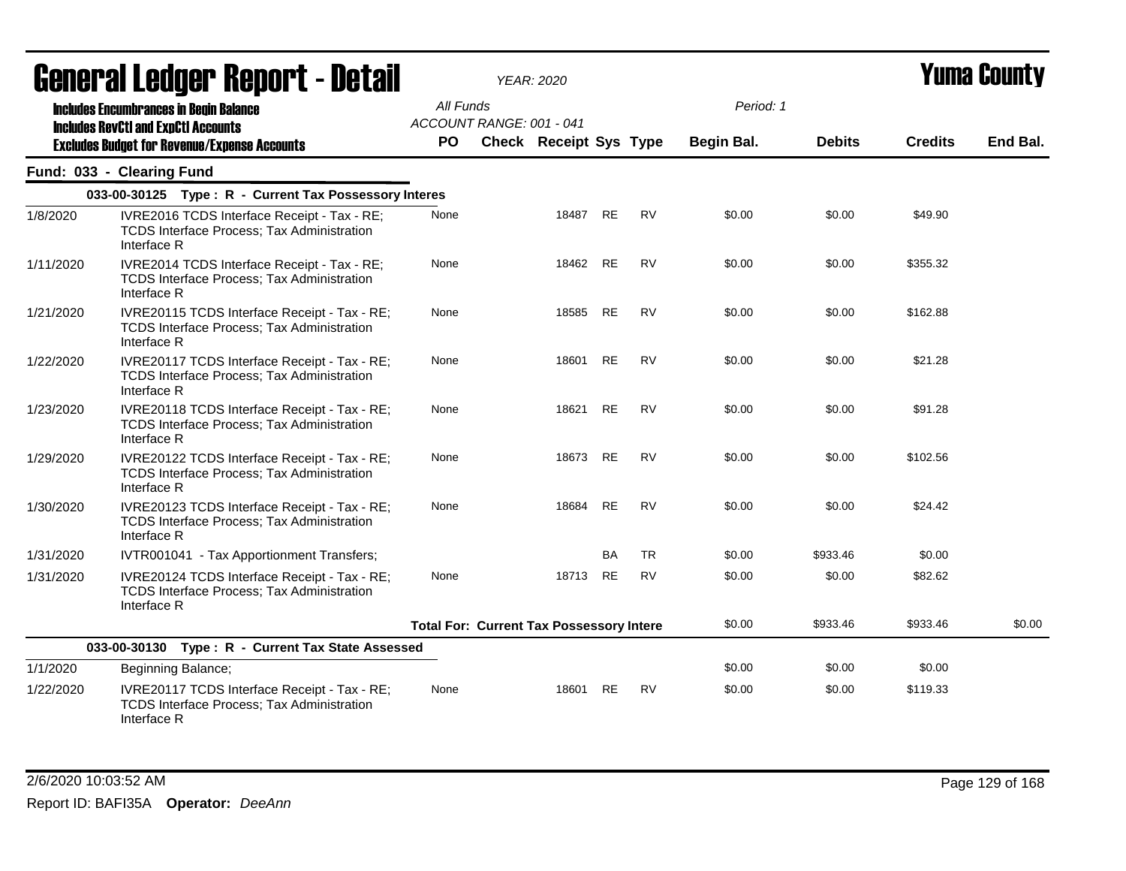|           | <b>agual.gi fanàri. Vahal.  - Drish</b>                                                                         |                                       | YEAR: 2020                                      |           |           |            |               |                | T UIIIA VUUIILY |
|-----------|-----------------------------------------------------------------------------------------------------------------|---------------------------------------|-------------------------------------------------|-----------|-----------|------------|---------------|----------------|-----------------|
|           | <b>Includes Encumbrances in Begin Balance</b><br><b>Includes RevCtI and ExpCtI Accounts</b>                     | All Funds<br>ACCOUNT RANGE: 001 - 041 |                                                 |           |           | Period: 1  | <b>Debits</b> | <b>Credits</b> | End Bal.        |
|           | <b>Excludes Budget for Revenue/Expense Accounts</b>                                                             | <b>PO</b>                             | <b>Check Receipt Sys Type</b>                   |           |           | Begin Bal. |               |                |                 |
|           | Fund: 033 - Clearing Fund                                                                                       |                                       |                                                 |           |           |            |               |                |                 |
|           | 033-00-30125 Type: R - Current Tax Possessory Interes                                                           |                                       |                                                 |           |           |            |               |                |                 |
| 1/8/2020  | IVRE2016 TCDS Interface Receipt - Tax - RE;<br><b>TCDS Interface Process; Tax Administration</b><br>Interface R | None                                  | 18487                                           | RE        | <b>RV</b> | \$0.00     | \$0.00        | \$49.90        |                 |
| 1/11/2020 | IVRE2014 TCDS Interface Receipt - Tax - RE;<br><b>TCDS Interface Process; Tax Administration</b><br>Interface R | None                                  | 18462 RE                                        |           | <b>RV</b> | \$0.00     | \$0.00        | \$355.32       |                 |
| 1/21/2020 | IVRE20115 TCDS Interface Receipt - Tax - RE;<br>TCDS Interface Process; Tax Administration<br>Interface R       | None                                  | 18585                                           | <b>RE</b> | <b>RV</b> | \$0.00     | \$0.00        | \$162.88       |                 |
| 1/22/2020 | IVRE20117 TCDS Interface Receipt - Tax - RE;<br>TCDS Interface Process; Tax Administration<br>Interface R       | None                                  | 18601                                           | <b>RE</b> | <b>RV</b> | \$0.00     | \$0.00        | \$21.28        |                 |
| 1/23/2020 | IVRE20118 TCDS Interface Receipt - Tax - RE;<br>TCDS Interface Process; Tax Administration<br>Interface R       | None                                  | 18621                                           | RE        | <b>RV</b> | \$0.00     | \$0.00        | \$91.28        |                 |
| 1/29/2020 | IVRE20122 TCDS Interface Receipt - Tax - RE;<br>TCDS Interface Process; Tax Administration<br>Interface R       | None                                  | 18673                                           | <b>RE</b> | <b>RV</b> | \$0.00     | \$0.00        | \$102.56       |                 |
| 1/30/2020 | IVRE20123 TCDS Interface Receipt - Tax - RE;<br>TCDS Interface Process; Tax Administration<br>Interface R       | None                                  | 18684                                           | RE        | <b>RV</b> | \$0.00     | \$0.00        | \$24.42        |                 |
| 1/31/2020 | IVTR001041 - Tax Apportionment Transfers;                                                                       |                                       |                                                 | BA        | <b>TR</b> | \$0.00     | \$933.46      | \$0.00         |                 |
| 1/31/2020 | IVRE20124 TCDS Interface Receipt - Tax - RE;<br>TCDS Interface Process; Tax Administration<br>Interface R       | None                                  | 18713 RE                                        |           | <b>RV</b> | \$0.00     | \$0.00        | \$82.62        |                 |
|           |                                                                                                                 |                                       | <b>Total For: Current Tax Possessory Intere</b> |           |           | \$0.00     | \$933.46      | \$933.46       | \$0.00          |
|           | 033-00-30130 Type: R - Current Tax State Assessed                                                               |                                       |                                                 |           |           |            |               |                |                 |
| 1/1/2020  | Beginning Balance;                                                                                              |                                       |                                                 |           |           | \$0.00     | \$0.00        | \$0.00         |                 |
| 1/22/2020 | IVRE20117 TCDS Interface Receipt - Tax - RE;<br>TCDS Interface Process; Tax Administration<br>Interface R       | None                                  | 18601                                           | <b>RE</b> | <b>RV</b> | \$0.00     | \$0.00        | \$119.33       |                 |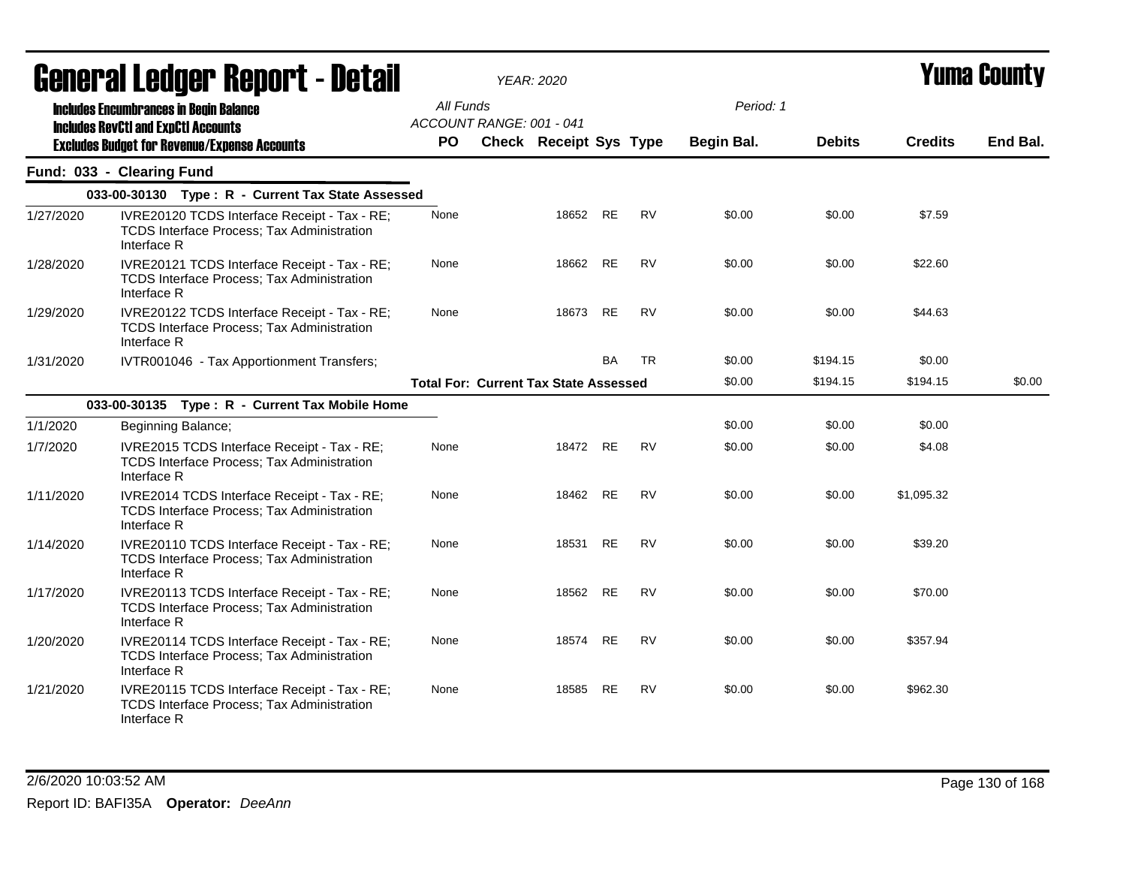|           | <b>General Ledger Report - Detail</b>                                                                            |           | <b>YEAR: 2020</b>                            |           |           |            |               |                | Yuma Countv |
|-----------|------------------------------------------------------------------------------------------------------------------|-----------|----------------------------------------------|-----------|-----------|------------|---------------|----------------|-------------|
|           | <b>Includes Encumbrances in Begin Balance</b>                                                                    | All Funds | ACCOUNT RANGE: 001 - 041                     |           |           | Period: 1  |               |                |             |
|           | <b>Includes RevCtI and ExpCtI Accounts</b><br><b>Excludes Budget for Revenue/Expense Accounts</b>                | <b>PO</b> | Check Receipt Sys Type                       |           |           | Begin Bal. | <b>Debits</b> | <b>Credits</b> | End Bal.    |
|           | Fund: 033 - Clearing Fund                                                                                        |           |                                              |           |           |            |               |                |             |
|           | 033-00-30130 Type: R - Current Tax State Assessed                                                                |           |                                              |           |           |            |               |                |             |
| 1/27/2020 | IVRE20120 TCDS Interface Receipt - Tax - RE;<br><b>TCDS Interface Process; Tax Administration</b><br>Interface R | None      |                                              | 18652 RE  | RV        | \$0.00     | \$0.00        | \$7.59         |             |
| 1/28/2020 | IVRE20121 TCDS Interface Receipt - Tax - RE;<br><b>TCDS Interface Process; Tax Administration</b><br>Interface R | None      | 18662                                        | <b>RE</b> | <b>RV</b> | \$0.00     | \$0.00        | \$22.60        |             |
| 1/29/2020 | IVRE20122 TCDS Interface Receipt - Tax - RE;<br><b>TCDS Interface Process; Tax Administration</b><br>Interface R | None      | 18673                                        | RE        | RV        | \$0.00     | \$0.00        | \$44.63        |             |
| 1/31/2020 | IVTR001046 - Tax Apportionment Transfers;                                                                        |           |                                              | <b>BA</b> | <b>TR</b> | \$0.00     | \$194.15      | \$0.00         |             |
|           |                                                                                                                  |           | <b>Total For: Current Tax State Assessed</b> |           |           | \$0.00     | \$194.15      | \$194.15       | \$0.00      |
|           | 033-00-30135 Type: R - Current Tax Mobile Home                                                                   |           |                                              |           |           |            |               |                |             |
| 1/1/2020  | Beginning Balance;                                                                                               |           |                                              |           |           | \$0.00     | \$0.00        | \$0.00         |             |
| 1/7/2020  | IVRE2015 TCDS Interface Receipt - Tax - RE;<br>TCDS Interface Process; Tax Administration<br>Interface R         | None      | 18472 RE                                     |           | <b>RV</b> | \$0.00     | \$0.00        | \$4.08         |             |
| 1/11/2020 | IVRE2014 TCDS Interface Receipt - Tax - RE;<br><b>TCDS Interface Process; Tax Administration</b><br>Interface R  | None      | 18462                                        | <b>RE</b> | <b>RV</b> | \$0.00     | \$0.00        | \$1,095.32     |             |
| 1/14/2020 | IVRE20110 TCDS Interface Receipt - Tax - RE;<br>TCDS Interface Process; Tax Administration<br>Interface R        | None      | 18531                                        | <b>RE</b> | <b>RV</b> | \$0.00     | \$0.00        | \$39.20        |             |
| 1/17/2020 | IVRE20113 TCDS Interface Receipt - Tax - RE;<br><b>TCDS Interface Process; Tax Administration</b><br>Interface R | None      | 18562                                        | RE        | <b>RV</b> | \$0.00     | \$0.00        | \$70.00        |             |
| 1/20/2020 | IVRE20114 TCDS Interface Receipt - Tax - RE;<br><b>TCDS Interface Process; Tax Administration</b><br>Interface R | None      | 18574                                        | RE        | <b>RV</b> | \$0.00     | \$0.00        | \$357.94       |             |
| 1/21/2020 | IVRE20115 TCDS Interface Receipt - Tax - RE;<br><b>TCDS Interface Process; Tax Administration</b><br>Interface R | None      | 18585                                        | <b>RE</b> | <b>RV</b> | \$0.00     | \$0.00        | \$962.30       |             |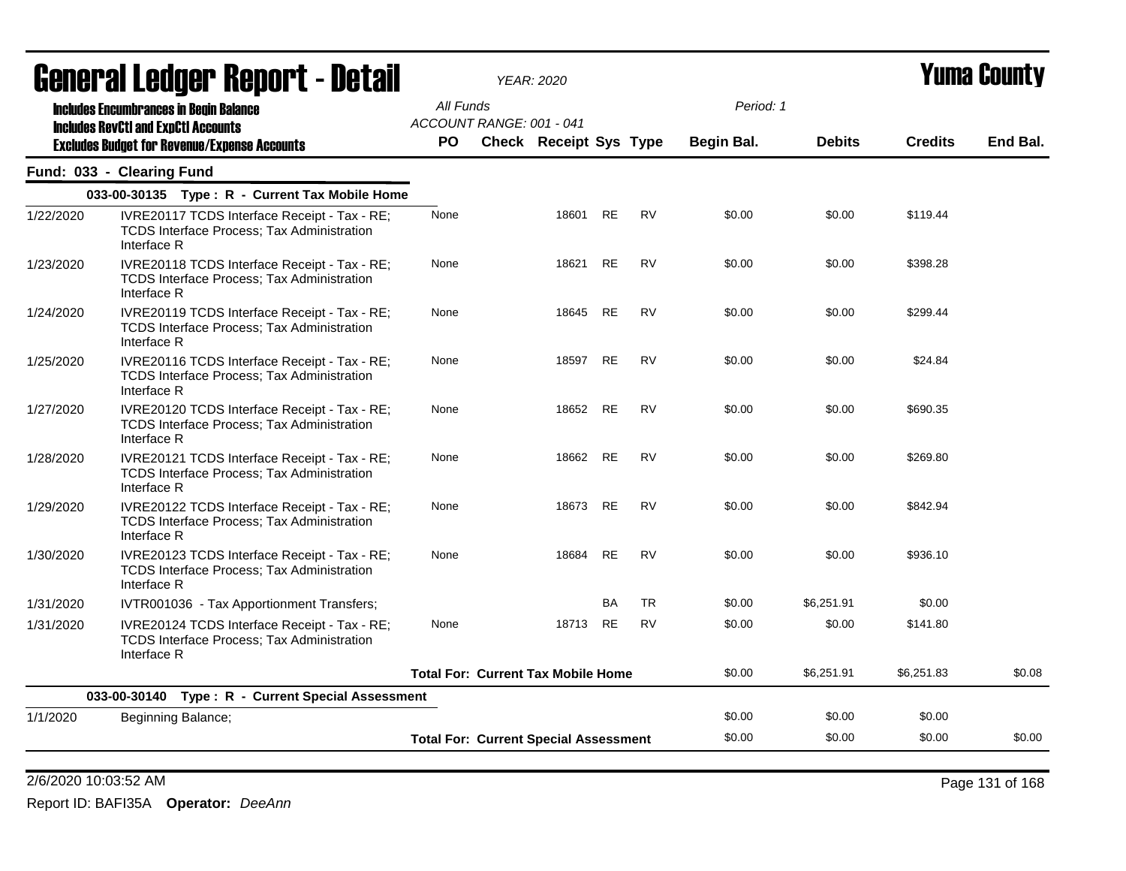| All Funds<br>Period: 1<br><b>Includes Encumbrances in Begin Balance</b><br>ACCOUNT RANGE: 001 - 041<br><b>Includes RevCtI and ExpCtI Accounts</b><br><b>PO</b><br>Check Receipt Sys Type<br><b>Debits</b><br><b>Credits</b><br>Begin Bal.<br><b>Excludes Budget for Revenue/Expense Accounts</b><br>Fund: 033 - Clearing Fund<br>033-00-30135 Type: R - Current Tax Mobile Home<br><b>RV</b><br><b>RE</b><br>1/22/2020<br>IVRE20117 TCDS Interface Receipt - Tax - RE;<br>None<br>18601<br>\$0.00<br>\$0.00<br>\$119.44<br><b>TCDS Interface Process: Tax Administration</b><br>Interface R<br><b>RE</b><br><b>RV</b><br>\$398.28<br>18621<br>\$0.00<br>\$0.00<br>1/23/2020<br>IVRE20118 TCDS Interface Receipt - Tax - RE;<br>None<br>TCDS Interface Process; Tax Administration<br>Interface R<br><b>RE</b><br><b>RV</b><br>\$0.00<br>\$0.00<br>\$299.44<br>IVRE20119 TCDS Interface Receipt - Tax - RE;<br>None<br>18645<br>1/24/2020<br>TCDS Interface Process; Tax Administration<br>Interface R<br>18597 RE<br><b>RV</b><br>\$0.00<br>\$0.00<br>\$24.84<br>1/25/2020<br>IVRE20116 TCDS Interface Receipt - Tax - RE;<br>None<br>TCDS Interface Process; Tax Administration<br>Interface R<br>IVRE20120 TCDS Interface Receipt - Tax - RE;<br>18652 RE<br><b>RV</b><br>\$0.00<br>\$0.00<br>\$690.35<br>1/27/2020<br>None<br>TCDS Interface Process; Tax Administration<br>Interface R<br>18662<br><b>RE</b><br><b>RV</b><br>\$0.00<br>\$0.00<br>\$269.80<br>1/28/2020<br>IVRE20121 TCDS Interface Receipt - Tax - RE;<br>None<br>TCDS Interface Process; Tax Administration<br>Interface R<br><b>RV</b><br>\$842.94<br>None<br>18673<br>RE<br>\$0.00<br>\$0.00<br>1/29/2020<br>IVRE20122 TCDS Interface Receipt - Tax - RE;<br>TCDS Interface Process; Tax Administration<br>Interface R<br><b>RV</b><br>None<br>18684<br>RE<br>\$0.00<br>\$0.00<br>\$936.10<br>1/30/2020<br>IVRE20123 TCDS Interface Receipt - Tax - RE;<br>TCDS Interface Process; Tax Administration<br>Interface R<br><b>TR</b><br><b>BA</b><br>1/31/2020<br>\$0.00<br>\$6,251.91<br>\$0.00<br>IVTR001036 - Tax Apportionment Transfers;<br>RE<br><b>RV</b><br>\$0.00<br>None<br>18713<br>\$0.00<br>\$141.80<br>1/31/2020<br>IVRE20124 TCDS Interface Receipt - Tax - RE;<br>TCDS Interface Process; Tax Administration<br>Interface R<br>\$0.00<br>\$6,251.83<br><b>Total For: Current Tax Mobile Home</b><br>\$6,251.91<br>033-00-30140 Type: R - Current Special Assessment<br>\$0.00<br>\$0.00<br>\$0.00<br>1/1/2020<br>Beginning Balance; | <b>General Ledger Report - Detail</b> | <b>YEAR: 2020</b> |  |  |  | Yuma County |
|-------------------------------------------------------------------------------------------------------------------------------------------------------------------------------------------------------------------------------------------------------------------------------------------------------------------------------------------------------------------------------------------------------------------------------------------------------------------------------------------------------------------------------------------------------------------------------------------------------------------------------------------------------------------------------------------------------------------------------------------------------------------------------------------------------------------------------------------------------------------------------------------------------------------------------------------------------------------------------------------------------------------------------------------------------------------------------------------------------------------------------------------------------------------------------------------------------------------------------------------------------------------------------------------------------------------------------------------------------------------------------------------------------------------------------------------------------------------------------------------------------------------------------------------------------------------------------------------------------------------------------------------------------------------------------------------------------------------------------------------------------------------------------------------------------------------------------------------------------------------------------------------------------------------------------------------------------------------------------------------------------------------------------------------------------------------------------------------------------------------------------------------------------------------------------------------------------------------------------------------------------------------------------------------------------------------------------------------------------------------------------------------------------------------------------------------------------------------------------------------------------------------------|---------------------------------------|-------------------|--|--|--|-------------|
|                                                                                                                                                                                                                                                                                                                                                                                                                                                                                                                                                                                                                                                                                                                                                                                                                                                                                                                                                                                                                                                                                                                                                                                                                                                                                                                                                                                                                                                                                                                                                                                                                                                                                                                                                                                                                                                                                                                                                                                                                                                                                                                                                                                                                                                                                                                                                                                                                                                                                                                         |                                       |                   |  |  |  |             |
|                                                                                                                                                                                                                                                                                                                                                                                                                                                                                                                                                                                                                                                                                                                                                                                                                                                                                                                                                                                                                                                                                                                                                                                                                                                                                                                                                                                                                                                                                                                                                                                                                                                                                                                                                                                                                                                                                                                                                                                                                                                                                                                                                                                                                                                                                                                                                                                                                                                                                                                         |                                       |                   |  |  |  |             |
|                                                                                                                                                                                                                                                                                                                                                                                                                                                                                                                                                                                                                                                                                                                                                                                                                                                                                                                                                                                                                                                                                                                                                                                                                                                                                                                                                                                                                                                                                                                                                                                                                                                                                                                                                                                                                                                                                                                                                                                                                                                                                                                                                                                                                                                                                                                                                                                                                                                                                                                         |                                       |                   |  |  |  | End Bal.    |
|                                                                                                                                                                                                                                                                                                                                                                                                                                                                                                                                                                                                                                                                                                                                                                                                                                                                                                                                                                                                                                                                                                                                                                                                                                                                                                                                                                                                                                                                                                                                                                                                                                                                                                                                                                                                                                                                                                                                                                                                                                                                                                                                                                                                                                                                                                                                                                                                                                                                                                                         |                                       |                   |  |  |  |             |
|                                                                                                                                                                                                                                                                                                                                                                                                                                                                                                                                                                                                                                                                                                                                                                                                                                                                                                                                                                                                                                                                                                                                                                                                                                                                                                                                                                                                                                                                                                                                                                                                                                                                                                                                                                                                                                                                                                                                                                                                                                                                                                                                                                                                                                                                                                                                                                                                                                                                                                                         |                                       |                   |  |  |  |             |
|                                                                                                                                                                                                                                                                                                                                                                                                                                                                                                                                                                                                                                                                                                                                                                                                                                                                                                                                                                                                                                                                                                                                                                                                                                                                                                                                                                                                                                                                                                                                                                                                                                                                                                                                                                                                                                                                                                                                                                                                                                                                                                                                                                                                                                                                                                                                                                                                                                                                                                                         |                                       |                   |  |  |  |             |
|                                                                                                                                                                                                                                                                                                                                                                                                                                                                                                                                                                                                                                                                                                                                                                                                                                                                                                                                                                                                                                                                                                                                                                                                                                                                                                                                                                                                                                                                                                                                                                                                                                                                                                                                                                                                                                                                                                                                                                                                                                                                                                                                                                                                                                                                                                                                                                                                                                                                                                                         |                                       |                   |  |  |  |             |
|                                                                                                                                                                                                                                                                                                                                                                                                                                                                                                                                                                                                                                                                                                                                                                                                                                                                                                                                                                                                                                                                                                                                                                                                                                                                                                                                                                                                                                                                                                                                                                                                                                                                                                                                                                                                                                                                                                                                                                                                                                                                                                                                                                                                                                                                                                                                                                                                                                                                                                                         |                                       |                   |  |  |  |             |
|                                                                                                                                                                                                                                                                                                                                                                                                                                                                                                                                                                                                                                                                                                                                                                                                                                                                                                                                                                                                                                                                                                                                                                                                                                                                                                                                                                                                                                                                                                                                                                                                                                                                                                                                                                                                                                                                                                                                                                                                                                                                                                                                                                                                                                                                                                                                                                                                                                                                                                                         |                                       |                   |  |  |  |             |
|                                                                                                                                                                                                                                                                                                                                                                                                                                                                                                                                                                                                                                                                                                                                                                                                                                                                                                                                                                                                                                                                                                                                                                                                                                                                                                                                                                                                                                                                                                                                                                                                                                                                                                                                                                                                                                                                                                                                                                                                                                                                                                                                                                                                                                                                                                                                                                                                                                                                                                                         |                                       |                   |  |  |  |             |
|                                                                                                                                                                                                                                                                                                                                                                                                                                                                                                                                                                                                                                                                                                                                                                                                                                                                                                                                                                                                                                                                                                                                                                                                                                                                                                                                                                                                                                                                                                                                                                                                                                                                                                                                                                                                                                                                                                                                                                                                                                                                                                                                                                                                                                                                                                                                                                                                                                                                                                                         |                                       |                   |  |  |  |             |
|                                                                                                                                                                                                                                                                                                                                                                                                                                                                                                                                                                                                                                                                                                                                                                                                                                                                                                                                                                                                                                                                                                                                                                                                                                                                                                                                                                                                                                                                                                                                                                                                                                                                                                                                                                                                                                                                                                                                                                                                                                                                                                                                                                                                                                                                                                                                                                                                                                                                                                                         |                                       |                   |  |  |  |             |
|                                                                                                                                                                                                                                                                                                                                                                                                                                                                                                                                                                                                                                                                                                                                                                                                                                                                                                                                                                                                                                                                                                                                                                                                                                                                                                                                                                                                                                                                                                                                                                                                                                                                                                                                                                                                                                                                                                                                                                                                                                                                                                                                                                                                                                                                                                                                                                                                                                                                                                                         |                                       |                   |  |  |  |             |
|                                                                                                                                                                                                                                                                                                                                                                                                                                                                                                                                                                                                                                                                                                                                                                                                                                                                                                                                                                                                                                                                                                                                                                                                                                                                                                                                                                                                                                                                                                                                                                                                                                                                                                                                                                                                                                                                                                                                                                                                                                                                                                                                                                                                                                                                                                                                                                                                                                                                                                                         |                                       |                   |  |  |  |             |
|                                                                                                                                                                                                                                                                                                                                                                                                                                                                                                                                                                                                                                                                                                                                                                                                                                                                                                                                                                                                                                                                                                                                                                                                                                                                                                                                                                                                                                                                                                                                                                                                                                                                                                                                                                                                                                                                                                                                                                                                                                                                                                                                                                                                                                                                                                                                                                                                                                                                                                                         |                                       |                   |  |  |  |             |
|                                                                                                                                                                                                                                                                                                                                                                                                                                                                                                                                                                                                                                                                                                                                                                                                                                                                                                                                                                                                                                                                                                                                                                                                                                                                                                                                                                                                                                                                                                                                                                                                                                                                                                                                                                                                                                                                                                                                                                                                                                                                                                                                                                                                                                                                                                                                                                                                                                                                                                                         |                                       |                   |  |  |  | \$0.08      |
|                                                                                                                                                                                                                                                                                                                                                                                                                                                                                                                                                                                                                                                                                                                                                                                                                                                                                                                                                                                                                                                                                                                                                                                                                                                                                                                                                                                                                                                                                                                                                                                                                                                                                                                                                                                                                                                                                                                                                                                                                                                                                                                                                                                                                                                                                                                                                                                                                                                                                                                         |                                       |                   |  |  |  |             |
|                                                                                                                                                                                                                                                                                                                                                                                                                                                                                                                                                                                                                                                                                                                                                                                                                                                                                                                                                                                                                                                                                                                                                                                                                                                                                                                                                                                                                                                                                                                                                                                                                                                                                                                                                                                                                                                                                                                                                                                                                                                                                                                                                                                                                                                                                                                                                                                                                                                                                                                         |                                       |                   |  |  |  |             |
| \$0.00<br>\$0.00<br>\$0.00<br><b>Total For: Current Special Assessment</b>                                                                                                                                                                                                                                                                                                                                                                                                                                                                                                                                                                                                                                                                                                                                                                                                                                                                                                                                                                                                                                                                                                                                                                                                                                                                                                                                                                                                                                                                                                                                                                                                                                                                                                                                                                                                                                                                                                                                                                                                                                                                                                                                                                                                                                                                                                                                                                                                                                              |                                       |                   |  |  |  | \$0.00      |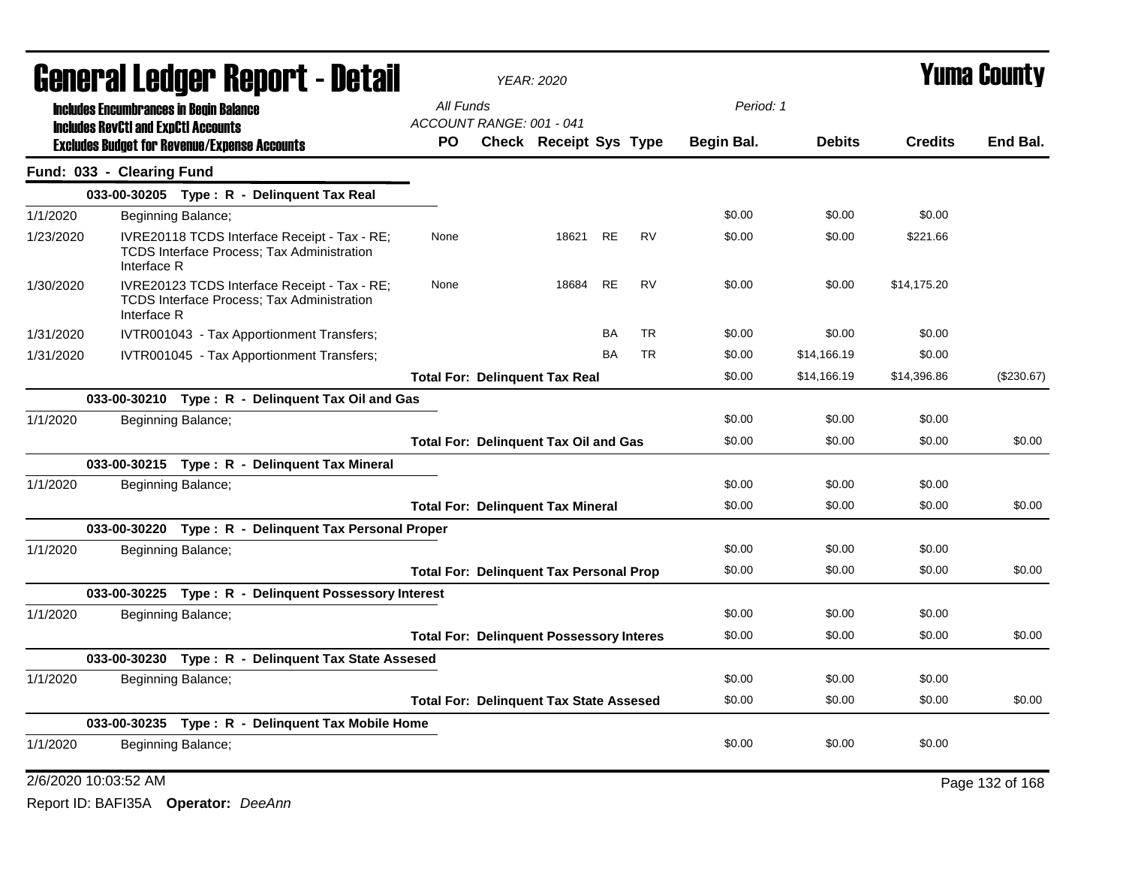|           |                                                     |                    | <b>General Ledger Report - Detail</b>                                                             |                          | <b>YEAR: 2020</b>                               |           |           |            |               |                | <b>Yuma County</b> |
|-----------|-----------------------------------------------------|--------------------|---------------------------------------------------------------------------------------------------|--------------------------|-------------------------------------------------|-----------|-----------|------------|---------------|----------------|--------------------|
|           | <b>Includes Encumbrances in Begin Balance</b>       |                    |                                                                                                   | All Funds                |                                                 |           |           | Period: 1  |               |                |                    |
|           | <b>Includes RevCtI and ExpCtI Accounts</b>          |                    |                                                                                                   | ACCOUNT RANGE: 001 - 041 |                                                 |           |           |            |               |                |                    |
|           | <b>Excludes Budget for Revenue/Expense Accounts</b> |                    |                                                                                                   | <b>PO</b>                | <b>Check Receipt Sys Type</b>                   |           |           | Begin Bal. | <b>Debits</b> | <b>Credits</b> | End Bal.           |
|           | Fund: 033 - Clearing Fund                           |                    |                                                                                                   |                          |                                                 |           |           |            |               |                |                    |
|           |                                                     |                    | 033-00-30205 Type: R - Delinquent Tax Real                                                        |                          |                                                 |           |           |            |               |                |                    |
| 1/1/2020  |                                                     | Beginning Balance; |                                                                                                   |                          |                                                 |           |           | \$0.00     | \$0.00        | \$0.00         |                    |
| 1/23/2020 | Interface R                                         |                    | IVRE20118 TCDS Interface Receipt - Tax - RE;<br><b>TCDS Interface Process; Tax Administration</b> | None                     | 18621                                           | <b>RE</b> | <b>RV</b> | \$0.00     | \$0.00        | \$221.66       |                    |
| 1/30/2020 | Interface R                                         |                    | IVRE20123 TCDS Interface Receipt - Tax - RE;<br><b>TCDS Interface Process; Tax Administration</b> | None                     | 18684                                           | <b>RE</b> | <b>RV</b> | \$0.00     | \$0.00        | \$14,175.20    |                    |
| 1/31/2020 |                                                     |                    | IVTR001043 - Tax Apportionment Transfers;                                                         |                          |                                                 | BA        | <b>TR</b> | \$0.00     | \$0.00        | \$0.00         |                    |
| 1/31/2020 |                                                     |                    | IVTR001045 - Tax Apportionment Transfers;                                                         |                          |                                                 | <b>BA</b> | <b>TR</b> | \$0.00     | \$14,166.19   | \$0.00         |                    |
|           |                                                     |                    |                                                                                                   |                          | <b>Total For: Delinguent Tax Real</b>           |           |           | \$0.00     | \$14,166.19   | \$14,396.86    | (\$230.67)         |
|           |                                                     |                    | 033-00-30210 Type: R - Delinquent Tax Oil and Gas                                                 |                          |                                                 |           |           |            |               |                |                    |
| 1/1/2020  |                                                     | Beginning Balance; |                                                                                                   |                          |                                                 |           |           | \$0.00     | \$0.00        | \$0.00         |                    |
|           |                                                     |                    |                                                                                                   |                          | <b>Total For: Delinquent Tax Oil and Gas</b>    |           |           | \$0.00     | \$0.00        | \$0.00         | \$0.00             |
|           |                                                     |                    | 033-00-30215 Type: R - Delinquent Tax Mineral                                                     |                          |                                                 |           |           |            |               |                |                    |
| 1/1/2020  |                                                     | Beginning Balance; |                                                                                                   |                          |                                                 |           |           | \$0.00     | \$0.00        | \$0.00         |                    |
|           |                                                     |                    |                                                                                                   |                          | <b>Total For: Delinquent Tax Mineral</b>        |           |           | \$0.00     | \$0.00        | \$0.00         | \$0.00             |
|           |                                                     |                    | 033-00-30220 Type: R - Delinquent Tax Personal Proper                                             |                          |                                                 |           |           |            |               |                |                    |
| 1/1/2020  |                                                     | Beginning Balance; |                                                                                                   |                          |                                                 |           |           | \$0.00     | \$0.00        | \$0.00         |                    |
|           |                                                     |                    |                                                                                                   |                          | <b>Total For: Delinquent Tax Personal Prop</b>  |           |           | \$0.00     | \$0.00        | \$0.00         | \$0.00             |
|           |                                                     |                    | 033-00-30225 Type: R - Delinquent Possessory Interest                                             |                          |                                                 |           |           |            |               |                |                    |
| 1/1/2020  |                                                     | Beginning Balance; |                                                                                                   |                          |                                                 |           |           | \$0.00     | \$0.00        | \$0.00         |                    |
|           |                                                     |                    |                                                                                                   |                          | <b>Total For: Delinquent Possessory Interes</b> |           |           | \$0.00     | \$0.00        | \$0.00         | \$0.00             |
|           |                                                     |                    | 033-00-30230 Type: R - Delinguent Tax State Assesed                                               |                          |                                                 |           |           |            |               |                |                    |
| 1/1/2020  |                                                     | Beginning Balance; |                                                                                                   |                          |                                                 |           |           | \$0.00     | \$0.00        | \$0.00         |                    |
|           |                                                     |                    |                                                                                                   |                          | <b>Total For: Delinquent Tax State Assesed</b>  |           |           | \$0.00     | \$0.00        | \$0.00         | \$0.00             |
|           |                                                     |                    | 033-00-30235 Type: R - Delinquent Tax Mobile Home                                                 |                          |                                                 |           |           |            |               |                |                    |
| 1/1/2020  |                                                     | Beginning Balance; |                                                                                                   |                          |                                                 |           |           | \$0.00     | \$0.00        | \$0.00         |                    |
|           | 2/6/2020 10:03:52 AM                                |                    |                                                                                                   |                          |                                                 |           |           |            |               |                | Page 132 of 168    |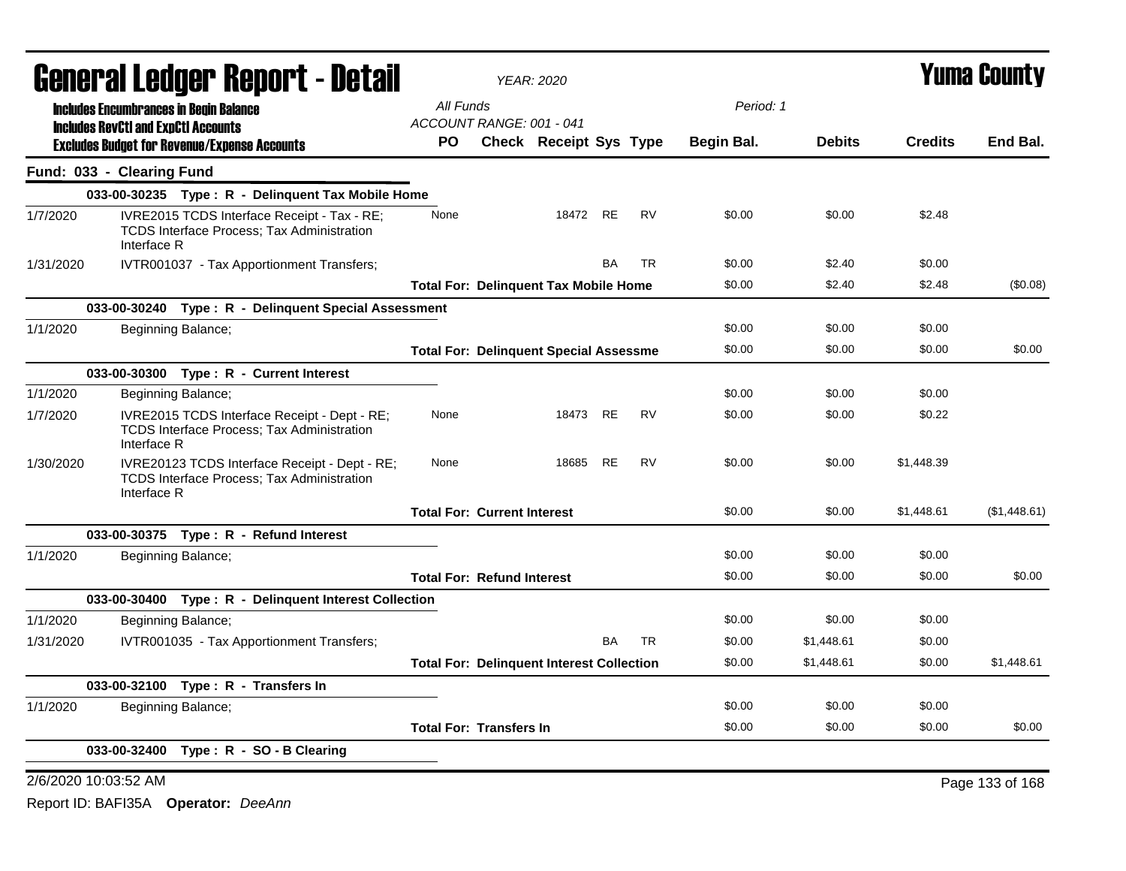| <b>General Ledger Report - Detail</b> |                                            |                                                                                                    | <b>YEAR: 2020</b>                                |                               |           |           |            |               | <b>Yuma County</b> |                 |
|---------------------------------------|--------------------------------------------|----------------------------------------------------------------------------------------------------|--------------------------------------------------|-------------------------------|-----------|-----------|------------|---------------|--------------------|-----------------|
|                                       |                                            | <b>Includes Encumbrances in Begin Balance</b>                                                      | All Funds                                        |                               |           |           | Period: 1  |               |                    |                 |
|                                       | <b>Includes RevCtI and ExpCtI Accounts</b> |                                                                                                    | ACCOUNT RANGE: 001 - 041                         |                               |           |           |            |               |                    |                 |
|                                       |                                            | <b>Excludes Budget for Revenue/Expense Accounts</b>                                                | PO.                                              | <b>Check Receipt Sys Type</b> |           |           | Begin Bal. | <b>Debits</b> | <b>Credits</b>     | End Bal.        |
|                                       | Fund: 033 - Clearing Fund                  |                                                                                                    |                                                  |                               |           |           |            |               |                    |                 |
|                                       |                                            | 033-00-30235 Type: R - Delinquent Tax Mobile Home                                                  |                                                  |                               |           |           |            |               |                    |                 |
| 1/7/2020                              | Interface R                                | IVRE2015 TCDS Interface Receipt - Tax - RE;<br><b>TCDS Interface Process; Tax Administration</b>   | None                                             | 18472 RE                      |           | <b>RV</b> | \$0.00     | \$0.00        | \$2.48             |                 |
| 1/31/2020                             |                                            | IVTR001037 - Tax Apportionment Transfers;                                                          |                                                  |                               | <b>BA</b> | <b>TR</b> | \$0.00     | \$2.40        | \$0.00             |                 |
|                                       |                                            |                                                                                                    | <b>Total For: Delinguent Tax Mobile Home</b>     |                               |           |           | \$0.00     | \$2.40        | \$2.48             | (\$0.08)        |
|                                       |                                            | 033-00-30240 Type: R - Delinquent Special Assessment                                               |                                                  |                               |           |           |            |               |                    |                 |
| 1/1/2020                              |                                            | Beginning Balance;                                                                                 |                                                  |                               |           |           | \$0.00     | \$0.00        | \$0.00             |                 |
|                                       |                                            |                                                                                                    | <b>Total For: Delinquent Special Assessme</b>    |                               |           |           | \$0.00     | \$0.00        | \$0.00             | \$0.00          |
|                                       |                                            | 033-00-30300 Type: R - Current Interest                                                            |                                                  |                               |           |           |            |               |                    |                 |
| 1/1/2020                              |                                            | Beginning Balance;                                                                                 |                                                  |                               |           |           | \$0.00     | \$0.00        | \$0.00             |                 |
| 1/7/2020                              | Interface R                                | IVRE2015 TCDS Interface Receipt - Dept - RE;<br><b>TCDS Interface Process; Tax Administration</b>  | None                                             | 18473 RE                      |           | <b>RV</b> | \$0.00     | \$0.00        | \$0.22             |                 |
| 1/30/2020                             | Interface R                                | IVRE20123 TCDS Interface Receipt - Dept - RE;<br><b>TCDS Interface Process; Tax Administration</b> | None                                             | 18685                         | <b>RE</b> | RV        | \$0.00     | \$0.00        | \$1,448.39         |                 |
|                                       |                                            |                                                                                                    | <b>Total For: Current Interest</b>               |                               |           |           | \$0.00     | \$0.00        | \$1,448.61         | (\$1,448.61)    |
|                                       |                                            |                                                                                                    |                                                  |                               |           |           |            |               |                    |                 |
| 1/1/2020                              |                                            | Beginning Balance;                                                                                 |                                                  |                               |           |           | \$0.00     | \$0.00        | \$0.00             |                 |
|                                       |                                            |                                                                                                    | <b>Total For: Refund Interest</b>                |                               |           |           | \$0.00     | \$0.00        | \$0.00             | \$0.00          |
|                                       |                                            | 033-00-30400 Type: R - Delinquent Interest Collection                                              |                                                  |                               |           |           |            |               |                    |                 |
| 1/1/2020                              |                                            | Beginning Balance;                                                                                 |                                                  |                               |           |           | \$0.00     | \$0.00        | \$0.00             |                 |
| 1/31/2020                             |                                            | IVTR001035 - Tax Apportionment Transfers;                                                          |                                                  |                               | <b>BA</b> | <b>TR</b> | \$0.00     | \$1,448.61    | \$0.00             |                 |
|                                       |                                            |                                                                                                    | <b>Total For: Delinquent Interest Collection</b> |                               |           |           | \$0.00     | \$1,448.61    | \$0.00             | \$1,448.61      |
|                                       |                                            | 033-00-32100 Type: R - Transfers In                                                                |                                                  |                               |           |           |            |               |                    |                 |
| 1/1/2020                              |                                            | Beginning Balance;                                                                                 |                                                  |                               |           |           | \$0.00     | \$0.00        | \$0.00             |                 |
|                                       |                                            |                                                                                                    | <b>Total For: Transfers In</b>                   |                               |           |           | \$0.00     | \$0.00        | \$0.00             | \$0.00          |
|                                       | 033-00-32400                               | Type: R - SO - B Clearing                                                                          |                                                  |                               |           |           |            |               |                    |                 |
|                                       | 2/6/2020 10:03:52 AM                       |                                                                                                    |                                                  |                               |           |           |            |               |                    | Page 133 of 168 |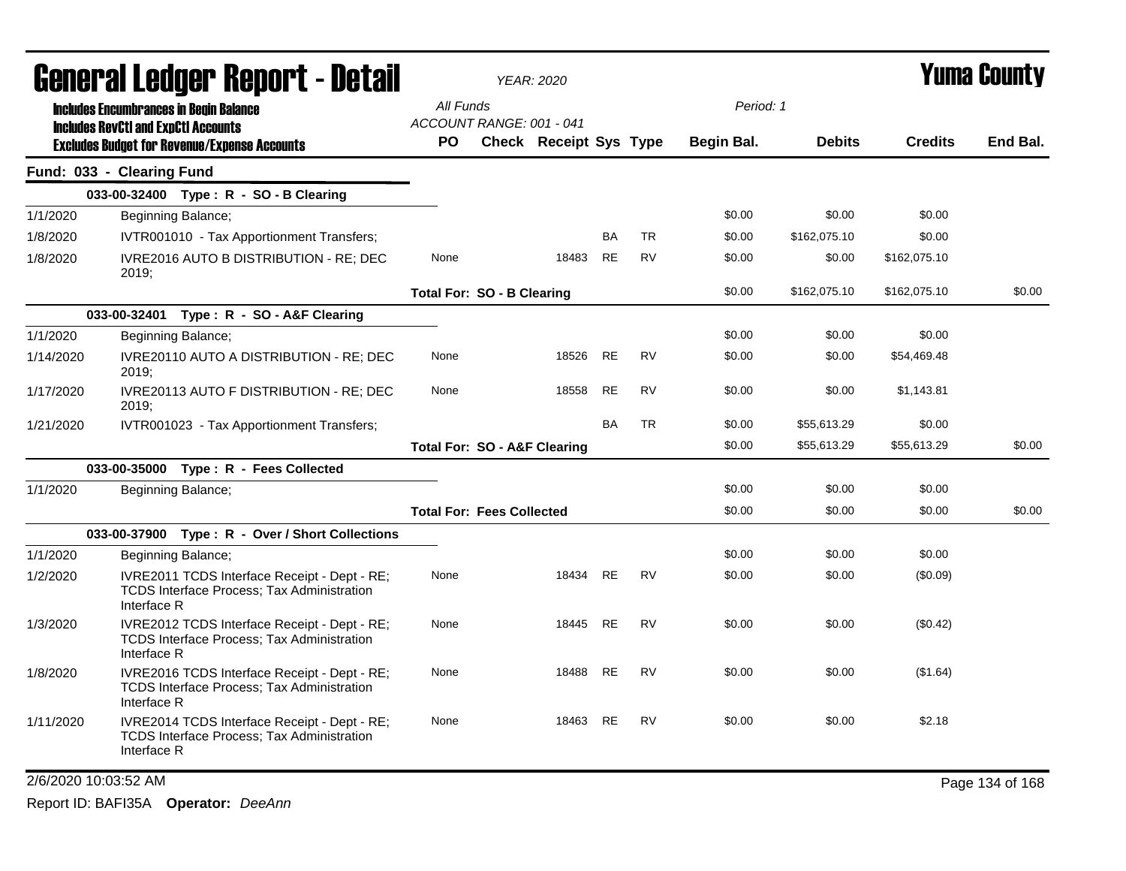|                      | General Ledger Report - Detail                                                                                   |                                         | <b>YEAR: 2020</b>      |           |           |                   |               |                | Yuma County     |
|----------------------|------------------------------------------------------------------------------------------------------------------|-----------------------------------------|------------------------|-----------|-----------|-------------------|---------------|----------------|-----------------|
|                      | <b>Includes Encumbrances in Begin Balance</b>                                                                    | All Funds                               |                        |           |           | Period: 1         |               |                |                 |
|                      | <b>Includes RevCtI and ExpCtI Accounts</b><br><b>Excludes Budget for Revenue/Expense Accounts</b>                | ACCOUNT RANGE: 001 - 041<br>PO.         | Check Receipt Sys Type |           |           | <b>Begin Bal.</b> | <b>Debits</b> | <b>Credits</b> | End Bal.        |
|                      | Fund: 033 - Clearing Fund                                                                                        |                                         |                        |           |           |                   |               |                |                 |
|                      | 033-00-32400 Type: R - SO - B Clearing                                                                           |                                         |                        |           |           |                   |               |                |                 |
| 1/1/2020             | Beginning Balance;                                                                                               |                                         |                        |           |           | \$0.00            | \$0.00        | \$0.00         |                 |
| 1/8/2020             | IVTR001010 - Tax Apportionment Transfers;                                                                        |                                         |                        | BA        | <b>TR</b> | \$0.00            | \$162,075.10  | \$0.00         |                 |
| 1/8/2020             | IVRE2016 AUTO B DISTRIBUTION - RE; DEC<br>2019;                                                                  | None                                    | 18483                  | <b>RE</b> | <b>RV</b> | \$0.00            | \$0.00        | \$162,075.10   |                 |
|                      |                                                                                                                  | <b>Total For: SO - B Clearing</b>       |                        |           |           | \$0.00            | \$162,075.10  | \$162,075.10   | \$0.00          |
|                      | 033-00-32401 Type: R - SO - A&F Clearing                                                                         |                                         |                        |           |           |                   |               |                |                 |
| 1/1/2020             | Beginning Balance;                                                                                               |                                         |                        |           |           | \$0.00            | \$0.00        | \$0.00         |                 |
| 1/14/2020            | IVRE20110 AUTO A DISTRIBUTION - RE; DEC<br>2019;                                                                 | None                                    | 18526                  | <b>RE</b> | <b>RV</b> | \$0.00            | \$0.00        | \$54,469.48    |                 |
| 1/17/2020            | IVRE20113 AUTO F DISTRIBUTION - RE; DEC<br>2019:                                                                 | None                                    | 18558                  | <b>RE</b> | <b>RV</b> | \$0.00            | \$0.00        | \$1,143.81     |                 |
| 1/21/2020            | IVTR001023 - Tax Apportionment Transfers;                                                                        |                                         |                        | <b>BA</b> | <b>TR</b> | \$0.00            | \$55,613.29   | \$0.00         |                 |
|                      |                                                                                                                  | <b>Total For: SO - A&amp;F Clearing</b> |                        |           |           | \$0.00            | \$55,613.29   | \$55,613.29    | \$0.00          |
|                      | 033-00-35000 Type: R - Fees Collected                                                                            |                                         |                        |           |           |                   |               |                |                 |
| 1/1/2020             | Beginning Balance;                                                                                               |                                         |                        |           |           | \$0.00            | \$0.00        | \$0.00         |                 |
|                      |                                                                                                                  | <b>Total For: Fees Collected</b>        |                        |           |           | \$0.00            | \$0.00        | \$0.00         | \$0.00          |
|                      | 033-00-37900 Type: R - Over / Short Collections                                                                  |                                         |                        |           |           |                   |               |                |                 |
| 1/1/2020             | Beginning Balance;                                                                                               |                                         |                        |           |           | \$0.00            | \$0.00        | \$0.00         |                 |
| 1/2/2020             | IVRE2011 TCDS Interface Receipt - Dept - RE;<br><b>TCDS Interface Process; Tax Administration</b><br>Interface R | None                                    | 18434                  | RE        | <b>RV</b> | \$0.00            | \$0.00        | (\$0.09)       |                 |
| 1/3/2020             | IVRE2012 TCDS Interface Receipt - Dept - RE;<br><b>TCDS Interface Process; Tax Administration</b><br>Interface R | None                                    | 18445                  | RE        | <b>RV</b> | \$0.00            | \$0.00        | $(\$0.42)$     |                 |
| 1/8/2020             | IVRE2016 TCDS Interface Receipt - Dept - RE;<br>TCDS Interface Process; Tax Administration<br>Interface R        | None                                    | 18488                  | <b>RE</b> | <b>RV</b> | \$0.00            | \$0.00        | (\$1.64)       |                 |
| 1/11/2020            | IVRE2014 TCDS Interface Receipt - Dept - RE;<br>TCDS Interface Process; Tax Administration<br>Interface R        | None                                    | 18463                  | <b>RE</b> | <b>RV</b> | \$0.00            | \$0.00        | \$2.18         |                 |
| 2/6/2020 10:03:52 AM |                                                                                                                  |                                         |                        |           |           |                   |               |                | Page 134 of 168 |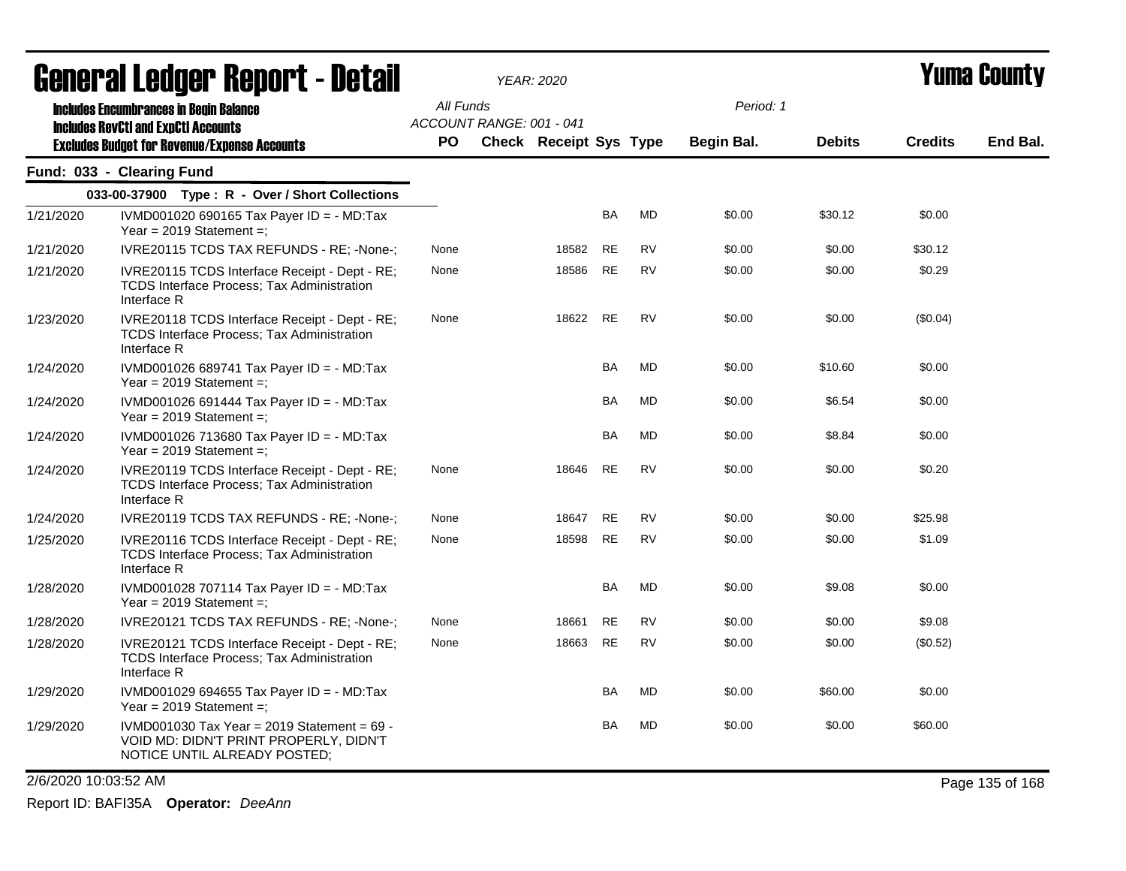| ugligi ai Lguygi ngpul l - Dglaii |                                                                                                                           | YEAR: 2020 |                          |                        |           |           |                   |               | I UIIIU VUUILY |          |  |
|-----------------------------------|---------------------------------------------------------------------------------------------------------------------------|------------|--------------------------|------------------------|-----------|-----------|-------------------|---------------|----------------|----------|--|
|                                   | <b>Includes Encumbrances in Begin Balance</b><br><b>Includes RevCtI and ExpCtI Accounts</b>                               | All Funds  | ACCOUNT RANGE: 001 - 041 |                        |           |           | Period: 1         |               |                |          |  |
|                                   | <b>Excludes Budget for Revenue/Expense Accounts</b>                                                                       | <b>PO</b>  |                          | Check Receipt Sys Type |           |           | <b>Begin Bal.</b> | <b>Debits</b> | <b>Credits</b> | End Bal. |  |
|                                   | Fund: 033 - Clearing Fund                                                                                                 |            |                          |                        |           |           |                   |               |                |          |  |
|                                   | 033-00-37900 Type: R - Over / Short Collections                                                                           |            |                          |                        |           |           |                   |               |                |          |  |
| 1/21/2020                         | IVMD001020 690165 Tax Payer ID = - MD:Tax<br>Year = $2019$ Statement =;                                                   |            |                          |                        | <b>BA</b> | <b>MD</b> | \$0.00            | \$30.12       | \$0.00         |          |  |
| 1/21/2020                         | IVRE20115 TCDS TAX REFUNDS - RE; -None-;                                                                                  | None       |                          | 18582                  | <b>RE</b> | <b>RV</b> | \$0.00            | \$0.00        | \$30.12        |          |  |
| 1/21/2020                         | IVRE20115 TCDS Interface Receipt - Dept - RE;<br>TCDS Interface Process; Tax Administration<br>Interface R                | None       |                          | 18586                  | <b>RE</b> | <b>RV</b> | \$0.00            | \$0.00        | \$0.29         |          |  |
| 1/23/2020                         | IVRE20118 TCDS Interface Receipt - Dept - RE;<br>TCDS Interface Process; Tax Administration<br>Interface R                | None       |                          | 18622                  | <b>RE</b> | <b>RV</b> | \$0.00            | \$0.00        | (\$0.04)       |          |  |
| 1/24/2020                         | IVMD001026 689741 Tax Payer ID = - MD:Tax<br>Year = $2019$ Statement =;                                                   |            |                          |                        | BA        | <b>MD</b> | \$0.00            | \$10.60       | \$0.00         |          |  |
| 1/24/2020                         | IVMD001026 691444 Tax Payer ID = - MD:Tax<br>Year = $2019$ Statement =;                                                   |            |                          |                        | BA        | <b>MD</b> | \$0.00            | \$6.54        | \$0.00         |          |  |
| 1/24/2020                         | IVMD001026 713680 Tax Payer ID = - MD:Tax<br>Year = $2019$ Statement =;                                                   |            |                          |                        | BA        | MD        | \$0.00            | \$8.84        | \$0.00         |          |  |
| 1/24/2020                         | IVRE20119 TCDS Interface Receipt - Dept - RE;<br>TCDS Interface Process; Tax Administration<br>Interface R                | None       |                          | 18646                  | <b>RE</b> | <b>RV</b> | \$0.00            | \$0.00        | \$0.20         |          |  |
| 1/24/2020                         | IVRE20119 TCDS TAX REFUNDS - RE; -None-;                                                                                  | None       |                          | 18647                  | <b>RE</b> | <b>RV</b> | \$0.00            | \$0.00        | \$25.98        |          |  |
| 1/25/2020                         | IVRE20116 TCDS Interface Receipt - Dept - RE;<br><b>TCDS Interface Process; Tax Administration</b><br>Interface R         | None       |                          | 18598                  | <b>RE</b> | <b>RV</b> | \$0.00            | \$0.00        | \$1.09         |          |  |
| 1/28/2020                         | IVMD001028 707114 Tax Payer ID = - MD:Tax<br>Year = $2019$ Statement =;                                                   |            |                          |                        | <b>BA</b> | <b>MD</b> | \$0.00            | \$9.08        | \$0.00         |          |  |
| 1/28/2020                         | IVRE20121 TCDS TAX REFUNDS - RE; -None-;                                                                                  | None       |                          | 18661                  | <b>RE</b> | <b>RV</b> | \$0.00            | \$0.00        | \$9.08         |          |  |
| 1/28/2020                         | IVRE20121 TCDS Interface Receipt - Dept - RE;<br>TCDS Interface Process; Tax Administration<br>Interface R                | None       |                          | 18663                  | <b>RE</b> | <b>RV</b> | \$0.00            | \$0.00        | (\$0.52)       |          |  |
| 1/29/2020                         | IVMD001029 694655 Tax Payer ID = - MD:Tax<br>Year = $2019$ Statement =;                                                   |            |                          |                        | <b>BA</b> | MD        | \$0.00            | \$60.00       | \$0.00         |          |  |
| 1/29/2020                         | IVMD001030 Tax Year = $2019$ Statement = $69 -$<br>VOID MD: DIDN'T PRINT PROPERLY, DIDN'T<br>NOTICE UNTIL ALREADY POSTED; |            |                          |                        | <b>BA</b> | MD        | \$0.00            | \$0.00        | \$60.00        |          |  |

2/6/2020 10:03:52 AM Page 135 of 168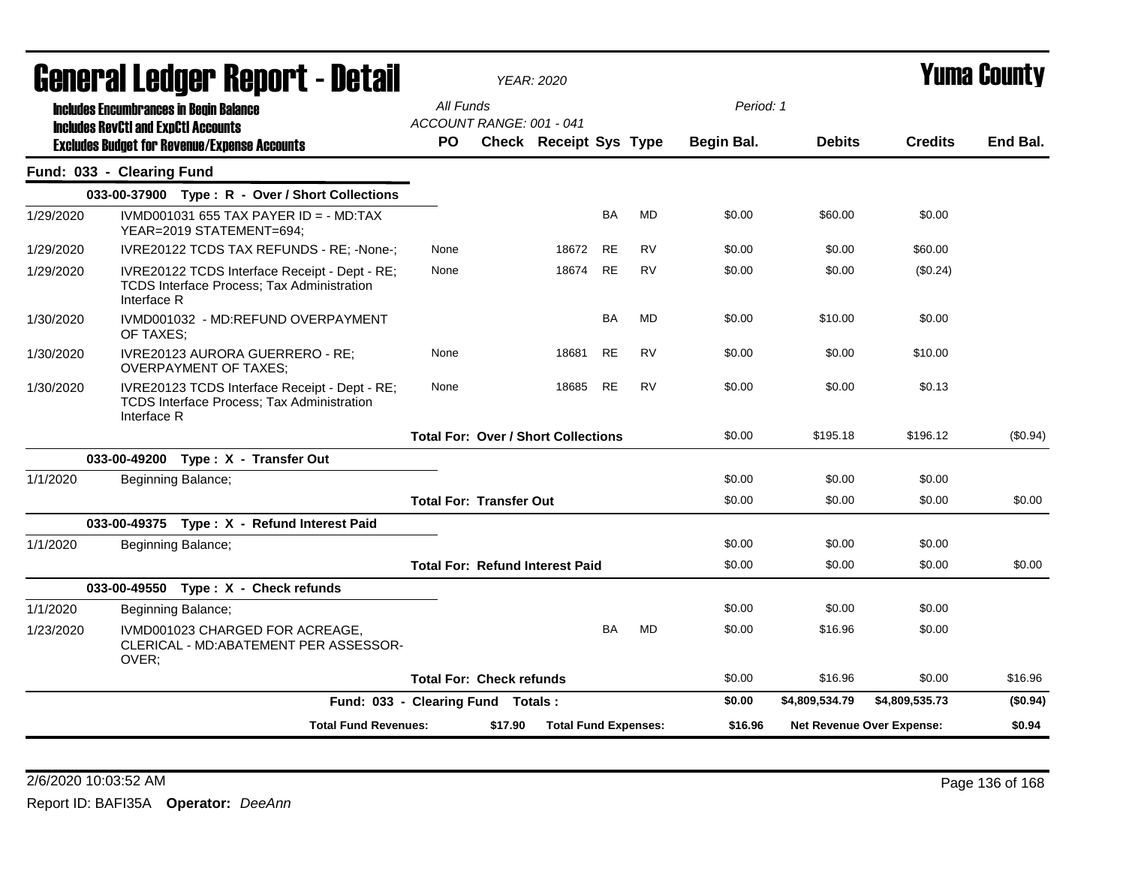|           | <b>General Ledger Report - Detail</b>                                                                      |                                   | <b>YEAR: 2020</b>                          |                             |           |           |            |                |                                  | <b>Yuma County</b> |
|-----------|------------------------------------------------------------------------------------------------------------|-----------------------------------|--------------------------------------------|-----------------------------|-----------|-----------|------------|----------------|----------------------------------|--------------------|
|           | <b>Includes Encumbrances in Begin Balance</b>                                                              | All Funds                         | ACCOUNT RANGE: 001 - 041                   |                             |           |           | Period: 1  |                |                                  |                    |
|           | <b>Includes RevCtI and ExpCtI Accounts</b><br><b>Excludes Budget for Revenue/Expense Accounts</b>          | <b>PO</b>                         | Check Receipt Sys Type                     |                             |           |           | Begin Bal. | <b>Debits</b>  | <b>Credits</b>                   | End Bal.           |
|           | Fund: 033 - Clearing Fund                                                                                  |                                   |                                            |                             |           |           |            |                |                                  |                    |
|           | 033-00-37900 Type: R - Over / Short Collections                                                            |                                   |                                            |                             |           |           |            |                |                                  |                    |
| 1/29/2020 | IVMD001031 655 TAX PAYER ID = $-$ MD:TAX<br>YEAR=2019 STATEMENT=694;                                       |                                   |                                            |                             | BA        | MD        | \$0.00     | \$60.00        | \$0.00                           |                    |
| 1/29/2020 | IVRE20122 TCDS TAX REFUNDS - RE; -None-;                                                                   | None                              |                                            | 18672                       | <b>RE</b> | <b>RV</b> | \$0.00     | \$0.00         | \$60.00                          |                    |
| 1/29/2020 | IVRE20122 TCDS Interface Receipt - Dept - RE;<br>TCDS Interface Process; Tax Administration<br>Interface R | None                              |                                            | 18674                       | <b>RE</b> | <b>RV</b> | \$0.00     | \$0.00         | (\$0.24)                         |                    |
| 1/30/2020 | IVMD001032 - MD:REFUND OVERPAYMENT<br>OF TAXES;                                                            |                                   |                                            |                             | BA        | MD        | \$0.00     | \$10.00        | \$0.00                           |                    |
| 1/30/2020 | IVRE20123 AURORA GUERRERO - RE;<br><b>OVERPAYMENT OF TAXES;</b>                                            | None                              |                                            | 18681                       | RE.       | RV        | \$0.00     | \$0.00         | \$10.00                          |                    |
| 1/30/2020 | IVRE20123 TCDS Interface Receipt - Dept - RE;<br>TCDS Interface Process; Tax Administration<br>Interface R | None                              |                                            | 18685                       | RE        | <b>RV</b> | \$0.00     | \$0.00         | \$0.13                           |                    |
|           |                                                                                                            |                                   | <b>Total For: Over / Short Collections</b> |                             |           |           | \$0.00     | \$195.18       | \$196.12                         | $(\$0.94)$         |
|           | 033-00-49200 Type: X - Transfer Out                                                                        |                                   |                                            |                             |           |           |            |                |                                  |                    |
| 1/1/2020  | Beginning Balance;                                                                                         |                                   |                                            |                             |           |           | \$0.00     | \$0.00         | \$0.00                           |                    |
|           |                                                                                                            |                                   | <b>Total For: Transfer Out</b>             |                             |           |           | \$0.00     | \$0.00         | \$0.00                           | \$0.00             |
|           | 033-00-49375 Type: X - Refund Interest Paid                                                                |                                   |                                            |                             |           |           |            |                |                                  |                    |
| 1/1/2020  | Beginning Balance;                                                                                         |                                   |                                            |                             |           |           | \$0.00     | \$0.00         | \$0.00                           |                    |
|           |                                                                                                            |                                   | <b>Total For: Refund Interest Paid</b>     |                             |           |           | \$0.00     | \$0.00         | \$0.00                           | \$0.00             |
|           | 033-00-49550 Type: X - Check refunds                                                                       |                                   |                                            |                             |           |           |            |                |                                  |                    |
| 1/1/2020  | Beginning Balance;                                                                                         |                                   |                                            |                             |           |           | \$0.00     | \$0.00         | \$0.00                           |                    |
| 1/23/2020 | IVMD001023 CHARGED FOR ACREAGE.<br>CLERICAL - MD:ABATEMENT PER ASSESSOR-<br>OVER;                          |                                   |                                            |                             | <b>BA</b> | <b>MD</b> | \$0.00     | \$16.96        | \$0.00                           |                    |
|           |                                                                                                            |                                   | <b>Total For: Check refunds</b>            |                             |           |           | \$0.00     | \$16.96        | \$0.00                           | \$16.96            |
|           |                                                                                                            | Fund: 033 - Clearing Fund Totals: |                                            |                             |           |           | \$0.00     | \$4,809,534.79 | \$4.809.535.73                   | (\$0.94)           |
|           | <b>Total Fund Revenues:</b>                                                                                |                                   | \$17.90                                    | <b>Total Fund Expenses:</b> |           |           | \$16.96    |                | <b>Net Revenue Over Expense:</b> | \$0.94             |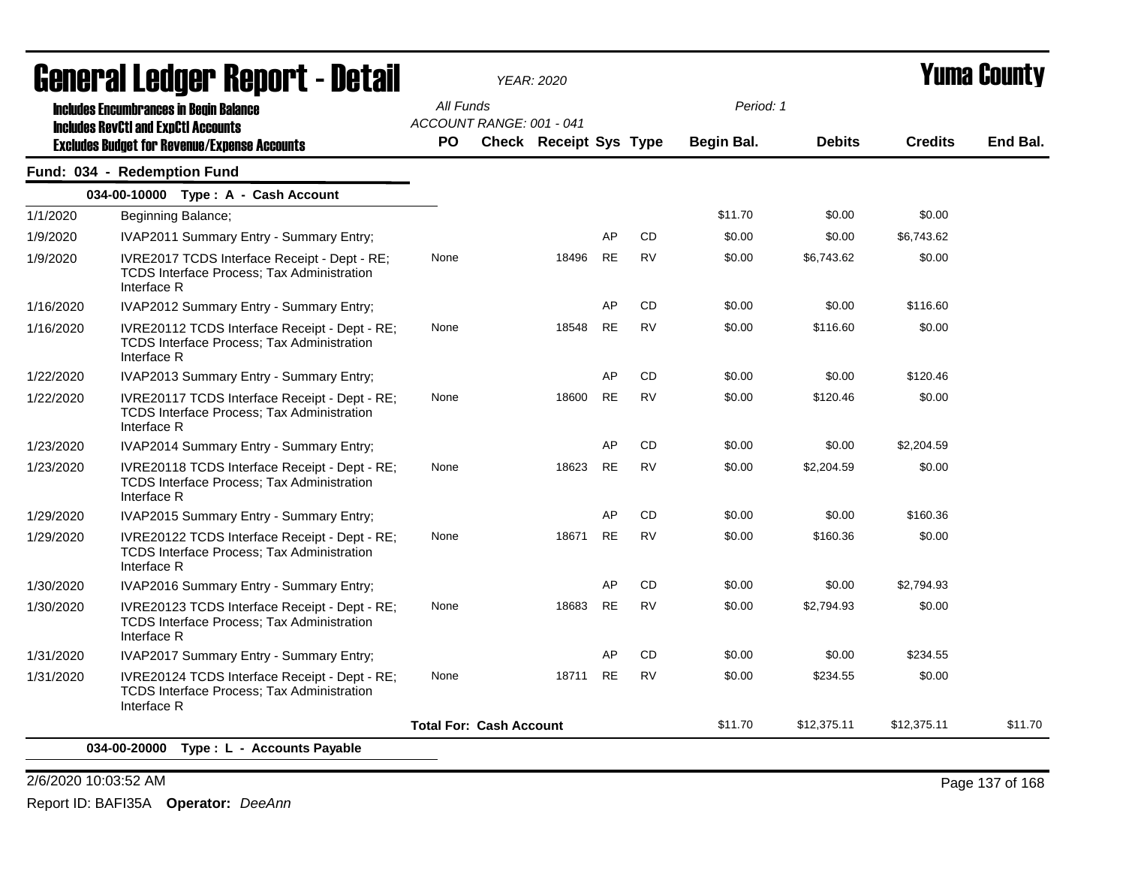| General Ledger Report - Detail |                                                                                                                   |           | <b>YEAR: 2020</b>                                         |       |           |           |            |               |                | <b>Yuma County</b> |
|--------------------------------|-------------------------------------------------------------------------------------------------------------------|-----------|-----------------------------------------------------------|-------|-----------|-----------|------------|---------------|----------------|--------------------|
|                                | <b>Includes Encumbrances in Begin Balance</b>                                                                     | All Funds |                                                           |       |           |           | Period: 1  |               |                |                    |
|                                | <b>Includes RevCtI and ExpCtI Accounts</b><br><b>Excludes Budget for Revenue/Expense Accounts</b>                 | PO        | ACCOUNT RANGE: 001 - 041<br><b>Check Receipt Sys Type</b> |       |           |           | Begin Bal. | <b>Debits</b> | <b>Credits</b> | End Bal.           |
|                                | Fund: 034 - Redemption Fund                                                                                       |           |                                                           |       |           |           |            |               |                |                    |
|                                | 034-00-10000 Type: A - Cash Account                                                                               |           |                                                           |       |           |           |            |               |                |                    |
| 1/1/2020                       | Beginning Balance;                                                                                                |           |                                                           |       |           |           | \$11.70    | \$0.00        | \$0.00         |                    |
| 1/9/2020                       | IVAP2011 Summary Entry - Summary Entry;                                                                           |           |                                                           |       | AP        | <b>CD</b> | \$0.00     | \$0.00        | \$6,743.62     |                    |
| 1/9/2020                       | IVRE2017 TCDS Interface Receipt - Dept - RE;<br>TCDS Interface Process; Tax Administration<br>Interface R         | None      |                                                           | 18496 | <b>RE</b> | <b>RV</b> | \$0.00     | \$6,743.62    | \$0.00         |                    |
| 1/16/2020                      | IVAP2012 Summary Entry - Summary Entry;                                                                           |           |                                                           |       | AP        | CD        | \$0.00     | \$0.00        | \$116.60       |                    |
| 1/16/2020                      | IVRE20112 TCDS Interface Receipt - Dept - RE;<br>TCDS Interface Process; Tax Administration<br>Interface R        | None      |                                                           | 18548 | <b>RE</b> | <b>RV</b> | \$0.00     | \$116.60      | \$0.00         |                    |
| 1/22/2020                      | IVAP2013 Summary Entry - Summary Entry;                                                                           |           |                                                           |       | AP        | CD        | \$0.00     | \$0.00        | \$120.46       |                    |
| 1/22/2020                      | IVRE20117 TCDS Interface Receipt - Dept - RE;<br>TCDS Interface Process; Tax Administration<br>Interface R        | None      |                                                           | 18600 | <b>RE</b> | <b>RV</b> | \$0.00     | \$120.46      | \$0.00         |                    |
| 1/23/2020                      | IVAP2014 Summary Entry - Summary Entry;                                                                           |           |                                                           |       | AP        | <b>CD</b> | \$0.00     | \$0.00        | \$2,204.59     |                    |
| 1/23/2020                      | IVRE20118 TCDS Interface Receipt - Dept - RE;<br>TCDS Interface Process; Tax Administration<br>Interface R        | None      |                                                           | 18623 | <b>RE</b> | <b>RV</b> | \$0.00     | \$2,204.59    | \$0.00         |                    |
| 1/29/2020                      | IVAP2015 Summary Entry - Summary Entry;                                                                           |           |                                                           |       | AP        | <b>CD</b> | \$0.00     | \$0.00        | \$160.36       |                    |
| 1/29/2020                      | IVRE20122 TCDS Interface Receipt - Dept - RE;<br>TCDS Interface Process; Tax Administration<br>Interface R        | None      |                                                           | 18671 | <b>RE</b> | <b>RV</b> | \$0.00     | \$160.36      | \$0.00         |                    |
| 1/30/2020                      | <b>IVAP2016 Summary Entry - Summary Entry:</b>                                                                    |           |                                                           |       | AP        | <b>CD</b> | \$0.00     | \$0.00        | \$2,794.93     |                    |
| 1/30/2020                      | IVRE20123 TCDS Interface Receipt - Dept - RE;<br>TCDS Interface Process; Tax Administration<br>Interface R        | None      |                                                           | 18683 | <b>RE</b> | <b>RV</b> | \$0.00     | \$2,794.93    | \$0.00         |                    |
| 1/31/2020                      | IVAP2017 Summary Entry - Summary Entry;                                                                           |           |                                                           |       | AP        | <b>CD</b> | \$0.00     | \$0.00        | \$234.55       |                    |
| 1/31/2020                      | IVRE20124 TCDS Interface Receipt - Dept - RE;<br><b>TCDS Interface Process: Tax Administration</b><br>Interface R | None      |                                                           | 18711 | <b>RE</b> | <b>RV</b> | \$0.00     | \$234.55      | \$0.00         |                    |
|                                |                                                                                                                   |           | <b>Total For: Cash Account</b>                            |       |           |           | \$11.70    | \$12,375.11   | \$12,375.11    | \$11.70            |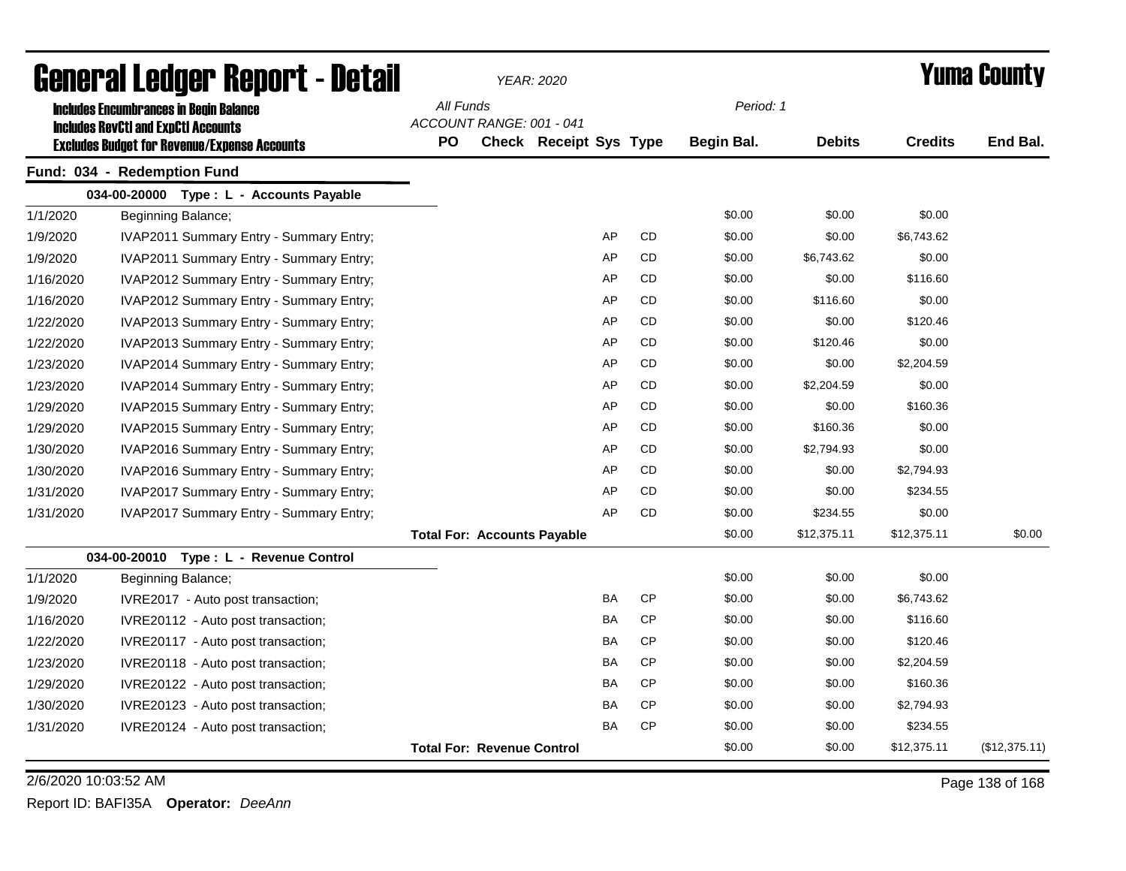| General Ledger Report - Detail |                                                                        |                                       |                                   | YEAR: 2020                    |  |           | <b>Yuma County</b> |               |                |               |
|--------------------------------|------------------------------------------------------------------------|---------------------------------------|-----------------------------------|-------------------------------|--|-----------|--------------------|---------------|----------------|---------------|
|                                | <b>Includes Encumbrances in Begin Balance</b>                          | All Funds                             |                                   |                               |  |           | Period: 1          |               |                |               |
|                                | <b>Includes RevCtI and ExpCtI Accounts</b>                             | ACCOUNT RANGE: 001 - 041<br><b>PO</b> |                                   | <b>Check Receipt Sys Type</b> |  |           | Begin Bal.         | <b>Debits</b> | <b>Credits</b> | End Bal.      |
|                                | <b>Excludes Budget for Revenue/Expense Accounts</b>                    |                                       |                                   |                               |  |           |                    |               |                |               |
|                                | Fund: 034 - Redemption Fund<br>034-00-20000 Type: L - Accounts Payable |                                       |                                   |                               |  |           |                    |               |                |               |
| 1/1/2020                       | Beginning Balance;                                                     |                                       |                                   |                               |  |           | \$0.00             | \$0.00        | \$0.00         |               |
| 1/9/2020                       | IVAP2011 Summary Entry - Summary Entry;                                |                                       |                                   | AP                            |  | <b>CD</b> | \$0.00             | \$0.00        | \$6,743.62     |               |
| 1/9/2020                       | IVAP2011 Summary Entry - Summary Entry;                                |                                       |                                   | AP                            |  | <b>CD</b> | \$0.00             | \$6,743.62    | \$0.00         |               |
| 1/16/2020                      | IVAP2012 Summary Entry - Summary Entry;                                |                                       |                                   | AP                            |  | <b>CD</b> | \$0.00             | \$0.00        | \$116.60       |               |
| 1/16/2020                      | IVAP2012 Summary Entry - Summary Entry;                                |                                       |                                   | AP                            |  | <b>CD</b> | \$0.00             | \$116.60      | \$0.00         |               |
| 1/22/2020                      | IVAP2013 Summary Entry - Summary Entry;                                |                                       |                                   | AP                            |  | <b>CD</b> | \$0.00             | \$0.00        | \$120.46       |               |
| 1/22/2020                      | IVAP2013 Summary Entry - Summary Entry;                                |                                       |                                   | AP                            |  | <b>CD</b> | \$0.00             | \$120.46      | \$0.00         |               |
| 1/23/2020                      | IVAP2014 Summary Entry - Summary Entry;                                |                                       |                                   | AP                            |  | CD        | \$0.00             | \$0.00        | \$2,204.59     |               |
| 1/23/2020                      | IVAP2014 Summary Entry - Summary Entry;                                |                                       |                                   | AP                            |  | CD        | \$0.00             | \$2,204.59    | \$0.00         |               |
| 1/29/2020                      | IVAP2015 Summary Entry - Summary Entry;                                |                                       |                                   | AP                            |  | CD        | \$0.00             | \$0.00        | \$160.36       |               |
| 1/29/2020                      | IVAP2015 Summary Entry - Summary Entry;                                |                                       |                                   | AP                            |  | CD        | \$0.00             | \$160.36      | \$0.00         |               |
| 1/30/2020                      | IVAP2016 Summary Entry - Summary Entry;                                |                                       |                                   | AP                            |  | CD        | \$0.00             | \$2,794.93    | \$0.00         |               |
| 1/30/2020                      | IVAP2016 Summary Entry - Summary Entry;                                |                                       |                                   | AP                            |  | <b>CD</b> | \$0.00             | \$0.00        | \$2,794.93     |               |
| 1/31/2020                      | IVAP2017 Summary Entry - Summary Entry;                                |                                       |                                   | AP                            |  | <b>CD</b> | \$0.00             | \$0.00        | \$234.55       |               |
| 1/31/2020                      | IVAP2017 Summary Entry - Summary Entry;                                |                                       |                                   | AP                            |  | <b>CD</b> | \$0.00             | \$234.55      | \$0.00         |               |
|                                |                                                                        | <b>Total For: Accounts Payable</b>    |                                   |                               |  |           | \$0.00             | \$12,375.11   | \$12,375.11    | \$0.00        |
|                                | 034-00-20010 Type: L - Revenue Control                                 |                                       |                                   |                               |  |           |                    |               |                |               |
| 1/1/2020                       | Beginning Balance;                                                     |                                       |                                   |                               |  |           | \$0.00             | \$0.00        | \$0.00         |               |
| 1/9/2020                       | IVRE2017 - Auto post transaction;                                      |                                       |                                   | <b>BA</b>                     |  | <b>CP</b> | \$0.00             | \$0.00        | \$6,743.62     |               |
| 1/16/2020                      | IVRE20112 - Auto post transaction;                                     |                                       |                                   | BA                            |  | <b>CP</b> | \$0.00             | \$0.00        | \$116.60       |               |
| 1/22/2020                      | IVRE20117 - Auto post transaction;                                     |                                       |                                   | BA                            |  | <b>CP</b> | \$0.00             | \$0.00        | \$120.46       |               |
| 1/23/2020                      | IVRE20118 - Auto post transaction;                                     |                                       |                                   | BA                            |  | <b>CP</b> | \$0.00             | \$0.00        | \$2,204.59     |               |
| 1/29/2020                      | IVRE20122 - Auto post transaction;                                     |                                       |                                   | BA                            |  | <b>CP</b> | \$0.00             | \$0.00        | \$160.36       |               |
| 1/30/2020                      | IVRE20123 - Auto post transaction;                                     |                                       |                                   | BA                            |  | <b>CP</b> | \$0.00             | \$0.00        | \$2,794.93     |               |
| 1/31/2020                      | IVRE20124 - Auto post transaction;                                     |                                       |                                   | BA                            |  | <b>CP</b> | \$0.00             | \$0.00        | \$234.55       |               |
|                                |                                                                        |                                       | <b>Total For: Revenue Control</b> |                               |  |           | \$0.00             | \$0.00        | \$12,375.11    | (\$12,375.11) |

2/6/2020 10:03:52 AM Page 138 of 168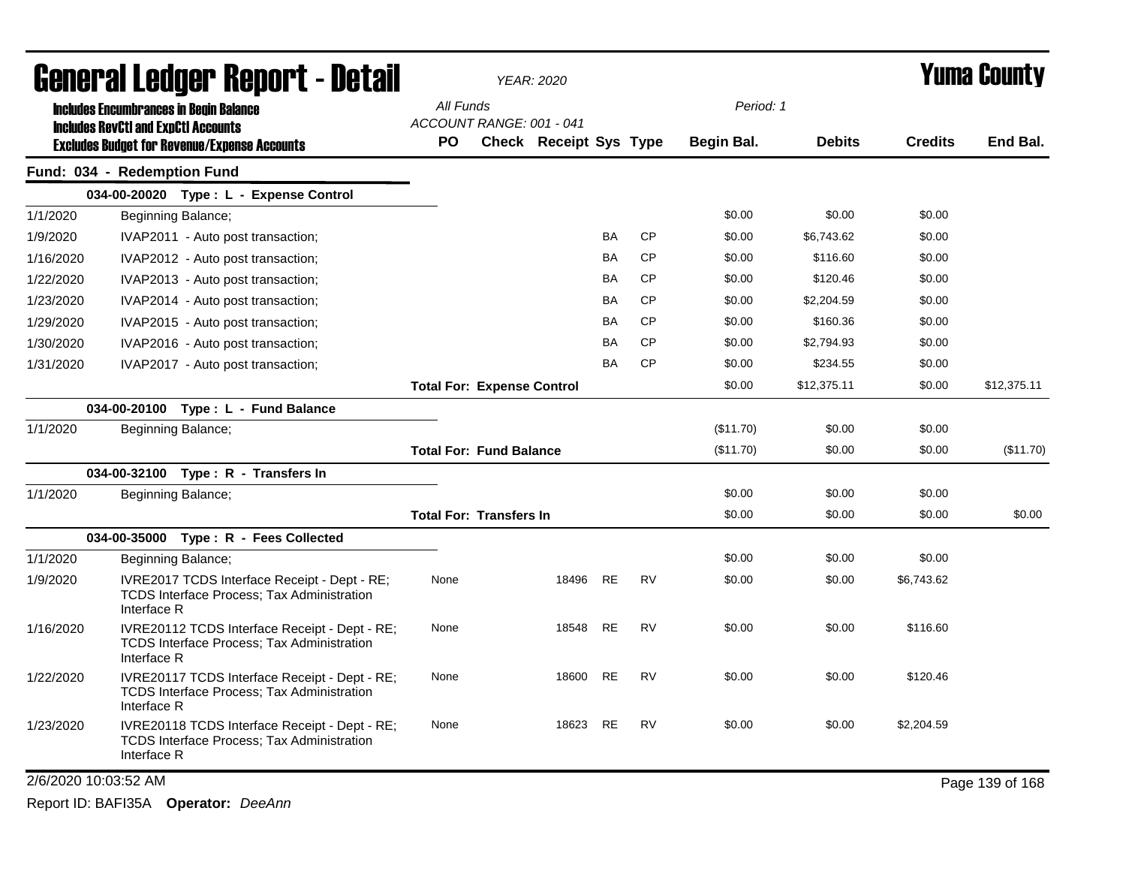| <b>General Ledger Report - Detail</b> |                                                                                                                   |                                       | <b>YEAR: 2020</b>             |           |           |            |               |                | <b>Yuma County</b> |
|---------------------------------------|-------------------------------------------------------------------------------------------------------------------|---------------------------------------|-------------------------------|-----------|-----------|------------|---------------|----------------|--------------------|
|                                       | <b>Includes Encumbrances in Begin Balance</b>                                                                     | All Funds                             |                               |           |           | Period: 1  |               |                |                    |
|                                       | <b>Includes RevCtI and ExpCtI Accounts</b><br><b>Excludes Budget for Revenue/Expense Accounts</b>                 | ACCOUNT RANGE: 001 - 041<br><b>PO</b> | <b>Check Receipt Sys Type</b> |           |           | Begin Bal. | <b>Debits</b> | <b>Credits</b> | End Bal.           |
|                                       | Fund: 034 - Redemption Fund                                                                                       |                                       |                               |           |           |            |               |                |                    |
|                                       | 034-00-20020 Type: L - Expense Control                                                                            |                                       |                               |           |           |            |               |                |                    |
| 1/1/2020                              | Beginning Balance;                                                                                                |                                       |                               |           |           | \$0.00     | \$0.00        | \$0.00         |                    |
| 1/9/2020                              | IVAP2011 - Auto post transaction;                                                                                 |                                       |                               | BA        | <b>CP</b> | \$0.00     | \$6,743.62    | \$0.00         |                    |
| 1/16/2020                             | IVAP2012 - Auto post transaction;                                                                                 |                                       |                               | BA        | <b>CP</b> | \$0.00     | \$116.60      | \$0.00         |                    |
| 1/22/2020                             | IVAP2013 - Auto post transaction;                                                                                 |                                       |                               | BA        | <b>CP</b> | \$0.00     | \$120.46      | \$0.00         |                    |
| 1/23/2020                             | IVAP2014 - Auto post transaction;                                                                                 |                                       |                               | BA        | <b>CP</b> | \$0.00     | \$2,204.59    | \$0.00         |                    |
| 1/29/2020                             | IVAP2015 - Auto post transaction;                                                                                 |                                       |                               | BA        | <b>CP</b> | \$0.00     | \$160.36      | \$0.00         |                    |
| 1/30/2020                             | IVAP2016 - Auto post transaction;                                                                                 |                                       |                               | BA        | <b>CP</b> | \$0.00     | \$2,794.93    | \$0.00         |                    |
| 1/31/2020                             | IVAP2017 - Auto post transaction;                                                                                 |                                       |                               | BA        | <b>CP</b> | \$0.00     | \$234.55      | \$0.00         |                    |
|                                       |                                                                                                                   | <b>Total For: Expense Control</b>     |                               |           |           | \$0.00     | \$12,375.11   | \$0.00         | \$12,375.11        |
|                                       | 034-00-20100 Type: L - Fund Balance                                                                               |                                       |                               |           |           |            |               |                |                    |
| 1/1/2020                              | Beginning Balance;                                                                                                |                                       |                               |           |           | (\$11.70)  | \$0.00        | \$0.00         |                    |
|                                       |                                                                                                                   | <b>Total For: Fund Balance</b>        |                               |           |           | (\$11.70)  | \$0.00        | \$0.00         | (\$11.70)          |
|                                       | 034-00-32100 Type: R - Transfers In                                                                               |                                       |                               |           |           |            |               |                |                    |
| 1/1/2020                              | Beginning Balance;                                                                                                |                                       |                               |           |           | \$0.00     | \$0.00        | \$0.00         |                    |
|                                       |                                                                                                                   | <b>Total For: Transfers In</b>        |                               |           |           | \$0.00     | \$0.00        | \$0.00         | \$0.00             |
|                                       | 034-00-35000 Type: R - Fees Collected                                                                             |                                       |                               |           |           |            |               |                |                    |
| 1/1/2020                              | Beginning Balance;                                                                                                |                                       |                               |           |           | \$0.00     | \$0.00        | \$0.00         |                    |
| 1/9/2020                              | IVRE2017 TCDS Interface Receipt - Dept - RE;<br>TCDS Interface Process; Tax Administration<br>Interface R         | None                                  | 18496                         | <b>RE</b> | <b>RV</b> | \$0.00     | \$0.00        | \$6,743.62     |                    |
| 1/16/2020                             | IVRE20112 TCDS Interface Receipt - Dept - RE;<br><b>TCDS Interface Process; Tax Administration</b><br>Interface R | None                                  | 18548                         | RE        | RV        | \$0.00     | \$0.00        | \$116.60       |                    |
| 1/22/2020                             | IVRE20117 TCDS Interface Receipt - Dept - RE;<br><b>TCDS Interface Process: Tax Administration</b><br>Interface R | None                                  | 18600                         | <b>RE</b> | <b>RV</b> | \$0.00     | \$0.00        | \$120.46       |                    |
| 1/23/2020                             | IVRE20118 TCDS Interface Receipt - Dept - RE;<br><b>TCDS Interface Process; Tax Administration</b><br>Interface R | None                                  | 18623                         | <b>RE</b> | RV        | \$0.00     | \$0.00        | \$2,204.59     |                    |
| 2/6/2020 10:03:52 AM                  |                                                                                                                   |                                       |                               |           |           |            |               |                | Page 139 of 168    |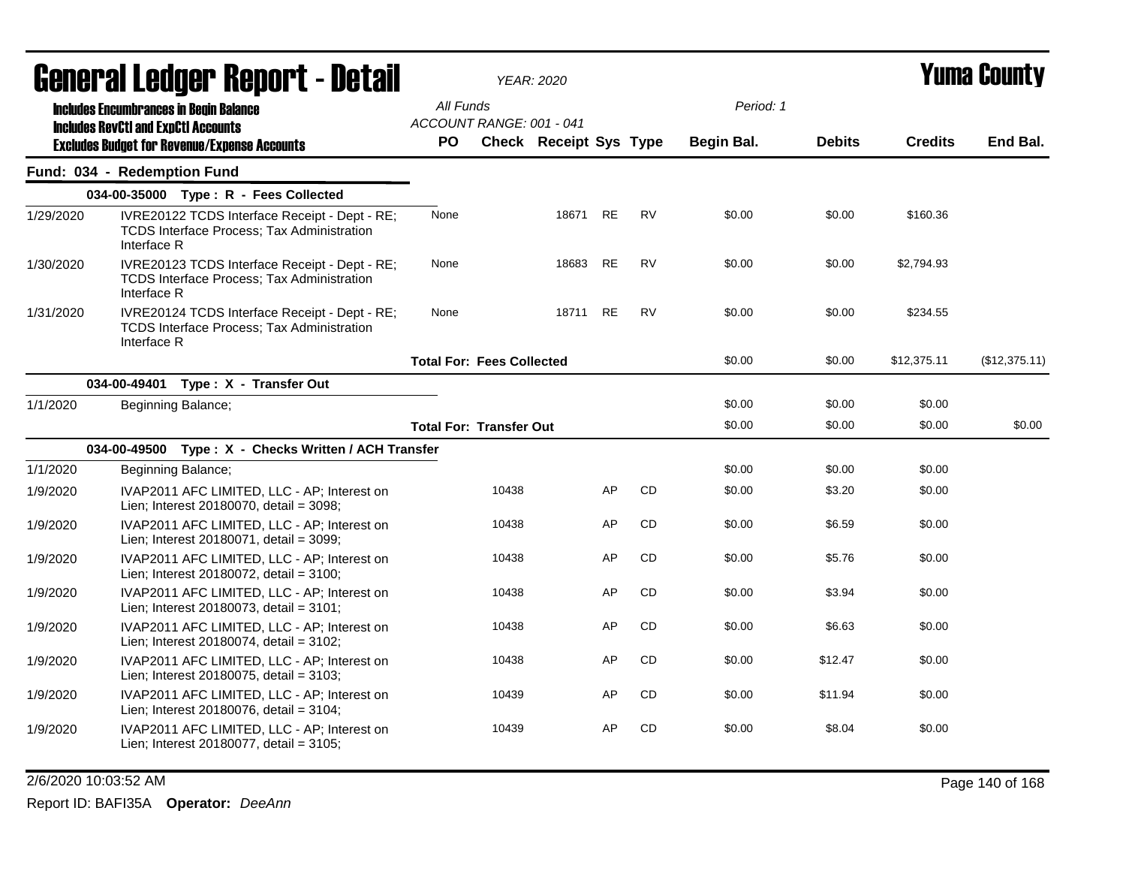| Generai Leuger Keport - Detail |                                                                                                            | YEAR: 2020                            |                                  |                        |    |           |            |               | Yuma Gounty    |               |  |
|--------------------------------|------------------------------------------------------------------------------------------------------------|---------------------------------------|----------------------------------|------------------------|----|-----------|------------|---------------|----------------|---------------|--|
|                                | <b>Includes Encumbrances in Begin Balance</b><br><b>Includes RevCtI and ExpCtI Accounts</b>                | All Funds<br>ACCOUNT RANGE: 001 - 041 |                                  |                        |    |           | Period: 1  |               |                |               |  |
|                                | <b>Excludes Budget for Revenue/Expense Accounts</b>                                                        | PO.                                   |                                  | Check Receipt Sys Type |    |           | Begin Bal. | <b>Debits</b> | <b>Credits</b> | End Bal.      |  |
|                                | Fund: 034 - Redemption Fund                                                                                |                                       |                                  |                        |    |           |            |               |                |               |  |
|                                | 034-00-35000 Type: R - Fees Collected                                                                      |                                       |                                  |                        |    |           |            |               |                |               |  |
| 1/29/2020                      | IVRE20122 TCDS Interface Receipt - Dept - RE;<br>TCDS Interface Process; Tax Administration<br>Interface R | None                                  |                                  | 18671 RE               |    | <b>RV</b> | \$0.00     | \$0.00        | \$160.36       |               |  |
| 1/30/2020                      | IVRE20123 TCDS Interface Receipt - Dept - RE;<br>TCDS Interface Process; Tax Administration<br>Interface R | None                                  |                                  | 18683 RE               |    | <b>RV</b> | \$0.00     | \$0.00        | \$2,794.93     |               |  |
| 1/31/2020                      | IVRE20124 TCDS Interface Receipt - Dept - RE;<br>TCDS Interface Process; Tax Administration<br>Interface R | None                                  |                                  | 18711 RE               |    | <b>RV</b> | \$0.00     | \$0.00        | \$234.55       |               |  |
|                                |                                                                                                            |                                       | <b>Total For: Fees Collected</b> |                        |    |           | \$0.00     | \$0.00        | \$12,375.11    | (\$12,375.11) |  |
|                                | 034-00-49401 Type: X - Transfer Out                                                                        |                                       |                                  |                        |    |           |            |               |                |               |  |
| 1/1/2020                       | Beginning Balance;                                                                                         |                                       |                                  |                        |    |           | \$0.00     | \$0.00        | \$0.00         |               |  |
|                                |                                                                                                            |                                       | <b>Total For: Transfer Out</b>   |                        |    |           | \$0.00     | \$0.00        | \$0.00         | \$0.00        |  |
|                                | 034-00-49500 Type: X - Checks Written / ACH Transfer                                                       |                                       |                                  |                        |    |           |            |               |                |               |  |
| 1/1/2020                       | <b>Beginning Balance;</b>                                                                                  |                                       |                                  |                        |    |           | \$0.00     | \$0.00        | \$0.00         |               |  |
| 1/9/2020                       | IVAP2011 AFC LIMITED, LLC - AP; Interest on<br>Lien; Interest 20180070, detail = 3098;                     |                                       | 10438                            |                        | AP | CD        | \$0.00     | \$3.20        | \$0.00         |               |  |
| 1/9/2020                       | IVAP2011 AFC LIMITED, LLC - AP; Interest on<br>Lien; Interest 20180071, detail = 3099;                     |                                       | 10438                            |                        | AP | <b>CD</b> | \$0.00     | \$6.59        | \$0.00         |               |  |
| 1/9/2020                       | IVAP2011 AFC LIMITED, LLC - AP; Interest on<br>Lien; Interest 20180072, detail = 3100;                     |                                       | 10438                            |                        | AP | <b>CD</b> | \$0.00     | \$5.76        | \$0.00         |               |  |
| 1/9/2020                       | IVAP2011 AFC LIMITED, LLC - AP; Interest on<br>Lien; Interest 20180073, detail = 3101;                     |                                       | 10438                            |                        | AP | CD        | \$0.00     | \$3.94        | \$0.00         |               |  |
| 1/9/2020                       | IVAP2011 AFC LIMITED, LLC - AP; Interest on<br>Lien; Interest 20180074, detail = 3102;                     |                                       | 10438                            |                        | AP | CD        | \$0.00     | \$6.63        | \$0.00         |               |  |
| 1/9/2020                       | IVAP2011 AFC LIMITED, LLC - AP; Interest on<br>Lien; Interest 20180075, detail = 3103;                     |                                       | 10438                            |                        | AP | CD        | \$0.00     | \$12.47       | \$0.00         |               |  |
| 1/9/2020                       | IVAP2011 AFC LIMITED, LLC - AP; Interest on<br>Lien; Interest 20180076, detail = 3104;                     |                                       | 10439                            |                        | AP | CD        | \$0.00     | \$11.94       | \$0.00         |               |  |
| 1/9/2020                       | IVAP2011 AFC LIMITED, LLC - AP; Interest on<br>Lien; Interest 20180077, detail = 3105;                     |                                       | 10439                            |                        | AP | CD        | \$0.00     | \$8.04        | \$0.00         |               |  |
|                                |                                                                                                            |                                       |                                  |                        |    |           |            |               |                |               |  |

2/6/2020 10:03:52 AM Page 140 of 168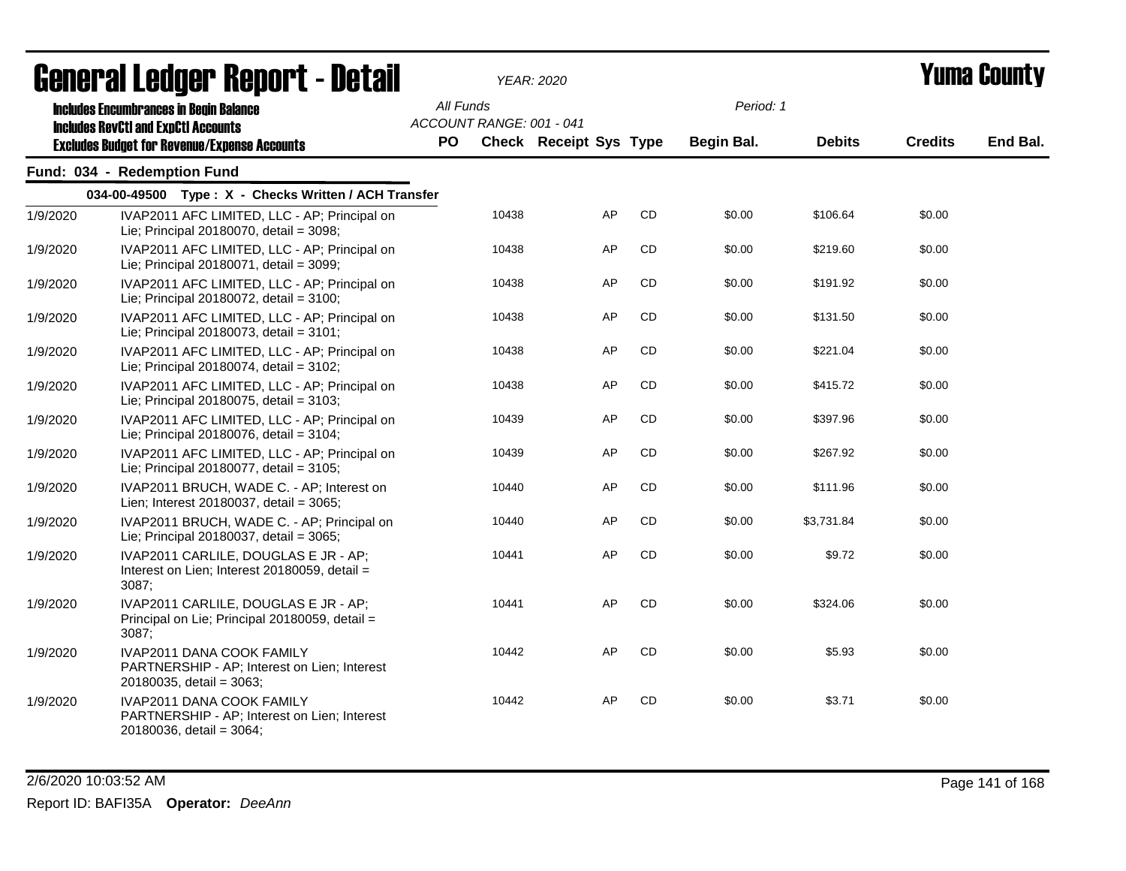| <b>General Ledger Report - Detail</b> |                                                                                                              |           |                          | YEAR: 2020                    |           |            |               | Yuma County    |          |
|---------------------------------------|--------------------------------------------------------------------------------------------------------------|-----------|--------------------------|-------------------------------|-----------|------------|---------------|----------------|----------|
|                                       | <b>Includes Encumbrances in Begin Balance</b><br><b>Includes RevCtI and ExpCtI Accounts</b>                  | All Funds | ACCOUNT RANGE: 001 - 041 |                               |           | Period: 1  |               |                |          |
|                                       | <b>Excludes Budget for Revenue/Expense Accounts</b>                                                          | <b>PO</b> |                          | <b>Check Receipt Sys Type</b> |           | Begin Bal. | <b>Debits</b> | <b>Credits</b> | End Bal. |
|                                       | Fund: 034 - Redemption Fund                                                                                  |           |                          |                               |           |            |               |                |          |
|                                       | 034-00-49500 Type: X - Checks Written / ACH Transfer                                                         |           |                          |                               |           |            |               |                |          |
| 1/9/2020                              | IVAP2011 AFC LIMITED, LLC - AP; Principal on<br>Lie; Principal 20180070, detail = 3098;                      |           | 10438                    | AP                            | CD        | \$0.00     | \$106.64      | \$0.00         |          |
| 1/9/2020                              | IVAP2011 AFC LIMITED, LLC - AP; Principal on<br>Lie; Principal 20180071, detail = 3099;                      |           | 10438                    | AP                            | CD        | \$0.00     | \$219.60      | \$0.00         |          |
| 1/9/2020                              | IVAP2011 AFC LIMITED, LLC - AP; Principal on<br>Lie; Principal 20180072, detail = 3100;                      |           | 10438                    | AP                            | CD        | \$0.00     | \$191.92      | \$0.00         |          |
| 1/9/2020                              | IVAP2011 AFC LIMITED, LLC - AP; Principal on<br>Lie; Principal 20180073, detail = 3101;                      |           | 10438                    | AP                            | CD        | \$0.00     | \$131.50      | \$0.00         |          |
| 1/9/2020                              | IVAP2011 AFC LIMITED, LLC - AP; Principal on<br>Lie; Principal 20180074, detail = 3102;                      |           | 10438                    | AP                            | CD        | \$0.00     | \$221.04      | \$0.00         |          |
| 1/9/2020                              | IVAP2011 AFC LIMITED, LLC - AP; Principal on<br>Lie; Principal 20180075, detail = 3103;                      |           | 10438                    | AP                            | CD        | \$0.00     | \$415.72      | \$0.00         |          |
| 1/9/2020                              | IVAP2011 AFC LIMITED, LLC - AP; Principal on<br>Lie; Principal 20180076, detail = 3104;                      |           | 10439                    | AP                            | CD        | \$0.00     | \$397.96      | \$0.00         |          |
| 1/9/2020                              | IVAP2011 AFC LIMITED, LLC - AP; Principal on<br>Lie; Principal 20180077, detail = 3105;                      |           | 10439                    | AP                            | CD        | \$0.00     | \$267.92      | \$0.00         |          |
| 1/9/2020                              | IVAP2011 BRUCH, WADE C. - AP; Interest on<br>Lien; Interest 20180037, detail = 3065;                         |           | 10440                    | AP                            | CD        | \$0.00     | \$111.96      | \$0.00         |          |
| 1/9/2020                              | IVAP2011 BRUCH, WADE C. - AP; Principal on<br>Lie; Principal 20180037, detail = 3065;                        |           | 10440                    | AP                            | CD        | \$0.00     | \$3,731.84    | \$0.00         |          |
| 1/9/2020                              | IVAP2011 CARLILE, DOUGLAS E JR - AP;<br>Interest on Lien; Interest 20180059, detail =<br>3087;               |           | 10441                    | AP                            | <b>CD</b> | \$0.00     | \$9.72        | \$0.00         |          |
| 1/9/2020                              | IVAP2011 CARLILE, DOUGLAS E JR - AP;<br>Principal on Lie; Principal 20180059, detail =<br>3087;              |           | 10441                    | AP                            | CD        | \$0.00     | \$324.06      | \$0.00         |          |
| 1/9/2020                              | <b>IVAP2011 DANA COOK FAMILY</b><br>PARTNERSHIP - AP; Interest on Lien; Interest<br>20180035, detail = 3063; |           | 10442                    | AP                            | <b>CD</b> | \$0.00     | \$5.93        | \$0.00         |          |
| 1/9/2020                              | IVAP2011 DANA COOK FAMILY<br>PARTNERSHIP - AP; Interest on Lien; Interest<br>20180036, detail = 3064;        |           | 10442                    | AP                            | CD.       | \$0.00     | \$3.71        | \$0.00         |          |

### 2/6/2020 10:03:52 AM Page 141 of 168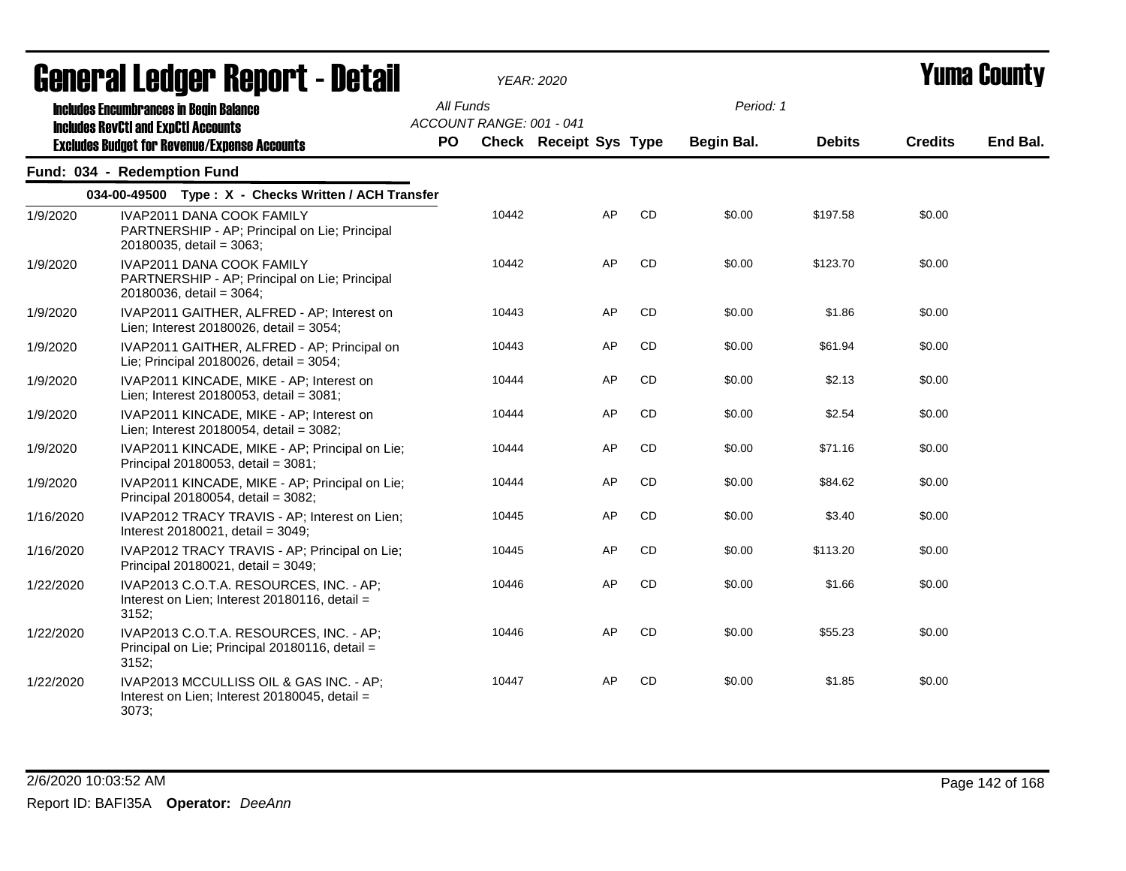|           | uvnul ul Luuyvi Tiupul te Dutun                                                                               |           |                          |                        |           |            |               |                |          |
|-----------|---------------------------------------------------------------------------------------------------------------|-----------|--------------------------|------------------------|-----------|------------|---------------|----------------|----------|
|           | <b>Includes Encumbrances in Begin Balance</b><br><b>Includes RevCtI and ExpCtI Accounts</b>                   | All Funds | ACCOUNT RANGE: 001 - 041 |                        |           | Period: 1  |               |                |          |
|           | <b>Excludes Budget for Revenue/Expense Accounts</b>                                                           | PO        |                          | Check Receipt Sys Type |           | Begin Bal. | <b>Debits</b> | <b>Credits</b> | End Bal. |
|           | Fund: 034 - Redemption Fund                                                                                   |           |                          |                        |           |            |               |                |          |
|           | 034-00-49500 Type: X - Checks Written / ACH Transfer                                                          |           |                          |                        |           |            |               |                |          |
| 1/9/2020  | IVAP2011 DANA COOK FAMILY<br>PARTNERSHIP - AP; Principal on Lie; Principal<br>20180035, detail = 3063;        |           | 10442                    | AP                     | CD        | \$0.00     | \$197.58      | \$0.00         |          |
| 1/9/2020  | <b>IVAP2011 DANA COOK FAMILY</b><br>PARTNERSHIP - AP; Principal on Lie; Principal<br>20180036, detail = 3064; |           | 10442                    | AP                     | <b>CD</b> | \$0.00     | \$123.70      | \$0.00         |          |
| 1/9/2020  | IVAP2011 GAITHER, ALFRED - AP; Interest on<br>Lien; Interest 20180026, detail = 3054;                         |           | 10443                    | AP                     | <b>CD</b> | \$0.00     | \$1.86        | \$0.00         |          |
| 1/9/2020  | IVAP2011 GAITHER, ALFRED - AP; Principal on<br>Lie; Principal 20180026, detail = 3054;                        |           | 10443                    | AP                     | <b>CD</b> | \$0.00     | \$61.94       | \$0.00         |          |
| 1/9/2020  | IVAP2011 KINCADE, MIKE - AP; Interest on<br>Lien; Interest 20180053, detail = 3081;                           |           | 10444                    | AP                     | <b>CD</b> | \$0.00     | \$2.13        | \$0.00         |          |
| 1/9/2020  | IVAP2011 KINCADE, MIKE - AP; Interest on<br>Lien; Interest 20180054, detail = 3082;                           |           | 10444                    | AP                     | CD        | \$0.00     | \$2.54        | \$0.00         |          |
| 1/9/2020  | IVAP2011 KINCADE, MIKE - AP; Principal on Lie;<br>Principal 20180053, detail = 3081;                          |           | 10444                    | AP                     | <b>CD</b> | \$0.00     | \$71.16       | \$0.00         |          |
| 1/9/2020  | IVAP2011 KINCADE, MIKE - AP; Principal on Lie;<br>Principal 20180054, detail = 3082;                          |           | 10444                    | AP                     | CD        | \$0.00     | \$84.62       | \$0.00         |          |
| 1/16/2020 | IVAP2012 TRACY TRAVIS - AP; Interest on Lien;<br>Interest 20180021, detail = 3049;                            |           | 10445                    | AP                     | <b>CD</b> | \$0.00     | \$3.40        | \$0.00         |          |
| 1/16/2020 | IVAP2012 TRACY TRAVIS - AP; Principal on Lie;<br>Principal 20180021, detail = 3049;                           |           | 10445                    | AP                     | <b>CD</b> | \$0.00     | \$113.20      | \$0.00         |          |
| 1/22/2020 | IVAP2013 C.O.T.A. RESOURCES, INC. - AP:<br>Interest on Lien; Interest 20180116, detail =<br>3152;             |           | 10446                    | AP                     | CD        | \$0.00     | \$1.66        | \$0.00         |          |
| 1/22/2020 | IVAP2013 C.O.T.A. RESOURCES, INC. - AP;<br>Principal on Lie; Principal 20180116, detail =<br>3152;            |           | 10446                    | AP                     | CD        | \$0.00     | \$55.23       | \$0.00         |          |
| 1/22/2020 | IVAP2013 MCCULLISS OIL & GAS INC. - AP;<br>Interest on Lien; Interest 20180045, detail =<br>3073;             |           | 10447                    | AP                     | CD        | \$0.00     | \$1.85        | \$0.00         |          |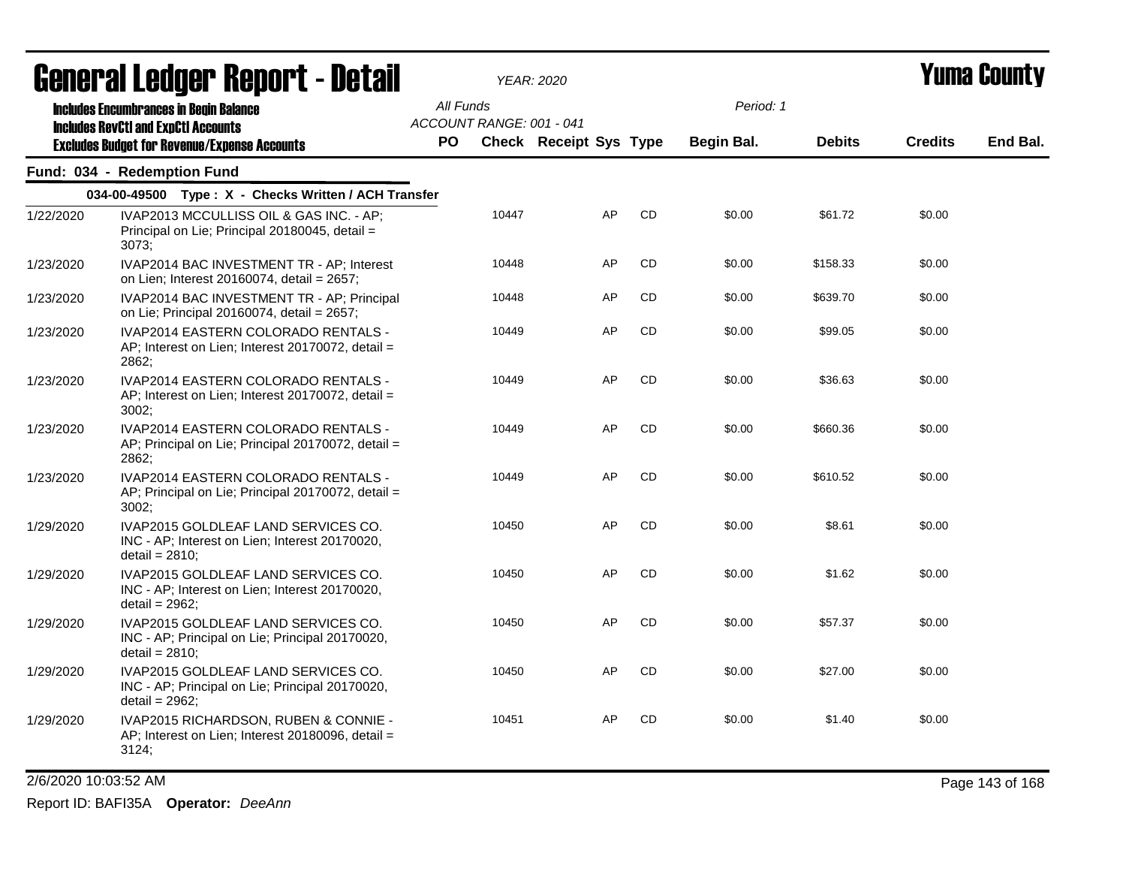| <b>General Ledger Report - Detail</b> |                                                                                                             |           |                          | <b>YEAR: 2020</b>      |           |            |               | Yuma Countv    |          |
|---------------------------------------|-------------------------------------------------------------------------------------------------------------|-----------|--------------------------|------------------------|-----------|------------|---------------|----------------|----------|
|                                       | <b>Includes Encumbrances in Begin Balance</b>                                                               | All Funds | ACCOUNT RANGE: 001 - 041 |                        |           | Period: 1  |               |                |          |
|                                       | <b>Includes RevCtI and ExpCtI Accounts</b><br><b>Excludes Budget for Revenue/Expense Accounts</b>           | <b>PO</b> |                          | Check Receipt Sys Type |           | Begin Bal. | <b>Debits</b> | <b>Credits</b> | End Bal. |
|                                       | Fund: 034 - Redemption Fund                                                                                 |           |                          |                        |           |            |               |                |          |
|                                       | 034-00-49500 Type: X - Checks Written / ACH Transfer                                                        |           |                          |                        |           |            |               |                |          |
| 1/22/2020                             | IVAP2013 MCCULLISS OIL & GAS INC. - AP;<br>Principal on Lie; Principal 20180045, detail =<br>3073:          |           | 10447                    | AP                     | <b>CD</b> | \$0.00     | \$61.72       | \$0.00         |          |
| 1/23/2020                             | IVAP2014 BAC INVESTMENT TR - AP; Interest<br>on Lien; Interest 20160074, detail = 2657;                     |           | 10448                    | AP                     | CD        | \$0.00     | \$158.33      | \$0.00         |          |
| 1/23/2020                             | IVAP2014 BAC INVESTMENT TR - AP; Principal<br>on Lie; Principal 20160074, detail = 2657;                    |           | 10448                    | AP                     | <b>CD</b> | \$0.00     | \$639.70      | \$0.00         |          |
| 1/23/2020                             | IVAP2014 EASTERN COLORADO RENTALS -<br>AP; Interest on Lien; Interest 20170072, detail =<br>2862;           |           | 10449                    | AP                     | CD        | \$0.00     | \$99.05       | \$0.00         |          |
| 1/23/2020                             | IVAP2014 EASTERN COLORADO RENTALS -<br>AP; Interest on Lien; Interest 20170072, detail =<br>3002:           |           | 10449                    | AP                     | CD        | \$0.00     | \$36.63       | \$0.00         |          |
| 1/23/2020                             | IVAP2014 EASTERN COLORADO RENTALS -<br>AP; Principal on Lie; Principal 20170072, detail =<br>2862;          |           | 10449                    | AP                     | <b>CD</b> | \$0.00     | \$660.36      | \$0.00         |          |
| 1/23/2020                             | IVAP2014 EASTERN COLORADO RENTALS -<br>AP; Principal on Lie; Principal 20170072, detail =<br>3002:          |           | 10449                    | AP                     | CD        | \$0.00     | \$610.52      | \$0.00         |          |
| 1/29/2020                             | IVAP2015 GOLDLEAF LAND SERVICES CO.<br>INC - AP; Interest on Lien; Interest 20170020,<br>detail = $2810$ ;  |           | 10450                    | AP                     | CD        | \$0.00     | \$8.61        | \$0.00         |          |
| 1/29/2020                             | IVAP2015 GOLDLEAF LAND SERVICES CO.<br>INC - AP; Interest on Lien; Interest 20170020,<br>detail = $2962$ ;  |           | 10450                    | AP                     | CD        | \$0.00     | \$1.62        | \$0.00         |          |
| 1/29/2020                             | IVAP2015 GOLDLEAF LAND SERVICES CO.<br>INC - AP; Principal on Lie; Principal 20170020,<br>$detail = 2810$ ; |           | 10450                    | AP                     | <b>CD</b> | \$0.00     | \$57.37       | \$0.00         |          |
| 1/29/2020                             | IVAP2015 GOLDLEAF LAND SERVICES CO.<br>INC - AP; Principal on Lie; Principal 20170020,<br>$delta = 2962$ ;  |           | 10450                    | AP                     | CD        | \$0.00     | \$27.00       | \$0.00         |          |
| 1/29/2020                             | IVAP2015 RICHARDSON, RUBEN & CONNIE -<br>AP; Interest on Lien; Interest 20180096, detail =<br>3124:         |           | 10451                    | AP                     | CD        | \$0.00     | \$1.40        | \$0.00         |          |

2/6/2020 10:03:52 AM Page 143 of 168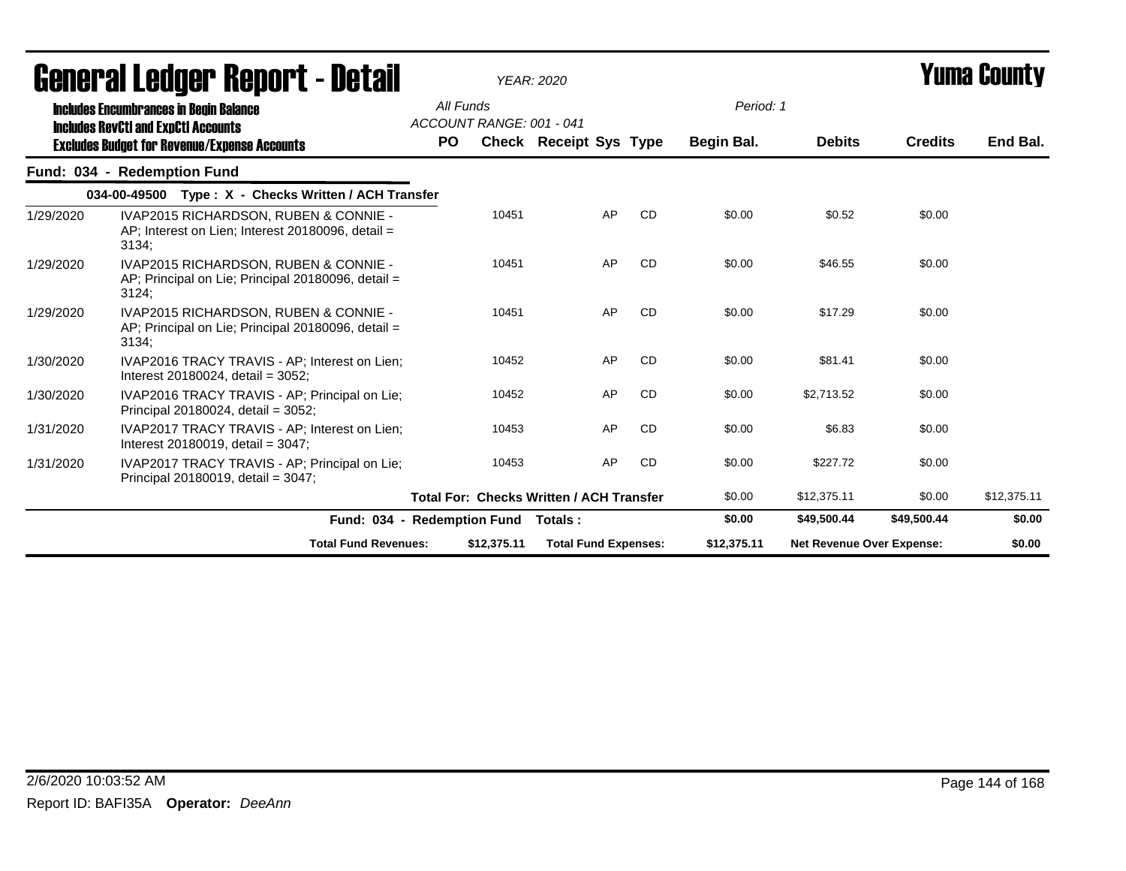| <b>General Ledger Report - Detail</b> |                                                                                                      |           | <b>YEAR: 2020</b>        |                                                 |           |             | <b>Yuma County</b>               |                |             |
|---------------------------------------|------------------------------------------------------------------------------------------------------|-----------|--------------------------|-------------------------------------------------|-----------|-------------|----------------------------------|----------------|-------------|
|                                       | <b>Includes Encumbrances in Begin Balance</b><br><b>Includes RevCtI and ExpCtI Accounts</b>          | All Funds | ACCOUNT RANGE: 001 - 041 |                                                 |           | Period: 1   |                                  |                |             |
|                                       | <b>Excludes Budget for Revenue/Expense Accounts</b>                                                  | <b>PO</b> |                          | Check Receipt Sys Type                          |           | Begin Bal.  | <b>Debits</b>                    | <b>Credits</b> | End Bal.    |
|                                       | Fund: 034 - Redemption Fund                                                                          |           |                          |                                                 |           |             |                                  |                |             |
|                                       | 034-00-49500 Type: X - Checks Written / ACH Transfer                                                 |           |                          |                                                 |           |             |                                  |                |             |
| 1/29/2020                             | IVAP2015 RICHARDSON, RUBEN & CONNIE -<br>AP; Interest on Lien; Interest 20180096, detail =<br>3134:  |           | 10451                    | AP                                              | <b>CD</b> | \$0.00      | \$0.52                           | \$0.00         |             |
| 1/29/2020                             | IVAP2015 RICHARDSON, RUBEN & CONNIE -<br>AP; Principal on Lie; Principal 20180096, detail =<br>3124; |           | 10451                    | AP                                              | <b>CD</b> | \$0.00      | \$46.55                          | \$0.00         |             |
| 1/29/2020                             | IVAP2015 RICHARDSON, RUBEN & CONNIE -<br>AP; Principal on Lie; Principal 20180096, detail =<br>3134; |           | 10451                    | AP                                              | CD        | \$0.00      | \$17.29                          | \$0.00         |             |
| 1/30/2020                             | IVAP2016 TRACY TRAVIS - AP; Interest on Lien;<br>Interest 20180024, detail = $3052$ ;                |           | 10452                    | AP                                              | <b>CD</b> | \$0.00      | \$81.41                          | \$0.00         |             |
| 1/30/2020                             | IVAP2016 TRACY TRAVIS - AP; Principal on Lie;<br>Principal 20180024, detail = 3052;                  |           | 10452                    | AP                                              | <b>CD</b> | \$0.00      | \$2,713.52                       | \$0.00         |             |
| 1/31/2020                             | IVAP2017 TRACY TRAVIS - AP; Interest on Lien;<br>Interest 20180019, detail = $3047$ ;                |           | 10453                    | AP                                              | <b>CD</b> | \$0.00      | \$6.83                           | \$0.00         |             |
| 1/31/2020                             | IVAP2017 TRACY TRAVIS - AP; Principal on Lie;<br>Principal 20180019, detail = 3047;                  |           | 10453                    | AP                                              | <b>CD</b> | \$0.00      | \$227.72                         | \$0.00         |             |
|                                       |                                                                                                      |           |                          | <b>Total For: Checks Written / ACH Transfer</b> |           | \$0.00      | \$12,375.11                      | \$0.00         | \$12,375.11 |
|                                       | Fund: 034 - Redemption Fund                                                                          |           |                          | Totals :                                        |           | \$0.00      | \$49,500.44                      | \$49,500.44    | \$0.00      |
|                                       | <b>Total Fund Revenues:</b>                                                                          |           | \$12,375.11              | <b>Total Fund Expenses:</b>                     |           | \$12,375.11 | <b>Net Revenue Over Expense:</b> |                | \$0.00      |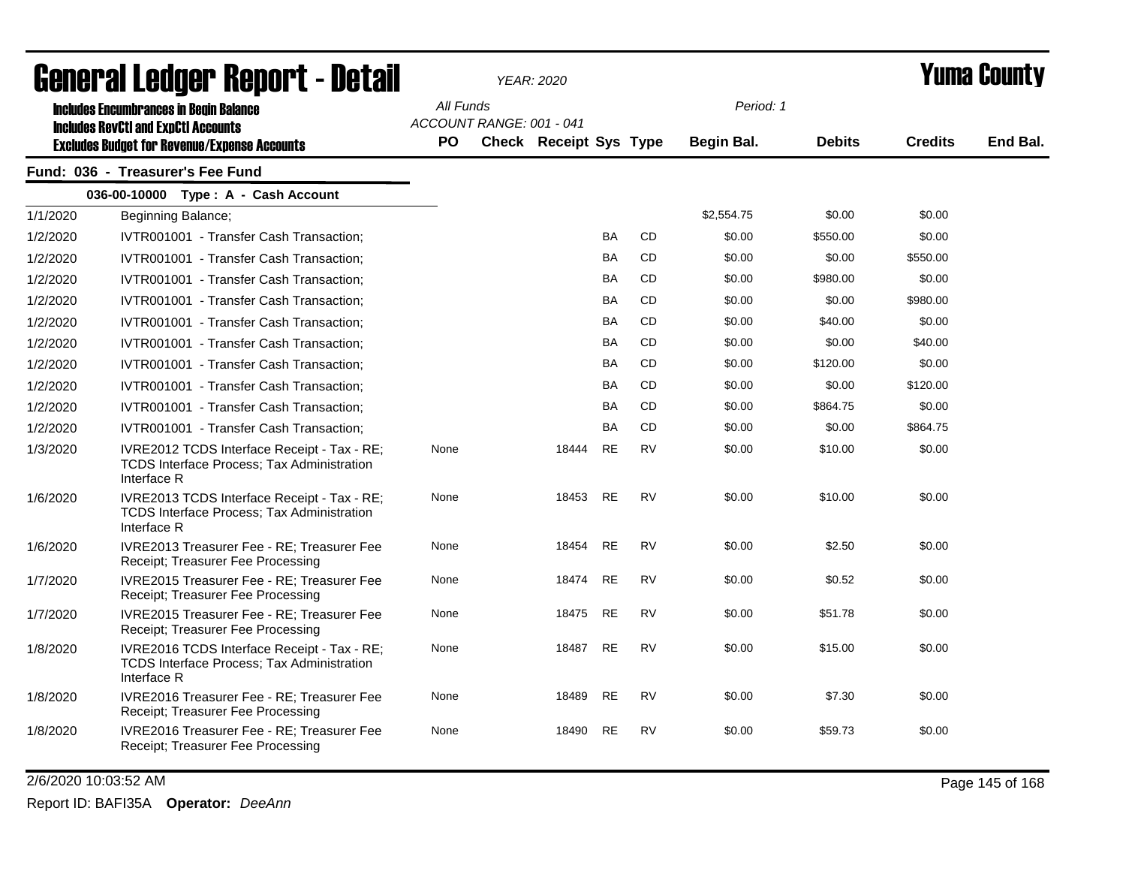| General Ledger Report - Detail |                                                                                                                 |                                       | <b>YEAR: 2020</b>             |           |           | Yuma County |               |                |          |
|--------------------------------|-----------------------------------------------------------------------------------------------------------------|---------------------------------------|-------------------------------|-----------|-----------|-------------|---------------|----------------|----------|
|                                | <b>Includes Encumbrances in Begin Balance</b>                                                                   | All Funds                             |                               |           |           | Period: 1   |               |                |          |
|                                | <b>Includes RevCtI and ExpCtI Accounts</b><br><b>Excludes Budget for Revenue/Expense Accounts</b>               | ACCOUNT RANGE: 001 - 041<br><b>PO</b> | <b>Check Receipt Sys Type</b> |           |           | Begin Bal.  | <b>Debits</b> | <b>Credits</b> | End Bal. |
|                                | Fund: 036 - Treasurer's Fee Fund                                                                                |                                       |                               |           |           |             |               |                |          |
|                                | 036-00-10000 Type: A - Cash Account                                                                             |                                       |                               |           |           |             |               |                |          |
| 1/1/2020                       | Beginning Balance;                                                                                              |                                       |                               |           |           | \$2,554.75  | \$0.00        | \$0.00         |          |
| 1/2/2020                       | IVTR001001 - Transfer Cash Transaction;                                                                         |                                       |                               | <b>BA</b> | CD        | \$0.00      | \$550.00      | \$0.00         |          |
| 1/2/2020                       | IVTR001001 - Transfer Cash Transaction;                                                                         |                                       |                               | <b>BA</b> | CD        | \$0.00      | \$0.00        | \$550.00       |          |
| 1/2/2020                       | IVTR001001 - Transfer Cash Transaction;                                                                         |                                       |                               | <b>BA</b> | <b>CD</b> | \$0.00      | \$980.00      | \$0.00         |          |
| 1/2/2020                       | IVTR001001 - Transfer Cash Transaction;                                                                         |                                       |                               | <b>BA</b> | <b>CD</b> | \$0.00      | \$0.00        | \$980.00       |          |
| 1/2/2020                       | IVTR001001 - Transfer Cash Transaction;                                                                         |                                       |                               | <b>BA</b> | <b>CD</b> | \$0.00      | \$40.00       | \$0.00         |          |
| 1/2/2020                       | IVTR001001 - Transfer Cash Transaction;                                                                         |                                       |                               | BA        | CD        | \$0.00      | \$0.00        | \$40.00        |          |
| 1/2/2020                       | IVTR001001 - Transfer Cash Transaction;                                                                         |                                       |                               | <b>BA</b> | <b>CD</b> | \$0.00      | \$120.00      | \$0.00         |          |
| 1/2/2020                       | IVTR001001 - Transfer Cash Transaction:                                                                         |                                       |                               | <b>BA</b> | <b>CD</b> | \$0.00      | \$0.00        | \$120.00       |          |
| 1/2/2020                       | IVTR001001 - Transfer Cash Transaction;                                                                         |                                       |                               | <b>BA</b> | <b>CD</b> | \$0.00      | \$864.75      | \$0.00         |          |
| 1/2/2020                       | IVTR001001 - Transfer Cash Transaction;                                                                         |                                       |                               | <b>BA</b> | <b>CD</b> | \$0.00      | \$0.00        | \$864.75       |          |
| 1/3/2020                       | IVRE2012 TCDS Interface Receipt - Tax - RE;<br><b>TCDS Interface Process: Tax Administration</b><br>Interface R | None                                  | 18444                         | <b>RE</b> | <b>RV</b> | \$0.00      | \$10.00       | \$0.00         |          |
| 1/6/2020                       | IVRE2013 TCDS Interface Receipt - Tax - RE;<br>TCDS Interface Process; Tax Administration<br>Interface R        | None                                  | 18453                         | <b>RE</b> | <b>RV</b> | \$0.00      | \$10.00       | \$0.00         |          |
| 1/6/2020                       | IVRE2013 Treasurer Fee - RE; Treasurer Fee<br>Receipt; Treasurer Fee Processing                                 | None                                  | 18454                         | <b>RE</b> | <b>RV</b> | \$0.00      | \$2.50        | \$0.00         |          |
| 1/7/2020                       | IVRE2015 Treasurer Fee - RE; Treasurer Fee<br>Receipt; Treasurer Fee Processing                                 | None                                  | 18474                         | <b>RE</b> | <b>RV</b> | \$0.00      | \$0.52        | \$0.00         |          |
| 1/7/2020                       | IVRE2015 Treasurer Fee - RE; Treasurer Fee<br>Receipt; Treasurer Fee Processing                                 | None                                  | 18475                         | <b>RE</b> | <b>RV</b> | \$0.00      | \$51.78       | \$0.00         |          |
| 1/8/2020                       | IVRE2016 TCDS Interface Receipt - Tax - RE;<br>TCDS Interface Process; Tax Administration<br>Interface R        | None                                  | 18487                         | <b>RE</b> | <b>RV</b> | \$0.00      | \$15.00       | \$0.00         |          |
| 1/8/2020                       | <b>IVRE2016 Treasurer Fee - RE: Treasurer Fee</b><br>Receipt; Treasurer Fee Processing                          | None                                  | 18489                         | RE        | <b>RV</b> | \$0.00      | \$7.30        | \$0.00         |          |
| 1/8/2020                       | IVRE2016 Treasurer Fee - RE; Treasurer Fee<br>Receipt; Treasurer Fee Processing                                 | None                                  | 18490                         | <b>RE</b> | <b>RV</b> | \$0.00      | \$59.73       | \$0.00         |          |
|                                |                                                                                                                 |                                       |                               |           |           |             |               |                |          |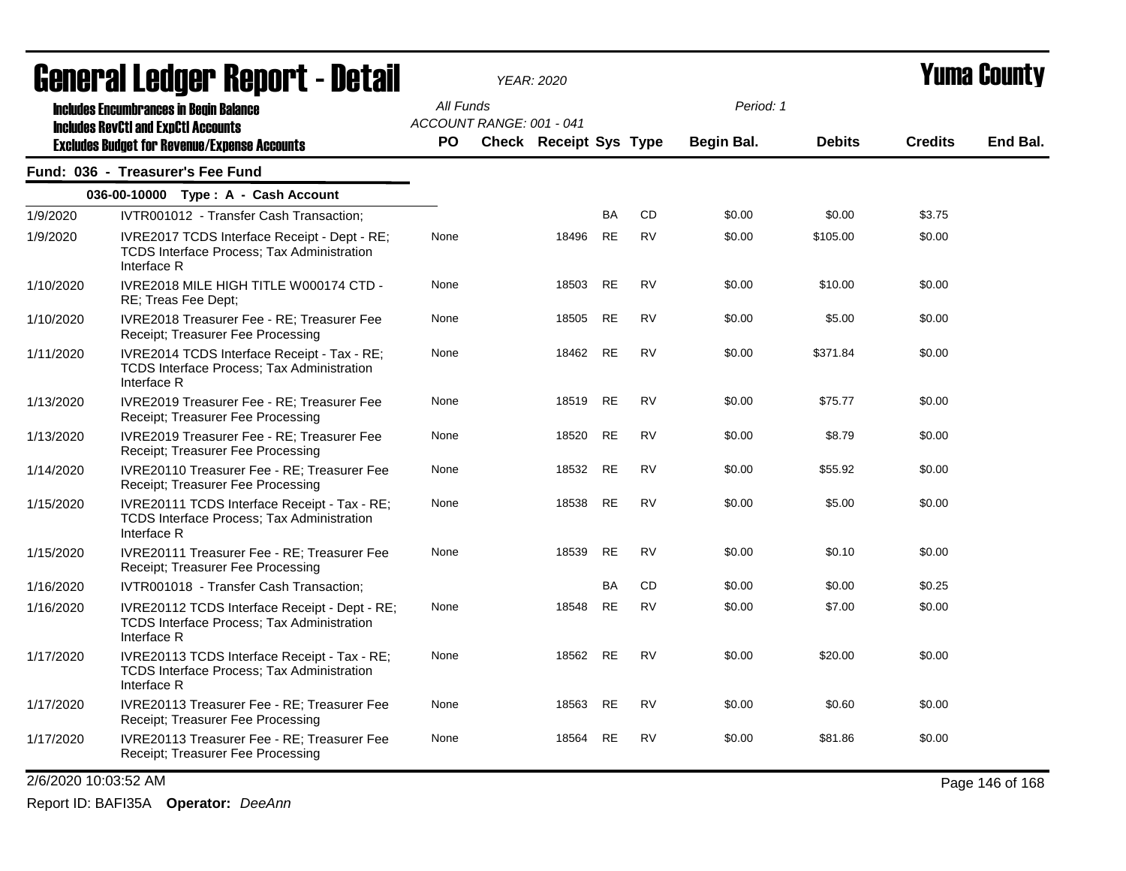|           | acıici ai leuyei" nepol"l - Detail                                                                               |           |                          | <i>YEAR: 2020</i>      |           |           |                   |               |                | I UIIIA VUUIILY |
|-----------|------------------------------------------------------------------------------------------------------------------|-----------|--------------------------|------------------------|-----------|-----------|-------------------|---------------|----------------|-----------------|
|           | <b>Includes Encumbrances in Begin Balance</b><br><b>Includes RevCtI and ExpCtI Accounts</b>                      | All Funds | ACCOUNT RANGE: 001 - 041 |                        |           |           | Period: 1         |               |                |                 |
|           | <b>Excludes Budget for Revenue/Expense Accounts</b>                                                              | PO.       |                          | Check Receipt Sys Type |           |           | <b>Begin Bal.</b> | <b>Debits</b> | <b>Credits</b> | End Bal.        |
|           | Fund: 036 - Treasurer's Fee Fund                                                                                 |           |                          |                        |           |           |                   |               |                |                 |
|           | 036-00-10000 Type: A - Cash Account                                                                              |           |                          |                        |           |           |                   |               |                |                 |
| 1/9/2020  | IVTR001012 - Transfer Cash Transaction;                                                                          |           |                          |                        | <b>BA</b> | <b>CD</b> | \$0.00            | \$0.00        | \$3.75         |                 |
| 1/9/2020  | IVRE2017 TCDS Interface Receipt - Dept - RE;<br><b>TCDS Interface Process: Tax Administration</b><br>Interface R | None      |                          | 18496                  | <b>RE</b> | <b>RV</b> | \$0.00            | \$105.00      | \$0.00         |                 |
| 1/10/2020 | IVRE2018 MILE HIGH TITLE W000174 CTD -<br>RE; Treas Fee Dept;                                                    | None      |                          | 18503                  | RE        | <b>RV</b> | \$0.00            | \$10.00       | \$0.00         |                 |
| 1/10/2020 | IVRE2018 Treasurer Fee - RE; Treasurer Fee<br>Receipt; Treasurer Fee Processing                                  | None      |                          | 18505                  | RE        | <b>RV</b> | \$0.00            | \$5.00        | \$0.00         |                 |
| 1/11/2020 | IVRE2014 TCDS Interface Receipt - Tax - RE;<br><b>TCDS Interface Process: Tax Administration</b><br>Interface R  | None      |                          | 18462                  | <b>RE</b> | <b>RV</b> | \$0.00            | \$371.84      | \$0.00         |                 |
| 1/13/2020 | IVRE2019 Treasurer Fee - RE; Treasurer Fee<br>Receipt; Treasurer Fee Processing                                  | None      |                          | 18519                  | <b>RE</b> | <b>RV</b> | \$0.00            | \$75.77       | \$0.00         |                 |
| 1/13/2020 | IVRE2019 Treasurer Fee - RE; Treasurer Fee<br>Receipt; Treasurer Fee Processing                                  | None      |                          | 18520                  | <b>RE</b> | <b>RV</b> | \$0.00            | \$8.79        | \$0.00         |                 |
| 1/14/2020 | IVRE20110 Treasurer Fee - RE; Treasurer Fee<br>Receipt; Treasurer Fee Processing                                 | None      |                          | 18532                  | RE        | <b>RV</b> | \$0.00            | \$55.92       | \$0.00         |                 |
| 1/15/2020 | IVRE20111 TCDS Interface Receipt - Tax - RE;<br><b>TCDS Interface Process; Tax Administration</b><br>Interface R | None      |                          | 18538                  | <b>RE</b> | <b>RV</b> | \$0.00            | \$5.00        | \$0.00         |                 |
| 1/15/2020 | IVRE20111 Treasurer Fee - RE; Treasurer Fee<br>Receipt; Treasurer Fee Processing                                 | None      |                          | 18539                  | <b>RE</b> | <b>RV</b> | \$0.00            | \$0.10        | \$0.00         |                 |
| 1/16/2020 | IVTR001018 - Transfer Cash Transaction;                                                                          |           |                          |                        | <b>BA</b> | <b>CD</b> | \$0.00            | \$0.00        | \$0.25         |                 |
| 1/16/2020 | IVRE20112 TCDS Interface Receipt - Dept - RE;<br>TCDS Interface Process; Tax Administration<br>Interface R       | None      |                          | 18548                  | RE        | <b>RV</b> | \$0.00            | \$7.00        | \$0.00         |                 |
| 1/17/2020 | IVRE20113 TCDS Interface Receipt - Tax - RE;<br>TCDS Interface Process; Tax Administration<br>Interface R        | None      |                          | 18562 RE               |           | <b>RV</b> | \$0.00            | \$20.00       | \$0.00         |                 |
| 1/17/2020 | IVRE20113 Treasurer Fee - RE; Treasurer Fee<br>Receipt; Treasurer Fee Processing                                 | None      |                          | 18563 RE               |           | <b>RV</b> | \$0.00            | \$0.60        | \$0.00         |                 |
| 1/17/2020 | IVRE20113 Treasurer Fee - RE; Treasurer Fee<br>Receipt; Treasurer Fee Processing                                 | None      |                          | 18564                  | <b>RE</b> | <b>RV</b> | \$0.00            | \$81.86       | \$0.00         |                 |

2/6/2020 10:03:52 AM Page 146 of 168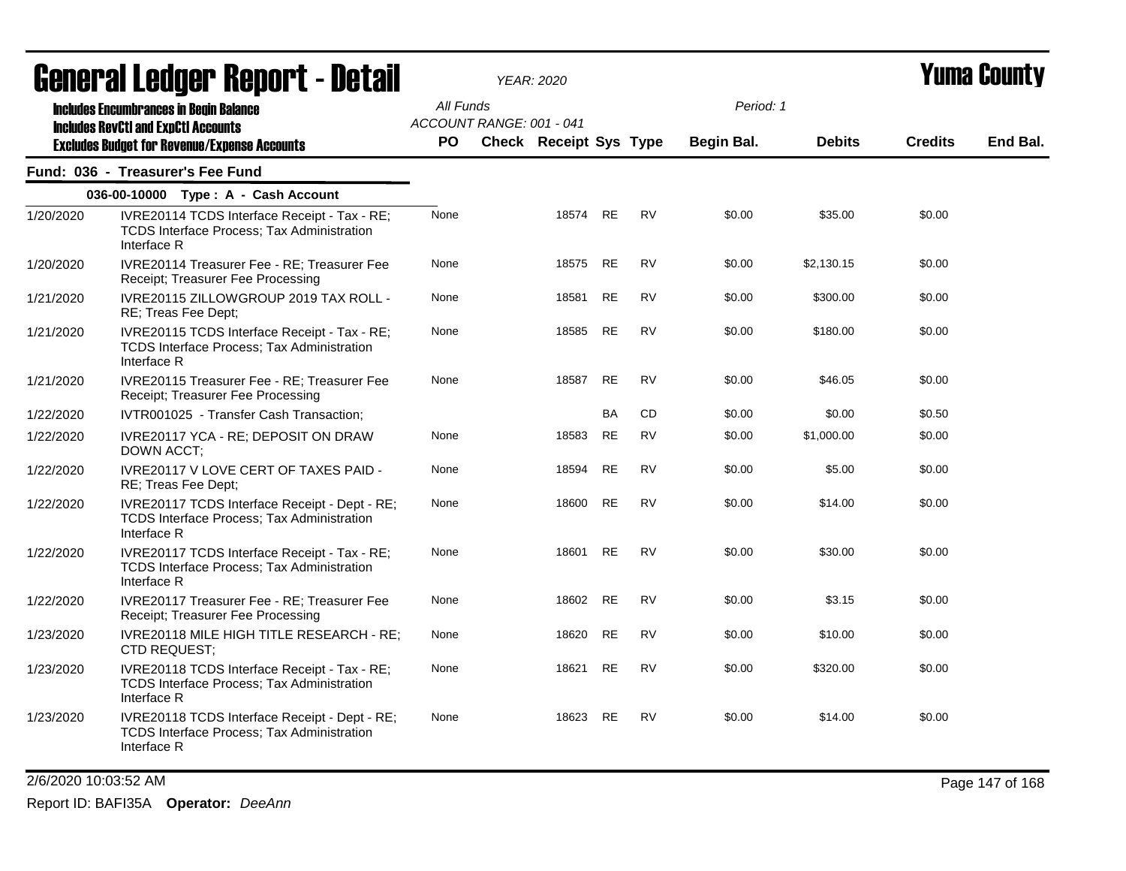|           | agual ai fanàr. Dehol 1 - Detail                                                                                  |           |                          | YEAR: 2020                    |           |           |            |               |                | I UMA VVUNT |
|-----------|-------------------------------------------------------------------------------------------------------------------|-----------|--------------------------|-------------------------------|-----------|-----------|------------|---------------|----------------|-------------|
|           | <b>Includes Encumbrances in Begin Balance</b>                                                                     | All Funds |                          |                               |           |           | Period: 1  |               |                |             |
|           | <b>Includes RevCtI and ExpCtI Accounts</b><br><b>Excludes Budget for Revenue/Expense Accounts</b>                 | PO.       | ACCOUNT RANGE: 001 - 041 | <b>Check Receipt Sys Type</b> |           |           | Begin Bal. | <b>Debits</b> | <b>Credits</b> | End Bal.    |
|           | Fund: 036 - Treasurer's Fee Fund                                                                                  |           |                          |                               |           |           |            |               |                |             |
|           | 036-00-10000 Type: A - Cash Account                                                                               |           |                          |                               |           |           |            |               |                |             |
| 1/20/2020 | IVRE20114 TCDS Interface Receipt - Tax - RE;<br>TCDS Interface Process; Tax Administration<br>Interface R         | None      |                          | 18574                         | RE        | <b>RV</b> | \$0.00     | \$35.00       | \$0.00         |             |
| 1/20/2020 | IVRE20114 Treasurer Fee - RE; Treasurer Fee<br>Receipt; Treasurer Fee Processing                                  | None      |                          | 18575                         | RE        | RV        | \$0.00     | \$2,130.15    | \$0.00         |             |
| 1/21/2020 | IVRE20115 ZILLOWGROUP 2019 TAX ROLL -<br>RE; Treas Fee Dept;                                                      | None      |                          | 18581                         | RE        | RV        | \$0.00     | \$300.00      | \$0.00         |             |
| 1/21/2020 | IVRE20115 TCDS Interface Receipt - Tax - RE;<br><b>TCDS Interface Process; Tax Administration</b><br>Interface R  | None      |                          | 18585                         | <b>RE</b> | <b>RV</b> | \$0.00     | \$180.00      | \$0.00         |             |
| 1/21/2020 | IVRE20115 Treasurer Fee - RE; Treasurer Fee<br>Receipt; Treasurer Fee Processing                                  | None      |                          | 18587                         | <b>RE</b> | <b>RV</b> | \$0.00     | \$46.05       | \$0.00         |             |
| 1/22/2020 | IVTR001025 - Transfer Cash Transaction;                                                                           |           |                          |                               | BA        | CD        | \$0.00     | \$0.00        | \$0.50         |             |
| 1/22/2020 | IVRE20117 YCA - RE; DEPOSIT ON DRAW<br>DOWN ACCT;                                                                 | None      |                          | 18583                         | <b>RE</b> | <b>RV</b> | \$0.00     | \$1,000.00    | \$0.00         |             |
| 1/22/2020 | IVRE20117 V LOVE CERT OF TAXES PAID -<br>RE; Treas Fee Dept;                                                      | None      |                          | 18594                         | RE        | <b>RV</b> | \$0.00     | \$5.00        | \$0.00         |             |
| 1/22/2020 | IVRE20117 TCDS Interface Receipt - Dept - RE;<br><b>TCDS Interface Process; Tax Administration</b><br>Interface R | None      |                          | 18600                         | RE        | <b>RV</b> | \$0.00     | \$14.00       | \$0.00         |             |
| 1/22/2020 | IVRE20117 TCDS Interface Receipt - Tax - RE;<br><b>TCDS Interface Process; Tax Administration</b><br>Interface R  | None      |                          | 18601                         | <b>RE</b> | <b>RV</b> | \$0.00     | \$30.00       | \$0.00         |             |
| 1/22/2020 | IVRE20117 Treasurer Fee - RE; Treasurer Fee<br>Receipt; Treasurer Fee Processing                                  | None      |                          | 18602 RE                      |           | <b>RV</b> | \$0.00     | \$3.15        | \$0.00         |             |
| 1/23/2020 | IVRE20118 MILE HIGH TITLE RESEARCH - RE;<br>CTD REQUEST;                                                          | None      |                          | 18620                         | RE        | RV        | \$0.00     | \$10.00       | \$0.00         |             |
| 1/23/2020 | IVRE20118 TCDS Interface Receipt - Tax - RE;<br>TCDS Interface Process; Tax Administration<br>Interface R         | None      |                          | 18621                         | RE        | <b>RV</b> | \$0.00     | \$320.00      | \$0.00         |             |
| 1/23/2020 | IVRE20118 TCDS Interface Receipt - Dept - RE;<br><b>TCDS Interface Process; Tax Administration</b><br>Interface R | None      |                          | 18623                         | <b>RE</b> | <b>RV</b> | \$0.00     | \$14.00       | \$0.00         |             |
|           |                                                                                                                   |           |                          |                               |           |           |            |               |                |             |

2/6/2020 10:03:52 AM Page 147 of 168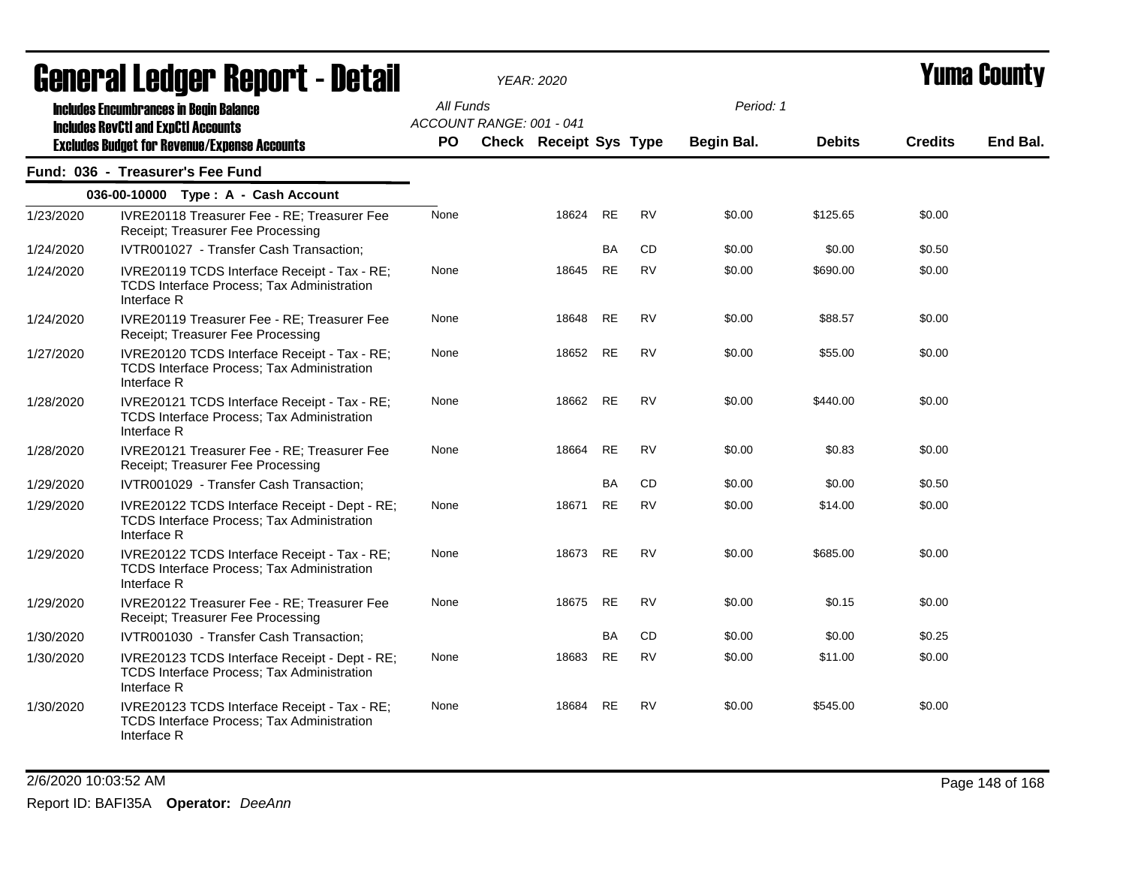|           | ugligi ai Lguygi Highni l - Détail                                                                                                                 |                  |                          | I EAR. ZUZU            |           |           |                         |               |                | I UMU VVUNT |
|-----------|----------------------------------------------------------------------------------------------------------------------------------------------------|------------------|--------------------------|------------------------|-----------|-----------|-------------------------|---------------|----------------|-------------|
|           | <b>Includes Encumbrances in Begin Balance</b><br><b>Includes RevCtI and ExpCtI Accounts</b><br><b>Excludes Budget for Revenue/Expense Accounts</b> | All Funds<br>PO. | ACCOUNT RANGE: 001 - 041 | Check Receipt Sys Type |           |           | Period: 1<br>Begin Bal. | <b>Debits</b> | <b>Credits</b> | End Bal.    |
|           | Fund: 036 - Treasurer's Fee Fund                                                                                                                   |                  |                          |                        |           |           |                         |               |                |             |
|           | 036-00-10000 Type: A - Cash Account                                                                                                                |                  |                          |                        |           |           |                         |               |                |             |
| 1/23/2020 | IVRE20118 Treasurer Fee - RE; Treasurer Fee<br>Receipt; Treasurer Fee Processing                                                                   | None             |                          | 18624                  | <b>RE</b> | <b>RV</b> | \$0.00                  | \$125.65      | \$0.00         |             |
| 1/24/2020 | IVTR001027 - Transfer Cash Transaction;                                                                                                            |                  |                          |                        | BA        | CD        | \$0.00                  | \$0.00        | \$0.50         |             |
| 1/24/2020 | IVRE20119 TCDS Interface Receipt - Tax - RE;<br>TCDS Interface Process; Tax Administration<br>Interface R                                          | None             |                          | 18645                  | <b>RE</b> | <b>RV</b> | \$0.00                  | \$690.00      | \$0.00         |             |
| 1/24/2020 | IVRE20119 Treasurer Fee - RE; Treasurer Fee<br>Receipt; Treasurer Fee Processing                                                                   | None             |                          | 18648                  | <b>RE</b> | <b>RV</b> | \$0.00                  | \$88.57       | \$0.00         |             |
| 1/27/2020 | IVRE20120 TCDS Interface Receipt - Tax - RE;<br><b>TCDS Interface Process; Tax Administration</b><br>Interface R                                   | None             |                          | 18652                  | <b>RE</b> | <b>RV</b> | \$0.00                  | \$55.00       | \$0.00         |             |
| 1/28/2020 | IVRE20121 TCDS Interface Receipt - Tax - RE;<br>TCDS Interface Process; Tax Administration<br>Interface R                                          | None             |                          | 18662                  | <b>RE</b> | <b>RV</b> | \$0.00                  | \$440.00      | \$0.00         |             |
| 1/28/2020 | IVRE20121 Treasurer Fee - RE; Treasurer Fee<br>Receipt; Treasurer Fee Processing                                                                   | None             |                          | 18664                  | <b>RE</b> | <b>RV</b> | \$0.00                  | \$0.83        | \$0.00         |             |
| 1/29/2020 | IVTR001029 - Transfer Cash Transaction;                                                                                                            |                  |                          |                        | <b>BA</b> | CD        | \$0.00                  | \$0.00        | \$0.50         |             |
| 1/29/2020 | IVRE20122 TCDS Interface Receipt - Dept - RE;<br>TCDS Interface Process; Tax Administration<br>Interface R                                         | None             |                          | 18671                  | <b>RE</b> | <b>RV</b> | \$0.00                  | \$14.00       | \$0.00         |             |
| 1/29/2020 | IVRE20122 TCDS Interface Receipt - Tax - RE;<br>TCDS Interface Process; Tax Administration<br>Interface R                                          | None             |                          | 18673                  | RE        | <b>RV</b> | \$0.00                  | \$685.00      | \$0.00         |             |
| 1/29/2020 | IVRE20122 Treasurer Fee - RE; Treasurer Fee<br>Receipt; Treasurer Fee Processing                                                                   | None             |                          | 18675                  | <b>RE</b> | <b>RV</b> | \$0.00                  | \$0.15        | \$0.00         |             |
| 1/30/2020 | IVTR001030 - Transfer Cash Transaction;                                                                                                            |                  |                          |                        | BA        | CD        | \$0.00                  | \$0.00        | \$0.25         |             |
| 1/30/2020 | IVRE20123 TCDS Interface Receipt - Dept - RE;<br>TCDS Interface Process; Tax Administration<br>Interface R                                         | None             |                          | 18683                  | <b>RE</b> | <b>RV</b> | \$0.00                  | \$11.00       | \$0.00         |             |
| 1/30/2020 | IVRE20123 TCDS Interface Receipt - Tax - RE;<br>TCDS Interface Process; Tax Administration<br>Interface R                                          | None             |                          | 18684                  | RE        | <b>RV</b> | \$0.00                  | \$545.00      | \$0.00         |             |

2/6/2020 10:03:52 AM Page 148 of 168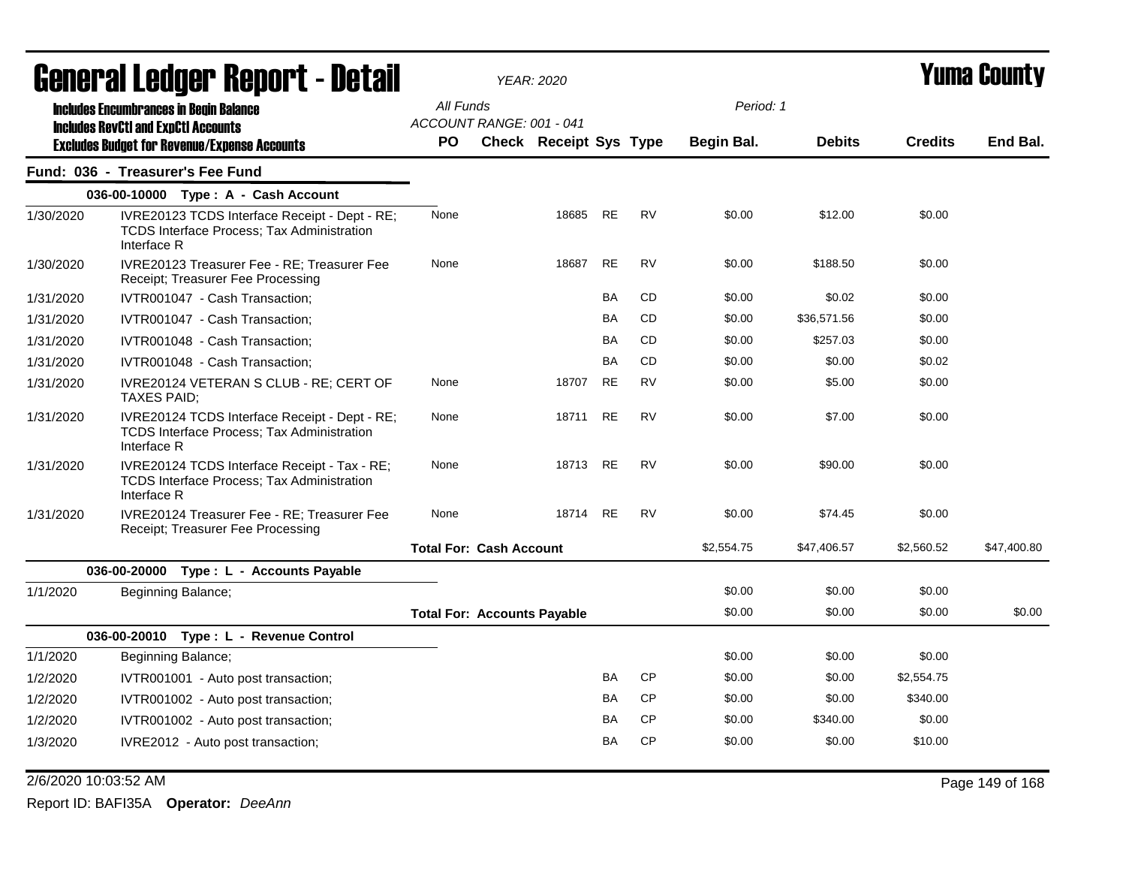|           | General Ledger Report - Detail |                                                                                                    | <b>YEAR: 2020</b>                     |                               |           |           | <b>Yuma County</b> |               |                |             |
|-----------|--------------------------------|----------------------------------------------------------------------------------------------------|---------------------------------------|-------------------------------|-----------|-----------|--------------------|---------------|----------------|-------------|
|           |                                | <b>Includes Encumbrances in Begin Balance</b>                                                      | All Funds                             |                               |           |           | Period: 1          |               |                |             |
|           |                                | <b>Includes RevCtI and ExpCtI Accounts</b><br><b>Excludes Budget for Revenue/Expense Accounts</b>  | ACCOUNT RANGE: 001 - 041<br><b>PO</b> | <b>Check Receipt Sys Type</b> |           |           | <b>Begin Bal.</b>  | <b>Debits</b> | <b>Credits</b> | End Bal.    |
|           |                                | Fund: 036 - Treasurer's Fee Fund                                                                   |                                       |                               |           |           |                    |               |                |             |
|           |                                | 036-00-10000 Type: A - Cash Account                                                                |                                       |                               |           |           |                    |               |                |             |
| 1/30/2020 | Interface R                    | IVRE20123 TCDS Interface Receipt - Dept - RE;<br><b>TCDS Interface Process: Tax Administration</b> | None                                  | 18685                         | <b>RE</b> | <b>RV</b> | \$0.00             | \$12.00       | \$0.00         |             |
| 1/30/2020 |                                | IVRE20123 Treasurer Fee - RE; Treasurer Fee<br>Receipt: Treasurer Fee Processing                   | None                                  | 18687                         | <b>RE</b> | <b>RV</b> | \$0.00             | \$188.50      | \$0.00         |             |
| 1/31/2020 |                                | IVTR001047 - Cash Transaction;                                                                     |                                       |                               | BA        | <b>CD</b> | \$0.00             | \$0.02        | \$0.00         |             |
| 1/31/2020 |                                | IVTR001047 - Cash Transaction;                                                                     |                                       |                               | <b>BA</b> | <b>CD</b> | \$0.00             | \$36,571.56   | \$0.00         |             |
| 1/31/2020 |                                | IVTR001048 - Cash Transaction;                                                                     |                                       |                               | <b>BA</b> | <b>CD</b> | \$0.00             | \$257.03      | \$0.00         |             |
| 1/31/2020 |                                | IVTR001048 - Cash Transaction;                                                                     |                                       |                               | <b>BA</b> | <b>CD</b> | \$0.00             | \$0.00        | \$0.02         |             |
| 1/31/2020 |                                | IVRE20124 VETERAN S CLUB - RE; CERT OF<br>TAXES PAID;                                              | None                                  | 18707                         | <b>RE</b> | <b>RV</b> | \$0.00             | \$5.00        | \$0.00         |             |
| 1/31/2020 | Interface R                    | IVRE20124 TCDS Interface Receipt - Dept - RE;<br><b>TCDS Interface Process; Tax Administration</b> | None                                  | 18711                         | <b>RE</b> | <b>RV</b> | \$0.00             | \$7.00        | \$0.00         |             |
| 1/31/2020 | Interface R                    | IVRE20124 TCDS Interface Receipt - Tax - RE;<br>TCDS Interface Process; Tax Administration         | None                                  | 18713                         | RE        | <b>RV</b> | \$0.00             | \$90.00       | \$0.00         |             |
| 1/31/2020 |                                | IVRE20124 Treasurer Fee - RE: Treasurer Fee<br>Receipt; Treasurer Fee Processing                   | None                                  | 18714                         | RE        | <b>RV</b> | \$0.00             | \$74.45       | \$0.00         |             |
|           |                                |                                                                                                    | <b>Total For: Cash Account</b>        |                               |           |           | \$2,554.75         | \$47,406.57   | \$2,560.52     | \$47,400.80 |
|           |                                | 036-00-20000 Type : L - Accounts Payable                                                           |                                       |                               |           |           |                    |               |                |             |
| 1/1/2020  |                                | Beginning Balance;                                                                                 |                                       |                               |           |           | \$0.00             | \$0.00        | \$0.00         |             |
|           |                                |                                                                                                    | <b>Total For: Accounts Payable</b>    |                               |           |           | \$0.00             | \$0.00        | \$0.00         | \$0.00      |
|           |                                | 036-00-20010 Type: L - Revenue Control                                                             |                                       |                               |           |           |                    |               |                |             |
| 1/1/2020  |                                | Beginning Balance;                                                                                 |                                       |                               |           |           | \$0.00             | \$0.00        | \$0.00         |             |
| 1/2/2020  |                                | IVTR001001 - Auto post transaction;                                                                |                                       |                               | BA        | <b>CP</b> | \$0.00             | \$0.00        | \$2,554.75     |             |
| 1/2/2020  |                                | IVTR001002 - Auto post transaction;                                                                |                                       |                               | BA        | <b>CP</b> | \$0.00             | \$0.00        | \$340.00       |             |
| 1/2/2020  |                                | IVTR001002 - Auto post transaction;                                                                |                                       |                               | BA        | <b>CP</b> | \$0.00             | \$340.00      | \$0.00         |             |
| 1/3/2020  |                                | IVRE2012 - Auto post transaction;                                                                  |                                       |                               | BA        | <b>CP</b> | \$0.00             | \$0.00        | \$10.00        |             |

2/6/2020 10:03:52 AM Page 149 of 168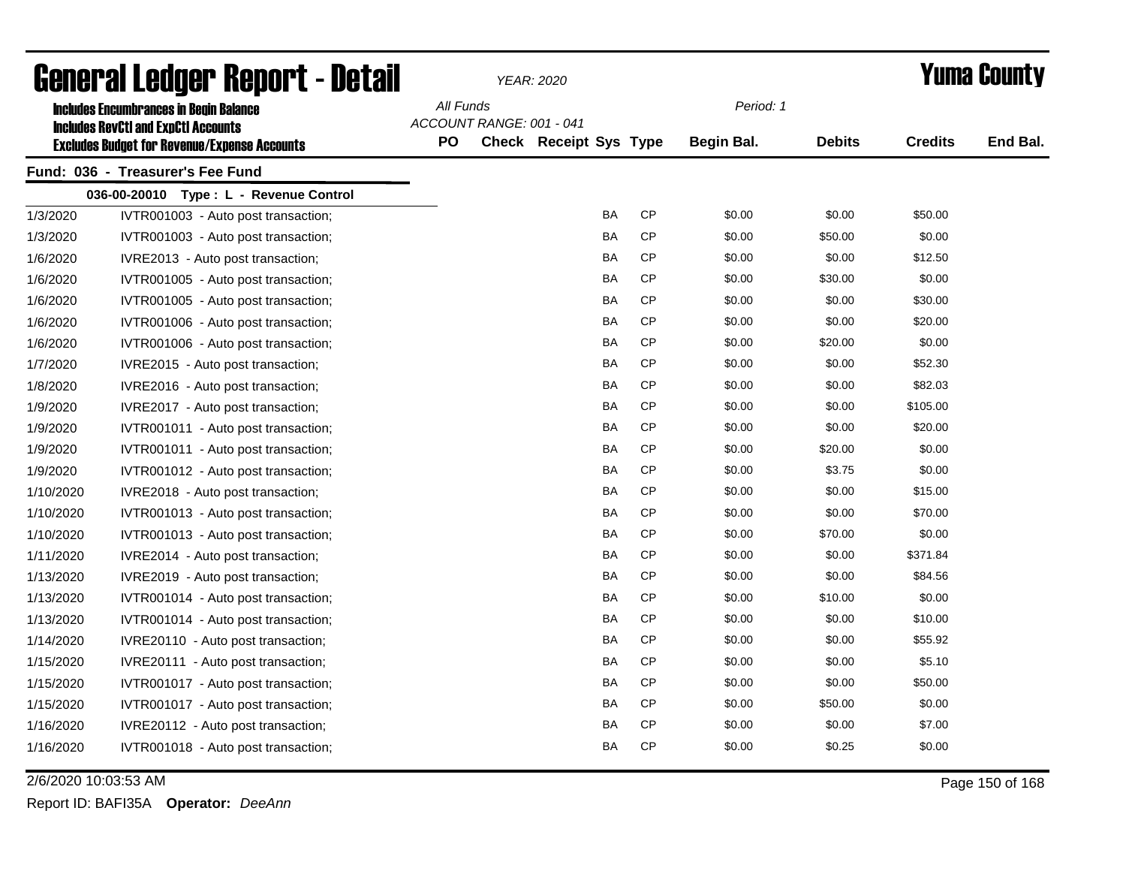| General Ledger Report - Detail |                                                                                             |           |                          | <b>YEAR: 2020</b>             |           | <b>Yuma County</b> |               |                |          |
|--------------------------------|---------------------------------------------------------------------------------------------|-----------|--------------------------|-------------------------------|-----------|--------------------|---------------|----------------|----------|
|                                | <b>Includes Encumbrances in Begin Balance</b><br><b>Includes RevCtI and ExpCtI Accounts</b> | All Funds | ACCOUNT RANGE: 001 - 041 |                               |           | Period: 1          |               |                |          |
|                                | <b>Excludes Budget for Revenue/Expense Accounts</b>                                         | <b>PO</b> |                          | <b>Check Receipt Sys Type</b> |           | <b>Begin Bal.</b>  | <b>Debits</b> | <b>Credits</b> | End Bal. |
|                                | Fund: 036 - Treasurer's Fee Fund                                                            |           |                          |                               |           |                    |               |                |          |
|                                | 036-00-20010 Type: L - Revenue Control                                                      |           |                          |                               |           |                    |               |                |          |
| 1/3/2020                       | IVTR001003 - Auto post transaction;                                                         |           |                          | <b>BA</b>                     | <b>CP</b> | \$0.00             | \$0.00        | \$50.00        |          |
| 1/3/2020                       | IVTR001003 - Auto post transaction;                                                         |           |                          | BA                            | <b>CP</b> | \$0.00             | \$50.00       | \$0.00         |          |
| 1/6/2020                       | IVRE2013 - Auto post transaction;                                                           |           |                          | BA                            | <b>CP</b> | \$0.00             | \$0.00        | \$12.50        |          |
| 1/6/2020                       | IVTR001005 - Auto post transaction;                                                         |           |                          | BA                            | <b>CP</b> | \$0.00             | \$30.00       | \$0.00         |          |
| 1/6/2020                       | IVTR001005 - Auto post transaction;                                                         |           |                          | BA                            | <b>CP</b> | \$0.00             | \$0.00        | \$30.00        |          |
| 1/6/2020                       | IVTR001006 - Auto post transaction;                                                         |           |                          | BA                            | <b>CP</b> | \$0.00             | \$0.00        | \$20.00        |          |
| 1/6/2020                       | IVTR001006 - Auto post transaction;                                                         |           |                          | BA                            | <b>CP</b> | \$0.00             | \$20.00       | \$0.00         |          |
| 1/7/2020                       | IVRE2015 - Auto post transaction;                                                           |           |                          | BA                            | <b>CP</b> | \$0.00             | \$0.00        | \$52.30        |          |
| 1/8/2020                       | IVRE2016 - Auto post transaction;                                                           |           |                          | BA                            | <b>CP</b> | \$0.00             | \$0.00        | \$82.03        |          |
| 1/9/2020                       | IVRE2017 - Auto post transaction;                                                           |           |                          | BA                            | <b>CP</b> | \$0.00             | \$0.00        | \$105.00       |          |
| 1/9/2020                       | IVTR001011 - Auto post transaction;                                                         |           |                          | BA                            | <b>CP</b> | \$0.00             | \$0.00        | \$20.00        |          |
| 1/9/2020                       | IVTR001011 - Auto post transaction;                                                         |           |                          | <b>BA</b>                     | <b>CP</b> | \$0.00             | \$20.00       | \$0.00         |          |
| 1/9/2020                       | IVTR001012 - Auto post transaction;                                                         |           |                          | BA                            | <b>CP</b> | \$0.00             | \$3.75        | \$0.00         |          |
| 1/10/2020                      | IVRE2018 - Auto post transaction;                                                           |           |                          | BA                            | <b>CP</b> | \$0.00             | \$0.00        | \$15.00        |          |
| 1/10/2020                      | IVTR001013 - Auto post transaction;                                                         |           |                          | BA                            | <b>CP</b> | \$0.00             | \$0.00        | \$70.00        |          |
| 1/10/2020                      | IVTR001013 - Auto post transaction;                                                         |           |                          | BA                            | <b>CP</b> | \$0.00             | \$70.00       | \$0.00         |          |
| 1/11/2020                      | IVRE2014 - Auto post transaction;                                                           |           |                          | <b>BA</b>                     | <b>CP</b> | \$0.00             | \$0.00        | \$371.84       |          |
| 1/13/2020                      | IVRE2019 - Auto post transaction;                                                           |           |                          | BA                            | <b>CP</b> | \$0.00             | \$0.00        | \$84.56        |          |
| 1/13/2020                      | IVTR001014 - Auto post transaction;                                                         |           |                          | BA                            | <b>CP</b> | \$0.00             | \$10.00       | \$0.00         |          |
| 1/13/2020                      | IVTR001014 - Auto post transaction;                                                         |           |                          | BA                            | <b>CP</b> | \$0.00             | \$0.00        | \$10.00        |          |
| 1/14/2020                      | IVRE20110 - Auto post transaction;                                                          |           |                          | BA                            | <b>CP</b> | \$0.00             | \$0.00        | \$55.92        |          |
| 1/15/2020                      | IVRE20111 - Auto post transaction;                                                          |           |                          | BA                            | <b>CP</b> | \$0.00             | \$0.00        | \$5.10         |          |
| 1/15/2020                      | IVTR001017 - Auto post transaction;                                                         |           |                          | BA                            | <b>CP</b> | \$0.00             | \$0.00        | \$50.00        |          |
| 1/15/2020                      | IVTR001017 - Auto post transaction;                                                         |           |                          | BA                            | <b>CP</b> | \$0.00             | \$50.00       | \$0.00         |          |
| 1/16/2020                      | IVRE20112 - Auto post transaction;                                                          |           |                          | BA                            | <b>CP</b> | \$0.00             | \$0.00        | \$7.00         |          |
| 1/16/2020                      | IVTR001018 - Auto post transaction;                                                         |           |                          | BA                            | <b>CP</b> | \$0.00             | \$0.25        | \$0.00         |          |

2/6/2020 10:03:53 AM Page 150 of 168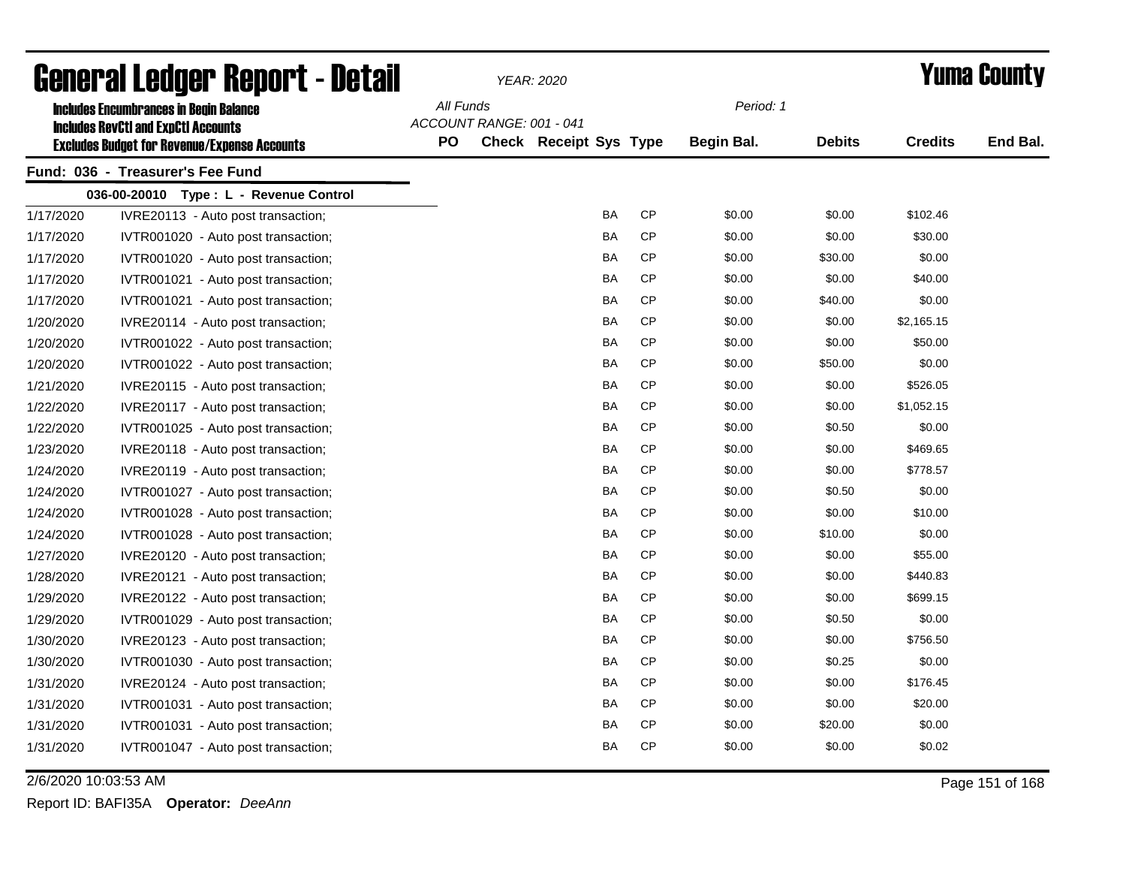| General Ledger Report - Detail |                                                                                             |           |                          | <b>YEAR: 2020</b>      |           | <b>Yuma County</b> |               |                |          |
|--------------------------------|---------------------------------------------------------------------------------------------|-----------|--------------------------|------------------------|-----------|--------------------|---------------|----------------|----------|
|                                | <b>Includes Encumbrances in Begin Balance</b><br><b>Includes RevCtI and ExpCtI Accounts</b> | All Funds | ACCOUNT RANGE: 001 - 041 |                        |           | Period: 1          |               |                |          |
|                                | <b>Excludes Budget for Revenue/Expense Accounts</b>                                         | <b>PO</b> |                          | Check Receipt Sys Type |           | <b>Begin Bal.</b>  | <b>Debits</b> | <b>Credits</b> | End Bal. |
|                                | Fund: 036 - Treasurer's Fee Fund                                                            |           |                          |                        |           |                    |               |                |          |
|                                | 036-00-20010 Type: L - Revenue Control                                                      |           |                          |                        |           |                    |               |                |          |
| 1/17/2020                      | IVRE20113 - Auto post transaction;                                                          |           |                          | BA                     | <b>CP</b> | \$0.00             | \$0.00        | \$102.46       |          |
| 1/17/2020                      | IVTR001020 - Auto post transaction;                                                         |           |                          | <b>BA</b>              | CP        | \$0.00             | \$0.00        | \$30.00        |          |
| 1/17/2020                      | IVTR001020 - Auto post transaction;                                                         |           |                          | BA                     | СP        | \$0.00             | \$30.00       | \$0.00         |          |
| 1/17/2020                      | IVTR001021 - Auto post transaction;                                                         |           |                          | <b>BA</b>              | <b>CP</b> | \$0.00             | \$0.00        | \$40.00        |          |
| 1/17/2020                      | IVTR001021 - Auto post transaction;                                                         |           |                          | BA                     | <b>CP</b> | \$0.00             | \$40.00       | \$0.00         |          |
| 1/20/2020                      | IVRE20114 - Auto post transaction;                                                          |           |                          | BA                     | <b>CP</b> | \$0.00             | \$0.00        | \$2,165.15     |          |
| 1/20/2020                      | IVTR001022 - Auto post transaction;                                                         |           |                          | BA                     | <b>CP</b> | \$0.00             | \$0.00        | \$50.00        |          |
| 1/20/2020                      | IVTR001022 - Auto post transaction;                                                         |           |                          | BA                     | CP        | \$0.00             | \$50.00       | \$0.00         |          |
| 1/21/2020                      | IVRE20115 - Auto post transaction;                                                          |           |                          | <b>BA</b>              | <b>CP</b> | \$0.00             | \$0.00        | \$526.05       |          |
| 1/22/2020                      | IVRE20117 - Auto post transaction;                                                          |           |                          | BA                     | <b>CP</b> | \$0.00             | \$0.00        | \$1,052.15     |          |
| 1/22/2020                      | IVTR001025 - Auto post transaction;                                                         |           |                          | BA                     | <b>CP</b> | \$0.00             | \$0.50        | \$0.00         |          |
| 1/23/2020                      | IVRE20118 - Auto post transaction;                                                          |           |                          | BA                     | <b>CP</b> | \$0.00             | \$0.00        | \$469.65       |          |
| 1/24/2020                      | IVRE20119 - Auto post transaction;                                                          |           |                          | BA                     | <b>CP</b> | \$0.00             | \$0.00        | \$778.57       |          |
| 1/24/2020                      | IVTR001027 - Auto post transaction;                                                         |           |                          | BA                     | <b>CP</b> | \$0.00             | \$0.50        | \$0.00         |          |
| 1/24/2020                      | IVTR001028 - Auto post transaction;                                                         |           |                          | BA                     | <b>CP</b> | \$0.00             | \$0.00        | \$10.00        |          |
| 1/24/2020                      | IVTR001028 - Auto post transaction;                                                         |           |                          | BA                     | <b>CP</b> | \$0.00             | \$10.00       | \$0.00         |          |
| 1/27/2020                      | IVRE20120 - Auto post transaction;                                                          |           |                          | BA                     | <b>CP</b> | \$0.00             | \$0.00        | \$55.00        |          |
| 1/28/2020                      | IVRE20121 - Auto post transaction;                                                          |           |                          | BA                     | <b>CP</b> | \$0.00             | \$0.00        | \$440.83       |          |
| 1/29/2020                      | IVRE20122 - Auto post transaction;                                                          |           |                          | BA                     | <b>CP</b> | \$0.00             | \$0.00        | \$699.15       |          |
| 1/29/2020                      | IVTR001029 - Auto post transaction;                                                         |           |                          | BA                     | CP        | \$0.00             | \$0.50        | \$0.00         |          |
| 1/30/2020                      | IVRE20123 - Auto post transaction;                                                          |           |                          | BA                     | <b>CP</b> | \$0.00             | \$0.00        | \$756.50       |          |
| 1/30/2020                      | IVTR001030 - Auto post transaction;                                                         |           |                          | BA                     | CP        | \$0.00             | \$0.25        | \$0.00         |          |
| 1/31/2020                      | IVRE20124 - Auto post transaction;                                                          |           |                          | BA                     | CP        | \$0.00             | \$0.00        | \$176.45       |          |
| 1/31/2020                      | IVTR001031 - Auto post transaction;                                                         |           |                          | BA                     | CP        | \$0.00             | \$0.00        | \$20.00        |          |
| 1/31/2020                      | IVTR001031 - Auto post transaction;                                                         |           |                          | BA                     | CP        | \$0.00             | \$20.00       | \$0.00         |          |
| 1/31/2020                      | IVTR001047 - Auto post transaction;                                                         |           |                          | <b>BA</b>              | <b>CP</b> | \$0.00             | \$0.00        | \$0.02         |          |

2/6/2020 10:03:53 AM Page 151 of 168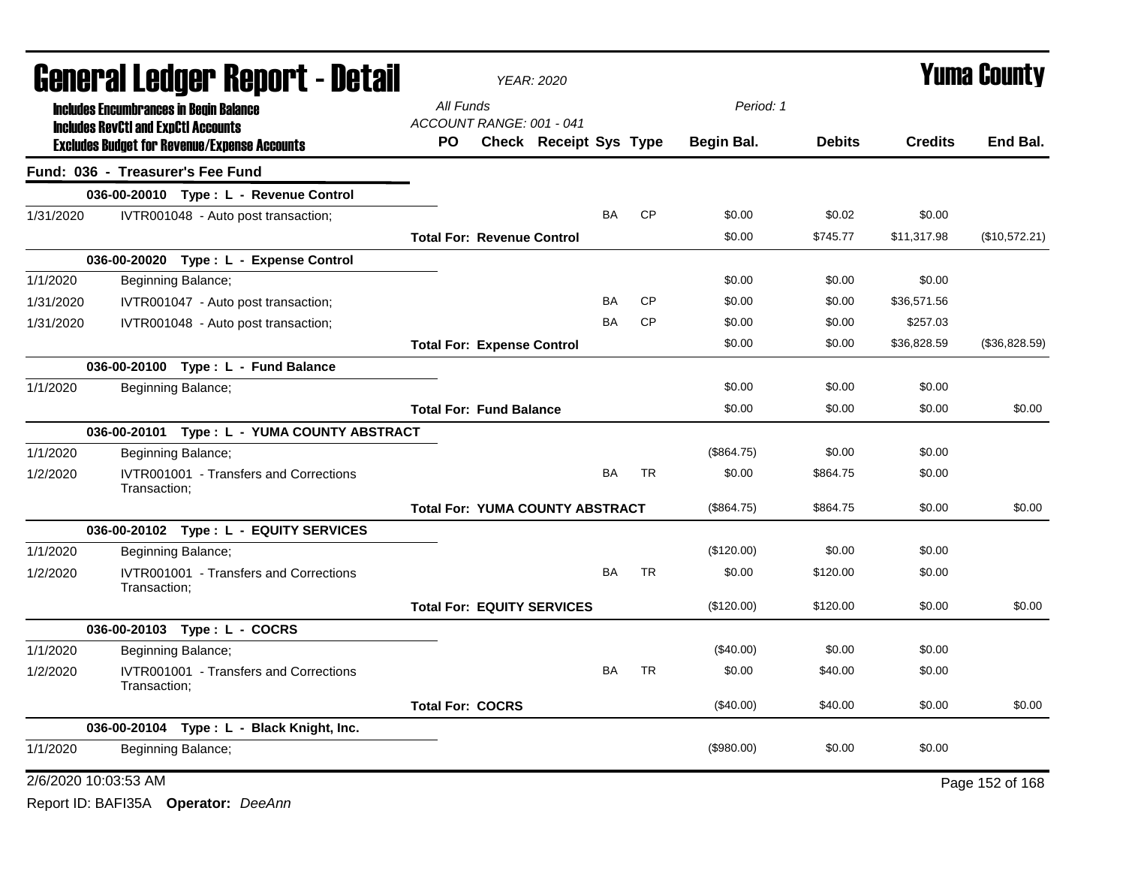|           | <b>General Ledger Report - Detail</b>                                                             |                                       | <b>YEAR: 2020</b>                      |           | <b>Yuma County</b> |             |               |                |                 |
|-----------|---------------------------------------------------------------------------------------------------|---------------------------------------|----------------------------------------|-----------|--------------------|-------------|---------------|----------------|-----------------|
|           | <b>Includes Encumbrances in Begin Balance</b>                                                     | All Funds                             |                                        |           |                    | Period: 1   |               |                |                 |
|           | <b>Includes RevCtI and ExpCtI Accounts</b><br><b>Excludes Budget for Revenue/Expense Accounts</b> | ACCOUNT RANGE: 001 - 041<br><b>PO</b> | <b>Check Receipt Sys Type</b>          |           |                    | Begin Bal.  | <b>Debits</b> | <b>Credits</b> | End Bal.        |
|           | Fund: 036 - Treasurer's Fee Fund                                                                  |                                       |                                        |           |                    |             |               |                |                 |
|           | 036-00-20010 Type: L - Revenue Control                                                            |                                       |                                        |           |                    |             |               |                |                 |
| 1/31/2020 | IVTR001048 - Auto post transaction;                                                               |                                       |                                        | BA        | <b>CP</b>          | \$0.00      | \$0.02        | \$0.00         |                 |
|           |                                                                                                   | <b>Total For: Revenue Control</b>     |                                        |           |                    | \$0.00      | \$745.77      | \$11,317.98    | (\$10,572.21)   |
|           | 036-00-20020 Type: L - Expense Control                                                            |                                       |                                        |           |                    |             |               |                |                 |
| 1/1/2020  | Beginning Balance;                                                                                |                                       |                                        |           |                    | \$0.00      | \$0.00        | \$0.00         |                 |
| 1/31/2020 | IVTR001047 - Auto post transaction;                                                               |                                       |                                        | <b>BA</b> | <b>CP</b>          | \$0.00      | \$0.00        | \$36,571.56    |                 |
| 1/31/2020 | IVTR001048 - Auto post transaction;                                                               |                                       |                                        | BA        | <b>CP</b>          | \$0.00      | \$0.00        | \$257.03       |                 |
|           |                                                                                                   | <b>Total For: Expense Control</b>     |                                        |           |                    | \$0.00      | \$0.00        | \$36,828.59    | (\$36,828.59)   |
|           | 036-00-20100 Type: L - Fund Balance                                                               |                                       |                                        |           |                    |             |               |                |                 |
| 1/1/2020  | Beginning Balance;                                                                                |                                       |                                        |           |                    | \$0.00      | \$0.00        | \$0.00         |                 |
|           |                                                                                                   | <b>Total For: Fund Balance</b>        |                                        |           |                    | \$0.00      | \$0.00        | \$0.00         | \$0.00          |
|           | 036-00-20101 Type: L - YUMA COUNTY ABSTRACT                                                       |                                       |                                        |           |                    |             |               |                |                 |
| 1/1/2020  | Beginning Balance;                                                                                |                                       |                                        |           |                    | (\$864.75)  | \$0.00        | \$0.00         |                 |
| 1/2/2020  | IVTR001001 - Transfers and Corrections<br>Transaction:                                            |                                       |                                        | BA        | <b>TR</b>          | \$0.00      | \$864.75      | \$0.00         |                 |
|           |                                                                                                   |                                       | <b>Total For: YUMA COUNTY ABSTRACT</b> |           |                    | (\$864.75)  | \$864.75      | \$0.00         | \$0.00          |
|           | 036-00-20102 Type: L - EQUITY SERVICES                                                            |                                       |                                        |           |                    |             |               |                |                 |
| 1/1/2020  | Beginning Balance;                                                                                |                                       |                                        |           |                    | (\$120.00)  | \$0.00        | \$0.00         |                 |
| 1/2/2020  | IVTR001001 - Transfers and Corrections<br>Transaction;                                            |                                       |                                        | <b>BA</b> | <b>TR</b>          | \$0.00      | \$120.00      | \$0.00         |                 |
|           |                                                                                                   |                                       | <b>Total For: EQUITY SERVICES</b>      |           |                    | (\$120.00)  | \$120.00      | \$0.00         | \$0.00          |
|           | 036-00-20103 Type: L - COCRS                                                                      |                                       |                                        |           |                    |             |               |                |                 |
| 1/1/2020  | Beginning Balance;                                                                                |                                       |                                        |           |                    | $(\$40.00)$ | \$0.00        | \$0.00         |                 |
| 1/2/2020  | IVTR001001 - Transfers and Corrections<br>Transaction:                                            |                                       |                                        | <b>BA</b> | <b>TR</b>          | \$0.00      | \$40.00       | \$0.00         |                 |
|           |                                                                                                   | <b>Total For: COCRS</b>               |                                        |           |                    | $(\$40.00)$ | \$40.00       | \$0.00         | \$0.00          |
|           | 036-00-20104 Type: L - Black Knight, Inc.                                                         |                                       |                                        |           |                    |             |               |                |                 |
| 1/1/2020  | Beginning Balance;                                                                                |                                       |                                        |           |                    | (\$980.00)  | \$0.00        | \$0.00         |                 |
|           | 2/6/2020 10:03:53 AM                                                                              |                                       |                                        |           |                    |             |               |                | Page 152 of 168 |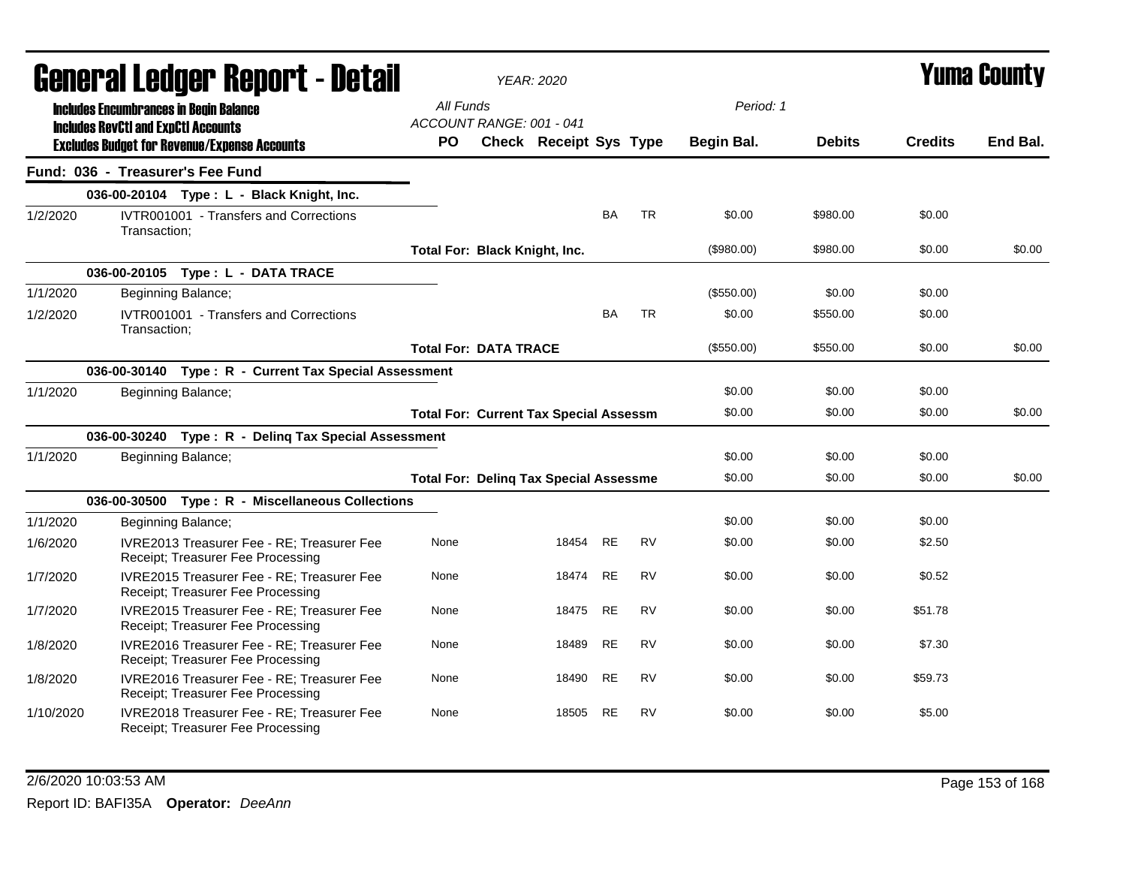| <b>General Ledger Report - Detail</b> |                                                                                             |                                                                                 | YEAR: 2020                            |                                               |           |           |                   | <b>Yuma County</b> |                |          |
|---------------------------------------|---------------------------------------------------------------------------------------------|---------------------------------------------------------------------------------|---------------------------------------|-----------------------------------------------|-----------|-----------|-------------------|--------------------|----------------|----------|
|                                       | <b>Includes Encumbrances in Begin Balance</b><br><b>Includes RevCtI and ExpCtI Accounts</b> |                                                                                 | All Funds<br>ACCOUNT RANGE: 001 - 041 |                                               |           |           | Period: 1         |                    |                |          |
|                                       |                                                                                             | <b>Excludes Budget for Revenue/Expense Accounts</b>                             | PO                                    | Check Receipt Sys Type                        |           |           | <b>Begin Bal.</b> | <b>Debits</b>      | <b>Credits</b> | End Bal. |
|                                       | Fund: 036 - Treasurer's Fee Fund                                                            |                                                                                 |                                       |                                               |           |           |                   |                    |                |          |
|                                       |                                                                                             | 036-00-20104 Type: L - Black Knight, Inc.                                       |                                       |                                               |           |           |                   |                    |                |          |
| 1/2/2020                              | Transaction:                                                                                | <b>IVTR001001 - Transfers and Corrections</b>                                   |                                       |                                               | <b>BA</b> | <b>TR</b> | \$0.00            | \$980.00           | \$0.00         |          |
|                                       |                                                                                             |                                                                                 | Total For: Black Knight, Inc.         |                                               |           |           | (\$980.00)        | \$980.00           | \$0.00         | \$0.00   |
|                                       |                                                                                             | 036-00-20105 Type: L - DATA TRACE                                               |                                       |                                               |           |           |                   |                    |                |          |
| 1/1/2020                              |                                                                                             | Beginning Balance;                                                              |                                       |                                               |           |           | (\$550.00)        | \$0.00             | \$0.00         |          |
| 1/2/2020                              | Transaction;                                                                                | IVTR001001 - Transfers and Corrections                                          |                                       |                                               | BA        | <b>TR</b> | \$0.00            | \$550.00           | \$0.00         |          |
|                                       |                                                                                             |                                                                                 | <b>Total For: DATA TRACE</b>          |                                               |           |           | (\$550.00)        | \$550.00           | \$0.00         | \$0.00   |
|                                       |                                                                                             | 036-00-30140 Type: R - Current Tax Special Assessment                           |                                       |                                               |           |           |                   |                    |                |          |
| 1/1/2020                              |                                                                                             | Beginning Balance;                                                              |                                       |                                               |           |           | \$0.00            | \$0.00             | \$0.00         |          |
|                                       |                                                                                             |                                                                                 |                                       | <b>Total For: Current Tax Special Assessm</b> |           |           | \$0.00            | \$0.00             | \$0.00         | \$0.00   |
|                                       |                                                                                             | 036-00-30240 Type: R - Deling Tax Special Assessment                            |                                       |                                               |           |           |                   |                    |                |          |
| 1/1/2020                              |                                                                                             | Beginning Balance;                                                              |                                       |                                               |           |           | \$0.00            | \$0.00             | \$0.00         |          |
|                                       |                                                                                             |                                                                                 |                                       | <b>Total For: Deling Tax Special Assessme</b> |           |           | \$0.00            | \$0.00             | \$0.00         | \$0.00   |
|                                       |                                                                                             | 036-00-30500 Type: R - Miscellaneous Collections                                |                                       |                                               |           |           |                   |                    |                |          |
| 1/1/2020                              |                                                                                             | Beginning Balance;                                                              |                                       |                                               |           |           | \$0.00            | \$0.00             | \$0.00         |          |
| 1/6/2020                              |                                                                                             | IVRE2013 Treasurer Fee - RE; Treasurer Fee<br>Receipt; Treasurer Fee Processing | None                                  | 18454                                         | RE        | RV        | \$0.00            | \$0.00             | \$2.50         |          |
| 1/7/2020                              |                                                                                             | IVRE2015 Treasurer Fee - RE; Treasurer Fee<br>Receipt; Treasurer Fee Processing | None                                  | 18474                                         | <b>RE</b> | <b>RV</b> | \$0.00            | \$0.00             | \$0.52         |          |
| 1/7/2020                              |                                                                                             | IVRE2015 Treasurer Fee - RE; Treasurer Fee<br>Receipt; Treasurer Fee Processing | None                                  | 18475                                         | <b>RE</b> | <b>RV</b> | \$0.00            | \$0.00             | \$51.78        |          |
| 1/8/2020                              |                                                                                             | IVRE2016 Treasurer Fee - RE; Treasurer Fee<br>Receipt; Treasurer Fee Processing | None                                  | 18489                                         | <b>RE</b> | <b>RV</b> | \$0.00            | \$0.00             | \$7.30         |          |
| 1/8/2020                              |                                                                                             | IVRE2016 Treasurer Fee - RE; Treasurer Fee<br>Receipt; Treasurer Fee Processing | None                                  | 18490                                         | RE        | RV        | \$0.00            | \$0.00             | \$59.73        |          |
| 1/10/2020                             |                                                                                             | IVRE2018 Treasurer Fee - RE; Treasurer Fee<br>Receipt; Treasurer Fee Processing | None                                  | 18505                                         | <b>RE</b> | <b>RV</b> | \$0.00            | \$0.00             | \$5.00         |          |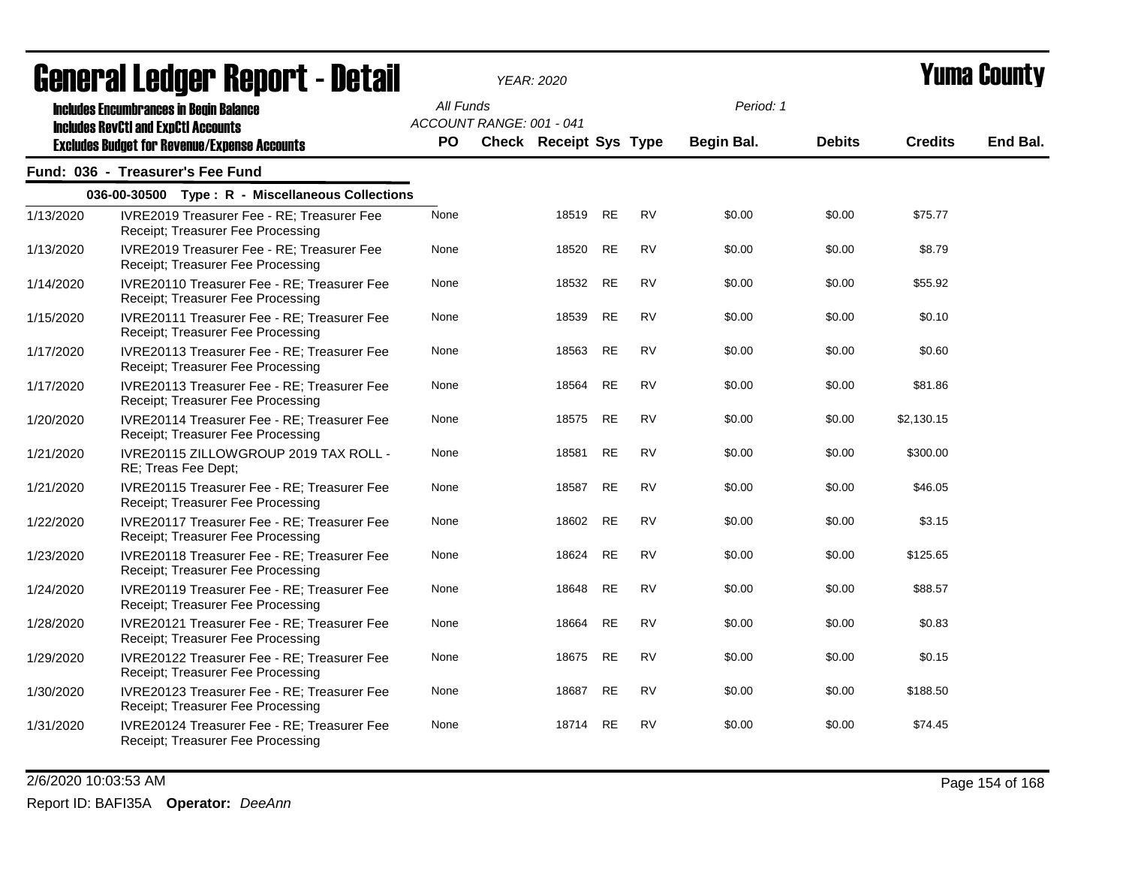|           | UGIIGI AI LGUYGI  Ilgµvi  l <sup>-</sup> Dglaii                                                                                                    |                        |                          | YEAR: ZUZU             |           |           |                         |               |                | I UMU VVUN L |
|-----------|----------------------------------------------------------------------------------------------------------------------------------------------------|------------------------|--------------------------|------------------------|-----------|-----------|-------------------------|---------------|----------------|--------------|
|           | <b>Includes Encumbrances in Begin Balance</b><br><b>Includes RevCtI and ExpCtI Accounts</b><br><b>Excludes Budget for Revenue/Expense Accounts</b> | All Funds<br><b>PO</b> | ACCOUNT RANGE: 001 - 041 | Check Receipt Sys Type |           |           | Period: 1<br>Begin Bal. | <b>Debits</b> | <b>Credits</b> | End Bal.     |
|           | Fund: 036 - Treasurer's Fee Fund                                                                                                                   |                        |                          |                        |           |           |                         |               |                |              |
|           | 036-00-30500 Type: R - Miscellaneous Collections                                                                                                   |                        |                          |                        |           |           |                         |               |                |              |
| 1/13/2020 | IVRE2019 Treasurer Fee - RE; Treasurer Fee<br>Receipt; Treasurer Fee Processing                                                                    | None                   |                          | 18519                  | <b>RE</b> | <b>RV</b> | \$0.00                  | \$0.00        | \$75.77        |              |
| 1/13/2020 | IVRE2019 Treasurer Fee - RE; Treasurer Fee<br>Receipt; Treasurer Fee Processing                                                                    | None                   |                          | 18520                  | <b>RE</b> | <b>RV</b> | \$0.00                  | \$0.00        | \$8.79         |              |
| 1/14/2020 | IVRE20110 Treasurer Fee - RE; Treasurer Fee<br>Receipt; Treasurer Fee Processing                                                                   | None                   |                          | 18532                  | <b>RE</b> | <b>RV</b> | \$0.00                  | \$0.00        | \$55.92        |              |
| 1/15/2020 | IVRE20111 Treasurer Fee - RE; Treasurer Fee<br>Receipt; Treasurer Fee Processing                                                                   | None                   |                          | 18539                  | <b>RE</b> | <b>RV</b> | \$0.00                  | \$0.00        | \$0.10         |              |
| 1/17/2020 | IVRE20113 Treasurer Fee - RE; Treasurer Fee<br>Receipt; Treasurer Fee Processing                                                                   | None                   |                          | 18563                  | <b>RE</b> | <b>RV</b> | \$0.00                  | \$0.00        | \$0.60         |              |
| 1/17/2020 | IVRE20113 Treasurer Fee - RE; Treasurer Fee<br>Receipt; Treasurer Fee Processing                                                                   | None                   |                          | 18564                  | <b>RE</b> | <b>RV</b> | \$0.00                  | \$0.00        | \$81.86        |              |
| 1/20/2020 | IVRE20114 Treasurer Fee - RE; Treasurer Fee<br>Receipt; Treasurer Fee Processing                                                                   | None                   |                          | 18575                  | <b>RE</b> | <b>RV</b> | \$0.00                  | \$0.00        | \$2,130.15     |              |
| 1/21/2020 | IVRE20115 ZILLOWGROUP 2019 TAX ROLL -<br>RE; Treas Fee Dept;                                                                                       | None                   |                          | 18581                  | <b>RE</b> | <b>RV</b> | \$0.00                  | \$0.00        | \$300.00       |              |
| 1/21/2020 | IVRE20115 Treasurer Fee - RE; Treasurer Fee<br>Receipt; Treasurer Fee Processing                                                                   | None                   |                          | 18587                  | <b>RE</b> | <b>RV</b> | \$0.00                  | \$0.00        | \$46.05        |              |
| 1/22/2020 | IVRE20117 Treasurer Fee - RE; Treasurer Fee<br>Receipt; Treasurer Fee Processing                                                                   | None                   |                          | 18602                  | <b>RE</b> | <b>RV</b> | \$0.00                  | \$0.00        | \$3.15         |              |
| 1/23/2020 | IVRE20118 Treasurer Fee - RE; Treasurer Fee<br>Receipt; Treasurer Fee Processing                                                                   | None                   |                          | 18624                  | <b>RE</b> | <b>RV</b> | \$0.00                  | \$0.00        | \$125.65       |              |
| 1/24/2020 | IVRE20119 Treasurer Fee - RE; Treasurer Fee<br>Receipt; Treasurer Fee Processing                                                                   | None                   |                          | 18648                  | <b>RE</b> | <b>RV</b> | \$0.00                  | \$0.00        | \$88.57        |              |
| 1/28/2020 | IVRE20121 Treasurer Fee - RE; Treasurer Fee<br>Receipt; Treasurer Fee Processing                                                                   | None                   |                          | 18664                  | <b>RE</b> | <b>RV</b> | \$0.00                  | \$0.00        | \$0.83         |              |
| 1/29/2020 | IVRE20122 Treasurer Fee - RE; Treasurer Fee<br>Receipt; Treasurer Fee Processing                                                                   | None                   |                          | 18675                  | <b>RE</b> | <b>RV</b> | \$0.00                  | \$0.00        | \$0.15         |              |
| 1/30/2020 | IVRE20123 Treasurer Fee - RE; Treasurer Fee<br>Receipt; Treasurer Fee Processing                                                                   | None                   |                          | 18687                  | <b>RE</b> | <b>RV</b> | \$0.00                  | \$0.00        | \$188.50       |              |
| 1/31/2020 | IVRE20124 Treasurer Fee - RE; Treasurer Fee<br>Receipt; Treasurer Fee Processing                                                                   | None                   |                          | 18714                  | <b>RE</b> | <b>RV</b> | \$0.00                  | \$0.00        | \$74.45        |              |

2/6/2020 10:03:53 AM Page 154 of 168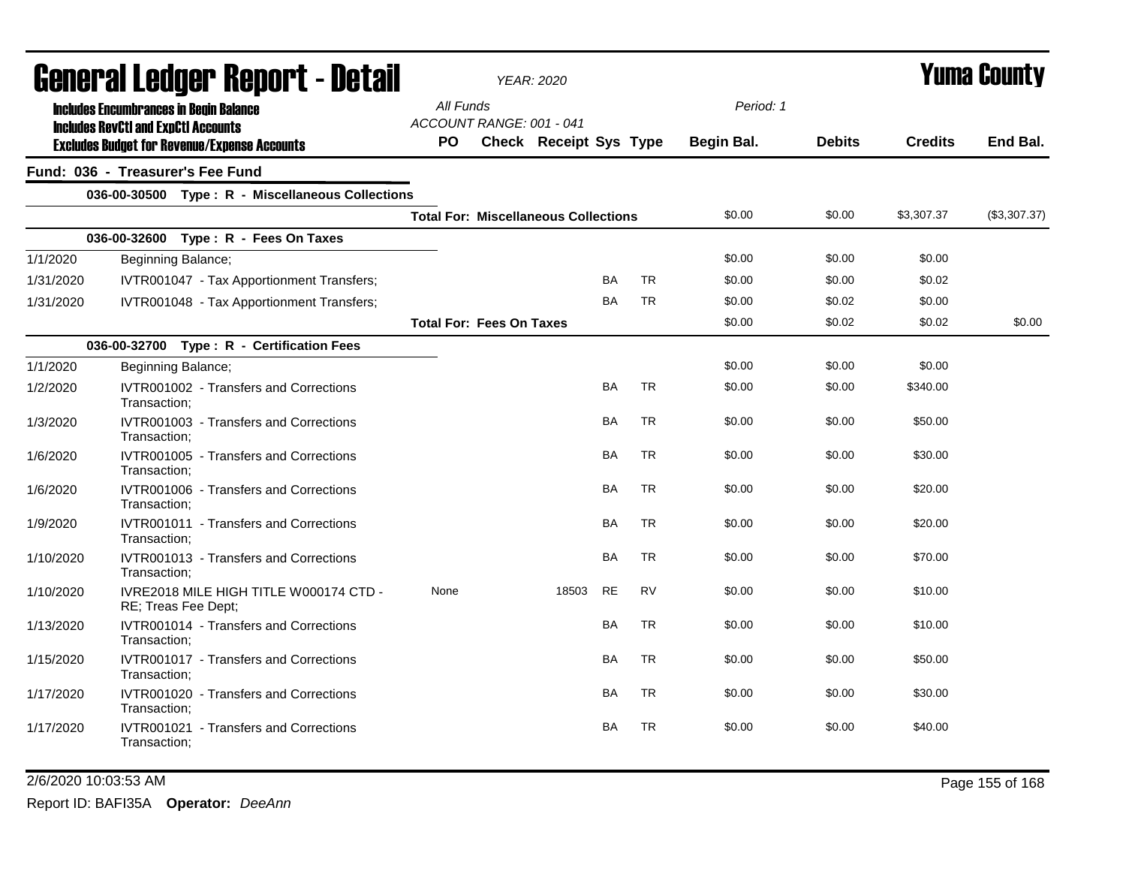|           | General Ledger Report - Detail                                                              |           | <b>YEAR: 2020</b>                           |           |           |            |               |                | Yuma County  |
|-----------|---------------------------------------------------------------------------------------------|-----------|---------------------------------------------|-----------|-----------|------------|---------------|----------------|--------------|
|           | <b>Includes Encumbrances in Begin Balance</b><br><b>Includes RevCtI and ExpCtI Accounts</b> | All Funds | ACCOUNT RANGE: 001 - 041                    |           |           | Period: 1  |               |                |              |
|           | <b>Excludes Budget for Revenue/Expense Accounts</b>                                         | PO.       | Check Receipt Sys Type                      |           |           | Begin Bal. | <b>Debits</b> | <b>Credits</b> | End Bal.     |
|           | Fund: 036 - Treasurer's Fee Fund                                                            |           |                                             |           |           |            |               |                |              |
|           | 036-00-30500 Type: R - Miscellaneous Collections                                            |           |                                             |           |           |            |               |                |              |
|           |                                                                                             |           | <b>Total For: Miscellaneous Collections</b> |           |           | \$0.00     | \$0.00        | \$3,307.37     | (\$3,307.37) |
|           | 036-00-32600 Type: R - Fees On Taxes                                                        |           |                                             |           |           |            |               |                |              |
| 1/1/2020  | Beginning Balance;                                                                          |           |                                             |           |           | \$0.00     | \$0.00        | \$0.00         |              |
| 1/31/2020 | IVTR001047 - Tax Apportionment Transfers;                                                   |           |                                             | <b>BA</b> | <b>TR</b> | \$0.00     | \$0.00        | \$0.02         |              |
| 1/31/2020 | IVTR001048 - Tax Apportionment Transfers;                                                   |           |                                             | <b>BA</b> | <b>TR</b> | \$0.00     | \$0.02        | \$0.00         |              |
|           |                                                                                             |           | <b>Total For: Fees On Taxes</b>             |           |           | \$0.00     | \$0.02        | \$0.02         | \$0.00       |
|           | 036-00-32700 Type: R - Certification Fees                                                   |           |                                             |           |           |            |               |                |              |
| 1/1/2020  | Beginning Balance;                                                                          |           |                                             |           |           | \$0.00     | \$0.00        | \$0.00         |              |
| 1/2/2020  | IVTR001002 - Transfers and Corrections<br>Transaction;                                      |           |                                             | <b>BA</b> | <b>TR</b> | \$0.00     | \$0.00        | \$340.00       |              |
| 1/3/2020  | IVTR001003 - Transfers and Corrections<br>Transaction:                                      |           |                                             | BA        | <b>TR</b> | \$0.00     | \$0.00        | \$50.00        |              |
| 1/6/2020  | IVTR001005 - Transfers and Corrections<br>Transaction;                                      |           |                                             | <b>BA</b> | <b>TR</b> | \$0.00     | \$0.00        | \$30.00        |              |
| 1/6/2020  | IVTR001006 - Transfers and Corrections<br>Transaction;                                      |           |                                             | BA        | <b>TR</b> | \$0.00     | \$0.00        | \$20.00        |              |
| 1/9/2020  | IVTR001011 - Transfers and Corrections<br>Transaction:                                      |           |                                             | BA        | <b>TR</b> | \$0.00     | \$0.00        | \$20.00        |              |
| 1/10/2020 | IVTR001013 - Transfers and Corrections<br>Transaction:                                      |           |                                             | BA        | <b>TR</b> | \$0.00     | \$0.00        | \$70.00        |              |
| 1/10/2020 | IVRE2018 MILE HIGH TITLE W000174 CTD -<br>RE; Treas Fee Dept;                               | None      | 18503                                       | <b>RE</b> | <b>RV</b> | \$0.00     | \$0.00        | \$10.00        |              |
| 1/13/2020 | IVTR001014 - Transfers and Corrections<br>Transaction:                                      |           |                                             | <b>BA</b> | <b>TR</b> | \$0.00     | \$0.00        | \$10.00        |              |
| 1/15/2020 | IVTR001017 - Transfers and Corrections<br>Transaction;                                      |           |                                             | BA        | <b>TR</b> | \$0.00     | \$0.00        | \$50.00        |              |
| 1/17/2020 | IVTR001020 - Transfers and Corrections<br>Transaction;                                      |           |                                             | <b>BA</b> | <b>TR</b> | \$0.00     | \$0.00        | \$30.00        |              |
| 1/17/2020 | IVTR001021 - Transfers and Corrections<br>Transaction;                                      |           |                                             | BA        | TR        | \$0.00     | \$0.00        | \$40.00        |              |

### 2/6/2020 10:03:53 AM Page 155 of 168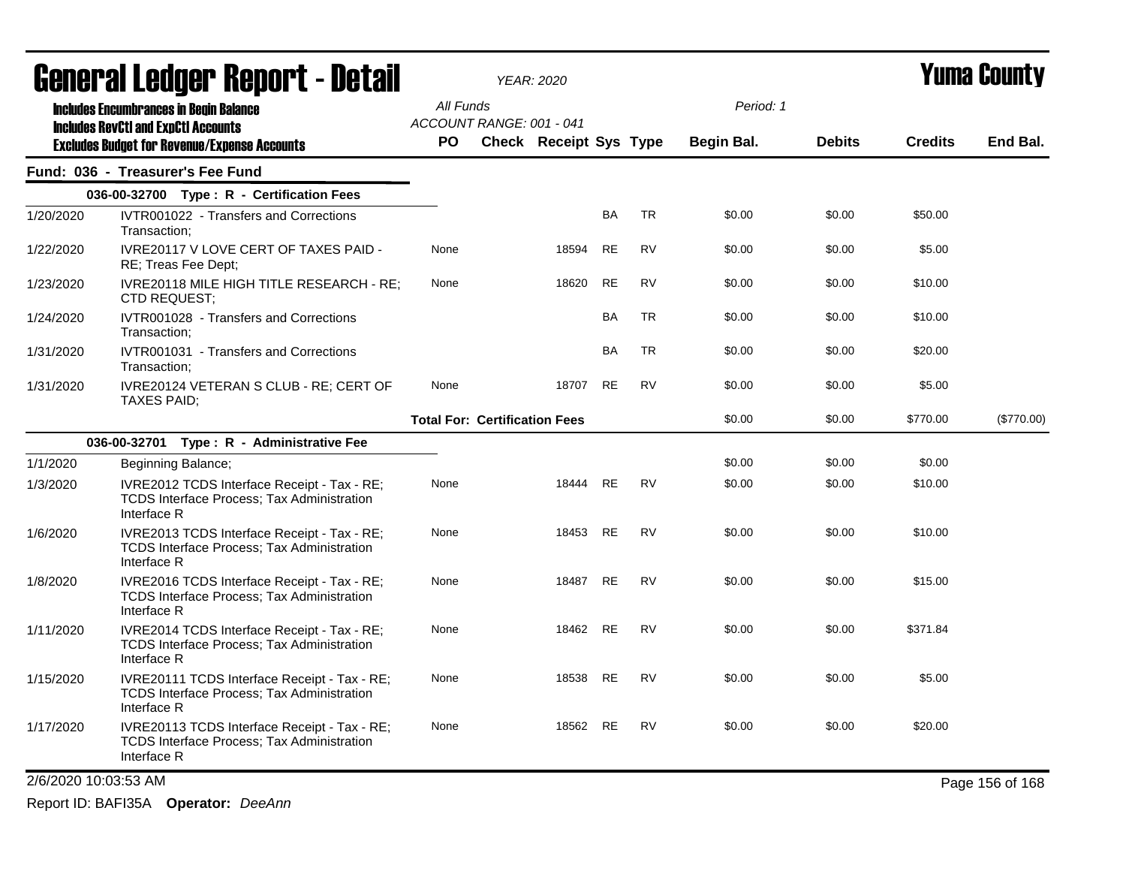| <b>General Ledger Report - Detail</b> |                                                                                                                  |                                      | <b>YEAR: 2020</b>             |           |           | Yuma County |               |                |                 |
|---------------------------------------|------------------------------------------------------------------------------------------------------------------|--------------------------------------|-------------------------------|-----------|-----------|-------------|---------------|----------------|-----------------|
|                                       | <b>Includes Encumbrances in Begin Balance</b>                                                                    | All Funds                            |                               |           |           | Period: 1   |               |                |                 |
|                                       | <b>Includes RevCtI and ExpCtI Accounts</b>                                                                       | ACCOUNT RANGE: 001 - 041             |                               |           |           |             |               |                |                 |
|                                       | <b>Excludes Budget for Revenue/Expense Accounts</b>                                                              | <b>PO</b>                            | <b>Check Receipt Sys Type</b> |           |           | Begin Bal.  | <b>Debits</b> | <b>Credits</b> | End Bal.        |
|                                       | Fund: 036 - Treasurer's Fee Fund                                                                                 |                                      |                               |           |           |             |               |                |                 |
|                                       | 036-00-32700 Type : R - Certification Fees                                                                       |                                      |                               |           |           |             |               |                |                 |
| 1/20/2020                             | IVTR001022 - Transfers and Corrections<br>Transaction:                                                           |                                      |                               | <b>BA</b> | TR        | \$0.00      | \$0.00        | \$50.00        |                 |
| 1/22/2020                             | IVRE20117 V LOVE CERT OF TAXES PAID -<br>RE; Treas Fee Dept;                                                     | None                                 | 18594                         | RE        | <b>RV</b> | \$0.00      | \$0.00        | \$5.00         |                 |
| 1/23/2020                             | IVRE20118 MILE HIGH TITLE RESEARCH - RE;<br><b>CTD REQUEST:</b>                                                  | None                                 | 18620                         | RE        | <b>RV</b> | \$0.00      | \$0.00        | \$10.00        |                 |
| 1/24/2020                             | IVTR001028 - Transfers and Corrections<br>Transaction;                                                           |                                      |                               | <b>BA</b> | <b>TR</b> | \$0.00      | \$0.00        | \$10.00        |                 |
| 1/31/2020                             | IVTR001031 - Transfers and Corrections<br>Transaction:                                                           |                                      |                               | <b>BA</b> | <b>TR</b> | \$0.00      | \$0.00        | \$20.00        |                 |
| 1/31/2020                             | IVRE20124 VETERAN S CLUB - RE; CERT OF<br>TAXES PAID;                                                            | None                                 | 18707                         | <b>RE</b> | <b>RV</b> | \$0.00      | \$0.00        | \$5.00         |                 |
|                                       |                                                                                                                  | <b>Total For: Certification Fees</b> |                               |           |           | \$0.00      | \$0.00        | \$770.00       | (\$770.00)      |
|                                       | 036-00-32701 Type: R - Administrative Fee                                                                        |                                      |                               |           |           |             |               |                |                 |
| 1/1/2020                              | Beginning Balance;                                                                                               |                                      |                               |           |           | \$0.00      | \$0.00        | \$0.00         |                 |
| 1/3/2020                              | IVRE2012 TCDS Interface Receipt - Tax - RE;<br><b>TCDS Interface Process: Tax Administration</b><br>Interface R  | None                                 | 18444                         | <b>RE</b> | <b>RV</b> | \$0.00      | \$0.00        | \$10.00        |                 |
| 1/6/2020                              | IVRE2013 TCDS Interface Receipt - Tax - RE;<br>TCDS Interface Process; Tax Administration<br>Interface R         | None                                 | 18453 RE                      |           | <b>RV</b> | \$0.00      | \$0.00        | \$10.00        |                 |
| 1/8/2020                              | IVRE2016 TCDS Interface Receipt - Tax - RE;<br>TCDS Interface Process; Tax Administration<br>Interface R         | None                                 | 18487 RE                      |           | RV        | \$0.00      | \$0.00        | \$15.00        |                 |
| 1/11/2020                             | IVRE2014 TCDS Interface Receipt - Tax - RE;<br><b>TCDS Interface Process; Tax Administration</b><br>Interface R  | None                                 | 18462 RE                      |           | RV        | \$0.00      | \$0.00        | \$371.84       |                 |
| 1/15/2020                             | IVRE20111 TCDS Interface Receipt - Tax - RE;<br><b>TCDS Interface Process; Tax Administration</b><br>Interface R | None                                 | 18538                         | RE        | <b>RV</b> | \$0.00      | \$0.00        | \$5.00         |                 |
| 1/17/2020                             | IVRE20113 TCDS Interface Receipt - Tax - RE;<br><b>TCDS Interface Process: Tax Administration</b><br>Interface R | None                                 | 18562                         | <b>RE</b> | <b>RV</b> | \$0.00      | \$0.00        | \$20.00        |                 |
|                                       | 2/6/2020 10:03:53 AM                                                                                             |                                      |                               |           |           |             |               |                | Page 156 of 168 |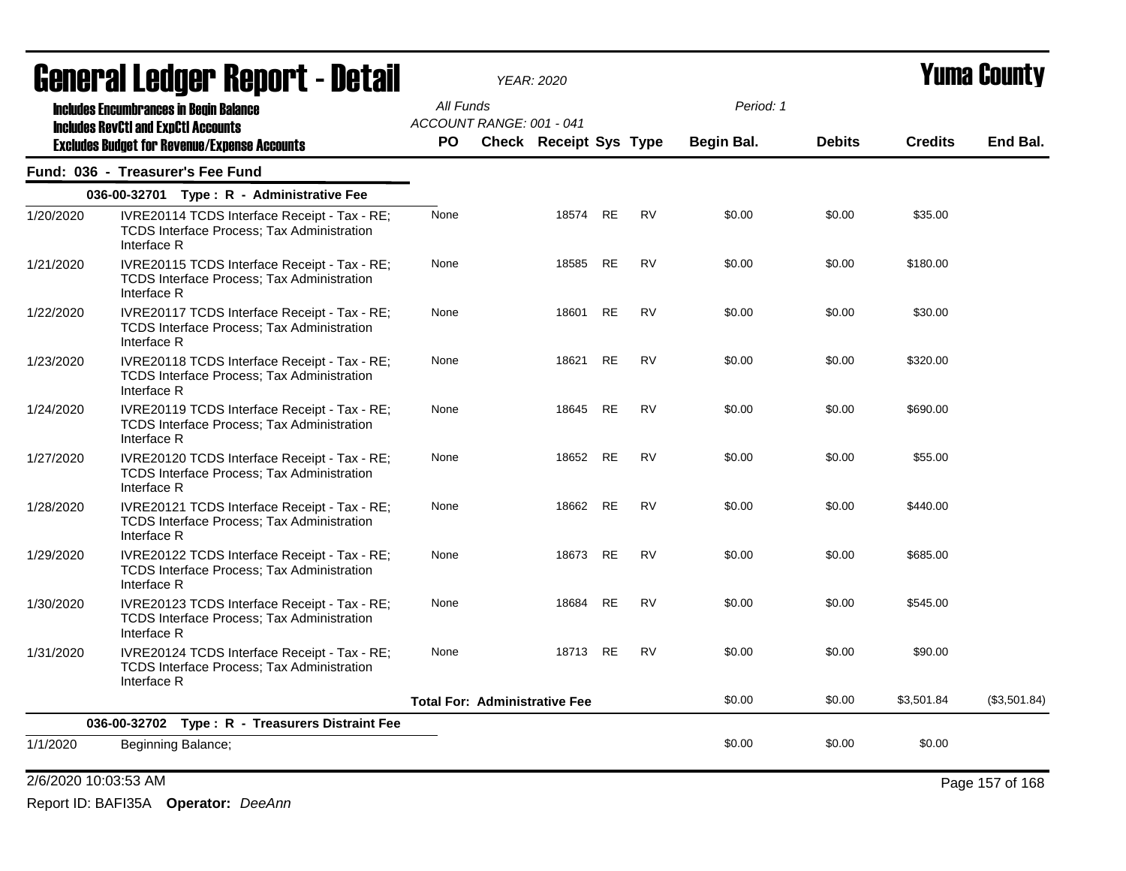|           | <u>agual.gi fanñal. Ughnl.1 - nafsh</u>                                                                          |           | YEAR: 2020                           |          |           |           |            |               | I UIIIA VUUIILY |              |
|-----------|------------------------------------------------------------------------------------------------------------------|-----------|--------------------------------------|----------|-----------|-----------|------------|---------------|-----------------|--------------|
|           | <b>Includes Encumbrances in Begin Balance</b><br><b>Includes RevCtI and ExpCtI Accounts</b>                      | All Funds | ACCOUNT RANGE: 001 - 041             |          |           |           | Period: 1  |               |                 |              |
|           | <b>Excludes Budget for Revenue/Expense Accounts</b>                                                              | <b>PO</b> | <b>Check Receipt Sys Type</b>        |          |           |           | Begin Bal. | <b>Debits</b> | <b>Credits</b>  | End Bal.     |
|           | Fund: 036 - Treasurer's Fee Fund                                                                                 |           |                                      |          |           |           |            |               |                 |              |
|           | 036-00-32701 Type: R - Administrative Fee                                                                        |           |                                      |          |           |           |            |               |                 |              |
| 1/20/2020 | IVRE20114 TCDS Interface Receipt - Tax - RE;<br>TCDS Interface Process; Tax Administration<br>Interface R        | None      |                                      | 18574    | RE        | <b>RV</b> | \$0.00     | \$0.00        | \$35.00         |              |
| 1/21/2020 | IVRE20115 TCDS Interface Receipt - Tax - RE;<br><b>TCDS Interface Process; Tax Administration</b><br>Interface R | None      |                                      | 18585    | RE        | <b>RV</b> | \$0.00     | \$0.00        | \$180.00        |              |
| 1/22/2020 | IVRE20117 TCDS Interface Receipt - Tax - RE;<br><b>TCDS Interface Process: Tax Administration</b><br>Interface R | None      |                                      | 18601    | RE        | <b>RV</b> | \$0.00     | \$0.00        | \$30.00         |              |
| 1/23/2020 | IVRE20118 TCDS Interface Receipt - Tax - RE;<br><b>TCDS Interface Process; Tax Administration</b><br>Interface R | None      |                                      | 18621    | RE        | <b>RV</b> | \$0.00     | \$0.00        | \$320.00        |              |
| 1/24/2020 | IVRE20119 TCDS Interface Receipt - Tax - RE;<br><b>TCDS Interface Process; Tax Administration</b><br>Interface R | None      |                                      | 18645    | RE        | <b>RV</b> | \$0.00     | \$0.00        | \$690.00        |              |
| 1/27/2020 | IVRE20120 TCDS Interface Receipt - Tax - RE;<br>TCDS Interface Process; Tax Administration<br>Interface R        | None      |                                      | 18652    | RE        | RV        | \$0.00     | \$0.00        | \$55.00         |              |
| 1/28/2020 | IVRE20121 TCDS Interface Receipt - Tax - RE;<br>TCDS Interface Process; Tax Administration<br>Interface R        | None      |                                      | 18662 RE |           | <b>RV</b> | \$0.00     | \$0.00        | \$440.00        |              |
| 1/29/2020 | IVRE20122 TCDS Interface Receipt - Tax - RE;<br>TCDS Interface Process; Tax Administration<br>Interface R        | None      |                                      | 18673    | <b>RE</b> | <b>RV</b> | \$0.00     | \$0.00        | \$685.00        |              |
| 1/30/2020 | IVRE20123 TCDS Interface Receipt - Tax - RE;<br>TCDS Interface Process; Tax Administration<br>Interface R        | None      |                                      | 18684    | <b>RE</b> | <b>RV</b> | \$0.00     | \$0.00        | \$545.00        |              |
| 1/31/2020 | IVRE20124 TCDS Interface Receipt - Tax - RE;<br>TCDS Interface Process; Tax Administration<br>Interface R        | None      |                                      | 18713 RE |           | <b>RV</b> | \$0.00     | \$0.00        | \$90.00         |              |
|           |                                                                                                                  |           | <b>Total For: Administrative Fee</b> |          |           |           | \$0.00     | \$0.00        | \$3,501.84      | (\$3,501.84) |
|           | 036-00-32702 Type: R - Treasurers Distraint Fee                                                                  |           |                                      |          |           |           |            |               |                 |              |
| 1/1/2020  | Beginning Balance;                                                                                               |           |                                      |          |           |           | \$0.00     | \$0.00        | \$0.00          |              |

2/6/2020 10:03:53 AM Page 157 of 168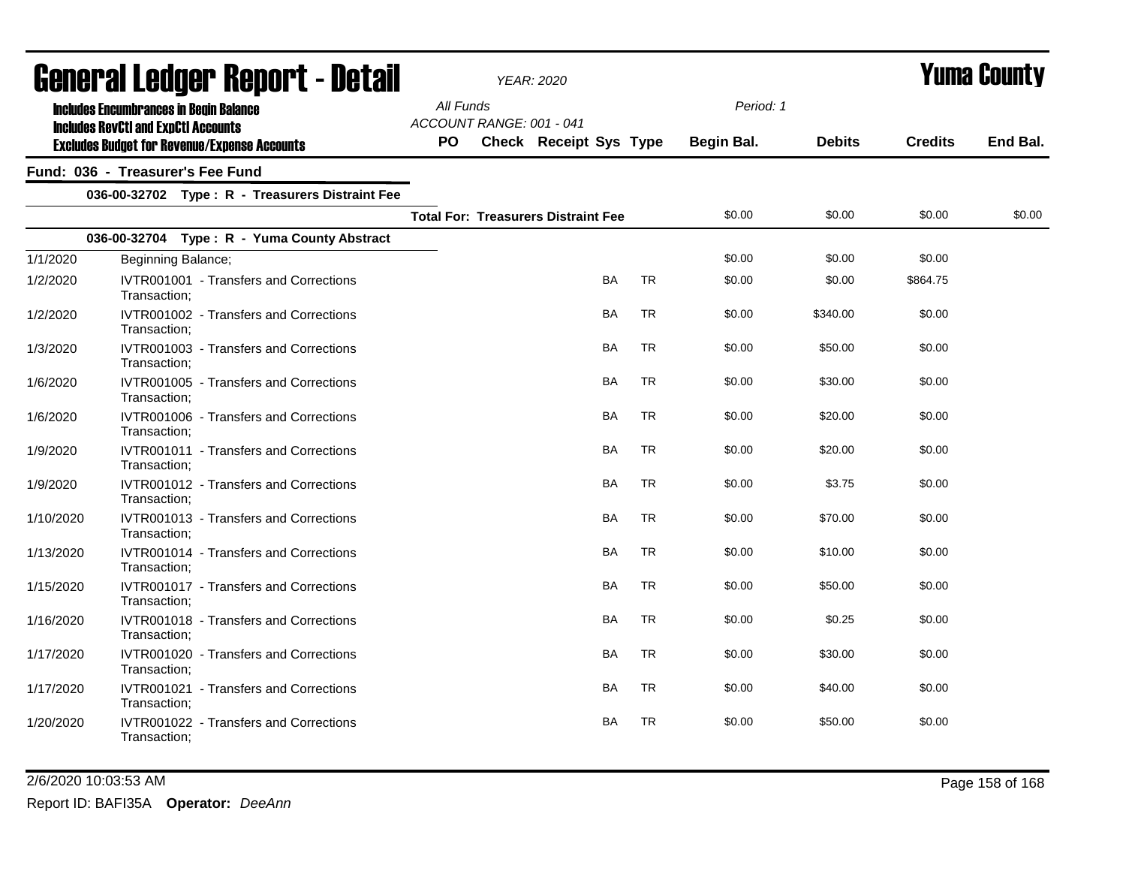| General Ledger Report - Detail |                                                                                             |                                       | <b>YEAR: 2020</b>                          |           |            |               | <b>Yuma County</b> |          |
|--------------------------------|---------------------------------------------------------------------------------------------|---------------------------------------|--------------------------------------------|-----------|------------|---------------|--------------------|----------|
|                                | <b>Includes Encumbrances in Begin Balance</b><br><b>Includes RevCtI and ExpCtI Accounts</b> | All Funds<br>ACCOUNT RANGE: 001 - 041 |                                            |           | Period: 1  |               |                    |          |
|                                | <b>Excludes Budget for Revenue/Expense Accounts</b>                                         | PO                                    | <b>Check Receipt Sys Type</b>              |           | Begin Bal. | <b>Debits</b> | <b>Credits</b>     | End Bal. |
|                                | Fund: 036 - Treasurer's Fee Fund                                                            |                                       |                                            |           |            |               |                    |          |
|                                | 036-00-32702 Type: R - Treasurers Distraint Fee                                             |                                       |                                            |           |            |               |                    |          |
|                                |                                                                                             |                                       | <b>Total For: Treasurers Distraint Fee</b> |           | \$0.00     | \$0.00        | \$0.00             | \$0.00   |
|                                | 036-00-32704 Type: R - Yuma County Abstract                                                 |                                       |                                            |           |            |               |                    |          |
| 1/1/2020                       | Beginning Balance;                                                                          |                                       |                                            |           | \$0.00     | \$0.00        | \$0.00             |          |
| 1/2/2020                       | IVTR001001 - Transfers and Corrections<br>Transaction;                                      |                                       | <b>BA</b>                                  | <b>TR</b> | \$0.00     | \$0.00        | \$864.75           |          |
| 1/2/2020                       | IVTR001002 - Transfers and Corrections<br>Transaction:                                      |                                       | <b>BA</b>                                  | <b>TR</b> | \$0.00     | \$340.00      | \$0.00             |          |
| 1/3/2020                       | IVTR001003 - Transfers and Corrections<br>Transaction;                                      |                                       | <b>BA</b>                                  | <b>TR</b> | \$0.00     | \$50.00       | \$0.00             |          |
| 1/6/2020                       | IVTR001005 - Transfers and Corrections<br>Transaction:                                      |                                       | BA                                         | <b>TR</b> | \$0.00     | \$30.00       | \$0.00             |          |
| 1/6/2020                       | IVTR001006 - Transfers and Corrections<br>Transaction;                                      |                                       | <b>BA</b>                                  | <b>TR</b> | \$0.00     | \$20.00       | \$0.00             |          |
| 1/9/2020                       | IVTR001011 - Transfers and Corrections<br>Transaction:                                      |                                       | BA                                         | <b>TR</b> | \$0.00     | \$20.00       | \$0.00             |          |
| 1/9/2020                       | IVTR001012 - Transfers and Corrections<br>Transaction;                                      |                                       | BA                                         | <b>TR</b> | \$0.00     | \$3.75        | \$0.00             |          |
| 1/10/2020                      | IVTR001013 - Transfers and Corrections<br>Transaction;                                      |                                       | <b>BA</b>                                  | <b>TR</b> | \$0.00     | \$70.00       | \$0.00             |          |
| 1/13/2020                      | IVTR001014 - Transfers and Corrections<br>Transaction:                                      |                                       | <b>BA</b>                                  | <b>TR</b> | \$0.00     | \$10.00       | \$0.00             |          |
| 1/15/2020                      | <b>IVTR001017 - Transfers and Corrections</b><br>Transaction;                               |                                       | BA                                         | TR        | \$0.00     | \$50.00       | \$0.00             |          |
| 1/16/2020                      | IVTR001018 - Transfers and Corrections<br>Transaction;                                      |                                       | <b>BA</b>                                  | <b>TR</b> | \$0.00     | \$0.25        | \$0.00             |          |
| 1/17/2020                      | IVTR001020 - Transfers and Corrections<br>Transaction:                                      |                                       | BA                                         | <b>TR</b> | \$0.00     | \$30.00       | \$0.00             |          |
| 1/17/2020                      | IVTR001021 - Transfers and Corrections<br>Transaction:                                      |                                       | <b>BA</b>                                  | <b>TR</b> | \$0.00     | \$40.00       | \$0.00             |          |
| 1/20/2020                      | IVTR001022 - Transfers and Corrections<br>Transaction;                                      |                                       | <b>BA</b>                                  | <b>TR</b> | \$0.00     | \$50.00       | \$0.00             |          |

2/6/2020 10:03:53 AM Page 158 of 168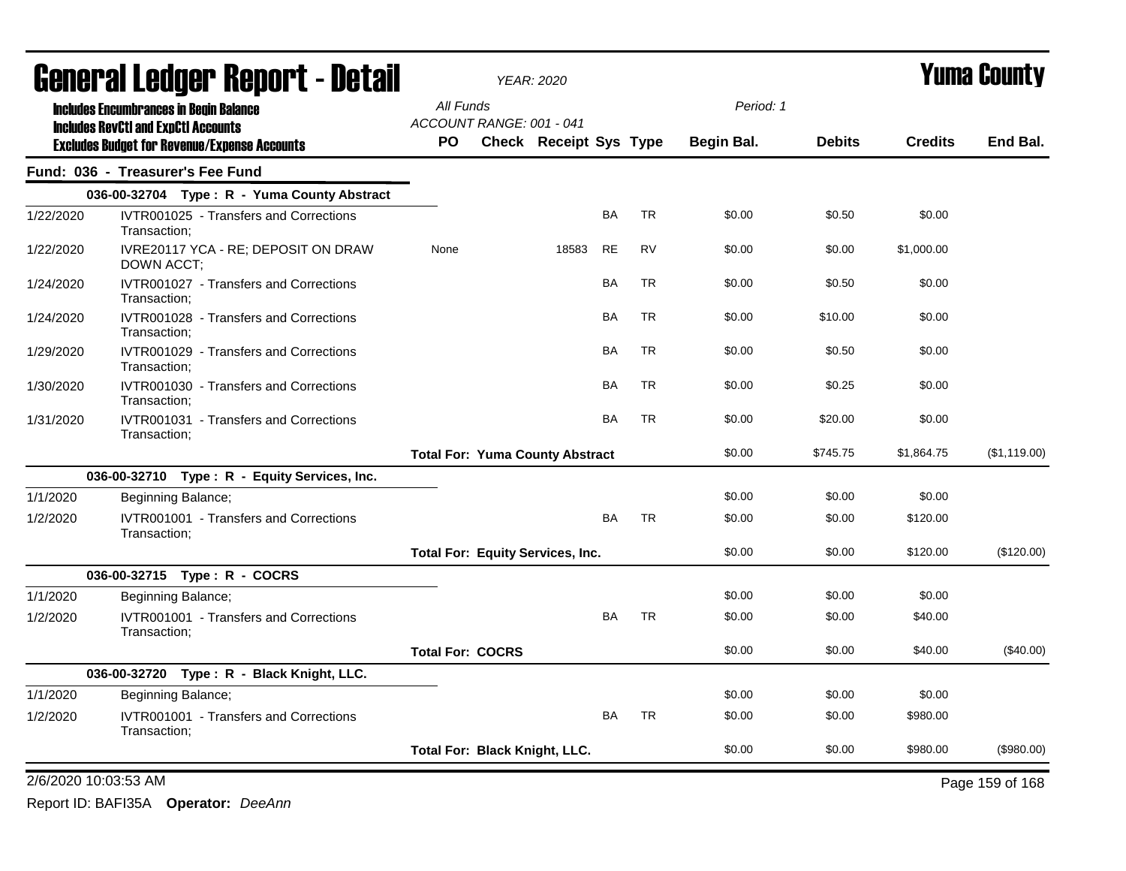|                      | Generai Leuger Keport - Detail                                                              |                         |                          | YEAR: 2020                              |           |           |            |               | Yuma Guunty    |                 |  |
|----------------------|---------------------------------------------------------------------------------------------|-------------------------|--------------------------|-----------------------------------------|-----------|-----------|------------|---------------|----------------|-----------------|--|
|                      | <b>Includes Encumbrances in Begin Balance</b><br><b>Includes RevCtI and ExpCtI Accounts</b> | All Funds               | ACCOUNT RANGE: 001 - 041 |                                         |           |           | Period: 1  |               |                |                 |  |
|                      | <b>Excludes Budget for Revenue/Expense Accounts</b>                                         | <b>PO</b>               |                          | Check Receipt Sys Type                  |           |           | Begin Bal. | <b>Debits</b> | <b>Credits</b> | End Bal.        |  |
|                      | Fund: 036 - Treasurer's Fee Fund                                                            |                         |                          |                                         |           |           |            |               |                |                 |  |
|                      | 036-00-32704 Type: R - Yuma County Abstract                                                 |                         |                          |                                         |           |           |            |               |                |                 |  |
| 1/22/2020            | IVTR001025 - Transfers and Corrections<br>Transaction;                                      |                         |                          |                                         | <b>BA</b> | <b>TR</b> | \$0.00     | \$0.50        | \$0.00         |                 |  |
| 1/22/2020            | IVRE20117 YCA - RE; DEPOSIT ON DRAW<br>DOWN ACCT;                                           | None                    |                          | 18583                                   | <b>RE</b> | <b>RV</b> | \$0.00     | \$0.00        | \$1,000.00     |                 |  |
| 1/24/2020            | IVTR001027 - Transfers and Corrections<br>Transaction:                                      |                         |                          |                                         | <b>BA</b> | <b>TR</b> | \$0.00     | \$0.50        | \$0.00         |                 |  |
| 1/24/2020            | IVTR001028 - Transfers and Corrections<br>Transaction;                                      |                         |                          |                                         | BA        | TR        | \$0.00     | \$10.00       | \$0.00         |                 |  |
| 1/29/2020            | IVTR001029 - Transfers and Corrections<br>Transaction;                                      |                         |                          |                                         | BA        | <b>TR</b> | \$0.00     | \$0.50        | \$0.00         |                 |  |
| 1/30/2020            | IVTR001030 - Transfers and Corrections<br>Transaction;                                      |                         |                          |                                         | BA        | <b>TR</b> | \$0.00     | \$0.25        | \$0.00         |                 |  |
| 1/31/2020            | IVTR001031 - Transfers and Corrections<br>Transaction;                                      |                         |                          |                                         | <b>BA</b> | <b>TR</b> | \$0.00     | \$20.00       | \$0.00         |                 |  |
|                      |                                                                                             |                         |                          | <b>Total For: Yuma County Abstract</b>  |           |           | \$0.00     | \$745.75      | \$1,864.75     | (\$1,119.00)    |  |
|                      | 036-00-32710 Type: R - Equity Services, Inc.                                                |                         |                          |                                         |           |           |            |               |                |                 |  |
| 1/1/2020             | Beginning Balance;                                                                          |                         |                          |                                         |           |           | \$0.00     | \$0.00        | \$0.00         |                 |  |
| 1/2/2020             | IVTR001001 - Transfers and Corrections<br>Transaction;                                      |                         |                          |                                         | <b>BA</b> | <b>TR</b> | \$0.00     | \$0.00        | \$120.00       |                 |  |
|                      |                                                                                             |                         |                          | <b>Total For: Equity Services, Inc.</b> |           |           | \$0.00     | \$0.00        | \$120.00       | (\$120.00)      |  |
|                      | 036-00-32715 Type: R - COCRS                                                                |                         |                          |                                         |           |           |            |               |                |                 |  |
| 1/1/2020             | Beginning Balance;                                                                          |                         |                          |                                         |           |           | \$0.00     | \$0.00        | \$0.00         |                 |  |
| 1/2/2020             | IVTR001001 - Transfers and Corrections<br>Transaction;                                      |                         |                          |                                         | <b>BA</b> | <b>TR</b> | \$0.00     | \$0.00        | \$40.00        |                 |  |
|                      |                                                                                             | <b>Total For: COCRS</b> |                          |                                         |           |           | \$0.00     | \$0.00        | \$40.00        | (\$40.00)       |  |
|                      | 036-00-32720 Type: R - Black Knight, LLC.                                                   |                         |                          |                                         |           |           |            |               |                |                 |  |
| 1/1/2020             | Beginning Balance;                                                                          |                         |                          |                                         |           |           | \$0.00     | \$0.00        | \$0.00         |                 |  |
| 1/2/2020             | IVTR001001 - Transfers and Corrections<br>Transaction;                                      |                         |                          |                                         | <b>BA</b> | <b>TR</b> | \$0.00     | \$0.00        | \$980.00       |                 |  |
|                      |                                                                                             |                         |                          | Total For: Black Knight, LLC.           |           |           | \$0.00     | \$0.00        | \$980.00       | (\$980.00)      |  |
| 2/6/2020 10:03:53 AM |                                                                                             |                         |                          |                                         |           |           |            |               |                | Page 159 of 168 |  |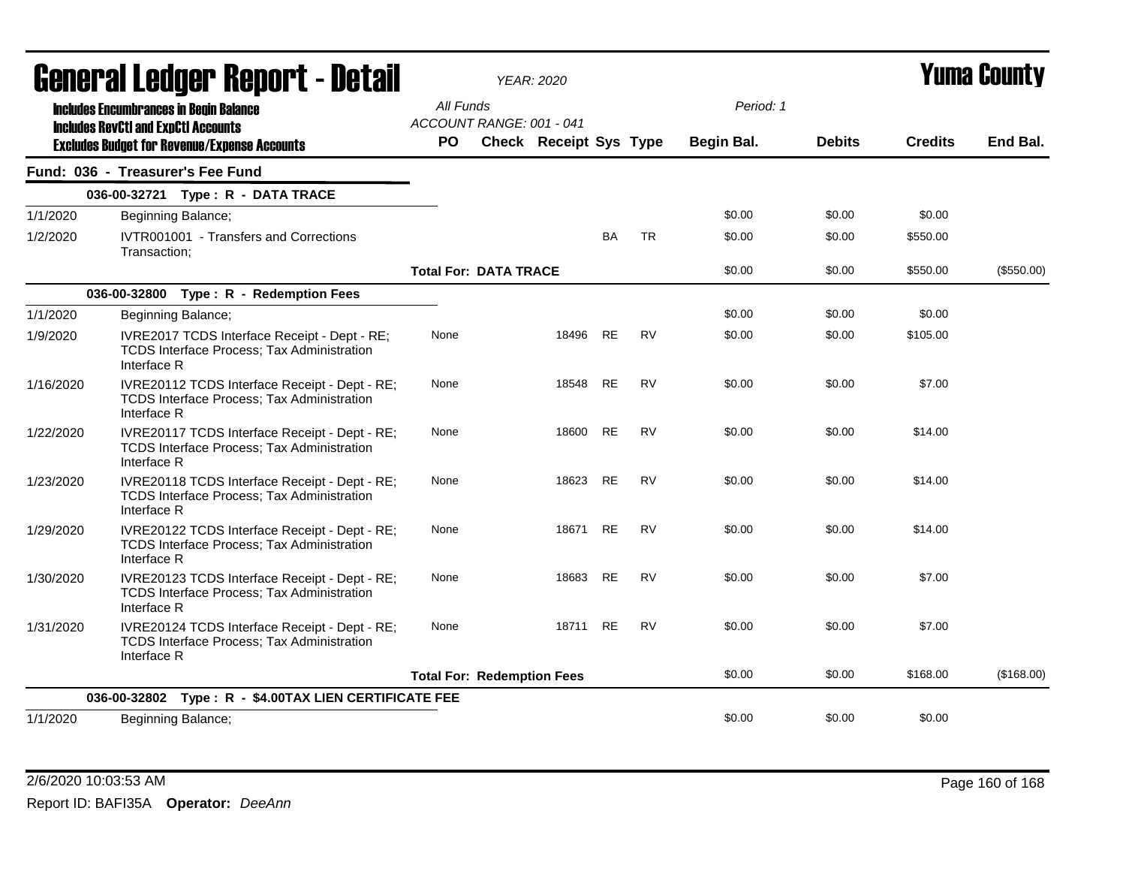|           | General Ledger Report - Detail                                                                                    |           | <b>YEAR: 2020</b>                 |       |           |           |            |               | Yuma Countv    |            |
|-----------|-------------------------------------------------------------------------------------------------------------------|-----------|-----------------------------------|-------|-----------|-----------|------------|---------------|----------------|------------|
|           | <b>Includes Encumbrances in Begin Balance</b>                                                                     | All Funds | ACCOUNT RANGE: 001 - 041          |       |           |           | Period: 1  |               |                |            |
|           | <b>Includes RevCtI and ExpCtI Accounts</b><br><b>Excludes Budget for Revenue/Expense Accounts</b>                 | <b>PO</b> | <b>Check Receipt Sys Type</b>     |       |           |           | Begin Bal. | <b>Debits</b> | <b>Credits</b> | End Bal.   |
|           | Fund: 036 - Treasurer's Fee Fund                                                                                  |           |                                   |       |           |           |            |               |                |            |
|           | 036-00-32721 Type: R - DATA TRACE                                                                                 |           |                                   |       |           |           |            |               |                |            |
| 1/1/2020  | Beginning Balance;                                                                                                |           |                                   |       |           |           | \$0.00     | \$0.00        | \$0.00         |            |
| 1/2/2020  | IVTR001001 - Transfers and Corrections<br>Transaction:                                                            |           |                                   |       | <b>BA</b> | <b>TR</b> | \$0.00     | \$0.00        | \$550.00       |            |
|           |                                                                                                                   |           | <b>Total For: DATA TRACE</b>      |       |           |           | \$0.00     | \$0.00        | \$550.00       | (\$550.00) |
|           | 036-00-32800 Type: R - Redemption Fees                                                                            |           |                                   |       |           |           |            |               |                |            |
| 1/1/2020  | Beginning Balance;                                                                                                |           |                                   |       |           |           | \$0.00     | \$0.00        | \$0.00         |            |
| 1/9/2020  | IVRE2017 TCDS Interface Receipt - Dept - RE;<br><b>TCDS Interface Process; Tax Administration</b><br>Interface R  | None      |                                   | 18496 | <b>RE</b> | <b>RV</b> | \$0.00     | \$0.00        | \$105.00       |            |
| 1/16/2020 | IVRE20112 TCDS Interface Receipt - Dept - RE;<br><b>TCDS Interface Process; Tax Administration</b><br>Interface R | None      |                                   | 18548 | <b>RE</b> | <b>RV</b> | \$0.00     | \$0.00        | \$7.00         |            |
| 1/22/2020 | IVRE20117 TCDS Interface Receipt - Dept - RE;<br><b>TCDS Interface Process; Tax Administration</b><br>Interface R | None      |                                   | 18600 | <b>RE</b> | <b>RV</b> | \$0.00     | \$0.00        | \$14.00        |            |
| 1/23/2020 | IVRE20118 TCDS Interface Receipt - Dept - RE;<br>TCDS Interface Process; Tax Administration<br>Interface R        | None      |                                   | 18623 | <b>RE</b> | <b>RV</b> | \$0.00     | \$0.00        | \$14.00        |            |
| 1/29/2020 | IVRE20122 TCDS Interface Receipt - Dept - RE;<br>TCDS Interface Process; Tax Administration<br>Interface R        | None      |                                   | 18671 | RE        | <b>RV</b> | \$0.00     | \$0.00        | \$14.00        |            |
| 1/30/2020 | IVRE20123 TCDS Interface Receipt - Dept - RE;<br><b>TCDS Interface Process; Tax Administration</b><br>Interface R | None      |                                   | 18683 | <b>RE</b> | <b>RV</b> | \$0.00     | \$0.00        | \$7.00         |            |
| 1/31/2020 | IVRE20124 TCDS Interface Receipt - Dept - RE;<br>TCDS Interface Process; Tax Administration<br>Interface R        | None      |                                   | 18711 | <b>RE</b> | <b>RV</b> | \$0.00     | \$0.00        | \$7.00         |            |
|           |                                                                                                                   |           | <b>Total For: Redemption Fees</b> |       |           |           | \$0.00     | \$0.00        | \$168.00       | (\$168.00) |
|           | 036-00-32802 Type: R - \$4.00TAX LIEN CERTIFICATE FEE                                                             |           |                                   |       |           |           |            |               |                |            |
| 1/1/2020  | Beginning Balance;                                                                                                |           |                                   |       |           |           | \$0.00     | \$0.00        | \$0.00         |            |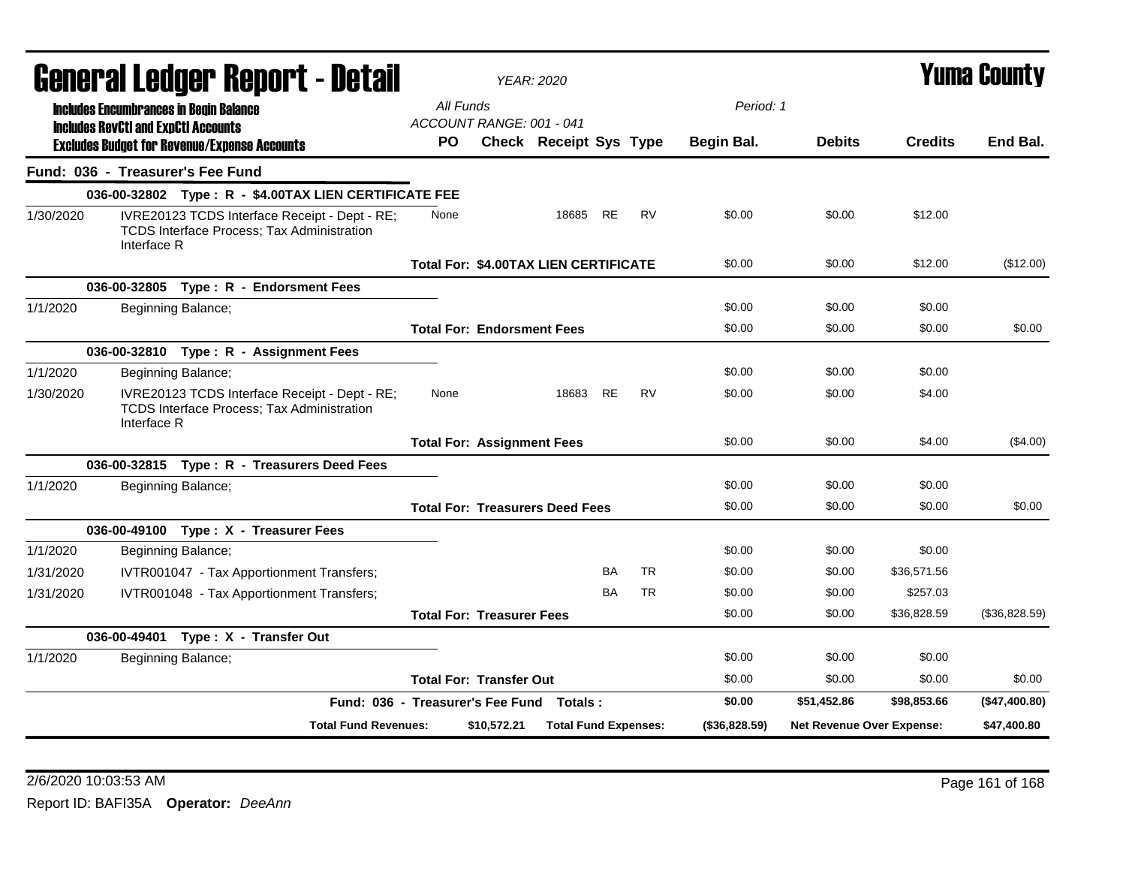|           |                                            | General Ledger Report - Detail                                                              |                                          |             | <b>YEAR: 2020</b>             |           |           |                   |                           | Yuma Countv    |               |  |
|-----------|--------------------------------------------|---------------------------------------------------------------------------------------------|------------------------------------------|-------------|-------------------------------|-----------|-----------|-------------------|---------------------------|----------------|---------------|--|
|           |                                            | <b>Includes Encumbrances in Begin Balance</b>                                               | All Funds                                |             |                               |           |           | Period: 1         |                           |                |               |  |
|           | <b>Includes RevCtI and ExpCtI Accounts</b> |                                                                                             | ACCOUNT RANGE: 001 - 041                 |             |                               |           |           |                   |                           |                |               |  |
|           |                                            | <b>Excludes Budget for Revenue/Expense Accounts</b>                                         | PO.                                      |             | <b>Check Receipt Sys Type</b> |           |           | <b>Begin Bal.</b> | <b>Debits</b>             | <b>Credits</b> | End Bal.      |  |
|           |                                            | Fund: 036 - Treasurer's Fee Fund                                                            |                                          |             |                               |           |           |                   |                           |                |               |  |
|           |                                            | 036-00-32802 Type: R - \$4.00TAX LIEN CERTIFICATE FEE                                       |                                          |             |                               |           |           |                   |                           |                |               |  |
| 1/30/2020 | Interface R                                | IVRE20123 TCDS Interface Receipt - Dept - RE;<br>TCDS Interface Process; Tax Administration | None                                     |             | 18685                         | <b>RE</b> | <b>RV</b> | \$0.00            | \$0.00                    | \$12.00        |               |  |
|           |                                            |                                                                                             | Total For: \$4.00TAX LIEN CERTIFICATE    |             |                               |           |           | \$0.00            | \$0.00                    | \$12.00        | (\$12.00)     |  |
|           |                                            | 036-00-32805 Type: R - Endorsment Fees                                                      |                                          |             |                               |           |           |                   |                           |                |               |  |
| 1/1/2020  |                                            | Beginning Balance;                                                                          |                                          |             |                               |           |           | \$0.00            | \$0.00                    | \$0.00         |               |  |
|           |                                            |                                                                                             | <b>Total For: Endorsment Fees</b>        |             |                               |           |           | \$0.00            | \$0.00                    | \$0.00         | \$0.00        |  |
|           |                                            | 036-00-32810 Type: R - Assignment Fees                                                      |                                          |             |                               |           |           |                   |                           |                |               |  |
| 1/1/2020  |                                            | Beginning Balance;                                                                          |                                          |             |                               |           |           | \$0.00            | \$0.00                    | \$0.00         |               |  |
| 1/30/2020 | Interface R                                | IVRE20123 TCDS Interface Receipt - Dept - RE;<br>TCDS Interface Process; Tax Administration | None                                     |             | 18683                         | <b>RE</b> | <b>RV</b> | \$0.00            | \$0.00                    | \$4.00         |               |  |
|           |                                            |                                                                                             | <b>Total For: Assignment Fees</b>        |             |                               |           |           | \$0.00            | \$0.00                    | \$4.00         | (\$4.00)      |  |
|           |                                            | 036-00-32815 Type: R - Treasurers Deed Fees                                                 |                                          |             |                               |           |           |                   |                           |                |               |  |
| 1/1/2020  |                                            | Beginning Balance;                                                                          |                                          |             |                               |           |           | \$0.00            | \$0.00                    | \$0.00         |               |  |
|           |                                            |                                                                                             | <b>Total For: Treasurers Deed Fees</b>   |             |                               |           |           | \$0.00            | \$0.00                    | \$0.00         | \$0.00        |  |
|           |                                            | 036-00-49100 Type: X - Treasurer Fees                                                       |                                          |             |                               |           |           |                   |                           |                |               |  |
| 1/1/2020  |                                            | Beginning Balance;                                                                          |                                          |             |                               |           |           | \$0.00            | \$0.00                    | \$0.00         |               |  |
| 1/31/2020 |                                            | IVTR001047 - Tax Apportionment Transfers;                                                   |                                          |             |                               | BA        | <b>TR</b> | \$0.00            | \$0.00                    | \$36,571.56    |               |  |
| 1/31/2020 |                                            | IVTR001048 - Tax Apportionment Transfers;                                                   |                                          |             |                               | <b>BA</b> | <b>TR</b> | \$0.00            | \$0.00                    | \$257.03       |               |  |
|           |                                            |                                                                                             | <b>Total For: Treasurer Fees</b>         |             |                               |           |           | \$0.00            | \$0.00                    | \$36,828.59    | (\$36,828.59) |  |
|           |                                            | 036-00-49401 Type: X - Transfer Out                                                         |                                          |             |                               |           |           |                   |                           |                |               |  |
| 1/1/2020  |                                            | Beginning Balance;                                                                          |                                          |             |                               |           |           | \$0.00            | \$0.00                    | \$0.00         |               |  |
|           |                                            |                                                                                             | <b>Total For: Transfer Out</b>           |             |                               |           |           | \$0.00            | \$0.00                    | \$0.00         | \$0.00        |  |
|           |                                            |                                                                                             | Fund: 036 - Treasurer's Fee Fund Totals: |             |                               |           |           | \$0.00            | \$51,452.86               | \$98,853.66    | (\$47,400.80) |  |
|           |                                            | <b>Total Fund Revenues:</b>                                                                 |                                          | \$10,572.21 | <b>Total Fund Expenses:</b>   |           |           | $($ \$36,828.59)  | Net Revenue Over Expense: |                | \$47,400.80   |  |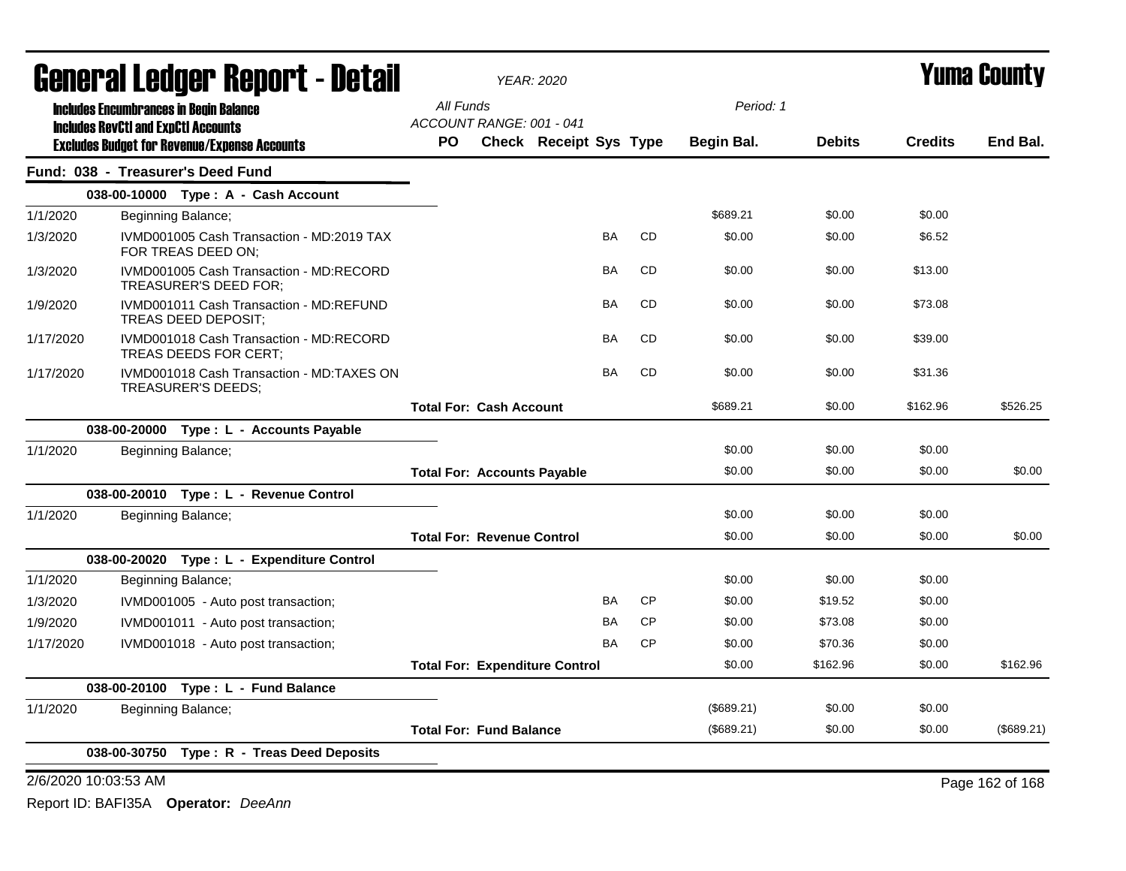|           | <b>General Ledger Report - Detail</b>                                 |                                       | <b>YEAR: 2020</b>             |           | <b>Yuma County</b> |                   |               |                                                                                                                                                                                                |                 |  |
|-----------|-----------------------------------------------------------------------|---------------------------------------|-------------------------------|-----------|--------------------|-------------------|---------------|------------------------------------------------------------------------------------------------------------------------------------------------------------------------------------------------|-----------------|--|
|           | <b>Includes Encumbrances in Begin Balance</b>                         | All Funds                             |                               |           |                    | Period: 1         |               |                                                                                                                                                                                                |                 |  |
|           | <b>Includes RevCtI and ExpCtI Accounts</b>                            | ACCOUNT RANGE: 001 - 041              |                               |           |                    |                   |               |                                                                                                                                                                                                |                 |  |
|           | <b>Excludes Budget for Revenue/Expense Accounts</b>                   | <b>PO</b>                             | <b>Check Receipt Sys Type</b> |           |                    | <b>Begin Bal.</b> | <b>Debits</b> | <b>Credits</b><br>\$0.00<br>\$6.52<br>\$13.00<br>\$73.08<br>\$39.00<br>\$31.36<br>\$162.96<br>\$0.00<br>\$0.00<br>\$0.00<br>\$0.00<br>\$0.00<br>\$0.00<br>\$0.00<br>\$0.00<br>\$0.00<br>\$0.00 | End Bal.        |  |
|           | Fund: 038 - Treasurer's Deed Fund                                     |                                       |                               |           |                    |                   |               |                                                                                                                                                                                                |                 |  |
|           | 038-00-10000 Type: A - Cash Account                                   |                                       |                               |           |                    |                   |               |                                                                                                                                                                                                |                 |  |
| 1/1/2020  | Beginning Balance;                                                    |                                       |                               |           |                    | \$689.21          | \$0.00        |                                                                                                                                                                                                |                 |  |
| 1/3/2020  | IVMD001005 Cash Transaction - MD:2019 TAX<br>FOR TREAS DEED ON;       |                                       |                               | <b>BA</b> | <b>CD</b>          | \$0.00            | \$0.00        |                                                                                                                                                                                                |                 |  |
| 1/3/2020  | IVMD001005 Cash Transaction - MD:RECORD<br>TREASURER'S DEED FOR;      |                                       |                               | <b>BA</b> | <b>CD</b>          | \$0.00            | \$0.00        |                                                                                                                                                                                                |                 |  |
| 1/9/2020  | IVMD001011 Cash Transaction - MD:REFUND<br><b>TREAS DEED DEPOSIT;</b> |                                       |                               | <b>BA</b> | <b>CD</b>          | \$0.00            | \$0.00        |                                                                                                                                                                                                |                 |  |
| 1/17/2020 | IVMD001018 Cash Transaction - MD:RECORD<br>TREAS DEEDS FOR CERT;      |                                       |                               | <b>BA</b> | <b>CD</b>          | \$0.00            | \$0.00        |                                                                                                                                                                                                |                 |  |
| 1/17/2020 | IVMD001018 Cash Transaction - MD:TAXES ON<br>TREASURER'S DEEDS;       |                                       |                               | BA        | CD                 | \$0.00            | \$0.00        |                                                                                                                                                                                                |                 |  |
|           |                                                                       | <b>Total For: Cash Account</b>        |                               |           |                    | \$689.21          | \$0.00        |                                                                                                                                                                                                | \$526.25        |  |
|           | 038-00-20000 Type : L - Accounts Payable                              |                                       |                               |           |                    |                   |               |                                                                                                                                                                                                |                 |  |
| 1/1/2020  | Beginning Balance;                                                    |                                       |                               |           |                    | \$0.00            | \$0.00        |                                                                                                                                                                                                |                 |  |
|           |                                                                       | <b>Total For: Accounts Payable</b>    |                               |           |                    | \$0.00            | \$0.00        |                                                                                                                                                                                                | \$0.00          |  |
|           | 038-00-20010 Type: L - Revenue Control                                |                                       |                               |           |                    |                   |               |                                                                                                                                                                                                |                 |  |
| 1/1/2020  | Beginning Balance;                                                    |                                       |                               |           |                    | \$0.00            | \$0.00        |                                                                                                                                                                                                |                 |  |
|           |                                                                       | <b>Total For: Revenue Control</b>     |                               |           |                    | \$0.00            | \$0.00        |                                                                                                                                                                                                | \$0.00          |  |
|           | 038-00-20020 Type: L - Expenditure Control                            |                                       |                               |           |                    |                   |               |                                                                                                                                                                                                |                 |  |
| 1/1/2020  | Beginning Balance;                                                    |                                       |                               |           |                    | \$0.00            | \$0.00        |                                                                                                                                                                                                |                 |  |
| 1/3/2020  | IVMD001005 - Auto post transaction;                                   |                                       |                               | <b>BA</b> | <b>CP</b>          | \$0.00            | \$19.52       |                                                                                                                                                                                                |                 |  |
| 1/9/2020  | IVMD001011 - Auto post transaction;                                   |                                       |                               | BA        | <b>CP</b>          | \$0.00            | \$73.08       |                                                                                                                                                                                                |                 |  |
| 1/17/2020 | IVMD001018 - Auto post transaction;                                   |                                       |                               | <b>BA</b> | <b>CP</b>          | \$0.00            | \$70.36       |                                                                                                                                                                                                |                 |  |
|           |                                                                       | <b>Total For: Expenditure Control</b> |                               |           |                    | \$0.00            | \$162.96      |                                                                                                                                                                                                | \$162.96        |  |
|           | 038-00-20100 Type: L - Fund Balance                                   |                                       |                               |           |                    |                   |               |                                                                                                                                                                                                |                 |  |
| 1/1/2020  | Beginning Balance;                                                    |                                       |                               |           |                    | (\$689.21)        | \$0.00        |                                                                                                                                                                                                |                 |  |
|           |                                                                       | <b>Total For: Fund Balance</b>        |                               |           |                    | (\$689.21)        | \$0.00        | \$0.00                                                                                                                                                                                         | (\$689.21)      |  |
|           | 038-00-30750 Type: R - Treas Deed Deposits                            |                                       |                               |           |                    |                   |               |                                                                                                                                                                                                |                 |  |
|           | 2/6/2020 10:03:53 AM                                                  |                                       |                               |           |                    |                   |               |                                                                                                                                                                                                | Page 162 of 168 |  |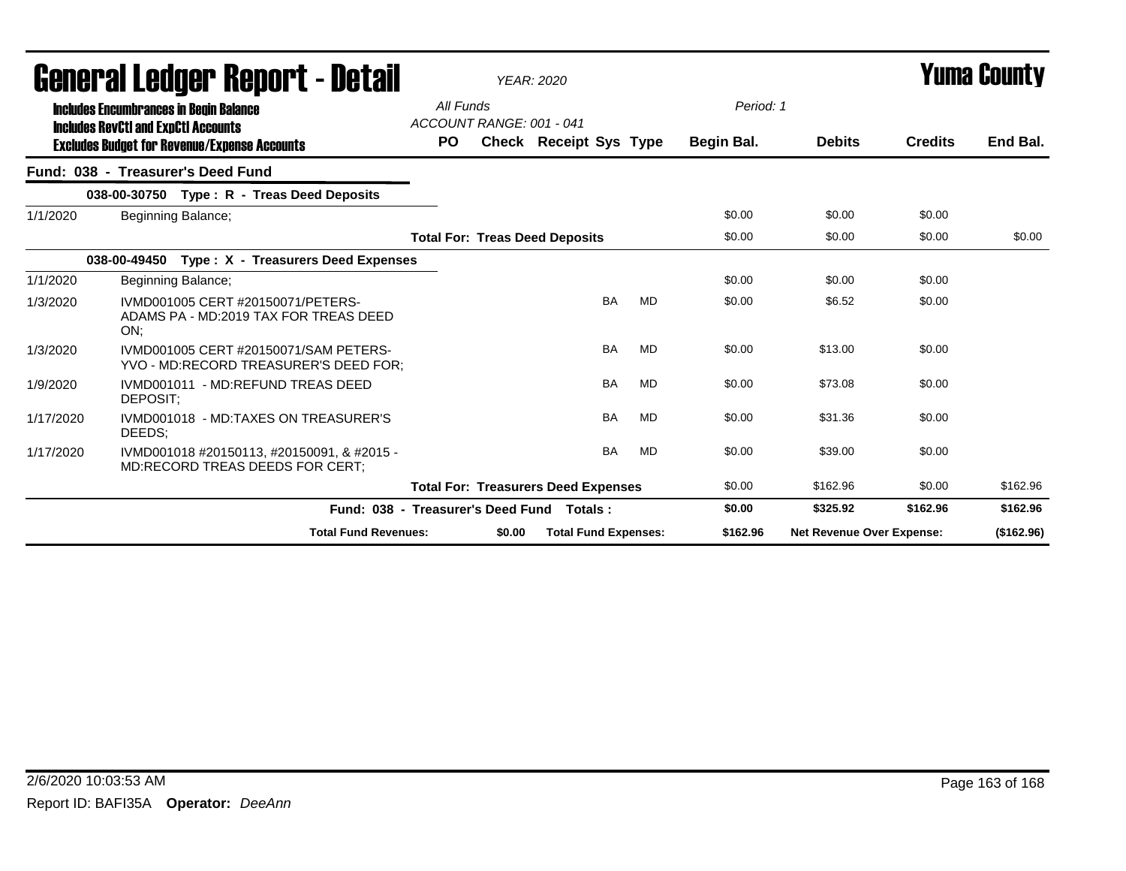|           | <b>General Ledger Report - Detail</b>                                                       |           |                          | <b>YEAR: 2020</b>                          |           |            | <b>Yuma County</b>               |                |            |
|-----------|---------------------------------------------------------------------------------------------|-----------|--------------------------|--------------------------------------------|-----------|------------|----------------------------------|----------------|------------|
|           | <b>Includes Encumbrances in Begin Balance</b><br><b>Includes RevCtI and ExpCtI Accounts</b> | All Funds | ACCOUNT RANGE: 001 - 041 |                                            |           | Period: 1  |                                  |                |            |
|           | <b>Excludes Budget for Revenue/Expense Accounts</b>                                         | <b>PO</b> |                          | Check Receipt Sys Type                     |           | Begin Bal. | <b>Debits</b>                    | <b>Credits</b> | End Bal.   |
|           | Fund: 038 - Treasurer's Deed Fund                                                           |           |                          |                                            |           |            |                                  |                |            |
|           | 038-00-30750 Type: R - Treas Deed Deposits                                                  |           |                          |                                            |           |            |                                  |                |            |
| 1/1/2020  | Beginning Balance;                                                                          |           |                          |                                            |           | \$0.00     | \$0.00                           | \$0.00         |            |
|           |                                                                                             |           |                          | <b>Total For: Treas Deed Deposits</b>      |           | \$0.00     | \$0.00                           | \$0.00         | \$0.00     |
|           | 038-00-49450<br>Type: X - Treasurers Deed Expenses                                          |           |                          |                                            |           |            |                                  |                |            |
| 1/1/2020  | Beginning Balance;                                                                          |           |                          |                                            |           | \$0.00     | \$0.00                           | \$0.00         |            |
| 1/3/2020  | IVMD001005 CERT #20150071/PETERS-<br>ADAMS PA - MD:2019 TAX FOR TREAS DEED<br>ON:           |           |                          | <b>BA</b>                                  | MD        | \$0.00     | \$6.52                           | \$0.00         |            |
| 1/3/2020  | IVMD001005 CERT #20150071/SAM PETERS-<br>YVO - MD:RECORD TREASURER'S DEED FOR;              |           |                          | <b>BA</b>                                  | <b>MD</b> | \$0.00     | \$13.00                          | \$0.00         |            |
| 1/9/2020  | IVMD001011 - MD:REFUND TREAS DEED<br>DEPOSIT:                                               |           |                          | <b>BA</b>                                  | MD        | \$0.00     | \$73.08                          | \$0.00         |            |
| 1/17/2020 | IVMD001018 - MD:TAXES ON TREASURER'S<br>DEEDS:                                              |           |                          | <b>BA</b>                                  | <b>MD</b> | \$0.00     | \$31.36                          | \$0.00         |            |
| 1/17/2020 | IVMD001018 #20150113. #20150091. & #2015 -<br>MD:RECORD TREAS DEEDS FOR CERT;               |           |                          | <b>BA</b>                                  | <b>MD</b> | \$0.00     | \$39.00                          | \$0.00         |            |
|           |                                                                                             |           |                          | <b>Total For: Treasurers Deed Expenses</b> |           | \$0.00     | \$162.96                         | \$0.00         | \$162.96   |
|           | Fund: 038 - Treasurer's Deed Fund                                                           |           |                          | Totals:                                    |           | \$0.00     | \$325.92                         | \$162.96       | \$162.96   |
|           | <b>Total Fund Revenues:</b>                                                                 |           | \$0.00                   | <b>Total Fund Expenses:</b>                |           | \$162.96   | <b>Net Revenue Over Expense:</b> |                | (\$162.96) |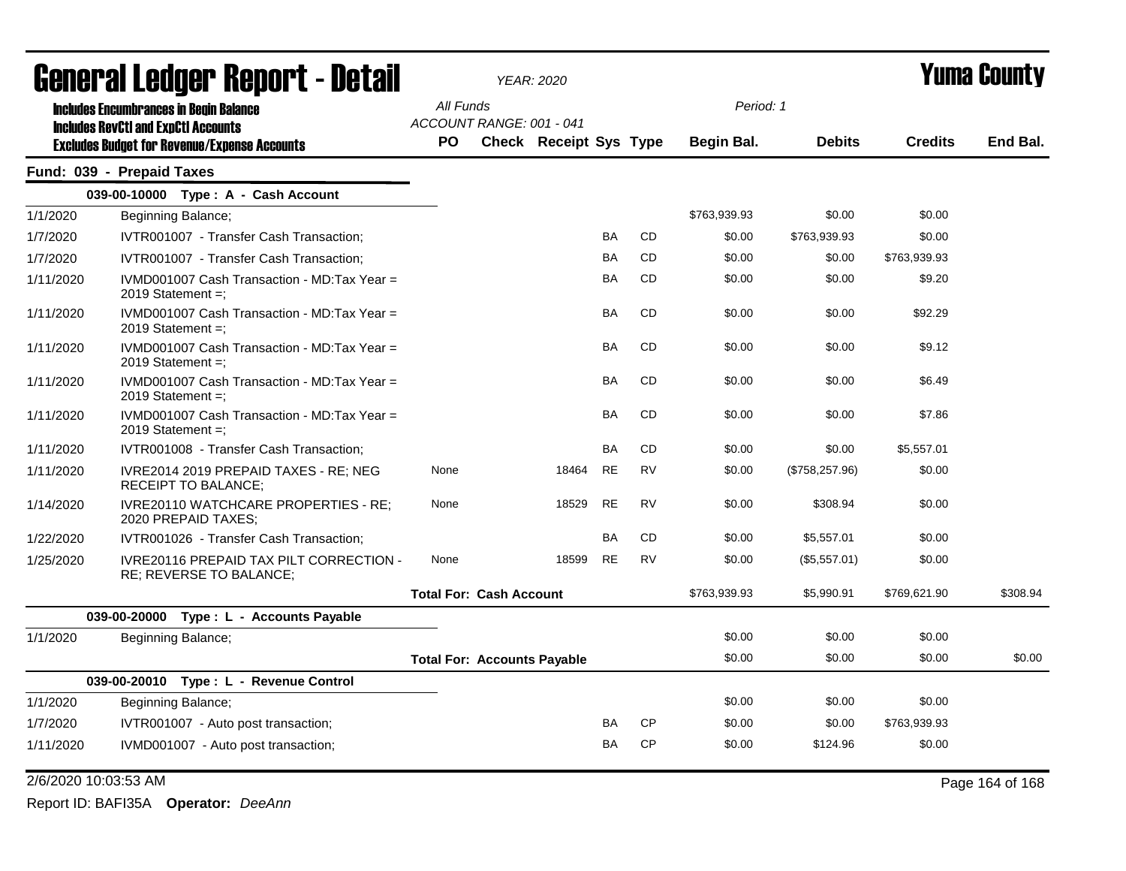|           | General Ledger Report - Detail                                                                    |                                       | <b>YEAR: 2020</b>             |           |           |              |                 |                | <b>Yuma County</b> |  |  |
|-----------|---------------------------------------------------------------------------------------------------|---------------------------------------|-------------------------------|-----------|-----------|--------------|-----------------|----------------|--------------------|--|--|
|           | <b>Includes Encumbrances in Begin Balance</b>                                                     | All Funds<br>ACCOUNT RANGE: 001 - 041 |                               |           |           | Period: 1    |                 |                |                    |  |  |
|           | <b>Includes RevCtI and ExpCtI Accounts</b><br><b>Excludes Budget for Revenue/Expense Accounts</b> | <b>PO</b>                             | <b>Check Receipt Sys Type</b> |           |           | Begin Bal.   | <b>Debits</b>   | <b>Credits</b> | End Bal.           |  |  |
|           | Fund: 039 - Prepaid Taxes                                                                         |                                       |                               |           |           |              |                 |                |                    |  |  |
|           | 039-00-10000 Type: A - Cash Account                                                               |                                       |                               |           |           |              |                 |                |                    |  |  |
| 1/1/2020  | Beginning Balance;                                                                                |                                       |                               |           |           | \$763,939.93 | \$0.00          | \$0.00         |                    |  |  |
| 1/7/2020  | IVTR001007 - Transfer Cash Transaction;                                                           |                                       |                               | BA        | <b>CD</b> | \$0.00       | \$763,939.93    | \$0.00         |                    |  |  |
| 1/7/2020  | IVTR001007 - Transfer Cash Transaction;                                                           |                                       |                               | BA        | <b>CD</b> | \$0.00       | \$0.00          | \$763,939.93   |                    |  |  |
| 1/11/2020 | IVMD001007 Cash Transaction - MD:Tax Year =<br>2019 Statement =:                                  |                                       |                               | BA        | <b>CD</b> | \$0.00       | \$0.00          | \$9.20         |                    |  |  |
| 1/11/2020 | IVMD001007 Cash Transaction - MD:Tax Year =<br>2019 Statement =;                                  |                                       |                               | BA        | <b>CD</b> | \$0.00       | \$0.00          | \$92.29        |                    |  |  |
| 1/11/2020 | IVMD001007 Cash Transaction - MD:Tax Year =<br>2019 Statement =;                                  |                                       |                               | <b>BA</b> | <b>CD</b> | \$0.00       | \$0.00          | \$9.12         |                    |  |  |
| 1/11/2020 | IVMD001007 Cash Transaction - MD:Tax Year =<br>2019 Statement =:                                  |                                       |                               | BA        | <b>CD</b> | \$0.00       | \$0.00          | \$6.49         |                    |  |  |
| 1/11/2020 | IVMD001007 Cash Transaction - MD:Tax Year =<br>2019 Statement $=$ :                               |                                       |                               | BA        | CD        | \$0.00       | \$0.00          | \$7.86         |                    |  |  |
| 1/11/2020 | IVTR001008 - Transfer Cash Transaction;                                                           |                                       |                               | BA        | <b>CD</b> | \$0.00       | \$0.00          | \$5,557.01     |                    |  |  |
| 1/11/2020 | IVRE2014 2019 PREPAID TAXES - RE; NEG<br><b>RECEIPT TO BALANCE:</b>                               | None                                  | 18464                         | <b>RE</b> | <b>RV</b> | \$0.00       | (\$758, 257.96) | \$0.00         |                    |  |  |
| 1/14/2020 | IVRE20110 WATCHCARE PROPERTIES - RE;<br>2020 PREPAID TAXES:                                       | None                                  | 18529                         | <b>RE</b> | <b>RV</b> | \$0.00       | \$308.94        | \$0.00         |                    |  |  |
| 1/22/2020 | IVTR001026 - Transfer Cash Transaction:                                                           |                                       |                               | BA        | CD        | \$0.00       | \$5,557.01      | \$0.00         |                    |  |  |
| 1/25/2020 | <b>IVRE20116 PREPAID TAX PILT CORRECTION -</b><br>RE; REVERSE TO BALANCE;                         | None                                  | 18599                         | <b>RE</b> | <b>RV</b> | \$0.00       | (\$5,557.01)    | \$0.00         |                    |  |  |
|           |                                                                                                   | <b>Total For: Cash Account</b>        |                               |           |           | \$763,939.93 | \$5,990.91      | \$769.621.90   | \$308.94           |  |  |
|           | 039-00-20000 Type: L - Accounts Payable                                                           |                                       |                               |           |           |              |                 |                |                    |  |  |
| 1/1/2020  | Beginning Balance;                                                                                |                                       |                               |           |           | \$0.00       | \$0.00          | \$0.00         |                    |  |  |
|           |                                                                                                   | <b>Total For: Accounts Payable</b>    |                               |           |           | \$0.00       | \$0.00          | \$0.00         | \$0.00             |  |  |
|           | 039-00-20010 Type: L - Revenue Control                                                            |                                       |                               |           |           |              |                 |                |                    |  |  |
| 1/1/2020  | Beginning Balance;                                                                                |                                       |                               |           |           | \$0.00       | \$0.00          | \$0.00         |                    |  |  |
| 1/7/2020  | IVTR001007 - Auto post transaction;                                                               |                                       |                               | BA        | <b>CP</b> | \$0.00       | \$0.00          | \$763,939.93   |                    |  |  |
| 1/11/2020 | IVMD001007 - Auto post transaction;                                                               |                                       |                               | BA        | <b>CP</b> | \$0.00       | \$124.96        | \$0.00         |                    |  |  |

2/6/2020 10:03:53 AM Page 164 of 168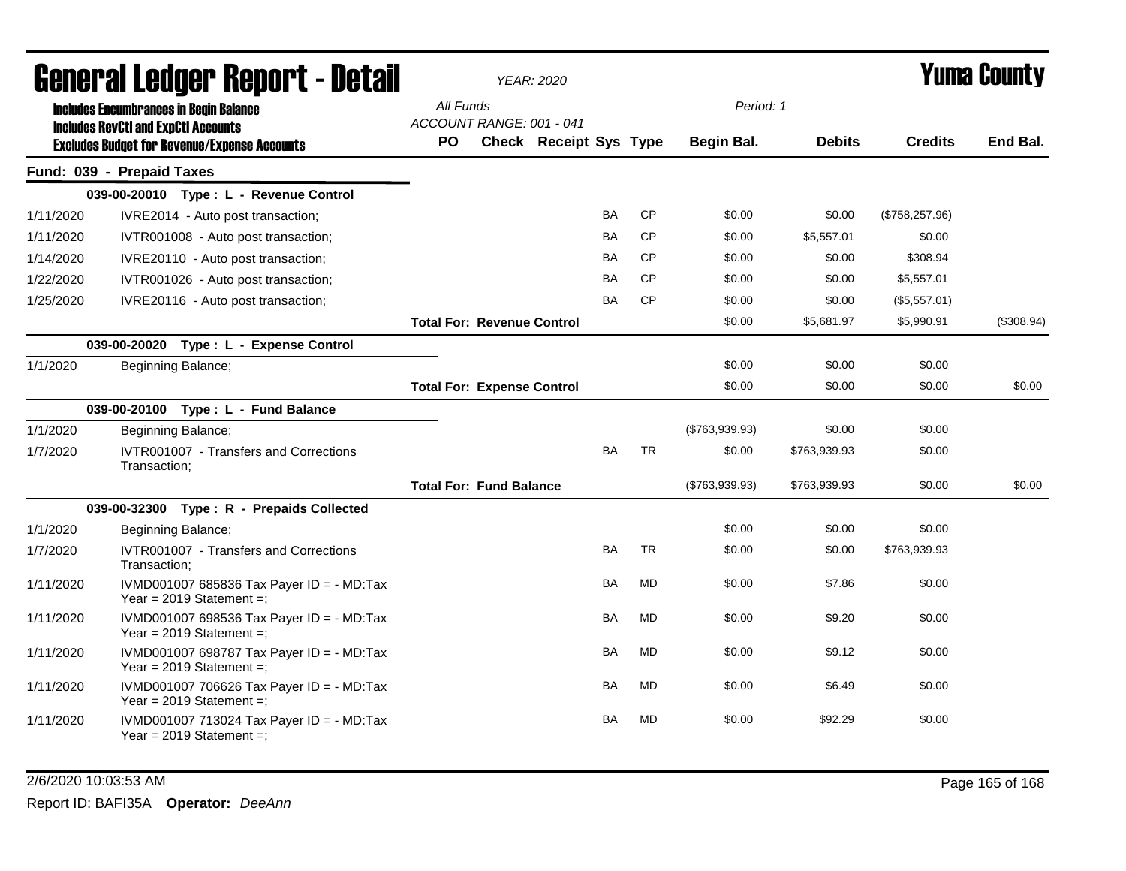|           | General Ledger Report - Detail                                                              |                                       | <b>YEAR: 2020</b>             |           |           |                | <b>Yuma County</b> |                 |            |
|-----------|---------------------------------------------------------------------------------------------|---------------------------------------|-------------------------------|-----------|-----------|----------------|--------------------|-----------------|------------|
|           | <b>Includes Encumbrances in Begin Balance</b><br><b>Includes RevCtI and ExpCtI Accounts</b> | All Funds<br>ACCOUNT RANGE: 001 - 041 |                               |           |           | Period: 1      |                    |                 |            |
|           | <b>Excludes Budget for Revenue/Expense Accounts</b>                                         | PO.                                   | <b>Check Receipt Sys Type</b> |           |           | Begin Bal.     | <b>Debits</b>      | <b>Credits</b>  | End Bal.   |
|           | Fund: 039 - Prepaid Taxes                                                                   |                                       |                               |           |           |                |                    |                 |            |
|           | 039-00-20010 Type: L - Revenue Control                                                      |                                       |                               |           |           |                |                    |                 |            |
| 1/11/2020 | IVRE2014 - Auto post transaction;                                                           |                                       |                               | BA        | <b>CP</b> | \$0.00         | \$0.00             | (\$758, 257.96) |            |
| 1/11/2020 | IVTR001008 - Auto post transaction;                                                         |                                       |                               | <b>BA</b> | <b>CP</b> | \$0.00         | \$5,557.01         | \$0.00          |            |
| 1/14/2020 | IVRE20110 - Auto post transaction;                                                          |                                       |                               | <b>BA</b> | <b>CP</b> | \$0.00         | \$0.00             | \$308.94        |            |
| 1/22/2020 | IVTR001026 - Auto post transaction;                                                         |                                       |                               | BA        | <b>CP</b> | \$0.00         | \$0.00             | \$5,557.01      |            |
| 1/25/2020 | IVRE20116 - Auto post transaction;                                                          |                                       |                               | <b>BA</b> | <b>CP</b> | \$0.00         | \$0.00             | (\$5,557.01)    |            |
|           |                                                                                             | <b>Total For: Revenue Control</b>     |                               |           |           | \$0.00         | \$5,681.97         | \$5,990.91      | (\$308.94) |
|           | 039-00-20020 Type: L - Expense Control                                                      |                                       |                               |           |           |                |                    |                 |            |
| 1/1/2020  | Beginning Balance;                                                                          |                                       |                               |           |           | \$0.00         | \$0.00             | \$0.00          |            |
|           |                                                                                             | <b>Total For: Expense Control</b>     |                               |           |           | \$0.00         | \$0.00             | \$0.00          | \$0.00     |
|           | 039-00-20100 Type: L - Fund Balance                                                         |                                       |                               |           |           |                |                    |                 |            |
| 1/1/2020  | <b>Beginning Balance;</b>                                                                   |                                       |                               |           |           | (\$763,939.93) | \$0.00             | \$0.00          |            |
| 1/7/2020  | <b>IVTR001007 - Transfers and Corrections</b><br>Transaction:                               |                                       |                               | <b>BA</b> | <b>TR</b> | \$0.00         | \$763,939.93       | \$0.00          |            |
|           |                                                                                             | <b>Total For: Fund Balance</b>        |                               |           |           | (\$763,939.93) | \$763,939.93       | \$0.00          | \$0.00     |
|           | 039-00-32300 Type: R - Prepaids Collected                                                   |                                       |                               |           |           |                |                    |                 |            |
| 1/1/2020  | Beginning Balance;                                                                          |                                       |                               |           |           | \$0.00         | \$0.00             | \$0.00          |            |
| 1/7/2020  | IVTR001007 - Transfers and Corrections<br>Transaction:                                      |                                       |                               | <b>BA</b> | <b>TR</b> | \$0.00         | \$0.00             | \$763,939.93    |            |
| 1/11/2020 | IVMD001007 685836 Tax Payer ID = - MD:Tax<br>Year = $2019$ Statement =;                     |                                       |                               | BA        | <b>MD</b> | \$0.00         | \$7.86             | \$0.00          |            |
| 1/11/2020 | IVMD001007 698536 Tax Payer ID = - MD:Tax<br>Year = $2019$ Statement =;                     |                                       |                               | <b>BA</b> | <b>MD</b> | \$0.00         | \$9.20             | \$0.00          |            |
| 1/11/2020 | IVMD001007 698787 Tax Payer ID = - MD:Tax<br>Year = $2019$ Statement =;                     |                                       |                               | <b>BA</b> | <b>MD</b> | \$0.00         | \$9.12             | \$0.00          |            |
| 1/11/2020 | IVMD001007 706626 Tax Payer ID = - MD:Tax<br>Year = $2019$ Statement =;                     |                                       |                               | <b>BA</b> | <b>MD</b> | \$0.00         | \$6.49             | \$0.00          |            |
| 1/11/2020 | IVMD001007 713024 Tax Payer ID = - MD:Tax<br>Year = $2019$ Statement =:                     |                                       |                               | BA        | <b>MD</b> | \$0.00         | \$92.29            | \$0.00          |            |

### 2/6/2020 10:03:53 AM Page 165 of 168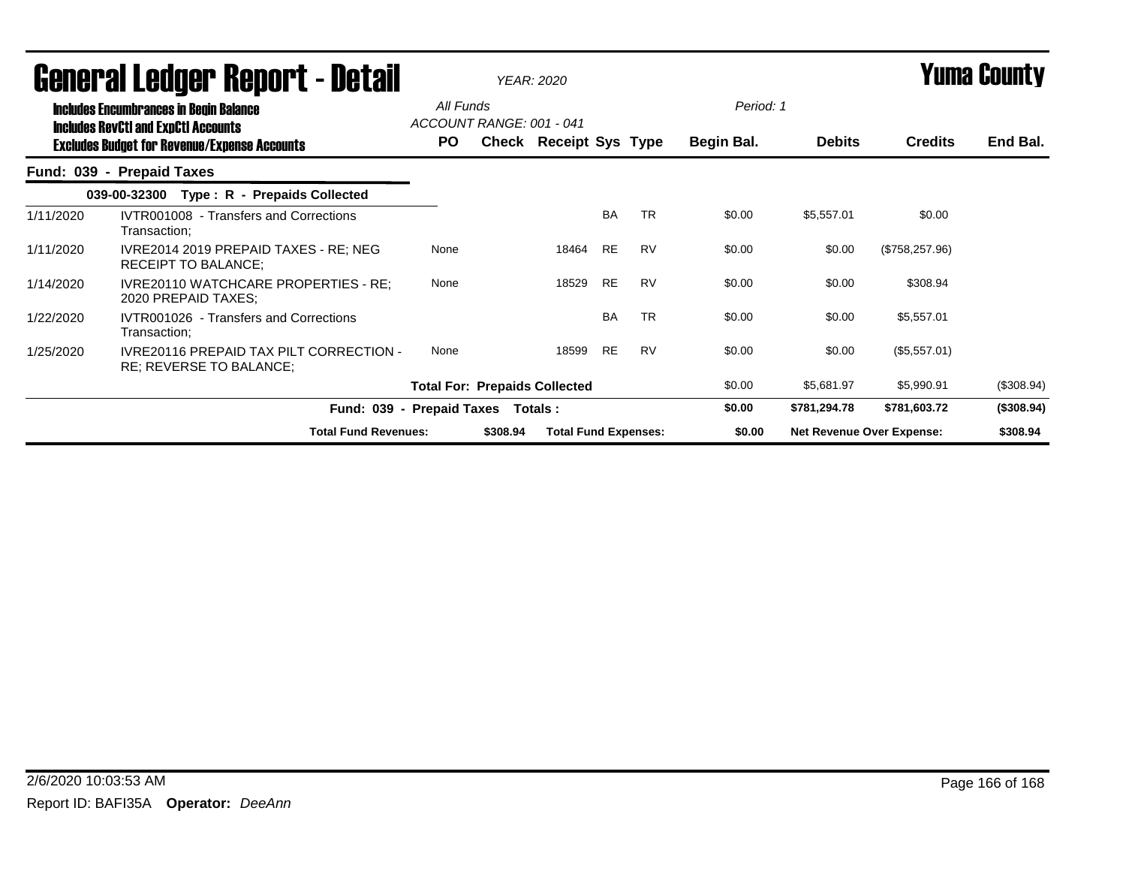|           | uchci ai Lcuyci" ncpol l - Dclan                                                            |                                       |          | YEAR: 2020                    |           |           |            |                                  |                 | I UIIIA VUUIILY |
|-----------|---------------------------------------------------------------------------------------------|---------------------------------------|----------|-------------------------------|-----------|-----------|------------|----------------------------------|-----------------|-----------------|
|           | <b>Includes Encumbrances in Begin Balance</b><br><b>Includes RevCtI and ExpCtI Accounts</b> | All Funds<br>ACCOUNT RANGE: 001 - 041 |          |                               |           |           | Period: 1  |                                  |                 |                 |
|           | <b>Excludes Budget for Revenue/Expense Accounts</b>                                         | PO.                                   |          | <b>Check Receipt Sys Type</b> |           |           | Begin Bal. | <b>Debits</b>                    | <b>Credits</b>  | End Bal.        |
|           | Fund: 039 - Prepaid Taxes                                                                   |                                       |          |                               |           |           |            |                                  |                 |                 |
|           | Type: R - Prepaids Collected<br>039-00-32300                                                |                                       |          |                               |           |           |            |                                  |                 |                 |
| 1/11/2020 | IVTR001008 - Transfers and Corrections<br>Transaction;                                      |                                       |          |                               | <b>BA</b> | <b>TR</b> | \$0.00     | \$5,557.01                       | \$0.00          |                 |
| 1/11/2020 | IVRE2014 2019 PREPAID TAXES - RE; NEG<br><b>RECEIPT TO BALANCE:</b>                         | None                                  |          | 18464                         | RE        | <b>RV</b> | \$0.00     | \$0.00                           | (\$758, 257.96) |                 |
| 1/14/2020 | <b>IVRE20110 WATCHCARE PROPERTIES - RE:</b><br>2020 PREPAID TAXES;                          | None                                  |          | 18529                         | RE        | <b>RV</b> | \$0.00     | \$0.00                           | \$308.94        |                 |
| 1/22/2020 | IVTR001026 - Transfers and Corrections<br>Transaction;                                      |                                       |          |                               | <b>BA</b> | <b>TR</b> | \$0.00     | \$0.00                           | \$5,557.01      |                 |
| 1/25/2020 | <b>IVRE20116 PREPAID TAX PILT CORRECTION -</b><br>RE; REVERSE TO BALANCE;                   | None                                  |          | 18599                         | RE        | <b>RV</b> | \$0.00     | \$0.00                           | (\$5,557.01)    |                 |
|           |                                                                                             | <b>Total For: Prepaids Collected</b>  |          |                               |           |           | \$0.00     | \$5,681.97                       | \$5,990.91      | (\$308.94)      |
|           |                                                                                             | Fund: 039 - Prepaid Taxes Totals:     |          |                               |           |           | \$0.00     | \$781,294.78                     | \$781,603.72    | (\$308.94)      |
|           | <b>Total Fund Revenues:</b>                                                                 |                                       | \$308.94 | <b>Total Fund Expenses:</b>   |           |           | \$0.00     | <b>Net Revenue Over Expense:</b> |                 | \$308.94        |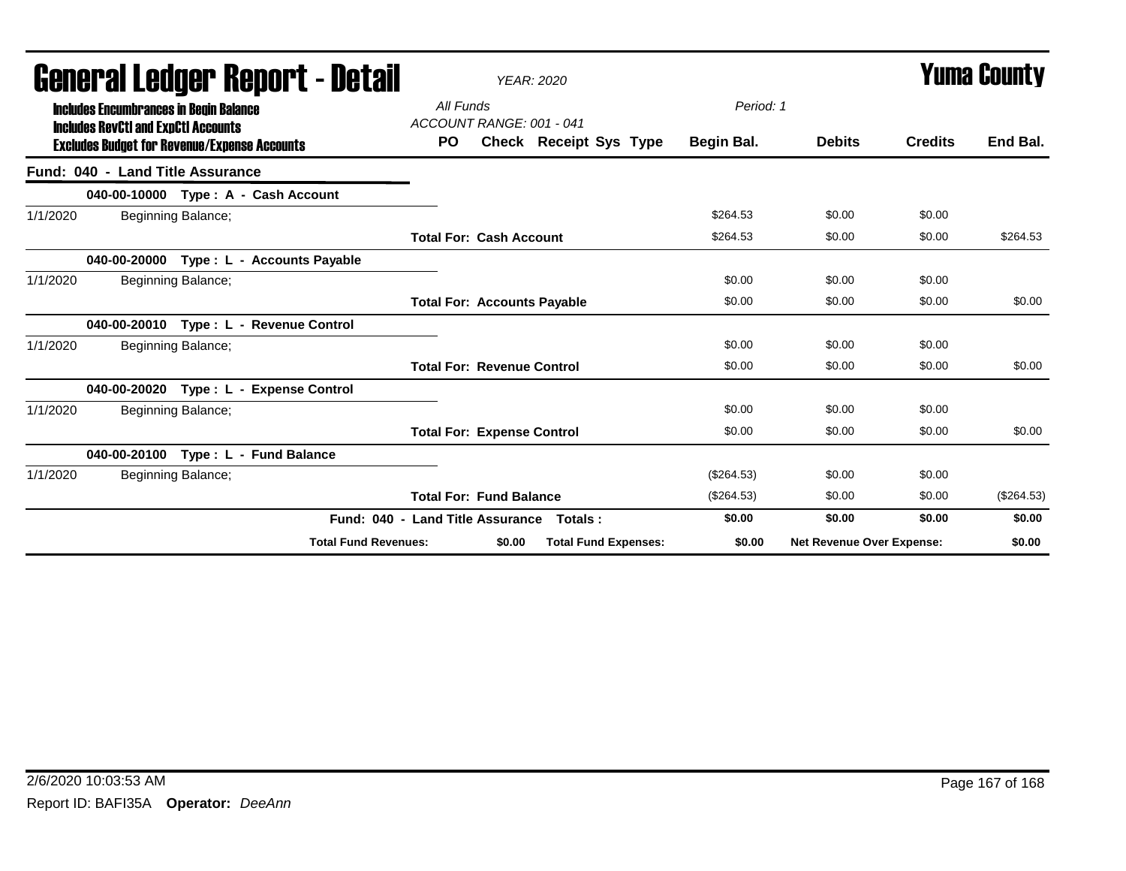| <b>General Ledger Report - Detail</b>                                                       |                                       |        | <b>YEAR: 2020</b>           |              |                           |                | Yuma Countv  |
|---------------------------------------------------------------------------------------------|---------------------------------------|--------|-----------------------------|--------------|---------------------------|----------------|--------------|
| <b>Includes Encumbrances in Begin Balance</b><br><b>Includes RevCtI and ExpCtI Accounts</b> | All Funds<br>ACCOUNT RANGE: 001 - 041 |        |                             | Period: 1    |                           |                |              |
| <b>Excludes Budget for Revenue/Expense Accounts</b>                                         | <b>PO</b>                             |        | Check Receipt Sys Type      | Begin Bal.   | <b>Debits</b>             | <b>Credits</b> | End Bal.     |
| Fund: 040 - Land Title Assurance                                                            |                                       |        |                             |              |                           |                |              |
| 040-00-10000 Type: A - Cash Account                                                         |                                       |        |                             |              |                           |                |              |
| Beginning Balance;<br>1/1/2020                                                              |                                       |        |                             | \$264.53     | \$0.00                    | \$0.00         |              |
|                                                                                             | <b>Total For: Cash Account</b>        |        |                             | \$264.53     | \$0.00                    | \$0.00         | \$264.53     |
| 040-00-20000<br>Type : L - Accounts Payable                                                 |                                       |        |                             |              |                           |                |              |
| 1/1/2020<br>Beginning Balance;                                                              |                                       |        |                             | \$0.00       | \$0.00                    | \$0.00         |              |
|                                                                                             | <b>Total For: Accounts Payable</b>    |        |                             | \$0.00       | \$0.00                    | \$0.00         | \$0.00       |
| 040-00-20010 Type: L - Revenue Control                                                      |                                       |        |                             |              |                           |                |              |
| 1/1/2020<br>Beginning Balance;                                                              |                                       |        |                             | \$0.00       | \$0.00                    | \$0.00         |              |
|                                                                                             | <b>Total For: Revenue Control</b>     |        |                             | \$0.00       | \$0.00                    | \$0.00         | \$0.00       |
| Type: L - Expense Control<br>040-00-20020                                                   |                                       |        |                             |              |                           |                |              |
| 1/1/2020<br>Beginning Balance;                                                              |                                       |        |                             | \$0.00       | \$0.00                    | \$0.00         |              |
|                                                                                             | <b>Total For: Expense Control</b>     |        |                             | \$0.00       | \$0.00                    | \$0.00         | \$0.00       |
| Type: L - Fund Balance<br>040-00-20100                                                      |                                       |        |                             |              |                           |                |              |
| 1/1/2020<br>Beginning Balance;                                                              |                                       |        |                             | $(\$264.53)$ | \$0.00                    | \$0.00         |              |
|                                                                                             | <b>Total For: Fund Balance</b>        |        |                             | (\$264.53)   | \$0.00                    | \$0.00         | $(\$264.53)$ |
|                                                                                             | Fund: 040 - Land Title Assurance      |        | Totals:                     | \$0.00       | \$0.00                    | \$0.00         | \$0.00       |
| <b>Total Fund Revenues:</b>                                                                 |                                       | \$0.00 | <b>Total Fund Expenses:</b> | \$0.00       | Net Revenue Over Expense: |                | \$0.00       |